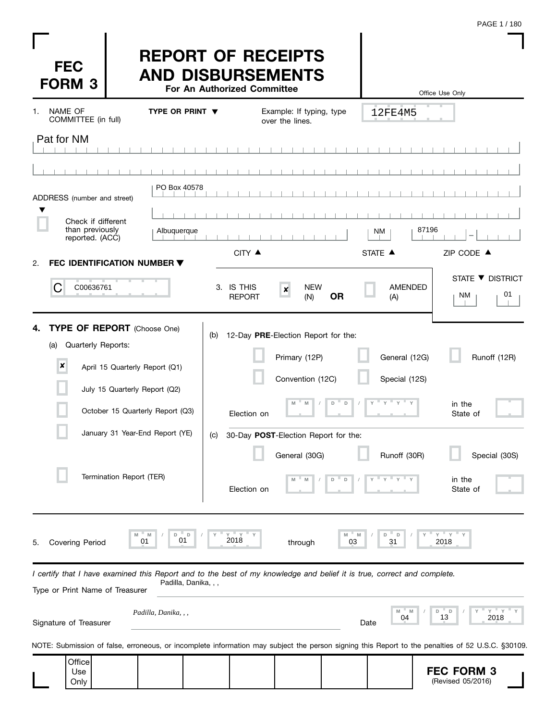| <b>FEC</b><br><b>FORM 3</b>                                                                                                                                |                                | <b>REPORT OF RECEIPTS</b><br><b>AND DISBURSEMENTS</b> |     | For An Authorized Committee          |                                             |                                           |         |                                                                                  | Office Use Only |                        |                  |
|------------------------------------------------------------------------------------------------------------------------------------------------------------|--------------------------------|-------------------------------------------------------|-----|--------------------------------------|---------------------------------------------|-------------------------------------------|---------|----------------------------------------------------------------------------------|-----------------|------------------------|------------------|
| NAME OF<br>1.<br>COMMITTEE (in full)                                                                                                                       |                                | <b>TYPE OR PRINT ▼</b>                                |     |                                      | Example: If typing, type<br>over the lines. |                                           |         | 12FE4M5                                                                          |                 |                        |                  |
| Pat for NM                                                                                                                                                 |                                |                                                       |     |                                      |                                             |                                           |         |                                                                                  |                 |                        |                  |
|                                                                                                                                                            |                                |                                                       |     |                                      |                                             |                                           |         |                                                                                  |                 |                        |                  |
|                                                                                                                                                            |                                | PO Box 40578                                          |     |                                      |                                             |                                           |         |                                                                                  |                 |                        |                  |
| ADDRESS (number and street)                                                                                                                                |                                |                                                       |     |                                      |                                             |                                           |         |                                                                                  |                 |                        |                  |
| Check if different<br>than previously                                                                                                                      |                                | Albuquerque                                           |     |                                      |                                             |                                           | NM      |                                                                                  | 87196           |                        |                  |
| reported. (ACC)                                                                                                                                            |                                |                                                       |     | CITY ▲                               |                                             |                                           | STATE A |                                                                                  |                 | ZIP CODE ▲             |                  |
| FEC IDENTIFICATION NUMBER $\blacktriangledown$<br>2.<br>C<br>C00636761                                                                                     |                                |                                                       |     | 3. IS THIS<br><b>REPORT</b>          | <b>NEW</b><br>$\pmb{\times}$<br>(N)         | <b>OR</b>                                 |         | <b>AMENDED</b><br>(A)                                                            |                 | STATE ▼ DISTRICT<br>NM | 01               |
| TYPE OF REPORT (Choose One)<br>4.<br>Quarterly Reports:<br>(a)<br>$\boldsymbol{x}$                                                                         | April 15 Quarterly Report (Q1) |                                                       | (b) | 12-Day PRE-Election Report for the:  | Primary (12P)<br>Convention (12C)           |                                           |         | General (12G)<br>Special (12S)                                                   |                 |                        | Runoff (12R)     |
|                                                                                                                                                            | July 15 Quarterly Report (Q2)  | October 15 Quarterly Report (Q3)                      |     | Election on                          | ${\mathbb M}$<br>M                          | $^{\circ}$ D<br>$\mathsf D$<br>$\sqrt{2}$ |         | $\mathsf{Y} \quad \mathsf{Y} \quad \mathsf{Y} \quad \mathsf{Y} \quad \mathsf{Y}$ |                 | in the<br>State of     |                  |
|                                                                                                                                                            |                                | January 31 Year-End Report (YE)                       | (c) | 30-Day POST-Election Report for the: |                                             |                                           |         |                                                                                  |                 |                        |                  |
|                                                                                                                                                            | Termination Report (TER)       |                                                       |     | Election on                          | General (30G)<br>M                          | D<br>D                                    |         | Runoff (30R)                                                                     |                 | in the<br>State of     | Special (30S)    |
| <b>Covering Period</b><br>5.                                                                                                                               | M                              | M<br>D<br>D<br>01<br>01                               |     | $^{\prime\prime}$ Y<br>Y<br>2018     | through                                     |                                           | 03      | D<br>D<br>31                                                                     | Y<br>2018       | " Y                    |                  |
| I certify that I have examined this Report and to the best of my knowledge and belief it is true, correct and complete.<br>Type or Print Name of Treasurer |                                | Padilla, Danika, , ,                                  |     |                                      |                                             |                                           |         |                                                                                  |                 |                        |                  |
| Signature of Treasurer                                                                                                                                     |                                | Padilla, Danika, , ,                                  |     |                                      |                                             |                                           | Date    | M<br>04                                                                          | D<br>13         | D                      | Υ<br>" ү<br>2018 |
| NOTE: Submission of false, erroneous, or incomplete information may subject the person signing this Report to the penalties of 52 U.S.C. §30109.           |                                |                                                       |     |                                      |                                             |                                           |         |                                                                                  |                 |                        |                  |
| Office<br>Use                                                                                                                                              |                                |                                                       |     |                                      |                                             |                                           |         |                                                                                  |                 | <b>FEC FORM 3</b>      |                  |

 $\mathbf{I}$ I ı (Revised 05/2016)

**Only** 

I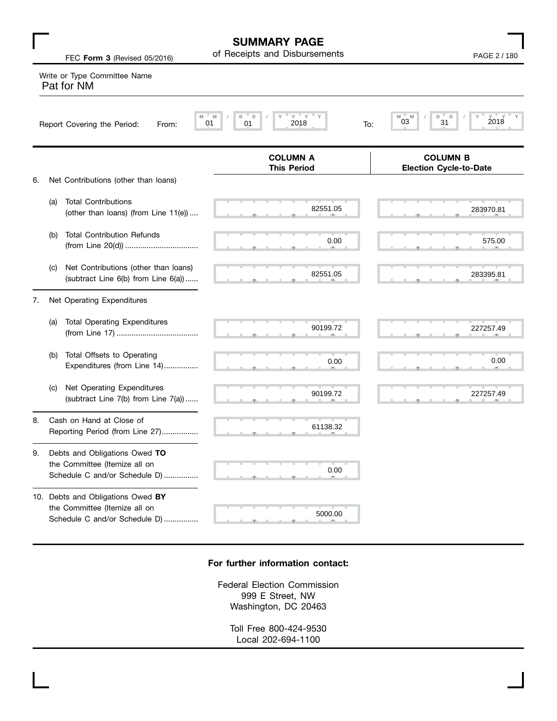|    |     | FEC Form 3 (Revised 05/2016)                                                                        | <b>SUMMARY PAGE</b><br>of Receipts and Disbursements       | PAGE 2 / 180                                     |
|----|-----|-----------------------------------------------------------------------------------------------------|------------------------------------------------------------|--------------------------------------------------|
|    |     | Write or Type Committee Name<br>Pat for NM                                                          |                                                            |                                                  |
|    |     | M<br>Report Covering the Period:<br>From:                                                           | $Y$ $Y$ $Y$<br>D<br>Υ<br>M<br>D<br>2018<br>01<br>01<br>To: | 2018<br>$Y =$<br>M<br>D<br>D<br>M<br>03<br>31    |
|    |     |                                                                                                     | <b>COLUMN A</b><br><b>This Period</b>                      | <b>COLUMN B</b><br><b>Election Cycle-to-Date</b> |
| 6. |     | Net Contributions (other than loans)                                                                |                                                            |                                                  |
|    | (a) | <b>Total Contributions</b><br>(other than loans) (from Line 11(e))                                  | 82551.05                                                   | 283970.81                                        |
|    | (b) | <b>Total Contribution Refunds</b>                                                                   | 0.00                                                       | 575.00                                           |
|    | (c) | Net Contributions (other than loans)<br>(subtract Line 6(b) from Line 6(a))                         | 82551.05                                                   | 283395.81                                        |
| 7. |     | Net Operating Expenditures                                                                          |                                                            |                                                  |
|    | (a) | <b>Total Operating Expenditures</b>                                                                 | 90199.72                                                   | 227257.49                                        |
|    | (b) | Total Offsets to Operating<br>Expenditures (from Line 14)                                           | 0.00                                                       | 0.00                                             |
|    | (C) | Net Operating Expenditures<br>(subtract Line 7(b) from Line 7(a))                                   | 90199.72                                                   | 227257.49                                        |
| 8. |     | Cash on Hand at Close of<br>Reporting Period (from Line 27)                                         | 61138.32                                                   |                                                  |
| 9. |     | Debts and Obligations Owed TO<br>the Committee (Itemize all on<br>Schedule C and/or Schedule D)     | 0.00                                                       |                                                  |
|    |     | 10. Debts and Obligations Owed BY<br>the Committee (Itemize all on<br>Schedule C and/or Schedule D) | 5000.00                                                    |                                                  |

#### **For further information contact:**

Federal Election Commission 999 E Street, NW Washington, DC 20463

Toll Free 800-424-9530 Local 202-694-1100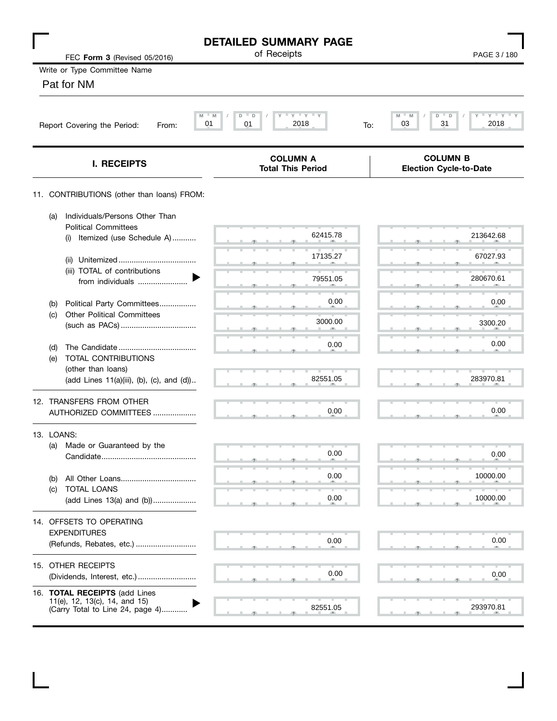| FEC Form 3 (Revised 05/2016)                                                                              | <b>DETAILED SUMMARY PAGE</b><br>of Receipts                       | PAGE 3/180                                               |
|-----------------------------------------------------------------------------------------------------------|-------------------------------------------------------------------|----------------------------------------------------------|
| Write or Type Committee Name                                                                              |                                                                   |                                                          |
| Pat for NM                                                                                                |                                                                   |                                                          |
| Report Covering the Period:<br>From:                                                                      | $Y$ $Y$ $Y$<br>- M<br>D<br>D<br>Υ<br>M<br>01<br>2018<br>01<br>To: | $Y + Y + Y$<br>M<br>M<br>D<br>D<br>Y<br>31<br>2018<br>03 |
| <b>I. RECEIPTS</b>                                                                                        | <b>COLUMN A</b><br><b>Total This Period</b>                       | <b>COLUMN B</b><br><b>Election Cycle-to-Date</b>         |
| 11. CONTRIBUTIONS (other than loans) FROM:                                                                |                                                                   |                                                          |
| Individuals/Persons Other Than<br>(a)<br><b>Political Committees</b>                                      |                                                                   |                                                          |
| Itemized (use Schedule A)<br>(i)                                                                          | 62415.78                                                          | 213642.68                                                |
| (ii)                                                                                                      | 17135.27                                                          | 67027.93                                                 |
| (iii) TOTAL of contributions<br>from individuals                                                          | 79551.05                                                          | 280670.61                                                |
| Political Party Committees<br>(b)                                                                         | 0.00                                                              | 0.00                                                     |
| <b>Other Political Committees</b><br>(c)                                                                  | 3000.00<br>a,                                                     | 3300.20                                                  |
| (d)                                                                                                       | 0.00                                                              | 0.00                                                     |
| TOTAL CONTRIBUTIONS<br>(e)<br>(other than loans)                                                          |                                                                   |                                                          |
| (add Lines 11(a)(iii), (b), (c), and (d))                                                                 | 82551.05                                                          | 283970.81                                                |
| 12. TRANSFERS FROM OTHER<br>AUTHORIZED COMMITTEES                                                         | 0.00                                                              | 0.00                                                     |
| 13. LOANS:                                                                                                |                                                                   |                                                          |
| Made or Guaranteed by the<br>(a)<br>Candidate                                                             | 0.00                                                              | 0.00                                                     |
| (b)                                                                                                       | 0.00                                                              | 10000.00                                                 |
| TOTAL LOANS<br>(c)<br>(add Lines 13(a) and (b))                                                           | 0.00                                                              | 10000.00                                                 |
| 14. OFFSETS TO OPERATING                                                                                  |                                                                   |                                                          |
| <b>EXPENDITURES</b><br>(Refunds, Rebates, etc.)                                                           | 0.00                                                              | 0.00                                                     |
| 15. OTHER RECEIPTS<br>(Dividends, Interest, etc.)                                                         | 0.00                                                              | 0.00                                                     |
| 16. <b>TOTAL RECEIPTS</b> (add Lines<br>11(e), 12, 13(c), 14, and 15)<br>(Carry Total to Line 24, page 4) | 82551.05                                                          | 293970.81                                                |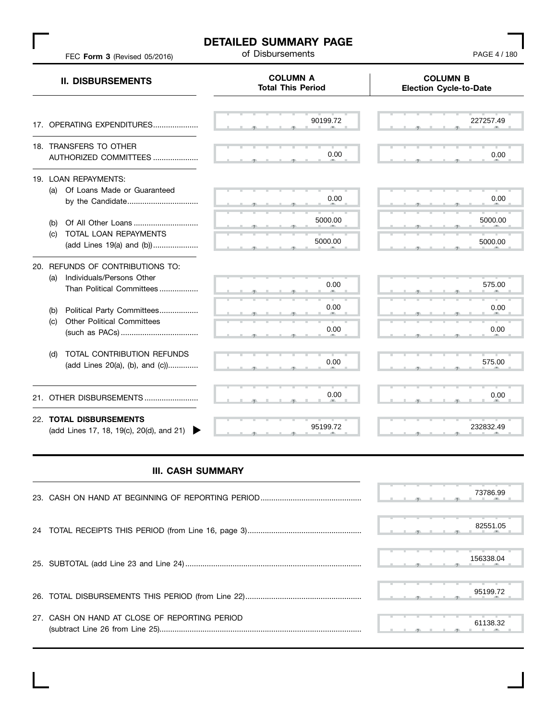### **DETAILED SUMMARY PAGE**<br>of Disbursements

FEC **Form 3** (Revised 05/2016)

PAGE 4 / 180

|            | <b>II. DISBURSEMENTS</b>                                                                   | <b>COLUMN A</b><br><b>Total This Period</b> | <b>COLUMN B</b><br><b>Election Cycle-to-Date</b> |
|------------|--------------------------------------------------------------------------------------------|---------------------------------------------|--------------------------------------------------|
|            | 17. OPERATING EXPENDITURES                                                                 | 90199.72                                    | 227257.49                                        |
|            | 18. TRANSFERS TO OTHER<br>AUTHORIZED COMMITTEES                                            | 0.00                                        | 0.00                                             |
| (a)<br>(b) | 19. LOAN REPAYMENTS:<br>Of Loans Made or Guaranteed<br>by the Candidate                    | 0.00<br>5000.00                             | 0.00<br>5000.00                                  |
| (C)        | TOTAL LOAN REPAYMENTS<br>(add Lines 19(a) and (b))                                         | 5000.00                                     | 5000.00                                          |
| (a)        | 20. REFUNDS OF CONTRIBUTIONS TO:<br>Individuals/Persons Other<br>Than Political Committees | 0.00                                        | 575.00                                           |
| (b)<br>(c) | Political Party Committees<br><b>Other Political Committees</b>                            | 0.00<br>0.00                                | 0.00<br>0.00                                     |
| (d)        | TOTAL CONTRIBUTION REFUNDS<br>(add Lines 20(a), (b), and (c))                              | 0.00                                        | 575.00                                           |
| 21.        | OTHER DISBURSEMENTS                                                                        | 0.00                                        | 0.00                                             |
|            | 22. TOTAL DISBURSEMENTS<br>(add Lines 17, 18, 19(c), 20(d), and 21)                        | 95199.72                                    | 232832.49                                        |

#### **III. CASH SUMMARY**

|                                               | 73786.99  |
|-----------------------------------------------|-----------|
|                                               | 82551.05  |
|                                               | 156338.04 |
|                                               | 95199.72  |
| 27. CASH ON HAND AT CLOSE OF REPORTING PERIOD | 61138.32  |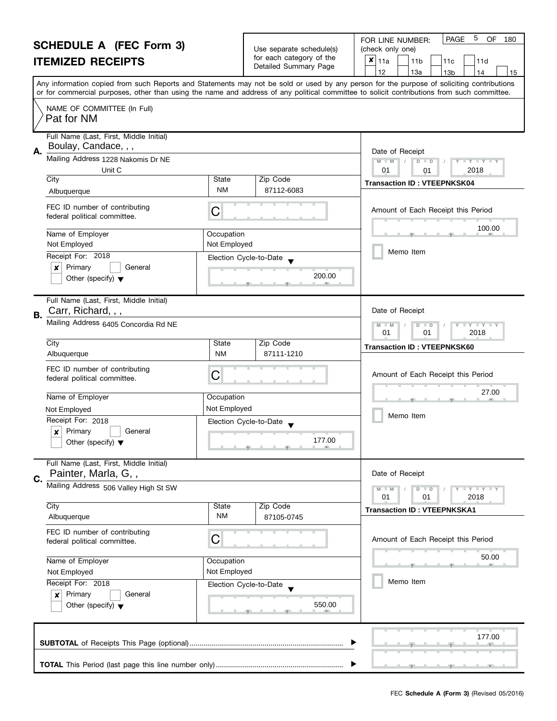|                                                   | FOR LINE NUMBER:             |
|---------------------------------------------------|------------------------------|
| Use separate schedule(s)                          | (check only one)             |
| for each category of the<br>Detailed Summary Page | $\vert x \vert_{11a}$<br>11b |

| SCHEDULE A (FEC FOrm 3)<br><b>ITEMIZED RECEIPTS</b>                                                                                                                                                                                                                        |                                       | Use separate schedule(s)<br>for each category of the<br>Detailed Summary Page | (check only one)<br>$x _{11a}$<br>11d<br>11 <sub>b</sub><br>11c<br>12<br>13a<br>13 <sub>b</sub><br>14<br>15                                                                                                                                                                             |
|----------------------------------------------------------------------------------------------------------------------------------------------------------------------------------------------------------------------------------------------------------------------------|---------------------------------------|-------------------------------------------------------------------------------|-----------------------------------------------------------------------------------------------------------------------------------------------------------------------------------------------------------------------------------------------------------------------------------------|
|                                                                                                                                                                                                                                                                            |                                       |                                                                               | Any information copied from such Reports and Statements may not be sold or used by any person for the purpose of soliciting contributions<br>or for commercial purposes, other than using the name and address of any political committee to solicit contributions from such committee. |
| NAME OF COMMITTEE (In Full)<br>Pat for NM                                                                                                                                                                                                                                  |                                       |                                                                               |                                                                                                                                                                                                                                                                                         |
| Full Name (Last, First, Middle Initial)<br>Boulay, Candace, , ,<br>Α.<br>Mailing Address 1228 Nakomis Dr NE<br>Unit C<br>City<br>State<br><b>NM</b><br>Albuquerque<br>FEC ID number of contributing<br>С<br>federal political committee.<br>Name of Employer<br>Occupation |                                       | Zip Code<br>87112-6083                                                        | Date of Receipt<br>$M - M$<br>$D$ $D$<br>$Y + Y$<br>01<br>2018<br>01<br><b>Transaction ID: VTEEPNKSK04</b><br>Amount of Each Receipt this Period<br>100.00                                                                                                                              |
| Not Employed<br>Receipt For: 2018<br>Primary<br>x<br>General<br>Other (specify) $\blacktriangledown$                                                                                                                                                                       | Not Employed                          | Election Cycle-to-Date<br>200.00                                              | Memo Item                                                                                                                                                                                                                                                                               |
| Full Name (Last, First, Middle Initial)<br>Carr, Richard, , ,<br>B.<br>Mailing Address 6405 Concordia Rd NE<br>City<br>Albuquerque                                                                                                                                         | State<br><b>NM</b>                    | Zip Code<br>87111-1210                                                        | Date of Receipt<br>$M - M$<br>$\overline{\mathbf{y}}$<br>D<br>$\Box$<br>2018<br>01<br>01<br><b>Transaction ID: VTEEPNKSK60</b>                                                                                                                                                          |
| FEC ID number of contributing<br>federal political committee.<br>Name of Employer<br>Not Employed<br>Receipt For: 2018<br>Primary<br>General<br>x<br>Other (specify) $\blacktriangledown$                                                                                  | С<br>Occupation<br>Not Employed       | Election Cycle-to-Date<br>177.00                                              | Amount of Each Receipt this Period<br>27.00<br>Memo Item                                                                                                                                                                                                                                |
| Full Name (Last, First, Middle Initial)<br>Painter, Marla, G,,<br>C.<br>Mailing Address 506 Valley High St SW<br>City                                                                                                                                                      | State                                 | Zip Code                                                                      | Date of Receipt<br>$M - M$<br>$\bot$ $\gamma$ $\bot$ $\gamma$ $\bot$ $\gamma$<br>D<br>$\Box$<br>01<br>01<br>2018<br><b>Transaction ID: VTEEPNKSKA1</b>                                                                                                                                  |
| Albuquerque<br>FEC ID number of contributing<br>federal political committee.<br>Name of Employer<br>Not Employed<br>Receipt For: 2018<br>Primary<br>General<br>$\boldsymbol{x}$                                                                                            | ΝM<br>С<br>Occupation<br>Not Employed | 87105-0745<br>Election Cycle-to-Date                                          | Amount of Each Receipt this Period<br>50.00<br>Memo Item                                                                                                                                                                                                                                |
| Other (specify) $\blacktriangledown$                                                                                                                                                                                                                                       |                                       | 550.00                                                                        | 177.00                                                                                                                                                                                                                                                                                  |
|                                                                                                                                                                                                                                                                            |                                       |                                                                               |                                                                                                                                                                                                                                                                                         |

PAGE 5 OF 180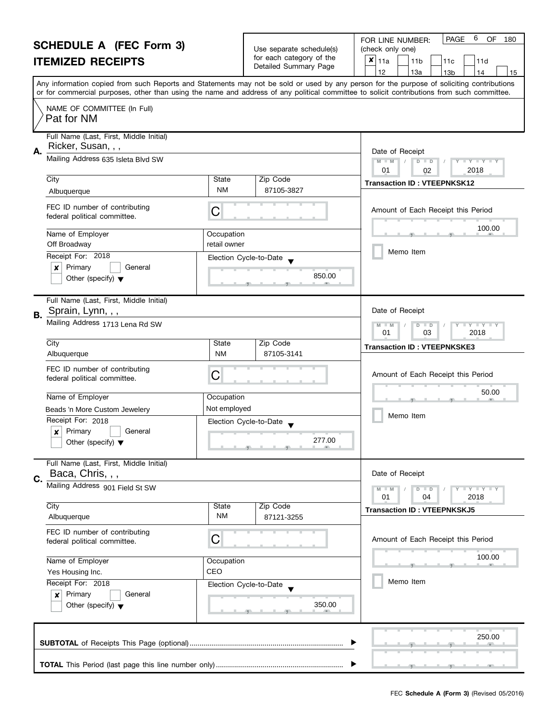|    | <b>SCHEDULE A (FEC Form 3)</b><br><b>ITEMIZED RECEIPTS</b>                           |                                              | Use separate schedule(s)<br>for each category of the<br>Detailed Summary Page | 6<br>PAGE<br>OF<br>180<br>FOR LINE NUMBER:<br>(check only one)<br>×<br>11a<br>11 <sub>b</sub><br>11d<br>11c<br>12<br>13a<br>13 <sub>b</sub><br>14<br>15                                                                                                                                 |  |  |  |  |
|----|--------------------------------------------------------------------------------------|----------------------------------------------|-------------------------------------------------------------------------------|-----------------------------------------------------------------------------------------------------------------------------------------------------------------------------------------------------------------------------------------------------------------------------------------|--|--|--|--|
|    |                                                                                      |                                              |                                                                               | Any information copied from such Reports and Statements may not be sold or used by any person for the purpose of soliciting contributions<br>or for commercial purposes, other than using the name and address of any political committee to solicit contributions from such committee. |  |  |  |  |
|    | NAME OF COMMITTEE (In Full)<br>Pat for NM                                            |                                              |                                                                               |                                                                                                                                                                                                                                                                                         |  |  |  |  |
| Α. | Full Name (Last, First, Middle Initial)<br>Ricker, Susan, , ,                        |                                              |                                                                               | Date of Receipt                                                                                                                                                                                                                                                                         |  |  |  |  |
|    | Mailing Address 635 Isleta Blvd SW                                                   |                                              |                                                                               | $D$ $D$<br>$Y - Y - Y - Y$<br>$M - M$<br>01<br>2018<br>02                                                                                                                                                                                                                               |  |  |  |  |
|    | City<br>Albuquerque                                                                  | State<br><b>NM</b>                           | Zip Code<br>87105-3827                                                        | <b>Transaction ID: VTEEPNKSK12</b>                                                                                                                                                                                                                                                      |  |  |  |  |
|    | FEC ID number of contributing<br>federal political committee.                        | C                                            |                                                                               | Amount of Each Receipt this Period                                                                                                                                                                                                                                                      |  |  |  |  |
|    | Name of Employer<br>Off Broadway                                                     | Occupation<br>retail owner                   |                                                                               | 100.00                                                                                                                                                                                                                                                                                  |  |  |  |  |
|    | Receipt For: 2018                                                                    | Election Cycle-to-Date                       |                                                                               | Memo Item                                                                                                                                                                                                                                                                               |  |  |  |  |
|    | Primary<br>General<br>x<br>Other (specify) $\blacktriangledown$                      |                                              | 850.00                                                                        |                                                                                                                                                                                                                                                                                         |  |  |  |  |
| В. | Full Name (Last, First, Middle Initial)<br>Sprain, Lynn, , ,                         |                                              |                                                                               | Date of Receipt                                                                                                                                                                                                                                                                         |  |  |  |  |
|    | Mailing Address 1713 Lena Rd SW                                                      |                                              |                                                                               | T Y T Y T Y<br>M<br>$D$ $D$<br>$-M$<br>01<br>03<br>2018                                                                                                                                                                                                                                 |  |  |  |  |
|    | City<br>Albuquerque                                                                  | Zip Code<br>State<br><b>NM</b><br>87105-3141 |                                                                               | <b>Transaction ID: VTEEPNKSKE3</b>                                                                                                                                                                                                                                                      |  |  |  |  |
|    | FEC ID number of contributing<br>federal political committee.                        | C                                            |                                                                               | Amount of Each Receipt this Period                                                                                                                                                                                                                                                      |  |  |  |  |
|    | Name of Employer                                                                     | Occupation                                   |                                                                               | 50.00                                                                                                                                                                                                                                                                                   |  |  |  |  |
|    | Beads 'n More Custom Jewelery                                                        | Not employed                                 |                                                                               |                                                                                                                                                                                                                                                                                         |  |  |  |  |
|    | Receipt For: 2018                                                                    | Election Cycle-to-Date                       |                                                                               | Memo Item                                                                                                                                                                                                                                                                               |  |  |  |  |
|    | Primary<br>General<br>X<br>Other (specify) $\blacktriangledown$                      |                                              | 277.00                                                                        |                                                                                                                                                                                                                                                                                         |  |  |  |  |
| C. | Full Name (Last, First, Middle Initial)<br>Baca, Chris, , ,                          |                                              |                                                                               | Date of Receipt                                                                                                                                                                                                                                                                         |  |  |  |  |
|    | Mailing Address 901 Field St SW                                                      |                                              |                                                                               | $Y - Y - Y - Y - Y$<br>$D$ $D$<br>01<br>04<br>2018                                                                                                                                                                                                                                      |  |  |  |  |
|    | City<br>Albuquerque                                                                  | State<br><b>NM</b>                           | Zip Code<br>87121-3255                                                        | <b>Transaction ID: VTEEPNKSKJ5</b>                                                                                                                                                                                                                                                      |  |  |  |  |
|    | FEC ID number of contributing<br>federal political committee.                        | С                                            |                                                                               | Amount of Each Receipt this Period                                                                                                                                                                                                                                                      |  |  |  |  |
|    | Name of Employer<br>Occupation<br>CEO<br>Yes Housing Inc.                            |                                              |                                                                               | 100.00                                                                                                                                                                                                                                                                                  |  |  |  |  |
|    |                                                                                      |                                              |                                                                               | Memo Item                                                                                                                                                                                                                                                                               |  |  |  |  |
|    | Receipt For: 2018<br>Primary<br>General<br>×<br>Other (specify) $\blacktriangledown$ | Election Cycle-to-Date                       | 350.00                                                                        |                                                                                                                                                                                                                                                                                         |  |  |  |  |
|    |                                                                                      |                                              |                                                                               | 250.00                                                                                                                                                                                                                                                                                  |  |  |  |  |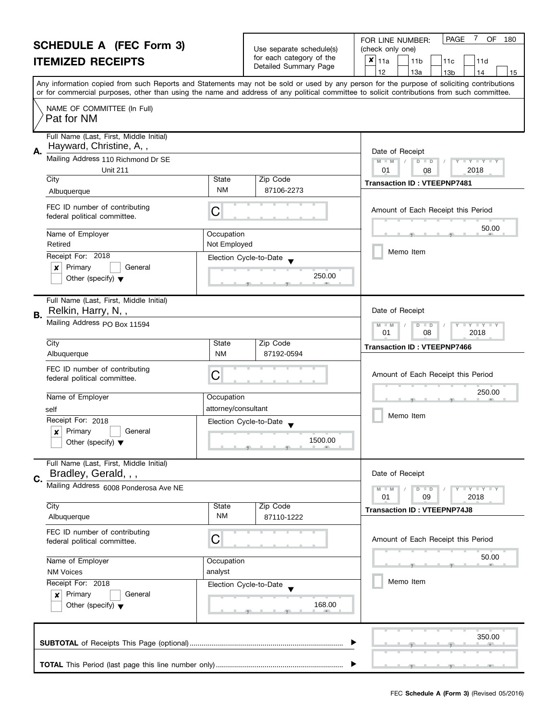|                                                   | FOR LINE NUMBER:                |
|---------------------------------------------------|---------------------------------|
| Use separate schedule(s)                          | (check only one)                |
| for each category of the<br>Detailed Summary Page | $\vert x \vert_{11a}$<br>l 11 h |

| SCHEDULE A (FEC FOrm 3)<br><b>ITEMIZED RECEIPTS</b>                                                                                                                                                                                                                                                                                              |                                                       | Use separate schedule(s)<br>for each category of the<br>Detailed Summary Page | (check only one)<br>$x _{11a}$<br>11d<br>11 <sub>b</sub><br>11c<br>12<br>13a<br>13 <sub>b</sub><br>14<br>15                                                                                                                                                                             |
|--------------------------------------------------------------------------------------------------------------------------------------------------------------------------------------------------------------------------------------------------------------------------------------------------------------------------------------------------|-------------------------------------------------------|-------------------------------------------------------------------------------|-----------------------------------------------------------------------------------------------------------------------------------------------------------------------------------------------------------------------------------------------------------------------------------------|
|                                                                                                                                                                                                                                                                                                                                                  |                                                       |                                                                               | Any information copied from such Reports and Statements may not be sold or used by any person for the purpose of soliciting contributions<br>or for commercial purposes, other than using the name and address of any political committee to solicit contributions from such committee. |
| NAME OF COMMITTEE (In Full)<br>Pat for NM                                                                                                                                                                                                                                                                                                        |                                                       |                                                                               |                                                                                                                                                                                                                                                                                         |
| Full Name (Last, First, Middle Initial)<br>Hayward, Christine, A,,<br>Α.<br>Mailing Address 110 Richmond Dr SE<br><b>Unit 211</b><br>City<br>Albuquerque<br>FEC ID number of contributing<br>federal political committee.<br>Name of Employer<br>Retired<br>Receipt For: 2018<br>Primary<br>General<br>x<br>Other (specify) $\blacktriangledown$ | State<br><b>NM</b><br>С<br>Occupation<br>Not Employed | Zip Code<br>87106-2273<br>Election Cycle-to-Date<br>250.00                    | Date of Receipt<br>$M - M$<br>$D$ $D$<br>$Y + Y$<br>01<br>2018<br>08<br><b>Transaction ID: VTEEPNP7481</b><br>Amount of Each Receipt this Period<br>50.00<br>Memo Item                                                                                                                  |
| Full Name (Last, First, Middle Initial)<br>Relkin, Harry, N,,<br>B.<br>Mailing Address PO Box 11594<br>City                                                                                                                                                                                                                                      | State<br><b>NM</b>                                    | Zip Code                                                                      | Date of Receipt<br>$M - M$<br>$\overline{\mathbf{y}}$<br>D<br>$\Box$<br>2018<br>01<br>08<br><b>Transaction ID: VTEEPNP7466</b>                                                                                                                                                          |
| Albuquerque<br>FEC ID number of contributing<br>federal political committee.<br>Name of Employer<br>self<br>Receipt For: 2018<br>Primary<br>General<br>×<br>Other (specify) $\blacktriangledown$                                                                                                                                                 | С<br>Occupation<br>attorney/consultant                | 87192-0594<br>Election Cycle-to-Date<br>1500.00                               | Amount of Each Receipt this Period<br>250.00<br>Memo Item                                                                                                                                                                                                                               |
| Full Name (Last, First, Middle Initial)<br>Bradley, Gerald, , ,<br>Ć.<br>Mailing Address 6008 Ponderosa Ave NE<br>City                                                                                                                                                                                                                           | State<br>ΝM                                           | Zip Code                                                                      | Date of Receipt<br>$M - M$<br>$\frac{1}{2}$ $\frac{1}{2}$ $\frac{1}{2}$ $\frac{1}{2}$ $\frac{1}{2}$ $\frac{1}{2}$ $\frac{1}{2}$ $\frac{1}{2}$ $\frac{1}{2}$ $\frac{1}{2}$ $\frac{1}{2}$ $\frac{1}{2}$<br>$D$ $D$<br>01<br>09<br>2018<br><b>Transaction ID: VTEEPNP74J8</b>              |
| Albuquerque<br>FEC ID number of contributing<br>federal political committee.<br>Name of Employer                                                                                                                                                                                                                                                 | С<br>Occupation                                       | 87110-1222                                                                    | Amount of Each Receipt this Period<br>50.00                                                                                                                                                                                                                                             |
| <b>NM Voices</b><br>Receipt For: 2018<br>Primary<br>General<br>x<br>Other (specify) $\blacktriangledown$                                                                                                                                                                                                                                         | analyst                                               | Election Cycle-to-Date<br>168.00                                              | Memo Item                                                                                                                                                                                                                                                                               |
|                                                                                                                                                                                                                                                                                                                                                  |                                                       |                                                                               | 350.00                                                                                                                                                                                                                                                                                  |
|                                                                                                                                                                                                                                                                                                                                                  |                                                       |                                                                               |                                                                                                                                                                                                                                                                                         |

PAGE 7 OF 180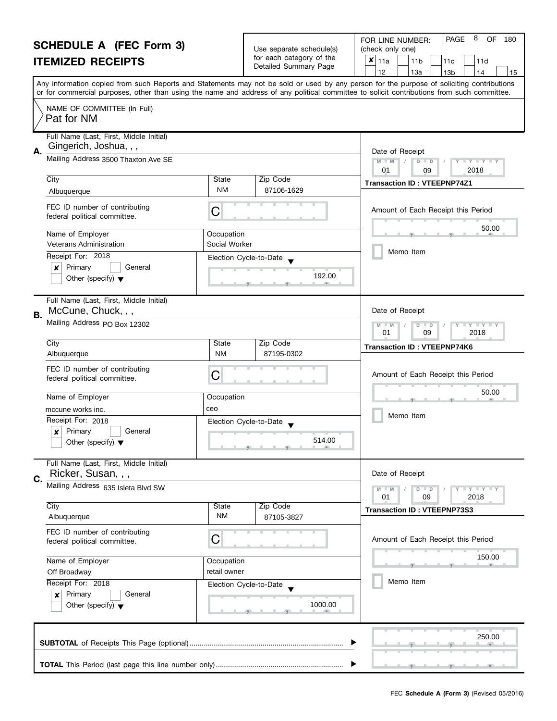|    | <b>SCHEDULE A (FEC Form 3)</b><br><b>ITEMIZED RECEIPTS</b>                                                               |                                                           | Use separate schedule(s)<br>for each category of the<br>Detailed Summary Page | 8<br>PAGE<br>OF<br>180<br>FOR LINE NUMBER:<br>(check only one)<br>×<br>11a<br>11 <sub>b</sub><br>11c<br>11d<br>12<br>13a<br>13 <sub>b</sub><br>14<br>15                                                                                                                                 |  |  |  |
|----|--------------------------------------------------------------------------------------------------------------------------|-----------------------------------------------------------|-------------------------------------------------------------------------------|-----------------------------------------------------------------------------------------------------------------------------------------------------------------------------------------------------------------------------------------------------------------------------------------|--|--|--|
|    |                                                                                                                          |                                                           |                                                                               | Any information copied from such Reports and Statements may not be sold or used by any person for the purpose of soliciting contributions<br>or for commercial purposes, other than using the name and address of any political committee to solicit contributions from such committee. |  |  |  |
|    | NAME OF COMMITTEE (In Full)<br>Pat for NM                                                                                |                                                           |                                                                               |                                                                                                                                                                                                                                                                                         |  |  |  |
| А. | Full Name (Last, First, Middle Initial)<br>Gingerich, Joshua, , ,<br>Mailing Address 3500 Thaxton Ave SE                 |                                                           |                                                                               | Date of Receipt                                                                                                                                                                                                                                                                         |  |  |  |
|    |                                                                                                                          | $D$ $D$<br>$Y - Y - Y - Y$<br>$M - M$<br>01<br>2018<br>09 |                                                                               |                                                                                                                                                                                                                                                                                         |  |  |  |
|    | City<br>Albuquerque                                                                                                      | State<br><b>NM</b>                                        | Zip Code<br>87106-1629                                                        | <b>Transaction ID: VTEEPNP74Z1</b>                                                                                                                                                                                                                                                      |  |  |  |
|    | FEC ID number of contributing<br>federal political committee.                                                            | C                                                         |                                                                               | Amount of Each Receipt this Period                                                                                                                                                                                                                                                      |  |  |  |
|    | Name of Employer<br><b>Veterans Administration</b>                                                                       | Occupation<br>Social Worker                               |                                                                               | 50.00                                                                                                                                                                                                                                                                                   |  |  |  |
|    | Receipt For: 2018                                                                                                        | Election Cycle-to-Date                                    |                                                                               | Memo Item                                                                                                                                                                                                                                                                               |  |  |  |
|    | Primary<br>General<br>x<br>Other (specify) $\blacktriangledown$                                                          |                                                           | 192.00                                                                        |                                                                                                                                                                                                                                                                                         |  |  |  |
| В. | Full Name (Last, First, Middle Initial)<br>McCune, Chuck, , ,                                                            |                                                           |                                                                               | Date of Receipt                                                                                                                                                                                                                                                                         |  |  |  |
|    | Mailing Address PO Box 12302                                                                                             |                                                           |                                                                               | $\bot$ Y $\bot$ Y $\bot$ Y<br>M<br>$\overline{D}$<br>$-M$<br>$\Box$<br>01<br>09<br>2018                                                                                                                                                                                                 |  |  |  |
|    | City<br>Albuquerque                                                                                                      | State<br><b>NM</b>                                        | Zip Code<br>87195-0302                                                        | <b>Transaction ID: VTEEPNP74K6</b>                                                                                                                                                                                                                                                      |  |  |  |
|    | FEC ID number of contributing<br>federal political committee.                                                            | C                                                         |                                                                               | Amount of Each Receipt this Period                                                                                                                                                                                                                                                      |  |  |  |
|    | Name of Employer                                                                                                         | Occupation                                                |                                                                               | 50.00                                                                                                                                                                                                                                                                                   |  |  |  |
|    | mccune works inc.                                                                                                        | ceo                                                       |                                                                               |                                                                                                                                                                                                                                                                                         |  |  |  |
|    | Receipt For: 2018                                                                                                        | Election Cycle-to-Date                                    |                                                                               | Memo Item                                                                                                                                                                                                                                                                               |  |  |  |
|    | Primary<br>General<br>X<br>Other (specify) $\blacktriangledown$                                                          |                                                           | 514.00                                                                        |                                                                                                                                                                                                                                                                                         |  |  |  |
| C. | Full Name (Last, First, Middle Initial)<br>Ricker, Susan, , ,                                                            |                                                           |                                                                               | Date of Receipt                                                                                                                                                                                                                                                                         |  |  |  |
|    | Mailing Address 635 Isleta Blvd SW                                                                                       |                                                           |                                                                               | $Y - Y - Y - Y - Y$<br>$D$ $D$<br>01<br>09<br>2018                                                                                                                                                                                                                                      |  |  |  |
|    | City<br>Albuquerque                                                                                                      | State<br><b>NM</b>                                        | Zip Code<br>87105-3827                                                        | <b>Transaction ID: VTEEPNP73S3</b>                                                                                                                                                                                                                                                      |  |  |  |
|    | FEC ID number of contributing                                                                                            |                                                           |                                                                               |                                                                                                                                                                                                                                                                                         |  |  |  |
|    | С<br>federal political committee.<br>Name of Employer<br>Occupation<br>retail owner<br>Off Broadway<br>Receipt For: 2018 |                                                           |                                                                               | Amount of Each Receipt this Period                                                                                                                                                                                                                                                      |  |  |  |
|    |                                                                                                                          |                                                           |                                                                               | 150.00                                                                                                                                                                                                                                                                                  |  |  |  |
|    |                                                                                                                          |                                                           | Election Cycle-to-Date                                                        | Memo Item                                                                                                                                                                                                                                                                               |  |  |  |
|    | Primary<br>General<br>×<br>Other (specify) $\blacktriangledown$                                                          |                                                           | 1000.00                                                                       |                                                                                                                                                                                                                                                                                         |  |  |  |
|    |                                                                                                                          |                                                           |                                                                               | 250.00                                                                                                                                                                                                                                                                                  |  |  |  |
|    |                                                                                                                          |                                                           |                                                                               |                                                                                                                                                                                                                                                                                         |  |  |  |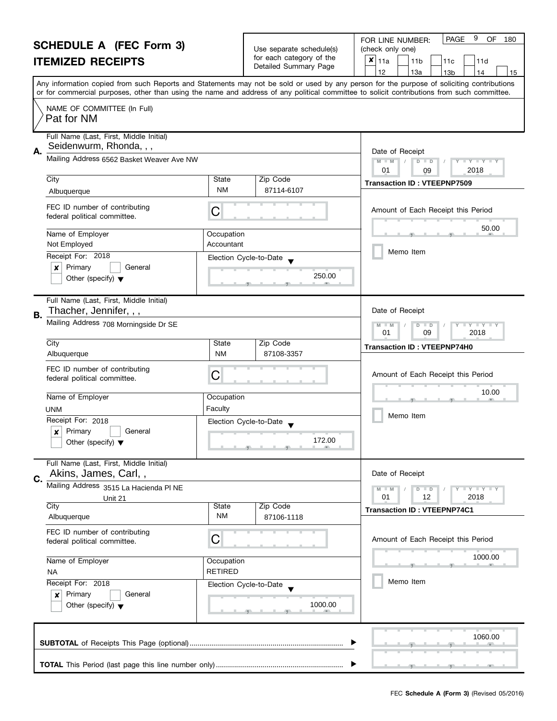|                          | FOR LINE NUMBER:                     | I PAGE | 9<br>OF. | 180 |
|--------------------------|--------------------------------------|--------|----------|-----|
| Use separate schedule(s) | (check only one)                     |        |          |     |
| for each category of the | $x _{11a}$<br>11c<br>11 <sub>b</sub> |        | 11d      |     |
| Detailed Summary Page    | 13a                                  |        |          | 15  |

| <b>ITEMIZED RECEIPTS</b>                                                                            |                              | for each category of the<br>Detailed Summary Page | ×<br>11a<br>11 <sub>b</sub><br>11c<br>11d<br>12<br>13a<br>13 <sub>b</sub><br>15<br>14                                                                                                                                                                                                   |  |
|-----------------------------------------------------------------------------------------------------|------------------------------|---------------------------------------------------|-----------------------------------------------------------------------------------------------------------------------------------------------------------------------------------------------------------------------------------------------------------------------------------------|--|
|                                                                                                     |                              |                                                   | Any information copied from such Reports and Statements may not be sold or used by any person for the purpose of soliciting contributions<br>or for commercial purposes, other than using the name and address of any political committee to solicit contributions from such committee. |  |
| NAME OF COMMITTEE (In Full)<br>Pat for NM                                                           |                              |                                                   |                                                                                                                                                                                                                                                                                         |  |
| Full Name (Last, First, Middle Initial)<br>Seidenwurm, Rhonda, , ,<br>А.                            |                              |                                                   | Date of Receipt                                                                                                                                                                                                                                                                         |  |
| Mailing Address 6562 Basket Weaver Ave NW                                                           |                              |                                                   | $M - M$<br>$D$ $D$<br>$\cdots$ Y $\cdots$ Y $\cdots$<br>01<br>2018<br>09                                                                                                                                                                                                                |  |
| City<br>Albuquerque                                                                                 | State<br><b>NM</b>           | Zip Code<br>87114-6107                            | <b>Transaction ID: VTEEPNP7509</b>                                                                                                                                                                                                                                                      |  |
| FEC ID number of contributing<br>federal political committee.                                       | C                            |                                                   | Amount of Each Receipt this Period                                                                                                                                                                                                                                                      |  |
| Name of Employer<br>Not Employed                                                                    | Occupation<br>Accountant     |                                                   | 50.00<br>Memo Item                                                                                                                                                                                                                                                                      |  |
| Receipt For: 2018<br>Primary<br>General<br>×<br>Other (specify) $\blacktriangledown$                |                              | Election Cycle-to-Date<br>250.00                  |                                                                                                                                                                                                                                                                                         |  |
| Full Name (Last, First, Middle Initial)<br>Thacher, Jennifer, , ,<br><b>B.</b>                      |                              |                                                   | Date of Receipt                                                                                                                                                                                                                                                                         |  |
| Mailing Address 708 Morningside Dr SE                                                               |                              |                                                   | $M - M$<br>$D$ $D$<br>$Y \perp Y \perp Y$<br>01<br>09<br>2018                                                                                                                                                                                                                           |  |
| City<br>Albuquerque                                                                                 | State<br><b>NM</b>           | Zip Code<br>87108-3357                            | <b>Transaction ID: VTEEPNP74H0</b>                                                                                                                                                                                                                                                      |  |
| FEC ID number of contributing<br>federal political committee.                                       | C                            | Amount of Each Receipt this Period                |                                                                                                                                                                                                                                                                                         |  |
| Name of Employer<br><b>UNM</b>                                                                      | Occupation<br>Faculty        |                                                   | 10.00<br>Memo Item                                                                                                                                                                                                                                                                      |  |
| Receipt For: 2018<br>Primary<br>General<br>×<br>Other (specify) $\blacktriangledown$                |                              | Election Cycle-to-Date<br>172.00                  |                                                                                                                                                                                                                                                                                         |  |
| Full Name (Last, First, Middle Initial)<br>Akins, James, Carl,,<br>C.                               |                              |                                                   | Date of Receipt                                                                                                                                                                                                                                                                         |  |
| Mailing Address 3515 La Hacienda PI NE<br>Unit 21<br>City                                           |                              |                                                   | $M - M$<br>$+$ $+$ $+$ $+$ $+$ $+$ $+$ $+$<br>$D$ $D$<br>01<br>12<br>2018                                                                                                                                                                                                               |  |
| Albuquerque                                                                                         | <b>State</b><br><b>NM</b>    | Zip Code<br>87106-1118                            | <b>Transaction ID: VTEEPNP74C1</b>                                                                                                                                                                                                                                                      |  |
| FEC ID number of contributing<br>federal political committee.                                       | С                            |                                                   | Amount of Each Receipt this Period                                                                                                                                                                                                                                                      |  |
| Name of Employer<br><b>NA</b>                                                                       | Occupation<br><b>RETIRED</b> |                                                   | 1000.00                                                                                                                                                                                                                                                                                 |  |
| Receipt For: 2018<br>Primary<br>General<br>$\boldsymbol{x}$<br>Other (specify) $\blacktriangledown$ |                              | Election Cycle-to-Date<br>1000.00                 | Memo Item                                                                                                                                                                                                                                                                               |  |
|                                                                                                     |                              |                                                   | 1060.00                                                                                                                                                                                                                                                                                 |  |
|                                                                                                     |                              |                                                   |                                                                                                                                                                                                                                                                                         |  |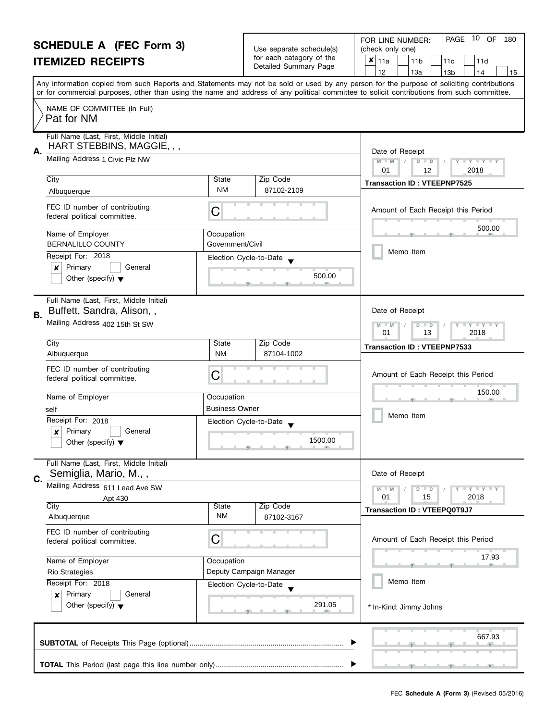|                  | <b>SCHEDULE A (FEC Form 3)</b><br><b>ITEMIZED RECEIPTS</b>                     |                                | Use separate schedule(s)<br>for each category of the<br>Detailed Summary Page                         | 10<br>OF<br>PAGE<br>180<br>FOR LINE NUMBER:<br>(check only one)<br>$\pmb{\times}$<br>11a<br>11 <sub>b</sub><br>11d<br>11c<br>12<br>13a<br>13 <sub>b</sub><br>14<br>15                                                                                                                   |
|------------------|--------------------------------------------------------------------------------|--------------------------------|-------------------------------------------------------------------------------------------------------|-----------------------------------------------------------------------------------------------------------------------------------------------------------------------------------------------------------------------------------------------------------------------------------------|
|                  |                                                                                |                                |                                                                                                       | Any information copied from such Reports and Statements may not be sold or used by any person for the purpose of soliciting contributions<br>or for commercial purposes, other than using the name and address of any political committee to solicit contributions from such committee. |
|                  | NAME OF COMMITTEE (In Full)<br>Pat for NM                                      |                                |                                                                                                       |                                                                                                                                                                                                                                                                                         |
| А.               | Full Name (Last, First, Middle Initial)<br>HART STEBBINS, MAGGIE, , ,          |                                |                                                                                                       | Date of Receipt                                                                                                                                                                                                                                                                         |
|                  | Mailing Address 1 Civic Plz NW                                                 |                                |                                                                                                       | $M - M$<br>$D$ $D$<br>$Y = Y = Y + Y$<br>01<br>2018<br>12                                                                                                                                                                                                                               |
|                  | $\overline{City}$<br>Albuquerque                                               | State<br><b>NM</b>             | Zip Code<br>87102-2109                                                                                | <b>Transaction ID: VTEEPNP7525</b>                                                                                                                                                                                                                                                      |
|                  | FEC ID number of contributing<br>federal political committee.                  | C                              |                                                                                                       | Amount of Each Receipt this Period                                                                                                                                                                                                                                                      |
|                  | Name of Employer<br><b>BERNALILLO COUNTY</b>                                   | Occupation<br>Government/Civil |                                                                                                       | 500.00                                                                                                                                                                                                                                                                                  |
|                  | Receipt For: 2018                                                              | Election Cycle-to-Date         |                                                                                                       | Memo Item                                                                                                                                                                                                                                                                               |
|                  | Primary<br>$\boldsymbol{x}$<br>General<br>Other (specify) $\blacktriangledown$ |                                | 500.00                                                                                                |                                                                                                                                                                                                                                                                                         |
| <b>B.</b>        | Full Name (Last, First, Middle Initial)<br>Buffett, Sandra, Alison,,           |                                |                                                                                                       | Date of Receipt                                                                                                                                                                                                                                                                         |
|                  | Mailing Address 402 15th St SW                                                 |                                |                                                                                                       | T Y T Y T Y<br>$M - M$<br>$D$ $D$<br>01<br>13<br>2018                                                                                                                                                                                                                                   |
|                  | City<br>Albuquerque                                                            | State<br><b>NM</b>             | Zip Code<br>87104-1002                                                                                | <b>Transaction ID: VTEEPNP7533</b>                                                                                                                                                                                                                                                      |
|                  | FEC ID number of contributing<br>federal political committee.                  | C                              |                                                                                                       | Amount of Each Receipt this Period                                                                                                                                                                                                                                                      |
|                  | Name of Employer                                                               | Occupation                     |                                                                                                       | 150.00                                                                                                                                                                                                                                                                                  |
|                  | self<br>Receipt For: 2018                                                      | Business Owner                 |                                                                                                       | Memo Item                                                                                                                                                                                                                                                                               |
|                  | Primary<br>General<br>Other (specify) $\blacktriangledown$                     | Election Cycle-to-Date         | 1500.00<br>$\overline{y}$ and $\overline{y}$ and $\overline{y}$ and $\overline{y}$ and $\overline{y}$ |                                                                                                                                                                                                                                                                                         |
| C.               | Full Name (Last, First, Middle Initial)<br>Semiglia, Mario, M.,,               |                                |                                                                                                       | Date of Receipt                                                                                                                                                                                                                                                                         |
|                  | Mailing Address 611 Lead Ave SW<br>Apt 430                                     |                                |                                                                                                       | $T + Y = Y + Y$<br>$M - M$<br>$D$ $D$<br>01<br>15<br>2018                                                                                                                                                                                                                               |
|                  | City<br>Albuquerque                                                            | <b>State</b><br><b>NM</b>      | Zip Code<br>87102-3167                                                                                | <b>Transaction ID: VTEEPQ0T9J7</b>                                                                                                                                                                                                                                                      |
|                  | FEC ID number of contributing<br>federal political committee.                  | С                              |                                                                                                       | Amount of Each Receipt this Period                                                                                                                                                                                                                                                      |
| Name of Employer |                                                                                | Occupation                     | Deputy Campaign Manager                                                                               | 17.93                                                                                                                                                                                                                                                                                   |
|                  | <b>Rio Strategies</b><br>Receipt For: 2018                                     | Election Cycle-to-Date         |                                                                                                       | Memo Item                                                                                                                                                                                                                                                                               |
|                  | Primary<br>General<br>$\boldsymbol{x}$<br>Other (specify) $\blacktriangledown$ |                                | 291.05                                                                                                | * In-Kind: Jimmy Johns                                                                                                                                                                                                                                                                  |
|                  |                                                                                |                                |                                                                                                       | 667.93                                                                                                                                                                                                                                                                                  |
|                  |                                                                                |                                |                                                                                                       |                                                                                                                                                                                                                                                                                         |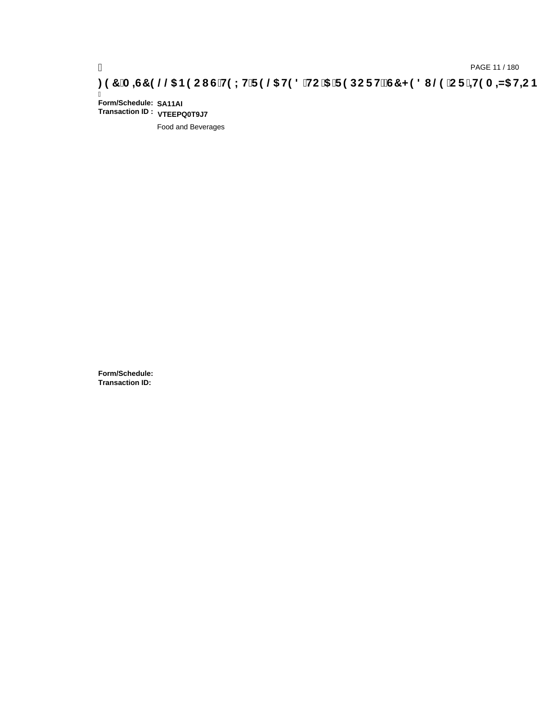# **)(&0,6&(//\$1(2867(;75(/\$7('72\$5(32576&+('8/(25,7(0,=\$7,21**

Ī **Form/Schedule: SA11AI Transaction ID : VTEEPQ0T9J7**

Food and Beverages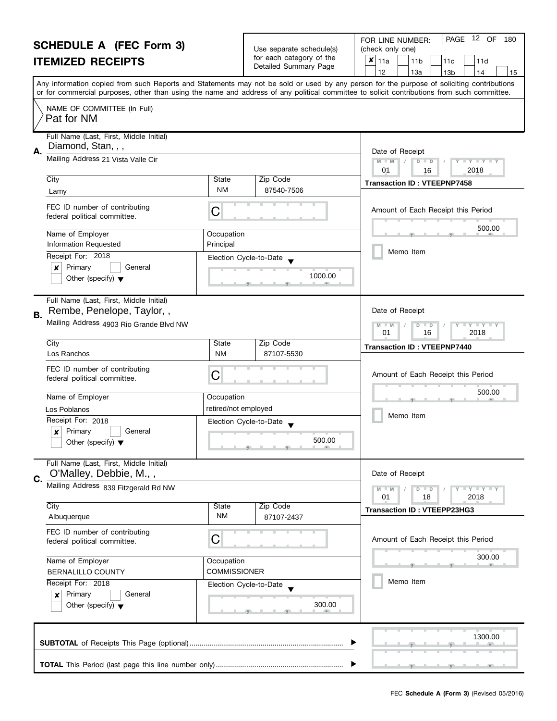|                                                                                                                                                                              | <b>SCHEDULE A (FEC Form 3)</b>                                       |                                                                                                                                            |                                       | PAGE 12 OF<br>FOR LINE NUMBER:<br>180                                                                                                                                           |  |  |
|------------------------------------------------------------------------------------------------------------------------------------------------------------------------------|----------------------------------------------------------------------|--------------------------------------------------------------------------------------------------------------------------------------------|---------------------------------------|---------------------------------------------------------------------------------------------------------------------------------------------------------------------------------|--|--|
|                                                                                                                                                                              |                                                                      | Use separate schedule(s)<br>for each category of the                                                                                       | (check only one)                      |                                                                                                                                                                                 |  |  |
|                                                                                                                                                                              | <b>ITEMIZED RECEIPTS</b>                                             |                                                                                                                                            | Detailed Summary Page                 | $\pmb{\times}$<br>11a<br>11 <sub>b</sub><br>11d<br>11c<br>12                                                                                                                    |  |  |
|                                                                                                                                                                              |                                                                      |                                                                                                                                            |                                       | 13a<br>13 <sub>b</sub><br>14<br>15<br>Any information copied from such Reports and Statements may not be sold or used by any person for the purpose of soliciting contributions |  |  |
|                                                                                                                                                                              |                                                                      | or for commercial purposes, other than using the name and address of any political committee to solicit contributions from such committee. |                                       |                                                                                                                                                                                 |  |  |
|                                                                                                                                                                              | NAME OF COMMITTEE (In Full)<br>Pat for NM                            |                                                                                                                                            |                                       |                                                                                                                                                                                 |  |  |
| А.                                                                                                                                                                           | Full Name (Last, First, Middle Initial)<br>Diamond, Stan, , ,        |                                                                                                                                            |                                       | Date of Receipt                                                                                                                                                                 |  |  |
|                                                                                                                                                                              | Mailing Address 21 Vista Valle Cir                                   |                                                                                                                                            |                                       | $M - M$<br>D<br>$\mathbf{I} \times \mathbf{I} \times \mathbf{I}$<br>$\Box$<br>2018<br>01<br>16                                                                                  |  |  |
|                                                                                                                                                                              | City                                                                 | State                                                                                                                                      | Zip Code                              | <b>Transaction ID: VTEEPNP7458</b>                                                                                                                                              |  |  |
|                                                                                                                                                                              | Lamy                                                                 | NM                                                                                                                                         | 87540-7506                            |                                                                                                                                                                                 |  |  |
|                                                                                                                                                                              | FEC ID number of contributing<br>federal political committee.        | С                                                                                                                                          |                                       | Amount of Each Receipt this Period                                                                                                                                              |  |  |
|                                                                                                                                                                              | Name of Employer                                                     | Occupation                                                                                                                                 |                                       | 500.00                                                                                                                                                                          |  |  |
|                                                                                                                                                                              | <b>Information Requested</b>                                         | Principal                                                                                                                                  |                                       | Memo Item                                                                                                                                                                       |  |  |
|                                                                                                                                                                              | Receipt For: 2018<br>Primary<br>×<br>General                         |                                                                                                                                            | Election Cycle-to-Date                |                                                                                                                                                                                 |  |  |
|                                                                                                                                                                              | Other (specify) $\blacktriangledown$                                 |                                                                                                                                            | 1000.00                               |                                                                                                                                                                                 |  |  |
| В.                                                                                                                                                                           | Full Name (Last, First, Middle Initial)<br>Rembe, Penelope, Taylor,, |                                                                                                                                            |                                       | Date of Receipt                                                                                                                                                                 |  |  |
|                                                                                                                                                                              | Mailing Address 4903 Rio Grande Blvd NW                              |                                                                                                                                            |                                       | $Y - Y - Y$<br>$\overline{D}$<br>$\Box$<br>01<br>16<br>2018                                                                                                                     |  |  |
|                                                                                                                                                                              | City                                                                 | State                                                                                                                                      | Zip Code                              | <b>Transaction ID: VTEEPNP7440</b>                                                                                                                                              |  |  |
|                                                                                                                                                                              | Los Ranchos                                                          | <b>NM</b>                                                                                                                                  | 87107-5530                            |                                                                                                                                                                                 |  |  |
|                                                                                                                                                                              | FEC ID number of contributing<br>federal political committee.        | С                                                                                                                                          |                                       | Amount of Each Receipt this Period                                                                                                                                              |  |  |
|                                                                                                                                                                              | Name of Employer                                                     | Occupation                                                                                                                                 |                                       | 500.00                                                                                                                                                                          |  |  |
|                                                                                                                                                                              | Los Poblanos                                                         | retired/not employed                                                                                                                       |                                       |                                                                                                                                                                                 |  |  |
|                                                                                                                                                                              | Receipt For: 2018                                                    |                                                                                                                                            | Election Cycle-to-Date                | Memo Item                                                                                                                                                                       |  |  |
|                                                                                                                                                                              | X<br>Primary<br>General                                              |                                                                                                                                            |                                       |                                                                                                                                                                                 |  |  |
|                                                                                                                                                                              | Other (specify) $\blacktriangledown$                                 |                                                                                                                                            | 500.00<br>والمستلمس والمستنسخ والمناد |                                                                                                                                                                                 |  |  |
|                                                                                                                                                                              | Full Name (Last, First, Middle Initial)<br>O'Malley, Debbie, M.,,    |                                                                                                                                            |                                       | Date of Receipt                                                                                                                                                                 |  |  |
| C.                                                                                                                                                                           | Mailing Address 839 Fitzgerald Rd NW                                 |                                                                                                                                            |                                       |                                                                                                                                                                                 |  |  |
|                                                                                                                                                                              |                                                                      |                                                                                                                                            |                                       | Y FY FY FY<br>$M - M$<br>$D$ $D$<br>01<br>18<br>2018                                                                                                                            |  |  |
|                                                                                                                                                                              | City                                                                 | State                                                                                                                                      | Zip Code                              | Transaction ID: VTEEPP23HG3                                                                                                                                                     |  |  |
|                                                                                                                                                                              | Albuquerque                                                          | NM                                                                                                                                         | 87107-2437                            |                                                                                                                                                                                 |  |  |
| FEC ID number of contributing<br>С<br>federal political committee.<br>Name of Employer<br>Occupation<br><b>COMMISSIONER</b><br><b>BERNALILLO COUNTY</b><br>Receipt For: 2018 |                                                                      |                                                                                                                                            |                                       | Amount of Each Receipt this Period                                                                                                                                              |  |  |
|                                                                                                                                                                              |                                                                      |                                                                                                                                            | 300.00                                |                                                                                                                                                                                 |  |  |
|                                                                                                                                                                              |                                                                      |                                                                                                                                            |                                       |                                                                                                                                                                                 |  |  |
|                                                                                                                                                                              |                                                                      | Election Cycle-to-Date                                                                                                                     | Memo Item                             |                                                                                                                                                                                 |  |  |
| Primary<br>General<br>$\boldsymbol{x}$<br>Other (specify) $\blacktriangledown$                                                                                               |                                                                      |                                                                                                                                            | 300.00                                |                                                                                                                                                                                 |  |  |
|                                                                                                                                                                              |                                                                      |                                                                                                                                            |                                       | 1300.00                                                                                                                                                                         |  |  |
|                                                                                                                                                                              |                                                                      |                                                                                                                                            |                                       |                                                                                                                                                                                 |  |  |
|                                                                                                                                                                              |                                                                      |                                                                                                                                            |                                       |                                                                                                                                                                                 |  |  |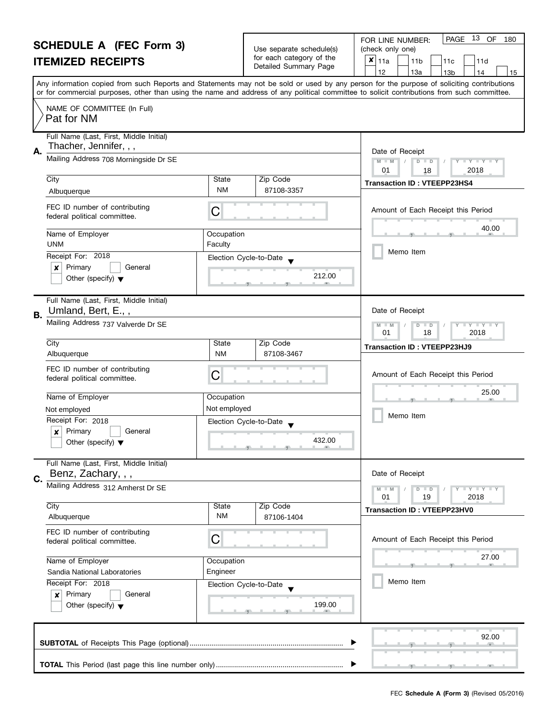| <b>SCHEDULE A (FEC Form 3)</b>                                                                                            |                                                                   |                        | Use separate schedule(s) | 13 OF<br>PAGE<br>FOR LINE NUMBER:<br>180<br>(check only one)                                                                                                                                                                                                                            |  |
|---------------------------------------------------------------------------------------------------------------------------|-------------------------------------------------------------------|------------------------|--------------------------|-----------------------------------------------------------------------------------------------------------------------------------------------------------------------------------------------------------------------------------------------------------------------------------------|--|
| <b>ITEMIZED RECEIPTS</b>                                                                                                  |                                                                   |                        | for each category of the | $x _{11a}$<br>11 <sub>b</sub><br>11d<br>11c                                                                                                                                                                                                                                             |  |
|                                                                                                                           |                                                                   |                        | Detailed Summary Page    | 12<br>13a<br>13 <sub>b</sub><br>14<br>15                                                                                                                                                                                                                                                |  |
|                                                                                                                           |                                                                   |                        |                          | Any information copied from such Reports and Statements may not be sold or used by any person for the purpose of soliciting contributions<br>or for commercial purposes, other than using the name and address of any political committee to solicit contributions from such committee. |  |
|                                                                                                                           |                                                                   |                        |                          |                                                                                                                                                                                                                                                                                         |  |
|                                                                                                                           | NAME OF COMMITTEE (In Full)<br>Pat for NM                         |                        |                          |                                                                                                                                                                                                                                                                                         |  |
| А.                                                                                                                        | Full Name (Last, First, Middle Initial)<br>Thacher, Jennifer, , , |                        |                          | Date of Receipt                                                                                                                                                                                                                                                                         |  |
|                                                                                                                           | Mailing Address 708 Morningside Dr SE                             |                        |                          | $M - M$<br>D<br>$\Box$ Y $\Box$ Y $\Box$<br>$\Box$<br>01<br>18<br>2018                                                                                                                                                                                                                  |  |
|                                                                                                                           | City                                                              | State                  | Zip Code                 | <b>Transaction ID: VTEEPP23HS4</b>                                                                                                                                                                                                                                                      |  |
|                                                                                                                           | Albuquerque                                                       | NM                     | 87108-3357               |                                                                                                                                                                                                                                                                                         |  |
|                                                                                                                           | FEC ID number of contributing<br>federal political committee.     | C                      |                          | Amount of Each Receipt this Period                                                                                                                                                                                                                                                      |  |
|                                                                                                                           | Name of Employer<br><b>UNM</b>                                    | Occupation<br>Faculty  |                          | 40.00                                                                                                                                                                                                                                                                                   |  |
|                                                                                                                           | Receipt For: 2018                                                 | Election Cycle-to-Date |                          | Memo Item                                                                                                                                                                                                                                                                               |  |
|                                                                                                                           | Primary<br>General<br>×                                           |                        |                          |                                                                                                                                                                                                                                                                                         |  |
|                                                                                                                           | Other (specify) $\blacktriangledown$                              |                        | 212.00                   |                                                                                                                                                                                                                                                                                         |  |
| В.                                                                                                                        | Full Name (Last, First, Middle Initial)<br>Umland, Bert, E.,,     |                        |                          | Date of Receipt                                                                                                                                                                                                                                                                         |  |
|                                                                                                                           | Mailing Address 737 Valverde Dr SE                                |                        |                          | $Y - Y - Y$<br>D<br>$\Box$<br>$-M$<br>18<br>2018<br>01                                                                                                                                                                                                                                  |  |
|                                                                                                                           | City                                                              | State                  | Zip Code                 | Transaction ID: VTEEPP23HJ9                                                                                                                                                                                                                                                             |  |
|                                                                                                                           | Albuquerque                                                       | <b>NM</b>              | 87108-3467               |                                                                                                                                                                                                                                                                                         |  |
|                                                                                                                           | FEC ID number of contributing<br>federal political committee.     | C                      |                          | Amount of Each Receipt this Period                                                                                                                                                                                                                                                      |  |
|                                                                                                                           | Name of Employer                                                  | Occupation             |                          | 25.00                                                                                                                                                                                                                                                                                   |  |
|                                                                                                                           | Not employed                                                      | Not employed           |                          |                                                                                                                                                                                                                                                                                         |  |
|                                                                                                                           | Receipt For: 2018                                                 | Election Cycle-to-Date |                          | Memo Item                                                                                                                                                                                                                                                                               |  |
|                                                                                                                           | Primary<br>$\boldsymbol{x}$<br>General                            |                        |                          |                                                                                                                                                                                                                                                                                         |  |
|                                                                                                                           | Other (specify) $\blacktriangledown$                              |                        | 432.00                   |                                                                                                                                                                                                                                                                                         |  |
|                                                                                                                           | Full Name (Last, First, Middle Initial)<br>Benz, Zachary, , ,     |                        |                          | Date of Receipt                                                                                                                                                                                                                                                                         |  |
| C.                                                                                                                        | Mailing Address 312 Amherst Dr SE                                 |                        |                          |                                                                                                                                                                                                                                                                                         |  |
|                                                                                                                           |                                                                   |                        |                          | Y TY TY TY<br>$D$ $D$<br>19<br>2018<br>01                                                                                                                                                                                                                                               |  |
|                                                                                                                           | City                                                              | State                  | Zip Code                 | <b>Transaction ID: VTEEPP23HV0</b>                                                                                                                                                                                                                                                      |  |
|                                                                                                                           | Albuquerque                                                       | NM                     | 87106-1404               |                                                                                                                                                                                                                                                                                         |  |
|                                                                                                                           | FEC ID number of contributing<br>federal political committee.     | C                      |                          | Amount of Each Receipt this Period                                                                                                                                                                                                                                                      |  |
| Name of Employer<br>Occupation<br>Engineer<br>Sandia National Laboratories<br>Receipt For: 2018<br>Election Cycle-to-Date |                                                                   |                        |                          | 27.00                                                                                                                                                                                                                                                                                   |  |
|                                                                                                                           |                                                                   |                        |                          |                                                                                                                                                                                                                                                                                         |  |
|                                                                                                                           |                                                                   |                        | Memo Item                |                                                                                                                                                                                                                                                                                         |  |
|                                                                                                                           | Primary<br>General<br>x                                           |                        |                          |                                                                                                                                                                                                                                                                                         |  |
|                                                                                                                           | Other (specify) $\blacktriangledown$                              |                        | 199.00                   |                                                                                                                                                                                                                                                                                         |  |
|                                                                                                                           |                                                                   |                        |                          | 92.00                                                                                                                                                                                                                                                                                   |  |
|                                                                                                                           |                                                                   |                        |                          |                                                                                                                                                                                                                                                                                         |  |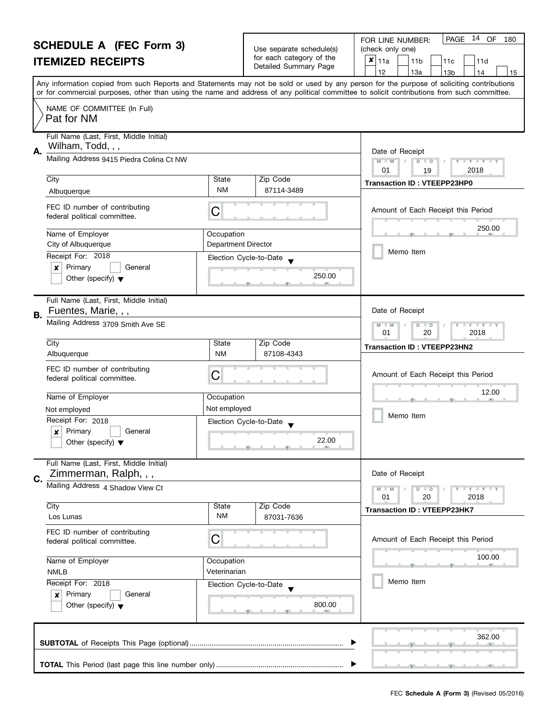| <b>SCHEDULE A (FEC Form 3)</b>                                |                                                                                | Use separate schedule(s)   | 14 OF<br>PAGE<br>180<br>FOR LINE NUMBER:                        |                                                                                                                                                                                                                                                                                         |
|---------------------------------------------------------------|--------------------------------------------------------------------------------|----------------------------|-----------------------------------------------------------------|-----------------------------------------------------------------------------------------------------------------------------------------------------------------------------------------------------------------------------------------------------------------------------------------|
| <b>ITEMIZED RECEIPTS</b>                                      |                                                                                | for each category of the   | (check only one)<br>$x _{11a}$<br>11 <sub>b</sub><br>11c<br>11d |                                                                                                                                                                                                                                                                                         |
|                                                               |                                                                                |                            | Detailed Summary Page                                           | 12<br>13a<br>13 <sub>b</sub><br>14<br>15                                                                                                                                                                                                                                                |
|                                                               |                                                                                |                            |                                                                 | Any information copied from such Reports and Statements may not be sold or used by any person for the purpose of soliciting contributions<br>or for commercial purposes, other than using the name and address of any political committee to solicit contributions from such committee. |
|                                                               | NAME OF COMMITTEE (In Full)<br>Pat for NM                                      |                            |                                                                 |                                                                                                                                                                                                                                                                                         |
|                                                               | Full Name (Last, First, Middle Initial)                                        |                            |                                                                 |                                                                                                                                                                                                                                                                                         |
| А.                                                            | Wilham, Todd, , ,                                                              |                            |                                                                 | Date of Receipt                                                                                                                                                                                                                                                                         |
|                                                               | Mailing Address 9415 Piedra Colina Ct NW                                       |                            |                                                                 | $M - M$<br>$\mathbf{I}$ $\mathbf{Y}$ $\mathbf{I}$ $\mathbf{Y}$ $\mathbf{I}$<br>$D$ $D$<br>01<br>2018<br>19                                                                                                                                                                              |
|                                                               | City                                                                           | State                      | Zip Code                                                        | <b>Transaction ID: VTEEPP23HP0</b>                                                                                                                                                                                                                                                      |
|                                                               | Albuquerque                                                                    | NM                         | 87114-3489                                                      |                                                                                                                                                                                                                                                                                         |
|                                                               | FEC ID number of contributing<br>federal political committee.                  | C                          |                                                                 | Amount of Each Receipt this Period                                                                                                                                                                                                                                                      |
|                                                               | Name of Employer                                                               | Occupation                 |                                                                 | 250.00                                                                                                                                                                                                                                                                                  |
|                                                               | City of Albuquerque                                                            | <b>Department Director</b> |                                                                 |                                                                                                                                                                                                                                                                                         |
|                                                               | Receipt For: 2018                                                              | Election Cycle-to-Date     |                                                                 | Memo Item                                                                                                                                                                                                                                                                               |
|                                                               | Primary<br>General<br>x                                                        |                            | 250.00                                                          |                                                                                                                                                                                                                                                                                         |
|                                                               | Other (specify) $\blacktriangledown$                                           |                            |                                                                 |                                                                                                                                                                                                                                                                                         |
| В.                                                            | Full Name (Last, First, Middle Initial)<br>Fuentes, Marie, , ,                 |                            |                                                                 | Date of Receipt                                                                                                                                                                                                                                                                         |
|                                                               | Mailing Address 3709 Smith Ave SE                                              |                            |                                                                 | $Y + Y$<br>$-M$<br>D<br>$\blacksquare$<br>01<br>20<br>2018                                                                                                                                                                                                                              |
|                                                               | City                                                                           | State                      | Zip Code                                                        | <b>Transaction ID: VTEEPP23HN2</b>                                                                                                                                                                                                                                                      |
|                                                               | Albuquerque                                                                    | <b>NM</b>                  | 87108-4343                                                      |                                                                                                                                                                                                                                                                                         |
|                                                               | FEC ID number of contributing<br>federal political committee.                  | С                          |                                                                 | Amount of Each Receipt this Period                                                                                                                                                                                                                                                      |
|                                                               | Name of Employer                                                               | Occupation                 |                                                                 | 12.00                                                                                                                                                                                                                                                                                   |
|                                                               | Not employed                                                                   | Not employed               |                                                                 | Memo Item                                                                                                                                                                                                                                                                               |
|                                                               | Receipt For: 2018                                                              | Election Cycle-to-Date     |                                                                 |                                                                                                                                                                                                                                                                                         |
|                                                               | Primary<br>$\boldsymbol{x}$<br>General<br>Other (specify) $\blacktriangledown$ |                            | 22.00<br><u>g and and grant and an</u>                          |                                                                                                                                                                                                                                                                                         |
| C.                                                            | Full Name (Last, First, Middle Initial)<br>Zimmerman, Ralph, , ,               |                            |                                                                 | Date of Receipt                                                                                                                                                                                                                                                                         |
|                                                               | Mailing Address 4 Shadow View Ct                                               |                            |                                                                 | $T + Y = Y + Y$<br>$D$ $D$                                                                                                                                                                                                                                                              |
|                                                               | City                                                                           | State                      | Zip Code                                                        | 01<br>20<br>2018                                                                                                                                                                                                                                                                        |
|                                                               | Los Lunas                                                                      | ΝM                         | 87031-7636                                                      | <b>Transaction ID: VTEEPP23HK7</b>                                                                                                                                                                                                                                                      |
|                                                               | FEC ID number of contributing<br>federal political committee.                  | C                          |                                                                 | Amount of Each Receipt this Period                                                                                                                                                                                                                                                      |
| Name of Employer<br>Occupation<br>Veterinarian<br><b>NMLB</b> |                                                                                |                            | 100.00                                                          |                                                                                                                                                                                                                                                                                         |
|                                                               |                                                                                |                            |                                                                 |                                                                                                                                                                                                                                                                                         |
|                                                               | Receipt For: 2018                                                              | Election Cycle-to-Date     |                                                                 | Memo Item                                                                                                                                                                                                                                                                               |
|                                                               | Primary<br>General<br>×<br>Other (specify) $\blacktriangledown$                |                            | 800.00                                                          |                                                                                                                                                                                                                                                                                         |
|                                                               |                                                                                |                            |                                                                 | 362.00                                                                                                                                                                                                                                                                                  |
|                                                               |                                                                                |                            |                                                                 |                                                                                                                                                                                                                                                                                         |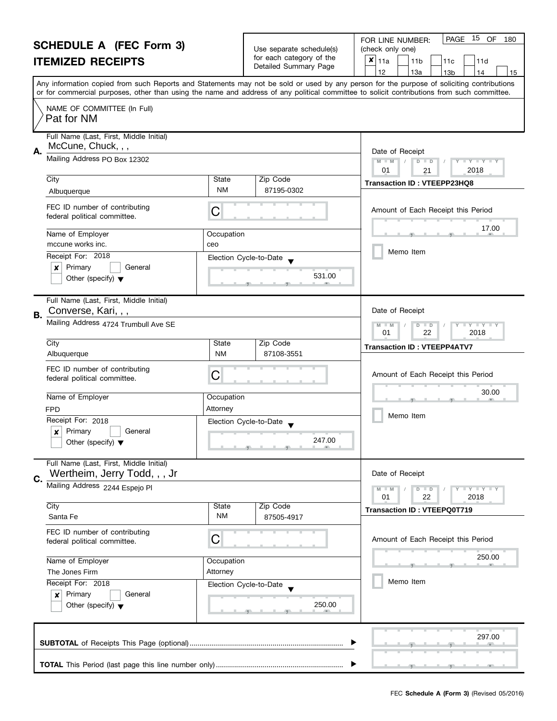|                                                | <b>SCHEDULE A (FEC Form 3)</b><br><b>ITEMIZED RECEIPTS</b>                                                        |                                                                          | Use separate schedule(s)<br>for each category of the<br>Detailed Summary Page                                                                                                                                                                                                           | 15<br>PAGE<br>OF<br>FOR LINE NUMBER:<br>180<br>(check only one)<br>$\boldsymbol{x}$<br>11a<br>11 <sub>b</sub><br>11d<br>11c<br>12<br>13a<br>13 <sub>b</sub><br>14<br>15 |
|------------------------------------------------|-------------------------------------------------------------------------------------------------------------------|--------------------------------------------------------------------------|-----------------------------------------------------------------------------------------------------------------------------------------------------------------------------------------------------------------------------------------------------------------------------------------|-------------------------------------------------------------------------------------------------------------------------------------------------------------------------|
|                                                |                                                                                                                   |                                                                          | Any information copied from such Reports and Statements may not be sold or used by any person for the purpose of soliciting contributions<br>or for commercial purposes, other than using the name and address of any political committee to solicit contributions from such committee. |                                                                                                                                                                         |
|                                                | NAME OF COMMITTEE (In Full)<br>Pat for NM                                                                         |                                                                          |                                                                                                                                                                                                                                                                                         |                                                                                                                                                                         |
| А.                                             | Full Name (Last, First, Middle Initial)<br>McCune, Chuck, , ,                                                     |                                                                          |                                                                                                                                                                                                                                                                                         | Date of Receipt                                                                                                                                                         |
|                                                | Mailing Address PO Box 12302                                                                                      |                                                                          |                                                                                                                                                                                                                                                                                         | $D$ $D$<br>Y I Y I Y I Y<br>$M - M$<br>01<br>2018<br>21                                                                                                                 |
|                                                | City<br>Albuquerque                                                                                               | State<br><b>NM</b>                                                       | Zip Code<br>87195-0302                                                                                                                                                                                                                                                                  | Transaction ID: VTEEPP23HQ8                                                                                                                                             |
|                                                | FEC ID number of contributing<br>federal political committee.                                                     | C                                                                        |                                                                                                                                                                                                                                                                                         | Amount of Each Receipt this Period                                                                                                                                      |
|                                                | Name of Employer<br>mccune works inc.                                                                             | Occupation<br>ceo                                                        |                                                                                                                                                                                                                                                                                         | 17.00                                                                                                                                                                   |
|                                                | Receipt For: 2018<br>Primary<br>$\boldsymbol{x}$<br>General<br>Other (specify) $\blacktriangledown$               | Election Cycle-to-Date                                                   | 531.00                                                                                                                                                                                                                                                                                  | Memo Item                                                                                                                                                               |
| В.                                             | Full Name (Last, First, Middle Initial)<br>Converse, Kari, , ,                                                    |                                                                          |                                                                                                                                                                                                                                                                                         | Date of Receipt                                                                                                                                                         |
|                                                | Mailing Address 4724 Trumbull Ave SE                                                                              | T Y T Y T Y<br>M<br>$\overline{D}$<br>$-M$<br>$\Box$<br>01<br>22<br>2018 |                                                                                                                                                                                                                                                                                         |                                                                                                                                                                         |
|                                                | City<br>Albuquerque                                                                                               | State<br><b>NM</b>                                                       | Zip Code<br>87108-3551                                                                                                                                                                                                                                                                  | <b>Transaction ID: VTEEPP4ATV7</b>                                                                                                                                      |
|                                                | FEC ID number of contributing<br>federal political committee.                                                     | C                                                                        |                                                                                                                                                                                                                                                                                         | Amount of Each Receipt this Period                                                                                                                                      |
|                                                | Name of Employer                                                                                                  | Occupation<br>Attorney                                                   |                                                                                                                                                                                                                                                                                         | 30.00                                                                                                                                                                   |
|                                                | <b>FPD</b><br>Receipt For: 2018<br>Primary<br>General<br>$\boldsymbol{x}$<br>Other (specify) $\blacktriangledown$ | Election Cycle-to-Date                                                   | 247.00<br>$\overline{y}$ and $\overline{y}$ and $\overline{y}$ and $\overline{y}$ and $\overline{y}$ and $\overline{y}$                                                                                                                                                                 | Memo Item                                                                                                                                                               |
| C.                                             | Full Name (Last, First, Middle Initial)<br>Wertheim, Jerry Todd, , , Jr<br>Mailing Address 2244 Espejo PI         |                                                                          |                                                                                                                                                                                                                                                                                         | Date of Receipt                                                                                                                                                         |
|                                                |                                                                                                                   |                                                                          |                                                                                                                                                                                                                                                                                         | Y TY TY TY<br>$D$ $D$<br>01<br>22<br>2018                                                                                                                               |
|                                                | City<br>Santa Fe                                                                                                  | State<br>NM                                                              | Zip Code<br>87505-4917                                                                                                                                                                                                                                                                  | <b>Transaction ID: VTEEPQ0T719</b>                                                                                                                                      |
|                                                | FEC ID number of contributing<br>federal political committee.                                                     | С                                                                        |                                                                                                                                                                                                                                                                                         | Amount of Each Receipt this Period                                                                                                                                      |
| Name of Employer<br>Attorney<br>The Jones Firm |                                                                                                                   | Occupation                                                               |                                                                                                                                                                                                                                                                                         | 250.00<br>Memo Item                                                                                                                                                     |
|                                                | Receipt For: 2018<br>Primary<br>General<br>×<br>Other (specify) $\blacktriangledown$                              | Election Cycle-to-Date                                                   | 250.00                                                                                                                                                                                                                                                                                  |                                                                                                                                                                         |
|                                                |                                                                                                                   |                                                                          |                                                                                                                                                                                                                                                                                         | 297.00                                                                                                                                                                  |
|                                                |                                                                                                                   |                                                                          |                                                                                                                                                                                                                                                                                         |                                                                                                                                                                         |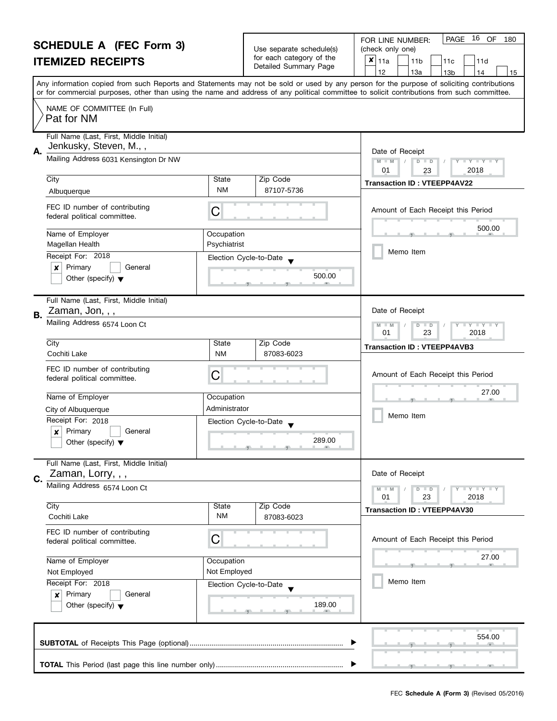|                                                                   | <b>SCHEDULE A (FEC Form 3)</b>                                |                                                      |                                    | PAGE<br>16 OF<br>180<br>FOR LINE NUMBER:                                                                                                   |
|-------------------------------------------------------------------|---------------------------------------------------------------|------------------------------------------------------|------------------------------------|--------------------------------------------------------------------------------------------------------------------------------------------|
|                                                                   |                                                               | Use separate schedule(s)<br>for each category of the | (check only one)<br>$\pmb{\times}$ |                                                                                                                                            |
|                                                                   | <b>ITEMIZED RECEIPTS</b>                                      |                                                      | Detailed Summary Page              | 11a<br>11 <sub>b</sub><br>11d<br>11c<br>13a<br>12<br>13 <sub>b</sub><br>14<br>15                                                           |
|                                                                   |                                                               |                                                      |                                    | Any information copied from such Reports and Statements may not be sold or used by any person for the purpose of soliciting contributions  |
|                                                                   |                                                               |                                                      |                                    | or for commercial purposes, other than using the name and address of any political committee to solicit contributions from such committee. |
|                                                                   | NAME OF COMMITTEE (In Full)<br>Pat for NM                     |                                                      |                                    |                                                                                                                                            |
|                                                                   | Full Name (Last, First, Middle Initial)                       |                                                      |                                    |                                                                                                                                            |
| А.                                                                | Jenkusky, Steven, M.,,                                        |                                                      |                                    | Date of Receipt                                                                                                                            |
|                                                                   | Mailing Address 6031 Kensington Dr NW                         |                                                      |                                    | $M - M$<br>D<br>$\Box$ $\Upsilon$ $\Box$ $\Upsilon$ $\Box$<br>$\Box$<br>2018<br>01<br>23                                                   |
|                                                                   | City                                                          | <b>State</b>                                         | Zip Code                           | <b>Transaction ID: VTEEPP4AV22</b>                                                                                                         |
|                                                                   | Albuquerque                                                   | <b>NM</b>                                            | 87107-5736                         |                                                                                                                                            |
|                                                                   | FEC ID number of contributing<br>federal political committee. | C                                                    |                                    | Amount of Each Receipt this Period                                                                                                         |
|                                                                   | Name of Employer                                              | Occupation                                           |                                    | 500.00                                                                                                                                     |
|                                                                   | Magellan Health                                               | Psychiatrist                                         |                                    |                                                                                                                                            |
|                                                                   | Receipt For: 2018                                             | Election Cycle-to-Date                               |                                    | Memo Item                                                                                                                                  |
|                                                                   | Primary<br>General<br>×                                       |                                                      |                                    |                                                                                                                                            |
|                                                                   | Other (specify) $\blacktriangledown$                          |                                                      | 500.00                             |                                                                                                                                            |
|                                                                   | Full Name (Last, First, Middle Initial)<br>Zaman, Jon, , ,    |                                                      |                                    | Date of Receipt                                                                                                                            |
| В.                                                                | Mailing Address 6574 Loon Ct                                  |                                                      |                                    | M<br>$\bot$ $\gamma$ $\bot$ $\gamma$ $\bot$ $\gamma$<br>$-M$<br>D<br>$\Box$                                                                |
|                                                                   |                                                               |                                                      |                                    |                                                                                                                                            |
|                                                                   | City                                                          | <b>State</b>                                         | Zip Code                           | <b>Transaction ID: VTEEPP4AVB3</b>                                                                                                         |
|                                                                   | Cochiti Lake                                                  | <b>NM</b>                                            | 87083-6023                         |                                                                                                                                            |
|                                                                   | FEC ID number of contributing<br>federal political committee. | C                                                    |                                    | Amount of Each Receipt this Period                                                                                                         |
|                                                                   | Name of Employer                                              | Occupation                                           |                                    | 27.00                                                                                                                                      |
|                                                                   | City of Albuquerque                                           | Administrator                                        |                                    |                                                                                                                                            |
|                                                                   | Receipt For: 2018                                             | Election Cycle-to-Date                               |                                    | Memo Item                                                                                                                                  |
|                                                                   | Primary<br>$\boldsymbol{x}$<br>General                        |                                                      | 289.00                             |                                                                                                                                            |
|                                                                   | Other (specify) $\blacktriangledown$                          |                                                      |                                    |                                                                                                                                            |
|                                                                   | Full Name (Last, First, Middle Initial)                       |                                                      |                                    |                                                                                                                                            |
| C.                                                                | Zaman, Lorry, , ,                                             |                                                      |                                    | Date of Receipt                                                                                                                            |
|                                                                   | Mailing Address 6574 Loon Ct                                  |                                                      |                                    | $T + Y = Y + Y$<br>$M - M$<br>$D$ $D$                                                                                                      |
|                                                                   |                                                               |                                                      |                                    | 23<br>2018<br>01                                                                                                                           |
|                                                                   | City<br>Cochiti Lake                                          | State<br><b>NM</b>                                   | Zip Code<br>87083-6023             | <b>Transaction ID: VTEEPP4AV30</b>                                                                                                         |
|                                                                   |                                                               |                                                      |                                    |                                                                                                                                            |
|                                                                   | FEC ID number of contributing<br>federal political committee. | C                                                    |                                    | Amount of Each Receipt this Period                                                                                                         |
| Name of Employer                                                  |                                                               |                                                      |                                    | 27.00                                                                                                                                      |
|                                                                   |                                                               | Occupation                                           |                                    |                                                                                                                                            |
|                                                                   | Not Employed                                                  | Not Employed                                         |                                    | Memo Item                                                                                                                                  |
| Receipt For: 2018<br>Election Cycle-to-Date<br>Primary<br>General |                                                               |                                                      |                                    |                                                                                                                                            |
|                                                                   | ×<br>Other (specify) $\blacktriangledown$                     |                                                      | 189.00                             |                                                                                                                                            |
|                                                                   |                                                               |                                                      |                                    |                                                                                                                                            |
|                                                                   |                                                               |                                                      |                                    | 554.00                                                                                                                                     |
|                                                                   |                                                               |                                                      |                                    |                                                                                                                                            |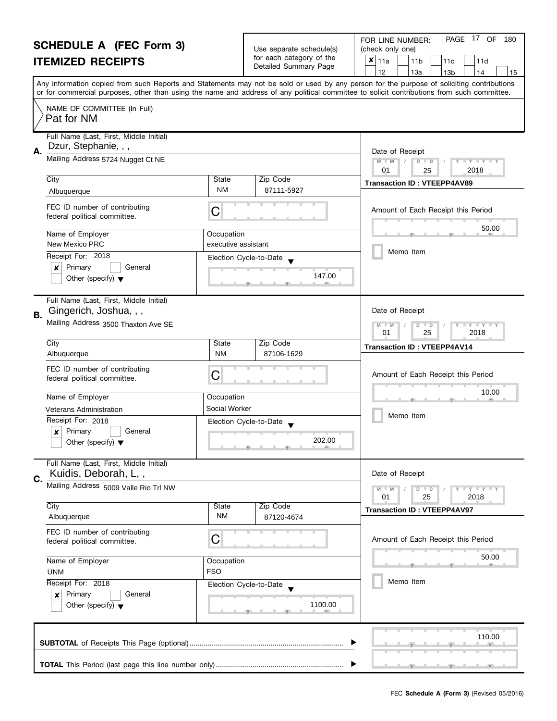|                                                            | <b>SCHEDULE A (FEC Form 3)</b>                                                                      |                                                                                                                                                                                                                                                                                         | Use separate schedule(s)         | PAGE 17 OF<br>FOR LINE NUMBER:<br>180<br>(check only one)     |
|------------------------------------------------------------|-----------------------------------------------------------------------------------------------------|-----------------------------------------------------------------------------------------------------------------------------------------------------------------------------------------------------------------------------------------------------------------------------------------|----------------------------------|---------------------------------------------------------------|
| <b>ITEMIZED RECEIPTS</b>                                   |                                                                                                     |                                                                                                                                                                                                                                                                                         | for each category of the         | $x _{11a}$<br>11 <sub>b</sub><br>11d<br>11c                   |
|                                                            |                                                                                                     |                                                                                                                                                                                                                                                                                         | Detailed Summary Page            | 12<br>13a<br>13 <sub>b</sub><br>14<br>15                      |
|                                                            |                                                                                                     | Any information copied from such Reports and Statements may not be sold or used by any person for the purpose of soliciting contributions<br>or for commercial purposes, other than using the name and address of any political committee to solicit contributions from such committee. |                                  |                                                               |
|                                                            | NAME OF COMMITTEE (In Full)<br>Pat for NM                                                           |                                                                                                                                                                                                                                                                                         |                                  |                                                               |
| <b>A.</b>                                                  | Full Name (Last, First, Middle Initial)<br>Dzur, Stephanie, , ,                                     |                                                                                                                                                                                                                                                                                         |                                  | Date of Receipt                                               |
|                                                            | Mailing Address 5724 Nugget Ct NE                                                                   |                                                                                                                                                                                                                                                                                         |                                  | $M - M$<br>D<br>$T + Y = Y + T$<br>$\Box$<br>2018<br>01<br>25 |
|                                                            | City<br>Albuquerque                                                                                 | State<br><b>NM</b>                                                                                                                                                                                                                                                                      | Zip Code<br>87111-5927           | <b>Transaction ID: VTEEPP4AV89</b>                            |
|                                                            | FEC ID number of contributing<br>federal political committee.                                       | С                                                                                                                                                                                                                                                                                       |                                  | Amount of Each Receipt this Period                            |
|                                                            | Name of Employer<br>New Mexico PRC                                                                  | Occupation<br>executive assistant                                                                                                                                                                                                                                                       |                                  | 50.00                                                         |
|                                                            | Receipt For: 2018<br>Primary<br>General<br>×                                                        | Election Cycle-to-Date                                                                                                                                                                                                                                                                  |                                  | Memo Item                                                     |
|                                                            | Other (specify) $\blacktriangledown$                                                                |                                                                                                                                                                                                                                                                                         | 147.00                           |                                                               |
| В.                                                         | Full Name (Last, First, Middle Initial)<br>Gingerich, Joshua, , ,                                   |                                                                                                                                                                                                                                                                                         |                                  | Date of Receipt                                               |
|                                                            | Mailing Address 3500 Thaxton Ave SE                                                                 |                                                                                                                                                                                                                                                                                         |                                  | $Y - Y - Y$<br>D<br>$\Box$<br>01<br>25<br>2018                |
|                                                            | City<br>Albuquerque                                                                                 | State<br><b>NM</b>                                                                                                                                                                                                                                                                      | Zip Code<br>87106-1629           | <b>Transaction ID: VTEEPP4AV14</b>                            |
|                                                            | FEC ID number of contributing<br>federal political committee.                                       | С                                                                                                                                                                                                                                                                                       |                                  | Amount of Each Receipt this Period                            |
|                                                            | Name of Employer                                                                                    | Occupation                                                                                                                                                                                                                                                                              |                                  | 10.00                                                         |
|                                                            | <b>Veterans Administration</b>                                                                      | Social Worker                                                                                                                                                                                                                                                                           |                                  | Memo Item                                                     |
|                                                            | Receipt For: 2018<br>Primary<br>$\boldsymbol{x}$<br>General<br>Other (specify) $\blacktriangledown$ |                                                                                                                                                                                                                                                                                         | Election Cycle-to-Date<br>202.00 |                                                               |
|                                                            | Full Name (Last, First, Middle Initial)<br>Kuidis, Deborah, L,,                                     |                                                                                                                                                                                                                                                                                         |                                  | Date of Receipt                                               |
| C.                                                         | Mailing Address 5009 Valle Rio Trl NW                                                               |                                                                                                                                                                                                                                                                                         |                                  | $Y - Y - Y - Y - Y$<br>$D$ $D$                                |
|                                                            | City                                                                                                | State                                                                                                                                                                                                                                                                                   | Zip Code                         | 01<br>25<br>2018<br><b>Transaction ID: VTEEPP4AV97</b>        |
|                                                            | Albuquerque                                                                                         | <b>NM</b>                                                                                                                                                                                                                                                                               | 87120-4674                       |                                                               |
|                                                            | FEC ID number of contributing<br>federal political committee.                                       | С                                                                                                                                                                                                                                                                                       |                                  | Amount of Each Receipt this Period                            |
| Name of Employer<br>Occupation<br><b>FSO</b><br><b>UNM</b> |                                                                                                     |                                                                                                                                                                                                                                                                                         | 50.00                            |                                                               |
|                                                            | Receipt For: 2018<br>Primary<br>General<br>×<br>Other (specify) $\blacktriangledown$                | Election Cycle-to-Date                                                                                                                                                                                                                                                                  | 1100.00                          | Memo Item                                                     |
|                                                            |                                                                                                     |                                                                                                                                                                                                                                                                                         |                                  | 110.00                                                        |
|                                                            |                                                                                                     |                                                                                                                                                                                                                                                                                         |                                  |                                                               |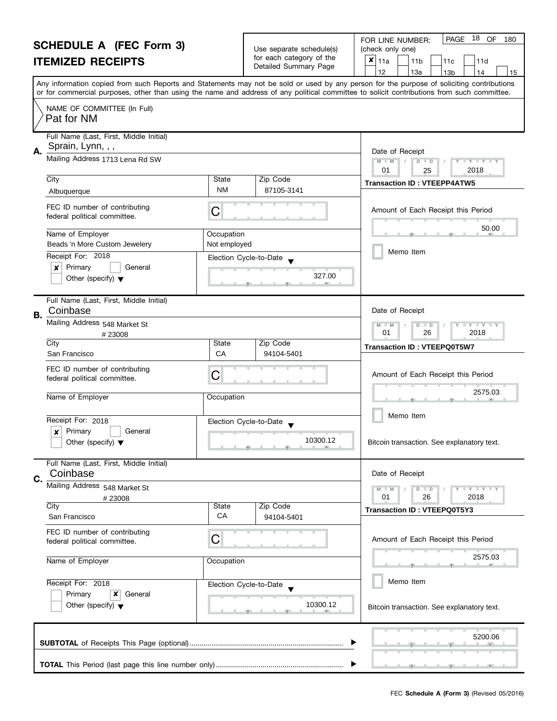|                                       | <b>SCHEDULE A (FEC Form 3)</b><br><b>ITEMIZED RECEIPTS</b>                           |                            | Use separate schedule(s)<br>for each category of the<br>Detailed Summary Page                                                                                 | 18<br>OF<br>PAGE<br>180<br>FOR LINE NUMBER:<br>(check only one)<br>$\boldsymbol{x}$<br>11a<br>11 <sub>b</sub><br>11c<br>11d                                                                                                                                                                                                         |
|---------------------------------------|--------------------------------------------------------------------------------------|----------------------------|---------------------------------------------------------------------------------------------------------------------------------------------------------------|-------------------------------------------------------------------------------------------------------------------------------------------------------------------------------------------------------------------------------------------------------------------------------------------------------------------------------------|
|                                       |                                                                                      |                            |                                                                                                                                                               | 12<br>13a<br>13 <sub>b</sub><br>14<br>15<br>Any information copied from such Reports and Statements may not be sold or used by any person for the purpose of soliciting contributions<br>or for commercial purposes, other than using the name and address of any political committee to solicit contributions from such committee. |
|                                       | NAME OF COMMITTEE (In Full)<br>Pat for NM                                            |                            |                                                                                                                                                               |                                                                                                                                                                                                                                                                                                                                     |
| Α.                                    | Full Name (Last, First, Middle Initial)<br>Sprain, Lynn, , ,                         |                            |                                                                                                                                                               | Date of Receipt                                                                                                                                                                                                                                                                                                                     |
|                                       | Mailing Address 1713 Lena Rd SW                                                      |                            | Zip Code                                                                                                                                                      | $D$ $D$<br>$+Y+Y+Y$<br>$M - M$<br>01<br>2018<br>25                                                                                                                                                                                                                                                                                  |
|                                       | City<br>Albuquerque                                                                  | State<br><b>NM</b>         | 87105-3141                                                                                                                                                    | <b>Transaction ID: VTEEPP4ATW5</b>                                                                                                                                                                                                                                                                                                  |
|                                       | FEC ID number of contributing<br>federal political committee.                        | C                          |                                                                                                                                                               | Amount of Each Receipt this Period                                                                                                                                                                                                                                                                                                  |
|                                       | Name of Employer<br>Beads 'n More Custom Jewelery                                    | Occupation<br>Not employed |                                                                                                                                                               | 50.00                                                                                                                                                                                                                                                                                                                               |
|                                       | Receipt For: 2018<br>Primary<br>×<br>General<br>Other (specify) $\blacktriangledown$ | Election Cycle-to-Date     | 327.00                                                                                                                                                        | Memo Item                                                                                                                                                                                                                                                                                                                           |
| В.                                    | Full Name (Last, First, Middle Initial)<br>Coinbase                                  |                            |                                                                                                                                                               | Date of Receipt                                                                                                                                                                                                                                                                                                                     |
|                                       | Mailing Address 548 Market St<br>#23008                                              |                            |                                                                                                                                                               | T Y T Y T Y<br>M<br>$\overline{D}$<br>$-M$<br>$\Box$<br>01<br>26<br>2018                                                                                                                                                                                                                                                            |
|                                       | City<br>San Francisco                                                                | State<br>CA                | Zip Code<br>94104-5401                                                                                                                                        | <b>Transaction ID: VTEEPQ0T5W7</b>                                                                                                                                                                                                                                                                                                  |
|                                       | FEC ID number of contributing<br>federal political committee.                        | С                          |                                                                                                                                                               | Amount of Each Receipt this Period                                                                                                                                                                                                                                                                                                  |
|                                       | Name of Employer                                                                     | Occupation                 |                                                                                                                                                               | 2575.03                                                                                                                                                                                                                                                                                                                             |
|                                       | Receipt For: 2018<br>Primary<br>General                                              | Election Cycle-to-Date     |                                                                                                                                                               | Memo Item                                                                                                                                                                                                                                                                                                                           |
|                                       | Other (specify) $\blacktriangledown$                                                 |                            | 10300.12<br>Bitcoin transaction. See explanatory text.<br>$\overline{y}$ and a set of $\overline{y}$ and $\overline{y}$ and $\overline{y}$ and $\overline{y}$ |                                                                                                                                                                                                                                                                                                                                     |
| C.                                    | Full Name (Last, First, Middle Initial)<br>Coinbase                                  |                            |                                                                                                                                                               | Date of Receipt                                                                                                                                                                                                                                                                                                                     |
|                                       | Mailing Address 548 Market St<br>#23008                                              |                            |                                                                                                                                                               | Y I Y I Y I Y<br>$D$ $D$<br>$M - M$<br>01<br>26<br>2018                                                                                                                                                                                                                                                                             |
|                                       | City<br>San Francisco                                                                | State<br>СA                | Zip Code<br>94104-5401                                                                                                                                        | <b>Transaction ID: VTEEPQ0T5Y3</b>                                                                                                                                                                                                                                                                                                  |
|                                       | FEC ID number of contributing<br>federal political committee.                        | С                          |                                                                                                                                                               | Amount of Each Receipt this Period                                                                                                                                                                                                                                                                                                  |
| Name of Employer<br>Receipt For: 2018 |                                                                                      | Occupation                 |                                                                                                                                                               | 2575.03<br>m                                                                                                                                                                                                                                                                                                                        |
|                                       |                                                                                      | Election Cycle-to-Date     |                                                                                                                                                               | Memo Item                                                                                                                                                                                                                                                                                                                           |
|                                       | Primary<br>x<br>General<br>Other (specify) $\blacktriangledown$                      |                            | 10300.12                                                                                                                                                      | Bitcoin transaction. See explanatory text.                                                                                                                                                                                                                                                                                          |
|                                       |                                                                                      |                            |                                                                                                                                                               | 5200.06                                                                                                                                                                                                                                                                                                                             |
|                                       |                                                                                      |                            |                                                                                                                                                               |                                                                                                                                                                                                                                                                                                                                     |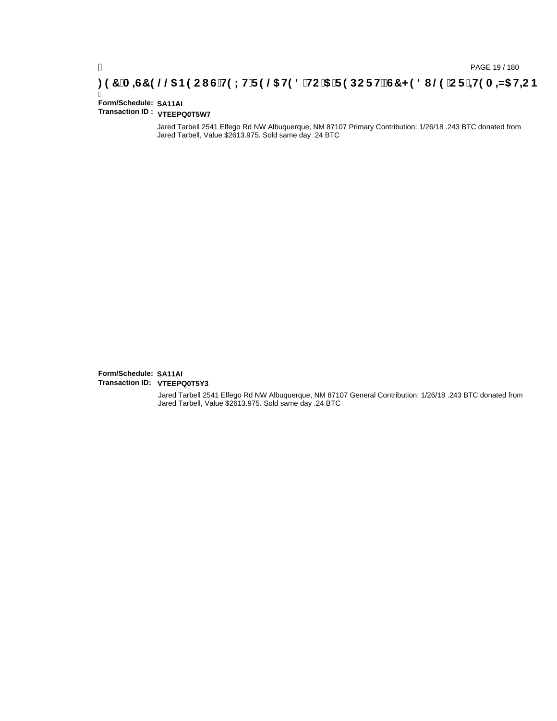## **)(&0,6&(//\$1(2867(;75(/\$7('72\$5(32576&+('8/(25,7(0,=\$7,21**

#### Ī **Form/Schedule: SA11AI Transaction ID : VTEEPQ0T5W7**

Jared Tarbell 2541 Elfego Rd NW Albuquerque, NM 87107 Primary Contribution: 1/26/18 .243 BTC donated from Jared Tarbell, Value \$2613.975. Sold same day .24 BTC

**Form/Schedule: SA11AI Transaction ID: VTEEPQ0T5Y3**

> Jared Tarbell 2541 Elfego Rd NW Albuquerque, NM 87107 General Contribution: 1/26/18 .243 BTC donated from Jared Tarbell, Value \$2613.975. Sold same day .24 BTC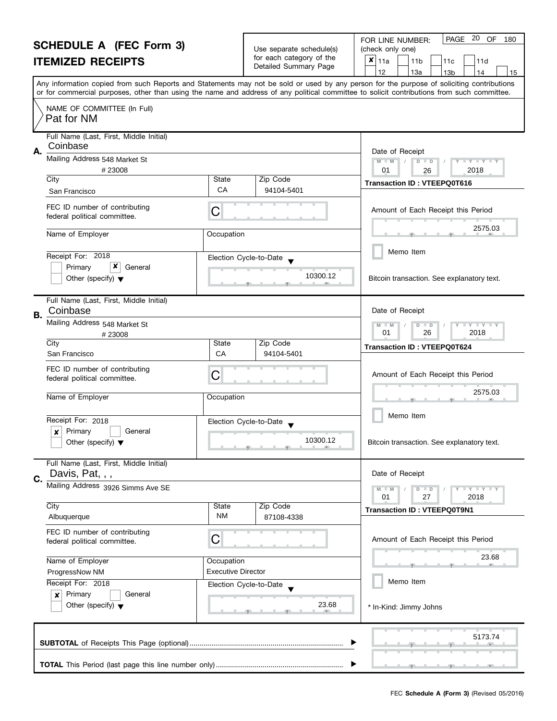|                          | FOR LINE NUMBER:                         |
|--------------------------|------------------------------------------|
| Use separate schedule(s) | (check only one)                         |
| for each category of the | $\vert x \vert_{11a}$<br>11 <sub>b</sub> |
| Detailed Summary Page    |                                          |

 $\mathsf{l}$ 

| OUNLDULL A TEA LUNI OF                                                                     |                  | Use separate schedule(s)                          | (check only one)                                                                                                                                                                                                                                                                                                                    |
|--------------------------------------------------------------------------------------------|------------------|---------------------------------------------------|-------------------------------------------------------------------------------------------------------------------------------------------------------------------------------------------------------------------------------------------------------------------------------------------------------------------------------------|
| <b>ITEMIZED RECEIPTS</b>                                                                   |                  | for each category of the<br>Detailed Summary Page | X<br>11a<br>11 <sub>b</sub><br>11c<br>11d                                                                                                                                                                                                                                                                                           |
|                                                                                            |                  |                                                   | 12<br>13a<br>13 <sub>b</sub><br>14<br>15<br>Any information copied from such Reports and Statements may not be sold or used by any person for the purpose of soliciting contributions<br>or for commercial purposes, other than using the name and address of any political committee to solicit contributions from such committee. |
| NAME OF COMMITTEE (In Full)<br>Pat for NM                                                  |                  |                                                   |                                                                                                                                                                                                                                                                                                                                     |
| Full Name (Last, First, Middle Initial)                                                    |                  |                                                   |                                                                                                                                                                                                                                                                                                                                     |
| Coinbase                                                                                   |                  |                                                   | Date of Receipt                                                                                                                                                                                                                                                                                                                     |
| Mailing Address 548 Market St<br>#23008                                                    |                  |                                                   | $M - M$<br>$\mathbf{y}$ $\mathbf{y}$ $\mathbf{y}$ $\mathbf{y}$<br>$D$ $D$<br>01<br>2018<br>26                                                                                                                                                                                                                                       |
| City<br>San Francisco                                                                      | State<br>CA      | Zip Code<br>94104-5401                            | <b>Transaction ID: VTEEPQ0T616</b>                                                                                                                                                                                                                                                                                                  |
|                                                                                            |                  |                                                   |                                                                                                                                                                                                                                                                                                                                     |
| FEC ID number of contributing<br>federal political committee.                              | С                |                                                   | Amount of Each Receipt this Period                                                                                                                                                                                                                                                                                                  |
| Name of Employer                                                                           | Occupation       |                                                   | 2575.03                                                                                                                                                                                                                                                                                                                             |
| Receipt For: 2018                                                                          |                  | Election Cycle-to-Date                            | Memo Item                                                                                                                                                                                                                                                                                                                           |
| x<br>General<br>Primary<br>Other (specify) $\blacktriangledown$                            |                  | 10300.12                                          | Bitcoin transaction. See explanatory text.                                                                                                                                                                                                                                                                                          |
| Full Name (Last, First, Middle Initial)<br>Coinbase                                        |                  |                                                   | Date of Receipt                                                                                                                                                                                                                                                                                                                     |
| Mailing Address 548 Market St<br>#23008                                                    |                  |                                                   | $ \gamma$ $  \gamma$ $  \gamma$<br>$M - M$<br>D<br>$\Box$<br>01<br>26<br>2018                                                                                                                                                                                                                                                       |
| City                                                                                       | State            | Zip Code                                          | <b>Transaction ID: VTEEPQ0T624</b>                                                                                                                                                                                                                                                                                                  |
| San Francisco                                                                              | CA<br>94104-5401 |                                                   |                                                                                                                                                                                                                                                                                                                                     |
| FEC ID number of contributing<br>federal political committee.                              | С                |                                                   | Amount of Each Receipt this Period                                                                                                                                                                                                                                                                                                  |
| Name of Employer                                                                           | Occupation       |                                                   | 2575.03                                                                                                                                                                                                                                                                                                                             |
|                                                                                            |                  |                                                   | Memo Item                                                                                                                                                                                                                                                                                                                           |
| Receipt For: 2018<br>Primary<br>General<br>x<br>Other (specify) $\blacktriangledown$       |                  | Election Cycle-to-Date<br>10300.12                | Bitcoin transaction. See explanatory text.                                                                                                                                                                                                                                                                                          |
| Full Name (Last, First, Middle Initial)<br>Davis, Pat, , ,                                 |                  |                                                   | Date of Receipt                                                                                                                                                                                                                                                                                                                     |
| Mailing Address 3926 Simms Ave SE                                                          |                  |                                                   | $M - M$<br>$\bot$ $\gamma$ $\bot$ $\gamma$ $\bot$ $\gamma$<br>$\overline{D}$<br>$\Box$<br>27<br>2018<br>01                                                                                                                                                                                                                          |
| City                                                                                       | State            | Zip Code                                          | <b>Transaction ID: VTEEPQ0T9N1</b>                                                                                                                                                                                                                                                                                                  |
| Albuquerque                                                                                | ΝM               | 87108-4338                                        |                                                                                                                                                                                                                                                                                                                                     |
| FEC ID number of contributing<br>federal political committee.                              | С                |                                                   | Amount of Each Receipt this Period                                                                                                                                                                                                                                                                                                  |
| Name of Employer                                                                           | Occupation       |                                                   | 23.68                                                                                                                                                                                                                                                                                                                               |
| <b>Executive Director</b><br>ProgressNow NM<br>Receipt For: 2018<br>Election Cycle-to-Date |                  |                                                   |                                                                                                                                                                                                                                                                                                                                     |
|                                                                                            |                  |                                                   | Memo Item                                                                                                                                                                                                                                                                                                                           |
| Primary<br>General<br>×                                                                    |                  |                                                   |                                                                                                                                                                                                                                                                                                                                     |
| Other (specify) $\blacktriangledown$                                                       |                  | 23.68                                             | * In-Kind: Jimmy Johns                                                                                                                                                                                                                                                                                                              |
|                                                                                            |                  |                                                   |                                                                                                                                                                                                                                                                                                                                     |
|                                                                                            |                  |                                                   | 5173.74                                                                                                                                                                                                                                                                                                                             |

PAGE 20 OF 180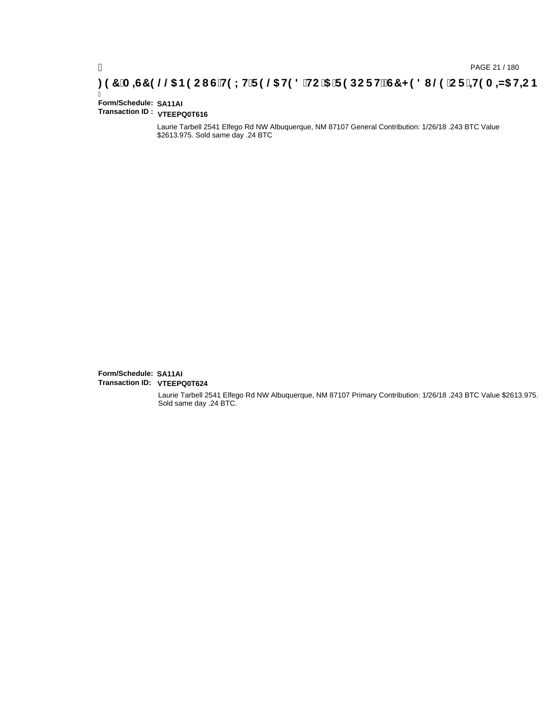## **)(&0,6&(//\$1(2867(;75(/\$7('72\$5(32576&+('8/(25,7(0,=\$7,21**

#### Ī **Form/Schedule: SA11AI Transaction ID : VTEEPQ0T616**

Laurie Tarbell 2541 Elfego Rd NW Albuquerque, NM 87107 General Contribution: 1/26/18 .243 BTC Value \$2613.975. Sold same day .24 BTC

**Form/Schedule: SA11AI Transaction ID: VTEEPQ0T624**

> Laurie Tarbell 2541 Elfego Rd NW Albuquerque, NM 87107 Primary Contribution: 1/26/18 .243 BTC Value \$2613.975. Sold same day .24 BTC.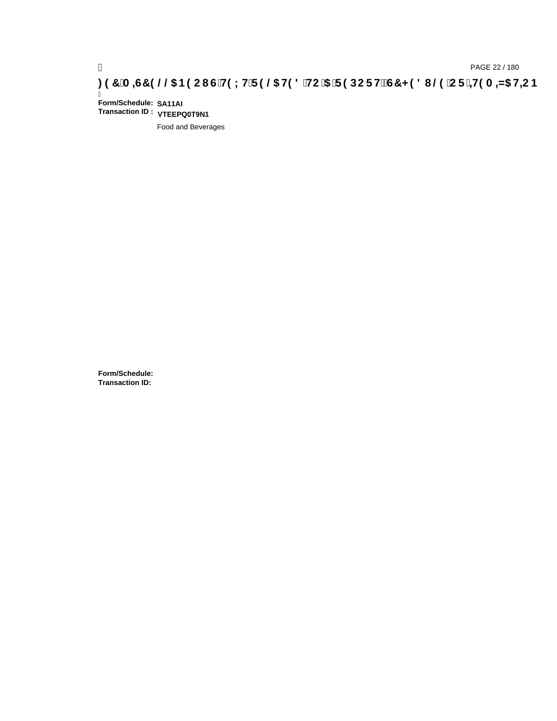# ) PAGE 22 / 180<br>(DAGE 22 / 180 PAGE 22 / 180 PAGE 22 / 3H C iS HOLH F 9 @ HOLS HC iS iF 9 DC F HŽG7 < 98 I @ iC F

Ī **Form/Schedule: SA11AI Transaction ID : VTEEPQ0T9N1**

Food and Beverages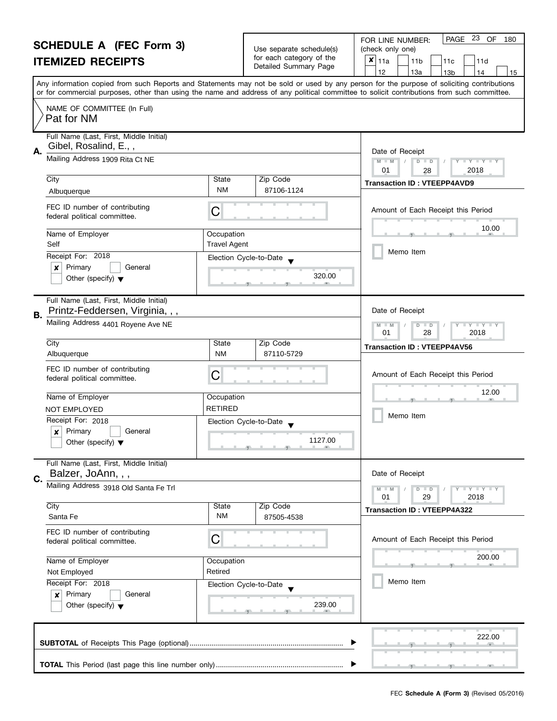|                          | <b>SCHEDULE A (FEC Form 3)</b>                                                 |                                   | Use separate schedule(s)                                                                                                                                                                                                                        | PAGE 23 OF<br>FOR LINE NUMBER:<br>180<br>(check only one)                                                                                                                                                                                                                               |
|--------------------------|--------------------------------------------------------------------------------|-----------------------------------|-------------------------------------------------------------------------------------------------------------------------------------------------------------------------------------------------------------------------------------------------|-----------------------------------------------------------------------------------------------------------------------------------------------------------------------------------------------------------------------------------------------------------------------------------------|
| <b>ITEMIZED RECEIPTS</b> |                                                                                |                                   | for each category of the                                                                                                                                                                                                                        | $x _{11a}$<br>11 <sub>b</sub><br>11d<br>11c                                                                                                                                                                                                                                             |
|                          |                                                                                |                                   | Detailed Summary Page                                                                                                                                                                                                                           | 12<br>13a<br>13 <sub>b</sub><br>14<br>15                                                                                                                                                                                                                                                |
|                          |                                                                                |                                   |                                                                                                                                                                                                                                                 | Any information copied from such Reports and Statements may not be sold or used by any person for the purpose of soliciting contributions<br>or for commercial purposes, other than using the name and address of any political committee to solicit contributions from such committee. |
|                          | NAME OF COMMITTEE (In Full)<br>Pat for NM                                      |                                   |                                                                                                                                                                                                                                                 |                                                                                                                                                                                                                                                                                         |
| А.                       | Full Name (Last, First, Middle Initial)<br>Gibel, Rosalind, E.,,               |                                   |                                                                                                                                                                                                                                                 | Date of Receipt                                                                                                                                                                                                                                                                         |
|                          | Mailing Address 1909 Rita Ct NE                                                |                                   |                                                                                                                                                                                                                                                 | $M - M$<br>D<br>$T + Y = Y + T$<br>$\Box$<br>2018<br>01<br>28                                                                                                                                                                                                                           |
|                          | City                                                                           | State                             | Zip Code                                                                                                                                                                                                                                        | <b>Transaction ID: VTEEPP4AVD9</b>                                                                                                                                                                                                                                                      |
|                          | Albuquerque                                                                    | <b>NM</b>                         | 87106-1124                                                                                                                                                                                                                                      |                                                                                                                                                                                                                                                                                         |
|                          | FEC ID number of contributing<br>federal political committee.                  | С                                 |                                                                                                                                                                                                                                                 | Amount of Each Receipt this Period                                                                                                                                                                                                                                                      |
|                          | Name of Employer<br>Self                                                       | Occupation<br><b>Travel Agent</b> |                                                                                                                                                                                                                                                 | 10.00                                                                                                                                                                                                                                                                                   |
|                          | Receipt For: 2018                                                              | Election Cycle-to-Date            |                                                                                                                                                                                                                                                 | Memo Item                                                                                                                                                                                                                                                                               |
|                          | Primary<br>General<br>×<br>Other (specify) $\blacktriangledown$                |                                   | 320.00                                                                                                                                                                                                                                          |                                                                                                                                                                                                                                                                                         |
| В.                       | Full Name (Last, First, Middle Initial)<br>Printz-Feddersen, Virginia, , ,     |                                   |                                                                                                                                                                                                                                                 | Date of Receipt                                                                                                                                                                                                                                                                         |
|                          | Mailing Address 4401 Royene Ave NE                                             |                                   |                                                                                                                                                                                                                                                 | $Y - Y - Y$<br>D<br>$\blacksquare$<br>01<br>28<br>2018                                                                                                                                                                                                                                  |
|                          | City                                                                           | State                             | Zip Code                                                                                                                                                                                                                                        | <b>Transaction ID: VTEEPP4AV56</b>                                                                                                                                                                                                                                                      |
|                          | Albuquerque                                                                    | <b>NM</b>                         | 87110-5729                                                                                                                                                                                                                                      |                                                                                                                                                                                                                                                                                         |
|                          | FEC ID number of contributing<br>federal political committee.                  | С                                 |                                                                                                                                                                                                                                                 | Amount of Each Receipt this Period                                                                                                                                                                                                                                                      |
|                          | Name of Employer                                                               | Occupation                        |                                                                                                                                                                                                                                                 | 12.00                                                                                                                                                                                                                                                                                   |
|                          | <b>NOT EMPLOYED</b>                                                            | <b>RETIRED</b>                    |                                                                                                                                                                                                                                                 |                                                                                                                                                                                                                                                                                         |
|                          | Receipt For: 2018                                                              | Election Cycle-to-Date            |                                                                                                                                                                                                                                                 | Memo Item                                                                                                                                                                                                                                                                               |
|                          | Primary<br>General<br>$\boldsymbol{x}$<br>Other (specify) $\blacktriangledown$ |                                   | 1127.00<br><u> 1 g - 1 g - 1 g - 1 a - 1 a - 1 a - 1 a - 1 a - 1 a - 1 a - 1 a - 1 a - 1 a - 1 a - 1 a - 1 a - 1 a - 1 a - 1 a - 1 a - 1 a - 1 a - 1 a - 1 a - 1 a - 1 a - 1 a - 1 a - 1 a - 1 a - 1 a - 1 a - 1 a - 1 a - 1 a - 1 a - 1 a </u> |                                                                                                                                                                                                                                                                                         |
|                          | Full Name (Last, First, Middle Initial)<br>Balzer, JoAnn, , ,                  |                                   |                                                                                                                                                                                                                                                 | Date of Receipt                                                                                                                                                                                                                                                                         |
| C.                       | Mailing Address 3918 Old Santa Fe Trl                                          |                                   |                                                                                                                                                                                                                                                 | $Y - Y - Y - Y - Y$<br>$D$ $D$<br>01<br>29<br>2018                                                                                                                                                                                                                                      |
|                          | City                                                                           | State                             | Zip Code                                                                                                                                                                                                                                        | <b>Transaction ID: VTEEPP4A322</b>                                                                                                                                                                                                                                                      |
|                          | Santa Fe                                                                       | <b>NM</b>                         | 87505-4538                                                                                                                                                                                                                                      |                                                                                                                                                                                                                                                                                         |
|                          | FEC ID number of contributing<br>federal political committee.                  | С                                 |                                                                                                                                                                                                                                                 | Amount of Each Receipt this Period                                                                                                                                                                                                                                                      |
|                          | Name of Employer<br>Occupation                                                 |                                   |                                                                                                                                                                                                                                                 | 200.00                                                                                                                                                                                                                                                                                  |
| Retired<br>Not Employed  |                                                                                |                                   |                                                                                                                                                                                                                                                 |                                                                                                                                                                                                                                                                                         |
|                          | Receipt For: 2018                                                              | Election Cycle-to-Date            |                                                                                                                                                                                                                                                 | Memo Item                                                                                                                                                                                                                                                                               |
|                          | Primary<br>General<br>×<br>Other (specify) $\blacktriangledown$                |                                   | 239.00                                                                                                                                                                                                                                          |                                                                                                                                                                                                                                                                                         |
|                          |                                                                                |                                   |                                                                                                                                                                                                                                                 | 222.00                                                                                                                                                                                                                                                                                  |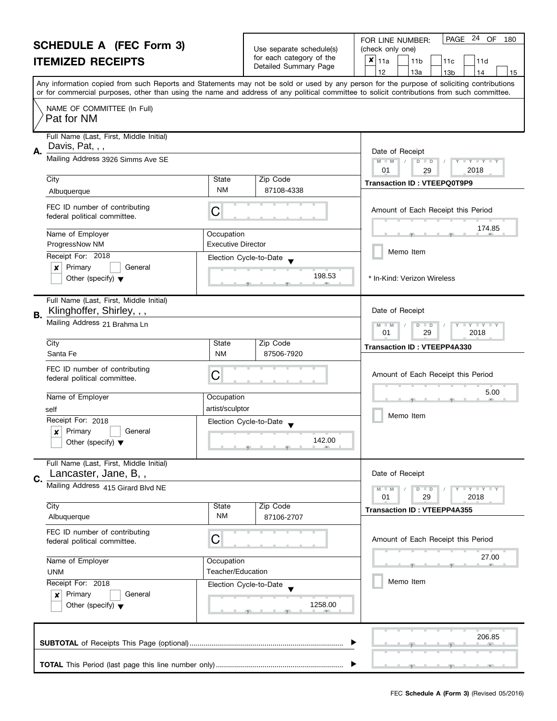| <b>SCHEDULE A (FEC Form 3)</b> |                                                                                                                                                                                        |                                                                                                                                            |                                | PAGE 24 OF<br>180<br>FOR LINE NUMBER:                                                                                                     |
|--------------------------------|----------------------------------------------------------------------------------------------------------------------------------------------------------------------------------------|--------------------------------------------------------------------------------------------------------------------------------------------|--------------------------------|-------------------------------------------------------------------------------------------------------------------------------------------|
|                                |                                                                                                                                                                                        | Use separate schedule(s)<br>for each category of the                                                                                       | (check only one)<br>$x _{11a}$ |                                                                                                                                           |
|                                | <b>ITEMIZED RECEIPTS</b>                                                                                                                                                               |                                                                                                                                            | Detailed Summary Page          | 11 <sub>b</sub><br>11d<br>11c<br>12<br>13a<br>13 <sub>b</sub><br>14<br>15                                                                 |
|                                |                                                                                                                                                                                        |                                                                                                                                            |                                | Any information copied from such Reports and Statements may not be sold or used by any person for the purpose of soliciting contributions |
|                                |                                                                                                                                                                                        | or for commercial purposes, other than using the name and address of any political committee to solicit contributions from such committee. |                                |                                                                                                                                           |
|                                | NAME OF COMMITTEE (In Full)<br>Pat for NM                                                                                                                                              |                                                                                                                                            |                                |                                                                                                                                           |
|                                | Full Name (Last, First, Middle Initial)                                                                                                                                                |                                                                                                                                            |                                |                                                                                                                                           |
| А.                             | Davis, Pat, , ,                                                                                                                                                                        |                                                                                                                                            |                                | Date of Receipt                                                                                                                           |
|                                | Mailing Address 3926 Simms Ave SE                                                                                                                                                      |                                                                                                                                            |                                | $Y = Y = Y$<br>$M - M$<br>$D$ $D$<br>2018<br>01<br>29                                                                                     |
|                                | City                                                                                                                                                                                   | State                                                                                                                                      | Zip Code                       | <b>Transaction ID: VTEEPQ0T9P9</b>                                                                                                        |
|                                | Albuquerque                                                                                                                                                                            | NM                                                                                                                                         | 87108-4338                     |                                                                                                                                           |
|                                | FEC ID number of contributing<br>federal political committee.                                                                                                                          | C                                                                                                                                          |                                | Amount of Each Receipt this Period                                                                                                        |
|                                | Name of Employer                                                                                                                                                                       | Occupation                                                                                                                                 |                                | 174.85                                                                                                                                    |
|                                | ProgressNow NM                                                                                                                                                                         | <b>Executive Director</b>                                                                                                                  |                                |                                                                                                                                           |
|                                | Receipt For: 2018                                                                                                                                                                      |                                                                                                                                            | Election Cycle-to-Date         | Memo Item                                                                                                                                 |
|                                | Primary<br>$\boldsymbol{x}$<br>General                                                                                                                                                 |                                                                                                                                            | 198.53                         |                                                                                                                                           |
|                                | Other (specify) $\blacktriangledown$                                                                                                                                                   |                                                                                                                                            |                                | * In-Kind: Verizon Wireless                                                                                                               |
|                                | Full Name (Last, First, Middle Initial)<br>Klinghoffer, Shirley, , ,                                                                                                                   |                                                                                                                                            |                                | Date of Receipt                                                                                                                           |
|                                | В.<br>Mailing Address 21 Brahma Ln                                                                                                                                                     |                                                                                                                                            |                                | $Y - Y - Y$<br>$M - M$<br>D<br>$\Box$                                                                                                     |
|                                |                                                                                                                                                                                        |                                                                                                                                            |                                | 29<br>2018<br>01                                                                                                                          |
|                                | City<br>Santa Fe                                                                                                                                                                       | State<br><b>NM</b>                                                                                                                         | Zip Code<br>87506-7920         | <b>Transaction ID: VTEEPP4A330</b>                                                                                                        |
|                                |                                                                                                                                                                                        |                                                                                                                                            |                                |                                                                                                                                           |
|                                | FEC ID number of contributing<br>federal political committee.                                                                                                                          | С                                                                                                                                          |                                | Amount of Each Receipt this Period                                                                                                        |
|                                |                                                                                                                                                                                        |                                                                                                                                            |                                | 5.00                                                                                                                                      |
|                                | Name of Employer                                                                                                                                                                       | Occupation                                                                                                                                 |                                |                                                                                                                                           |
|                                | self<br>Receipt For: 2018                                                                                                                                                              | artist/sculptor                                                                                                                            |                                | Memo Item                                                                                                                                 |
|                                | Primary<br>General<br>$\boldsymbol{x}$                                                                                                                                                 |                                                                                                                                            | Election Cycle-to-Date         |                                                                                                                                           |
|                                | Other (specify) $\blacktriangledown$                                                                                                                                                   |                                                                                                                                            |                                |                                                                                                                                           |
|                                | Full Name (Last, First, Middle Initial)                                                                                                                                                |                                                                                                                                            |                                |                                                                                                                                           |
| C.                             | Lancaster, Jane, B,,                                                                                                                                                                   |                                                                                                                                            |                                | Date of Receipt                                                                                                                           |
|                                | Mailing Address 415 Girard Blvd NE                                                                                                                                                     |                                                                                                                                            |                                | Y FY FY FY<br>$M - M$<br>$D$ $D$<br>29<br>2018<br>01                                                                                      |
|                                | City                                                                                                                                                                                   | State                                                                                                                                      | Zip Code                       | <b>Transaction ID: VTEEPP4A355</b>                                                                                                        |
|                                | Albuquerque                                                                                                                                                                            | <b>NM</b>                                                                                                                                  | 87106-2707                     |                                                                                                                                           |
|                                | FEC ID number of contributing<br>С<br>federal political committee.<br>Name of Employer<br>Occupation<br>Teacher/Education<br><b>UNM</b><br>Receipt For: 2018<br>Election Cycle-to-Date |                                                                                                                                            |                                | Amount of Each Receipt this Period                                                                                                        |
|                                |                                                                                                                                                                                        |                                                                                                                                            |                                | 27.00                                                                                                                                     |
|                                |                                                                                                                                                                                        |                                                                                                                                            |                                |                                                                                                                                           |
|                                |                                                                                                                                                                                        |                                                                                                                                            |                                | Memo Item                                                                                                                                 |
|                                | Primary<br>General<br>×                                                                                                                                                                |                                                                                                                                            |                                |                                                                                                                                           |
|                                | Other (specify) $\blacktriangledown$                                                                                                                                                   |                                                                                                                                            | 1258.00                        |                                                                                                                                           |
|                                |                                                                                                                                                                                        |                                                                                                                                            |                                | 206.85                                                                                                                                    |
|                                |                                                                                                                                                                                        |                                                                                                                                            |                                |                                                                                                                                           |
|                                |                                                                                                                                                                                        |                                                                                                                                            |                                |                                                                                                                                           |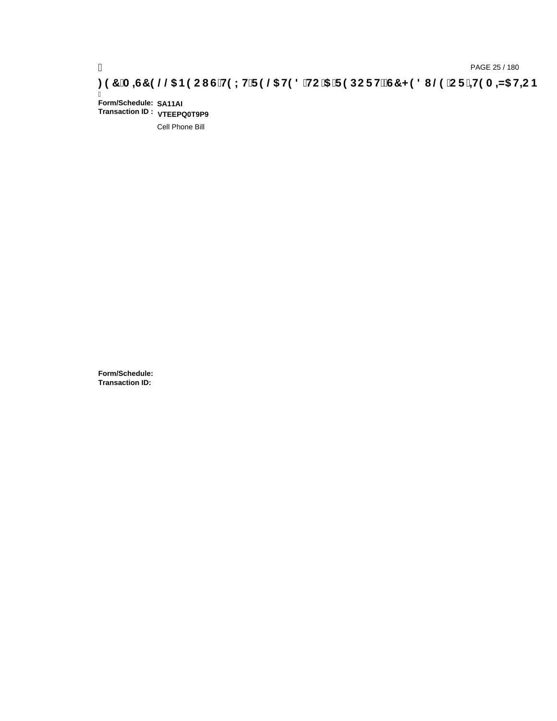# ) PAGE 25 / 180<br>**DAGE 25 / 180 PAGE 25 / 180 SPOC I G`H9LH`F9 @5 H98** `HC`5 `F9DCFHžG7 < 98 I @9 `CF`<del>J</del>I9A =N5 H=CB .

Ī **Form/Schedule: SA11AI Transaction ID : VTEEPQ0T9P9**

Cell Phone Bill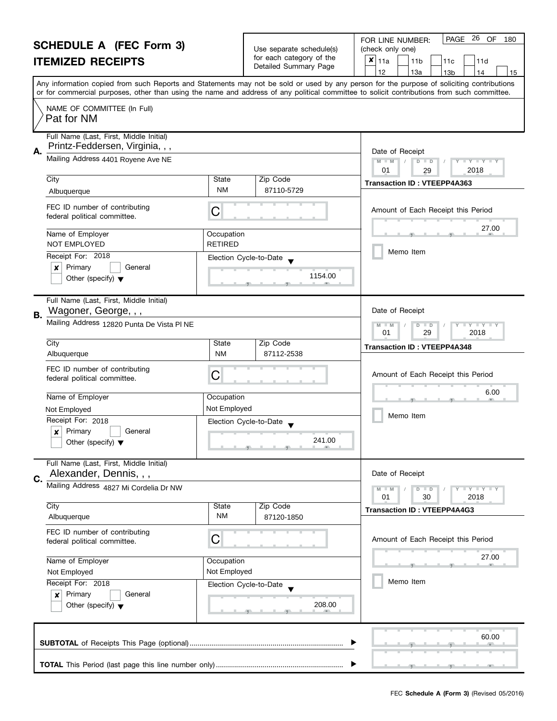|                                                                        | <b>SCHEDULE A (FEC Form 3)</b>                                                                                                                                                      |                                                                                                                                            |                                                      | PAGE 26 OF<br>180<br>FOR LINE NUMBER:                                                                                                     |  |  |  |
|------------------------------------------------------------------------|-------------------------------------------------------------------------------------------------------------------------------------------------------------------------------------|--------------------------------------------------------------------------------------------------------------------------------------------|------------------------------------------------------|-------------------------------------------------------------------------------------------------------------------------------------------|--|--|--|
|                                                                        |                                                                                                                                                                                     |                                                                                                                                            | Use separate schedule(s)<br>for each category of the | (check only one)<br>$x _{11a}$                                                                                                            |  |  |  |
|                                                                        | <b>ITEMIZED RECEIPTS</b>                                                                                                                                                            |                                                                                                                                            | Detailed Summary Page                                | 11 <sub>b</sub><br>11d<br>11c<br>12<br>13a<br>13 <sub>b</sub><br>14<br>15                                                                 |  |  |  |
|                                                                        |                                                                                                                                                                                     |                                                                                                                                            |                                                      | Any information copied from such Reports and Statements may not be sold or used by any person for the purpose of soliciting contributions |  |  |  |
|                                                                        |                                                                                                                                                                                     | or for commercial purposes, other than using the name and address of any political committee to solicit contributions from such committee. |                                                      |                                                                                                                                           |  |  |  |
|                                                                        | NAME OF COMMITTEE (In Full)<br>Pat for NM                                                                                                                                           |                                                                                                                                            |                                                      |                                                                                                                                           |  |  |  |
|                                                                        | Full Name (Last, First, Middle Initial)<br>Printz-Feddersen, Virginia, , ,                                                                                                          |                                                                                                                                            |                                                      |                                                                                                                                           |  |  |  |
| А.                                                                     | Mailing Address 4401 Royene Ave NE                                                                                                                                                  |                                                                                                                                            |                                                      | Date of Receipt                                                                                                                           |  |  |  |
|                                                                        |                                                                                                                                                                                     |                                                                                                                                            |                                                      | $M - M$<br>D<br>$\mathbf{I} \cdot \mathbf{Y} \cdot \mathbf{I} \cdot \mathbf{Y} \cdot \mathbf{I}$<br>$\Box$<br>01<br>2018<br>29            |  |  |  |
|                                                                        | City                                                                                                                                                                                | State                                                                                                                                      | Zip Code                                             | <b>Transaction ID: VTEEPP4A363</b>                                                                                                        |  |  |  |
|                                                                        | Albuquerque                                                                                                                                                                         | <b>NM</b>                                                                                                                                  | 87110-5729                                           |                                                                                                                                           |  |  |  |
|                                                                        | FEC ID number of contributing<br>federal political committee.                                                                                                                       | C                                                                                                                                          |                                                      | Amount of Each Receipt this Period                                                                                                        |  |  |  |
|                                                                        | Name of Employer                                                                                                                                                                    | Occupation                                                                                                                                 |                                                      | 27.00                                                                                                                                     |  |  |  |
|                                                                        | <b>NOT EMPLOYED</b>                                                                                                                                                                 | <b>RETIRED</b>                                                                                                                             |                                                      | Memo Item                                                                                                                                 |  |  |  |
|                                                                        | Receipt For: 2018                                                                                                                                                                   | Election Cycle-to-Date                                                                                                                     |                                                      |                                                                                                                                           |  |  |  |
|                                                                        | Primary<br>×<br>General<br>Other (specify) $\blacktriangledown$                                                                                                                     |                                                                                                                                            | 1154.00                                              |                                                                                                                                           |  |  |  |
|                                                                        |                                                                                                                                                                                     |                                                                                                                                            |                                                      |                                                                                                                                           |  |  |  |
| <b>B.</b>                                                              | Full Name (Last, First, Middle Initial)<br>Wagoner, George, , ,                                                                                                                     | Date of Receipt                                                                                                                            |                                                      |                                                                                                                                           |  |  |  |
|                                                                        | Mailing Address 12820 Punta De Vista PI NE                                                                                                                                          |                                                                                                                                            |                                                      | $Y$ $Y$<br>D<br>$\Box$                                                                                                                    |  |  |  |
|                                                                        | City                                                                                                                                                                                | State                                                                                                                                      | Zip Code                                             | 01<br>29<br>2018                                                                                                                          |  |  |  |
|                                                                        | Albuquerque                                                                                                                                                                         | <b>NM</b>                                                                                                                                  | 87112-2538                                           | <b>Transaction ID: VTEEPP4A348</b>                                                                                                        |  |  |  |
|                                                                        | FEC ID number of contributing<br>federal political committee.                                                                                                                       | С                                                                                                                                          |                                                      | Amount of Each Receipt this Period                                                                                                        |  |  |  |
|                                                                        | Name of Employer                                                                                                                                                                    | Occupation                                                                                                                                 |                                                      | 6.00                                                                                                                                      |  |  |  |
|                                                                        | Not Employed<br>Not Employed                                                                                                                                                        |                                                                                                                                            |                                                      |                                                                                                                                           |  |  |  |
|                                                                        | Receipt For: 2018                                                                                                                                                                   | Election Cycle-to-Date                                                                                                                     |                                                      | Memo Item                                                                                                                                 |  |  |  |
|                                                                        | X<br>Primary<br>General                                                                                                                                                             |                                                                                                                                            |                                                      |                                                                                                                                           |  |  |  |
|                                                                        | Other (specify) $\blacktriangledown$                                                                                                                                                |                                                                                                                                            | 241.00                                               |                                                                                                                                           |  |  |  |
|                                                                        | Full Name (Last, First, Middle Initial)                                                                                                                                             |                                                                                                                                            |                                                      | Date of Receipt                                                                                                                           |  |  |  |
| Alexander, Dennis, , ,<br>C.<br>Mailing Address 4827 Mi Cordelia Dr NW |                                                                                                                                                                                     |                                                                                                                                            |                                                      |                                                                                                                                           |  |  |  |
|                                                                        |                                                                                                                                                                                     |                                                                                                                                            |                                                      | $T - Y = Y + Y$<br>$D$ $D$<br>2018<br>01<br>30                                                                                            |  |  |  |
|                                                                        | City                                                                                                                                                                                | State                                                                                                                                      | Zip Code                                             | <b>Transaction ID: VTEEPP4A4G3</b>                                                                                                        |  |  |  |
|                                                                        | Albuquerque                                                                                                                                                                         | <b>NM</b>                                                                                                                                  | 87120-1850                                           |                                                                                                                                           |  |  |  |
|                                                                        | FEC ID number of contributing<br>С<br>federal political committee.<br>Name of Employer<br>Occupation<br>Not Employed<br>Not Employed<br>Receipt For: 2018<br>Election Cycle-to-Date |                                                                                                                                            |                                                      | Amount of Each Receipt this Period                                                                                                        |  |  |  |
|                                                                        |                                                                                                                                                                                     |                                                                                                                                            |                                                      | 27.00                                                                                                                                     |  |  |  |
|                                                                        |                                                                                                                                                                                     |                                                                                                                                            |                                                      |                                                                                                                                           |  |  |  |
|                                                                        |                                                                                                                                                                                     |                                                                                                                                            | Memo Item                                            |                                                                                                                                           |  |  |  |
|                                                                        | Primary<br>General<br>$\boldsymbol{x}$                                                                                                                                              |                                                                                                                                            |                                                      |                                                                                                                                           |  |  |  |
|                                                                        | Other (specify) $\blacktriangledown$                                                                                                                                                |                                                                                                                                            | 208.00                                               |                                                                                                                                           |  |  |  |
|                                                                        |                                                                                                                                                                                     |                                                                                                                                            |                                                      | 60.00                                                                                                                                     |  |  |  |
|                                                                        |                                                                                                                                                                                     |                                                                                                                                            |                                                      |                                                                                                                                           |  |  |  |
|                                                                        |                                                                                                                                                                                     |                                                                                                                                            |                                                      |                                                                                                                                           |  |  |  |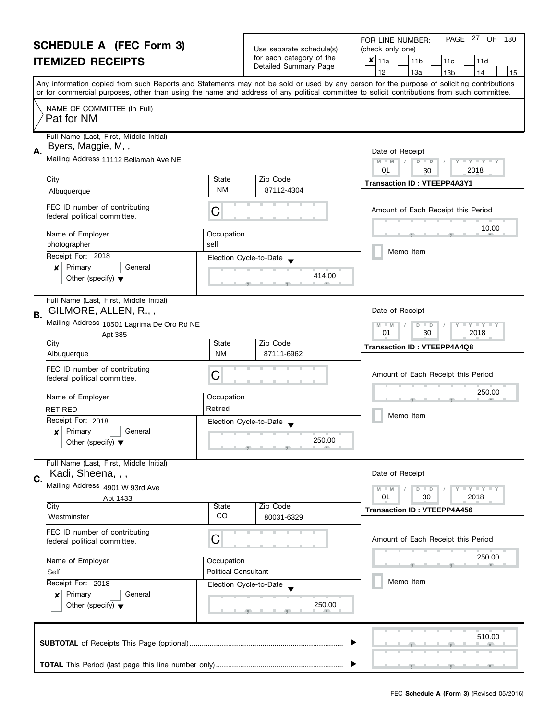| <b>SCHEDULE A (FEC Form 3)</b> |                                                                       |                                                                                                                                                                                                                                                                                         | Use separate schedule(s)                    | PAGE 27 OF<br>FOR LINE NUMBER:<br>180<br>(check only one)     |
|--------------------------------|-----------------------------------------------------------------------|-----------------------------------------------------------------------------------------------------------------------------------------------------------------------------------------------------------------------------------------------------------------------------------------|---------------------------------------------|---------------------------------------------------------------|
| <b>ITEMIZED RECEIPTS</b>       |                                                                       | for each category of the                                                                                                                                                                                                                                                                | $x _{11a}$<br>11 <sub>b</sub><br>11d<br>11c |                                                               |
|                                |                                                                       |                                                                                                                                                                                                                                                                                         | Detailed Summary Page                       | 12<br>13a<br>13 <sub>b</sub><br>14<br>15                      |
|                                |                                                                       | Any information copied from such Reports and Statements may not be sold or used by any person for the purpose of soliciting contributions<br>or for commercial purposes, other than using the name and address of any political committee to solicit contributions from such committee. |                                             |                                                               |
|                                | NAME OF COMMITTEE (In Full)<br>Pat for NM                             |                                                                                                                                                                                                                                                                                         |                                             |                                                               |
| А.                             | Full Name (Last, First, Middle Initial)<br>Byers, Maggie, M,,         |                                                                                                                                                                                                                                                                                         |                                             | Date of Receipt                                               |
|                                | Mailing Address 11112 Bellamah Ave NE                                 |                                                                                                                                                                                                                                                                                         |                                             | $M - M$<br>D<br>$T + Y = Y + T$<br>$\Box$<br>2018<br>01<br>30 |
|                                | City<br>Albuquerque                                                   | State<br><b>NM</b>                                                                                                                                                                                                                                                                      | Zip Code<br>87112-4304                      | <b>Transaction ID: VTEEPP4A3Y1</b>                            |
|                                | FEC ID number of contributing<br>federal political committee.         | С                                                                                                                                                                                                                                                                                       |                                             | Amount of Each Receipt this Period                            |
|                                | Name of Employer<br>photographer                                      | Occupation<br>self                                                                                                                                                                                                                                                                      |                                             | 10.00                                                         |
|                                | Receipt For: 2018                                                     | Election Cycle-to-Date                                                                                                                                                                                                                                                                  |                                             | Memo Item                                                     |
|                                | Primary<br>General<br>x<br>Other (specify) $\blacktriangledown$       |                                                                                                                                                                                                                                                                                         | 414.00                                      |                                                               |
| В.                             | Full Name (Last, First, Middle Initial)<br>GILMORE, ALLEN, R.,,       |                                                                                                                                                                                                                                                                                         |                                             | Date of Receipt                                               |
|                                | Mailing Address 10501 Lagrima De Oro Rd NE<br>Apt 385                 |                                                                                                                                                                                                                                                                                         |                                             | $Y - Y - Y$<br>D<br>$\Box$<br>30<br>01<br>2018                |
|                                | City<br>Albuquerque                                                   | State<br><b>NM</b>                                                                                                                                                                                                                                                                      | Zip Code<br>87111-6962                      | <b>Transaction ID: VTEEPP4A4Q8</b>                            |
|                                | FEC ID number of contributing<br>federal political committee.         | С                                                                                                                                                                                                                                                                                       |                                             | Amount of Each Receipt this Period                            |
|                                | Name of Employer                                                      | Occupation                                                                                                                                                                                                                                                                              |                                             | 250.00                                                        |
|                                | <b>RETIRED</b>                                                        | Retired                                                                                                                                                                                                                                                                                 |                                             | Memo Item                                                     |
|                                | Receipt For: 2018<br>Primary<br>General<br>$\boldsymbol{x}$           | Election Cycle-to-Date                                                                                                                                                                                                                                                                  |                                             |                                                               |
|                                | Other (specify) $\blacktriangledown$                                  |                                                                                                                                                                                                                                                                                         |                                             |                                                               |
| C.                             | Full Name (Last, First, Middle Initial)<br>Kadi, Sheena, , ,          |                                                                                                                                                                                                                                                                                         |                                             | Date of Receipt                                               |
|                                | Mailing Address 4901 W 93rd Ave                                       |                                                                                                                                                                                                                                                                                         |                                             | Y FY FY FY<br>$D$ $D$                                         |
|                                | Apt 1433<br>City                                                      | <b>State</b>                                                                                                                                                                                                                                                                            | Zip Code                                    | 01<br>30<br>2018                                              |
|                                | Westminster                                                           | <b>CO</b>                                                                                                                                                                                                                                                                               | 80031-6329                                  | <b>Transaction ID: VTEEPP4A456</b>                            |
|                                | FEC ID number of contributing<br>federal political committee.         | С                                                                                                                                                                                                                                                                                       |                                             | Amount of Each Receipt this Period                            |
|                                | Name of Employer<br>Occupation<br><b>Political Consultant</b><br>Self |                                                                                                                                                                                                                                                                                         |                                             | 250.00                                                        |
|                                |                                                                       |                                                                                                                                                                                                                                                                                         |                                             |                                                               |
|                                | Primary<br>General                                                    | Receipt For: 2018<br>Election Cycle-to-Date                                                                                                                                                                                                                                             |                                             | Memo Item                                                     |
|                                | ×<br>Other (specify) $\blacktriangledown$                             |                                                                                                                                                                                                                                                                                         | 250.00                                      |                                                               |
|                                |                                                                       |                                                                                                                                                                                                                                                                                         |                                             | 510.00                                                        |
|                                |                                                                       |                                                                                                                                                                                                                                                                                         |                                             |                                                               |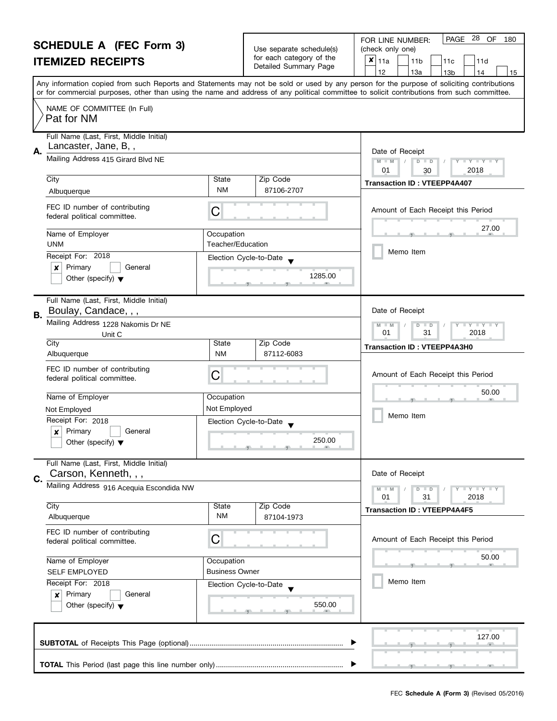| <b>SCHEDULE A (FEC Form 3)</b> |                                                                                                                                                                                                                                                                                   |                                                                                                                                                                                                                                                                                         | Use separate schedule(s)                                                     | 28 OF<br>PAGE<br>180<br>FOR LINE NUMBER:<br>(check only one)                               |  |  |  |
|--------------------------------|-----------------------------------------------------------------------------------------------------------------------------------------------------------------------------------------------------------------------------------------------------------------------------------|-----------------------------------------------------------------------------------------------------------------------------------------------------------------------------------------------------------------------------------------------------------------------------------------|------------------------------------------------------------------------------|--------------------------------------------------------------------------------------------|--|--|--|
| <b>ITEMIZED RECEIPTS</b>       |                                                                                                                                                                                                                                                                                   |                                                                                                                                                                                                                                                                                         | for each category of the                                                     | ×<br>11a<br>11 <sub>b</sub><br>11c<br>11d                                                  |  |  |  |
|                                |                                                                                                                                                                                                                                                                                   |                                                                                                                                                                                                                                                                                         | Detailed Summary Page                                                        | 12<br>13a<br>13 <sub>b</sub><br>14<br>15                                                   |  |  |  |
|                                |                                                                                                                                                                                                                                                                                   | Any information copied from such Reports and Statements may not be sold or used by any person for the purpose of soliciting contributions<br>or for commercial purposes, other than using the name and address of any political committee to solicit contributions from such committee. |                                                                              |                                                                                            |  |  |  |
|                                | NAME OF COMMITTEE (In Full)<br>Pat for NM                                                                                                                                                                                                                                         |                                                                                                                                                                                                                                                                                         |                                                                              |                                                                                            |  |  |  |
| Α.                             | Full Name (Last, First, Middle Initial)<br>Lancaster, Jane, B,,                                                                                                                                                                                                                   |                                                                                                                                                                                                                                                                                         |                                                                              | Date of Receipt                                                                            |  |  |  |
|                                | Mailing Address 415 Girard Blvd NE                                                                                                                                                                                                                                                |                                                                                                                                                                                                                                                                                         |                                                                              | $M - M$<br>$D$ $D$<br>$\mathbf{I} \times \mathbf{I} \times \mathbf{I}$<br>2018<br>01<br>30 |  |  |  |
|                                | City<br>Albuquerque                                                                                                                                                                                                                                                               | State<br>NM                                                                                                                                                                                                                                                                             | Zip Code<br>87106-2707                                                       | <b>Transaction ID: VTEEPP4A407</b>                                                         |  |  |  |
|                                | FEC ID number of contributing<br>federal political committee.                                                                                                                                                                                                                     | С                                                                                                                                                                                                                                                                                       |                                                                              | Amount of Each Receipt this Period                                                         |  |  |  |
|                                | Name of Employer<br><b>UNM</b>                                                                                                                                                                                                                                                    | Occupation<br><b>Teacher/Education</b>                                                                                                                                                                                                                                                  |                                                                              | 27.00                                                                                      |  |  |  |
|                                | Receipt For: 2018<br>Primary<br>General<br>×                                                                                                                                                                                                                                      | Election Cycle-to-Date                                                                                                                                                                                                                                                                  |                                                                              | Memo Item                                                                                  |  |  |  |
|                                | Other (specify) $\blacktriangledown$                                                                                                                                                                                                                                              |                                                                                                                                                                                                                                                                                         | 1285.00                                                                      |                                                                                            |  |  |  |
| В.                             | Full Name (Last, First, Middle Initial)<br>Boulay, Candace, , ,                                                                                                                                                                                                                   |                                                                                                                                                                                                                                                                                         |                                                                              | Date of Receipt                                                                            |  |  |  |
|                                | Mailing Address 1228 Nakomis Dr NE<br>Unit C                                                                                                                                                                                                                                      |                                                                                                                                                                                                                                                                                         |                                                                              | $Y + Y$<br>$M - M$<br>D<br>$\blacksquare$<br>31<br>01<br>2018                              |  |  |  |
|                                | City<br>Albuquerque                                                                                                                                                                                                                                                               | State<br><b>NM</b>                                                                                                                                                                                                                                                                      | Zip Code<br>87112-6083                                                       | <b>Transaction ID: VTEEPP4A3H0</b>                                                         |  |  |  |
|                                | FEC ID number of contributing<br>federal political committee.                                                                                                                                                                                                                     | С                                                                                                                                                                                                                                                                                       |                                                                              | Amount of Each Receipt this Period                                                         |  |  |  |
|                                | Name of Employer                                                                                                                                                                                                                                                                  | Occupation                                                                                                                                                                                                                                                                              |                                                                              | 50.00                                                                                      |  |  |  |
|                                | Not Employed                                                                                                                                                                                                                                                                      | Not Employed                                                                                                                                                                                                                                                                            |                                                                              |                                                                                            |  |  |  |
|                                | Receipt For: 2018<br>Primary<br>General<br>$\boldsymbol{x}$<br>Other (specify) $\blacktriangledown$                                                                                                                                                                               |                                                                                                                                                                                                                                                                                         | Election Cycle-to-Date<br>250.00<br>$-9$ and $-1$ and $-9$ and $-1$ and $-1$ | Memo Item                                                                                  |  |  |  |
|                                | Full Name (Last, First, Middle Initial)<br>Carson, Kenneth, , ,                                                                                                                                                                                                                   |                                                                                                                                                                                                                                                                                         |                                                                              | Date of Receipt                                                                            |  |  |  |
| C.                             | Mailing Address 916 Acequia Escondida NW                                                                                                                                                                                                                                          |                                                                                                                                                                                                                                                                                         |                                                                              | $T + Y = Y + Y$<br>$D$ $D$<br>2018<br>01<br>31                                             |  |  |  |
|                                | City<br>Albuquerque                                                                                                                                                                                                                                                               | State<br>ΝM                                                                                                                                                                                                                                                                             | Zip Code<br>87104-1973                                                       | <b>Transaction ID: VTEEPP4A4F5</b>                                                         |  |  |  |
|                                | FEC ID number of contributing<br>С<br>federal political committee.<br>Name of Employer<br>Occupation<br><b>Business Owner</b><br><b>SELF EMPLOYED</b><br>Receipt For: 2018<br>Election Cycle-to-Date<br>Primary<br>General<br>×<br>550.00<br>Other (specify) $\blacktriangledown$ |                                                                                                                                                                                                                                                                                         | Amount of Each Receipt this Period                                           |                                                                                            |  |  |  |
|                                |                                                                                                                                                                                                                                                                                   |                                                                                                                                                                                                                                                                                         |                                                                              | 50.00                                                                                      |  |  |  |
|                                |                                                                                                                                                                                                                                                                                   |                                                                                                                                                                                                                                                                                         |                                                                              | Memo Item                                                                                  |  |  |  |
|                                |                                                                                                                                                                                                                                                                                   |                                                                                                                                                                                                                                                                                         |                                                                              |                                                                                            |  |  |  |
|                                |                                                                                                                                                                                                                                                                                   |                                                                                                                                                                                                                                                                                         |                                                                              | 127.00                                                                                     |  |  |  |
|                                |                                                                                                                                                                                                                                                                                   |                                                                                                                                                                                                                                                                                         |                                                                              |                                                                                            |  |  |  |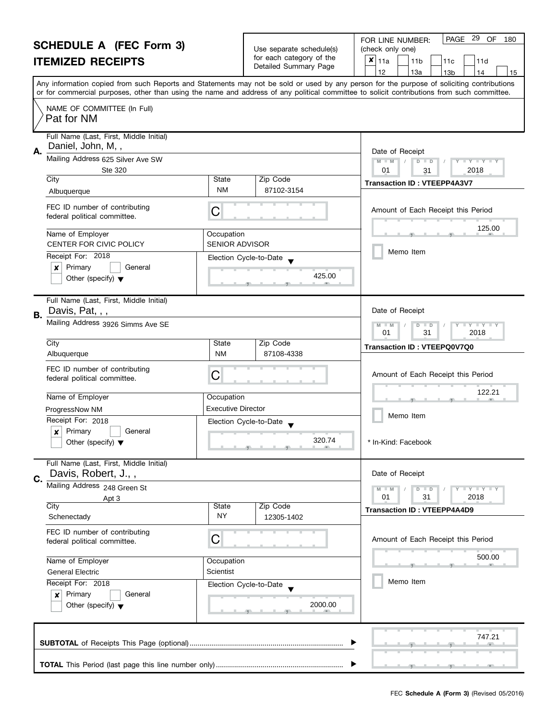|                          | <b>I OIL LINE INOINIE</b> |  |
|--------------------------|---------------------------|--|
| Use separate schedule(s) | (check only one)          |  |
| for each category of the | $\mathbf{x} _{11a}$       |  |
| Detailed Summary Page    |                           |  |

FOR LINE NUMBER: PAGE 29 OF

PAGE 29 OF 180

|                  | <b>ITEMIZED RECEIPTS</b>                                                                                     |                           | Use separate scriedule(s)<br>for each category of the<br>Detailed Summary Page | (Crieck only one)<br>$\boldsymbol{x}$<br>11a<br>11 <sub>b</sub><br>11c<br>11d<br>12<br>13a<br>14<br>15<br>13 <sub>b</sub>                                                                                                                                                               |
|------------------|--------------------------------------------------------------------------------------------------------------|---------------------------|--------------------------------------------------------------------------------|-----------------------------------------------------------------------------------------------------------------------------------------------------------------------------------------------------------------------------------------------------------------------------------------|
|                  |                                                                                                              |                           |                                                                                | Any information copied from such Reports and Statements may not be sold or used by any person for the purpose of soliciting contributions<br>or for commercial purposes, other than using the name and address of any political committee to solicit contributions from such committee. |
|                  | NAME OF COMMITTEE (In Full)<br>Pat for NM                                                                    |                           |                                                                                |                                                                                                                                                                                                                                                                                         |
| А.               | Full Name (Last, First, Middle Initial)<br>Daniel, John, M,,<br>Mailing Address 625 Silver Ave SW<br>Ste 320 |                           |                                                                                | Date of Receipt<br>$D$ $D$<br>$Y = Y = Y' + Y'$<br>$M - M$<br>01<br>2018<br>31                                                                                                                                                                                                          |
|                  | City                                                                                                         | State                     | Zip Code                                                                       | <b>Transaction ID: VTEEPP4A3V7</b>                                                                                                                                                                                                                                                      |
|                  | Albuquerque                                                                                                  | <b>NM</b>                 | 87102-3154                                                                     |                                                                                                                                                                                                                                                                                         |
|                  | FEC ID number of contributing<br>federal political committee.                                                | C                         |                                                                                | Amount of Each Receipt this Period                                                                                                                                                                                                                                                      |
|                  | Name of Employer                                                                                             | Occupation                |                                                                                | 125.00                                                                                                                                                                                                                                                                                  |
|                  | <b>CENTER FOR CIVIC POLICY</b>                                                                               | <b>SENIOR ADVISOR</b>     |                                                                                |                                                                                                                                                                                                                                                                                         |
|                  | Receipt For: 2018<br>Primary<br>General<br>×                                                                 |                           | Election Cycle-to-Date<br>425.00                                               | Memo Item                                                                                                                                                                                                                                                                               |
|                  | Other (specify) $\blacktriangledown$                                                                         |                           |                                                                                |                                                                                                                                                                                                                                                                                         |
| В.               | Full Name (Last, First, Middle Initial)<br>Davis, Pat, , ,                                                   |                           |                                                                                | Date of Receipt                                                                                                                                                                                                                                                                         |
|                  | Mailing Address 3926 Simms Ave SE                                                                            |                           |                                                                                | $T + Y = Y + Y$<br>$M - M$<br>$D$ $D$<br>01<br>31<br>2018                                                                                                                                                                                                                               |
|                  | City<br>Albuquerque                                                                                          | State<br><b>NM</b>        | Zip Code<br>87108-4338                                                         | Transaction ID: VTEEPQ0V7Q0                                                                                                                                                                                                                                                             |
|                  | FEC ID number of contributing<br>federal political committee.                                                | С                         |                                                                                | Amount of Each Receipt this Period                                                                                                                                                                                                                                                      |
|                  | Name of Employer                                                                                             | Occupation                |                                                                                | 122.21                                                                                                                                                                                                                                                                                  |
|                  | ProgressNow NM                                                                                               | <b>Executive Director</b> |                                                                                |                                                                                                                                                                                                                                                                                         |
|                  | Receipt For: 2018                                                                                            |                           | Election Cycle-to-Date                                                         | Memo Item                                                                                                                                                                                                                                                                               |
|                  | Primary<br>General<br>$\pmb{\times}$<br>Other (specify) $\blacktriangledown$                                 |                           | 320.74                                                                         | * In-Kind: Facebook                                                                                                                                                                                                                                                                     |
| C.               | Full Name (Last, First, Middle Initial)<br>Davis, Robert, J.,,                                               | Date of Receipt           |                                                                                |                                                                                                                                                                                                                                                                                         |
|                  | Mailing Address 248 Green St                                                                                 |                           |                                                                                | $M - M$<br><b>LYLYLY</b><br>$D$ $D$                                                                                                                                                                                                                                                     |
|                  | Apt 3<br>City                                                                                                | State                     | Zip Code                                                                       | 01<br>31<br>2018                                                                                                                                                                                                                                                                        |
|                  | Schenectady                                                                                                  | NY                        | 12305-1402                                                                     | <b>Transaction ID: VTEEPP4A4D9</b>                                                                                                                                                                                                                                                      |
|                  | FEC ID number of contributing<br>federal political committee.                                                | C                         |                                                                                | Amount of Each Receipt this Period                                                                                                                                                                                                                                                      |
| Name of Employer |                                                                                                              | Occupation                |                                                                                | 500.00                                                                                                                                                                                                                                                                                  |
|                  | Scientist<br><b>General Electric</b><br>Receipt For: 2018<br>Election Cycle-to-Date                          |                           |                                                                                |                                                                                                                                                                                                                                                                                         |
|                  |                                                                                                              |                           | Memo Item                                                                      |                                                                                                                                                                                                                                                                                         |
|                  | Primary<br>General<br>$\boldsymbol{x}$<br>Other (specify) $\blacktriangledown$                               |                           | 2000.00                                                                        |                                                                                                                                                                                                                                                                                         |
|                  |                                                                                                              |                           |                                                                                |                                                                                                                                                                                                                                                                                         |
|                  |                                                                                                              |                           |                                                                                | 747.21                                                                                                                                                                                                                                                                                  |
|                  |                                                                                                              |                           |                                                                                |                                                                                                                                                                                                                                                                                         |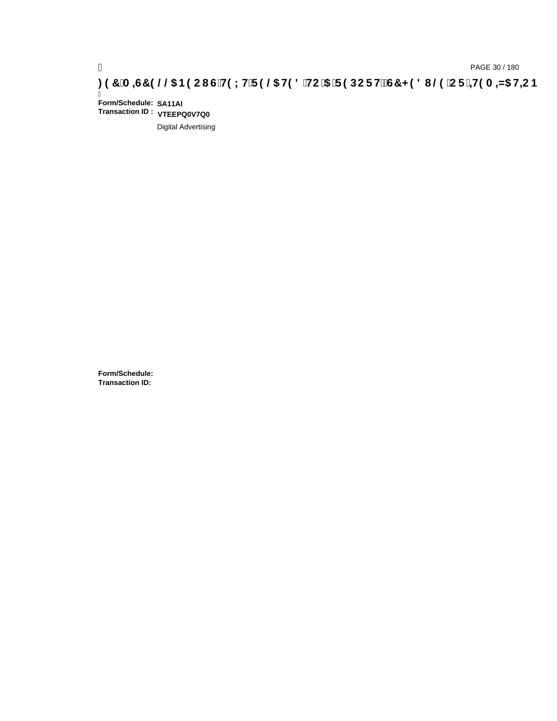# ) PAGE 30 / 180<br>DAGE 30 / 180 PAGE 30 / 180 PAGE 30 / 180<br>DETERMINED @ TO FHEAD AND HEAR 19 20 DETERMINED \$PASS THAT HEAR HEAR 197 A ST 9 2013 NOTERMINED \$PASS THAT 198

Ī **Form/Schedule: SA11AI Transaction ID : VTEEPQ0V7Q0**

Digital Advertising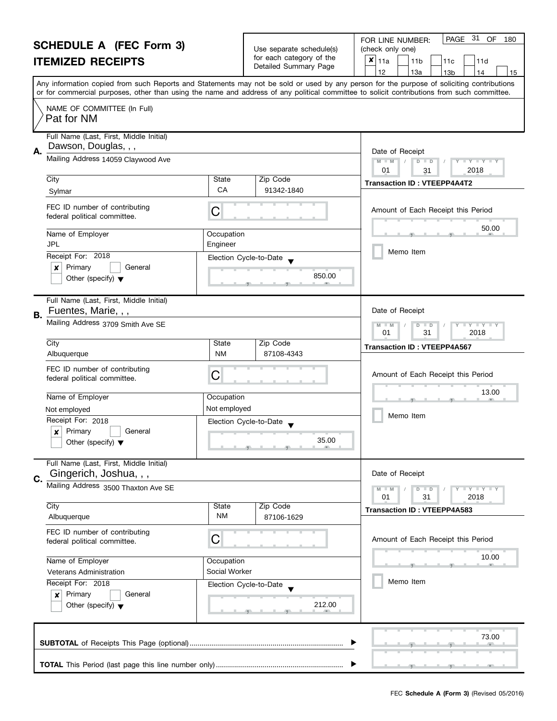| for each category of the<br>$x _{11a}$<br><b>ITEMIZED RECEIPTS</b><br>11 <sub>b</sub><br>11d<br>11c<br>Detailed Summary Page<br>12<br>13a<br>13 <sub>b</sub><br>14<br>Any information copied from such Reports and Statements may not be sold or used by any person for the purpose of soliciting contributions<br>or for commercial purposes, other than using the name and address of any political committee to solicit contributions from such committee.<br>NAME OF COMMITTEE (In Full)<br>Pat for NM<br>Full Name (Last, First, Middle Initial)<br>Dawson, Douglas, , ,<br>А.<br>Date of Receipt<br>Mailing Address 14059 Claywood Ave<br>$M - M$<br>$D$ $D$<br>$\Box$ $\Upsilon$ $\Box$ $\Upsilon$ $\Box$<br>2018<br>01<br>31<br>City<br>Zip Code<br>State<br><b>Transaction ID: VTEEPP4A4T2</b><br><b>CA</b><br>91342-1840<br>Sylmar<br>FEC ID number of contributing<br>C<br>Amount of Each Receipt this Period<br>federal political committee.<br>50.00<br>Name of Employer<br>Occupation<br><b>JPL</b><br>Engineer<br>Memo Item<br>Receipt For: 2018<br>Election Cycle-to-Date<br>Primary<br>General<br>×<br>850.00<br>Other (specify) $\blacktriangledown$<br>Full Name (Last, First, Middle Initial)<br>Fuentes, Marie, , ,<br>Date of Receipt<br>В.<br>Mailing Address 3709 Smith Ave SE<br>$\bot$ $\gamma$ $\bot$ $\gamma$ $\bot$ $\gamma$<br>M<br>$-M$<br>D<br>$\Box$<br>01<br>31<br>2018<br>Zip Code<br>City<br>State<br><b>Transaction ID: VTEEPP4A567</b><br><b>NM</b><br>87108-4343<br>Albuquerque<br>FEC ID number of contributing<br>C<br>Amount of Each Receipt this Period<br>federal political committee.<br>13.00<br>Name of Employer<br>Occupation<br>Not employed<br>Not employed<br>Memo Item<br>Receipt For: 2018<br>Election Cycle-to-Date<br>Primary<br>General<br>$\boldsymbol{x}$<br>35.00<br>Other (specify) $\blacktriangledown$<br>Full Name (Last, First, Middle Initial)<br>Gingerich, Joshua, , ,<br>Date of Receipt<br>C.<br>Mailing Address 3500 Thaxton Ave SE<br>$T + Y = Y + Y$<br>$M - M$<br>$D$ $D$<br>2018<br>01<br>31<br>City<br>Zip Code<br>State<br><b>Transaction ID: VTEEPP4A583</b><br><b>NM</b><br>Albuquerque<br>87106-1629<br>FEC ID number of contributing<br>C<br>Amount of Each Receipt this Period<br>federal political committee.<br>10.00<br>Name of Employer<br>Occupation | <b>SCHEDULE A (FEC Form 3)</b> |                                                 |  |                          | PAGE 31 OF<br>180<br>FOR LINE NUMBER: |  |
|--------------------------------------------------------------------------------------------------------------------------------------------------------------------------------------------------------------------------------------------------------------------------------------------------------------------------------------------------------------------------------------------------------------------------------------------------------------------------------------------------------------------------------------------------------------------------------------------------------------------------------------------------------------------------------------------------------------------------------------------------------------------------------------------------------------------------------------------------------------------------------------------------------------------------------------------------------------------------------------------------------------------------------------------------------------------------------------------------------------------------------------------------------------------------------------------------------------------------------------------------------------------------------------------------------------------------------------------------------------------------------------------------------------------------------------------------------------------------------------------------------------------------------------------------------------------------------------------------------------------------------------------------------------------------------------------------------------------------------------------------------------------------------------------------------------------------------------------------------------------------------------------------------------------------------------------------------------------------------------------------------------------------------------------------------------------------------------------------------------------------------------------------------------------------------------------------------------------------------------------------------------------------------------------------------------------------------------------|--------------------------------|-------------------------------------------------|--|--------------------------|---------------------------------------|--|
|                                                                                                                                                                                                                                                                                                                                                                                                                                                                                                                                                                                                                                                                                                                                                                                                                                                                                                                                                                                                                                                                                                                                                                                                                                                                                                                                                                                                                                                                                                                                                                                                                                                                                                                                                                                                                                                                                                                                                                                                                                                                                                                                                                                                                                                                                                                                            |                                |                                                 |  | Use separate schedule(s) | (check only one)                      |  |
|                                                                                                                                                                                                                                                                                                                                                                                                                                                                                                                                                                                                                                                                                                                                                                                                                                                                                                                                                                                                                                                                                                                                                                                                                                                                                                                                                                                                                                                                                                                                                                                                                                                                                                                                                                                                                                                                                                                                                                                                                                                                                                                                                                                                                                                                                                                                            |                                |                                                 |  |                          |                                       |  |
|                                                                                                                                                                                                                                                                                                                                                                                                                                                                                                                                                                                                                                                                                                                                                                                                                                                                                                                                                                                                                                                                                                                                                                                                                                                                                                                                                                                                                                                                                                                                                                                                                                                                                                                                                                                                                                                                                                                                                                                                                                                                                                                                                                                                                                                                                                                                            |                                |                                                 |  |                          | 15                                    |  |
|                                                                                                                                                                                                                                                                                                                                                                                                                                                                                                                                                                                                                                                                                                                                                                                                                                                                                                                                                                                                                                                                                                                                                                                                                                                                                                                                                                                                                                                                                                                                                                                                                                                                                                                                                                                                                                                                                                                                                                                                                                                                                                                                                                                                                                                                                                                                            |                                |                                                 |  |                          |                                       |  |
|                                                                                                                                                                                                                                                                                                                                                                                                                                                                                                                                                                                                                                                                                                                                                                                                                                                                                                                                                                                                                                                                                                                                                                                                                                                                                                                                                                                                                                                                                                                                                                                                                                                                                                                                                                                                                                                                                                                                                                                                                                                                                                                                                                                                                                                                                                                                            |                                |                                                 |  |                          |                                       |  |
|                                                                                                                                                                                                                                                                                                                                                                                                                                                                                                                                                                                                                                                                                                                                                                                                                                                                                                                                                                                                                                                                                                                                                                                                                                                                                                                                                                                                                                                                                                                                                                                                                                                                                                                                                                                                                                                                                                                                                                                                                                                                                                                                                                                                                                                                                                                                            |                                |                                                 |  |                          |                                       |  |
|                                                                                                                                                                                                                                                                                                                                                                                                                                                                                                                                                                                                                                                                                                                                                                                                                                                                                                                                                                                                                                                                                                                                                                                                                                                                                                                                                                                                                                                                                                                                                                                                                                                                                                                                                                                                                                                                                                                                                                                                                                                                                                                                                                                                                                                                                                                                            |                                |                                                 |  |                          |                                       |  |
|                                                                                                                                                                                                                                                                                                                                                                                                                                                                                                                                                                                                                                                                                                                                                                                                                                                                                                                                                                                                                                                                                                                                                                                                                                                                                                                                                                                                                                                                                                                                                                                                                                                                                                                                                                                                                                                                                                                                                                                                                                                                                                                                                                                                                                                                                                                                            |                                |                                                 |  |                          |                                       |  |
|                                                                                                                                                                                                                                                                                                                                                                                                                                                                                                                                                                                                                                                                                                                                                                                                                                                                                                                                                                                                                                                                                                                                                                                                                                                                                                                                                                                                                                                                                                                                                                                                                                                                                                                                                                                                                                                                                                                                                                                                                                                                                                                                                                                                                                                                                                                                            |                                |                                                 |  |                          |                                       |  |
|                                                                                                                                                                                                                                                                                                                                                                                                                                                                                                                                                                                                                                                                                                                                                                                                                                                                                                                                                                                                                                                                                                                                                                                                                                                                                                                                                                                                                                                                                                                                                                                                                                                                                                                                                                                                                                                                                                                                                                                                                                                                                                                                                                                                                                                                                                                                            |                                |                                                 |  |                          |                                       |  |
|                                                                                                                                                                                                                                                                                                                                                                                                                                                                                                                                                                                                                                                                                                                                                                                                                                                                                                                                                                                                                                                                                                                                                                                                                                                                                                                                                                                                                                                                                                                                                                                                                                                                                                                                                                                                                                                                                                                                                                                                                                                                                                                                                                                                                                                                                                                                            |                                |                                                 |  |                          |                                       |  |
|                                                                                                                                                                                                                                                                                                                                                                                                                                                                                                                                                                                                                                                                                                                                                                                                                                                                                                                                                                                                                                                                                                                                                                                                                                                                                                                                                                                                                                                                                                                                                                                                                                                                                                                                                                                                                                                                                                                                                                                                                                                                                                                                                                                                                                                                                                                                            |                                |                                                 |  |                          |                                       |  |
|                                                                                                                                                                                                                                                                                                                                                                                                                                                                                                                                                                                                                                                                                                                                                                                                                                                                                                                                                                                                                                                                                                                                                                                                                                                                                                                                                                                                                                                                                                                                                                                                                                                                                                                                                                                                                                                                                                                                                                                                                                                                                                                                                                                                                                                                                                                                            |                                |                                                 |  |                          |                                       |  |
|                                                                                                                                                                                                                                                                                                                                                                                                                                                                                                                                                                                                                                                                                                                                                                                                                                                                                                                                                                                                                                                                                                                                                                                                                                                                                                                                                                                                                                                                                                                                                                                                                                                                                                                                                                                                                                                                                                                                                                                                                                                                                                                                                                                                                                                                                                                                            |                                |                                                 |  |                          |                                       |  |
|                                                                                                                                                                                                                                                                                                                                                                                                                                                                                                                                                                                                                                                                                                                                                                                                                                                                                                                                                                                                                                                                                                                                                                                                                                                                                                                                                                                                                                                                                                                                                                                                                                                                                                                                                                                                                                                                                                                                                                                                                                                                                                                                                                                                                                                                                                                                            |                                |                                                 |  |                          |                                       |  |
|                                                                                                                                                                                                                                                                                                                                                                                                                                                                                                                                                                                                                                                                                                                                                                                                                                                                                                                                                                                                                                                                                                                                                                                                                                                                                                                                                                                                                                                                                                                                                                                                                                                                                                                                                                                                                                                                                                                                                                                                                                                                                                                                                                                                                                                                                                                                            |                                |                                                 |  |                          |                                       |  |
|                                                                                                                                                                                                                                                                                                                                                                                                                                                                                                                                                                                                                                                                                                                                                                                                                                                                                                                                                                                                                                                                                                                                                                                                                                                                                                                                                                                                                                                                                                                                                                                                                                                                                                                                                                                                                                                                                                                                                                                                                                                                                                                                                                                                                                                                                                                                            |                                |                                                 |  |                          |                                       |  |
|                                                                                                                                                                                                                                                                                                                                                                                                                                                                                                                                                                                                                                                                                                                                                                                                                                                                                                                                                                                                                                                                                                                                                                                                                                                                                                                                                                                                                                                                                                                                                                                                                                                                                                                                                                                                                                                                                                                                                                                                                                                                                                                                                                                                                                                                                                                                            |                                |                                                 |  |                          |                                       |  |
|                                                                                                                                                                                                                                                                                                                                                                                                                                                                                                                                                                                                                                                                                                                                                                                                                                                                                                                                                                                                                                                                                                                                                                                                                                                                                                                                                                                                                                                                                                                                                                                                                                                                                                                                                                                                                                                                                                                                                                                                                                                                                                                                                                                                                                                                                                                                            |                                |                                                 |  |                          |                                       |  |
|                                                                                                                                                                                                                                                                                                                                                                                                                                                                                                                                                                                                                                                                                                                                                                                                                                                                                                                                                                                                                                                                                                                                                                                                                                                                                                                                                                                                                                                                                                                                                                                                                                                                                                                                                                                                                                                                                                                                                                                                                                                                                                                                                                                                                                                                                                                                            |                                |                                                 |  |                          |                                       |  |
|                                                                                                                                                                                                                                                                                                                                                                                                                                                                                                                                                                                                                                                                                                                                                                                                                                                                                                                                                                                                                                                                                                                                                                                                                                                                                                                                                                                                                                                                                                                                                                                                                                                                                                                                                                                                                                                                                                                                                                                                                                                                                                                                                                                                                                                                                                                                            |                                |                                                 |  |                          |                                       |  |
|                                                                                                                                                                                                                                                                                                                                                                                                                                                                                                                                                                                                                                                                                                                                                                                                                                                                                                                                                                                                                                                                                                                                                                                                                                                                                                                                                                                                                                                                                                                                                                                                                                                                                                                                                                                                                                                                                                                                                                                                                                                                                                                                                                                                                                                                                                                                            |                                |                                                 |  |                          |                                       |  |
|                                                                                                                                                                                                                                                                                                                                                                                                                                                                                                                                                                                                                                                                                                                                                                                                                                                                                                                                                                                                                                                                                                                                                                                                                                                                                                                                                                                                                                                                                                                                                                                                                                                                                                                                                                                                                                                                                                                                                                                                                                                                                                                                                                                                                                                                                                                                            |                                |                                                 |  |                          |                                       |  |
|                                                                                                                                                                                                                                                                                                                                                                                                                                                                                                                                                                                                                                                                                                                                                                                                                                                                                                                                                                                                                                                                                                                                                                                                                                                                                                                                                                                                                                                                                                                                                                                                                                                                                                                                                                                                                                                                                                                                                                                                                                                                                                                                                                                                                                                                                                                                            |                                |                                                 |  |                          |                                       |  |
|                                                                                                                                                                                                                                                                                                                                                                                                                                                                                                                                                                                                                                                                                                                                                                                                                                                                                                                                                                                                                                                                                                                                                                                                                                                                                                                                                                                                                                                                                                                                                                                                                                                                                                                                                                                                                                                                                                                                                                                                                                                                                                                                                                                                                                                                                                                                            |                                |                                                 |  |                          |                                       |  |
|                                                                                                                                                                                                                                                                                                                                                                                                                                                                                                                                                                                                                                                                                                                                                                                                                                                                                                                                                                                                                                                                                                                                                                                                                                                                                                                                                                                                                                                                                                                                                                                                                                                                                                                                                                                                                                                                                                                                                                                                                                                                                                                                                                                                                                                                                                                                            |                                |                                                 |  |                          |                                       |  |
|                                                                                                                                                                                                                                                                                                                                                                                                                                                                                                                                                                                                                                                                                                                                                                                                                                                                                                                                                                                                                                                                                                                                                                                                                                                                                                                                                                                                                                                                                                                                                                                                                                                                                                                                                                                                                                                                                                                                                                                                                                                                                                                                                                                                                                                                                                                                            |                                |                                                 |  |                          |                                       |  |
|                                                                                                                                                                                                                                                                                                                                                                                                                                                                                                                                                                                                                                                                                                                                                                                                                                                                                                                                                                                                                                                                                                                                                                                                                                                                                                                                                                                                                                                                                                                                                                                                                                                                                                                                                                                                                                                                                                                                                                                                                                                                                                                                                                                                                                                                                                                                            |                                |                                                 |  |                          |                                       |  |
|                                                                                                                                                                                                                                                                                                                                                                                                                                                                                                                                                                                                                                                                                                                                                                                                                                                                                                                                                                                                                                                                                                                                                                                                                                                                                                                                                                                                                                                                                                                                                                                                                                                                                                                                                                                                                                                                                                                                                                                                                                                                                                                                                                                                                                                                                                                                            |                                |                                                 |  |                          |                                       |  |
|                                                                                                                                                                                                                                                                                                                                                                                                                                                                                                                                                                                                                                                                                                                                                                                                                                                                                                                                                                                                                                                                                                                                                                                                                                                                                                                                                                                                                                                                                                                                                                                                                                                                                                                                                                                                                                                                                                                                                                                                                                                                                                                                                                                                                                                                                                                                            |                                |                                                 |  |                          |                                       |  |
|                                                                                                                                                                                                                                                                                                                                                                                                                                                                                                                                                                                                                                                                                                                                                                                                                                                                                                                                                                                                                                                                                                                                                                                                                                                                                                                                                                                                                                                                                                                                                                                                                                                                                                                                                                                                                                                                                                                                                                                                                                                                                                                                                                                                                                                                                                                                            |                                | Social Worker<br><b>Veterans Administration</b> |  |                          |                                       |  |
|                                                                                                                                                                                                                                                                                                                                                                                                                                                                                                                                                                                                                                                                                                                                                                                                                                                                                                                                                                                                                                                                                                                                                                                                                                                                                                                                                                                                                                                                                                                                                                                                                                                                                                                                                                                                                                                                                                                                                                                                                                                                                                                                                                                                                                                                                                                                            |                                |                                                 |  |                          |                                       |  |
|                                                                                                                                                                                                                                                                                                                                                                                                                                                                                                                                                                                                                                                                                                                                                                                                                                                                                                                                                                                                                                                                                                                                                                                                                                                                                                                                                                                                                                                                                                                                                                                                                                                                                                                                                                                                                                                                                                                                                                                                                                                                                                                                                                                                                                                                                                                                            |                                |                                                 |  |                          |                                       |  |
| Memo Item<br>Receipt For: 2018<br>Election Cycle-to-Date                                                                                                                                                                                                                                                                                                                                                                                                                                                                                                                                                                                                                                                                                                                                                                                                                                                                                                                                                                                                                                                                                                                                                                                                                                                                                                                                                                                                                                                                                                                                                                                                                                                                                                                                                                                                                                                                                                                                                                                                                                                                                                                                                                                                                                                                                   |                                |                                                 |  |                          |                                       |  |
| Primary<br>General<br>×                                                                                                                                                                                                                                                                                                                                                                                                                                                                                                                                                                                                                                                                                                                                                                                                                                                                                                                                                                                                                                                                                                                                                                                                                                                                                                                                                                                                                                                                                                                                                                                                                                                                                                                                                                                                                                                                                                                                                                                                                                                                                                                                                                                                                                                                                                                    |                                |                                                 |  |                          |                                       |  |
| 212.00<br>Other (specify) $\blacktriangledown$                                                                                                                                                                                                                                                                                                                                                                                                                                                                                                                                                                                                                                                                                                                                                                                                                                                                                                                                                                                                                                                                                                                                                                                                                                                                                                                                                                                                                                                                                                                                                                                                                                                                                                                                                                                                                                                                                                                                                                                                                                                                                                                                                                                                                                                                                             |                                |                                                 |  |                          |                                       |  |
| 73.00                                                                                                                                                                                                                                                                                                                                                                                                                                                                                                                                                                                                                                                                                                                                                                                                                                                                                                                                                                                                                                                                                                                                                                                                                                                                                                                                                                                                                                                                                                                                                                                                                                                                                                                                                                                                                                                                                                                                                                                                                                                                                                                                                                                                                                                                                                                                      |                                |                                                 |  |                          |                                       |  |
|                                                                                                                                                                                                                                                                                                                                                                                                                                                                                                                                                                                                                                                                                                                                                                                                                                                                                                                                                                                                                                                                                                                                                                                                                                                                                                                                                                                                                                                                                                                                                                                                                                                                                                                                                                                                                                                                                                                                                                                                                                                                                                                                                                                                                                                                                                                                            |                                |                                                 |  |                          |                                       |  |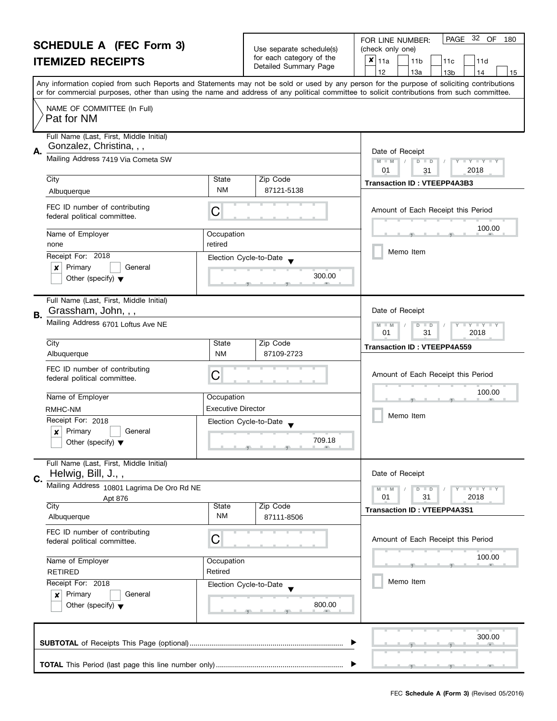|        | <b>SCHEDULE A (FEC Form 3)</b><br><b>ITEMIZED RECEIPTS</b>                                                     |                              | Use separate schedule(s)<br>for each category of the<br>Detailed Summary Page | 32 OF<br><b>PAGE</b><br>180<br>FOR LINE NUMBER:<br>(check only one)<br>×<br>11a<br>11 <sub>b</sub><br>11d<br>11c<br>12<br>13a<br>13 <sub>b</sub><br>14<br>15                                                                                                                            |  |
|--------|----------------------------------------------------------------------------------------------------------------|------------------------------|-------------------------------------------------------------------------------|-----------------------------------------------------------------------------------------------------------------------------------------------------------------------------------------------------------------------------------------------------------------------------------------|--|
|        |                                                                                                                |                              |                                                                               | Any information copied from such Reports and Statements may not be sold or used by any person for the purpose of soliciting contributions<br>or for commercial purposes, other than using the name and address of any political committee to solicit contributions from such committee. |  |
|        | NAME OF COMMITTEE (In Full)<br>Pat for NM                                                                      |                              |                                                                               |                                                                                                                                                                                                                                                                                         |  |
| А.     | Full Name (Last, First, Middle Initial)<br>Gonzalez, Christina, , ,                                            |                              |                                                                               | Date of Receipt                                                                                                                                                                                                                                                                         |  |
|        | Mailing Address 7419 Via Cometa SW<br>City                                                                     | State                        | Zip Code                                                                      | $D$ $D$<br>$\begin{array}{c c c c c} \hline \textbf{I} & \textbf{Y} & \textbf{I} & \textbf{Y} & \textbf{I} & \textbf{Y} \\\hline \end{array}$<br>$M - M$<br>01<br>2018<br>31                                                                                                            |  |
|        | Albuquerque                                                                                                    | NM                           | 87121-5138                                                                    | <b>Transaction ID: VTEEPP4A3B3</b>                                                                                                                                                                                                                                                      |  |
|        | FEC ID number of contributing<br>federal political committee.                                                  | C                            |                                                                               | Amount of Each Receipt this Period                                                                                                                                                                                                                                                      |  |
|        | Name of Employer<br>none                                                                                       | Occupation<br>retired        |                                                                               | 100.00                                                                                                                                                                                                                                                                                  |  |
|        | Receipt For: 2018<br>Primary<br>General<br>x<br>Other (specify) $\blacktriangledown$                           | Election Cycle-to-Date       | 300.00                                                                        | Memo Item                                                                                                                                                                                                                                                                               |  |
| В.     | Full Name (Last, First, Middle Initial)<br>Grassham, John, , ,<br>Mailing Address 6701 Loftus Ave NE           |                              |                                                                               | Date of Receipt                                                                                                                                                                                                                                                                         |  |
|        |                                                                                                                |                              |                                                                               | $\bot$ Y $\bot$ Y $\bot$ Y<br>$M - M$<br>$D$ $D$<br>01<br>31<br>2018                                                                                                                                                                                                                    |  |
|        | City<br>Albuquerque                                                                                            | State<br><b>NM</b>           | Zip Code<br>87109-2723                                                        | <b>Transaction ID: VTEEPP4A559</b>                                                                                                                                                                                                                                                      |  |
|        | FEC ID number of contributing<br>federal political committee.                                                  | C                            |                                                                               | Amount of Each Receipt this Period                                                                                                                                                                                                                                                      |  |
|        | Name of Employer                                                                                               | Occupation                   |                                                                               | 100.00                                                                                                                                                                                                                                                                                  |  |
|        | RMHC-NM                                                                                                        | <b>Executive Director</b>    |                                                                               | Memo Item                                                                                                                                                                                                                                                                               |  |
|        | Receipt For: 2018<br>Election Cycle-to-Date<br>Primary<br>General<br>X<br>Other (specify) $\blacktriangledown$ |                              | 709.18                                                                        |                                                                                                                                                                                                                                                                                         |  |
| C.     | Full Name (Last, First, Middle Initial)<br>Helwig, Bill, J.,,                                                  |                              |                                                                               | Date of Receipt                                                                                                                                                                                                                                                                         |  |
|        | Mailing Address 10801 Lagrima De Oro Rd NE<br>Apt 876                                                          |                              |                                                                               | Y I Y I Y I Y<br>$M - M$<br>$D$ $D$<br>01<br>31<br>2018                                                                                                                                                                                                                                 |  |
|        | City<br>Albuquerque                                                                                            | <b>State</b><br><b>NM</b>    | Zip Code<br>87111-8506                                                        | <b>Transaction ID: VTEEPP4A3S1</b>                                                                                                                                                                                                                                                      |  |
|        | FEC ID number of contributing<br>federal political committee.                                                  | С                            |                                                                               | Amount of Each Receipt this Period                                                                                                                                                                                                                                                      |  |
|        | Name of Employer<br>Occupation<br>Retired<br><b>RETIRED</b><br>Receipt For: 2018                               |                              |                                                                               | 100.00<br>小                                                                                                                                                                                                                                                                             |  |
|        |                                                                                                                |                              | Election Cycle-to-Date                                                        | Memo Item                                                                                                                                                                                                                                                                               |  |
|        | ×<br>Other (specify) $\blacktriangledown$                                                                      | Primary<br>General<br>800.00 |                                                                               |                                                                                                                                                                                                                                                                                         |  |
| 300.00 |                                                                                                                |                              |                                                                               |                                                                                                                                                                                                                                                                                         |  |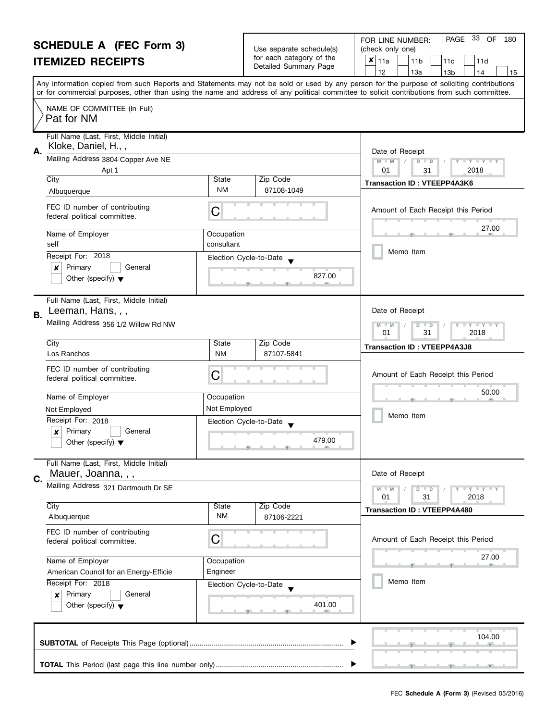|                                                   | FOR LINE NUMBER:              |
|---------------------------------------------------|-------------------------------|
| Use separate schedule(s)                          | (check only one)              |
| for each category of the<br>Detailed Summary Page | $x _{11a}$<br>11 <sub>b</sub> |
|                                                   |                               |

|                                            | OUNEDULE A (LEA LONN 9)                                         |                    | Use separate schedule(s)                          | (check only one)                                                                                                                                                                                                                                                                        |
|--------------------------------------------|-----------------------------------------------------------------|--------------------|---------------------------------------------------|-----------------------------------------------------------------------------------------------------------------------------------------------------------------------------------------------------------------------------------------------------------------------------------------|
|                                            | <b>ITEMIZED RECEIPTS</b>                                        |                    | for each category of the<br>Detailed Summary Page | x<br>11a<br>11 <sub>b</sub><br>11d<br>11c<br>12<br>13a<br>13 <sub>b</sub><br>14<br>15                                                                                                                                                                                                   |
|                                            |                                                                 |                    |                                                   | Any information copied from such Reports and Statements may not be sold or used by any person for the purpose of soliciting contributions<br>or for commercial purposes, other than using the name and address of any political committee to solicit contributions from such committee. |
|                                            | NAME OF COMMITTEE (In Full)<br>Pat for NM                       |                    |                                                   |                                                                                                                                                                                                                                                                                         |
|                                            | Full Name (Last, First, Middle Initial)                         |                    |                                                   |                                                                                                                                                                                                                                                                                         |
| А.                                         | Kloke, Daniel, H.,,                                             |                    |                                                   | Date of Receipt                                                                                                                                                                                                                                                                         |
|                                            | Mailing Address 3804 Copper Ave NE<br>Apt 1                     |                    |                                                   | $M - M$<br>$\Box$ $\gamma$ $\Box$ $\gamma$ $\Box$<br>$D$ $D$<br>01<br>2018<br>31                                                                                                                                                                                                        |
|                                            | City                                                            | State<br><b>NM</b> | Zip Code<br>87108-1049                            | <b>Transaction ID: VTEEPP4A3K6</b>                                                                                                                                                                                                                                                      |
|                                            | Albuquerque                                                     |                    |                                                   |                                                                                                                                                                                                                                                                                         |
|                                            | FEC ID number of contributing<br>federal political committee.   | C                  |                                                   | Amount of Each Receipt this Period                                                                                                                                                                                                                                                      |
|                                            | Name of Employer                                                | Occupation         |                                                   | 27.00                                                                                                                                                                                                                                                                                   |
|                                            | self                                                            | consultant         |                                                   |                                                                                                                                                                                                                                                                                         |
|                                            | Receipt For: 2018                                               |                    | Election Cycle-to-Date                            | Memo Item                                                                                                                                                                                                                                                                               |
|                                            | Primary<br>General<br>×                                         |                    |                                                   |                                                                                                                                                                                                                                                                                         |
|                                            | Other (specify) $\blacktriangledown$                            |                    | 827.00                                            |                                                                                                                                                                                                                                                                                         |
|                                            | Full Name (Last, First, Middle Initial)<br>Leeman, Hans, , ,    |                    |                                                   | Date of Receipt                                                                                                                                                                                                                                                                         |
| В.<br>Mailing Address 356 1/2 Willow Rd NW |                                                                 |                    |                                                   | $Y = Y$<br>$M - M$<br>D<br>$\blacksquare$                                                                                                                                                                                                                                               |
|                                            |                                                                 |                    |                                                   | 31<br>2018<br>01                                                                                                                                                                                                                                                                        |
|                                            | City                                                            | State              | Zip Code                                          | <b>Transaction ID: VTEEPP4A3J8</b>                                                                                                                                                                                                                                                      |
|                                            | Los Ranchos                                                     | <b>NM</b>          | 87107-5841                                        |                                                                                                                                                                                                                                                                                         |
|                                            | FEC ID number of contributing<br>federal political committee.   | C                  |                                                   | Amount of Each Receipt this Period                                                                                                                                                                                                                                                      |
|                                            | Name of Employer                                                | Occupation         |                                                   | 50.00                                                                                                                                                                                                                                                                                   |
|                                            | Not Employed                                                    | Not Employed       |                                                   |                                                                                                                                                                                                                                                                                         |
|                                            | Receipt For: 2018                                               |                    | Election Cycle-to-Date                            | Memo Item                                                                                                                                                                                                                                                                               |
|                                            | Primary<br>General<br>×<br>Other (specify) $\blacktriangledown$ |                    | 479.00                                            |                                                                                                                                                                                                                                                                                         |
|                                            | Full Name (Last, First, Middle Initial)<br>Mauer, Joanna, , ,   |                    |                                                   | Date of Receipt                                                                                                                                                                                                                                                                         |
| $\mathbf{C}$                               | Mailing Address 321 Dartmouth Dr SE                             |                    |                                                   | $M - M$<br>$+$ $+$ $+$ $+$ $+$ $+$ $+$<br>D<br>$\Box$<br>2018<br>01<br>31                                                                                                                                                                                                               |
|                                            | City<br>Albuquerque                                             | State<br><b>NM</b> | Zip Code<br>87106-2221                            | <b>Transaction ID: VTEEPP4A480</b>                                                                                                                                                                                                                                                      |
|                                            | FEC ID number of contributing<br>federal political committee.   | C                  |                                                   | Amount of Each Receipt this Period                                                                                                                                                                                                                                                      |
|                                            | Name of Employer                                                | Occupation         |                                                   | 27.00                                                                                                                                                                                                                                                                                   |
|                                            | American Council for an Energy-Efficie                          | Engineer           |                                                   |                                                                                                                                                                                                                                                                                         |
|                                            | Receipt For: 2018                                               |                    | Election Cycle-to-Date                            | Memo Item                                                                                                                                                                                                                                                                               |
|                                            | Primary<br>General<br>$\boldsymbol{x}$                          |                    |                                                   |                                                                                                                                                                                                                                                                                         |
|                                            | Other (specify) $\blacktriangledown$                            |                    | 401.00                                            |                                                                                                                                                                                                                                                                                         |
|                                            |                                                                 |                    |                                                   | 104.00                                                                                                                                                                                                                                                                                  |
|                                            |                                                                 |                    |                                                   |                                                                                                                                                                                                                                                                                         |
|                                            |                                                                 |                    |                                                   |                                                                                                                                                                                                                                                                                         |

PAGE 33 OF 180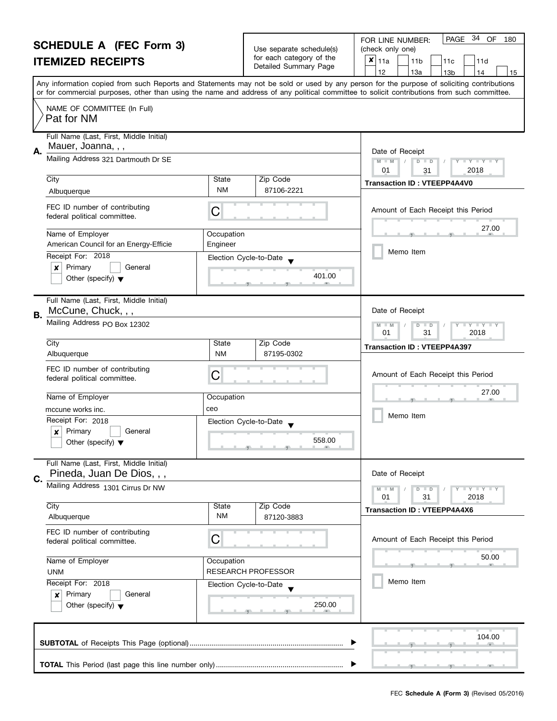| <b>SCHEDULE A (FEC Form 3)</b>                                       |                                                                 |                                                                                                                                                                                                                                                                                         | Use separate schedule(s)                    | PAGE 34 OF<br>FOR LINE NUMBER:<br>180<br>(check only one)     |  |
|----------------------------------------------------------------------|-----------------------------------------------------------------|-----------------------------------------------------------------------------------------------------------------------------------------------------------------------------------------------------------------------------------------------------------------------------------------|---------------------------------------------|---------------------------------------------------------------|--|
| <b>ITEMIZED RECEIPTS</b>                                             |                                                                 | for each category of the                                                                                                                                                                                                                                                                | $x _{11a}$<br>11 <sub>b</sub><br>11d<br>11c |                                                               |  |
|                                                                      |                                                                 |                                                                                                                                                                                                                                                                                         | Detailed Summary Page                       | 12<br>13a<br>13 <sub>b</sub><br>14<br>15                      |  |
|                                                                      |                                                                 | Any information copied from such Reports and Statements may not be sold or used by any person for the purpose of soliciting contributions<br>or for commercial purposes, other than using the name and address of any political committee to solicit contributions from such committee. |                                             |                                                               |  |
|                                                                      | NAME OF COMMITTEE (In Full)<br>Pat for NM                       |                                                                                                                                                                                                                                                                                         |                                             |                                                               |  |
|                                                                      | Full Name (Last, First, Middle Initial)                         |                                                                                                                                                                                                                                                                                         |                                             |                                                               |  |
| А.                                                                   | Mauer, Joanna, , ,<br>Mailing Address 321 Dartmouth Dr SE       |                                                                                                                                                                                                                                                                                         |                                             | Date of Receipt                                               |  |
|                                                                      |                                                                 |                                                                                                                                                                                                                                                                                         |                                             | $M - M$<br>D<br>$T + Y = Y + T$<br>$\Box$<br>2018<br>01<br>31 |  |
|                                                                      | City                                                            | State                                                                                                                                                                                                                                                                                   | Zip Code                                    | <b>Transaction ID: VTEEPP4A4V0</b>                            |  |
|                                                                      | Albuquerque                                                     | <b>NM</b>                                                                                                                                                                                                                                                                               | 87106-2221                                  |                                                               |  |
|                                                                      | FEC ID number of contributing<br>federal political committee.   | С                                                                                                                                                                                                                                                                                       |                                             | Amount of Each Receipt this Period                            |  |
|                                                                      | Name of Employer                                                | Occupation                                                                                                                                                                                                                                                                              |                                             | 27.00                                                         |  |
|                                                                      | American Council for an Energy-Efficie                          | Engineer                                                                                                                                                                                                                                                                                |                                             | Memo Item                                                     |  |
|                                                                      | Receipt For: 2018                                               |                                                                                                                                                                                                                                                                                         | Election Cycle-to-Date                      |                                                               |  |
|                                                                      | Primary<br>General<br>×<br>Other (specify) $\blacktriangledown$ |                                                                                                                                                                                                                                                                                         | 401.00                                      |                                                               |  |
|                                                                      |                                                                 |                                                                                                                                                                                                                                                                                         |                                             |                                                               |  |
| В.                                                                   | Full Name (Last, First, Middle Initial)<br>McCune, Chuck, , ,   |                                                                                                                                                                                                                                                                                         |                                             | Date of Receipt                                               |  |
|                                                                      | Mailing Address PO Box 12302                                    |                                                                                                                                                                                                                                                                                         |                                             | $Y - Y - Y$<br>D<br>$\blacksquare$                            |  |
|                                                                      | City                                                            | State                                                                                                                                                                                                                                                                                   | Zip Code                                    | 01<br>31<br>2018                                              |  |
|                                                                      | Albuquerque                                                     | <b>NM</b>                                                                                                                                                                                                                                                                               | 87195-0302                                  | <b>Transaction ID: VTEEPP4A397</b>                            |  |
|                                                                      | FEC ID number of contributing<br>federal political committee.   | С                                                                                                                                                                                                                                                                                       |                                             | Amount of Each Receipt this Period                            |  |
|                                                                      | Name of Employer                                                | Occupation                                                                                                                                                                                                                                                                              |                                             | 27.00                                                         |  |
|                                                                      | mccune works inc.                                               | ceo                                                                                                                                                                                                                                                                                     |                                             |                                                               |  |
|                                                                      | Receipt For: 2018                                               |                                                                                                                                                                                                                                                                                         | Election Cycle-to-Date                      | Memo Item                                                     |  |
|                                                                      | Primary<br>General<br>$\boldsymbol{x}$                          |                                                                                                                                                                                                                                                                                         |                                             |                                                               |  |
|                                                                      | Other (specify) $\blacktriangledown$                            |                                                                                                                                                                                                                                                                                         | 558.00                                      |                                                               |  |
| Full Name (Last, First, Middle Initial)<br>Pineda, Juan De Dios, , , |                                                                 |                                                                                                                                                                                                                                                                                         |                                             | Date of Receipt                                               |  |
| C.<br>Mailing Address 1301 Cirrus Dr NW                              |                                                                 |                                                                                                                                                                                                                                                                                         |                                             | Y FY FY FY<br>$D$ $D$                                         |  |
|                                                                      |                                                                 |                                                                                                                                                                                                                                                                                         |                                             | 01<br>31<br>2018                                              |  |
|                                                                      | City<br>Albuquerque                                             | State<br><b>NM</b>                                                                                                                                                                                                                                                                      | Zip Code<br>87120-3883                      | <b>Transaction ID: VTEEPP4A4X6</b>                            |  |
|                                                                      | FEC ID number of contributing<br>federal political committee.   | С                                                                                                                                                                                                                                                                                       |                                             | Amount of Each Receipt this Period                            |  |
| Name of Employer<br>Occupation                                       |                                                                 |                                                                                                                                                                                                                                                                                         | 50.00                                       |                                                               |  |
|                                                                      | <b>RESEARCH PROFESSOR</b><br><b>UNM</b>                         |                                                                                                                                                                                                                                                                                         |                                             |                                                               |  |
|                                                                      | Receipt For: 2018                                               | Election Cycle-to-Date<br>250.00                                                                                                                                                                                                                                                        |                                             | Memo Item                                                     |  |
|                                                                      | Primary<br>General<br>×<br>Other (specify) $\blacktriangledown$ |                                                                                                                                                                                                                                                                                         |                                             |                                                               |  |
|                                                                      |                                                                 |                                                                                                                                                                                                                                                                                         |                                             |                                                               |  |
|                                                                      |                                                                 |                                                                                                                                                                                                                                                                                         |                                             | 104.00                                                        |  |
|                                                                      |                                                                 |                                                                                                                                                                                                                                                                                         |                                             |                                                               |  |
|                                                                      |                                                                 |                                                                                                                                                                                                                                                                                         |                                             |                                                               |  |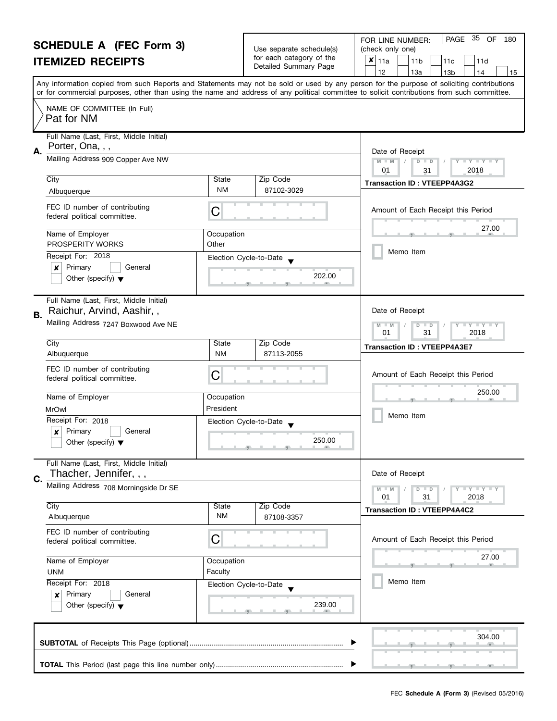| <b>SCHEDULE A (FEC Form 3)</b> |                                                                                                                                  | Use separate schedule(s) | PAGE 35 OF<br>FOR LINE NUMBER:<br>180<br>(check only one)         |                                                                                                                                                                                                                                                                                         |  |
|--------------------------------|----------------------------------------------------------------------------------------------------------------------------------|--------------------------|-------------------------------------------------------------------|-----------------------------------------------------------------------------------------------------------------------------------------------------------------------------------------------------------------------------------------------------------------------------------------|--|
| <b>ITEMIZED RECEIPTS</b>       |                                                                                                                                  |                          | for each category of the<br>Detailed Summary Page                 | $x _{11a}$<br>11 <sub>b</sub><br>11d<br>11c<br>12<br>13a<br>13 <sub>b</sub><br>14<br>15                                                                                                                                                                                                 |  |
|                                |                                                                                                                                  |                          |                                                                   | Any information copied from such Reports and Statements may not be sold or used by any person for the purpose of soliciting contributions<br>or for commercial purposes, other than using the name and address of any political committee to solicit contributions from such committee. |  |
|                                | NAME OF COMMITTEE (In Full)<br>Pat for NM                                                                                        |                          |                                                                   |                                                                                                                                                                                                                                                                                         |  |
| А.                             | Full Name (Last, First, Middle Initial)<br>Porter, Ona, , ,                                                                      |                          |                                                                   | Date of Receipt                                                                                                                                                                                                                                                                         |  |
|                                | Mailing Address 909 Copper Ave NW                                                                                                |                          |                                                                   | $M - M$<br>D<br>$\mathbf{I}$ $\mathbf{Y}$ $\mathbf{I}$ $\mathbf{Y}$ $\mathbf{I}$<br>$\Box$<br>2018<br>01<br>31                                                                                                                                                                          |  |
|                                | City<br>Albuquerque                                                                                                              | State<br><b>NM</b>       | Zip Code<br>87102-3029                                            | <b>Transaction ID: VTEEPP4A3G2</b>                                                                                                                                                                                                                                                      |  |
|                                | FEC ID number of contributing<br>federal political committee.                                                                    | С                        |                                                                   | Amount of Each Receipt this Period                                                                                                                                                                                                                                                      |  |
|                                | Name of Employer<br>PROSPERITY WORKS                                                                                             | Occupation<br>Other      |                                                                   | 27.00                                                                                                                                                                                                                                                                                   |  |
|                                | Receipt For: 2018<br>Primary<br>General<br>×<br>Other (specify) $\blacktriangledown$                                             |                          | Election Cycle-to-Date<br>202.00                                  | Memo Item                                                                                                                                                                                                                                                                               |  |
| В.                             | Full Name (Last, First, Middle Initial)<br>Raichur, Arvind, Aashir,,                                                             |                          |                                                                   | Date of Receipt                                                                                                                                                                                                                                                                         |  |
|                                | Mailing Address 7247 Boxwood Ave NE                                                                                              |                          |                                                                   | $Y - Y - Y$<br>D<br>$\blacksquare$<br>01<br>31<br>2018                                                                                                                                                                                                                                  |  |
|                                | City<br>Albuquerque                                                                                                              | State<br><b>NM</b>       | Zip Code<br>87113-2055                                            | <b>Transaction ID: VTEEPP4A3E7</b>                                                                                                                                                                                                                                                      |  |
|                                | FEC ID number of contributing<br>federal political committee.                                                                    | С                        |                                                                   | Amount of Each Receipt this Period                                                                                                                                                                                                                                                      |  |
|                                | Name of Employer<br>Occupation                                                                                                   |                          |                                                                   | 250.00                                                                                                                                                                                                                                                                                  |  |
|                                | President<br><b>MrOwl</b><br>Receipt For: 2018<br>Primary<br>General<br>$\boldsymbol{x}$<br>Other (specify) $\blacktriangledown$ |                          | Election Cycle-to-Date<br>250.00<br>للاستناسية والمستلمسة والمناد | Memo Item                                                                                                                                                                                                                                                                               |  |
| C.                             | Full Name (Last, First, Middle Initial)<br>Thacher, Jennifer, , ,                                                                |                          |                                                                   | Date of Receipt                                                                                                                                                                                                                                                                         |  |
|                                | Mailing Address 708 Morningside Dr SE                                                                                            |                          |                                                                   | Y I Y I Y I Y<br>$D$ $D$<br>01<br>31<br>2018                                                                                                                                                                                                                                            |  |
|                                | City<br>Albuquerque                                                                                                              | State<br><b>NM</b>       | Zip Code<br>87108-3357                                            | <b>Transaction ID: VTEEPP4A4C2</b>                                                                                                                                                                                                                                                      |  |
|                                | FEC ID number of contributing<br>С<br>federal political committee.<br>Name of Employer<br>Occupation<br>Faculty<br><b>UNM</b>    |                          |                                                                   | Amount of Each Receipt this Period                                                                                                                                                                                                                                                      |  |
|                                |                                                                                                                                  |                          |                                                                   | 27.00                                                                                                                                                                                                                                                                                   |  |
|                                | Receipt For: 2018<br>Election Cycle-to-Date<br>Primary<br>General<br>×<br>239.00<br>Other (specify) $\blacktriangledown$         |                          |                                                                   | Memo Item                                                                                                                                                                                                                                                                               |  |
|                                |                                                                                                                                  |                          |                                                                   | 304.00                                                                                                                                                                                                                                                                                  |  |
|                                |                                                                                                                                  |                          |                                                                   |                                                                                                                                                                                                                                                                                         |  |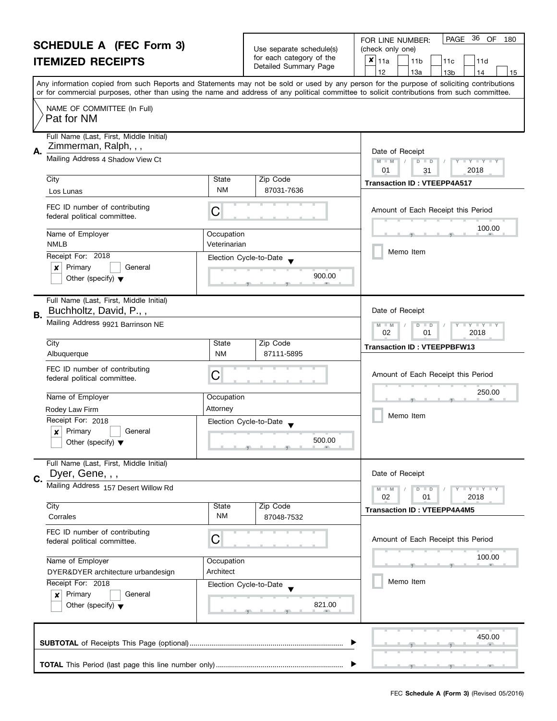| <b>SCHEDULE A (FEC Form 3)</b><br><b>ITEMIZED RECEIPTS</b>                                                                                                                                                                                                                              |                                                                                |                                                      | Use separate schedule(s)<br>for each category of the<br>Detailed Summary Page | PAGE 36<br>OF<br>180<br>FOR LINE NUMBER:<br>(check only one)<br>×<br>11a<br>11 <sub>b</sub><br>11d<br>11c<br>12<br>13a<br>13 <sub>b</sub><br>14<br>15 |
|-----------------------------------------------------------------------------------------------------------------------------------------------------------------------------------------------------------------------------------------------------------------------------------------|--------------------------------------------------------------------------------|------------------------------------------------------|-------------------------------------------------------------------------------|-------------------------------------------------------------------------------------------------------------------------------------------------------|
| Any information copied from such Reports and Statements may not be sold or used by any person for the purpose of soliciting contributions<br>or for commercial purposes, other than using the name and address of any political committee to solicit contributions from such committee. |                                                                                |                                                      |                                                                               |                                                                                                                                                       |
|                                                                                                                                                                                                                                                                                         | NAME OF COMMITTEE (In Full)<br>Pat for NM                                      |                                                      |                                                                               |                                                                                                                                                       |
| Α.                                                                                                                                                                                                                                                                                      | Full Name (Last, First, Middle Initial)<br>Zimmerman, Ralph, , ,               |                                                      |                                                                               | Date of Receipt                                                                                                                                       |
|                                                                                                                                                                                                                                                                                         | Mailing Address 4 Shadow View Ct                                               |                                                      |                                                                               | $M - M$<br>$D$ $D$<br>$Y = Y = Y + Y$<br>01<br>2018<br>31                                                                                             |
|                                                                                                                                                                                                                                                                                         | City<br>Los Lunas                                                              | State<br><b>NM</b>                                   | Zip Code<br>87031-7636                                                        | <b>Transaction ID: VTEEPP4A517</b>                                                                                                                    |
|                                                                                                                                                                                                                                                                                         | FEC ID number of contributing<br>federal political committee.                  | C                                                    |                                                                               | Amount of Each Receipt this Period                                                                                                                    |
|                                                                                                                                                                                                                                                                                         | Name of Employer<br><b>NMLB</b>                                                | Occupation<br>Veterinarian<br>Election Cycle-to-Date |                                                                               | 100.00                                                                                                                                                |
|                                                                                                                                                                                                                                                                                         | Receipt For: 2018                                                              |                                                      |                                                                               | Memo Item                                                                                                                                             |
|                                                                                                                                                                                                                                                                                         | Primary<br>$\boldsymbol{x}$<br>General<br>Other (specify) $\blacktriangledown$ |                                                      | 900.00                                                                        |                                                                                                                                                       |
| В.                                                                                                                                                                                                                                                                                      | Full Name (Last, First, Middle Initial)<br>Buchholtz, David, P.,,              |                                                      |                                                                               | Date of Receipt                                                                                                                                       |
|                                                                                                                                                                                                                                                                                         | Mailing Address 9921 Barrinson NE                                              |                                                      |                                                                               | T Y T Y T Y<br>$M - M$<br>$D$ $D$<br>02<br>2018<br>01                                                                                                 |
|                                                                                                                                                                                                                                                                                         | City<br>Albuquerque                                                            | State<br><b>NM</b>                                   | Zip Code<br>87111-5895                                                        | <b>Transaction ID: VTEEPPBFW13</b>                                                                                                                    |
|                                                                                                                                                                                                                                                                                         | FEC ID number of contributing<br>federal political committee.                  | C                                                    |                                                                               | Amount of Each Receipt this Period                                                                                                                    |
|                                                                                                                                                                                                                                                                                         | Name of Employer                                                               | Occupation                                           |                                                                               | 250.00                                                                                                                                                |
|                                                                                                                                                                                                                                                                                         | Rodey Law Firm                                                                 | Attorney                                             |                                                                               |                                                                                                                                                       |
|                                                                                                                                                                                                                                                                                         | Receipt For: 2018                                                              | Election Cycle-to-Date                               |                                                                               | Memo Item                                                                                                                                             |
|                                                                                                                                                                                                                                                                                         | Primary<br>General<br>X<br>Other (specify) $\blacktriangledown$                | 500.00                                               |                                                                               |                                                                                                                                                       |
|                                                                                                                                                                                                                                                                                         | Full Name (Last, First, Middle Initial)<br>Dyer, Gene, , ,                     |                                                      |                                                                               | Date of Receipt                                                                                                                                       |
| C.                                                                                                                                                                                                                                                                                      | Mailing Address 157 Desert Willow Rd                                           |                                                      |                                                                               | $Y - Y - Y - Y - Y$<br>$M - M$<br>$D$ $D$<br>02<br>01<br>2018                                                                                         |
|                                                                                                                                                                                                                                                                                         | City                                                                           | State                                                | Zip Code                                                                      | <b>Transaction ID: VTEEPP4A4M5</b>                                                                                                                    |
|                                                                                                                                                                                                                                                                                         | Corrales                                                                       | <b>NM</b>                                            | 87048-7532                                                                    |                                                                                                                                                       |
|                                                                                                                                                                                                                                                                                         | FEC ID number of contributing<br>federal political committee.                  | C                                                    |                                                                               | Amount of Each Receipt this Period                                                                                                                    |
|                                                                                                                                                                                                                                                                                         | Name of Employer<br>DYER&DYER architecture urbandesign                         | Occupation<br>Architect                              |                                                                               | 100.00                                                                                                                                                |
|                                                                                                                                                                                                                                                                                         | Receipt For: 2018<br>Election Cycle-to-Date                                    |                                                      | Memo Item                                                                     |                                                                                                                                                       |
|                                                                                                                                                                                                                                                                                         | Primary<br>General<br>×<br>Other (specify) $\blacktriangledown$                | 821.00                                               |                                                                               |                                                                                                                                                       |
|                                                                                                                                                                                                                                                                                         |                                                                                |                                                      |                                                                               | 450.00                                                                                                                                                |
|                                                                                                                                                                                                                                                                                         |                                                                                |                                                      |                                                                               |                                                                                                                                                       |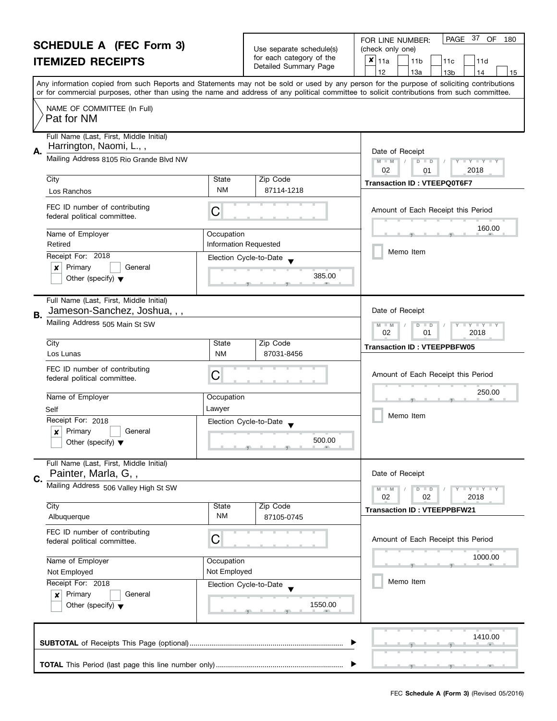|    | <b>SCHEDULE A (FEC Form 3)</b>                                          |                                            | Use separate schedule(s) | PAGE 37 OF<br>180<br>FOR LINE NUMBER:<br>(check only one)                                                                                                                                                                                                                               |
|----|-------------------------------------------------------------------------|--------------------------------------------|--------------------------|-----------------------------------------------------------------------------------------------------------------------------------------------------------------------------------------------------------------------------------------------------------------------------------------|
|    | <b>ITEMIZED RECEIPTS</b>                                                |                                            | for each category of the | ×<br>11a<br>11 <sub>b</sub><br>11c<br>11d                                                                                                                                                                                                                                               |
|    |                                                                         |                                            | Detailed Summary Page    | 12<br>13a<br>13 <sub>b</sub><br>14<br>15                                                                                                                                                                                                                                                |
|    |                                                                         |                                            |                          | Any information copied from such Reports and Statements may not be sold or used by any person for the purpose of soliciting contributions<br>or for commercial purposes, other than using the name and address of any political committee to solicit contributions from such committee. |
|    | NAME OF COMMITTEE (In Full)<br>Pat for NM                               |                                            |                          |                                                                                                                                                                                                                                                                                         |
|    | Full Name (Last, First, Middle Initial)<br>Harrington, Naomi, L.,,      |                                            |                          |                                                                                                                                                                                                                                                                                         |
| А. | Mailing Address 8105 Rio Grande Blvd NW                                 |                                            |                          | Date of Receipt<br>$M - M$<br>$D$ $D$<br>$\mathbf{I} \cdot \mathbf{Y} \cdot \mathbf{I} \cdot \mathbf{Y} \cdot \mathbf{I}$<br>02<br>2018<br>01                                                                                                                                           |
|    | City                                                                    | <b>State</b>                               | Zip Code                 | <b>Transaction ID: VTEEPQ0T6F7</b>                                                                                                                                                                                                                                                      |
|    | Los Ranchos                                                             | NM                                         | 87114-1218               |                                                                                                                                                                                                                                                                                         |
|    | FEC ID number of contributing<br>federal political committee.           | C                                          |                          | Amount of Each Receipt this Period                                                                                                                                                                                                                                                      |
|    | Name of Employer<br>Retired                                             | Occupation<br><b>Information Requested</b> |                          | 160.00                                                                                                                                                                                                                                                                                  |
|    | Receipt For: 2018                                                       |                                            | Election Cycle-to-Date   | Memo Item                                                                                                                                                                                                                                                                               |
|    | Primary<br>×<br>General                                                 |                                            |                          |                                                                                                                                                                                                                                                                                         |
|    | Other (specify) $\blacktriangledown$                                    |                                            | 385.00                   |                                                                                                                                                                                                                                                                                         |
| В. | Full Name (Last, First, Middle Initial)<br>Jameson-Sanchez, Joshua, , , |                                            |                          | Date of Receipt                                                                                                                                                                                                                                                                         |
|    | Mailing Address 505 Main St SW                                          |                                            |                          | $M - M$<br>$Y + Y$<br>D<br>$\Box$<br>02<br>01<br>2018                                                                                                                                                                                                                                   |
|    | City                                                                    | <b>State</b>                               | Zip Code                 | <b>Transaction ID: VTEEPPBFW05</b>                                                                                                                                                                                                                                                      |
|    | Los Lunas                                                               | <b>NM</b>                                  | 87031-8456               |                                                                                                                                                                                                                                                                                         |
|    | FEC ID number of contributing<br>federal political committee.           | С                                          |                          | Amount of Each Receipt this Period                                                                                                                                                                                                                                                      |
|    | Name of Employer                                                        | Occupation                                 |                          | 250.00                                                                                                                                                                                                                                                                                  |
|    | Self                                                                    | Lawyer                                     |                          |                                                                                                                                                                                                                                                                                         |
|    | Receipt For: 2018                                                       |                                            | Election Cycle-to-Date   | Memo Item                                                                                                                                                                                                                                                                               |
|    | Primary<br>X<br>General                                                 |                                            |                          |                                                                                                                                                                                                                                                                                         |
|    | Other (specify) $\blacktriangledown$                                    |                                            | 500.00                   |                                                                                                                                                                                                                                                                                         |
|    | Full Name (Last, First, Middle Initial)<br>Painter, Marla, G,,          |                                            |                          | Date of Receipt                                                                                                                                                                                                                                                                         |
| C. | Mailing Address 506 Valley High St SW                                   |                                            |                          | $T + Y = Y + Y$<br>$M - M$<br>$D$ $D$                                                                                                                                                                                                                                                   |
|    | City                                                                    | <b>State</b>                               | Zip Code                 | 02<br>2018<br>02                                                                                                                                                                                                                                                                        |
|    | Albuquerque                                                             | NM                                         | 87105-0745               | <b>Transaction ID: VTEEPPBFW21</b>                                                                                                                                                                                                                                                      |
|    | FEC ID number of contributing<br>federal political committee.           | C                                          |                          | Amount of Each Receipt this Period                                                                                                                                                                                                                                                      |
|    | Name of Employer                                                        | Occupation                                 |                          | 1000.00                                                                                                                                                                                                                                                                                 |
|    | Not Employed                                                            | Not Employed                               |                          |                                                                                                                                                                                                                                                                                         |
|    | Receipt For: 2018                                                       |                                            | Election Cycle-to-Date   | Memo Item                                                                                                                                                                                                                                                                               |
|    | Primary<br>General<br>×                                                 |                                            |                          |                                                                                                                                                                                                                                                                                         |
|    | Other (specify) $\blacktriangledown$                                    |                                            | 1550.00                  |                                                                                                                                                                                                                                                                                         |
|    |                                                                         |                                            |                          | 1410.00                                                                                                                                                                                                                                                                                 |
|    |                                                                         |                                            |                          |                                                                                                                                                                                                                                                                                         |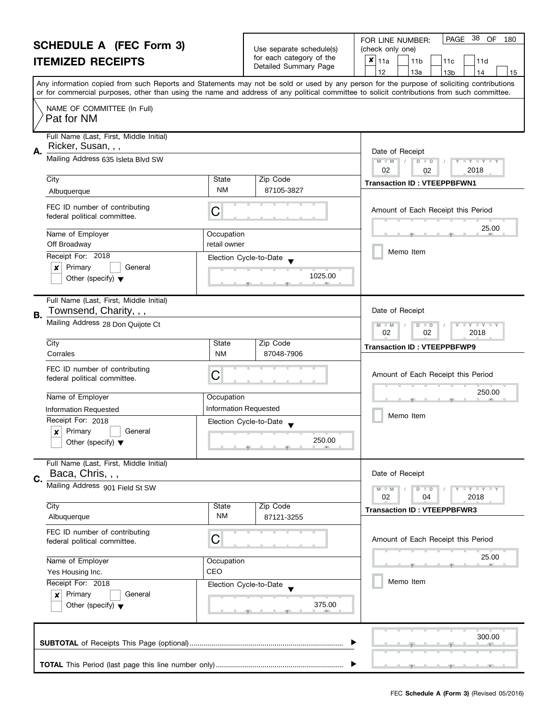|    | <b>SCHEDULE A (FEC Form 3)</b><br><b>ITEMIZED RECEIPTS</b>                           |                                                                          | Use separate schedule(s)<br>for each category of the<br>Detailed Summary Page | 38<br>PAGE<br>OF<br>FOR LINE NUMBER:<br>180<br>(check only one)<br>×<br>11a<br>11 <sub>b</sub><br>11d<br>11c<br>12<br>13a<br>13 <sub>b</sub><br>14<br>15                                                                                                                                |
|----|--------------------------------------------------------------------------------------|--------------------------------------------------------------------------|-------------------------------------------------------------------------------|-----------------------------------------------------------------------------------------------------------------------------------------------------------------------------------------------------------------------------------------------------------------------------------------|
|    |                                                                                      |                                                                          |                                                                               | Any information copied from such Reports and Statements may not be sold or used by any person for the purpose of soliciting contributions<br>or for commercial purposes, other than using the name and address of any political committee to solicit contributions from such committee. |
|    | NAME OF COMMITTEE (In Full)<br>Pat for NM                                            |                                                                          |                                                                               |                                                                                                                                                                                                                                                                                         |
| А. | Full Name (Last, First, Middle Initial)<br>Ricker, Susan, , ,                        |                                                                          |                                                                               | Date of Receipt                                                                                                                                                                                                                                                                         |
|    | Mailing Address 635 Isleta Blvd SW                                                   |                                                                          |                                                                               | $D$ $D$<br>$Y - Y - Y - Y$<br>$M - M$<br>02<br>2018<br>02                                                                                                                                                                                                                               |
|    | City<br>Albuquerque                                                                  | State<br><b>NM</b>                                                       | Zip Code<br>87105-3827                                                        | <b>Transaction ID: VTEEPPBFWN1</b>                                                                                                                                                                                                                                                      |
|    | FEC ID number of contributing<br>federal political committee.                        | C                                                                        |                                                                               | Amount of Each Receipt this Period                                                                                                                                                                                                                                                      |
|    | Name of Employer<br>Off Broadway                                                     | Occupation<br>retail owner                                               |                                                                               | 25.00                                                                                                                                                                                                                                                                                   |
|    | Receipt For: 2018<br>Primary<br>General<br>x<br>Other (specify) $\blacktriangledown$ | Election Cycle-to-Date                                                   | 1025.00                                                                       | Memo Item                                                                                                                                                                                                                                                                               |
| В. | Full Name (Last, First, Middle Initial)<br>Townsend, Charity, , ,                    |                                                                          |                                                                               | Date of Receipt                                                                                                                                                                                                                                                                         |
|    | Mailing Address 28 Don Quijote Ct                                                    | T Y T Y T Y<br>M<br>$\overline{D}$<br>$-M$<br>$\Box$<br>02<br>02<br>2018 |                                                                               |                                                                                                                                                                                                                                                                                         |
|    | City<br>Corrales                                                                     | State<br><b>NM</b>                                                       | Zip Code<br>87048-7906                                                        | <b>Transaction ID: VTEEPPBFWP9</b>                                                                                                                                                                                                                                                      |
|    | FEC ID number of contributing<br>federal political committee.                        | C                                                                        |                                                                               | Amount of Each Receipt this Period                                                                                                                                                                                                                                                      |
|    | Name of Employer                                                                     | Occupation                                                               |                                                                               | 250.00                                                                                                                                                                                                                                                                                  |
|    | Information Requested                                                                | <b>Information Requested</b>                                             |                                                                               | Memo Item                                                                                                                                                                                                                                                                               |
|    | Receipt For: 2018<br>Primary<br>General<br>X<br>Other (specify) $\blacktriangledown$ | Election Cycle-to-Date                                                   | 250.00                                                                        |                                                                                                                                                                                                                                                                                         |
| C. | Full Name (Last, First, Middle Initial)<br>Baca, Chris, , ,                          |                                                                          |                                                                               | Date of Receipt                                                                                                                                                                                                                                                                         |
|    | Mailing Address 901 Field St SW                                                      |                                                                          |                                                                               | Y FY FY FY<br>$M - M$<br>$D$ $D$<br>02<br>04<br>2018                                                                                                                                                                                                                                    |
|    | City<br>Albuquerque                                                                  | State<br><b>NM</b>                                                       | Zip Code<br>87121-3255                                                        | <b>Transaction ID: VTEEPPBFWR3</b>                                                                                                                                                                                                                                                      |
|    | FEC ID number of contributing<br>federal political committee.                        | С                                                                        |                                                                               | Amount of Each Receipt this Period                                                                                                                                                                                                                                                      |
|    | Name of Employer<br>Yes Housing Inc.                                                 | Occupation<br>CEO                                                        |                                                                               | 25.00                                                                                                                                                                                                                                                                                   |
|    | Receipt For: 2018<br>Primary<br>General<br>×<br>Other (specify) $\blacktriangledown$ | Election Cycle-to-Date                                                   | 375.00                                                                        | Memo Item                                                                                                                                                                                                                                                                               |
|    |                                                                                      |                                                                          |                                                                               | 300.00                                                                                                                                                                                                                                                                                  |
|    |                                                                                      |                                                                          |                                                                               |                                                                                                                                                                                                                                                                                         |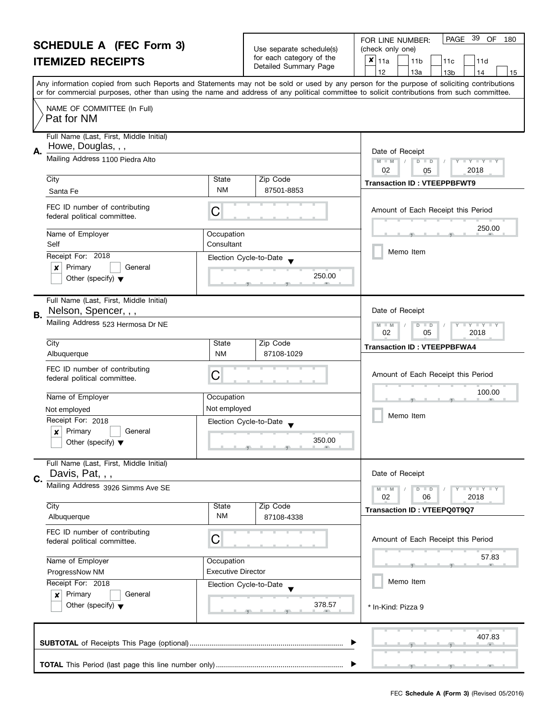|                                                                               | <b>SCHEDULE A (FEC Form 3)</b>                                                       |                          | Use separate schedule(s)                          | PAGE 39 OF<br>FOR LINE NUMBER:<br>180<br>(check only one)                                                                                                                                                                                                                                                                           |
|-------------------------------------------------------------------------------|--------------------------------------------------------------------------------------|--------------------------|---------------------------------------------------|-------------------------------------------------------------------------------------------------------------------------------------------------------------------------------------------------------------------------------------------------------------------------------------------------------------------------------------|
|                                                                               | <b>ITEMIZED RECEIPTS</b>                                                             |                          | for each category of the<br>Detailed Summary Page | $x _{11a}$<br>11 <sub>b</sub><br>11d<br>11c                                                                                                                                                                                                                                                                                         |
|                                                                               |                                                                                      |                          |                                                   | 12<br>13a<br>13 <sub>b</sub><br>14<br>15<br>Any information copied from such Reports and Statements may not be sold or used by any person for the purpose of soliciting contributions<br>or for commercial purposes, other than using the name and address of any political committee to solicit contributions from such committee. |
|                                                                               | NAME OF COMMITTEE (In Full)<br>Pat for NM                                            |                          |                                                   |                                                                                                                                                                                                                                                                                                                                     |
| А.                                                                            | Full Name (Last, First, Middle Initial)<br>Howe, Douglas, , ,                        |                          |                                                   | Date of Receipt                                                                                                                                                                                                                                                                                                                     |
|                                                                               | Mailing Address 1100 Piedra Alto                                                     |                          |                                                   | $M - M$<br>D<br>$T + Y = Y + T$<br>$\Box$<br>02<br>2018<br>05                                                                                                                                                                                                                                                                       |
|                                                                               | City<br>Santa Fe                                                                     | State<br><b>NM</b>       | Zip Code<br>87501-8853                            | <b>Transaction ID: VTEEPPBFWT9</b>                                                                                                                                                                                                                                                                                                  |
|                                                                               | FEC ID number of contributing<br>federal political committee.                        | С                        |                                                   | Amount of Each Receipt this Period                                                                                                                                                                                                                                                                                                  |
|                                                                               | Name of Employer<br>Self                                                             | Occupation<br>Consultant |                                                   | 250.00                                                                                                                                                                                                                                                                                                                              |
|                                                                               | Receipt For: 2018<br>Primary<br>General<br>×<br>Other (specify) $\blacktriangledown$ |                          | Election Cycle-to-Date<br>250.00                  | Memo Item                                                                                                                                                                                                                                                                                                                           |
|                                                                               | Full Name (Last, First, Middle Initial)<br>Nelson, Spencer, , ,                      |                          |                                                   | Date of Receipt                                                                                                                                                                                                                                                                                                                     |
| В.                                                                            | Mailing Address 523 Hermosa Dr NE                                                    |                          |                                                   | $Y - Y - Y$<br>D<br>$\Box$<br>$-M$<br>02<br>05<br>2018                                                                                                                                                                                                                                                                              |
|                                                                               | City<br>Albuquerque                                                                  | State<br><b>NM</b>       | Zip Code<br>87108-1029                            | <b>Transaction ID: VTEEPPBFWA4</b>                                                                                                                                                                                                                                                                                                  |
|                                                                               | FEC ID number of contributing<br>federal political committee.                        | С                        |                                                   | Amount of Each Receipt this Period                                                                                                                                                                                                                                                                                                  |
|                                                                               | Name of Employer                                                                     | Occupation               |                                                   | 100.00                                                                                                                                                                                                                                                                                                                              |
|                                                                               | Not employed<br>Receipt For: 2018                                                    | Not employed             |                                                   | Memo Item                                                                                                                                                                                                                                                                                                                           |
|                                                                               | Primary<br>General<br>$\boldsymbol{x}$<br>Other (specify) $\blacktriangledown$       |                          | Election Cycle-to-Date<br>350.00                  |                                                                                                                                                                                                                                                                                                                                     |
| C.                                                                            | Full Name (Last, First, Middle Initial)<br>Davis, Pat, , ,                           |                          |                                                   | Date of Receipt                                                                                                                                                                                                                                                                                                                     |
|                                                                               | Mailing Address 3926 Simms Ave SE                                                    |                          |                                                   | Y FY FY FY<br>$M - M$<br>$D$ $D$<br>02<br>06<br>2018                                                                                                                                                                                                                                                                                |
|                                                                               | City<br>Albuquerque                                                                  | State<br><b>NM</b>       | Zip Code<br>87108-4338                            | <b>Transaction ID: VTEEPQ0T9Q7</b>                                                                                                                                                                                                                                                                                                  |
|                                                                               | FEC ID number of contributing<br>federal political committee.                        | С                        |                                                   | Amount of Each Receipt this Period                                                                                                                                                                                                                                                                                                  |
| Name of Employer<br>Occupation<br><b>Executive Director</b><br>ProgressNow NM |                                                                                      |                          | 57.83                                             |                                                                                                                                                                                                                                                                                                                                     |
|                                                                               | Receipt For: 2018<br>Primary<br>General<br>×                                         |                          | Election Cycle-to-Date                            | Memo Item                                                                                                                                                                                                                                                                                                                           |
|                                                                               | Other (specify) $\blacktriangledown$                                                 |                          | 378.57                                            | * In-Kind: Pizza 9                                                                                                                                                                                                                                                                                                                  |
|                                                                               |                                                                                      |                          |                                                   | 407.83                                                                                                                                                                                                                                                                                                                              |
|                                                                               |                                                                                      |                          |                                                   |                                                                                                                                                                                                                                                                                                                                     |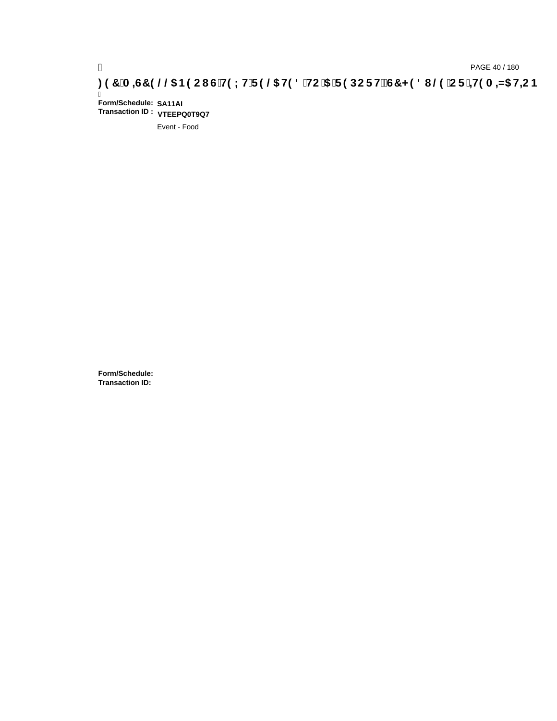# **)(&0,6&(//\$1(2867(;75(/\$7('72\$5(32576&+('8/(25,7(0,=\$7,21**

Ī **Form/Schedule: SA11AI Transaction ID : VTEEPQ0T9Q7**

Event - Food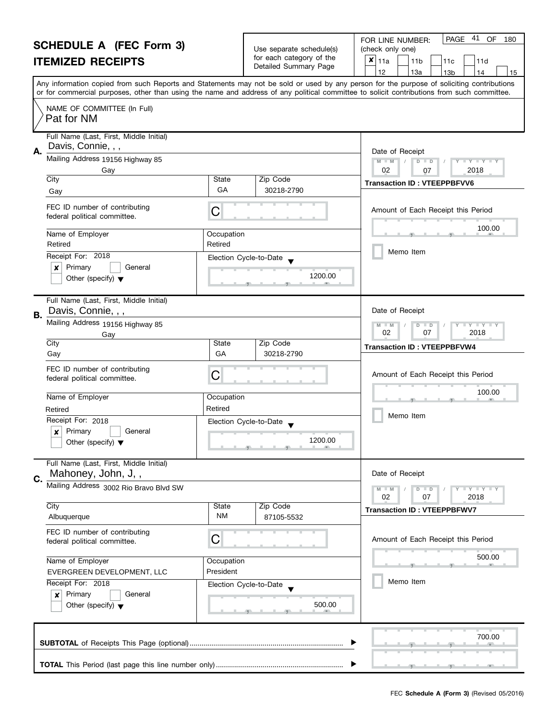#### **SCHEDULE A (FEC Form 3) ITEMIZED RECEIPTS** Any information copied from such Reports and Statements may not be sold or used by any person for the purpose of soliciting contributions or for commercial purposes, other than using the name and address of any political committee to solicit contributions from such committee. NAME OF COMMITTEE (In Full) Full Name (Last, First, Middle Initial) Mailing Address 19156 Highway 85 City City Code City Code City Code City Code City Code City Code City Code City Code **A.** Date of Receipt FOR LINE NUMBER: Use separate schedule(s) | (check only one) for each category of the for each category of the<br>Detailed Summary Page  $\begin{array}{|c|c|c|c|c|c|c|c|}\n\hline\n & 11a & 11b & 11c & 11d \\
\hline\n & 12 & 13a & 13b & 14\n\end{array}$ |12 | |13a | |13b | |14 | |15  **M M / D D / Y Y Y Y** PAGE 41 OF 180  $\overline{\mathbf{x}}$  | 11a Pat for NM Davis, Connie, , , Gay 02 07 2018

|    | بااب                                                                                              | υιαισ                   | Lip Code                          | <b>Transaction ID: VTEEPPBFVV6</b>                   |
|----|---------------------------------------------------------------------------------------------------|-------------------------|-----------------------------------|------------------------------------------------------|
|    | Gay                                                                                               | GA                      | 30218-2790                        |                                                      |
|    | FEC ID number of contributing<br>federal political committee.                                     | C                       |                                   | Amount of Each Receipt this Period                   |
|    | Name of Employer<br>Retired                                                                       | Occupation<br>Retired   |                                   | 100.00                                               |
|    | Receipt For: 2018<br>Primary<br>General<br>×<br>Other (specify) $\blacktriangledown$              |                         | Election Cycle-to-Date<br>1200.00 | Memo Item                                            |
| В. | Full Name (Last, First, Middle Initial)<br>Davis, Connie, , ,                                     |                         |                                   | Date of Receipt                                      |
|    | Mailing Address 19156 Highway 85<br>Gay<br>City                                                   | State                   | Zip Code                          | Y TY TY TY<br>$M - M$<br>$D$ $D$<br>02<br>07<br>2018 |
|    | Gay                                                                                               | GA                      | 30218-2790                        | <b>Transaction ID: VTEEPPBFVW4</b>                   |
|    | FEC ID number of contributing<br>federal political committee.                                     | С                       |                                   | Amount of Each Receipt this Period                   |
|    | Name of Employer                                                                                  | Occupation              |                                   | 100.00                                               |
|    | Retired                                                                                           | Retired                 |                                   | Memo Item                                            |
|    | Receipt For: 2018<br>Primary<br>General<br>$\pmb{\times}$<br>Other (specify) $\blacktriangledown$ | Election Cycle-to-Date  | 1200.00                           |                                                      |
| C. | Full Name (Last, First, Middle Initial)<br>Mahoney, John, J,,                                     |                         |                                   | Date of Receipt                                      |
|    | Mailing Address 3002 Rio Bravo Blvd SW                                                            |                         |                                   | Y FY FY FY<br>$M - M$<br>$D$ $D$<br>02<br>07<br>2018 |
|    | City<br>Albuquerque                                                                               | State<br>ΝM             | Zip Code<br>87105-5532            | <b>Transaction ID: VTEEPPBFWV7</b>                   |
|    | FEC ID number of contributing<br>federal political committee.                                     | C                       |                                   | Amount of Each Receipt this Period                   |
|    | Name of Employer<br>EVERGREEN DEVELOPMENT, LLC                                                    | Occupation<br>President |                                   | 500.00                                               |
|    | Receipt For: 2018<br>Primary<br>General<br>x<br>Other (specify) $\blacktriangledown$              | Election Cycle-to-Date  | 500.00                            | Memo Item                                            |
|    |                                                                                                   |                         |                                   | 700.00                                               |
|    |                                                                                                   |                         |                                   |                                                      |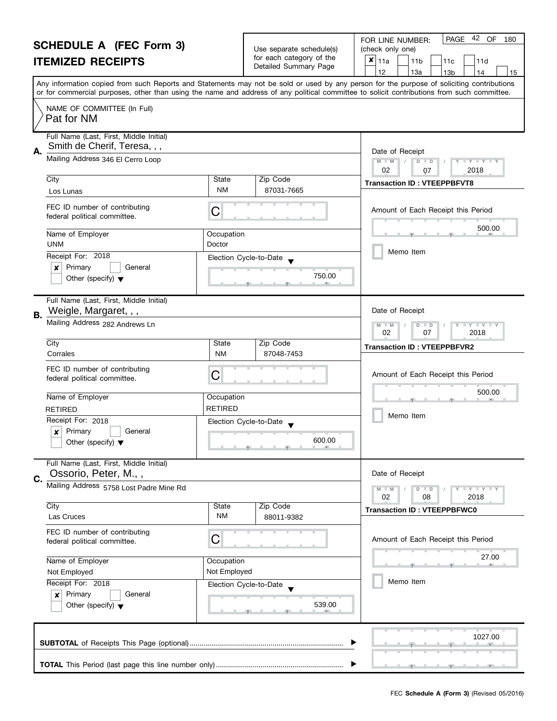|                                                                | <b>SCHEDULE A (FEC Form 3)</b>                                          |                        |                                                      | PAGE 42 OF<br>180<br>FOR LINE NUMBER:                                                                                                                              |
|----------------------------------------------------------------|-------------------------------------------------------------------------|------------------------|------------------------------------------------------|--------------------------------------------------------------------------------------------------------------------------------------------------------------------|
|                                                                |                                                                         |                        | Use separate schedule(s)<br>for each category of the | (check only one)                                                                                                                                                   |
|                                                                | <b>ITEMIZED RECEIPTS</b>                                                |                        | Detailed Summary Page                                | $x _{11a}$<br>11 <sub>b</sub><br>11d<br>11c<br>12<br>13a<br>15                                                                                                     |
|                                                                |                                                                         |                        |                                                      | 13 <sub>b</sub><br>14<br>Any information copied from such Reports and Statements may not be sold or used by any person for the purpose of soliciting contributions |
|                                                                |                                                                         |                        |                                                      | or for commercial purposes, other than using the name and address of any political committee to solicit contributions from such committee.                         |
|                                                                | NAME OF COMMITTEE (In Full)<br>Pat for NM                               |                        |                                                      |                                                                                                                                                                    |
| Α.                                                             | Full Name (Last, First, Middle Initial)<br>Smith de Cherif, Teresa, , , |                        |                                                      | Date of Receipt                                                                                                                                                    |
|                                                                | Mailing Address 346 El Cerro Loop                                       |                        |                                                      | $M - M$<br>$D$ $D$<br>$\bot$ $\gamma$ $\bot$ $\gamma$ $\bot$<br>02<br>2018<br>07                                                                                   |
|                                                                | City                                                                    | State                  | Zip Code                                             | <b>Transaction ID: VTEEPPBFVT8</b>                                                                                                                                 |
|                                                                | Los Lunas                                                               | <b>NM</b>              | 87031-7665                                           |                                                                                                                                                                    |
|                                                                | FEC ID number of contributing<br>federal political committee.           | C                      |                                                      | Amount of Each Receipt this Period                                                                                                                                 |
|                                                                | Name of Employer<br><b>UNM</b>                                          | Occupation<br>Doctor   |                                                      | 500.00                                                                                                                                                             |
|                                                                | Receipt For: 2018                                                       | Election Cycle-to-Date |                                                      | Memo Item                                                                                                                                                          |
|                                                                | Primary<br>×<br>General                                                 |                        |                                                      |                                                                                                                                                                    |
|                                                                | Other (specify) $\blacktriangledown$                                    |                        | 750.00                                               |                                                                                                                                                                    |
| <b>B.</b>                                                      | Full Name (Last, First, Middle Initial)<br>Weigle, Margaret, , ,        |                        |                                                      | Date of Receipt                                                                                                                                                    |
|                                                                | Mailing Address 282 Andrews Ln                                          |                        |                                                      | $\bot$ $\gamma$ $\bot$ $\gamma$ $\bot$ $\gamma$<br>D<br>$\Box$<br>$-M$<br>02<br>07<br>2018                                                                         |
|                                                                | City                                                                    | State                  | Zip Code                                             | <b>Transaction ID: VTEEPPBFVR2</b>                                                                                                                                 |
|                                                                | Corrales                                                                | <b>NM</b>              | 87048-7453                                           |                                                                                                                                                                    |
|                                                                | FEC ID number of contributing<br>federal political committee.           | С                      |                                                      | Amount of Each Receipt this Period                                                                                                                                 |
|                                                                | Name of Employer                                                        | Occupation             |                                                      | 500.00                                                                                                                                                             |
|                                                                | <b>RETIRED</b>                                                          | <b>RETIRED</b>         |                                                      |                                                                                                                                                                    |
|                                                                | Receipt For: 2018                                                       |                        | Election Cycle-to-Date                               | Memo Item                                                                                                                                                          |
|                                                                | X<br>Primary<br>General                                                 |                        |                                                      |                                                                                                                                                                    |
|                                                                | Other (specify) $\blacktriangledown$                                    |                        | 600.00<br>والمستلمس والمستنسخ والمناد                |                                                                                                                                                                    |
| C.                                                             | Full Name (Last, First, Middle Initial)<br>Ossorio, Peter, M.,,         |                        |                                                      | Date of Receipt                                                                                                                                                    |
|                                                                | Mailing Address 5758 Lost Padre Mine Rd                                 |                        |                                                      | $T + Y = Y + Y$<br>$D$ $D$                                                                                                                                         |
|                                                                |                                                                         |                        |                                                      | 02<br>08<br>2018                                                                                                                                                   |
|                                                                | City<br>Las Cruces                                                      | State<br><b>NM</b>     | Zip Code<br>88011-9382                               | <b>Transaction ID: VTEEPPBFWC0</b>                                                                                                                                 |
|                                                                | FEC ID number of contributing<br>federal political committee.           | С                      |                                                      | Amount of Each Receipt this Period                                                                                                                                 |
|                                                                |                                                                         |                        |                                                      | 27.00                                                                                                                                                              |
| Name of Employer<br>Occupation<br>Not Employed<br>Not Employed |                                                                         |                        |                                                      |                                                                                                                                                                    |
|                                                                | Receipt For: 2018                                                       | Election Cycle-to-Date |                                                      | Memo Item                                                                                                                                                          |
|                                                                | Primary<br>General<br>$\boldsymbol{x}$                                  |                        |                                                      |                                                                                                                                                                    |
|                                                                | Other (specify) $\blacktriangledown$                                    |                        | 539.00                                               |                                                                                                                                                                    |
|                                                                |                                                                         |                        |                                                      |                                                                                                                                                                    |
|                                                                |                                                                         |                        |                                                      | 1027.00                                                                                                                                                            |
|                                                                |                                                                         |                        |                                                      |                                                                                                                                                                    |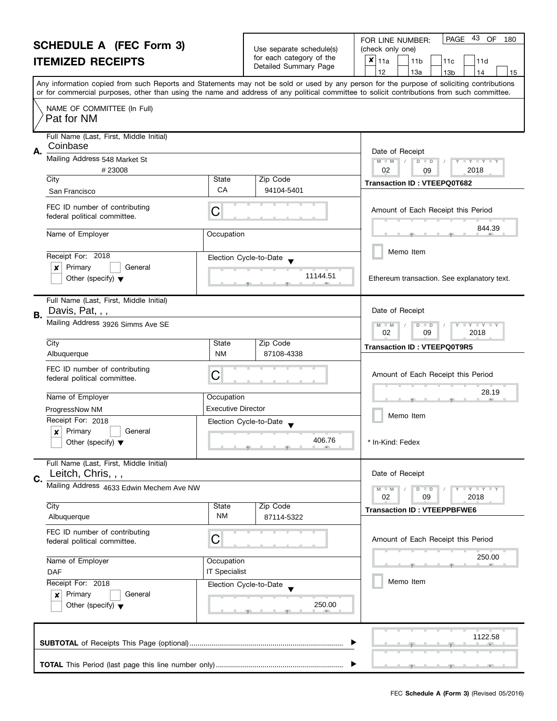### **SCHEDULE A (FEC Form 3) ITEMIZED RECEIPTS**

| Use separate schedule(s) |  |
|--------------------------|--|
| for each category of the |  |
| Detailed Summary Page    |  |

| <b>SCHEDULE A (FEC Form 3)</b><br><b>ITEMIZED RECEIPTS</b>                                                                                                                                                                                                         |                                                                    | Use separate schedule(s)<br>for each category of the<br>Detailed Summary Page | PAGE 43 OF 180<br>FOR LINE NUMBER:<br>(check only one)<br>$x _{11a}$<br>11 <sub>b</sub><br>11d<br>11c<br>12<br>13a<br>13 <sub>b</sub><br>14<br>15                            |
|--------------------------------------------------------------------------------------------------------------------------------------------------------------------------------------------------------------------------------------------------------------------|--------------------------------------------------------------------|-------------------------------------------------------------------------------|------------------------------------------------------------------------------------------------------------------------------------------------------------------------------|
| or for commercial purposes, other than using the name and address of any political committee to solicit contributions from such committee.<br>NAME OF COMMITTEE (In Full)<br>Pat for NM                                                                            |                                                                    |                                                                               | Any information copied from such Reports and Statements may not be sold or used by any person for the purpose of soliciting contributions                                    |
| Full Name (Last, First, Middle Initial)<br>Coinbase<br>Α.<br>Mailing Address 548 Market St<br>#23008<br>City<br>San Francisco<br>FEC ID number of contributing<br>federal political committee.<br>Name of Employer<br>Receipt For: 2018<br>Primary<br>General<br>x | State<br>CA<br>C<br>Occupation                                     | Zip Code<br>94104-5401<br>Election Cycle-to-Date<br>11144.51                  | Date of Receipt<br>$M - M$<br>$D$ $D$<br>$-Y - Y - Y$<br>02<br>2018<br>09<br><b>Transaction ID: VTEEPQ0T682</b><br>Amount of Each Receipt this Period<br>844.39<br>Memo Item |
| Other (specify) $\blacktriangledown$<br>Full Name (Last, First, Middle Initial)<br>Davis, Pat, , ,<br><b>B.</b><br>Mailing Address 3926 Simms Ave SE                                                                                                               |                                                                    |                                                                               | Ethereum transaction. See explanatory text.<br>Date of Receipt<br>$M - M$<br>$\bot$ $\gamma$ $\bot$ $\gamma$ $\bot$ $\gamma$<br>$D$ $D$<br>02<br>09<br>2018                  |
| City<br>Albuquerque<br>FEC ID number of contributing<br>federal political committee.<br>Name of Employer<br>ProgressNow NM<br>Receipt For: 2018<br>Primary<br>General<br>x<br>Other (specify) $\blacktriangledown$                                                 | State<br><b>NM</b><br>C<br>Occupation<br><b>Executive Director</b> | Zip Code<br>87108-4338<br>Election Cycle-to-Date<br>406.76                    | Transaction ID: VTEEPQ0T9R5<br>Amount of Each Receipt this Period<br>28.19<br>Memo Item<br>* In-Kind: Fedex                                                                  |
| Full Name (Last, First, Middle Initial)<br>Leitch, Chris, , ,<br>C.<br>Mailing Address 4633 Edwin Mechem Ave NW<br>City                                                                                                                                            | State                                                              | Zip Code                                                                      | Date of Receipt<br>$M - M$<br>$Y - Y - Y - Y - Y$<br>$D$ $D$<br>02<br>2018<br>09<br><b>Transaction ID: VTEEPPBFWE6</b>                                                       |
| Albuquerque<br>FEC ID number of contributing<br>federal political committee.<br>Name of Employer<br><b>DAF</b><br>Receipt For: 2018<br>Primary<br>General<br>×<br>Other (specify) $\blacktriangledown$                                                             | <b>NM</b><br>C<br>Occupation<br><b>IT Specialist</b>               | 87114-5322<br>Election Cycle-to-Date<br>250.00                                | Amount of Each Receipt this Period<br>250.00<br>Memo Item                                                                                                                    |
|                                                                                                                                                                                                                                                                    |                                                                    |                                                                               | 1122.58<br>___<br>--                                                                                                                                                         |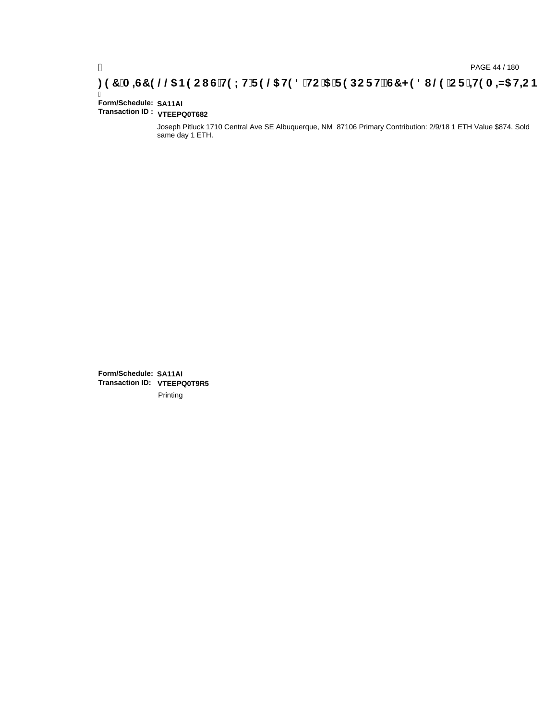### **)(&0,6&(//\$1(2867(;75(/\$7('72\$5(32576&+('8/(25,7(0,=\$7,21**

#### Ī **Form/Schedule: SA11AI Transaction ID : VTEEPQ0T682**

Joseph Pitluck 1710 Central Ave SE Albuquerque, NM 87106 Primary Contribution: 2/9/18 1 ETH Value \$874. Sold same day 1 ETH.

**Form/Schedule: SA11AI Transaction ID: VTEEPQ0T9R5**Printing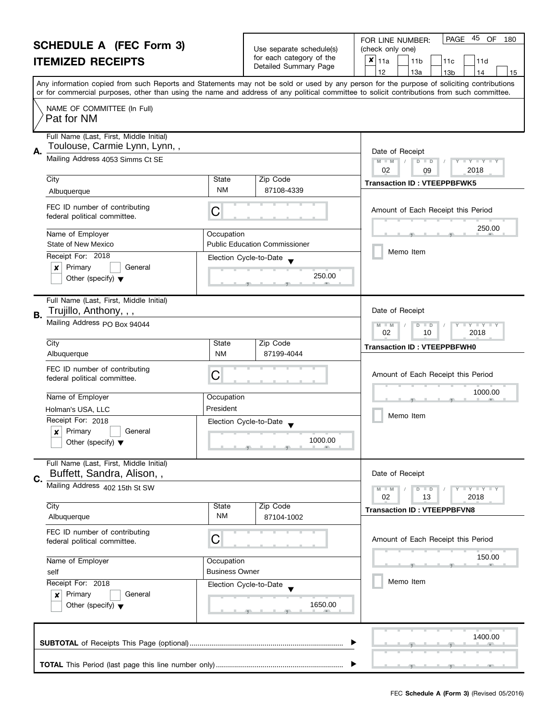|      | <b>SCHEDULE A (FEC Form 3)</b><br><b>ITEMIZED RECEIPTS</b>                                                   |                                                                                       | Use separate schedule(s)<br>for each category of the<br>Detailed Summary Page                         | 45<br><b>PAGE</b><br>OF<br>FOR LINE NUMBER:<br>180<br>(check only one)<br>×<br>11a<br>11 <sub>b</sub><br>11d<br>11c<br>12<br>13a<br>13 <sub>b</sub><br>14<br>15                                                                                                                         |
|------|--------------------------------------------------------------------------------------------------------------|---------------------------------------------------------------------------------------|-------------------------------------------------------------------------------------------------------|-----------------------------------------------------------------------------------------------------------------------------------------------------------------------------------------------------------------------------------------------------------------------------------------|
|      |                                                                                                              |                                                                                       |                                                                                                       | Any information copied from such Reports and Statements may not be sold or used by any person for the purpose of soliciting contributions<br>or for commercial purposes, other than using the name and address of any political committee to solicit contributions from such committee. |
|      | NAME OF COMMITTEE (In Full)<br>Pat for NM                                                                    |                                                                                       |                                                                                                       |                                                                                                                                                                                                                                                                                         |
| Α.   | Full Name (Last, First, Middle Initial)<br>Toulouse, Carmie Lynn, Lynn,,<br>Mailing Address 4053 Simms Ct SE |                                                                                       |                                                                                                       | Date of Receipt<br>$M - M$<br>$Y - Y - Y - Y$<br>$\overline{D}$<br>$\Box$                                                                                                                                                                                                               |
|      |                                                                                                              |                                                                                       |                                                                                                       | 02<br>2018<br>09                                                                                                                                                                                                                                                                        |
|      | $\overline{City}$<br>Albuquerque                                                                             | State<br><b>NM</b>                                                                    | Zip Code<br>87108-4339                                                                                | <b>Transaction ID: VTEEPPBFWK5</b>                                                                                                                                                                                                                                                      |
|      | FEC ID number of contributing<br>federal political committee.                                                | C                                                                                     |                                                                                                       | Amount of Each Receipt this Period                                                                                                                                                                                                                                                      |
|      | Name of Employer<br>State of New Mexico                                                                      | Occupation                                                                            | <b>Public Education Commissioner</b>                                                                  | 250.00                                                                                                                                                                                                                                                                                  |
|      | Receipt For: 2018                                                                                            |                                                                                       | Election Cycle-to-Date                                                                                | Memo Item                                                                                                                                                                                                                                                                               |
|      | Primary<br>×<br>General<br>Other (specify) $\blacktriangledown$                                              |                                                                                       | 250.00                                                                                                |                                                                                                                                                                                                                                                                                         |
| В.   | Full Name (Last, First, Middle Initial)<br>Trujillo, Anthony, , ,                                            |                                                                                       |                                                                                                       | Date of Receipt                                                                                                                                                                                                                                                                         |
|      | Mailing Address PO Box 94044                                                                                 | $\bot$ Y $\bot$ Y $\bot$ Y<br>$M - M$<br>$\overline{D}$<br>$\Box$<br>02<br>10<br>2018 |                                                                                                       |                                                                                                                                                                                                                                                                                         |
|      | City<br>Albuquerque                                                                                          | State<br><b>NM</b>                                                                    | Zip Code<br>87199-4044                                                                                | <b>Transaction ID: VTEEPPBFWH0</b>                                                                                                                                                                                                                                                      |
|      | FEC ID number of contributing<br>federal political committee.                                                | C                                                                                     |                                                                                                       | Amount of Each Receipt this Period                                                                                                                                                                                                                                                      |
|      | Name of Employer                                                                                             | Occupation                                                                            |                                                                                                       | 1000.00                                                                                                                                                                                                                                                                                 |
|      | Holman's USA, LLC                                                                                            | President                                                                             |                                                                                                       |                                                                                                                                                                                                                                                                                         |
|      | Receipt For: 2018                                                                                            |                                                                                       | Election Cycle-to-Date                                                                                | Memo Item                                                                                                                                                                                                                                                                               |
|      | Primary<br>General<br>Other (specify) $\blacktriangledown$                                                   |                                                                                       | 1000.00<br>$\overline{y}$ and $\overline{y}$ and $\overline{y}$ and $\overline{y}$ and $\overline{y}$ |                                                                                                                                                                                                                                                                                         |
| C.   | Full Name (Last, First, Middle Initial)<br>Buffett, Sandra, Alison,,                                         |                                                                                       |                                                                                                       | Date of Receipt                                                                                                                                                                                                                                                                         |
|      | Mailing Address 402 15th St SW                                                                               |                                                                                       |                                                                                                       | Y FY FY FY<br>$M - M$<br>$D$ $D$<br>02<br>13<br>2018                                                                                                                                                                                                                                    |
|      | City<br>Albuquerque                                                                                          | State<br>NM                                                                           | Zip Code<br>87104-1002                                                                                | <b>Transaction ID: VTEEPPBFVN8</b>                                                                                                                                                                                                                                                      |
|      | FEC ID number of contributing<br>federal political committee.                                                | С                                                                                     |                                                                                                       | Amount of Each Receipt this Period                                                                                                                                                                                                                                                      |
|      | Name of Employer                                                                                             | Occupation                                                                            |                                                                                                       | 150.00                                                                                                                                                                                                                                                                                  |
| self |                                                                                                              | <b>Business Owner</b>                                                                 |                                                                                                       |                                                                                                                                                                                                                                                                                         |
|      | Receipt For: 2018<br>Primary<br>General<br>$\boldsymbol{x}$<br>Other (specify) $\blacktriangledown$          |                                                                                       | Election Cycle-to-Date<br>1650.00                                                                     | Memo Item                                                                                                                                                                                                                                                                               |
|      |                                                                                                              |                                                                                       |                                                                                                       | 1400.00                                                                                                                                                                                                                                                                                 |
|      |                                                                                                              |                                                                                       |                                                                                                       |                                                                                                                                                                                                                                                                                         |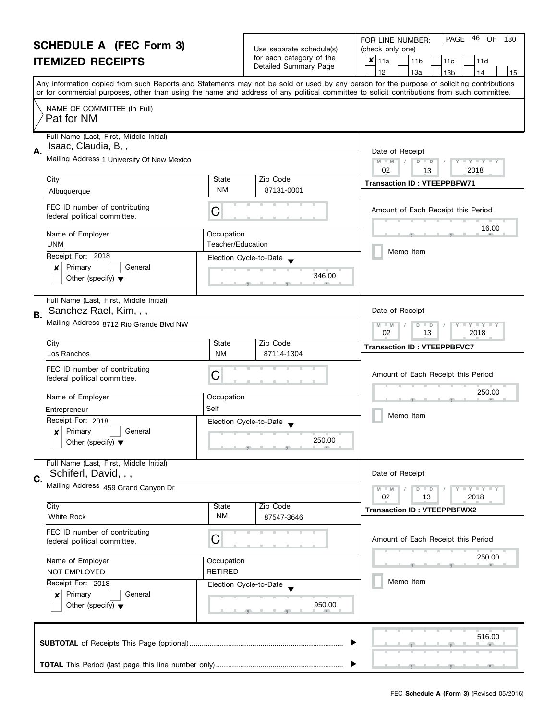|    | <b>SCHEDULE A (FEC Form 3)</b>                                    |                                             | Use separate schedule(s) | 46<br>OF<br>PAGE<br>180<br>FOR LINE NUMBER:<br>(check only one)                                                                            |
|----|-------------------------------------------------------------------|---------------------------------------------|--------------------------|--------------------------------------------------------------------------------------------------------------------------------------------|
|    | <b>ITEMIZED RECEIPTS</b>                                          |                                             | for each category of the | $x _{11a}$<br>11 <sub>b</sub><br>11c<br>11d                                                                                                |
|    |                                                                   |                                             | Detailed Summary Page    | 12<br>13a<br>13 <sub>b</sub><br>14<br>15                                                                                                   |
|    |                                                                   |                                             |                          | Any information copied from such Reports and Statements may not be sold or used by any person for the purpose of soliciting contributions  |
|    |                                                                   |                                             |                          | or for commercial purposes, other than using the name and address of any political committee to solicit contributions from such committee. |
|    | NAME OF COMMITTEE (In Full)<br>Pat for NM                         |                                             |                          |                                                                                                                                            |
|    | Full Name (Last, First, Middle Initial)<br>Isaac, Claudia, B,,    |                                             |                          |                                                                                                                                            |
| А. | Mailing Address 1 University Of New Mexico                        |                                             |                          | Date of Receipt<br>$D$ $D$                                                                                                                 |
|    |                                                                   |                                             |                          | $M - M$<br>$\mathbf{y}$ $\mathbf{y}$ $\mathbf{y}$ $\mathbf{y}$<br>02<br>2018<br>13                                                         |
|    | City                                                              | State                                       | Zip Code                 | <b>Transaction ID: VTEEPPBFW71</b>                                                                                                         |
|    | Albuquerque                                                       | NM                                          | 87131-0001               |                                                                                                                                            |
|    | FEC ID number of contributing<br>federal political committee.     | C                                           |                          | Amount of Each Receipt this Period                                                                                                         |
|    | Name of Employer                                                  | Occupation                                  |                          | 16.00                                                                                                                                      |
|    | <b>UNM</b>                                                        | Teacher/Education                           |                          | Memo Item                                                                                                                                  |
|    | Receipt For: 2018                                                 |                                             | Election Cycle-to-Date   |                                                                                                                                            |
|    | Primary<br>x<br>General<br>Other (specify) $\blacktriangledown$   |                                             | 346.00                   |                                                                                                                                            |
|    |                                                                   |                                             |                          |                                                                                                                                            |
| В. | Full Name (Last, First, Middle Initial)<br>Sanchez Rael, Kim, , , |                                             |                          | Date of Receipt                                                                                                                            |
|    | Mailing Address 8712 Rio Grande Blvd NW                           | $Y$ $Y$<br>$-M$<br>$\overline{D}$<br>$\Box$ |                          |                                                                                                                                            |
|    | City                                                              | State                                       | Zip Code                 | 02<br>13<br>2018                                                                                                                           |
|    | Los Ranchos                                                       | <b>NM</b>                                   | 87114-1304               | <b>Transaction ID: VTEEPPBFVC7</b>                                                                                                         |
|    | FEC ID number of contributing                                     |                                             |                          |                                                                                                                                            |
|    | federal political committee.                                      | С                                           |                          | Amount of Each Receipt this Period                                                                                                         |
|    | Name of Employer                                                  | Occupation                                  |                          | 250.00                                                                                                                                     |
|    | Entrepreneur                                                      | Self                                        |                          |                                                                                                                                            |
|    | Receipt For: 2018                                                 |                                             | Election Cycle-to-Date   | Memo Item                                                                                                                                  |
|    | Primary<br>$\boldsymbol{x}$<br>General                            |                                             |                          |                                                                                                                                            |
|    | Other (specify) $\blacktriangledown$                              |                                             | 250.00                   |                                                                                                                                            |
|    | Full Name (Last, First, Middle Initial)                           |                                             |                          |                                                                                                                                            |
| C. | Schiferl, David, , ,                                              |                                             |                          | Date of Receipt                                                                                                                            |
|    | Mailing Address 459 Grand Canyon Dr                               |                                             |                          | Y I Y I Y I Y<br>$M - M$<br>$D$ $D$                                                                                                        |
|    | City                                                              | State                                       | Zip Code                 | 02<br>13<br>2018                                                                                                                           |
|    | <b>White Rock</b>                                                 | ΝM                                          | 87547-3646               | <b>Transaction ID: VTEEPPBFWX2</b>                                                                                                         |
|    | FEC ID number of contributing<br>federal political committee.     | С                                           |                          | Amount of Each Receipt this Period                                                                                                         |
|    | Name of Employer                                                  | Occupation                                  |                          | 250.00                                                                                                                                     |
|    | NOT EMPLOYED                                                      | <b>RETIRED</b>                              |                          |                                                                                                                                            |
|    | Receipt For: 2018                                                 |                                             | Election Cycle-to-Date   | Memo Item                                                                                                                                  |
|    | Primary<br>General<br>x                                           |                                             |                          |                                                                                                                                            |
|    | Other (specify) $\blacktriangledown$                              |                                             | 950.00                   |                                                                                                                                            |
|    |                                                                   |                                             |                          |                                                                                                                                            |
|    |                                                                   |                                             |                          | 516.00                                                                                                                                     |
|    |                                                                   |                                             |                          |                                                                                                                                            |

, <u>, , , , , , , , , , , , , , ,</u>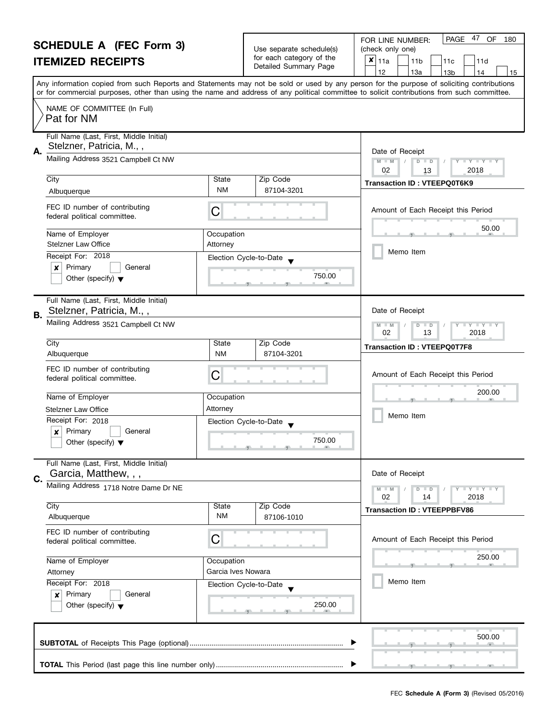|    | <b>SCHEDULE A (FEC Form 3)</b>                                                 |                        |                                                      | 47 OF<br>PAGE<br>180<br>FOR LINE NUMBER:                                                                                                   |
|----|--------------------------------------------------------------------------------|------------------------|------------------------------------------------------|--------------------------------------------------------------------------------------------------------------------------------------------|
|    |                                                                                |                        | Use separate schedule(s)<br>for each category of the | (check only one)<br>$\pmb{\times}$<br>11a                                                                                                  |
|    | <b>ITEMIZED RECEIPTS</b>                                                       |                        | Detailed Summary Page                                | 11 <sub>b</sub><br>11c<br>11d<br>12<br>13a<br>13 <sub>b</sub><br>14<br>15                                                                  |
|    |                                                                                |                        |                                                      | Any information copied from such Reports and Statements may not be sold or used by any person for the purpose of soliciting contributions  |
|    |                                                                                |                        |                                                      | or for commercial purposes, other than using the name and address of any political committee to solicit contributions from such committee. |
|    | NAME OF COMMITTEE (In Full)<br>Pat for NM                                      |                        |                                                      |                                                                                                                                            |
|    | Full Name (Last, First, Middle Initial)                                        |                        |                                                      |                                                                                                                                            |
| А. | Stelzner, Patricia, M.,,                                                       |                        |                                                      | Date of Receipt                                                                                                                            |
|    | Mailing Address 3521 Campbell Ct NW                                            |                        |                                                      | $M - M$<br>$D$ $D$<br>$\mathbf{I}$ $\mathbf{Y}$ $\mathbf{I}$ $\mathbf{Y}$ $\mathbf{I}$<br>02<br>2018<br>13                                 |
|    | City                                                                           | State                  | Zip Code                                             | Transaction ID: VTEEPQ0T6K9                                                                                                                |
|    | Albuquerque                                                                    | <b>NM</b>              | 87104-3201                                           |                                                                                                                                            |
|    | FEC ID number of contributing<br>federal political committee.                  | С                      |                                                      | Amount of Each Receipt this Period                                                                                                         |
|    | Name of Employer                                                               | Occupation             |                                                      | 50.00                                                                                                                                      |
|    | <b>Stelzner Law Office</b>                                                     | Attorney               |                                                      |                                                                                                                                            |
|    | Receipt For: 2018                                                              |                        | Election Cycle-to-Date                               | Memo Item                                                                                                                                  |
|    | Primary<br>General<br>×                                                        |                        | 750.00                                               |                                                                                                                                            |
|    | Other (specify) $\blacktriangledown$                                           |                        |                                                      |                                                                                                                                            |
| В. | Full Name (Last, First, Middle Initial)<br>Stelzner, Patricia, M.,,            |                        |                                                      | Date of Receipt                                                                                                                            |
|    | Mailing Address 3521 Campbell Ct NW                                            |                        |                                                      | $Y$ $Y$<br>$-M$<br>$\overline{D}$<br>$\blacksquare$<br>02<br>13<br>2018                                                                    |
|    | City                                                                           | State                  | Zip Code                                             | <b>Transaction ID: VTEEPQ0T7F8</b>                                                                                                         |
|    | Albuquerque                                                                    | <b>NM</b>              | 87104-3201                                           |                                                                                                                                            |
|    | FEC ID number of contributing<br>federal political committee.                  | С                      |                                                      | Amount of Each Receipt this Period                                                                                                         |
|    | Name of Employer                                                               | Occupation             |                                                      | 200.00                                                                                                                                     |
|    | <b>Stelzner Law Office</b>                                                     | Attorney               |                                                      | Memo Item                                                                                                                                  |
|    | Receipt For: 2018                                                              | Election Cycle-to-Date |                                                      |                                                                                                                                            |
|    | Primary<br>General<br>$\boldsymbol{x}$<br>Other (specify) $\blacktriangledown$ |                        | 750.00                                               |                                                                                                                                            |
|    | Full Name (Last, First, Middle Initial)<br>Garcia, Matthew, , ,                |                        |                                                      | Date of Receipt                                                                                                                            |
| C. | Mailing Address 1718 Notre Dame Dr NE                                          |                        |                                                      | Y I Y I Y I Y<br>$D$ $D$                                                                                                                   |
|    |                                                                                |                        |                                                      | 2018<br>02<br>14                                                                                                                           |
|    | City                                                                           | State                  | Zip Code                                             | <b>Transaction ID: VTEEPPBFV86</b>                                                                                                         |
|    | Albuquerque                                                                    | ΝM                     | 87106-1010                                           |                                                                                                                                            |
|    | FEC ID number of contributing<br>federal political committee.                  | C                      |                                                      | Amount of Each Receipt this Period                                                                                                         |
|    | Name of Employer                                                               | Occupation             |                                                      | 250.00                                                                                                                                     |
|    | Attorney                                                                       | Garcia Ives Nowara     |                                                      |                                                                                                                                            |
|    | Receipt For: 2018                                                              | Election Cycle-to-Date |                                                      | Memo Item                                                                                                                                  |
|    | Primary<br>General<br>×<br>Other (specify) $\blacktriangledown$                |                        | 250.00                                               |                                                                                                                                            |
|    |                                                                                |                        |                                                      | 500.00                                                                                                                                     |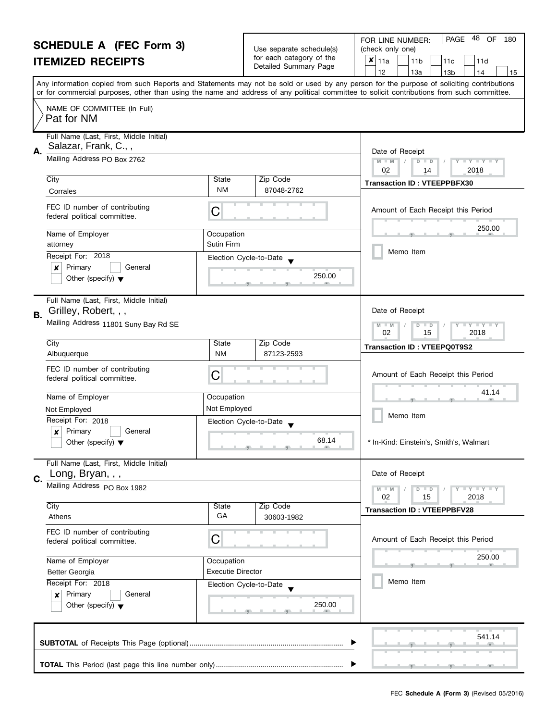|                                                                                                          | <b>SCHEDULE A (FEC Form 3)</b>                                  |                          |                                                      | 48 OF<br>PAGE<br>FOR LINE NUMBER:<br>180                                                                                                                                                                                                                                                |
|----------------------------------------------------------------------------------------------------------|-----------------------------------------------------------------|--------------------------|------------------------------------------------------|-----------------------------------------------------------------------------------------------------------------------------------------------------------------------------------------------------------------------------------------------------------------------------------------|
|                                                                                                          |                                                                 |                          | Use separate schedule(s)<br>for each category of the | (check only one)                                                                                                                                                                                                                                                                        |
|                                                                                                          | <b>ITEMIZED RECEIPTS</b>                                        |                          | Detailed Summary Page                                | $x _{11a}$<br>11 <sub>b</sub><br>11d<br>11c                                                                                                                                                                                                                                             |
|                                                                                                          |                                                                 |                          |                                                      | 12<br>13a<br>13 <sub>b</sub><br>14<br>15                                                                                                                                                                                                                                                |
|                                                                                                          |                                                                 |                          |                                                      | Any information copied from such Reports and Statements may not be sold or used by any person for the purpose of soliciting contributions<br>or for commercial purposes, other than using the name and address of any political committee to solicit contributions from such committee. |
|                                                                                                          | NAME OF COMMITTEE (In Full)<br>Pat for NM                       |                          |                                                      |                                                                                                                                                                                                                                                                                         |
| А.                                                                                                       | Full Name (Last, First, Middle Initial)<br>Salazar, Frank, C.,, |                          |                                                      | Date of Receipt                                                                                                                                                                                                                                                                         |
|                                                                                                          | Mailing Address PO Box 2762                                     |                          |                                                      | $M - M$<br>D<br>$\mathbf{I} \times \mathbf{I} \times \mathbf{I}$<br>$\Box$<br>02<br>2018<br>14                                                                                                                                                                                          |
|                                                                                                          | City                                                            | State                    | Zip Code                                             | <b>Transaction ID: VTEEPPBFX30</b>                                                                                                                                                                                                                                                      |
|                                                                                                          | Corrales                                                        | NM                       | 87048-2762                                           |                                                                                                                                                                                                                                                                                         |
|                                                                                                          | FEC ID number of contributing<br>federal political committee.   | С                        |                                                      | Amount of Each Receipt this Period                                                                                                                                                                                                                                                      |
|                                                                                                          | Name of Employer<br>attorney                                    | Occupation<br>Sutin Firm |                                                      | 250.00                                                                                                                                                                                                                                                                                  |
|                                                                                                          | Receipt For: 2018                                               |                          |                                                      | Memo Item                                                                                                                                                                                                                                                                               |
|                                                                                                          | Primary<br>×<br>General                                         |                          | Election Cycle-to-Date                               |                                                                                                                                                                                                                                                                                         |
|                                                                                                          | Other (specify) $\blacktriangledown$                            |                          | 250.00                                               |                                                                                                                                                                                                                                                                                         |
| В.                                                                                                       | Full Name (Last, First, Middle Initial)<br>Grilley, Robert, , , |                          |                                                      | Date of Receipt                                                                                                                                                                                                                                                                         |
|                                                                                                          | Mailing Address 11801 Suny Bay Rd SE                            |                          |                                                      | M<br>$Y \perp Y \perp Y$<br>$-M$<br>D<br>$\Box$<br>02<br>15<br>2018                                                                                                                                                                                                                     |
|                                                                                                          | City                                                            | State                    | Zip Code                                             | <b>Transaction ID: VTEEPQ0T9S2</b>                                                                                                                                                                                                                                                      |
|                                                                                                          | Albuquerque                                                     | <b>NM</b>                | 87123-2593                                           |                                                                                                                                                                                                                                                                                         |
|                                                                                                          | FEC ID number of contributing<br>federal political committee.   | С                        |                                                      | Amount of Each Receipt this Period                                                                                                                                                                                                                                                      |
|                                                                                                          | Name of Employer                                                | Occupation               |                                                      | 41.14                                                                                                                                                                                                                                                                                   |
|                                                                                                          | Not Employed                                                    | Not Employed             |                                                      |                                                                                                                                                                                                                                                                                         |
|                                                                                                          | Receipt For: 2018                                               |                          | Election Cycle-to-Date                               | Memo Item                                                                                                                                                                                                                                                                               |
|                                                                                                          | Primary<br>X<br>General                                         |                          |                                                      |                                                                                                                                                                                                                                                                                         |
|                                                                                                          | Other (specify) $\blacktriangledown$                            |                          | 68.14                                                | In-Kind: Einstein's, Smith's, Walmart                                                                                                                                                                                                                                                   |
|                                                                                                          | Full Name (Last, First, Middle Initial)                         |                          |                                                      |                                                                                                                                                                                                                                                                                         |
| C.                                                                                                       | Long, Bryan, , ,<br>Mailing Address PO Box 1982                 |                          |                                                      | Date of Receipt                                                                                                                                                                                                                                                                         |
|                                                                                                          |                                                                 |                          |                                                      | Y LY LY LY<br>$M - M$<br>$D$ $D$<br>02<br>15<br>2018                                                                                                                                                                                                                                    |
|                                                                                                          | City                                                            | State                    | Zip Code                                             | <b>Transaction ID: VTEEPPBFV28</b>                                                                                                                                                                                                                                                      |
|                                                                                                          | Athens                                                          | GA                       | 30603-1982                                           |                                                                                                                                                                                                                                                                                         |
|                                                                                                          | FEC ID number of contributing<br>federal political committee.   | С                        |                                                      | Amount of Each Receipt this Period                                                                                                                                                                                                                                                      |
| Name of Employer<br>Occupation<br><b>Executie Director</b><br><b>Better Georgia</b><br>Receipt For: 2018 |                                                                 |                          |                                                      | 250.00                                                                                                                                                                                                                                                                                  |
|                                                                                                          |                                                                 |                          | -91                                                  |                                                                                                                                                                                                                                                                                         |
|                                                                                                          |                                                                 | Election Cycle-to-Date   | Memo Item                                            |                                                                                                                                                                                                                                                                                         |
|                                                                                                          | Primary<br>General<br>$\boldsymbol{x}$                          |                          |                                                      |                                                                                                                                                                                                                                                                                         |
|                                                                                                          | Other (specify) $\blacktriangledown$                            |                          | 250.00                                               |                                                                                                                                                                                                                                                                                         |
|                                                                                                          |                                                                 |                          |                                                      | 541.14                                                                                                                                                                                                                                                                                  |
|                                                                                                          |                                                                 |                          |                                                      |                                                                                                                                                                                                                                                                                         |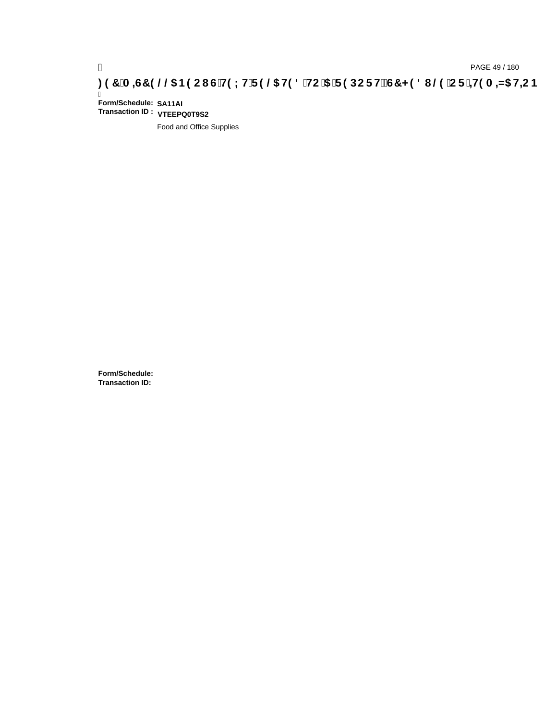# pAGE 49/180<br>(DPAGE 49/180, PAGE 49/180<br>(OD THE Ball God Band Hit Figos Hold Hit Construction Construction Construction Construction Construction Const

Ī **Form/Schedule: SA11AI Transaction ID : VTEEPQ0T9S2**

Food and Office Supplies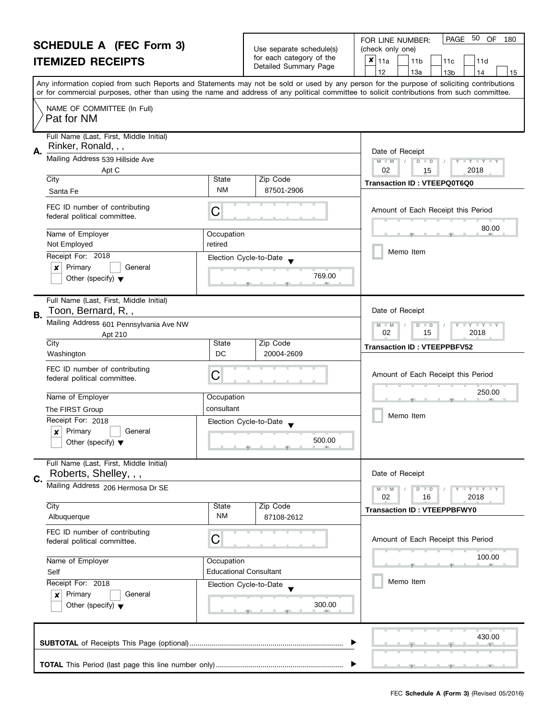### **SCHEDULE A (FEC Form 3) ITEMIZED RECEIPTS**

|                                                   | <b>PAGE 50 OF 180</b><br>FOR LINE NUMBER: |  |
|---------------------------------------------------|-------------------------------------------|--|
| Use separate schedule(s)                          | (check only one)                          |  |
| for each category of the<br>Detailed Summary Page | $ \mathbf{x} _{11a}$<br>11b<br>11d        |  |

| OUTLUULL A TEU FUIIII JJ                                                             |                          | Use separate schedule(s)                                                                              | (check only one)                                                                                                                                                                                                                                                                                                                    |
|--------------------------------------------------------------------------------------|--------------------------|-------------------------------------------------------------------------------------------------------|-------------------------------------------------------------------------------------------------------------------------------------------------------------------------------------------------------------------------------------------------------------------------------------------------------------------------------------|
| <b>ITEMIZED RECEIPTS</b>                                                             |                          | for each category of the<br>Detailed Summary Page                                                     | $x _{11a}$<br>11 <sub>b</sub><br>11c<br>11d                                                                                                                                                                                                                                                                                         |
|                                                                                      |                          |                                                                                                       | 12<br>13a<br>13 <sub>b</sub><br>14<br>15<br>Any information copied from such Reports and Statements may not be sold or used by any person for the purpose of soliciting contributions<br>or for commercial purposes, other than using the name and address of any political committee to solicit contributions from such committee. |
| NAME OF COMMITTEE (In Full)<br>Pat for NM                                            |                          |                                                                                                       |                                                                                                                                                                                                                                                                                                                                     |
| Full Name (Last, First, Middle Initial)<br>Rinker, Ronald, , ,                       |                          |                                                                                                       | Date of Receipt                                                                                                                                                                                                                                                                                                                     |
| Mailing Address 539 Hillside Ave<br>Apt C                                            |                          |                                                                                                       | $M - M$<br>$\Box$ $\gamma$ $\Box$ $\gamma$ $\Box$ $\gamma$<br>D<br>$\blacksquare$<br>2018<br>02<br>15                                                                                                                                                                                                                               |
| City<br>Santa Fe                                                                     | State<br>NM              | Zip Code<br>87501-2906                                                                                | Transaction ID: VTEEPQ0T6Q0                                                                                                                                                                                                                                                                                                         |
| FEC ID number of contributing<br>federal political committee.                        | C                        |                                                                                                       | Amount of Each Receipt this Period                                                                                                                                                                                                                                                                                                  |
| Name of Employer<br>Not Employed                                                     | Occupation<br>retired    |                                                                                                       | 80.00<br>Memo Item                                                                                                                                                                                                                                                                                                                  |
| Receipt For: 2018<br>Primary<br>General<br>×<br>Other (specify) $\blacktriangledown$ |                          | Election Cycle-to-Date<br>769.00                                                                      |                                                                                                                                                                                                                                                                                                                                     |
| Full Name (Last, First, Middle Initial)<br>Toon, Bernard, R,,<br>B.                  |                          |                                                                                                       | Date of Receipt                                                                                                                                                                                                                                                                                                                     |
| Mailing Address 601 Pennsylvania Ave NW<br>Apt 210                                   |                          | $\bot$ $\gamma$ $\bot$ $\gamma$ $\bot$ $\gamma$<br>$M - M$<br>D<br>$\blacksquare$<br>02<br>15<br>2018 |                                                                                                                                                                                                                                                                                                                                     |
| City<br>Washington                                                                   | State<br>DC              | Zip Code<br>20004-2609                                                                                | <b>Transaction ID: VTEEPPBFV52</b>                                                                                                                                                                                                                                                                                                  |
| FEC ID number of contributing<br>federal political committee.                        | C                        |                                                                                                       | Amount of Each Receipt this Period                                                                                                                                                                                                                                                                                                  |
| Name of Employer<br>The FIRST Group                                                  | Occupation<br>consultant |                                                                                                       | 250.00<br>Memo Item                                                                                                                                                                                                                                                                                                                 |
| Receipt For: 2018<br>Primary<br>General<br>x<br>Other (specify) $\blacktriangledown$ |                          | Election Cycle-to-Date<br>500.00                                                                      |                                                                                                                                                                                                                                                                                                                                     |
| Full Name (Last, First, Middle Initial)<br>Roberts, Shelley, , ,<br>Ċ.               |                          |                                                                                                       | Date of Receipt                                                                                                                                                                                                                                                                                                                     |
| Mailing Address 206 Hermosa Dr SE                                                    |                          |                                                                                                       | $M - M$<br>$T - Y = T - Y$<br>$\overline{D}$<br>$\Box$<br>02<br>16<br>2018                                                                                                                                                                                                                                                          |
| City<br>Albuquerque                                                                  | State<br>ΝM              | Zip Code<br>87108-2612                                                                                | <b>Transaction ID: VTEEPPBFWY0</b>                                                                                                                                                                                                                                                                                                  |
| FEC ID number of contributing<br>federal political committee.                        | С                        |                                                                                                       | Amount of Each Receipt this Period                                                                                                                                                                                                                                                                                                  |
| Name of Employer<br>Self                                                             | Occupation               | <b>Educational Consultant</b>                                                                         | 100.00                                                                                                                                                                                                                                                                                                                              |
| Receipt For: 2018<br>Primary<br>General<br>x<br>Other (specify) $\blacktriangledown$ |                          | Election Cycle-to-Date<br>300.00                                                                      | Memo Item                                                                                                                                                                                                                                                                                                                           |
|                                                                                      |                          |                                                                                                       | 430.00                                                                                                                                                                                                                                                                                                                              |
|                                                                                      |                          |                                                                                                       |                                                                                                                                                                                                                                                                                                                                     |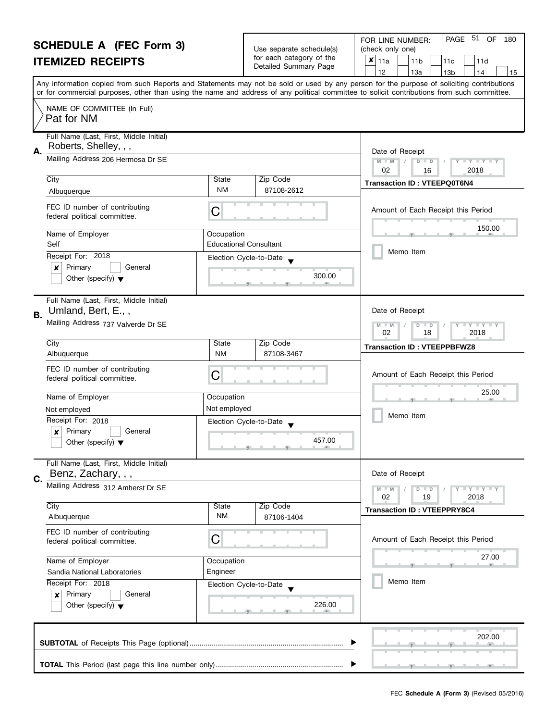| <b>SCHEDULE A (FEC Form 3)</b> |                                                                                |                                                        | Use separate schedule(s) | 51 OF<br>PAGE<br>FOR LINE NUMBER:<br>180<br>(check only one)                                                                                                                                                                                                                            |  |  |  |
|--------------------------------|--------------------------------------------------------------------------------|--------------------------------------------------------|--------------------------|-----------------------------------------------------------------------------------------------------------------------------------------------------------------------------------------------------------------------------------------------------------------------------------------|--|--|--|
| <b>ITEMIZED RECEIPTS</b>       |                                                                                |                                                        | for each category of the | $x _{11a}$<br>11 <sub>b</sub><br>11d<br>11c                                                                                                                                                                                                                                             |  |  |  |
|                                |                                                                                |                                                        | Detailed Summary Page    | 12<br>13a<br>13 <sub>b</sub><br>14<br>15                                                                                                                                                                                                                                                |  |  |  |
|                                |                                                                                |                                                        |                          | Any information copied from such Reports and Statements may not be sold or used by any person for the purpose of soliciting contributions<br>or for commercial purposes, other than using the name and address of any political committee to solicit contributions from such committee. |  |  |  |
|                                | NAME OF COMMITTEE (In Full)<br>Pat for NM                                      |                                                        |                          |                                                                                                                                                                                                                                                                                         |  |  |  |
| А.                             | Full Name (Last, First, Middle Initial)<br>Roberts, Shelley, , ,               |                                                        |                          | Date of Receipt                                                                                                                                                                                                                                                                         |  |  |  |
|                                | Mailing Address 206 Hermosa Dr SE                                              |                                                        |                          | $M - M$<br>D<br>$\mathbf{I} \times \mathbf{I} \times \mathbf{I}$<br>$\Box$<br>02<br>2018<br>16                                                                                                                                                                                          |  |  |  |
|                                | City                                                                           | State                                                  | Zip Code                 | <b>Transaction ID: VTEEPQ0T6N4</b>                                                                                                                                                                                                                                                      |  |  |  |
|                                | Albuquerque                                                                    | <b>NM</b>                                              | 87108-2612               |                                                                                                                                                                                                                                                                                         |  |  |  |
|                                | FEC ID number of contributing<br>federal political committee.                  | С                                                      |                          | Amount of Each Receipt this Period                                                                                                                                                                                                                                                      |  |  |  |
|                                | Name of Employer<br>Self                                                       | Occupation<br><b>Educational Consultant</b>            |                          | 150.00                                                                                                                                                                                                                                                                                  |  |  |  |
|                                | Receipt For: 2018                                                              |                                                        | Election Cycle-to-Date   | Memo Item                                                                                                                                                                                                                                                                               |  |  |  |
|                                | Primary<br>General<br>×                                                        |                                                        |                          |                                                                                                                                                                                                                                                                                         |  |  |  |
|                                | Other (specify) $\blacktriangledown$                                           |                                                        | 300.00                   |                                                                                                                                                                                                                                                                                         |  |  |  |
| В.                             | Full Name (Last, First, Middle Initial)<br>Umland, Bert, E.,,                  |                                                        |                          | Date of Receipt                                                                                                                                                                                                                                                                         |  |  |  |
|                                | Mailing Address 737 Valverde Dr SE                                             | $Y - Y - Y$<br>D<br>$\Box$<br>$-M$<br>02<br>18<br>2018 |                          |                                                                                                                                                                                                                                                                                         |  |  |  |
|                                | City                                                                           | State                                                  | Zip Code                 | <b>Transaction ID: VTEEPPBFWZ8</b>                                                                                                                                                                                                                                                      |  |  |  |
|                                | Albuquerque                                                                    | <b>NM</b>                                              | 87108-3467               |                                                                                                                                                                                                                                                                                         |  |  |  |
|                                | FEC ID number of contributing<br>federal political committee.                  | С                                                      |                          | Amount of Each Receipt this Period                                                                                                                                                                                                                                                      |  |  |  |
|                                | Name of Employer                                                               | Occupation                                             |                          | 25.00                                                                                                                                                                                                                                                                                   |  |  |  |
|                                | Not employed                                                                   | Not employed                                           |                          |                                                                                                                                                                                                                                                                                         |  |  |  |
|                                | Receipt For: 2018                                                              |                                                        | Election Cycle-to-Date   | Memo Item                                                                                                                                                                                                                                                                               |  |  |  |
|                                | Primary<br>General<br>$\boldsymbol{x}$<br>Other (specify) $\blacktriangledown$ |                                                        | 457.00                   |                                                                                                                                                                                                                                                                                         |  |  |  |
|                                | Full Name (Last, First, Middle Initial)<br>Benz, Zachary, , ,                  |                                                        |                          | Date of Receipt                                                                                                                                                                                                                                                                         |  |  |  |
| C.                             | Mailing Address 312 Amherst Dr SE                                              |                                                        |                          | $Y - Y - Y - Y - Y$<br>$D$ $D$<br>02<br>19<br>2018                                                                                                                                                                                                                                      |  |  |  |
|                                | City                                                                           | State                                                  | Zip Code                 | <b>Transaction ID: VTEEPPRY8C4</b>                                                                                                                                                                                                                                                      |  |  |  |
|                                | Albuquerque                                                                    | <b>NM</b>                                              | 87106-1404               |                                                                                                                                                                                                                                                                                         |  |  |  |
|                                | FEC ID number of contributing<br>federal political committee.                  | С                                                      |                          | Amount of Each Receipt this Period                                                                                                                                                                                                                                                      |  |  |  |
|                                | Name of Employer                                                               | Occupation                                             |                          | 27.00                                                                                                                                                                                                                                                                                   |  |  |  |
|                                | Sandia National Laboratories                                                   | Engineer                                               |                          |                                                                                                                                                                                                                                                                                         |  |  |  |
|                                | Receipt For: 2018                                                              |                                                        | Election Cycle-to-Date   | Memo Item                                                                                                                                                                                                                                                                               |  |  |  |
|                                | Primary<br>General<br>×<br>Other (specify) $\blacktriangledown$                |                                                        | 226.00                   |                                                                                                                                                                                                                                                                                         |  |  |  |
|                                |                                                                                |                                                        |                          |                                                                                                                                                                                                                                                                                         |  |  |  |
|                                |                                                                                |                                                        |                          | 202.00                                                                                                                                                                                                                                                                                  |  |  |  |
|                                |                                                                                |                                                        |                          |                                                                                                                                                                                                                                                                                         |  |  |  |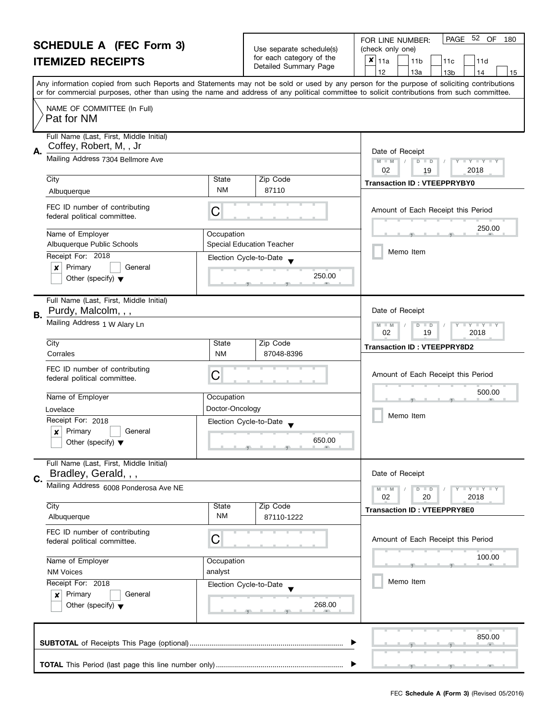| <b>SCHEDULE A (FEC Form 3)</b> |                                                                                |                                                                                                 |                                                      | PAGE 52 OF<br>180<br>FOR LINE NUMBER:                                                                                                      |  |  |  |
|--------------------------------|--------------------------------------------------------------------------------|-------------------------------------------------------------------------------------------------|------------------------------------------------------|--------------------------------------------------------------------------------------------------------------------------------------------|--|--|--|
| <b>ITEMIZED RECEIPTS</b>       |                                                                                |                                                                                                 | Use separate schedule(s)<br>for each category of the | (check only one)<br>$x _{11a}$<br>11 <sub>b</sub><br>11d<br>11c                                                                            |  |  |  |
|                                |                                                                                |                                                                                                 | Detailed Summary Page                                | 13a<br>12<br>13 <sub>b</sub><br>14<br>15                                                                                                   |  |  |  |
|                                |                                                                                |                                                                                                 |                                                      | Any information copied from such Reports and Statements may not be sold or used by any person for the purpose of soliciting contributions  |  |  |  |
|                                |                                                                                |                                                                                                 |                                                      | or for commercial purposes, other than using the name and address of any political committee to solicit contributions from such committee. |  |  |  |
|                                | NAME OF COMMITTEE (In Full)<br>Pat for NM                                      |                                                                                                 |                                                      |                                                                                                                                            |  |  |  |
| А.                             | Full Name (Last, First, Middle Initial)<br>Coffey, Robert, M, , Jr             |                                                                                                 |                                                      | Date of Receipt                                                                                                                            |  |  |  |
|                                | Mailing Address 7304 Bellmore Ave                                              |                                                                                                 |                                                      | $M - M$<br>D<br>$\Box$ $\Upsilon$ $\Box$ $\Upsilon$ $\Box$<br>$\Box$<br>02<br>2018<br>19                                                   |  |  |  |
|                                | City                                                                           | State                                                                                           | Zip Code                                             | <b>Transaction ID: VTEEPPRYBY0</b>                                                                                                         |  |  |  |
|                                | Albuquerque                                                                    | NM                                                                                              | 87110                                                |                                                                                                                                            |  |  |  |
|                                | FEC ID number of contributing<br>federal political committee.                  | C                                                                                               |                                                      | Amount of Each Receipt this Period                                                                                                         |  |  |  |
|                                | Name of Employer<br>Albuquerque Public Schools                                 | Occupation                                                                                      | <b>Special Education Teacher</b>                     | 250.00                                                                                                                                     |  |  |  |
|                                | Receipt For: 2018                                                              |                                                                                                 |                                                      | Memo Item                                                                                                                                  |  |  |  |
|                                | Primary<br>General<br>×                                                        | Election Cycle-to-Date                                                                          |                                                      |                                                                                                                                            |  |  |  |
|                                | Other (specify) $\blacktriangledown$                                           |                                                                                                 | 250.00                                               |                                                                                                                                            |  |  |  |
| В.                             | Full Name (Last, First, Middle Initial)<br>Purdy, Malcolm, , ,                 |                                                                                                 |                                                      | Date of Receipt                                                                                                                            |  |  |  |
|                                | Mailing Address 1 W Alary Ln                                                   | M<br>$\bot$ $\gamma$ $\bot$ $\gamma$ $\bot$ $\gamma$<br>$-M$<br>D<br>$\Box$<br>02<br>19<br>2018 |                                                      |                                                                                                                                            |  |  |  |
|                                | City                                                                           | State                                                                                           | Zip Code                                             | <b>Transaction ID: VTEEPPRY8D2</b>                                                                                                         |  |  |  |
|                                | Corrales                                                                       | <b>NM</b>                                                                                       | 87048-8396                                           |                                                                                                                                            |  |  |  |
|                                | FEC ID number of contributing<br>federal political committee.                  | C                                                                                               |                                                      | Amount of Each Receipt this Period                                                                                                         |  |  |  |
|                                | Name of Employer                                                               | Occupation                                                                                      |                                                      | 500.00                                                                                                                                     |  |  |  |
|                                | Lovelace                                                                       | Doctor-Oncology                                                                                 |                                                      |                                                                                                                                            |  |  |  |
|                                | Receipt For: 2018                                                              | Election Cycle-to-Date                                                                          |                                                      | Memo Item                                                                                                                                  |  |  |  |
|                                | Primary<br>General<br>$\boldsymbol{x}$<br>Other (specify) $\blacktriangledown$ |                                                                                                 | 650.00                                               |                                                                                                                                            |  |  |  |
| C.                             | Full Name (Last, First, Middle Initial)<br>Bradley, Gerald, , ,                |                                                                                                 |                                                      | Date of Receipt                                                                                                                            |  |  |  |
|                                | Mailing Address 6008 Ponderosa Ave NE                                          |                                                                                                 |                                                      | $T + Y = Y + Y$<br>$M - M$<br>$D$ $D$                                                                                                      |  |  |  |
|                                | City                                                                           | State                                                                                           | Zip Code                                             | 02<br>2018<br>20                                                                                                                           |  |  |  |
|                                | Albuquerque                                                                    | <b>NM</b>                                                                                       | 87110-1222                                           | <b>Transaction ID: VTEEPPRY8E0</b>                                                                                                         |  |  |  |
|                                | FEC ID number of contributing<br>federal political committee.                  | C                                                                                               |                                                      | Amount of Each Receipt this Period                                                                                                         |  |  |  |
|                                | Name of Employer                                                               | Occupation                                                                                      |                                                      | 100.00                                                                                                                                     |  |  |  |
|                                | <b>NM Voices</b>                                                               | analyst                                                                                         |                                                      |                                                                                                                                            |  |  |  |
|                                | Receipt For: 2018                                                              | Election Cycle-to-Date                                                                          |                                                      | Memo Item                                                                                                                                  |  |  |  |
|                                | Primary<br>General<br>×<br>268.00<br>Other (specify) $\blacktriangledown$      |                                                                                                 |                                                      |                                                                                                                                            |  |  |  |
|                                |                                                                                | 850.00                                                                                          |                                                      |                                                                                                                                            |  |  |  |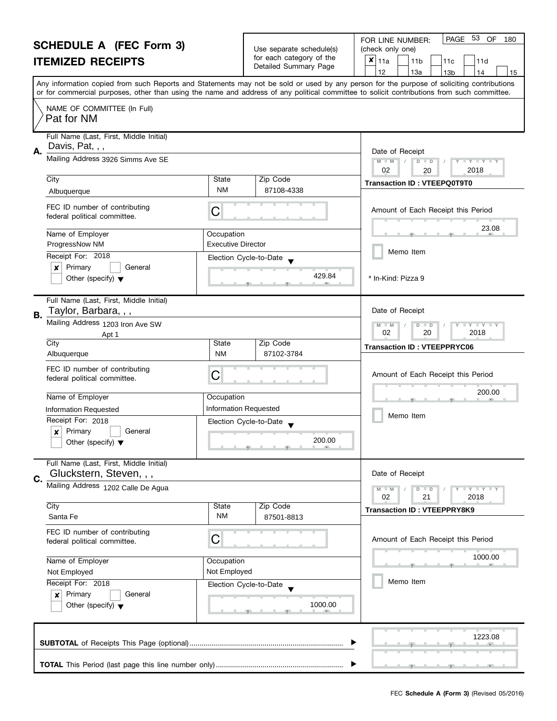#### **SCHEDULE A (FEC Form 3) ITEMIZED RECEIPTS** Any information copied from such Reports and Statements may not be sold or used by any person for the purpose of soliciting contributions or for commercial purposes, other than using the name and address of any political committee to solicit contributions from such committee. NAME OF COMMITTEE (In Full) Full Name (Last, First, Middle Initial) Mailing Address 3926 Simms Ave SE City **State** Zip Code Receipt For: 2018 | x | Primary | | General Other (specify)  $\blacktriangledown$ **A.** Election Cycle-to-Date Date of Receipt Name of Employer and a computer of Computer of Employer  $\bullet$  429.8 FEC ID number of contributing FEC ID number of contributing<br>federal political committee. Full Name (Last, First, Middle Initial) Mailing Address 1203 Iron Ave SW City City State Zip Code Receipt For: 2018  $\vert \mathbf{x} \vert$  Primary  $\vert$  General Other (specify)  $\blacktriangledown$ **B.** Election Cycle-to-Date Date of Receipt Name of Employer <br>
Occupation  $\bullet$  200.0 FEC ID number of contributing FEC ID number of contributing  $\mathsf{C}$  Full Name (Last, First, Middle Initial) Mailing Address 1202 Calle De Agua City City Code City Code City Code City Code City Code City Code City Code City Code **C.** Date of Receipt FEC ID number of contributing federal political committee. FOR LINE NUMBER: | PAGE 53 OF Use separate schedule(s) | (check only one) for each category of the Tor each category of the  $\begin{array}{|c|c|c|c|c|c|}\n\hline\n\text{Detailed Summary Page} & & 11a & 11b & 11c & 11d \\
\hline\n\hline\n\end{array}$  13a - 13b 14 |12 | |13a | |13b | |14 | |15 **M M M M M / D D / Y Y Y Y M M / D D / Y Y Y Y** Amount of Each Receipt this Period  $\frac{23.0}{2}$ Amount of Each Receipt this Period  $\frac{200.0}{7}$ Amount of Each Receipt this Period Memo Item Memo Item 180  $x|_{11a}$ Pat for NM Davis, Pat, , , 02 20 20 2018 Albuquerque **NM** Transaction ID : VTEEPQ0T9T0<br>Albuquerque NM 87108-4338 23.08 ProgressNow NM Executive Director 429.84 \* In-Kind: Pizza 9 Taylor, Barbara, , , Apt 1 02 20 2018 Albuquerque **NM** State | State | 2lp Code | Transaction ID : VTEEPPRYC06<br>Albuquerque | NM | 87102-3784 200.00 Information Requested **Information Requested** 200.00 Gluckstern, Steven, , , 02 21 2018 City<br>
Santa Fe **NM** 87501-8813<br>
Santa Fe NM 87501-8813

**SUBTOTAL** of Receipts This Page (optional)............................................................................ , , .

Election Cycle-to-Date

, , .

**TOTAL** This Period (last page this line number only) ...............................................................

Name of Employer <br>
Occupation

Not Employed Not Employed

Receipt For: 2018

| x | Primary | | General Other (specify)  $\blacktriangledown$ 

FEC **Schedule A (Form 3)** (Revised 05/2016)

, , .

1223.08

 $\frac{1000.00}{2}$ 

Memo Item

 $\blacktriangleright$ 

1000.00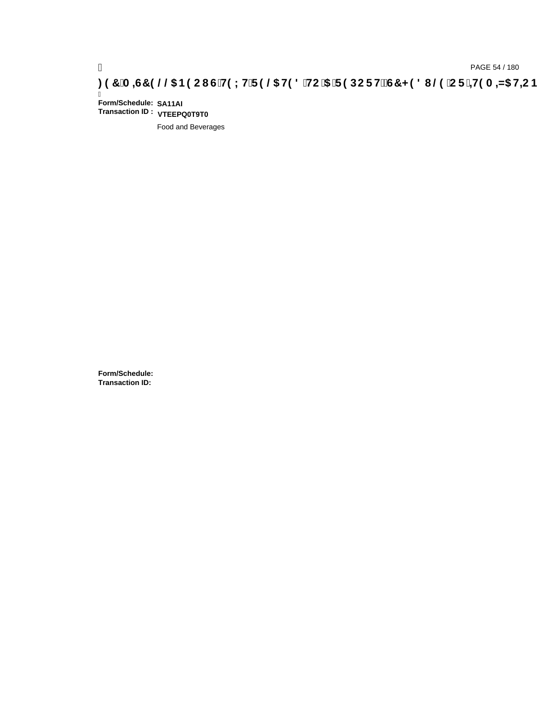# ) PAGE 54 / 180<br>(DAGE 54 / 180 PAGE 54 / 180 PAGE 54 / 20, <mark>20, THS DHC THE COM</mark><br>(CF <del>` 11</del>9 A – ND He CB (25) OF CHS DHC THE CHS DHC THE CHS HE CHS HE CHS HE CHS HE CHS THE CHS THE CHS THE CH

Ī **Form/Schedule: SA11AI Transaction ID : VTEEPQ0T9T0**

Food and Beverages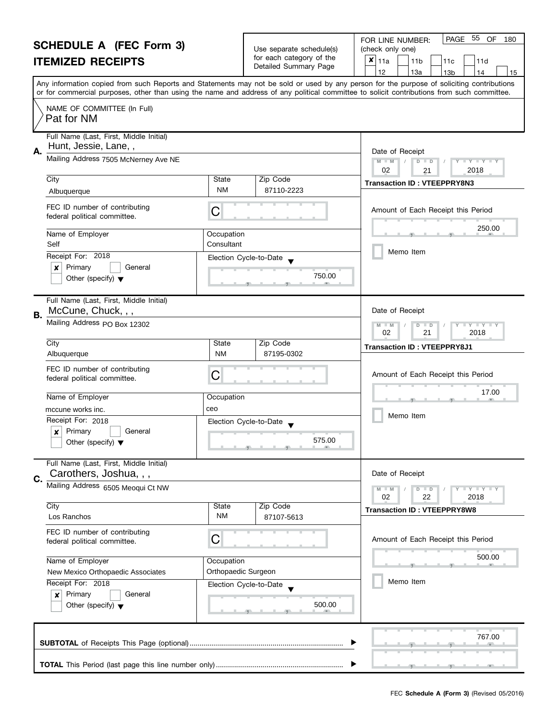| <b>SCHEDULE A (FEC Form 3)</b> |                                                                                | Use separate schedule(s) | PAGE<br>55 OF<br>FOR LINE NUMBER:<br>180<br>(check only one) |                                                                                                                                                                                                                                                                                         |  |  |  |
|--------------------------------|--------------------------------------------------------------------------------|--------------------------|--------------------------------------------------------------|-----------------------------------------------------------------------------------------------------------------------------------------------------------------------------------------------------------------------------------------------------------------------------------------|--|--|--|
|                                | <b>ITEMIZED RECEIPTS</b>                                                       |                          | for each category of the                                     | $x _{11a}$<br>11 <sub>b</sub><br>11d<br>11c                                                                                                                                                                                                                                             |  |  |  |
|                                |                                                                                |                          | Detailed Summary Page                                        | 12<br>13a<br>13 <sub>b</sub><br>14<br>15                                                                                                                                                                                                                                                |  |  |  |
|                                |                                                                                |                          |                                                              | Any information copied from such Reports and Statements may not be sold or used by any person for the purpose of soliciting contributions<br>or for commercial purposes, other than using the name and address of any political committee to solicit contributions from such committee. |  |  |  |
|                                | NAME OF COMMITTEE (In Full)<br>Pat for NM                                      |                          |                                                              |                                                                                                                                                                                                                                                                                         |  |  |  |
|                                | Full Name (Last, First, Middle Initial)<br>Hunt, Jessie, Lane,,                |                          |                                                              |                                                                                                                                                                                                                                                                                         |  |  |  |
| Α.                             | Mailing Address 7505 McNerney Ave NE                                           |                          |                                                              | Date of Receipt<br>$M - M$<br>D<br>$\mathbf{I} \times \mathbf{I} \times \mathbf{I}$<br>$\Box$<br>02<br>2018<br>21                                                                                                                                                                       |  |  |  |
|                                | City                                                                           | State                    | Zip Code                                                     | <b>Transaction ID: VTEEPPRY8N3</b>                                                                                                                                                                                                                                                      |  |  |  |
|                                | Albuquerque                                                                    | <b>NM</b>                | 87110-2223                                                   |                                                                                                                                                                                                                                                                                         |  |  |  |
|                                | FEC ID number of contributing<br>federal political committee.                  | С                        |                                                              | Amount of Each Receipt this Period                                                                                                                                                                                                                                                      |  |  |  |
|                                | Name of Employer<br>Self                                                       | Occupation<br>Consultant |                                                              | 250.00                                                                                                                                                                                                                                                                                  |  |  |  |
|                                | Receipt For: 2018                                                              |                          | Election Cycle-to-Date                                       | Memo Item                                                                                                                                                                                                                                                                               |  |  |  |
|                                | Primary<br>General<br>x                                                        |                          |                                                              |                                                                                                                                                                                                                                                                                         |  |  |  |
|                                | Other (specify) $\blacktriangledown$                                           |                          | 750.00                                                       |                                                                                                                                                                                                                                                                                         |  |  |  |
| В.                             | Full Name (Last, First, Middle Initial)<br>McCune, Chuck, , ,                  |                          |                                                              | Date of Receipt                                                                                                                                                                                                                                                                         |  |  |  |
|                                | Mailing Address PO Box 12302                                                   |                          |                                                              | $Y - Y - Y$<br>D<br>$-M$<br>$\blacksquare$<br>02<br>21<br>2018                                                                                                                                                                                                                          |  |  |  |
|                                | City                                                                           | State                    | Zip Code                                                     | <b>Transaction ID: VTEEPPRY8J1</b>                                                                                                                                                                                                                                                      |  |  |  |
|                                | Albuquerque                                                                    | <b>NM</b>                | 87195-0302                                                   |                                                                                                                                                                                                                                                                                         |  |  |  |
|                                | FEC ID number of contributing<br>federal political committee.                  | С                        |                                                              | Amount of Each Receipt this Period                                                                                                                                                                                                                                                      |  |  |  |
|                                | Name of Employer                                                               | Occupation               |                                                              | 17.00                                                                                                                                                                                                                                                                                   |  |  |  |
|                                | mccune works inc.                                                              | ceo                      |                                                              |                                                                                                                                                                                                                                                                                         |  |  |  |
|                                | Receipt For: 2018                                                              |                          | Election Cycle-to-Date                                       | Memo Item                                                                                                                                                                                                                                                                               |  |  |  |
|                                | Primary<br>General<br>$\boldsymbol{x}$<br>Other (specify) $\blacktriangledown$ |                          | 575.00                                                       |                                                                                                                                                                                                                                                                                         |  |  |  |
|                                | Full Name (Last, First, Middle Initial)<br>Carothers, Joshua, , ,              |                          |                                                              | Date of Receipt                                                                                                                                                                                                                                                                         |  |  |  |
| C.                             | Mailing Address 6505 Meoqui Ct NW                                              |                          |                                                              | $Y - Y - Y - Y - Y$<br>$M - M$<br>$D$ $D$                                                                                                                                                                                                                                               |  |  |  |
|                                |                                                                                |                          |                                                              | 02<br>22<br>2018                                                                                                                                                                                                                                                                        |  |  |  |
|                                | City<br>Los Ranchos                                                            | State<br><b>NM</b>       | Zip Code<br>87107-5613                                       | <b>Transaction ID: VTEEPPRY8W8</b>                                                                                                                                                                                                                                                      |  |  |  |
|                                | FEC ID number of contributing<br>federal political committee.                  | С                        |                                                              | Amount of Each Receipt this Period                                                                                                                                                                                                                                                      |  |  |  |
|                                | Name of Employer                                                               | Occupation               |                                                              | 500.00                                                                                                                                                                                                                                                                                  |  |  |  |
|                                | New Mexico Orthopaedic Associates                                              | Orthopaedic Surgeon      |                                                              |                                                                                                                                                                                                                                                                                         |  |  |  |
|                                | Receipt For: 2018                                                              |                          | Election Cycle-to-Date                                       | Memo Item                                                                                                                                                                                                                                                                               |  |  |  |
|                                | Primary<br>General<br>×                                                        |                          | 500.00                                                       |                                                                                                                                                                                                                                                                                         |  |  |  |
|                                | Other (specify) $\blacktriangledown$                                           |                          |                                                              |                                                                                                                                                                                                                                                                                         |  |  |  |
|                                |                                                                                |                          |                                                              | 767.00                                                                                                                                                                                                                                                                                  |  |  |  |
|                                |                                                                                |                          |                                                              |                                                                                                                                                                                                                                                                                         |  |  |  |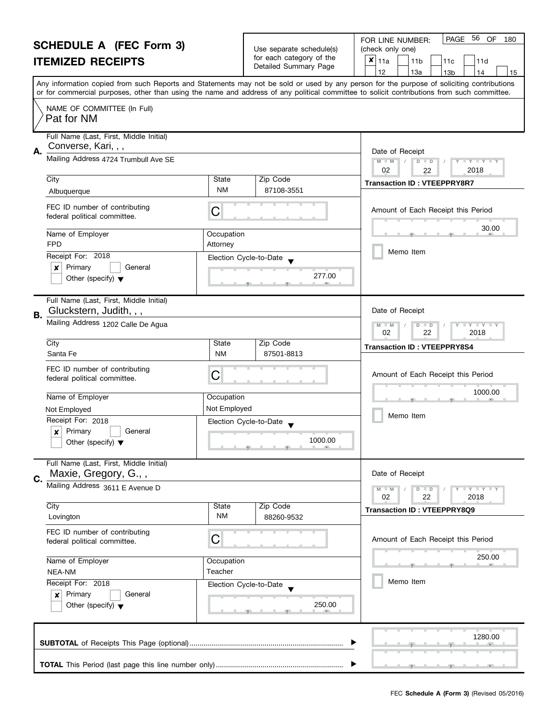| <b>SCHEDULE A (FEC Form 3)</b> |                                                                                                     |                                                        |                                                      | 56 OF<br>PAGE<br>FOR LINE NUMBER:<br>180<br>(check only one)                                                                                                                                                                                                                            |  |  |  |
|--------------------------------|-----------------------------------------------------------------------------------------------------|--------------------------------------------------------|------------------------------------------------------|-----------------------------------------------------------------------------------------------------------------------------------------------------------------------------------------------------------------------------------------------------------------------------------------|--|--|--|
| <b>ITEMIZED RECEIPTS</b>       |                                                                                                     |                                                        | Use separate schedule(s)<br>for each category of the | $x _{11a}$<br>11 <sub>b</sub><br>11d<br>11c                                                                                                                                                                                                                                             |  |  |  |
|                                |                                                                                                     |                                                        | Detailed Summary Page                                | 12<br>13a<br>13 <sub>b</sub><br>14<br>15                                                                                                                                                                                                                                                |  |  |  |
|                                |                                                                                                     |                                                        |                                                      | Any information copied from such Reports and Statements may not be sold or used by any person for the purpose of soliciting contributions<br>or for commercial purposes, other than using the name and address of any political committee to solicit contributions from such committee. |  |  |  |
|                                | NAME OF COMMITTEE (In Full)<br>Pat for NM                                                           |                                                        |                                                      |                                                                                                                                                                                                                                                                                         |  |  |  |
| А.                             | Full Name (Last, First, Middle Initial)<br>Converse, Kari, , ,                                      |                                                        |                                                      | Date of Receipt                                                                                                                                                                                                                                                                         |  |  |  |
|                                | Mailing Address 4724 Trumbull Ave SE                                                                |                                                        |                                                      | $M - M$<br>D<br>$T + Y = Y + T$<br>$\Box$<br>02<br>2018<br>22                                                                                                                                                                                                                           |  |  |  |
|                                | City<br>Albuquerque                                                                                 | State<br><b>NM</b>                                     | Zip Code<br>87108-3551                               | <b>Transaction ID: VTEEPPRY8R7</b>                                                                                                                                                                                                                                                      |  |  |  |
|                                | FEC ID number of contributing<br>federal political committee.                                       | С                                                      |                                                      | Amount of Each Receipt this Period                                                                                                                                                                                                                                                      |  |  |  |
|                                | Name of Employer<br><b>FPD</b>                                                                      | Occupation<br>Attorney                                 |                                                      | 30.00                                                                                                                                                                                                                                                                                   |  |  |  |
|                                | Receipt For: 2018                                                                                   |                                                        | Election Cycle-to-Date                               | Memo Item                                                                                                                                                                                                                                                                               |  |  |  |
|                                | Primary<br>General<br>x<br>Other (specify) $\blacktriangledown$                                     |                                                        | 277.00                                               |                                                                                                                                                                                                                                                                                         |  |  |  |
| В.                             | Full Name (Last, First, Middle Initial)<br>Gluckstern, Judith, , ,                                  |                                                        |                                                      | Date of Receipt                                                                                                                                                                                                                                                                         |  |  |  |
|                                | Mailing Address 1202 Calle De Agua                                                                  | $Y - Y - Y$<br>D<br>$\Box$<br>$-M$<br>02<br>22<br>2018 |                                                      |                                                                                                                                                                                                                                                                                         |  |  |  |
|                                | City<br>Santa Fe                                                                                    | State<br><b>NM</b>                                     | Zip Code<br>87501-8813                               | <b>Transaction ID: VTEEPPRY8S4</b>                                                                                                                                                                                                                                                      |  |  |  |
|                                | FEC ID number of contributing<br>federal political committee.                                       | С                                                      |                                                      | Amount of Each Receipt this Period                                                                                                                                                                                                                                                      |  |  |  |
|                                | Name of Employer                                                                                    | Occupation                                             |                                                      | 1000.00                                                                                                                                                                                                                                                                                 |  |  |  |
|                                | Not Employed                                                                                        | Not Employed                                           |                                                      |                                                                                                                                                                                                                                                                                         |  |  |  |
|                                | Receipt For: 2018<br>Primary<br>General<br>$\boldsymbol{x}$<br>Other (specify) $\blacktriangledown$ |                                                        | Election Cycle-to-Date<br>1000.00                    | Memo Item                                                                                                                                                                                                                                                                               |  |  |  |
| C.                             | Full Name (Last, First, Middle Initial)<br>Maxie, Gregory, G.,,                                     |                                                        |                                                      | Date of Receipt                                                                                                                                                                                                                                                                         |  |  |  |
|                                | Mailing Address 3611 E Avenue D                                                                     |                                                        |                                                      | Y FY FY FY<br>$M - M$<br>$D$ $D$<br>02<br>22<br>2018                                                                                                                                                                                                                                    |  |  |  |
|                                | City<br>Lovington                                                                                   | State<br><b>NM</b>                                     | Zip Code<br>88260-9532                               | <b>Transaction ID: VTEEPPRY8Q9</b>                                                                                                                                                                                                                                                      |  |  |  |
|                                | FEC ID number of contributing<br>federal political committee.                                       | С                                                      |                                                      | Amount of Each Receipt this Period                                                                                                                                                                                                                                                      |  |  |  |
|                                | Name of Employer                                                                                    | Occupation                                             |                                                      | 250.00                                                                                                                                                                                                                                                                                  |  |  |  |
|                                | NEA-NM                                                                                              | Teacher                                                |                                                      | Memo Item                                                                                                                                                                                                                                                                               |  |  |  |
|                                | Receipt For: 2018<br>Primary<br>General<br>×<br>Other (specify) $\blacktriangledown$                |                                                        | Election Cycle-to-Date<br>250.00                     |                                                                                                                                                                                                                                                                                         |  |  |  |
|                                |                                                                                                     |                                                        |                                                      | 1280.00                                                                                                                                                                                                                                                                                 |  |  |  |
|                                |                                                                                                     |                                                        |                                                      |                                                                                                                                                                                                                                                                                         |  |  |  |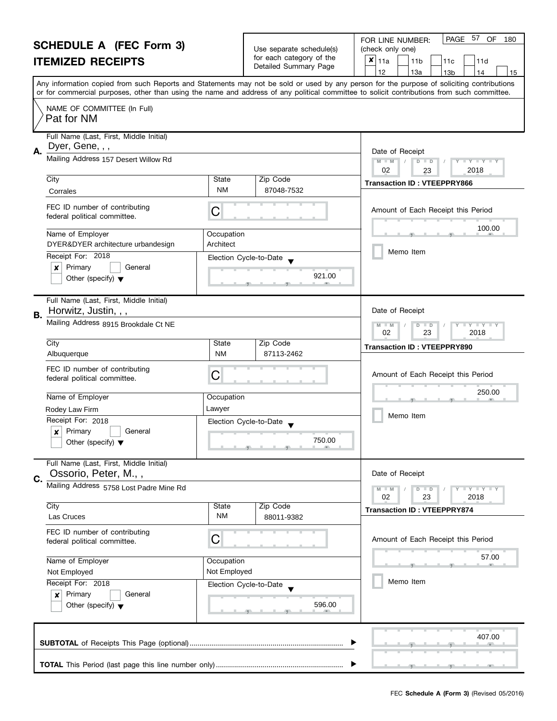| <b>SCHEDULE A (FEC Form 3)</b> |                                                                                | Use separate schedule(s)                               | PAGE 57 OF<br>FOR LINE NUMBER:<br>180<br>(check only one) |                                                                                                                                                                                                                                                                                         |  |  |  |
|--------------------------------|--------------------------------------------------------------------------------|--------------------------------------------------------|-----------------------------------------------------------|-----------------------------------------------------------------------------------------------------------------------------------------------------------------------------------------------------------------------------------------------------------------------------------------|--|--|--|
|                                | <b>ITEMIZED RECEIPTS</b>                                                       |                                                        | for each category of the                                  | $x _{11a}$<br>11 <sub>b</sub><br>11d<br>11c                                                                                                                                                                                                                                             |  |  |  |
|                                |                                                                                |                                                        | Detailed Summary Page                                     | 12<br>13a<br>13 <sub>b</sub><br>14<br>15                                                                                                                                                                                                                                                |  |  |  |
|                                |                                                                                |                                                        |                                                           | Any information copied from such Reports and Statements may not be sold or used by any person for the purpose of soliciting contributions<br>or for commercial purposes, other than using the name and address of any political committee to solicit contributions from such committee. |  |  |  |
|                                | NAME OF COMMITTEE (In Full)<br>Pat for NM                                      |                                                        |                                                           |                                                                                                                                                                                                                                                                                         |  |  |  |
| А.                             | Full Name (Last, First, Middle Initial)<br>Dyer, Gene, , ,                     |                                                        |                                                           |                                                                                                                                                                                                                                                                                         |  |  |  |
|                                | Mailing Address 157 Desert Willow Rd                                           |                                                        |                                                           | Date of Receipt<br>$M - M$<br>D<br>$T + Y = Y + T$<br>$\Box$<br>02<br>2018<br>23                                                                                                                                                                                                        |  |  |  |
|                                | City                                                                           | State                                                  | Zip Code                                                  | <b>Transaction ID: VTEEPPRY866</b>                                                                                                                                                                                                                                                      |  |  |  |
|                                | Corrales                                                                       | <b>NM</b>                                              | 87048-7532                                                |                                                                                                                                                                                                                                                                                         |  |  |  |
|                                | FEC ID number of contributing<br>federal political committee.                  | С                                                      |                                                           | Amount of Each Receipt this Period                                                                                                                                                                                                                                                      |  |  |  |
|                                | Name of Employer<br>DYER&DYER architecture urbandesign                         | Occupation<br>Architect                                |                                                           | 100.00                                                                                                                                                                                                                                                                                  |  |  |  |
|                                | Receipt For: 2018                                                              |                                                        | Election Cycle-to-Date                                    | Memo Item                                                                                                                                                                                                                                                                               |  |  |  |
|                                | Primary<br>$\pmb{\times}$<br>General<br>Other (specify) $\blacktriangledown$   |                                                        | 921.00                                                    |                                                                                                                                                                                                                                                                                         |  |  |  |
| В.                             | Full Name (Last, First, Middle Initial)<br>Horwitz, Justin, , ,                | Date of Receipt                                        |                                                           |                                                                                                                                                                                                                                                                                         |  |  |  |
|                                | Mailing Address 8915 Brookdale Ct NE                                           | $Y - Y - Y$<br>D<br>$\Box$<br>$-M$<br>02<br>23<br>2018 |                                                           |                                                                                                                                                                                                                                                                                         |  |  |  |
|                                | City                                                                           | State                                                  | Zip Code                                                  | <b>Transaction ID: VTEEPPRY890</b>                                                                                                                                                                                                                                                      |  |  |  |
|                                | Albuquerque                                                                    | <b>NM</b>                                              | 87113-2462                                                |                                                                                                                                                                                                                                                                                         |  |  |  |
|                                | FEC ID number of contributing<br>federal political committee.                  | С                                                      |                                                           | Amount of Each Receipt this Period                                                                                                                                                                                                                                                      |  |  |  |
|                                | Name of Employer                                                               | Occupation                                             |                                                           | 250.00                                                                                                                                                                                                                                                                                  |  |  |  |
|                                | Rodey Law Firm                                                                 | Lawyer                                                 |                                                           |                                                                                                                                                                                                                                                                                         |  |  |  |
|                                | Receipt For: 2018                                                              |                                                        | Election Cycle-to-Date                                    | Memo Item                                                                                                                                                                                                                                                                               |  |  |  |
|                                | Primary<br>General<br>$\boldsymbol{x}$<br>Other (specify) $\blacktriangledown$ |                                                        | 750.00                                                    |                                                                                                                                                                                                                                                                                         |  |  |  |
|                                | Full Name (Last, First, Middle Initial)<br>Ossorio, Peter, M.,,                |                                                        |                                                           | Date of Receipt                                                                                                                                                                                                                                                                         |  |  |  |
| C.                             | Mailing Address 5758 Lost Padre Mine Rd                                        |                                                        |                                                           | Y I Y I Y I Y<br>$D$ $D$<br>02<br>23<br>2018                                                                                                                                                                                                                                            |  |  |  |
|                                | City                                                                           | State                                                  | Zip Code                                                  | <b>Transaction ID: VTEEPPRY874</b>                                                                                                                                                                                                                                                      |  |  |  |
|                                | Las Cruces                                                                     | <b>NM</b>                                              | 88011-9382                                                |                                                                                                                                                                                                                                                                                         |  |  |  |
|                                | FEC ID number of contributing<br>federal political committee.                  | С                                                      |                                                           | Amount of Each Receipt this Period                                                                                                                                                                                                                                                      |  |  |  |
|                                | Name of Employer<br>Occupation<br>Not Employed<br>Not Employed                 |                                                        |                                                           | 57.00                                                                                                                                                                                                                                                                                   |  |  |  |
|                                | Receipt For: 2018                                                              |                                                        | Election Cycle-to-Date                                    | Memo Item                                                                                                                                                                                                                                                                               |  |  |  |
|                                | Primary<br>General<br>×<br>Other (specify) $\blacktriangledown$                |                                                        | 596.00                                                    |                                                                                                                                                                                                                                                                                         |  |  |  |
|                                |                                                                                | 407.00                                                 |                                                           |                                                                                                                                                                                                                                                                                         |  |  |  |
|                                |                                                                                |                                                        |                                                           |                                                                                                                                                                                                                                                                                         |  |  |  |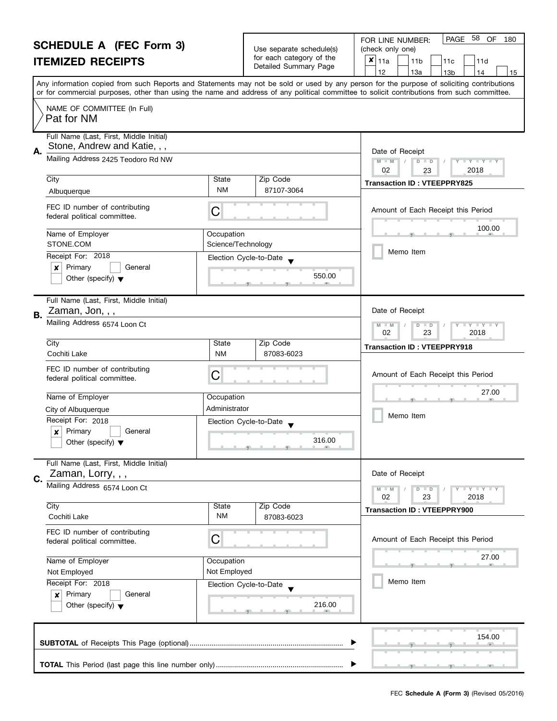| <b>SCHEDULE A (FEC Form 3)</b><br><b>ITEMIZED RECEIPTS</b> |                                                                                                               |                                  | Use separate schedule(s)<br>for each category of the<br>Detailed Summary Page                                                                                                                                                                                            | PAGE 58<br>OF<br>FOR LINE NUMBER:<br>180<br>(check only one)<br>$x _{11a}$<br>11 <sub>b</sub><br>11c<br>11d<br>12<br>13a<br>13 <sub>b</sub><br>14<br>15                                                                                                                                 |  |  |
|------------------------------------------------------------|---------------------------------------------------------------------------------------------------------------|----------------------------------|--------------------------------------------------------------------------------------------------------------------------------------------------------------------------------------------------------------------------------------------------------------------------|-----------------------------------------------------------------------------------------------------------------------------------------------------------------------------------------------------------------------------------------------------------------------------------------|--|--|
|                                                            |                                                                                                               |                                  |                                                                                                                                                                                                                                                                          | Any information copied from such Reports and Statements may not be sold or used by any person for the purpose of soliciting contributions<br>or for commercial purposes, other than using the name and address of any political committee to solicit contributions from such committee. |  |  |
|                                                            | NAME OF COMMITTEE (In Full)<br>Pat for NM                                                                     |                                  |                                                                                                                                                                                                                                                                          |                                                                                                                                                                                                                                                                                         |  |  |
| А.                                                         | Full Name (Last, First, Middle Initial)<br>Stone, Andrew and Katie, , ,<br>Mailing Address 2425 Teodoro Rd NW |                                  |                                                                                                                                                                                                                                                                          | Date of Receipt<br>$D$ $D$<br>Y TY TY TY<br>$M - M$                                                                                                                                                                                                                                     |  |  |
|                                                            | City<br>Albuquerque                                                                                           | State<br><b>NM</b>               | Zip Code<br>87107-3064                                                                                                                                                                                                                                                   | 02<br>2018<br>23<br><b>Transaction ID: VTEEPPRY825</b>                                                                                                                                                                                                                                  |  |  |
|                                                            | FEC ID number of contributing<br>federal political committee.                                                 | C                                |                                                                                                                                                                                                                                                                          | Amount of Each Receipt this Period                                                                                                                                                                                                                                                      |  |  |
|                                                            | Name of Employer<br>STONE.COM                                                                                 | Occupation<br>Science/Technology |                                                                                                                                                                                                                                                                          | 100.00                                                                                                                                                                                                                                                                                  |  |  |
|                                                            | Receipt For: 2018<br>Primary<br>×<br>General<br>Other (specify) $\blacktriangledown$                          |                                  | Election Cycle-to-Date<br>550.00                                                                                                                                                                                                                                         | Memo Item                                                                                                                                                                                                                                                                               |  |  |
| В.                                                         | Full Name (Last, First, Middle Initial)<br>Zaman, Jon, , ,<br>Mailing Address 6574 Loon Ct                    |                                  |                                                                                                                                                                                                                                                                          | Date of Receipt<br>$T - Y = T - Y$<br>$M - M$<br>$D$ $D$                                                                                                                                                                                                                                |  |  |
|                                                            | City<br>Cochiti Lake                                                                                          | State<br><b>NM</b>               | Zip Code<br>87083-6023                                                                                                                                                                                                                                                   | 23<br>02<br>2018<br><b>Transaction ID: VTEEPPRY918</b>                                                                                                                                                                                                                                  |  |  |
|                                                            | FEC ID number of contributing<br>federal political committee.                                                 | С                                |                                                                                                                                                                                                                                                                          | Amount of Each Receipt this Period                                                                                                                                                                                                                                                      |  |  |
|                                                            | Name of Employer<br>City of Albuquerque                                                                       | Occupation<br>Administrator      |                                                                                                                                                                                                                                                                          | 27.00                                                                                                                                                                                                                                                                                   |  |  |
|                                                            | Receipt For: 2018<br>Primary<br>General<br>×<br>Other (specify) $\blacktriangledown$                          |                                  | Election Cycle-to-Date<br>316.00<br><u>g and and grant and and grant and grant and grant and grant and grant and grant and grant and grant and grant and grant and grant and grant and grant and grant and grant and grant and grant and grant and grant and grant a</u> | Memo Item                                                                                                                                                                                                                                                                               |  |  |
| C.                                                         | Full Name (Last, First, Middle Initial)<br>Zaman, Lorry, , ,                                                  |                                  |                                                                                                                                                                                                                                                                          | Date of Receipt                                                                                                                                                                                                                                                                         |  |  |
|                                                            | Mailing Address 6574 Loon Ct<br>City                                                                          | State                            | Zip Code                                                                                                                                                                                                                                                                 | Y TY TY TY<br>$M - M$<br>$D$ $D$<br>02<br>23<br>2018<br><b>Transaction ID: VTEEPPRY900</b>                                                                                                                                                                                              |  |  |
|                                                            | Cochiti Lake<br>FEC ID number of contributing                                                                 | ΝM                               | 87083-6023                                                                                                                                                                                                                                                               |                                                                                                                                                                                                                                                                                         |  |  |
|                                                            | federal political committee.                                                                                  | C                                |                                                                                                                                                                                                                                                                          | Amount of Each Receipt this Period<br>27.00                                                                                                                                                                                                                                             |  |  |
| Name of Employer<br>Not Employed                           |                                                                                                               | Occupation<br>Not Employed       |                                                                                                                                                                                                                                                                          | <b>PETT</b>                                                                                                                                                                                                                                                                             |  |  |
|                                                            | Receipt For: 2018<br>Primary<br>General<br>$\boldsymbol{x}$<br>Other (specify) $\blacktriangledown$           |                                  | Election Cycle-to-Date<br>216.00                                                                                                                                                                                                                                         | Memo Item                                                                                                                                                                                                                                                                               |  |  |
|                                                            |                                                                                                               |                                  |                                                                                                                                                                                                                                                                          | 154.00                                                                                                                                                                                                                                                                                  |  |  |
|                                                            |                                                                                                               |                                  |                                                                                                                                                                                                                                                                          |                                                                                                                                                                                                                                                                                         |  |  |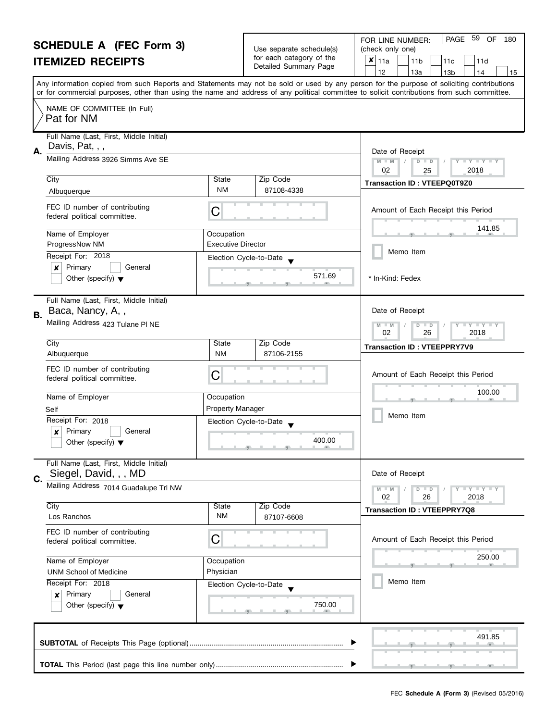| <b>SCHEDULE A (FEC Form 3)</b> |                                                               | Use separate schedule(s)                              | 59<br>OF<br><b>PAGE</b><br>FOR LINE NUMBER:<br>180<br>(check only one) |                                                                                                                                            |  |  |
|--------------------------------|---------------------------------------------------------------|-------------------------------------------------------|------------------------------------------------------------------------|--------------------------------------------------------------------------------------------------------------------------------------------|--|--|
| <b>ITEMIZED RECEIPTS</b>       |                                                               | for each category of the                              | $x _{11a}$<br>11 <sub>b</sub><br>11d<br>11c                            |                                                                                                                                            |  |  |
|                                |                                                               |                                                       | Detailed Summary Page                                                  | 12<br>13a<br>13 <sub>b</sub><br>14<br>15                                                                                                   |  |  |
|                                |                                                               |                                                       |                                                                        | Any information copied from such Reports and Statements may not be sold or used by any person for the purpose of soliciting contributions  |  |  |
|                                |                                                               |                                                       |                                                                        | or for commercial purposes, other than using the name and address of any political committee to solicit contributions from such committee. |  |  |
|                                | NAME OF COMMITTEE (In Full)<br>Pat for NM                     |                                                       |                                                                        |                                                                                                                                            |  |  |
|                                | Full Name (Last, First, Middle Initial)                       |                                                       |                                                                        |                                                                                                                                            |  |  |
| А.                             | Davis, Pat, , ,                                               |                                                       |                                                                        | Date of Receipt                                                                                                                            |  |  |
|                                | Mailing Address 3926 Simms Ave SE                             |                                                       |                                                                        | $M - M$<br>$\overline{D}$<br>$\Box$<br>$Y = Y + Y +$                                                                                       |  |  |
|                                | City                                                          | State                                                 | Zip Code                                                               | 02<br>2018<br>25                                                                                                                           |  |  |
|                                | Albuquerque                                                   | NM                                                    | 87108-4338                                                             | <b>Transaction ID: VTEEPQ0T9Z0</b>                                                                                                         |  |  |
|                                | FEC ID number of contributing<br>federal political committee. | С                                                     |                                                                        | Amount of Each Receipt this Period                                                                                                         |  |  |
|                                |                                                               |                                                       |                                                                        | 141.85                                                                                                                                     |  |  |
|                                | Name of Employer<br>ProgressNow NM                            | Occupation<br><b>Executive Director</b>               |                                                                        |                                                                                                                                            |  |  |
|                                | Receipt For: 2018                                             |                                                       | Election Cycle-to-Date                                                 | Memo Item                                                                                                                                  |  |  |
|                                | Primary<br>$\boldsymbol{x}$<br>General                        |                                                       |                                                                        |                                                                                                                                            |  |  |
|                                | Other (specify) $\blacktriangledown$                          |                                                       | 571.69                                                                 | * In-Kind: Fedex                                                                                                                           |  |  |
|                                |                                                               |                                                       |                                                                        |                                                                                                                                            |  |  |
|                                | Full Name (Last, First, Middle Initial)                       |                                                       |                                                                        | Date of Receipt                                                                                                                            |  |  |
| В.                             | Baca, Nancy, A,,                                              |                                                       |                                                                        |                                                                                                                                            |  |  |
|                                | Mailing Address 423 Tulane PI NE                              | $Y + Y$<br>$M - M$<br>D<br>$\Box$<br>02<br>2018<br>26 |                                                                        |                                                                                                                                            |  |  |
|                                | City                                                          | State                                                 | Zip Code                                                               | <b>Transaction ID: VTEEPPRY7V9</b>                                                                                                         |  |  |
|                                | Albuquerque                                                   | NM                                                    | 87106-2155                                                             |                                                                                                                                            |  |  |
|                                | FEC ID number of contributing<br>federal political committee. | С                                                     |                                                                        | Amount of Each Receipt this Period                                                                                                         |  |  |
|                                | Name of Employer                                              | Occupation                                            |                                                                        | 100.00                                                                                                                                     |  |  |
|                                | Self                                                          | <b>Property Manager</b>                               |                                                                        |                                                                                                                                            |  |  |
|                                | Receipt For: 2018                                             |                                                       | Election Cycle-to-Date                                                 | Memo Item                                                                                                                                  |  |  |
|                                | Primary<br>×<br>General                                       |                                                       | 400.00                                                                 |                                                                                                                                            |  |  |
|                                | Other (specify) $\blacktriangledown$                          |                                                       |                                                                        |                                                                                                                                            |  |  |
|                                | Full Name (Last, First, Middle Initial)                       |                                                       |                                                                        |                                                                                                                                            |  |  |
| C.                             | Siegel, David, , , MD                                         |                                                       |                                                                        | Date of Receipt                                                                                                                            |  |  |
|                                | Mailing Address 7014 Guadalupe Trl NW                         |                                                       |                                                                        | Y I Y I Y I Y<br>$D$ $D$<br>$M - M$                                                                                                        |  |  |
|                                | City                                                          | State                                                 | Zip Code                                                               | 02<br>26<br>2018                                                                                                                           |  |  |
|                                | Los Ranchos                                                   | <b>NM</b>                                             | 87107-6608                                                             | <b>Transaction ID: VTEEPPRY7Q8</b>                                                                                                         |  |  |
|                                | FEC ID number of contributing                                 |                                                       |                                                                        |                                                                                                                                            |  |  |
|                                | federal political committee.                                  | С                                                     |                                                                        | Amount of Each Receipt this Period                                                                                                         |  |  |
|                                |                                                               |                                                       |                                                                        | 250.00                                                                                                                                     |  |  |
|                                | Name of Employer<br><b>UNM School of Medicine</b>             | Occupation<br>Physician                               |                                                                        |                                                                                                                                            |  |  |
|                                | Receipt For: 2018                                             |                                                       | Election Cycle-to-Date                                                 | Memo Item                                                                                                                                  |  |  |
|                                | Primary<br>General<br>×                                       |                                                       |                                                                        |                                                                                                                                            |  |  |
|                                | Other (specify) $\blacktriangledown$                          |                                                       | 750.00                                                                 |                                                                                                                                            |  |  |
|                                |                                                               |                                                       |                                                                        |                                                                                                                                            |  |  |
|                                |                                                               |                                                       |                                                                        | 491.85                                                                                                                                     |  |  |
|                                |                                                               |                                                       |                                                                        |                                                                                                                                            |  |  |
|                                |                                                               |                                                       |                                                                        |                                                                                                                                            |  |  |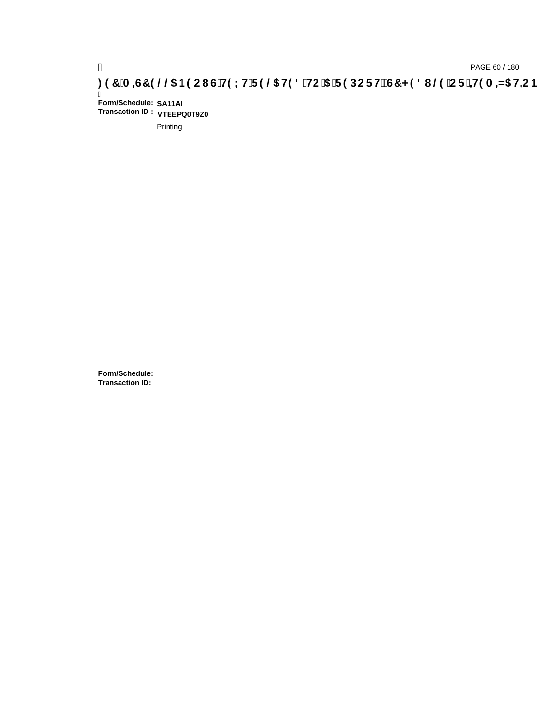# ) PAGE 60 / 180<br>**DAGE 60 / 180 PAGE 60 / 180 SPORT FOR THE 9 @S H98 `HC `5 `F9 DC F HŽG7 < 98 I @9 `C F `<del>1 I</del>9 A =N5 H=C B**

Ī **Form/Schedule: SA11AI Transaction ID : VTEEPQ0T9Z0**

Printing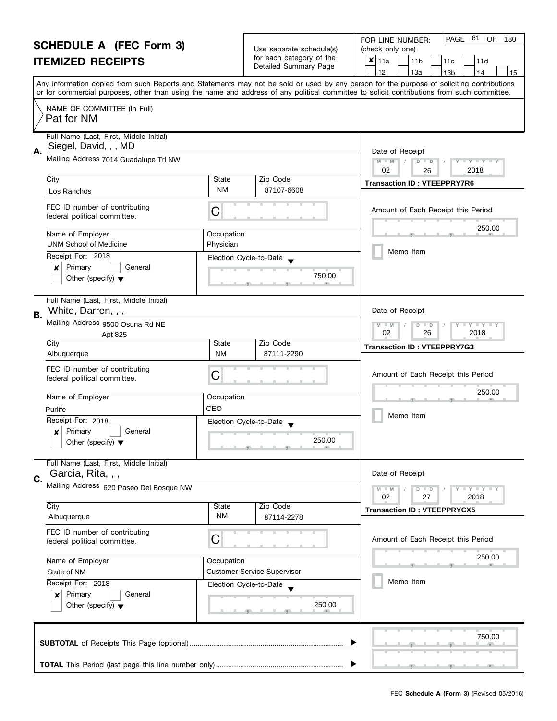| <b>SCHEDULE A (FEC Form 3)</b> |                                                                                |                         | Use separate schedule(s)           | 61<br>OF<br>PAGE<br>FOR LINE NUMBER:<br>180<br>(check only one)                                                                            |  |  |  |
|--------------------------------|--------------------------------------------------------------------------------|-------------------------|------------------------------------|--------------------------------------------------------------------------------------------------------------------------------------------|--|--|--|
|                                |                                                                                |                         | for each category of the           | $x _{11a}$                                                                                                                                 |  |  |  |
|                                | <b>ITEMIZED RECEIPTS</b>                                                       |                         | Detailed Summary Page              | 11 <sub>b</sub><br>11c<br>11d<br>12<br>13a<br>13b<br>14<br>15                                                                              |  |  |  |
|                                |                                                                                |                         |                                    | Any information copied from such Reports and Statements may not be sold or used by any person for the purpose of soliciting contributions  |  |  |  |
|                                |                                                                                |                         |                                    | or for commercial purposes, other than using the name and address of any political committee to solicit contributions from such committee. |  |  |  |
|                                | NAME OF COMMITTEE (In Full)<br>Pat for NM                                      |                         |                                    |                                                                                                                                            |  |  |  |
| А.                             | Full Name (Last, First, Middle Initial)<br>Siegel, David, , , MD               |                         |                                    | Date of Receipt                                                                                                                            |  |  |  |
|                                | Mailing Address 7014 Guadalupe Trl NW                                          |                         |                                    | $M - M$<br>$D$ $D$<br>$T - Y = Y + Y$<br>02<br>2018<br>26                                                                                  |  |  |  |
|                                | City<br>Los Ranchos                                                            | State<br><b>NM</b>      | Zip Code<br>87107-6608             | <b>Transaction ID: VTEEPPRY7R6</b>                                                                                                         |  |  |  |
|                                | FEC ID number of contributing<br>federal political committee.                  | С                       |                                    | Amount of Each Receipt this Period                                                                                                         |  |  |  |
|                                | Name of Employer<br><b>UNM School of Medicine</b>                              | Occupation<br>Physician |                                    | 250.00                                                                                                                                     |  |  |  |
|                                | Receipt For: 2018                                                              |                         | Election Cycle-to-Date             | Memo Item                                                                                                                                  |  |  |  |
|                                | Primary<br>$\boldsymbol{x}$<br>General<br>Other (specify) $\blacktriangledown$ |                         | 750.00                             |                                                                                                                                            |  |  |  |
| В.                             | Full Name (Last, First, Middle Initial)<br>White, Darren, , ,                  |                         |                                    | Date of Receipt                                                                                                                            |  |  |  |
|                                | Mailing Address 9500 Osuna Rd NE<br>Apt 825                                    |                         |                                    |                                                                                                                                            |  |  |  |
|                                | City<br>Albuquerque                                                            | State<br><b>NM</b>      | Zip Code<br>87111-2290             | <b>Transaction ID: VTEEPPRY7G3</b>                                                                                                         |  |  |  |
|                                | FEC ID number of contributing<br>federal political committee.                  | С                       |                                    | Amount of Each Receipt this Period                                                                                                         |  |  |  |
|                                | Name of Employer                                                               | Occupation              |                                    | 250.00                                                                                                                                     |  |  |  |
|                                | Purlife                                                                        | CEO                     |                                    | Memo Item                                                                                                                                  |  |  |  |
|                                | Receipt For: 2018<br>$\boldsymbol{x}$<br>Primary<br>General                    |                         | Election Cycle-to-Date             |                                                                                                                                            |  |  |  |
|                                | Other (specify) $\blacktriangledown$                                           |                         | 250.00                             |                                                                                                                                            |  |  |  |
|                                | Full Name (Last, First, Middle Initial)<br>Garcia, Rita, , ,                   |                         |                                    | Date of Receipt                                                                                                                            |  |  |  |
| C.                             | Mailing Address 620 Paseo Del Bosque NW                                        |                         |                                    | Y I Y I Y I Y<br>$M - M$<br>$D$ $D$<br>02<br>27<br>2018                                                                                    |  |  |  |
|                                | City                                                                           | State                   | Zip Code                           | <b>Transaction ID: VTEEPPRYCX5</b>                                                                                                         |  |  |  |
|                                | Albuquerque                                                                    | <b>NM</b>               | 87114-2278                         |                                                                                                                                            |  |  |  |
|                                | FEC ID number of contributing<br>federal political committee.                  | C                       |                                    | Amount of Each Receipt this Period                                                                                                         |  |  |  |
|                                | Name of Employer                                                               | Occupation              |                                    | 250.00                                                                                                                                     |  |  |  |
|                                | State of NM                                                                    |                         | <b>Customer Service Supervisor</b> |                                                                                                                                            |  |  |  |
|                                | Receipt For: 2018                                                              |                         | Election Cycle-to-Date             | Memo Item                                                                                                                                  |  |  |  |
|                                | Primary<br>General<br>$\boldsymbol{x}$<br>Other (specify) $\blacktriangledown$ |                         | 250.00                             |                                                                                                                                            |  |  |  |
|                                |                                                                                |                         |                                    | 750.00                                                                                                                                     |  |  |  |
|                                |                                                                                |                         |                                    |                                                                                                                                            |  |  |  |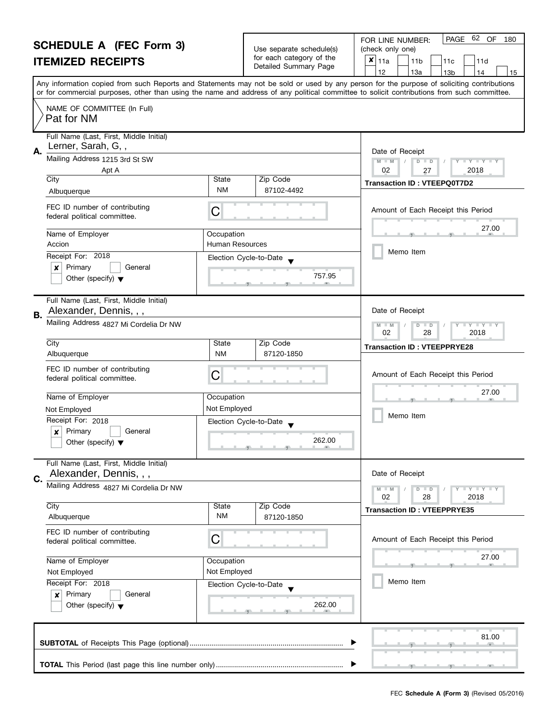### **SCHEDULE A (FEC Form 3) ITEMIZED RECEIPTS**

|                          |     | FOR LINE NUMBER: |                 | PAGE 62 OF |     | 180 |
|--------------------------|-----|------------------|-----------------|------------|-----|-----|
| Use separate schedule(s) |     | (check only one) |                 |            |     |     |
| for each category of the | ⊤×' | 11a              | 11 <sub>b</sub> | 11c        | 11d |     |
| Detailed Summary Page    |     |                  | 13а             | 13b        | 11  | 15  |
|                          |     |                  |                 |            |     |     |

|    |                                                                                                                                            |                        |            | 12<br>тза<br>13b<br>  14<br>  15<br>Any information copied from such Reports and Statements may not be sold or used by any person for the purpose of soliciting contributions |
|----|--------------------------------------------------------------------------------------------------------------------------------------------|------------------------|------------|-------------------------------------------------------------------------------------------------------------------------------------------------------------------------------|
|    | or for commercial purposes, other than using the name and address of any political committee to solicit contributions from such committee. |                        |            |                                                                                                                                                                               |
|    | NAME OF COMMITTEE (In Full)                                                                                                                |                        |            |                                                                                                                                                                               |
|    | Pat for NM                                                                                                                                 |                        |            |                                                                                                                                                                               |
|    | Full Name (Last, First, Middle Initial)                                                                                                    |                        |            |                                                                                                                                                                               |
| А. | Lerner, Sarah, G,,                                                                                                                         |                        |            | Date of Receipt                                                                                                                                                               |
|    | Mailing Address 1215 3rd St SW                                                                                                             |                        |            | $M - M$<br>$D$ $D$<br>$\blacksquare \blacksquare Y \blacksquare \blacksquare Y \blacksquare \blacksquare Y$                                                                   |
|    | Apt A<br>City                                                                                                                              | State                  | Zip Code   | 02<br>2018<br>27                                                                                                                                                              |
|    | Albuquerque                                                                                                                                | <b>NM</b>              | 87102-4492 | <b>Transaction ID: VTEEPQ0T7D2</b>                                                                                                                                            |
|    | FEC ID number of contributing<br>federal political committee.                                                                              | С                      |            | Amount of Each Receipt this Period                                                                                                                                            |
|    | Name of Employer                                                                                                                           | Occupation             |            | 27.00                                                                                                                                                                         |
|    | Accion                                                                                                                                     | <b>Human Resources</b> |            | Memo Item                                                                                                                                                                     |
|    | Receipt For: 2018                                                                                                                          | Election Cycle-to-Date |            |                                                                                                                                                                               |
|    | Primary<br>General<br>×<br>Other (specify) $\blacktriangledown$                                                                            |                        | 757.95     |                                                                                                                                                                               |
|    |                                                                                                                                            |                        |            |                                                                                                                                                                               |
|    | Full Name (Last, First, Middle Initial)                                                                                                    |                        |            |                                                                                                                                                                               |
| В. | Alexander, Dennis, , ,                                                                                                                     |                        |            | Date of Receipt                                                                                                                                                               |
|    | Mailing Address 4827 Mi Cordelia Dr NW                                                                                                     |                        |            | $T + Y + Y$<br>M<br>$\overline{D}$<br>$\Box$<br>Y<br>$-M$<br>02<br>28<br>2018                                                                                                 |
|    | City                                                                                                                                       | State                  | Zip Code   | <b>Transaction ID: VTEEPPRYE28</b>                                                                                                                                            |
|    | Albuquerque                                                                                                                                | <b>NM</b>              | 87120-1850 |                                                                                                                                                                               |
|    | FEC ID number of contributing                                                                                                              | С                      |            | Amount of Each Receipt this Period                                                                                                                                            |
|    | federal political committee.                                                                                                               |                        |            |                                                                                                                                                                               |
|    | Name of Employer                                                                                                                           | Occupation             |            | 27.00                                                                                                                                                                         |
|    | Not Employed                                                                                                                               | Not Employed           |            | Memo Item                                                                                                                                                                     |
|    | Receipt For: 2018                                                                                                                          | Election Cycle-to-Date |            |                                                                                                                                                                               |
|    | Primary<br>General<br>×<br>Other (specify) $\blacktriangledown$                                                                            |                        | 262.00     |                                                                                                                                                                               |
|    |                                                                                                                                            |                        |            |                                                                                                                                                                               |
|    | Full Name (Last, First, Middle Initial)                                                                                                    |                        |            |                                                                                                                                                                               |
|    | Alexander, Dennis, , ,                                                                                                                     |                        |            | Date of Receipt                                                                                                                                                               |
|    | Mailing Address 4827 Mi Cordelia Dr NW                                                                                                     |                        |            | $M - M$<br>$\mathbf{I} \mathbf{Y} \mathbf{I} \mathbf{Y} \mathbf{I} \mathbf{Y}$<br>D<br>$\overline{D}$<br>02<br>2018<br>28                                                     |
|    | City                                                                                                                                       | State                  | Zip Code   | <b>Transaction ID: VTEEPPRYE35</b>                                                                                                                                            |
|    | Albuquerque                                                                                                                                | NM                     | 87120-1850 |                                                                                                                                                                               |
|    | FEC ID number of contributing                                                                                                              | С                      |            | Amount of Each Receipt this Period                                                                                                                                            |
|    | federal political committee.                                                                                                               |                        |            |                                                                                                                                                                               |
|    | Name of Employer                                                                                                                           | Occupation             |            | 27.00                                                                                                                                                                         |
|    | Not Employed                                                                                                                               | Not Employed           |            |                                                                                                                                                                               |
|    | Receipt For: 2018                                                                                                                          | Election Cycle-to-Date |            | Memo Item                                                                                                                                                                     |
|    | Primary<br>General<br>×<br>Other (specify) $\blacktriangledown$                                                                            |                        | 262.00     |                                                                                                                                                                               |
|    |                                                                                                                                            |                        |            |                                                                                                                                                                               |
|    |                                                                                                                                            |                        |            |                                                                                                                                                                               |
|    |                                                                                                                                            |                        |            | 81.00                                                                                                                                                                         |
|    |                                                                                                                                            |                        |            |                                                                                                                                                                               |
|    |                                                                                                                                            |                        |            |                                                                                                                                                                               |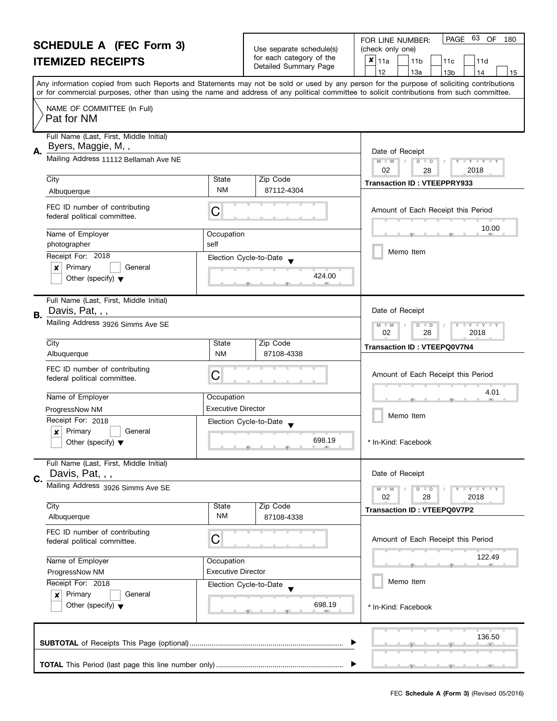#### **SCHEDULE A (FEC Form 3) ITEMIZED RECEIPTS** Any information copied from such Reports and Statements may not be sold or used by any person for the purpose of soliciting contributions or for commercial purposes, other than using the name and address of any political committee to solicit contributions from such committee. NAME OF COMMITTEE (In Full) Full Name (Last, First, Middle Initial) Mailing Address 11112 Bellamah Ave NE City State Zip Code Receipt For: 2018 | x | Primary | | General Other (specify) **A.** Election Cycle-to-Date  $\bullet$ Date of Receipt Name of Employer and a compared of Comparison  $\bullet$  424.0 FEC ID number of contributing FEC ID number of contributing<br>federal political committee. Full Name (Last, First, Middle Initial) **B.** Date of Receipt FOR LINE NUMBER: PAGE Use separate schedule(s) | (check only one) for each category of the The Detailed Summary Page  $\begin{array}{|c|c|c|c|c|c|c|c|}\n\hline\n & 11a & 11b & 11c & 11d \\
\hline\n & 12 & 13a & 13b & 14\n\end{array}$ |12 | |13a | |13b | |14 | |15 **M M / D D** Amount of Each Receipt this Period  $\frac{10.0}{7}$ Memo Item 63 OF 180  $\overline{\mathbf{x}}$  | 11a Pat for NM Byers, Maggie, M, , 02 28 2018 Albuquerque NM **Transaction ID : VTEEPPRY933** 87112-4304 10.00 photographer self self  $424.00$ Davis, Pat, , ,

|           | Other (specify) $\blacktriangledown$                                                            | 424.UU                                                                                                                                                                                                                                                                                                                                                                                                  |                                    |
|-----------|-------------------------------------------------------------------------------------------------|---------------------------------------------------------------------------------------------------------------------------------------------------------------------------------------------------------------------------------------------------------------------------------------------------------------------------------------------------------------------------------------------------------|------------------------------------|
| <b>B.</b> | Full Name (Last, First, Middle Initial)<br>Davis, Pat, , ,                                      |                                                                                                                                                                                                                                                                                                                                                                                                         | Date of Receipt                    |
|           | Mailing Address 3926 Simms Ave SE                                                               | $M - M$<br>$\begin{tabular}{c} \hline \rule{0.2cm}{1.1ex} \rule{0.2cm}{0.2cm} \rule{0.2cm}{0.2cm} \rule{0.2cm}{0.2cm} \rule{0.2cm}{0.2cm} \rule{0.2cm}{0.2cm} \rule{0.2cm}{0.2cm} \rule{0.2cm}{0.2cm} \rule{0.2cm}{0.2cm} \rule{0.2cm}{0.2cm} \rule{0.2cm}{0.2cm} \rule{0.2cm}{0.2cm} \rule{0.2cm}{0.2cm} \rule{0.2cm}{0.2cm} \rule{0.2cm}{0.2cm} \rule{0.2cm}{0.2cm} \$<br>$D$ $D$<br>02<br>28<br>2018 |                                    |
|           | City                                                                                            | State<br>Zip Code                                                                                                                                                                                                                                                                                                                                                                                       | <b>Transaction ID: VTEEPQ0V7N4</b> |
|           | Albuquerque                                                                                     | <b>NM</b><br>87108-4338                                                                                                                                                                                                                                                                                                                                                                                 |                                    |
|           | FEC ID number of contributing<br>federal political committee.                                   | C                                                                                                                                                                                                                                                                                                                                                                                                       | Amount of Each Receipt this Period |
|           | Name of Employer                                                                                | Occupation                                                                                                                                                                                                                                                                                                                                                                                              | 4.01                               |
|           | ProgressNow NM                                                                                  | <b>Executive Director</b>                                                                                                                                                                                                                                                                                                                                                                               |                                    |
|           | Receipt For: 2018                                                                               | Election Cycle-to-Date                                                                                                                                                                                                                                                                                                                                                                                  | Memo Item                          |
|           | Primary<br>General<br>$\boldsymbol{x}$<br>Other (specify) $\blacktriangledown$                  | 698.19                                                                                                                                                                                                                                                                                                                                                                                                  | * In-Kind: Facebook                |
| C.        | Full Name (Last, First, Middle Initial)<br>Davis, Pat, , ,<br>Mailing Address 3926 Simms Ave SE | Date of Receipt<br>$T - Y = Y + Y$<br>$M - M$<br>$D$ $D$<br>02<br>28<br>2018                                                                                                                                                                                                                                                                                                                            |                                    |
|           | City                                                                                            | State<br>Zip Code<br><b>NM</b>                                                                                                                                                                                                                                                                                                                                                                          | <b>Transaction ID: VTEEPQ0V7P2</b> |
|           | Albuquerque                                                                                     | 87108-4338                                                                                                                                                                                                                                                                                                                                                                                              |                                    |
|           | FEC ID number of contributing<br>federal political committee.                                   | C                                                                                                                                                                                                                                                                                                                                                                                                       | Amount of Each Receipt this Period |
|           | Name of Employer                                                                                | Occupation                                                                                                                                                                                                                                                                                                                                                                                              | 122.49                             |
|           | ProgressNow NM                                                                                  | <b>Executive Director</b>                                                                                                                                                                                                                                                                                                                                                                               |                                    |
|           | Receipt For: 2018                                                                               | Election Cycle-to-Date                                                                                                                                                                                                                                                                                                                                                                                  | Memo Item                          |
|           | Primary<br>General<br>$\boldsymbol{x}$<br>Other (specify) $\blacktriangledown$                  | 698.19                                                                                                                                                                                                                                                                                                                                                                                                  | * In-Kind: Facebook                |
|           |                                                                                                 | 136.50                                                                                                                                                                                                                                                                                                                                                                                                  |                                    |
|           |                                                                                                 |                                                                                                                                                                                                                                                                                                                                                                                                         | $-1$                               |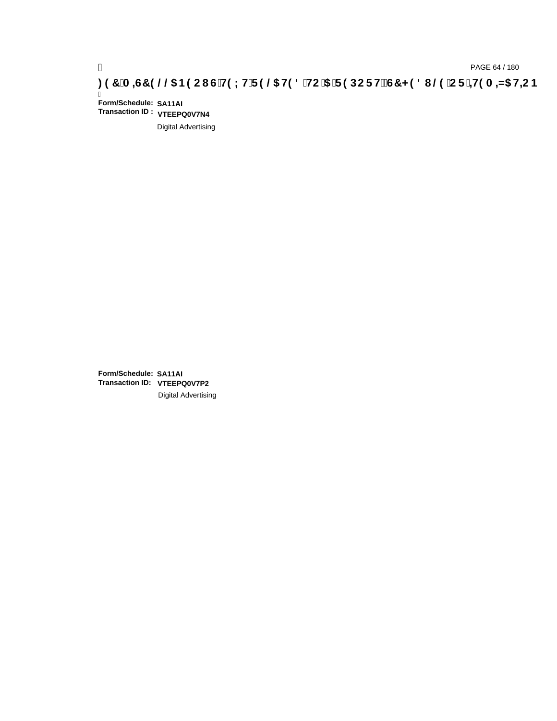# ) PAGE 64 / 180<br>DAGE 64 / 180 PAGE 64 / 180 PAGE 64 / 25 DC FH2 CT<br>CF <del>`J</del>DC FH2 CT CH9LH F9 @5 H98 `HC `5 `F9 DC FH2 G7 < 98 I @9 `C F

Ī **Form/Schedule: SA11AI Transaction ID : VTEEPQ0V7N4**

Digital Advertising

**Form/Schedule: SA11AI Transaction ID: VTEEPQ0V7P2**Digital Advertising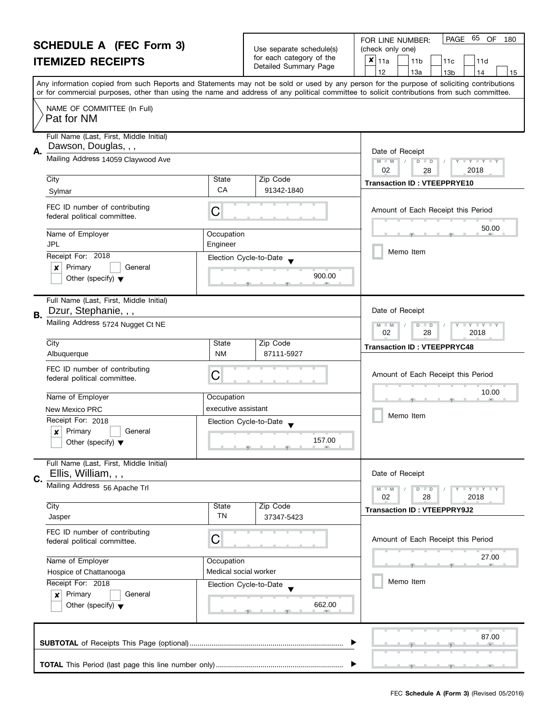| <b>SCHEDULE A (FEC Form 3)</b>               |                                                                                |                                                               | Use separate schedule(s)                          | PAGE<br>65 OF<br>FOR LINE NUMBER:<br>180<br>(check only one)                                                                                                                                                                                                                            |
|----------------------------------------------|--------------------------------------------------------------------------------|---------------------------------------------------------------|---------------------------------------------------|-----------------------------------------------------------------------------------------------------------------------------------------------------------------------------------------------------------------------------------------------------------------------------------------|
| <b>ITEMIZED RECEIPTS</b>                     |                                                                                |                                                               | for each category of the<br>Detailed Summary Page | $x _{11a}$<br>11 <sub>b</sub><br>11d<br>11c                                                                                                                                                                                                                                             |
|                                              |                                                                                |                                                               |                                                   | 12<br>13a<br>13 <sub>b</sub><br>14<br>15                                                                                                                                                                                                                                                |
|                                              |                                                                                |                                                               |                                                   | Any information copied from such Reports and Statements may not be sold or used by any person for the purpose of soliciting contributions<br>or for commercial purposes, other than using the name and address of any political committee to solicit contributions from such committee. |
|                                              | NAME OF COMMITTEE (In Full)<br>Pat for NM                                      |                                                               |                                                   |                                                                                                                                                                                                                                                                                         |
| А.                                           | Full Name (Last, First, Middle Initial)<br>Dawson, Douglas, , ,                |                                                               |                                                   | Date of Receipt                                                                                                                                                                                                                                                                         |
|                                              | Mailing Address 14059 Claywood Ave                                             | $M - M$<br>D<br>$T + Y = Y + T$<br>$\Box$<br>02<br>2018<br>28 |                                                   |                                                                                                                                                                                                                                                                                         |
|                                              | City                                                                           | State                                                         | Zip Code                                          | <b>Transaction ID: VTEEPPRYE10</b>                                                                                                                                                                                                                                                      |
|                                              | Sylmar                                                                         | <b>CA</b>                                                     | 91342-1840                                        |                                                                                                                                                                                                                                                                                         |
|                                              | FEC ID number of contributing<br>federal political committee.                  | С                                                             |                                                   | Amount of Each Receipt this Period                                                                                                                                                                                                                                                      |
|                                              | Name of Employer<br><b>JPL</b>                                                 | Occupation<br>Engineer                                        |                                                   | 50.00                                                                                                                                                                                                                                                                                   |
|                                              | Receipt For: 2018                                                              |                                                               |                                                   | Memo Item                                                                                                                                                                                                                                                                               |
|                                              | Primary<br>General<br>x<br>Other (specify) $\blacktriangledown$                | Election Cycle-to-Date<br>900.00                              |                                                   |                                                                                                                                                                                                                                                                                         |
|                                              | Full Name (Last, First, Middle Initial)                                        |                                                               |                                                   |                                                                                                                                                                                                                                                                                         |
| В.                                           | Dzur, Stephanie, , ,<br>Mailing Address 5724 Nugget Ct NE                      | Date of Receipt<br>$Y - Y - Y$<br>D<br>$-M$<br>$\Box$         |                                                   |                                                                                                                                                                                                                                                                                         |
|                                              |                                                                                | 02<br>28<br>2018                                              |                                                   |                                                                                                                                                                                                                                                                                         |
|                                              | City<br>Albuquerque                                                            | State<br><b>NM</b>                                            | Zip Code<br>87111-5927                            | <b>Transaction ID: VTEEPPRYC48</b>                                                                                                                                                                                                                                                      |
|                                              | FEC ID number of contributing<br>federal political committee.                  | С                                                             |                                                   | Amount of Each Receipt this Period                                                                                                                                                                                                                                                      |
|                                              | Name of Employer                                                               | Occupation                                                    |                                                   | 10.00                                                                                                                                                                                                                                                                                   |
| executive assistant<br><b>New Mexico PRC</b> |                                                                                |                                                               |                                                   |                                                                                                                                                                                                                                                                                         |
|                                              | Receipt For: 2018                                                              |                                                               | Election Cycle-to-Date                            | Memo Item                                                                                                                                                                                                                                                                               |
|                                              | Primary<br>General<br>$\boldsymbol{x}$<br>Other (specify) $\blacktriangledown$ |                                                               | 157.00                                            |                                                                                                                                                                                                                                                                                         |
|                                              | Full Name (Last, First, Middle Initial)<br>Ellis, William, , ,                 |                                                               |                                                   | Date of Receipt                                                                                                                                                                                                                                                                         |
| C.                                           | Mailing Address 56 Apache Trl                                                  |                                                               |                                                   | Y I Y I Y I Y<br>$M - M$<br>$D$ $D$                                                                                                                                                                                                                                                     |
|                                              |                                                                                |                                                               |                                                   | 02<br>28<br>2018                                                                                                                                                                                                                                                                        |
|                                              | City<br>Jasper                                                                 | State<br><b>TN</b>                                            | Zip Code<br>37347-5423                            | <b>Transaction ID: VTEEPPRY9J2</b>                                                                                                                                                                                                                                                      |
|                                              | FEC ID number of contributing<br>federal political committee.                  | С                                                             |                                                   | Amount of Each Receipt this Period                                                                                                                                                                                                                                                      |
| Name of Employer<br>Hospice of Chattanooga   |                                                                                | Occupation                                                    |                                                   | 27.00                                                                                                                                                                                                                                                                                   |
|                                              |                                                                                | Medical social worker                                         |                                                   |                                                                                                                                                                                                                                                                                         |
|                                              | Receipt For: 2018                                                              |                                                               | Election Cycle-to-Date                            | Memo Item                                                                                                                                                                                                                                                                               |
|                                              | Primary<br>General<br>×<br>662.00<br>Other (specify) $\blacktriangledown$      |                                                               |                                                   |                                                                                                                                                                                                                                                                                         |
|                                              |                                                                                |                                                               |                                                   | 87.00                                                                                                                                                                                                                                                                                   |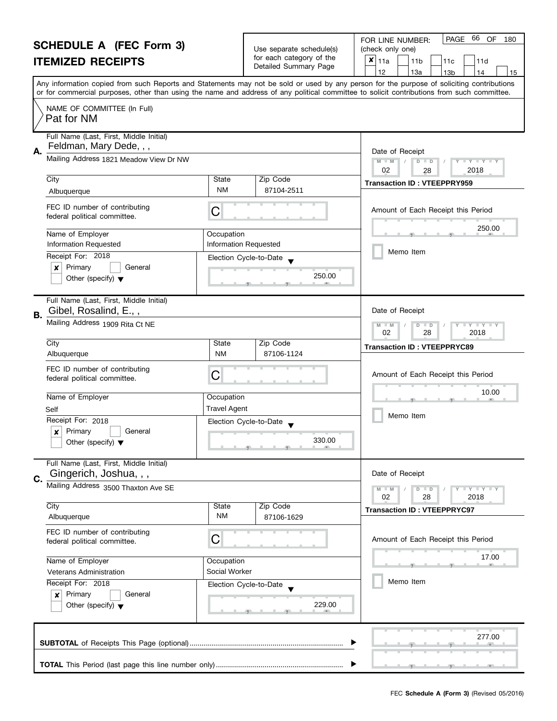#### **SCHEDULE A (FEC Form 3) ITEMIZED RECEIPTS** Any information copied from such Reports and Statements may not be sold or used by any person for the purpose of soliciting contributions or for commercial purposes, other than using the name and address of any political committee to solicit contributions from such committee. NAME OF COMMITTEE (In Full) Full Name (Last, First, Middle Initial) **A.** FOR LINE NUMBER: Use separate schedule(s) | (check only one) for each category of the for each category of the<br>Detailed Summary Page  $\begin{array}{|c|c|c|c|c|c|c|c|}\n\hline\n & 11a & 11b & 11c & 11d \\
\hline\n & 12 & 13a & 13b & 14\n\end{array}$ |12 | |13a | |13b | |14 | |15 PAGE 66 OF 180  $\overline{\mathbf{x}}$  | 11a Pat for NM Feldman, Mary Dede, , ,

| Mailing Address 1821 Meadow View Dr NW<br>02<br>City<br>State<br>Zip Code<br><b>NM</b><br>87104-2511<br>Albuquerque<br>FEC ID number of contributing<br>С<br>federal political committee.<br>Name of Employer<br>Occupation<br><b>Information Requested</b><br><b>Information Requested</b><br>Receipt For: 2018<br>Election Cycle-to-Date<br>Primary<br>X<br>General<br>250.00<br>Other (specify) $\blacktriangledown$<br>Full Name (Last, First, Middle Initial)<br>Gibel, Rosalind, E.,,<br><b>B.</b><br>Mailing Address 1909 Rita Ct NE<br>M<br>02<br>City<br>State<br>Zip Code<br><b>NM</b><br>Albuquerque<br>87106-1124<br>FEC ID number of contributing<br>C<br>federal political committee.<br>Name of Employer<br>Occupation<br><b>Travel Agent</b><br>Self<br>Receipt For: 2018<br>Election Cycle-to-Date<br>Primary<br>General<br>X<br>330.00<br>Other (specify) $\blacktriangledown$<br>Full Name (Last, First, Middle Initial)<br>Gingerich, Joshua, , ,<br>C.<br>Mailing Address 3500 Thaxton Ave SE<br>M<br>02<br>City<br>State<br>Zip Code<br><b>NM</b><br>Albuquerque<br>87106-1629<br>FEC ID number of contributing<br>С<br>federal political committee.<br>Name of Employer<br>Occupation<br>Social Worker<br>Veterans Administration | Date of Receipt                                               |  |
|----------------------------------------------------------------------------------------------------------------------------------------------------------------------------------------------------------------------------------------------------------------------------------------------------------------------------------------------------------------------------------------------------------------------------------------------------------------------------------------------------------------------------------------------------------------------------------------------------------------------------------------------------------------------------------------------------------------------------------------------------------------------------------------------------------------------------------------------------------------------------------------------------------------------------------------------------------------------------------------------------------------------------------------------------------------------------------------------------------------------------------------------------------------------------------------------------------------------------------------------------------|---------------------------------------------------------------|--|
|                                                                                                                                                                                                                                                                                                                                                                                                                                                                                                                                                                                                                                                                                                                                                                                                                                                                                                                                                                                                                                                                                                                                                                                                                                                          | $\overline{\mathbf{y}}$<br>D<br>$\Box$<br>2018<br>28          |  |
|                                                                                                                                                                                                                                                                                                                                                                                                                                                                                                                                                                                                                                                                                                                                                                                                                                                                                                                                                                                                                                                                                                                                                                                                                                                          | <b>Transaction ID: VTEEPPRY959</b>                            |  |
|                                                                                                                                                                                                                                                                                                                                                                                                                                                                                                                                                                                                                                                                                                                                                                                                                                                                                                                                                                                                                                                                                                                                                                                                                                                          |                                                               |  |
|                                                                                                                                                                                                                                                                                                                                                                                                                                                                                                                                                                                                                                                                                                                                                                                                                                                                                                                                                                                                                                                                                                                                                                                                                                                          | Amount of Each Receipt this Period                            |  |
|                                                                                                                                                                                                                                                                                                                                                                                                                                                                                                                                                                                                                                                                                                                                                                                                                                                                                                                                                                                                                                                                                                                                                                                                                                                          |                                                               |  |
|                                                                                                                                                                                                                                                                                                                                                                                                                                                                                                                                                                                                                                                                                                                                                                                                                                                                                                                                                                                                                                                                                                                                                                                                                                                          | 250.00                                                        |  |
|                                                                                                                                                                                                                                                                                                                                                                                                                                                                                                                                                                                                                                                                                                                                                                                                                                                                                                                                                                                                                                                                                                                                                                                                                                                          |                                                               |  |
|                                                                                                                                                                                                                                                                                                                                                                                                                                                                                                                                                                                                                                                                                                                                                                                                                                                                                                                                                                                                                                                                                                                                                                                                                                                          | Memo Item                                                     |  |
|                                                                                                                                                                                                                                                                                                                                                                                                                                                                                                                                                                                                                                                                                                                                                                                                                                                                                                                                                                                                                                                                                                                                                                                                                                                          |                                                               |  |
|                                                                                                                                                                                                                                                                                                                                                                                                                                                                                                                                                                                                                                                                                                                                                                                                                                                                                                                                                                                                                                                                                                                                                                                                                                                          |                                                               |  |
|                                                                                                                                                                                                                                                                                                                                                                                                                                                                                                                                                                                                                                                                                                                                                                                                                                                                                                                                                                                                                                                                                                                                                                                                                                                          |                                                               |  |
|                                                                                                                                                                                                                                                                                                                                                                                                                                                                                                                                                                                                                                                                                                                                                                                                                                                                                                                                                                                                                                                                                                                                                                                                                                                          | Date of Receipt                                               |  |
|                                                                                                                                                                                                                                                                                                                                                                                                                                                                                                                                                                                                                                                                                                                                                                                                                                                                                                                                                                                                                                                                                                                                                                                                                                                          | $Y = Y + Y$<br>$\overline{D}$<br>$\Box$<br>$-M$<br>28<br>2018 |  |
|                                                                                                                                                                                                                                                                                                                                                                                                                                                                                                                                                                                                                                                                                                                                                                                                                                                                                                                                                                                                                                                                                                                                                                                                                                                          | <b>Transaction ID: VTEEPPRYC89</b>                            |  |
|                                                                                                                                                                                                                                                                                                                                                                                                                                                                                                                                                                                                                                                                                                                                                                                                                                                                                                                                                                                                                                                                                                                                                                                                                                                          |                                                               |  |
|                                                                                                                                                                                                                                                                                                                                                                                                                                                                                                                                                                                                                                                                                                                                                                                                                                                                                                                                                                                                                                                                                                                                                                                                                                                          |                                                               |  |
|                                                                                                                                                                                                                                                                                                                                                                                                                                                                                                                                                                                                                                                                                                                                                                                                                                                                                                                                                                                                                                                                                                                                                                                                                                                          | Amount of Each Receipt this Period                            |  |
|                                                                                                                                                                                                                                                                                                                                                                                                                                                                                                                                                                                                                                                                                                                                                                                                                                                                                                                                                                                                                                                                                                                                                                                                                                                          | 10.00                                                         |  |
|                                                                                                                                                                                                                                                                                                                                                                                                                                                                                                                                                                                                                                                                                                                                                                                                                                                                                                                                                                                                                                                                                                                                                                                                                                                          |                                                               |  |
|                                                                                                                                                                                                                                                                                                                                                                                                                                                                                                                                                                                                                                                                                                                                                                                                                                                                                                                                                                                                                                                                                                                                                                                                                                                          | Memo Item                                                     |  |
|                                                                                                                                                                                                                                                                                                                                                                                                                                                                                                                                                                                                                                                                                                                                                                                                                                                                                                                                                                                                                                                                                                                                                                                                                                                          |                                                               |  |
|                                                                                                                                                                                                                                                                                                                                                                                                                                                                                                                                                                                                                                                                                                                                                                                                                                                                                                                                                                                                                                                                                                                                                                                                                                                          |                                                               |  |
|                                                                                                                                                                                                                                                                                                                                                                                                                                                                                                                                                                                                                                                                                                                                                                                                                                                                                                                                                                                                                                                                                                                                                                                                                                                          |                                                               |  |
|                                                                                                                                                                                                                                                                                                                                                                                                                                                                                                                                                                                                                                                                                                                                                                                                                                                                                                                                                                                                                                                                                                                                                                                                                                                          |                                                               |  |
|                                                                                                                                                                                                                                                                                                                                                                                                                                                                                                                                                                                                                                                                                                                                                                                                                                                                                                                                                                                                                                                                                                                                                                                                                                                          | Date of Receipt                                               |  |
|                                                                                                                                                                                                                                                                                                                                                                                                                                                                                                                                                                                                                                                                                                                                                                                                                                                                                                                                                                                                                                                                                                                                                                                                                                                          | $Y = Y = Y$<br>$\overline{D}$<br>$\Box$<br>$-M$               |  |
|                                                                                                                                                                                                                                                                                                                                                                                                                                                                                                                                                                                                                                                                                                                                                                                                                                                                                                                                                                                                                                                                                                                                                                                                                                                          | 28<br>2018                                                    |  |
|                                                                                                                                                                                                                                                                                                                                                                                                                                                                                                                                                                                                                                                                                                                                                                                                                                                                                                                                                                                                                                                                                                                                                                                                                                                          | <b>Transaction ID: VTEEPPRYC97</b>                            |  |
|                                                                                                                                                                                                                                                                                                                                                                                                                                                                                                                                                                                                                                                                                                                                                                                                                                                                                                                                                                                                                                                                                                                                                                                                                                                          |                                                               |  |
|                                                                                                                                                                                                                                                                                                                                                                                                                                                                                                                                                                                                                                                                                                                                                                                                                                                                                                                                                                                                                                                                                                                                                                                                                                                          |                                                               |  |
|                                                                                                                                                                                                                                                                                                                                                                                                                                                                                                                                                                                                                                                                                                                                                                                                                                                                                                                                                                                                                                                                                                                                                                                                                                                          | Amount of Each Receipt this Period                            |  |
|                                                                                                                                                                                                                                                                                                                                                                                                                                                                                                                                                                                                                                                                                                                                                                                                                                                                                                                                                                                                                                                                                                                                                                                                                                                          | 17.00                                                         |  |
|                                                                                                                                                                                                                                                                                                                                                                                                                                                                                                                                                                                                                                                                                                                                                                                                                                                                                                                                                                                                                                                                                                                                                                                                                                                          |                                                               |  |
| Receipt For: 2018<br>Election Cycle-to-Date                                                                                                                                                                                                                                                                                                                                                                                                                                                                                                                                                                                                                                                                                                                                                                                                                                                                                                                                                                                                                                                                                                                                                                                                              | Memo Item                                                     |  |
| Primary<br>General<br>$\boldsymbol{x}$                                                                                                                                                                                                                                                                                                                                                                                                                                                                                                                                                                                                                                                                                                                                                                                                                                                                                                                                                                                                                                                                                                                                                                                                                   |                                                               |  |
| 229.00<br>Other (specify) $\blacktriangledown$                                                                                                                                                                                                                                                                                                                                                                                                                                                                                                                                                                                                                                                                                                                                                                                                                                                                                                                                                                                                                                                                                                                                                                                                           |                                                               |  |
|                                                                                                                                                                                                                                                                                                                                                                                                                                                                                                                                                                                                                                                                                                                                                                                                                                                                                                                                                                                                                                                                                                                                                                                                                                                          |                                                               |  |

**TOTAL** This Period (last page this line number only) ...............................................................

, , .

 $\blacktriangleright$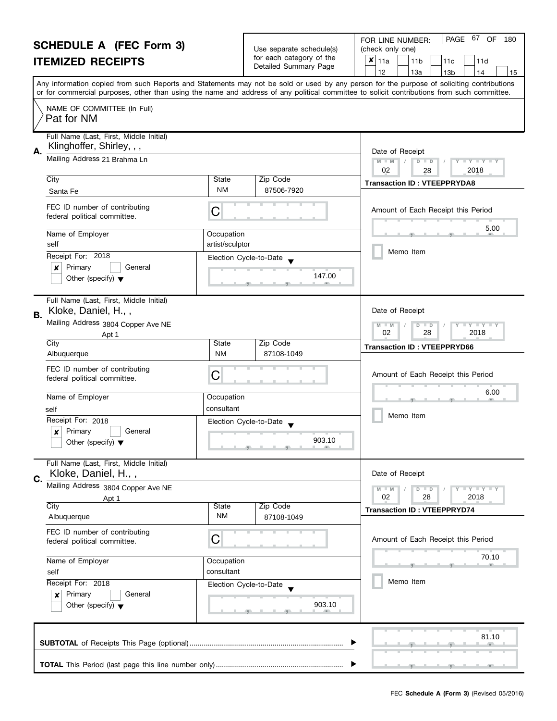| <b>SCHEDULE A (FEC Form 3)</b>                                     |                                                                                      |                                                                                                | Use separate schedule(s)                    | PAGE 67 OF<br>FOR LINE NUMBER:<br>180<br>(check only one)                                                                                                                                                                                                                               |  |  |
|--------------------------------------------------------------------|--------------------------------------------------------------------------------------|------------------------------------------------------------------------------------------------|---------------------------------------------|-----------------------------------------------------------------------------------------------------------------------------------------------------------------------------------------------------------------------------------------------------------------------------------------|--|--|
| <b>ITEMIZED RECEIPTS</b>                                           |                                                                                      |                                                                                                | for each category of the                    | $x _{11a}$<br>11 <sub>b</sub><br>11d<br>11c                                                                                                                                                                                                                                             |  |  |
|                                                                    |                                                                                      |                                                                                                | Detailed Summary Page                       | 12<br>13a<br>13 <sub>b</sub><br>14<br>15                                                                                                                                                                                                                                                |  |  |
|                                                                    |                                                                                      |                                                                                                |                                             | Any information copied from such Reports and Statements may not be sold or used by any person for the purpose of soliciting contributions<br>or for commercial purposes, other than using the name and address of any political committee to solicit contributions from such committee. |  |  |
|                                                                    | NAME OF COMMITTEE (In Full)<br>Pat for NM                                            |                                                                                                |                                             |                                                                                                                                                                                                                                                                                         |  |  |
| А.                                                                 | Full Name (Last, First, Middle Initial)<br>Klinghoffer, Shirley, , ,                 |                                                                                                |                                             | Date of Receipt                                                                                                                                                                                                                                                                         |  |  |
|                                                                    | Mailing Address 21 Brahma Ln                                                         | $M - M$<br>D<br>$\mathbf{I} \times \mathbf{I} \times \mathbf{I}$<br>$\Box$<br>02<br>2018<br>28 |                                             |                                                                                                                                                                                                                                                                                         |  |  |
|                                                                    | City<br>Santa Fe                                                                     | State<br><b>NM</b>                                                                             | Zip Code<br>87506-7920                      | <b>Transaction ID: VTEEPPRYDA8</b>                                                                                                                                                                                                                                                      |  |  |
|                                                                    | FEC ID number of contributing<br>federal political committee.                        | С                                                                                              |                                             | Amount of Each Receipt this Period                                                                                                                                                                                                                                                      |  |  |
|                                                                    | Name of Employer<br>self                                                             | Occupation<br>artist/sculptor                                                                  |                                             | 5.00                                                                                                                                                                                                                                                                                    |  |  |
|                                                                    | Receipt For: 2018<br>Primary<br>General<br>x<br>Other (specify) $\blacktriangledown$ |                                                                                                | Election Cycle-to-Date<br>147.00            | Memo Item                                                                                                                                                                                                                                                                               |  |  |
| В.                                                                 | Full Name (Last, First, Middle Initial)<br>Kloke, Daniel, H.,,                       |                                                                                                |                                             | Date of Receipt                                                                                                                                                                                                                                                                         |  |  |
|                                                                    | Mailing Address 3804 Copper Ave NE<br>Apt 1                                          | $Y - Y - Y$<br>D<br>$-M$<br>$\blacksquare$<br>02<br>28<br>2018                                 |                                             |                                                                                                                                                                                                                                                                                         |  |  |
|                                                                    | City<br>Albuquerque                                                                  | State<br><b>NM</b>                                                                             | Zip Code<br>87108-1049                      | <b>Transaction ID: VTEEPPRYD66</b>                                                                                                                                                                                                                                                      |  |  |
|                                                                    | FEC ID number of contributing<br>federal political committee.                        | С                                                                                              |                                             | Amount of Each Receipt this Period                                                                                                                                                                                                                                                      |  |  |
|                                                                    | Name of Employer<br>self                                                             | Occupation<br>consultant                                                                       |                                             | 6.00                                                                                                                                                                                                                                                                                    |  |  |
|                                                                    | Receipt For: 2018                                                                    |                                                                                                | Election Cycle-to-Date                      | Memo Item                                                                                                                                                                                                                                                                               |  |  |
|                                                                    | Primary<br>General<br>$\boldsymbol{x}$<br>Other (specify) $\blacktriangledown$       |                                                                                                | 903.10<br><u> 1 gr. i gr. i gr. i i gr.</u> |                                                                                                                                                                                                                                                                                         |  |  |
| C.                                                                 | Full Name (Last, First, Middle Initial)<br>Kloke, Daniel, H.,,                       |                                                                                                |                                             | Date of Receipt                                                                                                                                                                                                                                                                         |  |  |
|                                                                    | Mailing Address 3804 Copper Ave NE<br>Apt 1                                          |                                                                                                |                                             | Y FY FY FY<br>$M - M$<br>$D$ $D$<br>02<br>2018<br>28                                                                                                                                                                                                                                    |  |  |
|                                                                    | City<br>Albuquerque                                                                  | <b>State</b><br><b>NM</b>                                                                      | Zip Code<br>87108-1049                      | <b>Transaction ID: VTEEPPRYD74</b>                                                                                                                                                                                                                                                      |  |  |
| FEC ID number of contributing<br>С<br>federal political committee. |                                                                                      |                                                                                                |                                             | Amount of Each Receipt this Period                                                                                                                                                                                                                                                      |  |  |
|                                                                    | Name of Employer<br>Occupation<br>consultant<br>self                                 |                                                                                                |                                             | 70.10                                                                                                                                                                                                                                                                                   |  |  |
|                                                                    | Receipt For: 2018<br>Primary<br>General<br>×                                         |                                                                                                | Election Cycle-to-Date                      | Memo Item                                                                                                                                                                                                                                                                               |  |  |
|                                                                    | 903.10<br>Other (specify) $\blacktriangledown$                                       |                                                                                                |                                             |                                                                                                                                                                                                                                                                                         |  |  |
|                                                                    | 81.10                                                                                |                                                                                                |                                             |                                                                                                                                                                                                                                                                                         |  |  |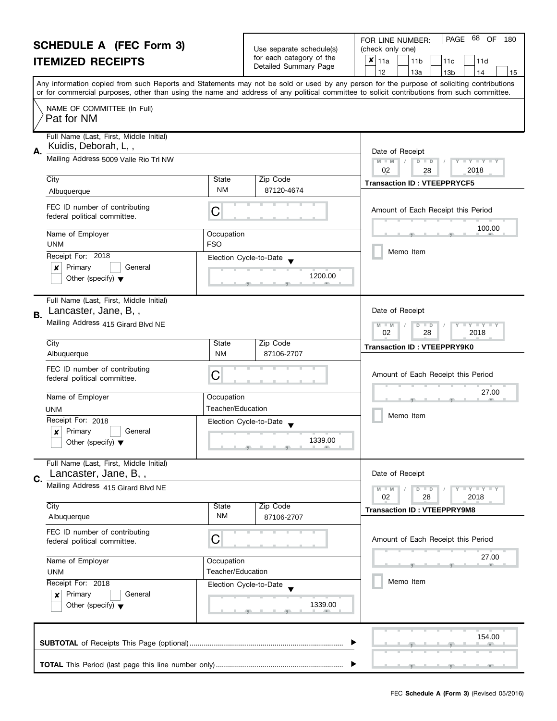| <b>SCHEDULE A (FEC Form 3)</b>                                                 |                                                                                      |                                                                                  | Use separate schedule(s)          | 68<br>PAGE<br>OF<br>FOR LINE NUMBER:<br>180                                                                                                                                                                                                                                             |  |  |
|--------------------------------------------------------------------------------|--------------------------------------------------------------------------------------|----------------------------------------------------------------------------------|-----------------------------------|-----------------------------------------------------------------------------------------------------------------------------------------------------------------------------------------------------------------------------------------------------------------------------------------|--|--|
| <b>ITEMIZED RECEIPTS</b>                                                       |                                                                                      |                                                                                  | for each category of the          | (check only one)<br>$x _{11a}$<br>11 <sub>b</sub><br>11d<br>11c                                                                                                                                                                                                                         |  |  |
|                                                                                |                                                                                      |                                                                                  | Detailed Summary Page             | 12<br>13a<br>13 <sub>b</sub><br>14<br>15                                                                                                                                                                                                                                                |  |  |
|                                                                                |                                                                                      |                                                                                  |                                   | Any information copied from such Reports and Statements may not be sold or used by any person for the purpose of soliciting contributions<br>or for commercial purposes, other than using the name and address of any political committee to solicit contributions from such committee. |  |  |
|                                                                                | NAME OF COMMITTEE (In Full)<br>Pat for NM                                            |                                                                                  |                                   |                                                                                                                                                                                                                                                                                         |  |  |
|                                                                                | Full Name (Last, First, Middle Initial)<br>Kuidis, Deborah, L,,                      |                                                                                  |                                   |                                                                                                                                                                                                                                                                                         |  |  |
| А.                                                                             | Mailing Address 5009 Valle Rio Trl NW                                                | Date of Receipt<br>$M - M$<br>D<br>$T + Y = Y + T$<br>$\Box$<br>02<br>2018<br>28 |                                   |                                                                                                                                                                                                                                                                                         |  |  |
|                                                                                | City<br>Albuquerque                                                                  | State<br><b>NM</b>                                                               | Zip Code<br>87120-4674            | <b>Transaction ID: VTEEPPRYCF5</b>                                                                                                                                                                                                                                                      |  |  |
|                                                                                | FEC ID number of contributing<br>federal political committee.                        | С                                                                                |                                   | Amount of Each Receipt this Period                                                                                                                                                                                                                                                      |  |  |
|                                                                                | Name of Employer<br><b>UNM</b>                                                       | Occupation<br><b>FSO</b>                                                         |                                   | 100.00                                                                                                                                                                                                                                                                                  |  |  |
|                                                                                | Receipt For: 2018<br>Primary<br>General<br>×<br>Other (specify) $\blacktriangledown$ |                                                                                  | Election Cycle-to-Date<br>1200.00 | Memo Item                                                                                                                                                                                                                                                                               |  |  |
|                                                                                | Full Name (Last, First, Middle Initial)                                              |                                                                                  |                                   | Date of Receipt                                                                                                                                                                                                                                                                         |  |  |
| В.                                                                             | Lancaster, Jane, B,,<br>Mailing Address 415 Girard Blvd NE                           | $Y - Y - Y$<br>D<br>$-M$<br>$\Box$<br>02<br>28<br>2018                           |                                   |                                                                                                                                                                                                                                                                                         |  |  |
|                                                                                | City<br>Albuquerque                                                                  | State<br><b>NM</b>                                                               | Zip Code<br>87106-2707            | <b>Transaction ID: VTEEPPRY9K0</b>                                                                                                                                                                                                                                                      |  |  |
|                                                                                | FEC ID number of contributing<br>federal political committee.                        | С                                                                                |                                   | Amount of Each Receipt this Period                                                                                                                                                                                                                                                      |  |  |
|                                                                                | Name of Employer                                                                     | Occupation<br>Teacher/Education                                                  |                                   | 27.00                                                                                                                                                                                                                                                                                   |  |  |
|                                                                                | UNM<br>Receipt For: 2018                                                             |                                                                                  |                                   | Memo Item                                                                                                                                                                                                                                                                               |  |  |
| Primary<br>General<br>$\boldsymbol{x}$<br>Other (specify) $\blacktriangledown$ |                                                                                      | Election Cycle-to-Date<br>1339.00                                                |                                   |                                                                                                                                                                                                                                                                                         |  |  |
| C.                                                                             | Full Name (Last, First, Middle Initial)<br>Lancaster, Jane, B,,                      |                                                                                  |                                   | Date of Receipt                                                                                                                                                                                                                                                                         |  |  |
|                                                                                | Mailing Address 415 Girard Blvd NE                                                   |                                                                                  |                                   | Y FY FY FY<br>$M - M$<br>$D$ $D$<br>02<br>28<br>2018                                                                                                                                                                                                                                    |  |  |
|                                                                                | City<br>Albuquerque                                                                  | State<br><b>NM</b>                                                               | Zip Code<br>87106-2707            | <b>Transaction ID: VTEEPPRY9M8</b>                                                                                                                                                                                                                                                      |  |  |
| FEC ID number of contributing<br>С<br>federal political committee.             |                                                                                      |                                                                                  |                                   | Amount of Each Receipt this Period                                                                                                                                                                                                                                                      |  |  |
|                                                                                | Name of Employer<br>Occupation<br>Teacher/Education<br><b>UNM</b>                    |                                                                                  |                                   | 27.00                                                                                                                                                                                                                                                                                   |  |  |
|                                                                                | Receipt For: 2018<br>Primary<br>General<br>×<br>Other (specify) $\blacktriangledown$ |                                                                                  | Election Cycle-to-Date<br>1339.00 | Memo Item                                                                                                                                                                                                                                                                               |  |  |
|                                                                                | 154.00                                                                               |                                                                                  |                                   |                                                                                                                                                                                                                                                                                         |  |  |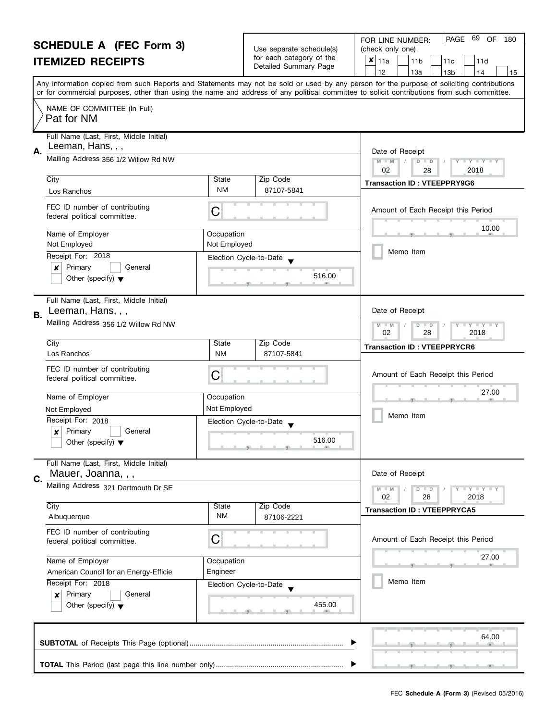| <b>SCHEDULE A (FEC Form 3)</b>                     |                                                                                |                                                                                  | Use separate schedule(s)                          | 69<br>PAGE<br>OF<br>FOR LINE NUMBER:<br>180<br>(check only one)                                                                                                                                                                                                                         |  |  |
|----------------------------------------------------|--------------------------------------------------------------------------------|----------------------------------------------------------------------------------|---------------------------------------------------|-----------------------------------------------------------------------------------------------------------------------------------------------------------------------------------------------------------------------------------------------------------------------------------------|--|--|
| <b>ITEMIZED RECEIPTS</b>                           |                                                                                |                                                                                  | for each category of the<br>Detailed Summary Page | $x _{11a}$<br>11 <sub>b</sub><br>11d<br>11c                                                                                                                                                                                                                                             |  |  |
|                                                    |                                                                                | 12<br>13a<br>13 <sub>b</sub><br>14<br>15                                         |                                                   |                                                                                                                                                                                                                                                                                         |  |  |
|                                                    |                                                                                |                                                                                  |                                                   | Any information copied from such Reports and Statements may not be sold or used by any person for the purpose of soliciting contributions<br>or for commercial purposes, other than using the name and address of any political committee to solicit contributions from such committee. |  |  |
|                                                    | NAME OF COMMITTEE (In Full)<br>Pat for NM                                      |                                                                                  |                                                   |                                                                                                                                                                                                                                                                                         |  |  |
|                                                    | Full Name (Last, First, Middle Initial)<br>Leeman, Hans, , ,                   |                                                                                  |                                                   |                                                                                                                                                                                                                                                                                         |  |  |
| А.                                                 | Mailing Address 356 1/2 Willow Rd NW                                           | Date of Receipt<br>$M - M$<br>D<br>$T + Y = Y + T$<br>$\Box$<br>02<br>2018<br>28 |                                                   |                                                                                                                                                                                                                                                                                         |  |  |
|                                                    | City                                                                           | State                                                                            | Zip Code                                          | <b>Transaction ID: VTEEPPRY9G6</b>                                                                                                                                                                                                                                                      |  |  |
|                                                    | Los Ranchos                                                                    | <b>NM</b>                                                                        | 87107-5841                                        |                                                                                                                                                                                                                                                                                         |  |  |
|                                                    | FEC ID number of contributing<br>federal political committee.                  | С                                                                                |                                                   | Amount of Each Receipt this Period                                                                                                                                                                                                                                                      |  |  |
|                                                    | Name of Employer<br>Not Employed                                               | Occupation<br>Not Employed                                                       |                                                   | 10.00                                                                                                                                                                                                                                                                                   |  |  |
|                                                    | Receipt For: 2018                                                              |                                                                                  | Election Cycle-to-Date                            | Memo Item                                                                                                                                                                                                                                                                               |  |  |
|                                                    | Primary<br>General<br>×                                                        |                                                                                  |                                                   |                                                                                                                                                                                                                                                                                         |  |  |
|                                                    | Other (specify) $\blacktriangledown$                                           |                                                                                  | 516.00                                            |                                                                                                                                                                                                                                                                                         |  |  |
| В.                                                 | Full Name (Last, First, Middle Initial)<br>Leeman, Hans, , ,                   | Date of Receipt                                                                  |                                                   |                                                                                                                                                                                                                                                                                         |  |  |
|                                                    | Mailing Address 356 1/2 Willow Rd NW                                           | $Y - Y - Y$<br>D<br>$\Box$<br>$-M$<br>02<br>28<br>2018                           |                                                   |                                                                                                                                                                                                                                                                                         |  |  |
|                                                    | City                                                                           | State                                                                            | Zip Code                                          | <b>Transaction ID: VTEEPPRYCR6</b>                                                                                                                                                                                                                                                      |  |  |
|                                                    | Los Ranchos                                                                    | <b>NM</b>                                                                        | 87107-5841                                        |                                                                                                                                                                                                                                                                                         |  |  |
|                                                    | FEC ID number of contributing<br>federal political committee.                  | С                                                                                |                                                   | Amount of Each Receipt this Period                                                                                                                                                                                                                                                      |  |  |
|                                                    | Name of Employer                                                               | Occupation                                                                       |                                                   | 27.00                                                                                                                                                                                                                                                                                   |  |  |
|                                                    | Not Employed                                                                   | Not Employed                                                                     |                                                   |                                                                                                                                                                                                                                                                                         |  |  |
|                                                    | Receipt For: 2018                                                              |                                                                                  | Election Cycle-to-Date                            | Memo Item                                                                                                                                                                                                                                                                               |  |  |
|                                                    | Primary<br>General<br>$\boldsymbol{x}$<br>Other (specify) $\blacktriangledown$ |                                                                                  | 516.00<br><u> 1 grad - 1 grad - 1 av</u>          |                                                                                                                                                                                                                                                                                         |  |  |
| C.                                                 | Full Name (Last, First, Middle Initial)<br>Mauer, Joanna, , ,                  |                                                                                  |                                                   | Date of Receipt                                                                                                                                                                                                                                                                         |  |  |
|                                                    | Mailing Address 321 Dartmouth Dr SE                                            |                                                                                  |                                                   | Y I Y I Y I Y<br>$D$ $D$<br>02<br>28<br>2018                                                                                                                                                                                                                                            |  |  |
|                                                    | City                                                                           | State                                                                            | Zip Code                                          | <b>Transaction ID: VTEEPPRYCA5</b>                                                                                                                                                                                                                                                      |  |  |
|                                                    | Albuquerque                                                                    | <b>NM</b>                                                                        | 87106-2221                                        |                                                                                                                                                                                                                                                                                         |  |  |
|                                                    | FEC ID number of contributing<br>federal political committee.                  | С                                                                                |                                                   | Amount of Each Receipt this Period                                                                                                                                                                                                                                                      |  |  |
|                                                    | Name of Employer                                                               | Occupation                                                                       |                                                   | 27.00                                                                                                                                                                                                                                                                                   |  |  |
| Engineer<br>American Council for an Energy-Efficie |                                                                                |                                                                                  |                                                   |                                                                                                                                                                                                                                                                                         |  |  |
|                                                    | Receipt For: 2018                                                              |                                                                                  | Election Cycle-to-Date                            | Memo Item                                                                                                                                                                                                                                                                               |  |  |
|                                                    | Primary<br>General<br>×<br>Other (specify) $\blacktriangledown$                |                                                                                  |                                                   |                                                                                                                                                                                                                                                                                         |  |  |
|                                                    | 64.00                                                                          |                                                                                  |                                                   |                                                                                                                                                                                                                                                                                         |  |  |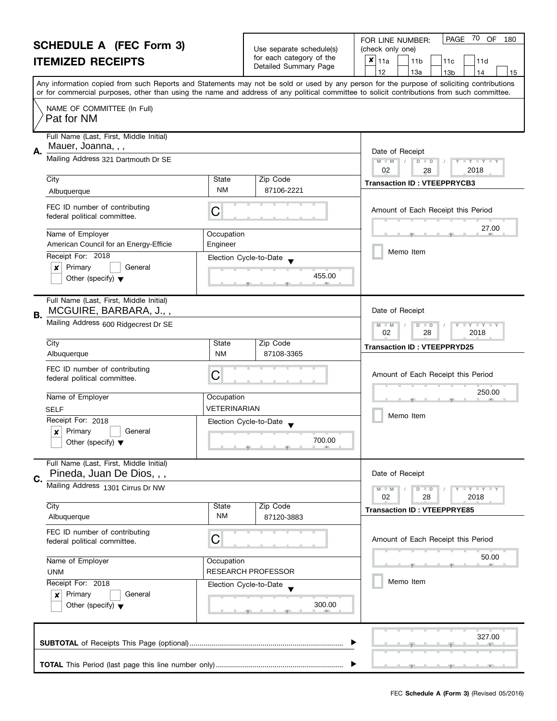| <b>SCHEDULE A (FEC Form 3)</b><br><b>ITEMIZED RECEIPTS</b> |                                                                                                     |                                                                                         | Use separate schedule(s)<br>for each category of the<br>Detailed Summary Page | 70<br>OF<br><b>PAGE</b><br>180<br>FOR LINE NUMBER:<br>(check only one)<br>×<br>11a<br>11 <sub>b</sub><br>11c<br>11d<br>12<br>13a<br>13 <sub>b</sub><br>14<br>15                                                                                                                         |
|------------------------------------------------------------|-----------------------------------------------------------------------------------------------------|-----------------------------------------------------------------------------------------|-------------------------------------------------------------------------------|-----------------------------------------------------------------------------------------------------------------------------------------------------------------------------------------------------------------------------------------------------------------------------------------|
|                                                            |                                                                                                     |                                                                                         |                                                                               | Any information copied from such Reports and Statements may not be sold or used by any person for the purpose of soliciting contributions<br>or for commercial purposes, other than using the name and address of any political committee to solicit contributions from such committee. |
|                                                            | NAME OF COMMITTEE (In Full)<br>Pat for NM                                                           |                                                                                         |                                                                               |                                                                                                                                                                                                                                                                                         |
| А.                                                         | Full Name (Last, First, Middle Initial)<br>Mauer, Joanna, , ,                                       |                                                                                         |                                                                               | Date of Receipt                                                                                                                                                                                                                                                                         |
|                                                            | Mailing Address 321 Dartmouth Dr SE                                                                 | $D$ $D$<br>Y Y Y Y Y<br>$M - M$<br>02<br>2018<br>28                                     |                                                                               |                                                                                                                                                                                                                                                                                         |
|                                                            | City<br>Albuquerque                                                                                 | State<br><b>NM</b>                                                                      | Zip Code<br>87106-2221                                                        | <b>Transaction ID: VTEEPPRYCB3</b>                                                                                                                                                                                                                                                      |
|                                                            | FEC ID number of contributing<br>federal political committee.                                       | C                                                                                       |                                                                               | Amount of Each Receipt this Period                                                                                                                                                                                                                                                      |
|                                                            | Name of Employer<br>American Council for an Energy-Efficie                                          | Occupation<br>Engineer                                                                  |                                                                               | 27.00                                                                                                                                                                                                                                                                                   |
|                                                            | Receipt For: 2018<br>Primary<br>General<br>x<br>Other (specify) $\blacktriangledown$                |                                                                                         | Election Cycle-to-Date<br>455.00                                              | Memo Item                                                                                                                                                                                                                                                                               |
| В.                                                         | Full Name (Last, First, Middle Initial)<br>MCGUIRE, BARBARA, J.,,                                   | Date of Receipt                                                                         |                                                                               |                                                                                                                                                                                                                                                                                         |
|                                                            | Mailing Address 600 Ridgecrest Dr SE                                                                | $\bot$ Y $\bot$ Y $\bot$ Y<br>M<br>$\overline{D}$<br>$-M$<br>$\Box$<br>02<br>28<br>2018 |                                                                               |                                                                                                                                                                                                                                                                                         |
|                                                            | City<br>Albuquerque                                                                                 | State<br><b>NM</b>                                                                      | Zip Code<br>87108-3365                                                        | <b>Transaction ID: VTEEPPRYD25</b>                                                                                                                                                                                                                                                      |
|                                                            | FEC ID number of contributing<br>federal political committee.                                       | C                                                                                       |                                                                               | Amount of Each Receipt this Period                                                                                                                                                                                                                                                      |
|                                                            | Name of Employer                                                                                    | Occupation                                                                              |                                                                               | 250.00                                                                                                                                                                                                                                                                                  |
|                                                            | <b>SELF</b><br>Receipt For: 2018<br>Primary<br>General<br>X<br>Other (specify) $\blacktriangledown$ | VETERINARIAN                                                                            | Election Cycle-to-Date<br>700.00<br>للاستناسية والمستلمسة والمناد             | Memo Item                                                                                                                                                                                                                                                                               |
| C.                                                         | Full Name (Last, First, Middle Initial)<br>Pineda, Juan De Dios, , ,                                |                                                                                         |                                                                               | Date of Receipt                                                                                                                                                                                                                                                                         |
|                                                            | Mailing Address 1301 Cirrus Dr NW                                                                   |                                                                                         |                                                                               | Y I Y I Y I Y<br>$M - M$<br>$D$ $D$<br>02<br>28<br>2018                                                                                                                                                                                                                                 |
|                                                            | City<br>Albuquerque                                                                                 | State<br><b>NM</b>                                                                      | Zip Code<br>87120-3883                                                        | <b>Transaction ID: VTEEPPRYE85</b>                                                                                                                                                                                                                                                      |
|                                                            | FEC ID number of contributing<br>federal political committee.                                       | С                                                                                       |                                                                               | Amount of Each Receipt this Period                                                                                                                                                                                                                                                      |
| Name of Employer<br><b>UNM</b>                             |                                                                                                     | Occupation                                                                              | <b>RESEARCH PROFESSOR</b>                                                     | 50.00                                                                                                                                                                                                                                                                                   |
|                                                            | Receipt For: 2018<br>Primary<br>General<br>×<br>Other (specify) $\blacktriangledown$                |                                                                                         | Election Cycle-to-Date<br>300.00                                              | Memo Item                                                                                                                                                                                                                                                                               |
|                                                            |                                                                                                     |                                                                                         |                                                                               | 327.00                                                                                                                                                                                                                                                                                  |
|                                                            |                                                                                                     |                                                                                         |                                                                               |                                                                                                                                                                                                                                                                                         |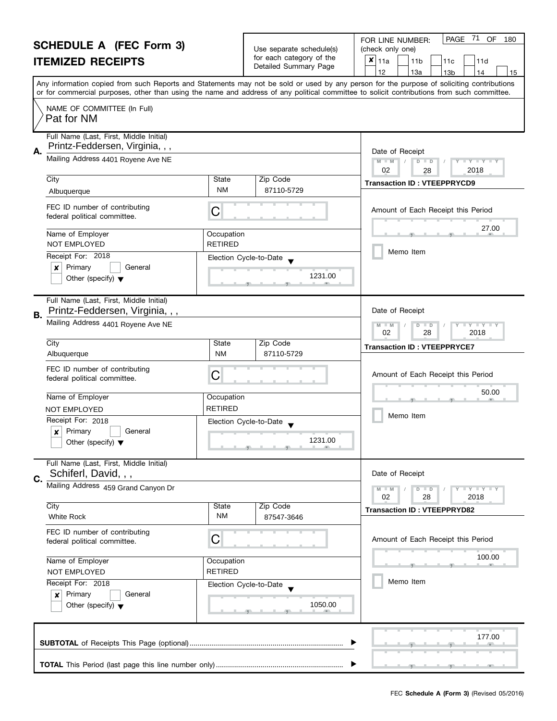| <b>SCHEDULE A (FEC Form 3)</b><br><b>ITEMIZED RECEIPTS</b>       |                                                                                |                                                                            | Use separate schedule(s)<br>for each category of the<br>Detailed Summary Page                                                    | PAGE 71<br>OF<br>180<br>FOR LINE NUMBER:<br>(check only one)<br>×<br>11a<br>11 <sub>b</sub><br>11d<br>11c                                                                                                                                                                                                                           |  |  |
|------------------------------------------------------------------|--------------------------------------------------------------------------------|----------------------------------------------------------------------------|----------------------------------------------------------------------------------------------------------------------------------|-------------------------------------------------------------------------------------------------------------------------------------------------------------------------------------------------------------------------------------------------------------------------------------------------------------------------------------|--|--|
|                                                                  |                                                                                |                                                                            |                                                                                                                                  | 12<br>13a<br>13 <sub>b</sub><br>14<br>15<br>Any information copied from such Reports and Statements may not be sold or used by any person for the purpose of soliciting contributions<br>or for commercial purposes, other than using the name and address of any political committee to solicit contributions from such committee. |  |  |
|                                                                  | NAME OF COMMITTEE (In Full)<br>Pat for NM                                      |                                                                            |                                                                                                                                  |                                                                                                                                                                                                                                                                                                                                     |  |  |
| Α.                                                               | Full Name (Last, First, Middle Initial)<br>Printz-Feddersen, Virginia, , ,     |                                                                            |                                                                                                                                  | Date of Receipt                                                                                                                                                                                                                                                                                                                     |  |  |
|                                                                  | Mailing Address 4401 Royene Ave NE                                             |                                                                            |                                                                                                                                  | $M - M$<br>$D$ $D$<br>Y I Y I Y I Y<br>02<br>2018<br>28                                                                                                                                                                                                                                                                             |  |  |
|                                                                  | City<br>Albuquerque                                                            | State<br><b>NM</b>                                                         | Zip Code<br>87110-5729                                                                                                           | <b>Transaction ID: VTEEPPRYCD9</b>                                                                                                                                                                                                                                                                                                  |  |  |
|                                                                  | FEC ID number of contributing<br>federal political committee.                  | C                                                                          |                                                                                                                                  | Amount of Each Receipt this Period                                                                                                                                                                                                                                                                                                  |  |  |
|                                                                  | Name of Employer<br>NOT EMPLOYED                                               | Occupation<br><b>RETIRED</b>                                               |                                                                                                                                  | 27.00                                                                                                                                                                                                                                                                                                                               |  |  |
|                                                                  | Receipt For: 2018                                                              | Election Cycle-to-Date                                                     |                                                                                                                                  | Memo Item                                                                                                                                                                                                                                                                                                                           |  |  |
|                                                                  | Primary<br>$\boldsymbol{x}$<br>General<br>Other (specify) $\blacktriangledown$ |                                                                            | 1231.00                                                                                                                          |                                                                                                                                                                                                                                                                                                                                     |  |  |
| В.                                                               | Full Name (Last, First, Middle Initial)<br>Printz-Feddersen, Virginia, , ,     | Date of Receipt                                                            |                                                                                                                                  |                                                                                                                                                                                                                                                                                                                                     |  |  |
|                                                                  | Mailing Address 4401 Royene Ave NE                                             | $M - M$<br>$\overline{D}$<br>$Y + Y + Y + Y$<br>$\Box$<br>02<br>28<br>2018 |                                                                                                                                  |                                                                                                                                                                                                                                                                                                                                     |  |  |
|                                                                  | City<br>Albuquerque                                                            | State<br><b>NM</b>                                                         | Zip Code<br>87110-5729                                                                                                           | <b>Transaction ID: VTEEPPRYCE7</b>                                                                                                                                                                                                                                                                                                  |  |  |
|                                                                  | FEC ID number of contributing<br>federal political committee.                  | C                                                                          |                                                                                                                                  | Amount of Each Receipt this Period                                                                                                                                                                                                                                                                                                  |  |  |
|                                                                  | Name of Employer                                                               | Occupation                                                                 |                                                                                                                                  | 50.00                                                                                                                                                                                                                                                                                                                               |  |  |
|                                                                  | NOT EMPLOYED                                                                   | <b>RETIRED</b>                                                             |                                                                                                                                  |                                                                                                                                                                                                                                                                                                                                     |  |  |
|                                                                  | Receipt For: 2018                                                              | Election Cycle-to-Date                                                     |                                                                                                                                  | Memo Item                                                                                                                                                                                                                                                                                                                           |  |  |
|                                                                  | Primary<br>General<br>X<br>Other (specify) $\blacktriangledown$                |                                                                            | 1231.00<br><u> 19 Julie 19 Julie 19 Julie 19 Julie 19 Julie 19 Julie 19 Julie 19 Julie 19 Julie 19 Julie 19 Julie 19 Julie 1</u> |                                                                                                                                                                                                                                                                                                                                     |  |  |
| C.                                                               | Full Name (Last, First, Middle Initial)<br>Schiferl, David, , ,                |                                                                            |                                                                                                                                  | Date of Receipt                                                                                                                                                                                                                                                                                                                     |  |  |
|                                                                  | Mailing Address 459 Grand Canyon Dr                                            |                                                                            |                                                                                                                                  | $Y - Y - Y - Y - Y$<br>$M - M$<br>$D$ $D$<br>02<br>28<br>2018                                                                                                                                                                                                                                                                       |  |  |
|                                                                  | City<br>White Rock                                                             | State<br><b>NM</b>                                                         | Zip Code<br>87547-3646                                                                                                           | <b>Transaction ID: VTEEPPRYD82</b>                                                                                                                                                                                                                                                                                                  |  |  |
|                                                                  | FEC ID number of contributing<br>federal political committee.                  | C                                                                          |                                                                                                                                  | Amount of Each Receipt this Period                                                                                                                                                                                                                                                                                                  |  |  |
| Name of Employer<br>Occupation<br><b>RETIRED</b><br>NOT EMPLOYED |                                                                                |                                                                            | 100.00                                                                                                                           |                                                                                                                                                                                                                                                                                                                                     |  |  |
|                                                                  | Receipt For: 2018<br>Primary<br>×                                              | Election Cycle-to-Date<br>General                                          |                                                                                                                                  | Memo Item                                                                                                                                                                                                                                                                                                                           |  |  |
|                                                                  | 1050.00<br>Other (specify) $\blacktriangledown$                                |                                                                            |                                                                                                                                  |                                                                                                                                                                                                                                                                                                                                     |  |  |
|                                                                  |                                                                                |                                                                            |                                                                                                                                  | 177.00                                                                                                                                                                                                                                                                                                                              |  |  |
|                                                                  |                                                                                |                                                                            |                                                                                                                                  |                                                                                                                                                                                                                                                                                                                                     |  |  |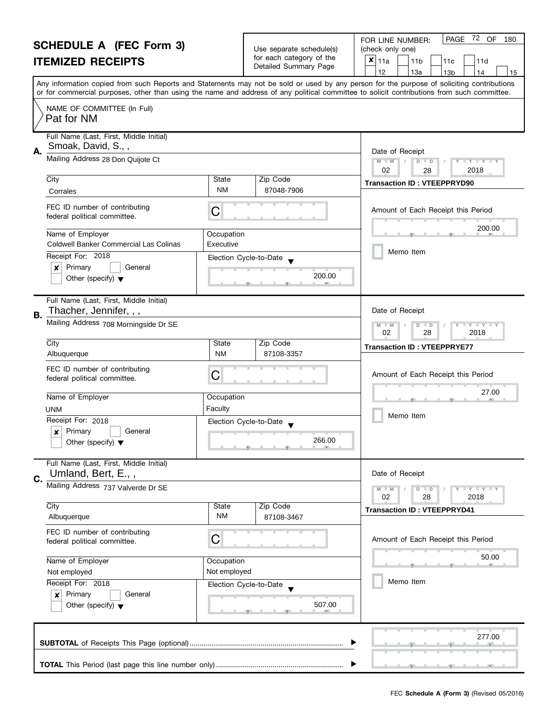| <b>SCHEDULE A (FEC Form 3)</b>                                                                           |                                                                                      |                                                                                                | Use separate schedule(s)         | PAGE 72 OF<br>FOR LINE NUMBER:<br>180                                                                                                                                                                                                                                                   |  |  |
|----------------------------------------------------------------------------------------------------------|--------------------------------------------------------------------------------------|------------------------------------------------------------------------------------------------|----------------------------------|-----------------------------------------------------------------------------------------------------------------------------------------------------------------------------------------------------------------------------------------------------------------------------------------|--|--|
| <b>ITEMIZED RECEIPTS</b>                                                                                 |                                                                                      |                                                                                                | for each category of the         | (check only one)<br>×<br>11a<br>11 <sub>b</sub><br>11d<br>11c                                                                                                                                                                                                                           |  |  |
|                                                                                                          |                                                                                      |                                                                                                | Detailed Summary Page            | 12<br>13a<br>13 <sub>b</sub><br>14<br>15                                                                                                                                                                                                                                                |  |  |
|                                                                                                          |                                                                                      |                                                                                                |                                  | Any information copied from such Reports and Statements may not be sold or used by any person for the purpose of soliciting contributions<br>or for commercial purposes, other than using the name and address of any political committee to solicit contributions from such committee. |  |  |
|                                                                                                          | NAME OF COMMITTEE (In Full)<br>Pat for NM                                            |                                                                                                |                                  |                                                                                                                                                                                                                                                                                         |  |  |
| А.                                                                                                       | Full Name (Last, First, Middle Initial)<br>Smoak, David, S.,,                        |                                                                                                |                                  | Date of Receipt                                                                                                                                                                                                                                                                         |  |  |
|                                                                                                          | Mailing Address 28 Don Quijote Ct                                                    | $M - M$<br>D<br>$\mathbf{I} \times \mathbf{I} \times \mathbf{I}$<br>$\Box$<br>02<br>2018<br>28 |                                  |                                                                                                                                                                                                                                                                                         |  |  |
|                                                                                                          | City<br>Corrales                                                                     | State<br><b>NM</b>                                                                             | Zip Code<br>87048-7906           | <b>Transaction ID: VTEEPPRYD90</b>                                                                                                                                                                                                                                                      |  |  |
|                                                                                                          | FEC ID number of contributing<br>federal political committee.                        | С                                                                                              |                                  | Amount of Each Receipt this Period                                                                                                                                                                                                                                                      |  |  |
|                                                                                                          | Name of Employer<br>Coldwell Banker Commercial Las Colinas                           | Occupation<br>Executive                                                                        |                                  | 200.00                                                                                                                                                                                                                                                                                  |  |  |
|                                                                                                          | Receipt For: 2018<br>Primary<br>General<br>×<br>Other (specify) $\blacktriangledown$ |                                                                                                | Election Cycle-to-Date<br>200.00 | Memo Item                                                                                                                                                                                                                                                                               |  |  |
| В.                                                                                                       | Full Name (Last, First, Middle Initial)<br>Thacher, Jennifer, , ,                    | Date of Receipt                                                                                |                                  |                                                                                                                                                                                                                                                                                         |  |  |
|                                                                                                          | Mailing Address 708 Morningside Dr SE                                                | $Y - Y - Y$<br>D<br>$\Box$<br>$-M$<br>02<br>28<br>2018                                         |                                  |                                                                                                                                                                                                                                                                                         |  |  |
|                                                                                                          | City<br>Albuquerque                                                                  | State<br><b>NM</b>                                                                             | Zip Code<br>87108-3357           | <b>Transaction ID: VTEEPPRYE77</b>                                                                                                                                                                                                                                                      |  |  |
|                                                                                                          | FEC ID number of contributing<br>federal political committee.                        | С                                                                                              |                                  | Amount of Each Receipt this Period                                                                                                                                                                                                                                                      |  |  |
|                                                                                                          | Name of Employer                                                                     | Occupation<br>Faculty                                                                          |                                  | 27.00                                                                                                                                                                                                                                                                                   |  |  |
|                                                                                                          | UNM<br>Receipt For: 2018                                                             |                                                                                                |                                  | Memo Item                                                                                                                                                                                                                                                                               |  |  |
| Election Cycle-to-Date<br>Primary<br>$\boldsymbol{x}$<br>General<br>Other (specify) $\blacktriangledown$ |                                                                                      |                                                                                                | 266.00                           |                                                                                                                                                                                                                                                                                         |  |  |
|                                                                                                          | Full Name (Last, First, Middle Initial)<br>Umland, Bert, E.,,                        |                                                                                                |                                  | Date of Receipt                                                                                                                                                                                                                                                                         |  |  |
| C.                                                                                                       | Mailing Address 737 Valverde Dr SE                                                   |                                                                                                |                                  | Y I Y I Y I Y<br>$M - M$<br>$D$ $D$<br>02<br>28<br>2018                                                                                                                                                                                                                                 |  |  |
|                                                                                                          | City<br>Albuquerque                                                                  | State<br><b>NM</b>                                                                             | Zip Code<br>87108-3467           | <b>Transaction ID: VTEEPPRYD41</b>                                                                                                                                                                                                                                                      |  |  |
| FEC ID number of contributing<br>С<br>federal political committee.<br>Name of Employer<br>Occupation     |                                                                                      |                                                                                                |                                  | Amount of Each Receipt this Period                                                                                                                                                                                                                                                      |  |  |
|                                                                                                          |                                                                                      |                                                                                                |                                  | 50.00                                                                                                                                                                                                                                                                                   |  |  |
|                                                                                                          | Not employed<br>Not employed<br>Receipt For: 2018<br>Election Cycle-to-Date          |                                                                                                |                                  |                                                                                                                                                                                                                                                                                         |  |  |
|                                                                                                          |                                                                                      |                                                                                                |                                  | Memo Item                                                                                                                                                                                                                                                                               |  |  |
|                                                                                                          | Primary<br>General<br>×<br>Other (specify) $\blacktriangledown$                      |                                                                                                | 507.00                           |                                                                                                                                                                                                                                                                                         |  |  |
|                                                                                                          | 277.00                                                                               |                                                                                                |                                  |                                                                                                                                                                                                                                                                                         |  |  |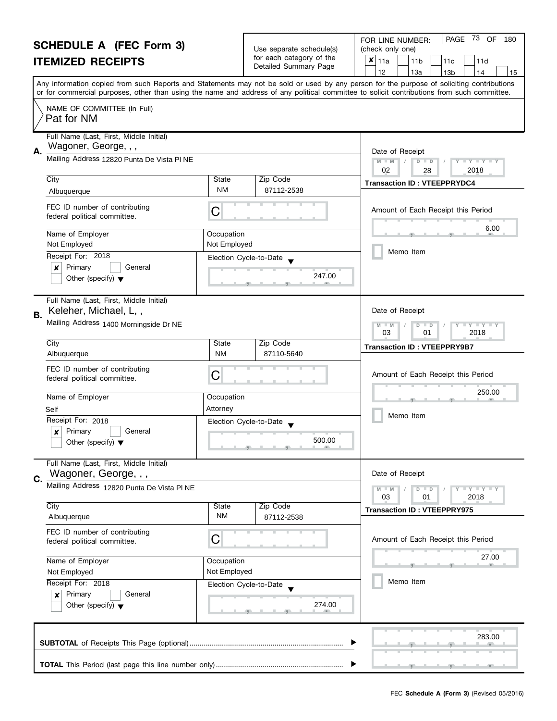| <b>SCHEDULE A (FEC Form 3)</b>                                     |                                                                                                                                            |                                                      |                                                                 | 73 OF<br><b>PAGE</b><br>180<br>FOR LINE NUMBER:                                                                                           |  |
|--------------------------------------------------------------------|--------------------------------------------------------------------------------------------------------------------------------------------|------------------------------------------------------|-----------------------------------------------------------------|-------------------------------------------------------------------------------------------------------------------------------------------|--|
| <b>ITEMIZED RECEIPTS</b>                                           |                                                                                                                                            | Use separate schedule(s)<br>for each category of the | (check only one)<br>$x _{11a}$<br>11 <sub>b</sub><br>11c<br>11d |                                                                                                                                           |  |
|                                                                    |                                                                                                                                            |                                                      | Detailed Summary Page                                           | 12<br>13a<br>13 <sub>b</sub><br>14<br>15                                                                                                  |  |
|                                                                    |                                                                                                                                            |                                                      |                                                                 | Any information copied from such Reports and Statements may not be sold or used by any person for the purpose of soliciting contributions |  |
|                                                                    | or for commercial purposes, other than using the name and address of any political committee to solicit contributions from such committee. |                                                      |                                                                 |                                                                                                                                           |  |
|                                                                    | NAME OF COMMITTEE (In Full)<br>Pat for NM                                                                                                  |                                                      |                                                                 |                                                                                                                                           |  |
|                                                                    | Full Name (Last, First, Middle Initial)                                                                                                    |                                                      |                                                                 |                                                                                                                                           |  |
| А.                                                                 | Wagoner, George, , ,                                                                                                                       | Date of Receipt                                      |                                                                 |                                                                                                                                           |  |
|                                                                    | Mailing Address 12820 Punta De Vista PI NE                                                                                                 |                                                      |                                                                 | $M - M$<br>$D$ $D$<br>$\Box$ $\Upsilon$ $\Box$ $\Upsilon$ $\Box$<br>02<br>2018<br>28                                                      |  |
|                                                                    | City                                                                                                                                       | State                                                | Zip Code                                                        | <b>Transaction ID: VTEEPPRYDC4</b>                                                                                                        |  |
|                                                                    | Albuquerque                                                                                                                                | NM                                                   | 87112-2538                                                      |                                                                                                                                           |  |
|                                                                    | FEC ID number of contributing<br>federal political committee.                                                                              | C                                                    |                                                                 | Amount of Each Receipt this Period                                                                                                        |  |
|                                                                    | Name of Employer<br>Not Employed                                                                                                           | Occupation<br>Not Employed                           |                                                                 | 6.00                                                                                                                                      |  |
|                                                                    | Receipt For: 2018                                                                                                                          |                                                      | Election Cycle-to-Date                                          | Memo Item                                                                                                                                 |  |
|                                                                    | Primary<br>$\boldsymbol{x}$<br>General                                                                                                     |                                                      |                                                                 |                                                                                                                                           |  |
|                                                                    | Other (specify) $\blacktriangledown$                                                                                                       |                                                      | 247.00                                                          |                                                                                                                                           |  |
|                                                                    | Full Name (Last, First, Middle Initial)<br>Keleher, Michael, L,,                                                                           |                                                      |                                                                 | Date of Receipt                                                                                                                           |  |
| В.                                                                 | Mailing Address 1400 Morningside Dr NE                                                                                                     | $Y + Y$<br>$-M$<br>D<br>$\Box$<br>03<br>2018<br>01   |                                                                 |                                                                                                                                           |  |
|                                                                    | City                                                                                                                                       | State                                                | Zip Code                                                        | <b>Transaction ID: VTEEPPRY9B7</b>                                                                                                        |  |
|                                                                    | Albuquerque                                                                                                                                | <b>NM</b>                                            | 87110-5640                                                      |                                                                                                                                           |  |
|                                                                    | FEC ID number of contributing<br>federal political committee.                                                                              | С                                                    |                                                                 | Amount of Each Receipt this Period                                                                                                        |  |
|                                                                    | Name of Employer                                                                                                                           | Occupation                                           |                                                                 | 250.00                                                                                                                                    |  |
|                                                                    | Self                                                                                                                                       | Attorney                                             |                                                                 | Memo Item                                                                                                                                 |  |
|                                                                    | Receipt For: 2018                                                                                                                          |                                                      | Election Cycle-to-Date                                          |                                                                                                                                           |  |
|                                                                    | Primary<br>$\boldsymbol{x}$<br>General<br>Other (specify) $\blacktriangledown$                                                             |                                                      | 500.00                                                          |                                                                                                                                           |  |
|                                                                    | Full Name (Last, First, Middle Initial)<br>Wagoner, George, , ,                                                                            |                                                      |                                                                 | Date of Receipt                                                                                                                           |  |
| C.                                                                 | Mailing Address 12820 Punta De Vista PI NE                                                                                                 |                                                      |                                                                 | Y I Y I Y I Y<br>$M - M$<br>$D$ $D$                                                                                                       |  |
|                                                                    |                                                                                                                                            |                                                      |                                                                 | 03<br>01<br>2018                                                                                                                          |  |
|                                                                    | City<br>Albuquerque                                                                                                                        | State<br>ΝM                                          | Zip Code<br>87112-2538                                          | <b>Transaction ID: VTEEPPRY975</b>                                                                                                        |  |
| FEC ID number of contributing<br>С<br>federal political committee. |                                                                                                                                            |                                                      |                                                                 | Amount of Each Receipt this Period                                                                                                        |  |
|                                                                    | Name of Employer                                                                                                                           | Occupation                                           |                                                                 | 27.00                                                                                                                                     |  |
|                                                                    | Not Employed<br>Not Employed                                                                                                               |                                                      |                                                                 |                                                                                                                                           |  |
|                                                                    | Receipt For: 2018                                                                                                                          |                                                      | Election Cycle-to-Date                                          | Memo Item                                                                                                                                 |  |
|                                                                    | Primary<br>General<br>x<br>Other (specify) $\blacktriangledown$<br>274.00                                                                  |                                                      |                                                                 |                                                                                                                                           |  |
|                                                                    |                                                                                                                                            |                                                      |                                                                 | 283.00                                                                                                                                    |  |
|                                                                    |                                                                                                                                            |                                                      |                                                                 |                                                                                                                                           |  |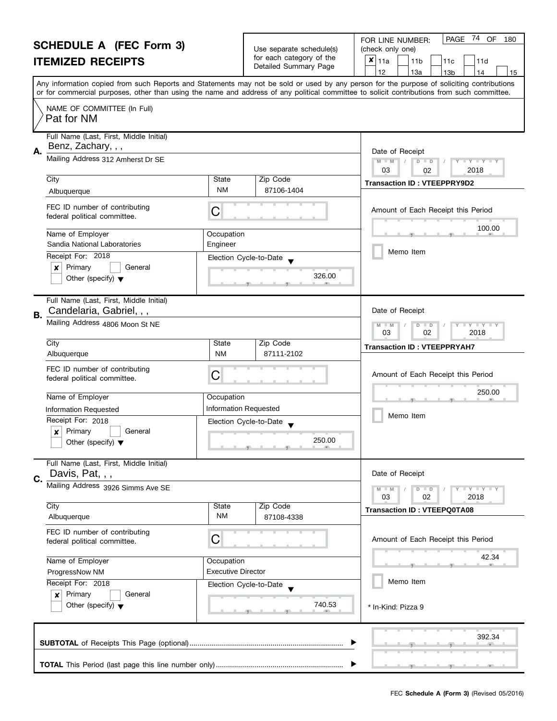| <b>SCHEDULE A (FEC Form 3)</b> |                                                                     |                              | PAGE 74 OF<br>180<br>FOR LINE NUMBER:                |                                                                                                                                                                                       |  |  |
|--------------------------------|---------------------------------------------------------------------|------------------------------|------------------------------------------------------|---------------------------------------------------------------------------------------------------------------------------------------------------------------------------------------|--|--|
|                                |                                                                     |                              | Use separate schedule(s)<br>for each category of the | (check only one)                                                                                                                                                                      |  |  |
|                                | <b>ITEMIZED RECEIPTS</b>                                            |                              | Detailed Summary Page                                | ×<br>11a<br>11 <sub>b</sub><br>11c<br>11d                                                                                                                                             |  |  |
|                                |                                                                     |                              |                                                      | 12<br>13a<br>13 <sub>b</sub><br>14<br>15<br>Any information copied from such Reports and Statements may not be sold or used by any person for the purpose of soliciting contributions |  |  |
|                                |                                                                     |                              |                                                      | or for commercial purposes, other than using the name and address of any political committee to solicit contributions from such committee.                                            |  |  |
|                                | NAME OF COMMITTEE (In Full)<br>Pat for NM                           |                              |                                                      |                                                                                                                                                                                       |  |  |
|                                | Full Name (Last, First, Middle Initial)                             |                              |                                                      |                                                                                                                                                                                       |  |  |
| А.                             | Benz, Zachary, , ,                                                  |                              |                                                      | Date of Receipt                                                                                                                                                                       |  |  |
|                                | Mailing Address 312 Amherst Dr SE                                   |                              |                                                      | $M - M$<br>$D$ $D$<br>Y L Y L Y L<br>03<br>2018<br>02                                                                                                                                 |  |  |
|                                | City                                                                | State                        | Zip Code                                             | <b>Transaction ID: VTEEPPRY9D2</b>                                                                                                                                                    |  |  |
|                                | Albuquerque                                                         | NM                           | 87106-1404                                           |                                                                                                                                                                                       |  |  |
|                                | FEC ID number of contributing<br>federal political committee.       | C                            |                                                      | Amount of Each Receipt this Period                                                                                                                                                    |  |  |
|                                | Name of Employer                                                    | Occupation                   |                                                      | 100.00                                                                                                                                                                                |  |  |
|                                | Sandia National Laboratories                                        | Engineer                     |                                                      |                                                                                                                                                                                       |  |  |
|                                | Receipt For: 2018                                                   |                              | Election Cycle-to-Date                               | Memo Item                                                                                                                                                                             |  |  |
|                                | Primary<br>×<br>General                                             |                              | 326.00                                               |                                                                                                                                                                                       |  |  |
|                                | Other (specify) $\blacktriangledown$                                |                              |                                                      |                                                                                                                                                                                       |  |  |
| <b>B.</b>                      | Full Name (Last, First, Middle Initial)<br>Candelaria, Gabriel, , , |                              |                                                      | Date of Receipt                                                                                                                                                                       |  |  |
|                                | Mailing Address 4806 Moon St NE                                     |                              |                                                      | $M - M$<br>$Y + Y$<br>$\overline{D}$<br>$\Box$                                                                                                                                        |  |  |
|                                | City                                                                | State                        | Zip Code                                             | 03<br>02<br>2018                                                                                                                                                                      |  |  |
|                                | Albuquerque                                                         | <b>NM</b>                    | 87111-2102                                           | <b>Transaction ID: VTEEPPRYAH7</b>                                                                                                                                                    |  |  |
|                                | FEC ID number of contributing<br>federal political committee.       | С                            |                                                      | Amount of Each Receipt this Period                                                                                                                                                    |  |  |
|                                | Name of Employer                                                    | Occupation                   |                                                      | 250.00                                                                                                                                                                                |  |  |
|                                | Information Requested                                               | <b>Information Requested</b> |                                                      |                                                                                                                                                                                       |  |  |
|                                | Receipt For: 2018                                                   | Election Cycle-to-Date       |                                                      | Memo Item                                                                                                                                                                             |  |  |
|                                | Primary<br>×<br>General                                             |                              |                                                      |                                                                                                                                                                                       |  |  |
|                                | Other (specify) $\blacktriangledown$                                |                              | 250.00<br>$-9$ and $-1$ and $-9$ and $-1$ and $-9$   |                                                                                                                                                                                       |  |  |
|                                | Full Name (Last, First, Middle Initial)<br>Davis, Pat, , ,          |                              |                                                      | Date of Receipt                                                                                                                                                                       |  |  |
| C.                             | Mailing Address 3926 Simms Ave SE                                   |                              |                                                      | Y I Y I Y I Y<br>$M - M$<br>$D$ $D$                                                                                                                                                   |  |  |
|                                |                                                                     |                              |                                                      | 03<br>2018<br>02                                                                                                                                                                      |  |  |
|                                | City<br>Albuquerque                                                 | State<br>ΝM                  | Zip Code<br>87108-4338                               | <b>Transaction ID: VTEEPQ0TA08</b>                                                                                                                                                    |  |  |
|                                | FEC ID number of contributing                                       |                              |                                                      |                                                                                                                                                                                       |  |  |
|                                | federal political committee.                                        | C                            |                                                      | Amount of Each Receipt this Period                                                                                                                                                    |  |  |
| Name of Employer<br>Occupation |                                                                     |                              | 42.34                                                |                                                                                                                                                                                       |  |  |
|                                |                                                                     |                              |                                                      |                                                                                                                                                                                       |  |  |
|                                | <b>Executive Director</b><br>ProgressNow NM<br>Receipt For: 2018    |                              |                                                      | Memo Item                                                                                                                                                                             |  |  |
|                                | Primary<br>General<br>$\boldsymbol{x}$                              |                              | Election Cycle-to-Date                               |                                                                                                                                                                                       |  |  |
|                                | Other (specify) $\blacktriangledown$                                |                              | 740.53                                               | * In-Kind: Pizza 9                                                                                                                                                                    |  |  |
|                                |                                                                     |                              |                                                      |                                                                                                                                                                                       |  |  |
|                                |                                                                     |                              |                                                      | 392.34                                                                                                                                                                                |  |  |
|                                |                                                                     |                              |                                                      |                                                                                                                                                                                       |  |  |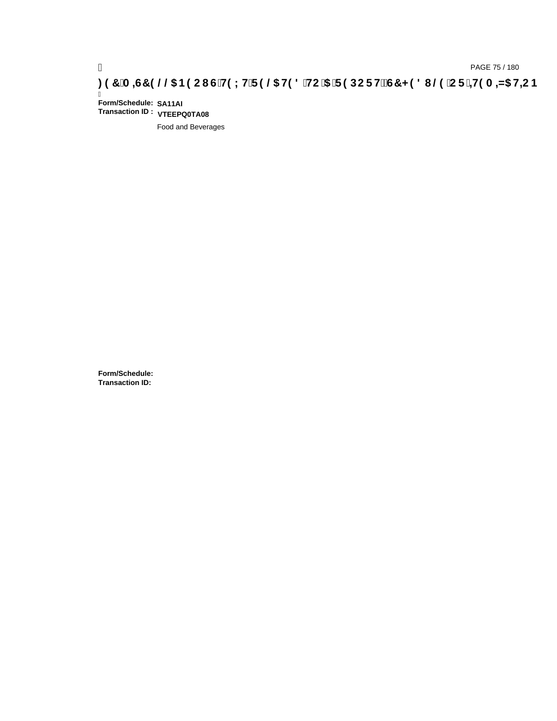# pAGE 75/180<br>(DAGE 75/180, <mark>A=G7 9 @@S B9 CIG`H9LH`F 9 @S H9 8 `HC`5 `F 9 DCFHžG7 < 9 8 I @9 `CF`<del>+</del>H9 A =N5 H=CB</mark>

Ī **Form/Schedule: SA11AI Transaction ID : VTEEPQ0TA08**

Food and Beverages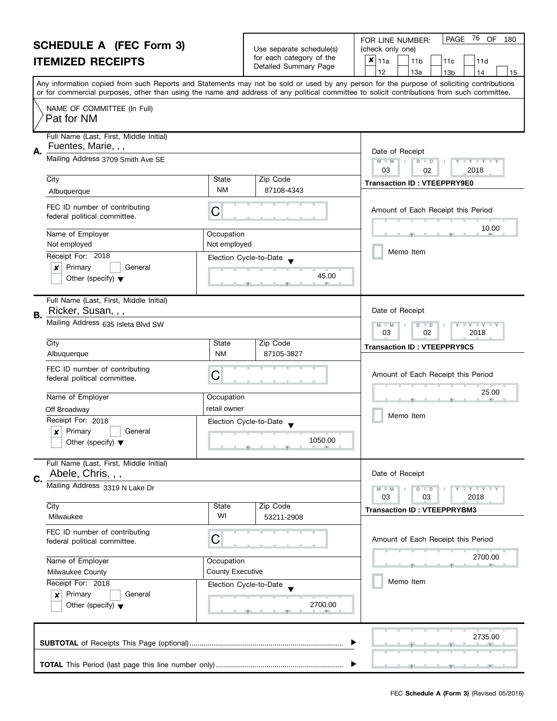|                                                                                                                                                                                                 | <b>SCHEDULE A (FEC Form 3)</b><br><b>ITEMIZED RECEIPTS</b>                           |                                                           | Use separate schedule(s)<br>for each category of the<br>Detailed Summary Page | 76<br>PAGE<br>OF<br>180<br>FOR LINE NUMBER:<br>(check only one)<br>×<br>11a<br>11 <sub>b</sub><br>11d<br>11c<br>12<br>13a<br>13 <sub>b</sub><br>14<br>15                                                                                                                                |
|-------------------------------------------------------------------------------------------------------------------------------------------------------------------------------------------------|--------------------------------------------------------------------------------------|-----------------------------------------------------------|-------------------------------------------------------------------------------|-----------------------------------------------------------------------------------------------------------------------------------------------------------------------------------------------------------------------------------------------------------------------------------------|
|                                                                                                                                                                                                 |                                                                                      |                                                           |                                                                               | Any information copied from such Reports and Statements may not be sold or used by any person for the purpose of soliciting contributions<br>or for commercial purposes, other than using the name and address of any political committee to solicit contributions from such committee. |
|                                                                                                                                                                                                 | NAME OF COMMITTEE (In Full)<br>Pat for NM                                            |                                                           |                                                                               |                                                                                                                                                                                                                                                                                         |
| А.                                                                                                                                                                                              | Full Name (Last, First, Middle Initial)<br>Fuentes, Marie, , ,                       |                                                           |                                                                               | Date of Receipt                                                                                                                                                                                                                                                                         |
|                                                                                                                                                                                                 | Mailing Address 3709 Smith Ave SE                                                    | $M - M$<br>$D$ $D$<br>$Y - Y - Y - Y$<br>03<br>2018<br>02 |                                                                               |                                                                                                                                                                                                                                                                                         |
|                                                                                                                                                                                                 | City<br>Albuquerque                                                                  | State<br><b>NM</b>                                        | Zip Code<br>87108-4343                                                        | <b>Transaction ID: VTEEPPRY9E0</b>                                                                                                                                                                                                                                                      |
|                                                                                                                                                                                                 | FEC ID number of contributing<br>federal political committee.                        | C                                                         |                                                                               | Amount of Each Receipt this Period                                                                                                                                                                                                                                                      |
|                                                                                                                                                                                                 | Name of Employer<br>Not employed                                                     | Occupation<br>Not employed                                |                                                                               | 10.00                                                                                                                                                                                                                                                                                   |
|                                                                                                                                                                                                 | Receipt For: 2018<br>Primary<br>General<br>x<br>Other (specify) $\blacktriangledown$ |                                                           | Election Cycle-to-Date<br>45.00                                               | Memo Item                                                                                                                                                                                                                                                                               |
| В.                                                                                                                                                                                              | Full Name (Last, First, Middle Initial)<br>Ricker, Susan, , ,                        |                                                           |                                                                               |                                                                                                                                                                                                                                                                                         |
|                                                                                                                                                                                                 | Mailing Address 635 Isleta Blvd SW                                                   | T Y T Y T Y<br>M<br>$D$ $D$<br>$-M$<br>03<br>02<br>2018   |                                                                               |                                                                                                                                                                                                                                                                                         |
|                                                                                                                                                                                                 | City<br>Albuquerque                                                                  | State<br><b>NM</b>                                        | Zip Code<br>87105-3827                                                        | <b>Transaction ID: VTEEPPRY9C5</b>                                                                                                                                                                                                                                                      |
|                                                                                                                                                                                                 | FEC ID number of contributing<br>federal political committee.                        | C                                                         |                                                                               | Amount of Each Receipt this Period                                                                                                                                                                                                                                                      |
|                                                                                                                                                                                                 | Name of Employer                                                                     | Occupation                                                |                                                                               | 25.00                                                                                                                                                                                                                                                                                   |
|                                                                                                                                                                                                 | Off Broadway<br>Receipt For: 2018                                                    | retail owner                                              |                                                                               | Memo Item                                                                                                                                                                                                                                                                               |
|                                                                                                                                                                                                 | Primary<br>General<br>X<br>Other (specify) $\blacktriangledown$                      | Election Cycle-to-Date                                    | 1050.00                                                                       |                                                                                                                                                                                                                                                                                         |
| C.                                                                                                                                                                                              | Full Name (Last, First, Middle Initial)<br>Abele, Chris, , ,                         |                                                           |                                                                               | Date of Receipt                                                                                                                                                                                                                                                                         |
|                                                                                                                                                                                                 | Mailing Address 3319 N Lake Dr                                                       |                                                           |                                                                               | Y FY FY FY<br>$D$ $D$<br>03<br>03<br>2018                                                                                                                                                                                                                                               |
|                                                                                                                                                                                                 | City<br>Milwaukee                                                                    | State<br>WI                                               | Zip Code<br>53211-2908                                                        | <b>Transaction ID: VTEEPPRYBM3</b>                                                                                                                                                                                                                                                      |
|                                                                                                                                                                                                 | FEC ID number of contributing<br>federal political committee.                        | С                                                         |                                                                               | Amount of Each Receipt this Period                                                                                                                                                                                                                                                      |
| Name of Employer<br>Occupation<br><b>County Executive</b><br>Milwaukee County<br>Receipt For: 2018<br>Election Cycle-to-Date<br>Primary<br>General<br>×<br>Other (specify) $\blacktriangledown$ |                                                                                      |                                                           |                                                                               | 2700.00<br>an.                                                                                                                                                                                                                                                                          |
|                                                                                                                                                                                                 |                                                                                      | 2700.00                                                   | Memo Item                                                                     |                                                                                                                                                                                                                                                                                         |
|                                                                                                                                                                                                 |                                                                                      |                                                           |                                                                               | 2735.00                                                                                                                                                                                                                                                                                 |
|                                                                                                                                                                                                 |                                                                                      |                                                           |                                                                               |                                                                                                                                                                                                                                                                                         |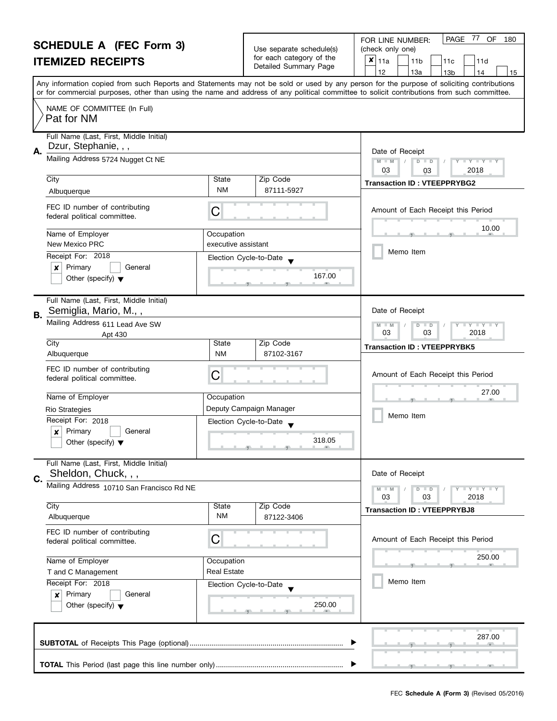| <b>SCHEDULE A (FEC Form 3)</b> |                                                                  |                                                      | PAGE 77 OF<br>180<br>FOR LINE NUMBER:                                      |                                                                                                                                            |
|--------------------------------|------------------------------------------------------------------|------------------------------------------------------|----------------------------------------------------------------------------|--------------------------------------------------------------------------------------------------------------------------------------------|
| <b>ITEMIZED RECEIPTS</b>       |                                                                  | Use separate schedule(s)<br>for each category of the | (check only one)<br>$\pmb{\times}$<br>11a<br>11 <sub>b</sub><br>11c<br>11d |                                                                                                                                            |
|                                |                                                                  |                                                      | Detailed Summary Page                                                      | 12<br>13a<br>13 <sub>b</sub><br>14<br>15                                                                                                   |
|                                |                                                                  |                                                      |                                                                            | Any information copied from such Reports and Statements may not be sold or used by any person for the purpose of soliciting contributions  |
|                                |                                                                  |                                                      |                                                                            | or for commercial purposes, other than using the name and address of any political committee to solicit contributions from such committee. |
|                                | NAME OF COMMITTEE (In Full)<br>Pat for NM                        |                                                      |                                                                            |                                                                                                                                            |
|                                | Full Name (Last, First, Middle Initial)                          |                                                      |                                                                            |                                                                                                                                            |
| А.                             | Dzur, Stephanie, , ,                                             |                                                      |                                                                            | Date of Receipt                                                                                                                            |
|                                | Mailing Address 5724 Nugget Ct NE                                |                                                      |                                                                            | $M - M$<br>$\mathbf{I}$ $\mathbf{Y}$ $\mathbf{I}$ $\mathbf{Y}$ $\mathbf{I}$<br>$D$ $D$<br>03                                               |
|                                | City                                                             | State                                                | Zip Code                                                                   | 2018<br>03                                                                                                                                 |
|                                | Albuquerque                                                      | <b>NM</b>                                            | 87111-5927                                                                 | <b>Transaction ID: VTEEPPRYBG2</b>                                                                                                         |
|                                | FEC ID number of contributing<br>federal political committee.    | С                                                    |                                                                            | Amount of Each Receipt this Period                                                                                                         |
|                                | Name of Employer                                                 | Occupation                                           |                                                                            | 10.00                                                                                                                                      |
|                                | New Mexico PRC                                                   | executive assistant                                  |                                                                            |                                                                                                                                            |
|                                | Receipt For: 2018                                                | Election Cycle-to-Date                               |                                                                            | Memo Item                                                                                                                                  |
|                                | Primary<br>General<br>×                                          |                                                      | 167.00                                                                     |                                                                                                                                            |
|                                | Other (specify) $\blacktriangledown$                             |                                                      |                                                                            |                                                                                                                                            |
| В.                             | Full Name (Last, First, Middle Initial)<br>Semiglia, Mario, M.,, |                                                      |                                                                            | Date of Receipt                                                                                                                            |
|                                | Mailing Address 611 Lead Ave SW                                  |                                                      |                                                                            | $Y$ $Y$<br>$\overline{D}$<br>$-M$<br>$\blacksquare$                                                                                        |
|                                | Apt 430                                                          |                                                      |                                                                            | 03<br>03<br>2018                                                                                                                           |
|                                | City<br>Albuquerque                                              | State<br><b>NM</b>                                   | Zip Code<br>87102-3167                                                     | <b>Transaction ID: VTEEPPRYBK5</b>                                                                                                         |
|                                |                                                                  |                                                      |                                                                            |                                                                                                                                            |
|                                | FEC ID number of contributing<br>federal political committee.    | С                                                    |                                                                            | Amount of Each Receipt this Period                                                                                                         |
|                                |                                                                  |                                                      |                                                                            | 27.00                                                                                                                                      |
|                                | Name of Employer                                                 | Occupation                                           |                                                                            |                                                                                                                                            |
|                                | <b>Rio Strategies</b><br>Receipt For: 2018                       |                                                      | Deputy Campaign Manager                                                    | Memo Item                                                                                                                                  |
|                                | Primary<br>$\boldsymbol{x}$<br>General                           | Election Cycle-to-Date                               |                                                                            |                                                                                                                                            |
|                                | Other (specify) $\blacktriangledown$                             |                                                      | 318.05<br><u>g - Land - g - Land - g - g</u>                               |                                                                                                                                            |
|                                | Full Name (Last, First, Middle Initial)                          |                                                      |                                                                            |                                                                                                                                            |
| C.                             | Sheldon, Chuck, , ,                                              |                                                      |                                                                            | Date of Receipt                                                                                                                            |
|                                | Mailing Address 10710 San Francisco Rd NE                        |                                                      |                                                                            | Y I Y I Y I Y<br>$D$ $D$<br>2018<br>03<br>03                                                                                               |
|                                | City                                                             | State                                                | Zip Code                                                                   | <b>Transaction ID: VTEEPPRYBJ8</b>                                                                                                         |
|                                | Albuquerque                                                      | ΝM                                                   | 87122-3406                                                                 |                                                                                                                                            |
|                                | FEC ID number of contributing<br>federal political committee.    | С                                                    |                                                                            | Amount of Each Receipt this Period                                                                                                         |
|                                | Name of Employer<br>Occupation                                   |                                                      |                                                                            | 250.00                                                                                                                                     |
|                                | T and C Management                                               | <b>Real Estate</b>                                   |                                                                            |                                                                                                                                            |
|                                | Receipt For: 2018                                                | Election Cycle-to-Date                               |                                                                            | Memo Item                                                                                                                                  |
|                                | Primary<br>General<br>×                                          |                                                      | 250.00                                                                     |                                                                                                                                            |
|                                | Other (specify) $\blacktriangledown$                             |                                                      |                                                                            |                                                                                                                                            |
|                                |                                                                  |                                                      |                                                                            | 287.00                                                                                                                                     |
|                                |                                                                  |                                                      |                                                                            |                                                                                                                                            |
|                                |                                                                  |                                                      |                                                                            |                                                                                                                                            |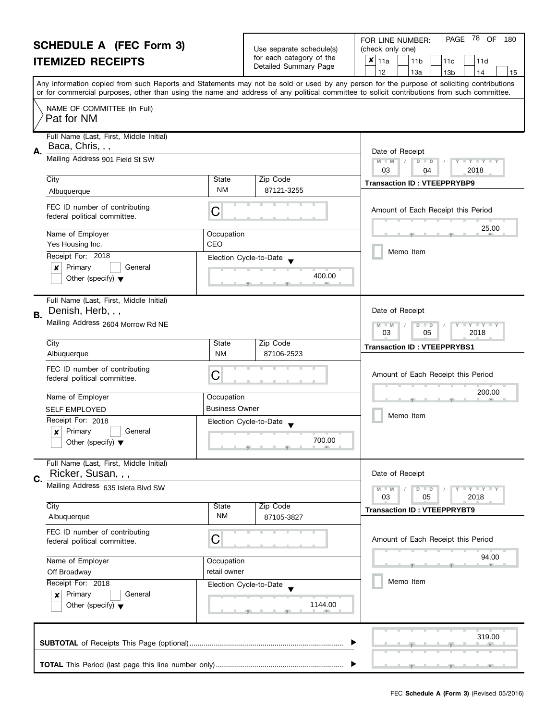|                                                                                                                                                                       | <b>SCHEDULE A (FEC Form 3)</b><br><b>ITEMIZED RECEIPTS</b>                           |                                   | Use separate schedule(s)<br>for each category of the<br>Detailed Summary Page | 78<br>OF<br><b>PAGE</b><br>180<br>FOR LINE NUMBER:<br>(check only one)<br>$\boldsymbol{x}$<br>11a<br>11 <sub>b</sub><br>11d<br>11c<br>12<br>13a<br>13 <sub>b</sub><br>14<br>15                                                                                                          |
|-----------------------------------------------------------------------------------------------------------------------------------------------------------------------|--------------------------------------------------------------------------------------|-----------------------------------|-------------------------------------------------------------------------------|-----------------------------------------------------------------------------------------------------------------------------------------------------------------------------------------------------------------------------------------------------------------------------------------|
|                                                                                                                                                                       |                                                                                      |                                   |                                                                               | Any information copied from such Reports and Statements may not be sold or used by any person for the purpose of soliciting contributions<br>or for commercial purposes, other than using the name and address of any political committee to solicit contributions from such committee. |
|                                                                                                                                                                       | NAME OF COMMITTEE (In Full)<br>Pat for NM                                            |                                   |                                                                               |                                                                                                                                                                                                                                                                                         |
| Α.                                                                                                                                                                    | Full Name (Last, First, Middle Initial)<br>Baca, Chris, , ,                          |                                   |                                                                               | Date of Receipt                                                                                                                                                                                                                                                                         |
|                                                                                                                                                                       | Mailing Address 901 Field St SW                                                      |                                   |                                                                               | $M - M$<br>$\overline{D}$<br>Y FY FY FY<br>$\Box$<br>03<br>2018<br>04                                                                                                                                                                                                                   |
|                                                                                                                                                                       | City<br>Albuquerque                                                                  | State<br>NM                       | Zip Code<br>87121-3255                                                        | <b>Transaction ID: VTEEPPRYBP9</b>                                                                                                                                                                                                                                                      |
|                                                                                                                                                                       | FEC ID number of contributing<br>federal political committee.                        | C                                 |                                                                               | Amount of Each Receipt this Period                                                                                                                                                                                                                                                      |
|                                                                                                                                                                       | Name of Employer<br>Yes Housing Inc.                                                 | Occupation<br>CEO                 |                                                                               | 25.00                                                                                                                                                                                                                                                                                   |
|                                                                                                                                                                       | Receipt For: 2018<br>Primary<br>x<br>General<br>Other (specify) $\blacktriangledown$ |                                   | Election Cycle-to-Date<br>400.00                                              | Memo Item                                                                                                                                                                                                                                                                               |
|                                                                                                                                                                       | Full Name (Last, First, Middle Initial)<br>Denish, Herb, , ,                         |                                   |                                                                               | Date of Receipt                                                                                                                                                                                                                                                                         |
| В.                                                                                                                                                                    | Mailing Address 2604 Morrow Rd NE                                                    |                                   |                                                                               | T Y T Y T Y<br>$M - M$<br>$D$ $D$<br>03<br>05<br>2018                                                                                                                                                                                                                                   |
|                                                                                                                                                                       | City<br>Albuquerque                                                                  | State<br><b>NM</b>                | Zip Code<br>87106-2523                                                        | <b>Transaction ID: VTEEPPRYBS1</b>                                                                                                                                                                                                                                                      |
|                                                                                                                                                                       | FEC ID number of contributing<br>federal political committee.                        | C                                 |                                                                               | Amount of Each Receipt this Period                                                                                                                                                                                                                                                      |
|                                                                                                                                                                       | Name of Employer                                                                     | Occupation                        |                                                                               | 200.00                                                                                                                                                                                                                                                                                  |
|                                                                                                                                                                       | <b>SELF EMPLOYED</b><br>Receipt For: 2018                                            | <b>Business Owner</b>             | Election Cycle-to-Date                                                        | Memo Item                                                                                                                                                                                                                                                                               |
|                                                                                                                                                                       | Primary<br>General<br>Other (specify) $\blacktriangledown$                           |                                   | 700.00                                                                        |                                                                                                                                                                                                                                                                                         |
| C.                                                                                                                                                                    | Full Name (Last, First, Middle Initial)<br>Ricker, Susan, , ,                        |                                   |                                                                               | Date of Receipt                                                                                                                                                                                                                                                                         |
|                                                                                                                                                                       | Mailing Address 635 Isleta Blvd SW                                                   |                                   |                                                                               | Y FY FY FY<br>$M - M$<br>$D$ $D$<br>03<br>05<br>2018                                                                                                                                                                                                                                    |
|                                                                                                                                                                       | City<br>Albuquerque                                                                  | State<br>NM                       | Zip Code<br>87105-3827                                                        | <b>Transaction ID: VTEEPPRYBT9</b>                                                                                                                                                                                                                                                      |
|                                                                                                                                                                       | FEC ID number of contributing<br>federal political committee.                        | С                                 |                                                                               | Amount of Each Receipt this Period                                                                                                                                                                                                                                                      |
| Name of Employer<br>Occupation<br>retail owner<br>Off Broadway<br>Receipt For: 2018<br>Primary<br>General<br>$\boldsymbol{x}$<br>Other (specify) $\blacktriangledown$ |                                                                                      |                                   | 94.00                                                                         |                                                                                                                                                                                                                                                                                         |
|                                                                                                                                                                       |                                                                                      | Election Cycle-to-Date<br>1144.00 | Memo Item                                                                     |                                                                                                                                                                                                                                                                                         |
|                                                                                                                                                                       |                                                                                      |                                   |                                                                               | 319.00                                                                                                                                                                                                                                                                                  |
|                                                                                                                                                                       |                                                                                      |                                   |                                                                               |                                                                                                                                                                                                                                                                                         |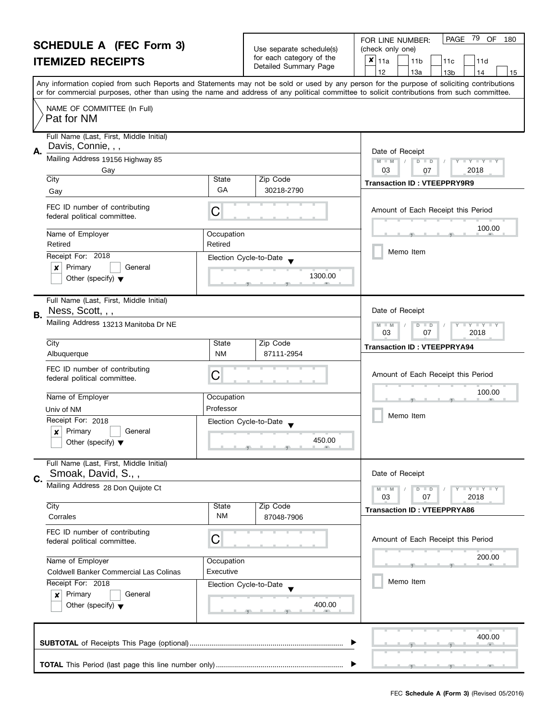#### **SCHEDULE A (FEC Form 3) ITEMIZED RECEIPTS** Any information copied from such Reports and Statements may not be sold or used by any person for the purpose of soliciting contributions or for commercial purposes, other than using the name and address of any political committee to solicit contributions from such committee. NAME OF COMMITTEE (In Full) Full Name (Last, First, Middle Initial) Mailing Address 19156 Highway 85 City State Zip Code Receipt For: 2018 | x | Primary | | General **A.** Election Cycle-to-Date Date of Receipt Name of Employer and a compared of Comparison FEC ID number of contributing FEC ID number of contributing<br>federal political committee. FOR LINE NUMBER:  $|$  PAGE Use separate schedule(s) | (check only one) for each category of the The Detailed Summary Page  $\begin{array}{|c|c|c|c|c|c|c|c|}\n\hline\n & 11a & 11b & 11c & 11d \\
\hline\n & 12 & 13a & 13b & 14\n\end{array}$ |12 | |13a | |13b | |14 | |15 **M M / D** Amount of Each Receipt this Period  $\frac{100.00}{9}$ Memo Item 79 OF 180  $\bar{x}|_{11a}$ Pat for NM Davis, Connie, , , Gay 03 07 2018 Gay Gay Gallery Code 219 State 219 State 219 State 219 State 219 State 20218-2790 State 30218-2790 State 30218-2790 Retired Retired

, , .

| Full Name (Last, First, Middle Initial) |
|-----------------------------------------|
| Ness, Scott, , ,                        |
|                                         |

Other (specify)  $\blacktriangledown$ 

| B. | Ness, Scott, , ,                                                                     | Date of Receipt                                                                         |            |                                                                        |  |
|----|--------------------------------------------------------------------------------------|-----------------------------------------------------------------------------------------|------------|------------------------------------------------------------------------|--|
|    | Mailing Address 13213 Manitoba Dr NE                                                 | $\mathbf{I} \mathbf{Y} \mathbf{I} \mathbf{Y} \mathbf{I} \mathbf{Y}$<br>03<br>2018<br>07 |            |                                                                        |  |
|    | City                                                                                 | State                                                                                   | Zip Code   | <b>Transaction ID: VTEEPPRYA94</b>                                     |  |
|    | Albuquerque                                                                          | <b>NM</b>                                                                               | 87111-2954 |                                                                        |  |
|    | FEC ID number of contributing<br>C<br>federal political committee.                   |                                                                                         |            | Amount of Each Receipt this Period                                     |  |
|    | Name of Employer                                                                     | Occupation                                                                              |            | 100.00                                                                 |  |
|    | Univ of NM                                                                           | Professor                                                                               |            |                                                                        |  |
|    | Receipt For: 2018<br>Primary<br>General<br>x<br>Other (specify) $\blacktriangledown$ | Election Cycle-to-Date                                                                  | 450.00     | Memo Item                                                              |  |
| C. | Full Name (Last, First, Middle Initial)<br>Smoak, David, S.,,                        |                                                                                         |            | Date of Receipt                                                        |  |
|    | Mailing Address 28 Don Quijote Ct                                                    |                                                                                         |            | $Y - Y - Y$<br>$M - M$<br>$\overline{D}$<br>$\Box$<br>2018<br>03<br>07 |  |
|    | City                                                                                 | <b>State</b>                                                                            | Zip Code   | <b>Transaction ID: VTEEPPRYA86</b>                                     |  |
|    | Corrales                                                                             | <b>NM</b>                                                                               | 87048-7906 |                                                                        |  |

1300.00

| FEC ID number of contributing<br>federal political committee.              | С                      | Amount of Each Receipt this Period |  |  |  |  |  |
|----------------------------------------------------------------------------|------------------------|------------------------------------|--|--|--|--|--|
| Name of Employer                                                           | Occupation             | 200.00                             |  |  |  |  |  |
| Coldwell Banker Commercial Las Colinas                                     | Executive              |                                    |  |  |  |  |  |
| Receipt For: 2018                                                          | Election Cycle-to-Date | Memo Item                          |  |  |  |  |  |
| Primary<br>General<br>$\mathbf{x}$<br>Other (specify) $\blacktriangledown$ | 400.00                 |                                    |  |  |  |  |  |
|                                                                            |                        | 400.00                             |  |  |  |  |  |
|                                                                            |                        |                                    |  |  |  |  |  |
|                                                                            | ▶                      |                                    |  |  |  |  |  |
|                                                                            |                        |                                    |  |  |  |  |  |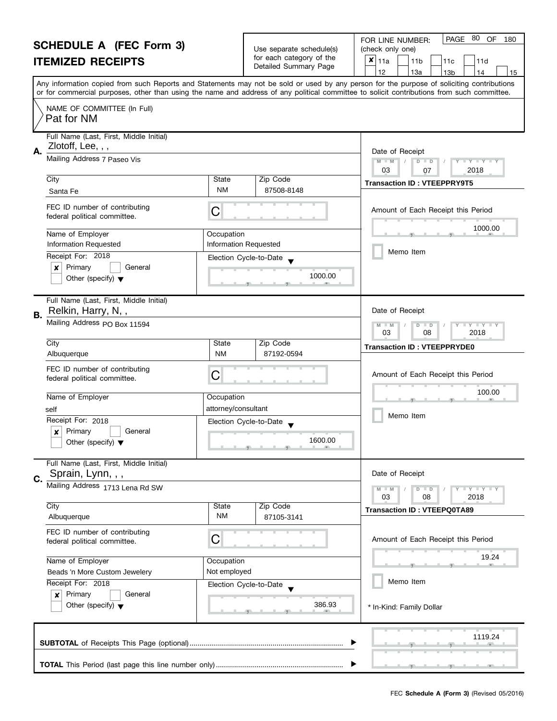|                                                                                                                                                                                        | <b>SCHEDULE A (FEC Form 3)</b><br><b>ITEMIZED RECEIPTS</b>                           |                                                                                       | Use separate schedule(s)<br>for each category of the<br>Detailed Summary Page | 80<br>PAGE<br>OF<br>FOR LINE NUMBER:<br>180<br>(check only one)<br>×<br> 11a<br>11 <sub>b</sub><br>11d<br>11c<br>12<br>13a<br>13 <sub>b</sub><br>14<br>15                                                                                                                               |
|----------------------------------------------------------------------------------------------------------------------------------------------------------------------------------------|--------------------------------------------------------------------------------------|---------------------------------------------------------------------------------------|-------------------------------------------------------------------------------|-----------------------------------------------------------------------------------------------------------------------------------------------------------------------------------------------------------------------------------------------------------------------------------------|
|                                                                                                                                                                                        |                                                                                      |                                                                                       |                                                                               | Any information copied from such Reports and Statements may not be sold or used by any person for the purpose of soliciting contributions<br>or for commercial purposes, other than using the name and address of any political committee to solicit contributions from such committee. |
|                                                                                                                                                                                        | NAME OF COMMITTEE (In Full)<br>Pat for NM                                            |                                                                                       |                                                                               |                                                                                                                                                                                                                                                                                         |
| Α.                                                                                                                                                                                     | Full Name (Last, First, Middle Initial)<br>Zlotoff, Lee, , ,                         |                                                                                       |                                                                               | Date of Receipt                                                                                                                                                                                                                                                                         |
|                                                                                                                                                                                        | Mailing Address 7 Paseo Vis                                                          |                                                                                       |                                                                               | $M - M$<br>$\overline{D}$<br>Y Y Y Y Y<br>$\Box$<br>03<br>2018<br>07                                                                                                                                                                                                                    |
|                                                                                                                                                                                        | City<br>Santa Fe                                                                     | State<br><b>NM</b>                                                                    | Zip Code<br>87508-8148                                                        | <b>Transaction ID: VTEEPPRY9T5</b>                                                                                                                                                                                                                                                      |
|                                                                                                                                                                                        | FEC ID number of contributing<br>federal political committee.                        | C                                                                                     |                                                                               | Amount of Each Receipt this Period                                                                                                                                                                                                                                                      |
|                                                                                                                                                                                        | Name of Employer<br><b>Information Requested</b>                                     | Occupation<br><b>Information Requested</b>                                            |                                                                               | 1000.00                                                                                                                                                                                                                                                                                 |
|                                                                                                                                                                                        | Receipt For: 2018<br>Primary<br>×<br>General<br>Other (specify) $\blacktriangledown$ |                                                                                       | Election Cycle-to-Date<br>1000.00                                             | Memo Item                                                                                                                                                                                                                                                                               |
| В.                                                                                                                                                                                     | Full Name (Last, First, Middle Initial)<br>Relkin, Harry, N,,                        |                                                                                       |                                                                               | Date of Receipt                                                                                                                                                                                                                                                                         |
|                                                                                                                                                                                        | Mailing Address PO Box 11594                                                         | $\bot$ Y $\bot$ Y $\bot$ Y<br>$M - M$<br>$\overline{D}$<br>$\Box$<br>03<br>08<br>2018 |                                                                               |                                                                                                                                                                                                                                                                                         |
|                                                                                                                                                                                        | City<br>Albuquerque                                                                  | State<br><b>NM</b>                                                                    | Zip Code<br>87192-0594                                                        | <b>Transaction ID: VTEEPPRYDE0</b>                                                                                                                                                                                                                                                      |
|                                                                                                                                                                                        | FEC ID number of contributing<br>federal political committee.                        | C                                                                                     |                                                                               | Amount of Each Receipt this Period                                                                                                                                                                                                                                                      |
|                                                                                                                                                                                        | Name of Employer                                                                     | Occupation                                                                            |                                                                               | 100.00                                                                                                                                                                                                                                                                                  |
|                                                                                                                                                                                        | self<br>Receipt For: 2018<br>Primary<br>General                                      | attorney/consultant                                                                   | Election Cycle-to-Date                                                        | Memo Item                                                                                                                                                                                                                                                                               |
|                                                                                                                                                                                        | Other (specify) $\blacktriangledown$                                                 |                                                                                       | 1600.00<br>بالمستلمسة والمستقصل والمستلم                                      |                                                                                                                                                                                                                                                                                         |
| C.                                                                                                                                                                                     | Full Name (Last, First, Middle Initial)<br>Sprain, Lynn, , ,                         |                                                                                       |                                                                               | Date of Receipt                                                                                                                                                                                                                                                                         |
|                                                                                                                                                                                        | Mailing Address 1713 Lena Rd SW                                                      |                                                                                       |                                                                               | Y I Y I Y I Y<br>$M - M$<br>$D$ $D$<br>03<br>08<br>2018                                                                                                                                                                                                                                 |
|                                                                                                                                                                                        | City<br>Albuquerque                                                                  | State<br>NM                                                                           | Zip Code<br>87105-3141                                                        | <b>Transaction ID: VTEEPQ0TA89</b>                                                                                                                                                                                                                                                      |
|                                                                                                                                                                                        | FEC ID number of contributing<br>federal political committee.                        | С                                                                                     |                                                                               | Amount of Each Receipt this Period                                                                                                                                                                                                                                                      |
| Name of Employer<br>Occupation<br>Not employed<br>Beads 'n More Custom Jewelery<br>Receipt For: 2018<br>Primary<br>General<br>$\boldsymbol{x}$<br>Other (specify) $\blacktriangledown$ |                                                                                      |                                                                                       | 19.24                                                                         |                                                                                                                                                                                                                                                                                         |
|                                                                                                                                                                                        |                                                                                      | Election Cycle-to-Date<br>386.93                                                      | Memo Item<br>* In-Kind: Family Dollar                                         |                                                                                                                                                                                                                                                                                         |
|                                                                                                                                                                                        |                                                                                      |                                                                                       |                                                                               | 1119.24                                                                                                                                                                                                                                                                                 |
|                                                                                                                                                                                        |                                                                                      |                                                                                       |                                                                               |                                                                                                                                                                                                                                                                                         |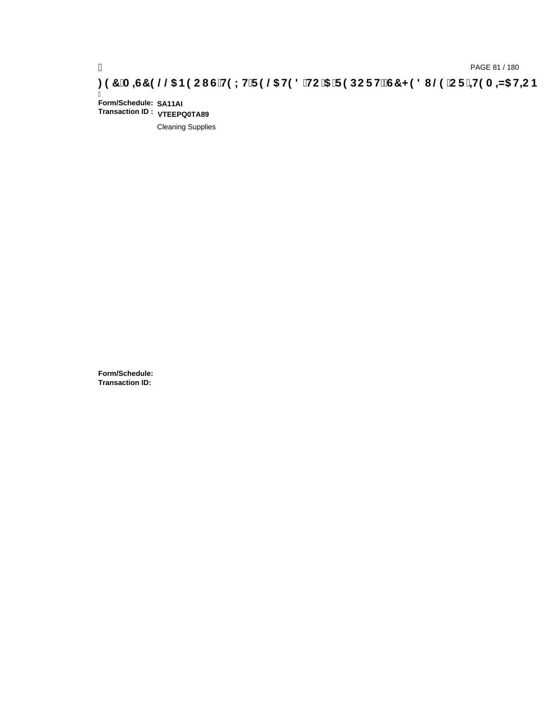Ī **Form/Schedule: SA11AI Transaction ID : VTEEPQ0TA89**

Cleaning Supplies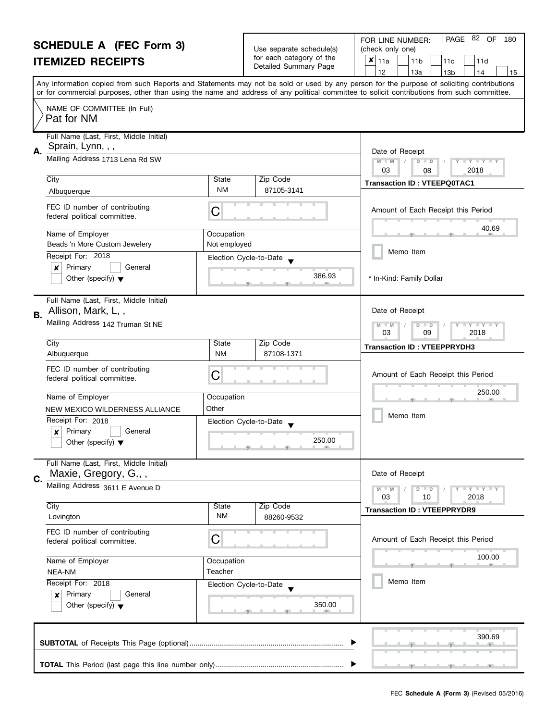| <b>SCHEDULE A (FEC Form 3)</b><br><b>ITEMIZED RECEIPTS</b> |                                                                                                 | Use separate schedule(s)<br>for each category of the<br>Detailed Summary Page | PAGE 82<br>OF<br>FOR LINE NUMBER:<br>180<br>(check only one)<br>$x _{11a}$<br>11 <sub>b</sub><br>11d<br>11c<br>12<br>13a<br>14<br>13 <sub>b</sub><br>15 |                                                                                                                                                                                                                                                                                         |
|------------------------------------------------------------|-------------------------------------------------------------------------------------------------|-------------------------------------------------------------------------------|---------------------------------------------------------------------------------------------------------------------------------------------------------|-----------------------------------------------------------------------------------------------------------------------------------------------------------------------------------------------------------------------------------------------------------------------------------------|
|                                                            |                                                                                                 |                                                                               |                                                                                                                                                         | Any information copied from such Reports and Statements may not be sold or used by any person for the purpose of soliciting contributions<br>or for commercial purposes, other than using the name and address of any political committee to solicit contributions from such committee. |
|                                                            | NAME OF COMMITTEE (In Full)<br>Pat for NM                                                       |                                                                               |                                                                                                                                                         |                                                                                                                                                                                                                                                                                         |
| А.                                                         | Full Name (Last, First, Middle Initial)<br>Sprain, Lynn, , ,<br>Mailing Address 1713 Lena Rd SW |                                                                               |                                                                                                                                                         | Date of Receipt<br>Y TY TY TY<br>$M - M$<br>$D$ $D$<br>2018<br>03<br>08                                                                                                                                                                                                                 |
|                                                            | City                                                                                            | State                                                                         | Zip Code                                                                                                                                                | <b>Transaction ID: VTEEPQ0TAC1</b>                                                                                                                                                                                                                                                      |
|                                                            | Albuquerque                                                                                     | <b>NM</b>                                                                     | 87105-3141                                                                                                                                              |                                                                                                                                                                                                                                                                                         |
|                                                            | FEC ID number of contributing<br>federal political committee.                                   | C                                                                             |                                                                                                                                                         | Amount of Each Receipt this Period                                                                                                                                                                                                                                                      |
|                                                            | Name of Employer                                                                                | Occupation                                                                    |                                                                                                                                                         | 40.69                                                                                                                                                                                                                                                                                   |
|                                                            | Beads 'n More Custom Jewelery                                                                   | Not employed                                                                  |                                                                                                                                                         | Memo Item                                                                                                                                                                                                                                                                               |
|                                                            | Receipt For: 2018                                                                               |                                                                               | Election Cycle-to-Date                                                                                                                                  |                                                                                                                                                                                                                                                                                         |
|                                                            | Primary<br>×<br>General<br>Other (specify) $\blacktriangledown$                                 |                                                                               | 386.93                                                                                                                                                  | * In-Kind: Family Dollar                                                                                                                                                                                                                                                                |
| В.                                                         | Full Name (Last, First, Middle Initial)<br>Allison, Mark, L,,                                   |                                                                               |                                                                                                                                                         | Date of Receipt                                                                                                                                                                                                                                                                         |
|                                                            | Mailing Address 142 Truman St NE                                                                | $T - Y = T - Y$<br>$M - M$<br>$D$ $D$<br>03<br>09<br>2018                     |                                                                                                                                                         |                                                                                                                                                                                                                                                                                         |
|                                                            | City                                                                                            | State                                                                         | Zip Code                                                                                                                                                | <b>Transaction ID: VTEEPPRYDH3</b>                                                                                                                                                                                                                                                      |
|                                                            | Albuquerque                                                                                     | <b>NM</b>                                                                     | 87108-1371                                                                                                                                              |                                                                                                                                                                                                                                                                                         |
|                                                            | FEC ID number of contributing<br>federal political committee.                                   | С                                                                             |                                                                                                                                                         | Amount of Each Receipt this Period                                                                                                                                                                                                                                                      |
|                                                            | Name of Employer                                                                                | Occupation                                                                    |                                                                                                                                                         | 250.00                                                                                                                                                                                                                                                                                  |
|                                                            | NEW MEXICO WILDERNESS ALLIANCE                                                                  | Other                                                                         |                                                                                                                                                         | Memo Item                                                                                                                                                                                                                                                                               |
|                                                            | Receipt For: 2018                                                                               |                                                                               | Election Cycle-to-Date                                                                                                                                  |                                                                                                                                                                                                                                                                                         |
|                                                            | Primary<br>General<br>×<br>Other (specify) $\blacktriangledown$                                 |                                                                               | 250.00                                                                                                                                                  |                                                                                                                                                                                                                                                                                         |
| C.                                                         | Full Name (Last, First, Middle Initial)<br>Maxie, Gregory, G.,,                                 |                                                                               |                                                                                                                                                         | Date of Receipt                                                                                                                                                                                                                                                                         |
|                                                            | Mailing Address 3611 E Avenue D                                                                 |                                                                               |                                                                                                                                                         | Y T Y T Y T Y<br>$M - M$<br>$D$ $D$<br>03<br>10<br>2018                                                                                                                                                                                                                                 |
|                                                            | City                                                                                            | State                                                                         | Zip Code                                                                                                                                                | <b>Transaction ID: VTEEPPRYDR9</b>                                                                                                                                                                                                                                                      |
|                                                            | Lovington                                                                                       | <b>NM</b>                                                                     | 88260-9532                                                                                                                                              |                                                                                                                                                                                                                                                                                         |
|                                                            | FEC ID number of contributing<br>federal political committee.                                   | C                                                                             |                                                                                                                                                         | Amount of Each Receipt this Period                                                                                                                                                                                                                                                      |
|                                                            | Name of Employer<br>Occupation                                                                  |                                                                               |                                                                                                                                                         | 100.00<br>$-9$                                                                                                                                                                                                                                                                          |
|                                                            | NEA-NM                                                                                          | Teacher                                                                       |                                                                                                                                                         |                                                                                                                                                                                                                                                                                         |
|                                                            | Receipt For: 2018                                                                               |                                                                               | Election Cycle-to-Date                                                                                                                                  | Memo Item                                                                                                                                                                                                                                                                               |
|                                                            | Primary<br>General<br>$\boldsymbol{x}$<br>Other (specify) $\blacktriangledown$                  |                                                                               | 350.00                                                                                                                                                  |                                                                                                                                                                                                                                                                                         |
|                                                            |                                                                                                 | 390.69                                                                        |                                                                                                                                                         |                                                                                                                                                                                                                                                                                         |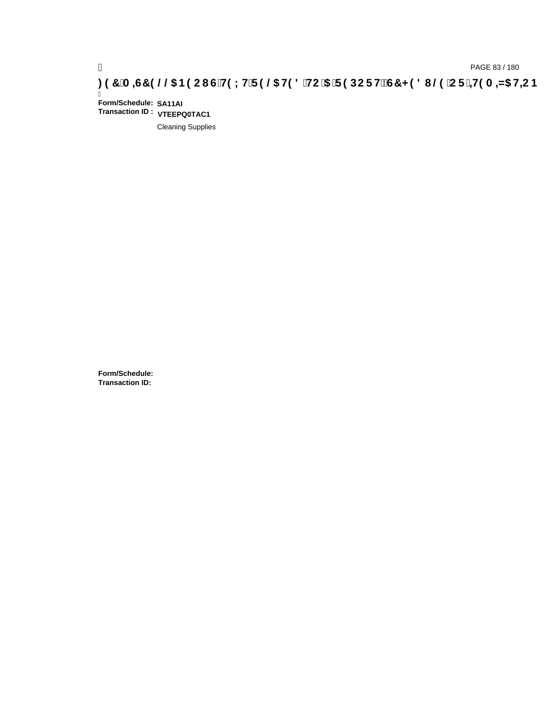# ) PAGE 83 / 180<br>**DAGE 83 / 180 PAGE 83 / 180 STAC I G`H9LH`F9 @5 H98** `HC`5 `F9DCFHžG7 < 98 I @9 `CF`<del>J</del>I9A =N5 H=CB .

Ī **Form/Schedule: SA11AI Transaction ID : VTEEPQ0TAC1**

Cleaning Supplies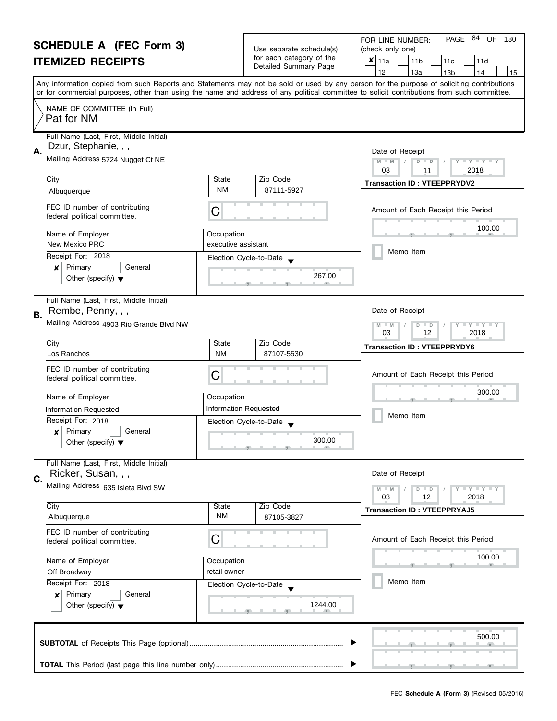|                                                                                                                                                                                  | <b>SCHEDULE A (FEC Form 3)</b><br><b>ITEMIZED RECEIPTS</b>                           |                                   | Use separate schedule(s)<br>for each category of the<br>Detailed Summary Page | PAGE 84<br>OF<br>FOR LINE NUMBER:<br>180<br>(check only one)<br>×<br>11a<br>11 <sub>b</sub><br>11c<br>11d<br>12<br>13a<br>13 <sub>b</sub><br>14<br>15                                                                                                                                   |
|----------------------------------------------------------------------------------------------------------------------------------------------------------------------------------|--------------------------------------------------------------------------------------|-----------------------------------|-------------------------------------------------------------------------------|-----------------------------------------------------------------------------------------------------------------------------------------------------------------------------------------------------------------------------------------------------------------------------------------|
|                                                                                                                                                                                  |                                                                                      |                                   |                                                                               | Any information copied from such Reports and Statements may not be sold or used by any person for the purpose of soliciting contributions<br>or for commercial purposes, other than using the name and address of any political committee to solicit contributions from such committee. |
|                                                                                                                                                                                  | NAME OF COMMITTEE (In Full)<br>Pat for NM                                            |                                   |                                                                               |                                                                                                                                                                                                                                                                                         |
| Α.                                                                                                                                                                               | Full Name (Last, First, Middle Initial)<br>Dzur, Stephanie, , ,                      |                                   |                                                                               | Date of Receipt                                                                                                                                                                                                                                                                         |
|                                                                                                                                                                                  | Mailing Address 5724 Nugget Ct NE                                                    |                                   |                                                                               | $Y - Y - Y - Y$<br>$M - M$<br>$D$ $D$<br>03<br>2018<br>11                                                                                                                                                                                                                               |
|                                                                                                                                                                                  | City<br>Albuquerque                                                                  | State<br><b>NM</b>                | Zip Code<br>87111-5927                                                        | <b>Transaction ID: VTEEPPRYDV2</b>                                                                                                                                                                                                                                                      |
|                                                                                                                                                                                  | FEC ID number of contributing<br>federal political committee.                        | C                                 |                                                                               | Amount of Each Receipt this Period                                                                                                                                                                                                                                                      |
|                                                                                                                                                                                  | Name of Employer<br>New Mexico PRC                                                   | Occupation<br>executive assistant |                                                                               | 100.00                                                                                                                                                                                                                                                                                  |
|                                                                                                                                                                                  | Receipt For: 2018                                                                    | Election Cycle-to-Date            |                                                                               | Memo Item                                                                                                                                                                                                                                                                               |
|                                                                                                                                                                                  | Primary<br>General<br>x<br>Other (specify) $\blacktriangledown$                      |                                   | 267.00                                                                        |                                                                                                                                                                                                                                                                                         |
| В.                                                                                                                                                                               | Full Name (Last, First, Middle Initial)<br>Rembe, Penny, , ,                         |                                   |                                                                               | Date of Receipt                                                                                                                                                                                                                                                                         |
|                                                                                                                                                                                  | Mailing Address 4903 Rio Grande Blvd NW                                              |                                   |                                                                               | T Y T Y T Y<br>M<br>$\overline{D}$<br>$-M$<br>$\Box$<br>03<br>12<br>2018                                                                                                                                                                                                                |
|                                                                                                                                                                                  | City<br>Los Ranchos                                                                  | State<br><b>NM</b>                | Zip Code<br>87107-5530                                                        | <b>Transaction ID: VTEEPPRYDY6</b>                                                                                                                                                                                                                                                      |
|                                                                                                                                                                                  | FEC ID number of contributing<br>federal political committee.                        | C                                 |                                                                               | Amount of Each Receipt this Period                                                                                                                                                                                                                                                      |
|                                                                                                                                                                                  | Name of Employer                                                                     | Occupation                        |                                                                               | 300.00                                                                                                                                                                                                                                                                                  |
|                                                                                                                                                                                  | Information Requested                                                                | <b>Information Requested</b>      |                                                                               | Memo Item                                                                                                                                                                                                                                                                               |
|                                                                                                                                                                                  | Receipt For: 2018<br>Primary<br>General<br>X<br>Other (specify) $\blacktriangledown$ | Election Cycle-to-Date            | 300.00                                                                        |                                                                                                                                                                                                                                                                                         |
| C.                                                                                                                                                                               | Full Name (Last, First, Middle Initial)<br>Ricker, Susan, , ,                        |                                   |                                                                               | Date of Receipt                                                                                                                                                                                                                                                                         |
|                                                                                                                                                                                  | Mailing Address 635 Isleta Blvd SW                                                   |                                   |                                                                               | Y FY FY FY<br>$D$ $D$<br>03<br>12<br>2018                                                                                                                                                                                                                                               |
|                                                                                                                                                                                  | City<br>Albuquerque                                                                  | State<br><b>NM</b>                | Zip Code<br>87105-3827                                                        | <b>Transaction ID: VTEEPPRYAJ5</b>                                                                                                                                                                                                                                                      |
|                                                                                                                                                                                  | FEC ID number of contributing<br>federal political committee.                        | С                                 |                                                                               | Amount of Each Receipt this Period                                                                                                                                                                                                                                                      |
| Name of Employer<br>Occupation<br>retail owner<br>Off Broadway<br>Receipt For: 2018<br>Election Cycle-to-Date<br>Primary<br>General<br>×<br>Other (specify) $\blacktriangledown$ |                                                                                      |                                   | 100.00                                                                        |                                                                                                                                                                                                                                                                                         |
|                                                                                                                                                                                  |                                                                                      | 1244.00                           | Memo Item                                                                     |                                                                                                                                                                                                                                                                                         |
|                                                                                                                                                                                  |                                                                                      | 500.00                            |                                                                               |                                                                                                                                                                                                                                                                                         |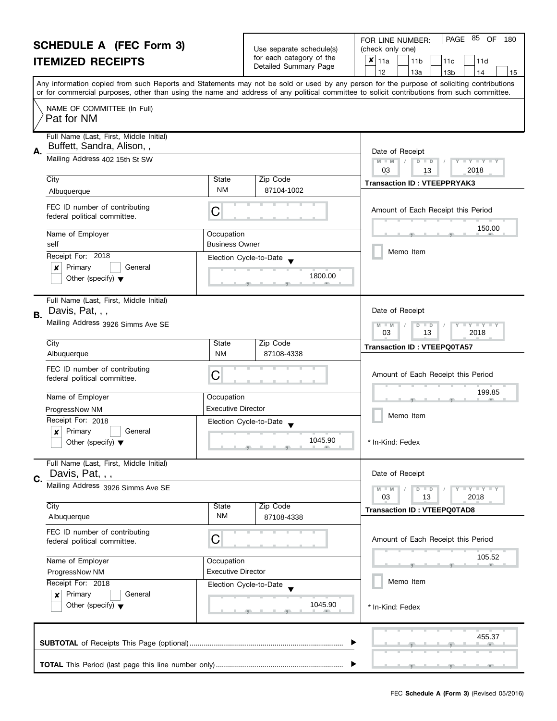| <b>SCHEDULE A (FEC Form 3)</b> |                                                                               |                                                                                                                                            | PAGE 85 OF<br>180<br>FOR LINE NUMBER:                                         |                                                                                                                                           |  |  |  |
|--------------------------------|-------------------------------------------------------------------------------|--------------------------------------------------------------------------------------------------------------------------------------------|-------------------------------------------------------------------------------|-------------------------------------------------------------------------------------------------------------------------------------------|--|--|--|
|                                |                                                                               |                                                                                                                                            | Use separate schedule(s)<br>for each category of the<br>Detailed Summary Page | (check only one)                                                                                                                          |  |  |  |
|                                | <b>ITEMIZED RECEIPTS</b>                                                      |                                                                                                                                            |                                                                               | $x _{11a}$<br>11 <sub>b</sub><br>11d<br>11c<br>12<br>13a<br>13 <sub>b</sub><br>14<br>15                                                   |  |  |  |
|                                |                                                                               |                                                                                                                                            |                                                                               | Any information copied from such Reports and Statements may not be sold or used by any person for the purpose of soliciting contributions |  |  |  |
|                                |                                                                               | or for commercial purposes, other than using the name and address of any political committee to solicit contributions from such committee. |                                                                               |                                                                                                                                           |  |  |  |
|                                | NAME OF COMMITTEE (In Full)<br>Pat for NM                                     |                                                                                                                                            |                                                                               |                                                                                                                                           |  |  |  |
|                                | Full Name (Last, First, Middle Initial)                                       |                                                                                                                                            |                                                                               |                                                                                                                                           |  |  |  |
| А.                             | Buffett, Sandra, Alison,,                                                     |                                                                                                                                            |                                                                               | Date of Receipt                                                                                                                           |  |  |  |
|                                | Mailing Address 402 15th St SW                                                |                                                                                                                                            |                                                                               | $M - M$<br>$D$ $D$<br>$\Box$ Y $\Box$ Y $\Box$                                                                                            |  |  |  |
|                                | City                                                                          | State                                                                                                                                      | Zip Code                                                                      | 03<br>2018<br>13                                                                                                                          |  |  |  |
|                                | Albuquerque                                                                   | <b>NM</b>                                                                                                                                  | 87104-1002                                                                    | <b>Transaction ID: VTEEPPRYAK3</b>                                                                                                        |  |  |  |
|                                | FEC ID number of contributing<br>federal political committee.                 | C                                                                                                                                          |                                                                               | Amount of Each Receipt this Period                                                                                                        |  |  |  |
|                                | Name of Employer                                                              | Occupation                                                                                                                                 |                                                                               | 150.00                                                                                                                                    |  |  |  |
|                                | self                                                                          | <b>Business Owner</b>                                                                                                                      |                                                                               |                                                                                                                                           |  |  |  |
|                                | Receipt For: 2018                                                             |                                                                                                                                            | Election Cycle-to-Date                                                        | Memo Item                                                                                                                                 |  |  |  |
|                                | Primary<br>×<br>General                                                       |                                                                                                                                            |                                                                               |                                                                                                                                           |  |  |  |
|                                | Other (specify) $\blacktriangledown$                                          |                                                                                                                                            | 1800.00                                                                       |                                                                                                                                           |  |  |  |
|                                | Full Name (Last, First, Middle Initial)<br>Davis, Pat, , ,                    |                                                                                                                                            |                                                                               | Date of Receipt                                                                                                                           |  |  |  |
| В.                             | Mailing Address 3926 Simms Ave SE                                             |                                                                                                                                            |                                                                               | $Y \perp Y \perp Y$<br>$-M$<br>D<br>$\Box$                                                                                                |  |  |  |
|                                |                                                                               |                                                                                                                                            |                                                                               | 03<br>13<br>2018                                                                                                                          |  |  |  |
|                                | City                                                                          | State                                                                                                                                      | Zip Code                                                                      | <b>Transaction ID: VTEEPQ0TA57</b>                                                                                                        |  |  |  |
|                                | Albuquerque                                                                   | <b>NM</b>                                                                                                                                  | 87108-4338                                                                    |                                                                                                                                           |  |  |  |
|                                | FEC ID number of contributing<br>federal political committee.                 | С                                                                                                                                          |                                                                               | Amount of Each Receipt this Period                                                                                                        |  |  |  |
|                                |                                                                               |                                                                                                                                            |                                                                               | 199.85                                                                                                                                    |  |  |  |
|                                | Name of Employer                                                              | Occupation                                                                                                                                 |                                                                               |                                                                                                                                           |  |  |  |
|                                | ProgressNow NM                                                                | <b>Executive Director</b>                                                                                                                  |                                                                               | Memo Item                                                                                                                                 |  |  |  |
|                                | Receipt For: 2018<br>Primary<br>General                                       |                                                                                                                                            | Election Cycle-to-Date                                                        |                                                                                                                                           |  |  |  |
|                                | X<br>Other (specify) $\blacktriangledown$                                     |                                                                                                                                            | 1045.90<br><u> 1 gr. i 1 gr. i 1 gr.</u>                                      | In-Kind: Fedex                                                                                                                            |  |  |  |
|                                | Full Name (Last, First, Middle Initial)                                       |                                                                                                                                            |                                                                               |                                                                                                                                           |  |  |  |
| C.                             | Davis, Pat, , ,                                                               |                                                                                                                                            |                                                                               | Date of Receipt                                                                                                                           |  |  |  |
|                                | Mailing Address 3926 Simms Ave SE                                             |                                                                                                                                            |                                                                               | $T + Y = Y + Y$<br>$M - M$<br>$D$ $D$                                                                                                     |  |  |  |
|                                | City                                                                          | State                                                                                                                                      | Zip Code                                                                      | 03<br>2018<br>13                                                                                                                          |  |  |  |
|                                | Albuquerque                                                                   | <b>NM</b>                                                                                                                                  | 87108-4338                                                                    | <b>Transaction ID: VTEEPQ0TAD8</b>                                                                                                        |  |  |  |
|                                | FEC ID number of contributing                                                 |                                                                                                                                            |                                                                               |                                                                                                                                           |  |  |  |
|                                | federal political committee.                                                  | С                                                                                                                                          |                                                                               | Amount of Each Receipt this Period                                                                                                        |  |  |  |
|                                | Name of Employer<br>Occupation<br><b>Executive Director</b><br>ProgressNow NM |                                                                                                                                            |                                                                               | 105.52                                                                                                                                    |  |  |  |
|                                |                                                                               |                                                                                                                                            |                                                                               |                                                                                                                                           |  |  |  |
|                                | Receipt For: 2018                                                             |                                                                                                                                            | Election Cycle-to-Date                                                        | Memo Item                                                                                                                                 |  |  |  |
|                                | Primary<br>General<br>$\boldsymbol{x}$                                        |                                                                                                                                            |                                                                               |                                                                                                                                           |  |  |  |
|                                | Other (specify) $\blacktriangledown$                                          |                                                                                                                                            | 1045.90                                                                       | * In-Kind: Fedex                                                                                                                          |  |  |  |
|                                |                                                                               |                                                                                                                                            |                                                                               |                                                                                                                                           |  |  |  |
|                                |                                                                               |                                                                                                                                            |                                                                               | 455.37                                                                                                                                    |  |  |  |
|                                |                                                                               |                                                                                                                                            |                                                                               |                                                                                                                                           |  |  |  |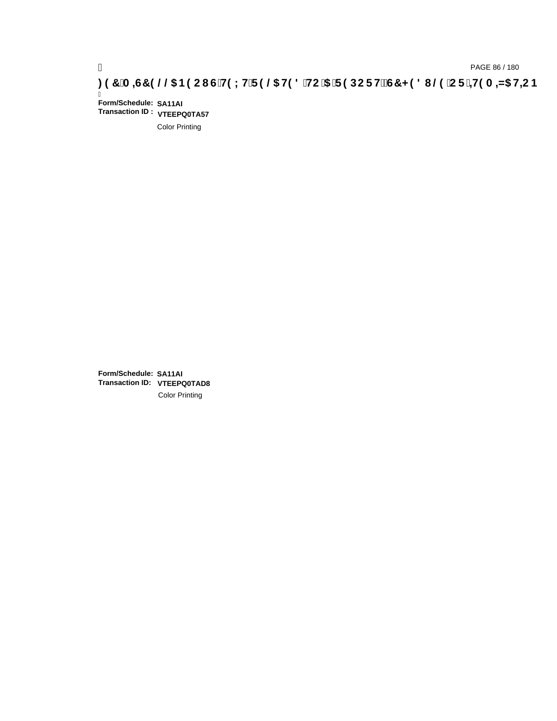# ) PAGE 86 / 180<br>**DAGE 86 / 180 PAGE 86 / 180 STAC 5 THIS 2006 BACI G`H9 LH`F 9 @5 H9 8 `HC`5** T **9 DC F H≵G7 < 9 8 I** @9 `C F `<del>1 I</del>9 A =N5 H=CB

Ī **Form/Schedule: SA11AI Transaction ID : VTEEPQ0TA57**

Color Printing

**Form/Schedule: SA11AI Transaction ID: VTEEPQ0TAD8**Color Printing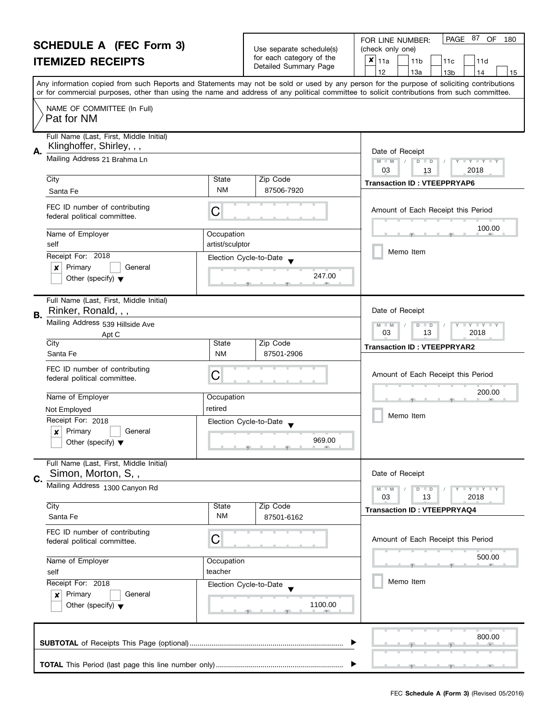| <b>SCHEDULE A (FEC Form 3)</b> |                                                                                | Use separate schedule(s)                                                 | PAGE 87 OF<br>FOR LINE NUMBER:<br>180<br>(check only one) |                                                                                                                                                                                                                                                                                         |
|--------------------------------|--------------------------------------------------------------------------------|--------------------------------------------------------------------------|-----------------------------------------------------------|-----------------------------------------------------------------------------------------------------------------------------------------------------------------------------------------------------------------------------------------------------------------------------------------|
| <b>ITEMIZED RECEIPTS</b>       |                                                                                |                                                                          | for each category of the                                  | $x _{11a}$<br>11 <sub>b</sub><br>11d<br>11c                                                                                                                                                                                                                                             |
|                                |                                                                                |                                                                          | Detailed Summary Page                                     | 12<br>13a<br>13 <sub>b</sub><br>14<br>15                                                                                                                                                                                                                                                |
|                                |                                                                                |                                                                          |                                                           | Any information copied from such Reports and Statements may not be sold or used by any person for the purpose of soliciting contributions<br>or for commercial purposes, other than using the name and address of any political committee to solicit contributions from such committee. |
|                                | NAME OF COMMITTEE (In Full)<br>Pat for NM                                      |                                                                          |                                                           |                                                                                                                                                                                                                                                                                         |
| А.                             | Full Name (Last, First, Middle Initial)<br>Klinghoffer, Shirley, , ,           |                                                                          |                                                           | Date of Receipt                                                                                                                                                                                                                                                                         |
|                                | Mailing Address 21 Brahma Ln                                                   | $M - M$<br>$\overline{D}$<br>$Y = Y + Y +$<br>$\Box$<br>2018<br>03<br>13 |                                                           |                                                                                                                                                                                                                                                                                         |
|                                | City                                                                           | State                                                                    | Zip Code                                                  | <b>Transaction ID: VTEEPPRYAP6</b>                                                                                                                                                                                                                                                      |
|                                | Santa Fe                                                                       | <b>NM</b>                                                                | 87506-7920                                                |                                                                                                                                                                                                                                                                                         |
|                                | FEC ID number of contributing<br>federal political committee.                  | С                                                                        |                                                           | Amount of Each Receipt this Period                                                                                                                                                                                                                                                      |
|                                | Name of Employer<br>self                                                       | Occupation<br>artist/sculptor                                            |                                                           | 100.00                                                                                                                                                                                                                                                                                  |
|                                | Receipt For: 2018                                                              |                                                                          | Election Cycle-to-Date                                    | Memo Item                                                                                                                                                                                                                                                                               |
|                                | Primary<br>General<br>×<br>Other (specify) $\blacktriangledown$                |                                                                          | 247.00                                                    |                                                                                                                                                                                                                                                                                         |
| В.                             | Full Name (Last, First, Middle Initial)<br>Rinker, Ronald, , ,                 |                                                                          |                                                           | Date of Receipt                                                                                                                                                                                                                                                                         |
|                                | Mailing Address 539 Hillside Ave                                               |                                                                          |                                                           | $Y - Y - Y$<br>D<br>$\Box$<br>$-M$                                                                                                                                                                                                                                                      |
|                                | Apt C                                                                          |                                                                          |                                                           | 03<br>13<br>2018                                                                                                                                                                                                                                                                        |
|                                | City<br>Santa Fe                                                               | State<br><b>NM</b>                                                       | Zip Code<br>87501-2906                                    | <b>Transaction ID: VTEEPPRYAR2</b>                                                                                                                                                                                                                                                      |
|                                | FEC ID number of contributing<br>federal political committee.                  | С                                                                        |                                                           | Amount of Each Receipt this Period                                                                                                                                                                                                                                                      |
|                                | Name of Employer                                                               | Occupation                                                               |                                                           | 200.00                                                                                                                                                                                                                                                                                  |
|                                | Not Employed                                                                   | retired                                                                  |                                                           |                                                                                                                                                                                                                                                                                         |
|                                | Receipt For: 2018                                                              |                                                                          | Election Cycle-to-Date                                    | Memo Item                                                                                                                                                                                                                                                                               |
|                                | Primary<br>$\boldsymbol{x}$<br>General<br>Other (specify) $\blacktriangledown$ |                                                                          | 969.00                                                    |                                                                                                                                                                                                                                                                                         |
| C.                             | Full Name (Last, First, Middle Initial)<br>Simon, Morton, S,,                  |                                                                          |                                                           | Date of Receipt                                                                                                                                                                                                                                                                         |
|                                | Mailing Address 1300 Canyon Rd                                                 |                                                                          |                                                           | Y I Y I Y I Y<br>$D$ $D$<br>03<br>13<br>2018                                                                                                                                                                                                                                            |
|                                | City                                                                           | State                                                                    | Zip Code                                                  | <b>Transaction ID: VTEEPPRYAQ4</b>                                                                                                                                                                                                                                                      |
|                                | Santa Fe                                                                       | <b>NM</b>                                                                | 87501-6162                                                |                                                                                                                                                                                                                                                                                         |
|                                | FEC ID number of contributing<br>federal political committee.                  | С                                                                        |                                                           | Amount of Each Receipt this Period                                                                                                                                                                                                                                                      |
|                                | Name of Employer                                                               | Occupation                                                               |                                                           | 500.00                                                                                                                                                                                                                                                                                  |
|                                | self                                                                           | teacher                                                                  |                                                           |                                                                                                                                                                                                                                                                                         |
|                                | Receipt For: 2018                                                              |                                                                          | Election Cycle-to-Date                                    | Memo Item                                                                                                                                                                                                                                                                               |
|                                | Primary<br>General<br>×<br>Other (specify) $\blacktriangledown$                |                                                                          | 1100.00                                                   |                                                                                                                                                                                                                                                                                         |
|                                |                                                                                |                                                                          |                                                           | 800.00                                                                                                                                                                                                                                                                                  |
|                                |                                                                                |                                                                          |                                                           |                                                                                                                                                                                                                                                                                         |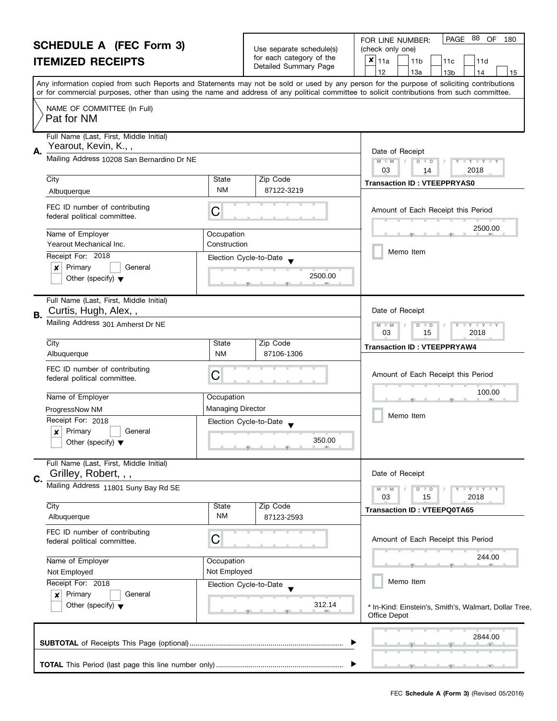#### **SCHEDULE A (FEC Form 3) ITEMIZED RECEIPTS**

|                                                   | FOR LINE NUMBER:            |  |
|---------------------------------------------------|-----------------------------|--|
| Use separate schedule(s)                          | (check only one)            |  |
| for each category of the<br>Detailed Summary Page | $\mathbf{x} _{11a}$<br>111b |  |

| SCHEDULE A (FEC FOrm 3)<br><b>ITEMIZED RECEIPTS</b>                                  |                                      | Use separate schedule(s)<br>for each category of the<br>Detailed Summary Page | (check only one)<br>x<br>11a<br>11d<br>11 <sub>b</sub><br>11c<br>13a<br>12<br>13 <sub>b</sub><br>14<br>15                                                                                                                                                                               |  |
|--------------------------------------------------------------------------------------|--------------------------------------|-------------------------------------------------------------------------------|-----------------------------------------------------------------------------------------------------------------------------------------------------------------------------------------------------------------------------------------------------------------------------------------|--|
|                                                                                      |                                      |                                                                               | Any information copied from such Reports and Statements may not be sold or used by any person for the purpose of soliciting contributions<br>or for commercial purposes, other than using the name and address of any political committee to solicit contributions from such committee. |  |
| NAME OF COMMITTEE (In Full)<br>Pat for NM                                            |                                      |                                                                               |                                                                                                                                                                                                                                                                                         |  |
| Full Name (Last, First, Middle Initial)<br>Yearout, Kevin, K.,,<br>Α.                |                                      |                                                                               | Date of Receipt                                                                                                                                                                                                                                                                         |  |
| Mailing Address 10208 San Bernardino Dr NE                                           |                                      |                                                                               | $M - M$<br>$\overline{D}$<br>$Y = Y$<br>$\blacksquare$<br>2018<br>03<br>14                                                                                                                                                                                                              |  |
| City<br>Albuquerque                                                                  | State<br><b>NM</b>                   | Zip Code<br>87122-3219                                                        | <b>Transaction ID: VTEEPPRYAS0</b>                                                                                                                                                                                                                                                      |  |
| FEC ID number of contributing<br>federal political committee.                        | С                                    |                                                                               | Amount of Each Receipt this Period                                                                                                                                                                                                                                                      |  |
| Name of Employer<br>Yearout Mechanical Inc.                                          | Occupation<br>Construction           |                                                                               | 2500.00<br>Memo Item                                                                                                                                                                                                                                                                    |  |
| Receipt For: 2018<br>Primary<br>×<br>General<br>Other (specify) $\blacktriangledown$ |                                      | Election Cycle-to-Date<br>2500.00                                             |                                                                                                                                                                                                                                                                                         |  |
| Full Name (Last, First, Middle Initial)<br>Curtis, Hugh, Alex,,<br>B.                |                                      |                                                                               |                                                                                                                                                                                                                                                                                         |  |
| Mailing Address 301 Amherst Dr NE                                                    |                                      |                                                                               | $M - M$<br>$Y$ $Y$<br>$\overline{D}$<br>$\Box$<br>2018<br>03<br>15                                                                                                                                                                                                                      |  |
| City<br>Albuquerque                                                                  | State<br><b>NM</b>                   | Zip Code<br>87106-1306                                                        | <b>Transaction ID: VTEEPPRYAW4</b>                                                                                                                                                                                                                                                      |  |
| FEC ID number of contributing<br>federal political committee.                        | C                                    |                                                                               | Amount of Each Receipt this Period                                                                                                                                                                                                                                                      |  |
| Name of Employer                                                                     | Occupation                           |                                                                               | 100.00                                                                                                                                                                                                                                                                                  |  |
| ProgressNow NM                                                                       | <b>Managing Director</b>             |                                                                               | Memo Item                                                                                                                                                                                                                                                                               |  |
| Receipt For: 2018<br>Primary<br>General<br>×<br>Other (specify) $\blacktriangledown$ |                                      | Election Cycle-to-Date<br>350.00                                              |                                                                                                                                                                                                                                                                                         |  |
| Full Name (Last, First, Middle Initial)<br>Grilley, Robert, , ,<br>Ć.                |                                      |                                                                               | Date of Receipt                                                                                                                                                                                                                                                                         |  |
|                                                                                      | Mailing Address 11801 Suny Bay Rd SE |                                                                               |                                                                                                                                                                                                                                                                                         |  |
| City<br>Albuquerque                                                                  | State<br>ΝM                          | Zip Code<br>87123-2593                                                        | <b>Transaction ID: VTEEPQ0TA65</b>                                                                                                                                                                                                                                                      |  |
| FEC ID number of contributing<br>federal political committee.                        | С                                    |                                                                               | Amount of Each Receipt this Period                                                                                                                                                                                                                                                      |  |
| Name of Employer                                                                     | Occupation                           |                                                                               | 244.00                                                                                                                                                                                                                                                                                  |  |
| Not Employed<br>Receipt For: 2018                                                    | Not Employed                         |                                                                               | Memo Item                                                                                                                                                                                                                                                                               |  |
| Primary<br>General<br>$\boldsymbol{x}$                                               |                                      | Election Cycle-to-Date                                                        |                                                                                                                                                                                                                                                                                         |  |
| Other (specify) $\blacktriangledown$                                                 |                                      | 312.14                                                                        | * In-Kind: Einstein's, Smith's, Walmart, Dollar Tree,<br>Office Depot                                                                                                                                                                                                                   |  |
|                                                                                      |                                      |                                                                               | 2844.00                                                                                                                                                                                                                                                                                 |  |
|                                                                                      |                                      |                                                                               |                                                                                                                                                                                                                                                                                         |  |

PAGE 88 OF 180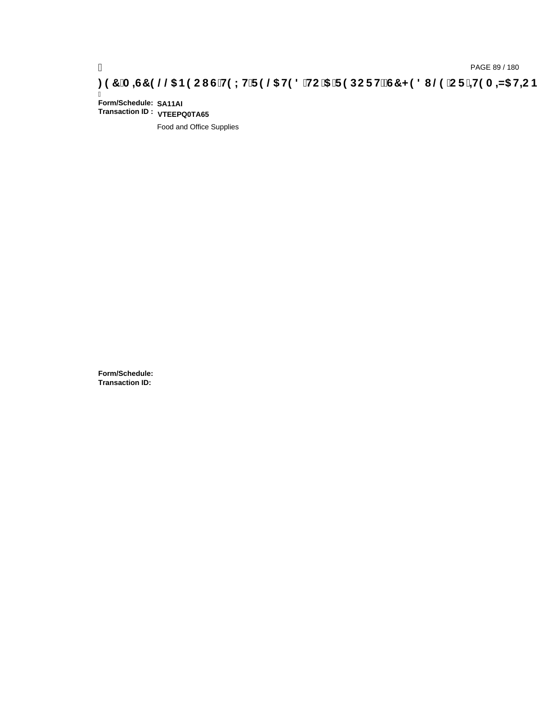# ) PAGE 89 / 180<br>**DAGE 89 / 180 PAGE 89 / 180 STAC I G`H9 LH`F 9 @5 H9 8 `HC`5** `F 9 DC F HŽG7 < 9 8 I @9 `C F `<del>J I</del>9 A =N5 H=C B

Ī **Form/Schedule: SA11AI Transaction ID : VTEEPQ0TA65**

Food and Office Supplies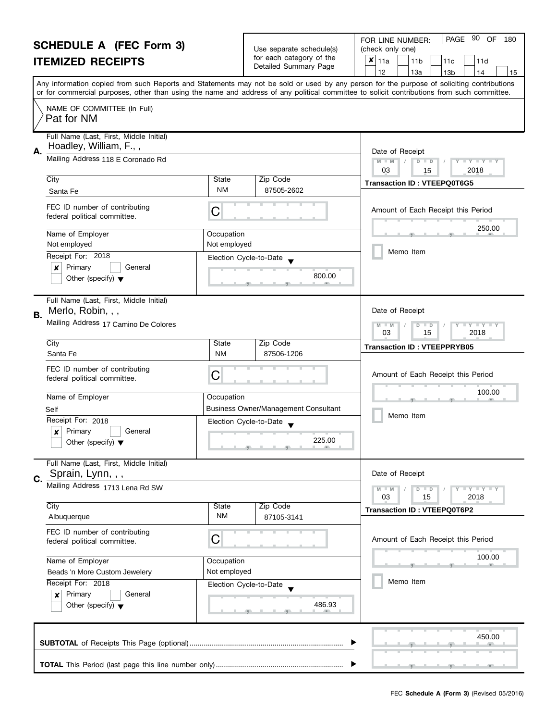|                                                   | <b>SCHEDULE A (FEC Form 3)</b><br><b>ITEMIZED RECEIPTS</b>                           |                                                                          | Use separate schedule(s)<br>for each category of the<br>Detailed Summary Page | 90<br>PAGE<br>OF<br>FOR LINE NUMBER:<br>180<br>(check only one)<br>×<br>11a<br>11 <sub>b</sub><br>11c<br>11d<br>12<br>13a<br>13 <sub>b</sub><br>14<br>15                                                                                                                                |
|---------------------------------------------------|--------------------------------------------------------------------------------------|--------------------------------------------------------------------------|-------------------------------------------------------------------------------|-----------------------------------------------------------------------------------------------------------------------------------------------------------------------------------------------------------------------------------------------------------------------------------------|
|                                                   |                                                                                      |                                                                          |                                                                               | Any information copied from such Reports and Statements may not be sold or used by any person for the purpose of soliciting contributions<br>or for commercial purposes, other than using the name and address of any political committee to solicit contributions from such committee. |
|                                                   | NAME OF COMMITTEE (In Full)<br>Pat for NM                                            |                                                                          |                                                                               |                                                                                                                                                                                                                                                                                         |
| Α.                                                | Full Name (Last, First, Middle Initial)<br>Hoadley, William, F.,,                    |                                                                          |                                                                               | Date of Receipt                                                                                                                                                                                                                                                                         |
|                                                   | Mailing Address 118 E Coronado Rd                                                    | $D$ $D$<br>$Y - Y - Y - Y$<br>$M - M$<br>03<br>2018<br>15                |                                                                               |                                                                                                                                                                                                                                                                                         |
|                                                   | City<br>Santa Fe                                                                     | State<br><b>NM</b>                                                       | Zip Code<br>87505-2602                                                        | <b>Transaction ID: VTEEPQ0T6G5</b>                                                                                                                                                                                                                                                      |
|                                                   | FEC ID number of contributing<br>federal political committee.                        | C                                                                        |                                                                               | Amount of Each Receipt this Period                                                                                                                                                                                                                                                      |
|                                                   | Name of Employer<br>Not employed                                                     | Occupation<br>Not employed                                               |                                                                               | 250.00                                                                                                                                                                                                                                                                                  |
|                                                   | Receipt For: 2018                                                                    |                                                                          | Election Cycle-to-Date                                                        | Memo Item                                                                                                                                                                                                                                                                               |
|                                                   | Primary<br>General<br>x<br>Other (specify) $\blacktriangledown$                      |                                                                          | 800.00                                                                        |                                                                                                                                                                                                                                                                                         |
| В.                                                | Full Name (Last, First, Middle Initial)<br>Merlo, Robin, , ,                         |                                                                          |                                                                               | Date of Receipt                                                                                                                                                                                                                                                                         |
|                                                   | Mailing Address 17 Camino De Colores                                                 | T Y T Y T Y<br>M<br>$\overline{D}$<br>$-M$<br>$\Box$<br>03<br>15<br>2018 |                                                                               |                                                                                                                                                                                                                                                                                         |
|                                                   | City<br>Santa Fe                                                                     | State<br><b>NM</b>                                                       | Zip Code<br>87506-1206                                                        | <b>Transaction ID: VTEEPPRYB05</b>                                                                                                                                                                                                                                                      |
|                                                   | FEC ID number of contributing<br>federal political committee.                        | C                                                                        |                                                                               | Amount of Each Receipt this Period                                                                                                                                                                                                                                                      |
|                                                   | Name of Employer                                                                     | Occupation                                                               |                                                                               | 100.00                                                                                                                                                                                                                                                                                  |
|                                                   | Self                                                                                 |                                                                          | Business Owner/Management Consultant                                          | Memo Item                                                                                                                                                                                                                                                                               |
|                                                   | Receipt For: 2018<br>Primary<br>General<br>X<br>Other (specify) $\blacktriangledown$ |                                                                          | Election Cycle-to-Date<br>225.00                                              |                                                                                                                                                                                                                                                                                         |
| C.                                                | Full Name (Last, First, Middle Initial)<br>Sprain, Lynn, , ,                         |                                                                          |                                                                               | Date of Receipt                                                                                                                                                                                                                                                                         |
|                                                   | Mailing Address 1713 Lena Rd SW                                                      |                                                                          |                                                                               | Y I Y I Y I Y<br>$D$ $D$<br>03<br>15<br>2018                                                                                                                                                                                                                                            |
|                                                   | City<br>Albuquerque                                                                  | State<br><b>NM</b>                                                       | Zip Code<br>87105-3141                                                        | <b>Transaction ID: VTEEPQ0T6P2</b>                                                                                                                                                                                                                                                      |
|                                                   | FEC ID number of contributing<br>federal political committee.                        | С                                                                        |                                                                               | Amount of Each Receipt this Period                                                                                                                                                                                                                                                      |
| Name of Employer<br>Beads 'n More Custom Jewelery |                                                                                      | Occupation<br>Not employed                                               |                                                                               | 100.00                                                                                                                                                                                                                                                                                  |
|                                                   | Receipt For: 2018<br>Primary<br>General<br>×<br>Other (specify) $\blacktriangledown$ |                                                                          | Election Cycle-to-Date<br>486.93                                              | Memo Item                                                                                                                                                                                                                                                                               |
|                                                   |                                                                                      |                                                                          |                                                                               | 450.00                                                                                                                                                                                                                                                                                  |
|                                                   |                                                                                      |                                                                          |                                                                               |                                                                                                                                                                                                                                                                                         |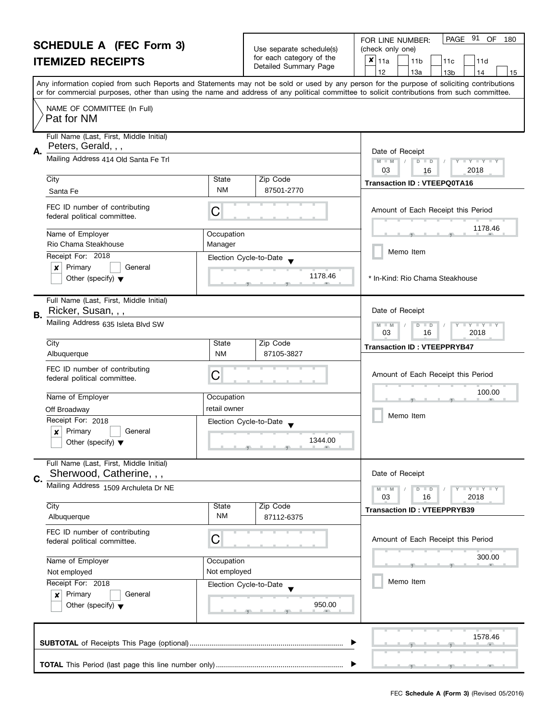| <b>SCHEDULE A (FEC Form 3)</b> |                                                                     |                                                                                                                                                | PAGE 91 OF<br>FOR LINE NUMBER:<br>180                                     |                                                                                                                                            |
|--------------------------------|---------------------------------------------------------------------|------------------------------------------------------------------------------------------------------------------------------------------------|---------------------------------------------------------------------------|--------------------------------------------------------------------------------------------------------------------------------------------|
| <b>ITEMIZED RECEIPTS</b>       |                                                                     |                                                                                                                                                | Use separate schedule(s)<br>for each category of the                      | (check only one)<br>$x _{11a}$                                                                                                             |
|                                |                                                                     | Detailed Summary Page                                                                                                                          | 11 <sub>b</sub><br>11d<br>11c<br>12<br>13a<br>13 <sub>b</sub><br>14<br>15 |                                                                                                                                            |
|                                |                                                                     |                                                                                                                                                |                                                                           | Any information copied from such Reports and Statements may not be sold or used by any person for the purpose of soliciting contributions  |
|                                |                                                                     |                                                                                                                                                |                                                                           | or for commercial purposes, other than using the name and address of any political committee to solicit contributions from such committee. |
|                                | NAME OF COMMITTEE (In Full)<br>Pat for NM                           |                                                                                                                                                |                                                                           |                                                                                                                                            |
| А.                             | Full Name (Last, First, Middle Initial)<br>Peters, Gerald, , ,      |                                                                                                                                                |                                                                           |                                                                                                                                            |
|                                | Mailing Address 414 Old Santa Fe Trl                                | Date of Receipt<br>$M - M$<br>$\overline{D}$<br>$\mathbf{I}$ $\mathbf{Y}$ $\mathbf{I}$ $\mathbf{Y}$ $\mathbf{I}$<br>$\Box$<br>2018<br>03<br>16 |                                                                           |                                                                                                                                            |
|                                | City                                                                | State                                                                                                                                          | Zip Code                                                                  | <b>Transaction ID: VTEEPQ0TA16</b>                                                                                                         |
|                                | Santa Fe                                                            | <b>NM</b>                                                                                                                                      | 87501-2770                                                                |                                                                                                                                            |
|                                | FEC ID number of contributing<br>federal political committee.       | С                                                                                                                                              |                                                                           | Amount of Each Receipt this Period                                                                                                         |
|                                | Name of Employer<br>Rio Chama Steakhouse                            | Occupation<br>Manager                                                                                                                          |                                                                           | 1178.46                                                                                                                                    |
|                                | Receipt For: 2018                                                   |                                                                                                                                                |                                                                           | Memo Item                                                                                                                                  |
|                                | Primary<br>×<br>General                                             |                                                                                                                                                | Election Cycle-to-Date                                                    |                                                                                                                                            |
|                                | Other (specify) $\blacktriangledown$                                |                                                                                                                                                | 1178.46                                                                   | * In-Kind: Rio Chama Steakhouse                                                                                                            |
| В.                             | Full Name (Last, First, Middle Initial)<br>Ricker, Susan, , ,       |                                                                                                                                                |                                                                           | Date of Receipt                                                                                                                            |
|                                | Mailing Address 635 Isleta Blvd SW                                  |                                                                                                                                                |                                                                           | $Y - Y - Y$<br>D<br>$\Box$<br>$-M$<br>03<br>16<br>2018                                                                                     |
|                                | City                                                                | State                                                                                                                                          | Zip Code                                                                  | <b>Transaction ID: VTEEPPRYB47</b>                                                                                                         |
|                                | Albuquerque                                                         | <b>NM</b>                                                                                                                                      | 87105-3827                                                                |                                                                                                                                            |
|                                | FEC ID number of contributing<br>federal political committee.       | С                                                                                                                                              |                                                                           | Amount of Each Receipt this Period                                                                                                         |
|                                | Name of Employer                                                    | Occupation                                                                                                                                     |                                                                           | 100.00                                                                                                                                     |
|                                | Off Broadway                                                        | retail owner                                                                                                                                   |                                                                           |                                                                                                                                            |
|                                | Receipt For: 2018                                                   |                                                                                                                                                | Election Cycle-to-Date                                                    | Memo Item                                                                                                                                  |
|                                | Primary<br>General<br>$\boldsymbol{x}$                              |                                                                                                                                                |                                                                           |                                                                                                                                            |
|                                | Other (specify) $\blacktriangledown$                                |                                                                                                                                                | 1344.00<br><u> 1 g - 1 g - 1 g - 1 d - 1 g</u>                            |                                                                                                                                            |
|                                | Full Name (Last, First, Middle Initial)<br>Sherwood, Catherine, , , |                                                                                                                                                |                                                                           | Date of Receipt                                                                                                                            |
| C.                             | Mailing Address 1509 Archuleta Dr NE                                |                                                                                                                                                |                                                                           |                                                                                                                                            |
|                                |                                                                     |                                                                                                                                                |                                                                           | Y I Y I Y I Y<br>$D$ $D$<br>03<br>16<br>2018                                                                                               |
|                                | City                                                                | State                                                                                                                                          | Zip Code                                                                  | <b>Transaction ID: VTEEPPRYB39</b>                                                                                                         |
|                                | Albuquerque                                                         | <b>NM</b>                                                                                                                                      | 87112-6375                                                                |                                                                                                                                            |
|                                | FEC ID number of contributing<br>federal political committee.       | С                                                                                                                                              |                                                                           | Amount of Each Receipt this Period                                                                                                         |
|                                | Name of Employer                                                    | Occupation                                                                                                                                     |                                                                           | 300.00                                                                                                                                     |
|                                | Not employed                                                        | Not employed                                                                                                                                   |                                                                           |                                                                                                                                            |
|                                | Receipt For: 2018                                                   |                                                                                                                                                | Election Cycle-to-Date                                                    | Memo Item                                                                                                                                  |
|                                | Primary<br>General<br>×<br>Other (specify) $\blacktriangledown$     |                                                                                                                                                | 950.00                                                                    |                                                                                                                                            |
|                                |                                                                     |                                                                                                                                                |                                                                           | 1578.46                                                                                                                                    |
|                                |                                                                     |                                                                                                                                                |                                                                           |                                                                                                                                            |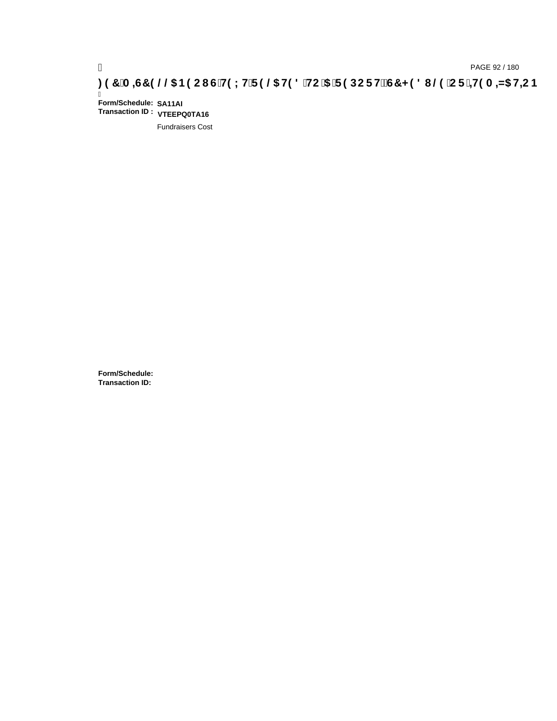# ) PAGE 92 / 180<br>【**20H 3A+G7 9 @ B9 CI G`H9 LH`F 9 @ H9 8 `HC`5** `F 9 DC F HžG7 < 9 8 I @ `C F`<del>∔I</del>9 A =N5 H<del>L</del>C B

Ī **Form/Schedule: SA11AI Transaction ID : VTEEPQ0TA16**

Fundraisers Cost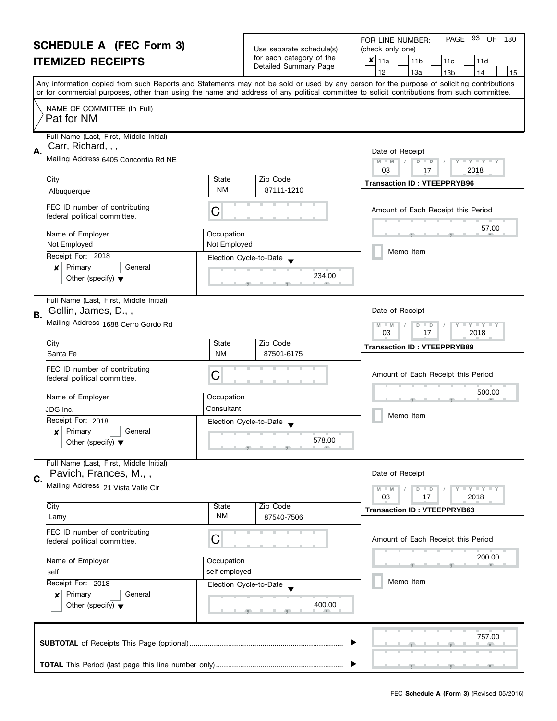| <b>SCHEDULE A (FEC Form 3)</b> |                                                                                | Use separate schedule(s)                                                 | PAGE 93 OF<br>FOR LINE NUMBER:<br>180<br>(check only one) |                                                                                                                                                                                                                                                                                         |
|--------------------------------|--------------------------------------------------------------------------------|--------------------------------------------------------------------------|-----------------------------------------------------------|-----------------------------------------------------------------------------------------------------------------------------------------------------------------------------------------------------------------------------------------------------------------------------------------|
| <b>ITEMIZED RECEIPTS</b>       |                                                                                |                                                                          | for each category of the                                  | $x _{11a}$<br>11 <sub>b</sub><br>11d<br>11c                                                                                                                                                                                                                                             |
|                                |                                                                                |                                                                          | Detailed Summary Page                                     | 12<br>13a<br>13 <sub>b</sub><br>14<br>15                                                                                                                                                                                                                                                |
|                                |                                                                                |                                                                          |                                                           | Any information copied from such Reports and Statements may not be sold or used by any person for the purpose of soliciting contributions<br>or for commercial purposes, other than using the name and address of any political committee to solicit contributions from such committee. |
|                                | NAME OF COMMITTEE (In Full)<br>Pat for NM                                      |                                                                          |                                                           |                                                                                                                                                                                                                                                                                         |
| А.                             | Full Name (Last, First, Middle Initial)<br>Carr, Richard, , ,                  |                                                                          |                                                           | Date of Receipt                                                                                                                                                                                                                                                                         |
|                                | Mailing Address 6405 Concordia Rd NE                                           | $M - M$<br>$\overline{D}$<br>$Y = Y + Y +$<br>$\Box$<br>03<br>2018<br>17 |                                                           |                                                                                                                                                                                                                                                                                         |
|                                | City                                                                           | State                                                                    | Zip Code                                                  | <b>Transaction ID: VTEEPPRYB96</b>                                                                                                                                                                                                                                                      |
|                                | Albuquerque                                                                    | <b>NM</b>                                                                | 87111-1210                                                |                                                                                                                                                                                                                                                                                         |
|                                | FEC ID number of contributing<br>federal political committee.                  | С                                                                        |                                                           | Amount of Each Receipt this Period                                                                                                                                                                                                                                                      |
|                                | Name of Employer<br>Not Employed                                               | Occupation<br>Not Employed                                               |                                                           | 57.00                                                                                                                                                                                                                                                                                   |
|                                | Receipt For: 2018                                                              |                                                                          | Election Cycle-to-Date                                    | Memo Item                                                                                                                                                                                                                                                                               |
|                                | Primary<br>$\boldsymbol{x}$<br>General<br>Other (specify) $\blacktriangledown$ |                                                                          | 234.00                                                    |                                                                                                                                                                                                                                                                                         |
| В.                             | Full Name (Last, First, Middle Initial)<br>Gollin, James, D.,,                 |                                                                          |                                                           | Date of Receipt                                                                                                                                                                                                                                                                         |
|                                | Mailing Address 1688 Cerro Gordo Rd                                            | $Y - Y - Y$<br>D<br>$\Box$<br>$-M$<br>03<br>17<br>2018                   |                                                           |                                                                                                                                                                                                                                                                                         |
|                                | City                                                                           | State                                                                    | Zip Code                                                  | <b>Transaction ID: VTEEPPRYB89</b>                                                                                                                                                                                                                                                      |
|                                | Santa Fe                                                                       | <b>NM</b>                                                                | 87501-6175                                                |                                                                                                                                                                                                                                                                                         |
|                                | FEC ID number of contributing<br>federal political committee.                  | С                                                                        |                                                           | Amount of Each Receipt this Period                                                                                                                                                                                                                                                      |
|                                | Name of Employer                                                               | Occupation                                                               |                                                           | 500.00                                                                                                                                                                                                                                                                                  |
|                                | JDG Inc.                                                                       | Consultant                                                               |                                                           |                                                                                                                                                                                                                                                                                         |
|                                | Receipt For: 2018                                                              |                                                                          | Election Cycle-to-Date                                    | Memo Item                                                                                                                                                                                                                                                                               |
|                                | Primary<br>General<br>$\boldsymbol{x}$<br>Other (specify) $\blacktriangledown$ |                                                                          | 578.00                                                    |                                                                                                                                                                                                                                                                                         |
| C.                             | Full Name (Last, First, Middle Initial)<br>Pavich, Frances, M.,,               |                                                                          |                                                           | Date of Receipt                                                                                                                                                                                                                                                                         |
|                                | Mailing Address 21 Vista Valle Cir                                             |                                                                          |                                                           | Y I Y I Y I Y<br>$D$ $D$<br>03<br>17<br>2018                                                                                                                                                                                                                                            |
|                                | City<br>Lamy                                                                   | State<br><b>NM</b>                                                       | Zip Code<br>87540-7506                                    | <b>Transaction ID: VTEEPPRYB63</b>                                                                                                                                                                                                                                                      |
|                                | FEC ID number of contributing<br>federal political committee.                  | С                                                                        |                                                           | Amount of Each Receipt this Period                                                                                                                                                                                                                                                      |
| Name of Employer<br>self       |                                                                                | Occupation<br>self employed                                              |                                                           | 200.00                                                                                                                                                                                                                                                                                  |
|                                | Receipt For: 2018                                                              |                                                                          | Election Cycle-to-Date                                    | Memo Item                                                                                                                                                                                                                                                                               |
|                                | Primary<br>General<br>×<br>Other (specify) $\blacktriangledown$                |                                                                          | 400.00                                                    |                                                                                                                                                                                                                                                                                         |
|                                |                                                                                |                                                                          |                                                           | 757.00                                                                                                                                                                                                                                                                                  |
|                                |                                                                                |                                                                          |                                                           |                                                                                                                                                                                                                                                                                         |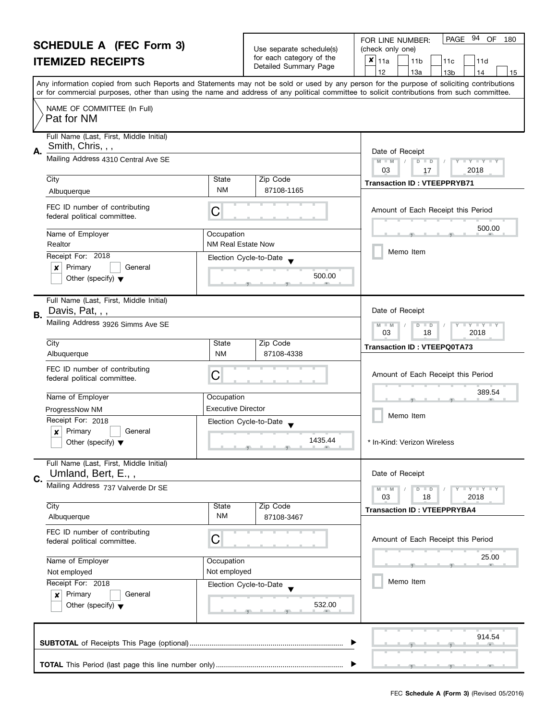|    | <b>SCHEDULE A (FEC Form 3)</b><br><b>ITEMIZED RECEIPTS</b>                           |                                                      | Use separate schedule(s)<br>for each category of the<br>Detailed Summary Page | PAGE 94<br>OF<br>FOR LINE NUMBER:<br>180<br>(check only one)<br>×<br>11a<br>11 <sub>b</sub><br>11d<br>11c<br>12<br>13a<br>13 <sub>b</sub><br>14<br>15                                                                                                                                   |
|----|--------------------------------------------------------------------------------------|------------------------------------------------------|-------------------------------------------------------------------------------|-----------------------------------------------------------------------------------------------------------------------------------------------------------------------------------------------------------------------------------------------------------------------------------------|
|    |                                                                                      |                                                      |                                                                               | Any information copied from such Reports and Statements may not be sold or used by any person for the purpose of soliciting contributions<br>or for commercial purposes, other than using the name and address of any political committee to solicit contributions from such committee. |
|    | NAME OF COMMITTEE (In Full)<br>Pat for NM                                            |                                                      |                                                                               |                                                                                                                                                                                                                                                                                         |
| А. | Full Name (Last, First, Middle Initial)<br>Smith, Chris, , ,                         |                                                      |                                                                               | Date of Receipt                                                                                                                                                                                                                                                                         |
|    | Mailing Address 4310 Central Ave SE                                                  | $M - M$<br>$D$ $D$<br>Y FY FY FY<br>03<br>2018<br>17 |                                                                               |                                                                                                                                                                                                                                                                                         |
|    | City<br>Albuquerque                                                                  | State<br><b>NM</b>                                   | Zip Code<br>87108-1165                                                        | <b>Transaction ID: VTEEPPRYB71</b>                                                                                                                                                                                                                                                      |
|    | FEC ID number of contributing<br>federal political committee.                        | C                                                    |                                                                               | Amount of Each Receipt this Period                                                                                                                                                                                                                                                      |
|    | Name of Employer<br>Realtor                                                          | Occupation<br><b>NM Real Estate Now</b>              |                                                                               | 500.00                                                                                                                                                                                                                                                                                  |
|    | Receipt For: 2018<br>Primary<br>General<br>x                                         |                                                      | Election Cycle-to-Date<br>500.00                                              | Memo Item                                                                                                                                                                                                                                                                               |
|    | Other (specify) $\blacktriangledown$<br>Full Name (Last, First, Middle Initial)      |                                                      |                                                                               |                                                                                                                                                                                                                                                                                         |
| В. | Davis, Pat, , ,<br>Mailing Address 3926 Simms Ave SE                                 |                                                      |                                                                               |                                                                                                                                                                                                                                                                                         |
|    | City<br>Albuquerque                                                                  | State<br><b>NM</b>                                   | Zip Code<br>87108-4338                                                        | 03<br>18<br>2018<br><b>Transaction ID: VTEEPQ0TA73</b>                                                                                                                                                                                                                                  |
|    | FEC ID number of contributing<br>federal political committee.                        | C                                                    |                                                                               | Amount of Each Receipt this Period                                                                                                                                                                                                                                                      |
|    | Name of Employer                                                                     | Occupation                                           |                                                                               | 389.54                                                                                                                                                                                                                                                                                  |
|    | ProgressNow NM<br>Receipt For: 2018                                                  | <b>Executive Director</b>                            | Election Cycle-to-Date                                                        | Memo Item                                                                                                                                                                                                                                                                               |
|    | Primary<br>General<br>X<br>Other (specify) $\blacktriangledown$                      |                                                      | 1435.44                                                                       | In-Kind: Verizon Wireless                                                                                                                                                                                                                                                               |
| C. | Full Name (Last, First, Middle Initial)<br>Umland, Bert, E.,,                        |                                                      |                                                                               | Date of Receipt                                                                                                                                                                                                                                                                         |
|    | Mailing Address 737 Valverde Dr SE                                                   |                                                      |                                                                               | Y FY FY FY<br>$D$ $D$<br>03<br>18<br>2018                                                                                                                                                                                                                                               |
|    | City<br>Albuquerque                                                                  | State<br><b>NM</b>                                   | Zip Code<br>87108-3467                                                        | <b>Transaction ID: VTEEPPRYBA4</b>                                                                                                                                                                                                                                                      |
|    | FEC ID number of contributing<br>federal political committee.                        | С                                                    |                                                                               | Amount of Each Receipt this Period                                                                                                                                                                                                                                                      |
|    | Name of Employer<br>Not employed                                                     | Occupation<br>Not employed                           |                                                                               | 25.00                                                                                                                                                                                                                                                                                   |
|    | Receipt For: 2018<br>Primary<br>General<br>×<br>Other (specify) $\blacktriangledown$ |                                                      | Election Cycle-to-Date<br>532.00                                              | Memo Item                                                                                                                                                                                                                                                                               |
|    |                                                                                      |                                                      |                                                                               | 914.54                                                                                                                                                                                                                                                                                  |
|    |                                                                                      |                                                      |                                                                               |                                                                                                                                                                                                                                                                                         |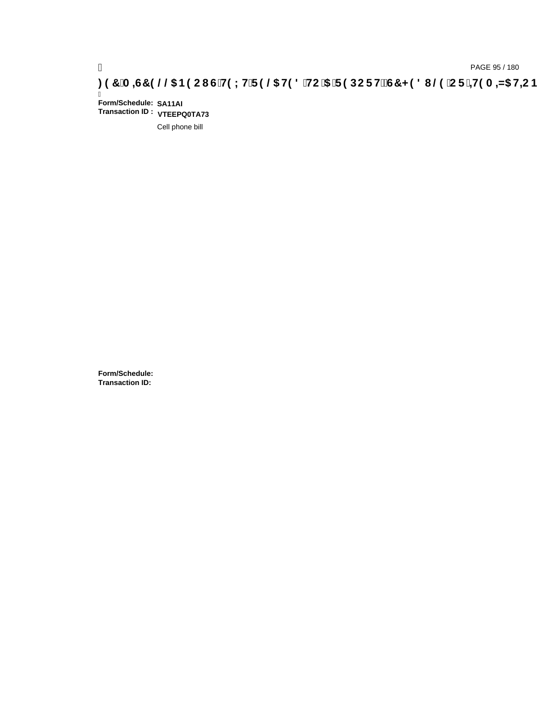# pAGE 95 / 180<br>(DAGE 95 / 180 PAGE 95 / 180 PAGE 95 / 180<br>(OB THE B (CF) Tell Comment of Tell Comment of Comment of Cartists of Cartists of Cartists of Cartists of Car

Ī **Form/Schedule: SA11AI Transaction ID : VTEEPQ0TA73**

Cell phone bill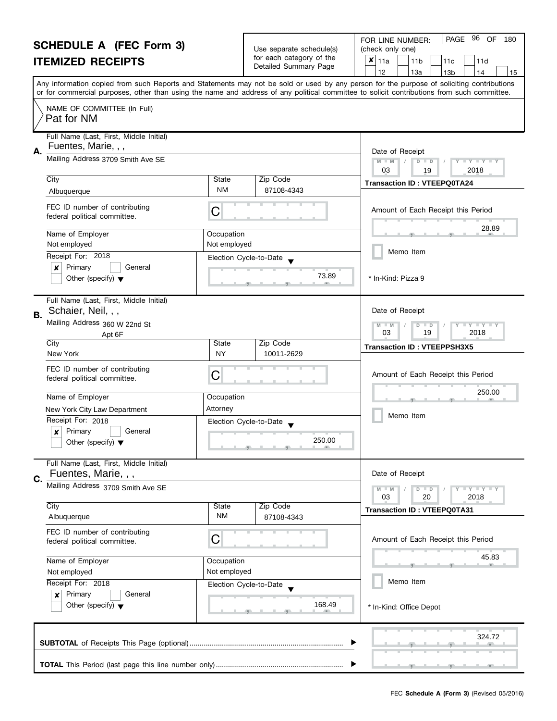| <b>SCHEDULE A (FEC Form 3)</b> |                                                                 |                                                      | 96 OF<br>PAGE<br>180<br>FOR LINE NUMBER: |                                                                                                                                                                                                                                                                                         |
|--------------------------------|-----------------------------------------------------------------|------------------------------------------------------|------------------------------------------|-----------------------------------------------------------------------------------------------------------------------------------------------------------------------------------------------------------------------------------------------------------------------------------------|
|                                |                                                                 | Use separate schedule(s)<br>for each category of the | (check only one)                         |                                                                                                                                                                                                                                                                                         |
|                                | <b>ITEMIZED RECEIPTS</b>                                        |                                                      | Detailed Summary Page                    | $x _{11a}$<br>11 <sub>b</sub><br>11c<br>11d                                                                                                                                                                                                                                             |
|                                |                                                                 |                                                      |                                          | 12<br>13a<br>13 <sub>b</sub><br>14<br>15                                                                                                                                                                                                                                                |
|                                |                                                                 |                                                      |                                          | Any information copied from such Reports and Statements may not be sold or used by any person for the purpose of soliciting contributions<br>or for commercial purposes, other than using the name and address of any political committee to solicit contributions from such committee. |
|                                | NAME OF COMMITTEE (In Full)                                     |                                                      |                                          |                                                                                                                                                                                                                                                                                         |
|                                | Pat for NM                                                      |                                                      |                                          |                                                                                                                                                                                                                                                                                         |
|                                |                                                                 |                                                      |                                          |                                                                                                                                                                                                                                                                                         |
|                                | Full Name (Last, First, Middle Initial)<br>Fuentes, Marie, , ,  |                                                      |                                          |                                                                                                                                                                                                                                                                                         |
| А.                             |                                                                 |                                                      |                                          | Date of Receipt                                                                                                                                                                                                                                                                         |
|                                | Mailing Address 3709 Smith Ave SE                               |                                                      |                                          | $M - M$<br>Y - Y - Y -<br>$D$ $D$<br>03                                                                                                                                                                                                                                                 |
|                                | City                                                            | State                                                | Zip Code                                 | 2018<br>19                                                                                                                                                                                                                                                                              |
|                                | Albuquerque                                                     | <b>NM</b>                                            | 87108-4343                               | <b>Transaction ID: VTEEPQ0TA24</b>                                                                                                                                                                                                                                                      |
|                                |                                                                 |                                                      |                                          |                                                                                                                                                                                                                                                                                         |
|                                | FEC ID number of contributing<br>federal political committee.   | С                                                    |                                          | Amount of Each Receipt this Period                                                                                                                                                                                                                                                      |
|                                |                                                                 |                                                      |                                          | 28.89                                                                                                                                                                                                                                                                                   |
|                                | Name of Employer                                                | Occupation                                           |                                          |                                                                                                                                                                                                                                                                                         |
|                                | Not employed<br>Receipt For: 2018                               | Not employed                                         |                                          | Memo Item                                                                                                                                                                                                                                                                               |
|                                | Primary<br>$\boldsymbol{x}$<br>General                          | Election Cycle-to-Date                               |                                          |                                                                                                                                                                                                                                                                                         |
|                                | Other (specify) $\blacktriangledown$                            |                                                      | 73.89                                    | * In-Kind: Pizza 9                                                                                                                                                                                                                                                                      |
|                                |                                                                 |                                                      |                                          |                                                                                                                                                                                                                                                                                         |
|                                | Full Name (Last, First, Middle Initial)                         |                                                      |                                          |                                                                                                                                                                                                                                                                                         |
| В.                             | Schaier, Neil, , ,                                              |                                                      |                                          | Date of Receipt                                                                                                                                                                                                                                                                         |
|                                | Mailing Address 360 W 22nd St                                   |                                                      |                                          | $Y = Y = Y$<br>$M - M$<br>D<br>$\blacksquare$                                                                                                                                                                                                                                           |
|                                | Apt 6F                                                          |                                                      |                                          | 03<br>2018<br>19                                                                                                                                                                                                                                                                        |
|                                | City<br>New York                                                | State<br><b>NY</b>                                   | Zip Code<br>10011-2629                   | <b>Transaction ID: VTEEPPSH3X5</b>                                                                                                                                                                                                                                                      |
|                                |                                                                 |                                                      |                                          |                                                                                                                                                                                                                                                                                         |
|                                | FEC ID number of contributing<br>federal political committee.   | С                                                    |                                          | Amount of Each Receipt this Period                                                                                                                                                                                                                                                      |
|                                |                                                                 |                                                      |                                          | 250.00                                                                                                                                                                                                                                                                                  |
|                                | Name of Employer                                                | Occupation                                           |                                          |                                                                                                                                                                                                                                                                                         |
|                                | New York City Law Department                                    | Attorney                                             |                                          | Memo Item                                                                                                                                                                                                                                                                               |
|                                | Receipt For: 2018                                               | Election Cycle-to-Date                               |                                          |                                                                                                                                                                                                                                                                                         |
|                                | Primary<br>General<br>$\boldsymbol{x}$                          |                                                      | 250.00                                   |                                                                                                                                                                                                                                                                                         |
|                                | Other (specify) $\blacktriangledown$                            |                                                      | and the state of the state of the state  |                                                                                                                                                                                                                                                                                         |
|                                | Full Name (Last, First, Middle Initial)                         |                                                      |                                          |                                                                                                                                                                                                                                                                                         |
| C.                             | Fuentes, Marie, , ,                                             |                                                      |                                          | Date of Receipt                                                                                                                                                                                                                                                                         |
|                                | Mailing Address 3709 Smith Ave SE                               |                                                      |                                          | Y TY TY TY<br>$M - M$<br>$D$ $D$                                                                                                                                                                                                                                                        |
|                                |                                                                 |                                                      |                                          | 03<br>20<br>2018                                                                                                                                                                                                                                                                        |
|                                | City<br>Albuquerque                                             | State<br>ΝM                                          | Zip Code<br>87108-4343                   | <b>Transaction ID: VTEEPQ0TA31</b>                                                                                                                                                                                                                                                      |
|                                |                                                                 |                                                      |                                          |                                                                                                                                                                                                                                                                                         |
|                                | FEC ID number of contributing<br>federal political committee.   | С                                                    |                                          | Amount of Each Receipt this Period                                                                                                                                                                                                                                                      |
|                                |                                                                 |                                                      |                                          |                                                                                                                                                                                                                                                                                         |
|                                | Name of Employer                                                | Occupation                                           |                                          | 45.83                                                                                                                                                                                                                                                                                   |
|                                | Not employed                                                    | Not employed                                         |                                          |                                                                                                                                                                                                                                                                                         |
|                                | Receipt For: 2018                                               | Election Cycle-to-Date                               |                                          | Memo Item                                                                                                                                                                                                                                                                               |
|                                | Primary<br>General<br>x<br>Other (specify) $\blacktriangledown$ |                                                      | 168.49                                   |                                                                                                                                                                                                                                                                                         |
|                                |                                                                 |                                                      |                                          | * In-Kind: Office Depot                                                                                                                                                                                                                                                                 |
|                                |                                                                 |                                                      |                                          |                                                                                                                                                                                                                                                                                         |
|                                |                                                                 |                                                      |                                          | 324.72                                                                                                                                                                                                                                                                                  |
|                                |                                                                 |                                                      |                                          |                                                                                                                                                                                                                                                                                         |
|                                |                                                                 |                                                      |                                          |                                                                                                                                                                                                                                                                                         |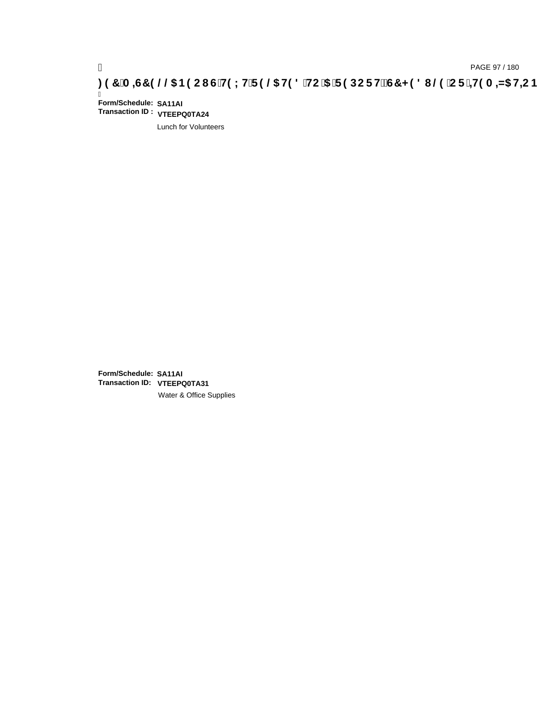# pAGE 97/180<br>(DAGE 97/180, <mark>A⊨G7 9 @@S B9 CIG`H9LH`F 9 @S H98`HC`5 `F 9 DCFHžG7 < 98 I @9`CF`<del>I</del>19 A =N5 H<del>L</del>CB</mark>

Ī **Form/Schedule: SA11AI Transaction ID : VTEEPQ0TA24**

Lunch for Volunteers

**Form/Schedule: SA11AI Transaction ID: VTEEPQ0TA31**Water & Office Supplies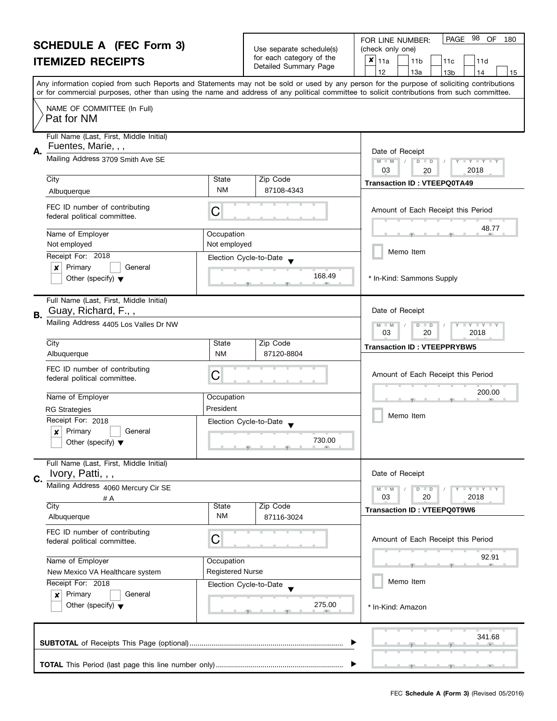|                  | <b>SCHEDULE A (FEC Form 3)</b><br><b>ITEMIZED RECEIPTS</b>      |                                                                          | Use separate schedule(s)<br>for each category of the<br>Detailed Summary Page                                                                              | 98<br>PAGE<br>OF<br>FOR LINE NUMBER:<br>180<br>(check only one)<br>$\boldsymbol{\mathsf{x}}$<br>11a<br>11 <sub>b</sub><br>11d<br>11c<br>12<br>13a<br>13 <sub>b</sub><br>14<br>15                                                                                                        |
|------------------|-----------------------------------------------------------------|--------------------------------------------------------------------------|------------------------------------------------------------------------------------------------------------------------------------------------------------|-----------------------------------------------------------------------------------------------------------------------------------------------------------------------------------------------------------------------------------------------------------------------------------------|
|                  |                                                                 |                                                                          |                                                                                                                                                            | Any information copied from such Reports and Statements may not be sold or used by any person for the purpose of soliciting contributions<br>or for commercial purposes, other than using the name and address of any political committee to solicit contributions from such committee. |
|                  | NAME OF COMMITTEE (In Full)<br>Pat for NM                       |                                                                          |                                                                                                                                                            |                                                                                                                                                                                                                                                                                         |
| Α.               | Full Name (Last, First, Middle Initial)<br>Fuentes, Marie, , ,  |                                                                          |                                                                                                                                                            | Date of Receipt                                                                                                                                                                                                                                                                         |
|                  | Mailing Address 3709 Smith Ave SE                               | $M - M$<br>Y I Y I Y I Y<br>$\overline{D}$<br>$\Box$<br>03<br>2018<br>20 |                                                                                                                                                            |                                                                                                                                                                                                                                                                                         |
|                  | City<br>Albuquerque                                             | State<br><b>NM</b>                                                       | Zip Code<br>87108-4343                                                                                                                                     | <b>Transaction ID: VTEEPQ0TA49</b>                                                                                                                                                                                                                                                      |
|                  | FEC ID number of contributing<br>federal political committee.   | С                                                                        |                                                                                                                                                            | Amount of Each Receipt this Period                                                                                                                                                                                                                                                      |
|                  | Name of Employer<br>Not employed                                | Occupation<br>Not employed                                               |                                                                                                                                                            | 48.77                                                                                                                                                                                                                                                                                   |
|                  | Receipt For: 2018<br>Primary<br>General<br>x                    |                                                                          | Election Cycle-to-Date                                                                                                                                     | Memo Item                                                                                                                                                                                                                                                                               |
|                  | Other (specify) $\blacktriangledown$                            |                                                                          | 168.49                                                                                                                                                     | * In-Kind: Sammons Supply                                                                                                                                                                                                                                                               |
| В.               | Full Name (Last, First, Middle Initial)<br>Guay, Richard, F.,,  |                                                                          |                                                                                                                                                            | Date of Receipt                                                                                                                                                                                                                                                                         |
|                  | Mailing Address 4405 Los Valles Dr NW                           | <b>LYLYLY</b><br>$M - M$<br>$\overline{D}$<br>$\Box$<br>03<br>20<br>2018 |                                                                                                                                                            |                                                                                                                                                                                                                                                                                         |
|                  | City<br>Albuquerque                                             | State<br><b>NM</b>                                                       | Zip Code<br>87120-8804                                                                                                                                     | <b>Transaction ID: VTEEPPRYBW5</b>                                                                                                                                                                                                                                                      |
|                  | FEC ID number of contributing<br>federal political committee.   | С                                                                        |                                                                                                                                                            | Amount of Each Receipt this Period                                                                                                                                                                                                                                                      |
|                  | Name of Employer                                                | Occupation                                                               |                                                                                                                                                            | 200.00                                                                                                                                                                                                                                                                                  |
|                  | <b>RG Strategies</b><br>Receipt For: 2018                       | President                                                                |                                                                                                                                                            | Memo Item                                                                                                                                                                                                                                                                               |
|                  | Primary<br>General<br>X<br>Other (specify) $\blacktriangledown$ |                                                                          | Election Cycle-to-Date<br>730.00<br>$\overline{y}$ and a set of $\overline{y}$ and $\overline{y}$ and $\overline{y}$ and $\overline{y}$ and $\overline{y}$ |                                                                                                                                                                                                                                                                                         |
| C.               | Full Name (Last, First, Middle Initial)<br>Ivory, Patti, , ,    |                                                                          |                                                                                                                                                            | Date of Receipt                                                                                                                                                                                                                                                                         |
|                  | Mailing Address 4060 Mercury Cir SE<br># A                      |                                                                          |                                                                                                                                                            | Y TY TY TY<br>$M - M$<br>$D$ $D$<br>03<br>20<br>2018                                                                                                                                                                                                                                    |
|                  | City<br>Albuquerque                                             | <b>State</b><br><b>NM</b>                                                | Zip Code<br>87116-3024                                                                                                                                     | <b>Transaction ID: VTEEPQ0T9W6</b>                                                                                                                                                                                                                                                      |
|                  | FEC ID number of contributing<br>federal political committee.   | С                                                                        |                                                                                                                                                            | Amount of Each Receipt this Period                                                                                                                                                                                                                                                      |
| Name of Employer |                                                                 | Occupation                                                               |                                                                                                                                                            | 92.91                                                                                                                                                                                                                                                                                   |
|                  | New Mexico VA Healthcare system<br>Receipt For: 2018            | <b>Registered Nurse</b>                                                  |                                                                                                                                                            | Memo Item                                                                                                                                                                                                                                                                               |
|                  | Primary<br>General<br>×<br>Other (specify) $\blacktriangledown$ |                                                                          | Election Cycle-to-Date<br>275.00                                                                                                                           | * In-Kind: Amazon                                                                                                                                                                                                                                                                       |
|                  |                                                                 |                                                                          |                                                                                                                                                            | 341.68                                                                                                                                                                                                                                                                                  |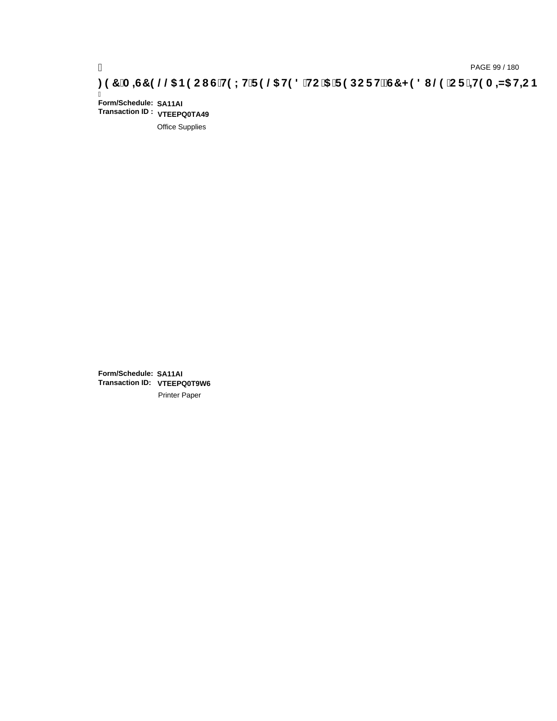# pAGE 99 / 180<br>(DROE 99 / 180 PAGE 99 / 180 PAGE 99 / 180<br>(ODROE HE DROE HE DROE HE DROE HE DROE HE DROE HE DROE HE DROE 197 A A DROE B9 C I

Ī **Form/Schedule: SA11AI Transaction ID : VTEEPQ0TA49**

Office Supplies

**Form/Schedule: SA11AI Transaction ID: VTEEPQ0T9W6**Printer Paper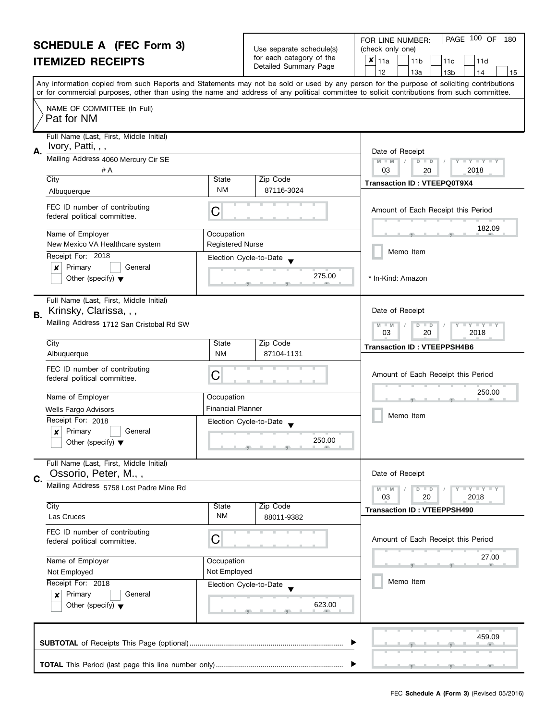#### **SCHEDULE A (FEC Form 3) ITEMIZED RECEIPTS**

|                                                   | FOR LINE NUMBER:   |
|---------------------------------------------------|--------------------|
| Use separate schedule(s)                          | (check only one)   |
| for each category of the<br>Detailed Summary Page | $x _{11a}$<br>111b |

|    | SUMEDULE A (FEU FORM 3)<br><b>ITEMIZED RECEIPTS</b>                             |                            | Use separate schedule(s)<br>for each category of the<br>Detailed Summary Page | (check only one)<br>$\boldsymbol{x}$<br>11a<br>11d<br>11 <sub>b</sub><br>11c<br>12<br>13a<br>13 <sub>b</sub><br>15<br>14                                                                                                                                                                |
|----|---------------------------------------------------------------------------------|----------------------------|-------------------------------------------------------------------------------|-----------------------------------------------------------------------------------------------------------------------------------------------------------------------------------------------------------------------------------------------------------------------------------------|
|    |                                                                                 |                            |                                                                               | Any information copied from such Reports and Statements may not be sold or used by any person for the purpose of soliciting contributions<br>or for commercial purposes, other than using the name and address of any political committee to solicit contributions from such committee. |
|    | NAME OF COMMITTEE (In Full)<br>Pat for NM                                       |                            |                                                                               |                                                                                                                                                                                                                                                                                         |
| А. | Full Name (Last, First, Middle Initial)<br>Ivory, Patti, , ,                    |                            |                                                                               | Date of Receipt                                                                                                                                                                                                                                                                         |
|    | Mailing Address 4060 Mercury Cir SE<br># A<br>City                              | State                      | Zip Code                                                                      | $M - M$<br>$D$ $D$<br>$\Box$ $\Upsilon$ $\Box$ $\Upsilon$ $\Box$<br>03<br>2018<br>20                                                                                                                                                                                                    |
|    | Albuquerque                                                                     | <b>NM</b>                  | 87116-3024                                                                    | <b>Transaction ID: VTEEPQ0T9X4</b>                                                                                                                                                                                                                                                      |
|    | FEC ID number of contributing<br>federal political committee.                   | С                          |                                                                               | Amount of Each Receipt this Period                                                                                                                                                                                                                                                      |
|    | Name of Employer                                                                | Occupation                 |                                                                               | 182.09                                                                                                                                                                                                                                                                                  |
|    | New Mexico VA Healthcare system<br>Receipt For: 2018<br>Primary<br>×<br>General | <b>Registered Nurse</b>    | Election Cycle-to-Date                                                        | Memo Item                                                                                                                                                                                                                                                                               |
|    | Other (specify) $\blacktriangledown$                                            |                            | 275.00                                                                        | * In-Kind: Amazon                                                                                                                                                                                                                                                                       |
| В. | Full Name (Last, First, Middle Initial)<br>Krinsky, Clarissa, , ,               |                            |                                                                               | Date of Receipt                                                                                                                                                                                                                                                                         |
|    | Mailing Address 1712 San Cristobal Rd SW                                        |                            |                                                                               | $M - M$<br>$D$ $D$<br>$Y - Y - Y$<br>03<br>2018<br>20                                                                                                                                                                                                                                   |
|    | City<br>Albuquerque                                                             | State<br><b>NM</b>         | Zip Code<br>87104-1131                                                        | <b>Transaction ID: VTEEPPSH4B6</b>                                                                                                                                                                                                                                                      |
|    | FEC ID number of contributing<br>federal political committee.                   | С                          |                                                                               | Amount of Each Receipt this Period                                                                                                                                                                                                                                                      |
|    | Name of Employer                                                                | Occupation                 |                                                                               | 250.00                                                                                                                                                                                                                                                                                  |
|    | Wells Fargo Advisors<br>Receipt For: 2018                                       | <b>Financial Planner</b>   |                                                                               | Memo Item                                                                                                                                                                                                                                                                               |
|    | Primary<br>General<br>x<br>Other (specify) $\blacktriangledown$                 |                            | Election Cycle-to-Date<br>250.00                                              |                                                                                                                                                                                                                                                                                         |
| C. | Full Name (Last, First, Middle Initial)<br>Ossorio, Peter, M.,,                 |                            |                                                                               | Date of Receipt                                                                                                                                                                                                                                                                         |
|    | Mailing Address 5758 Lost Padre Mine Rd                                         |                            |                                                                               | $D$ $D$<br>$- Y - Y - Y$<br>$-M$<br>03<br>20<br>2018                                                                                                                                                                                                                                    |
|    | City<br>Las Cruces                                                              | State<br><b>NM</b>         | Zip Code<br>88011-9382                                                        | <b>Transaction ID: VTEEPPSH490</b>                                                                                                                                                                                                                                                      |
|    | FEC ID number of contributing<br>federal political committee.                   | С                          |                                                                               | Amount of Each Receipt this Period                                                                                                                                                                                                                                                      |
|    | Name of Employer                                                                | Occupation<br>Not Employed |                                                                               | 27.00                                                                                                                                                                                                                                                                                   |
|    | Not Employed<br>Receipt For: 2018                                               |                            | Election Cycle-to-Date                                                        | Memo Item                                                                                                                                                                                                                                                                               |
|    | Primary<br>General<br>×<br>Other (specify) $\blacktriangledown$                 | 623.00                     |                                                                               |                                                                                                                                                                                                                                                                                         |
|    |                                                                                 |                            |                                                                               | 459.09                                                                                                                                                                                                                                                                                  |
|    |                                                                                 |                            |                                                                               |                                                                                                                                                                                                                                                                                         |

PAGE 100 OF 180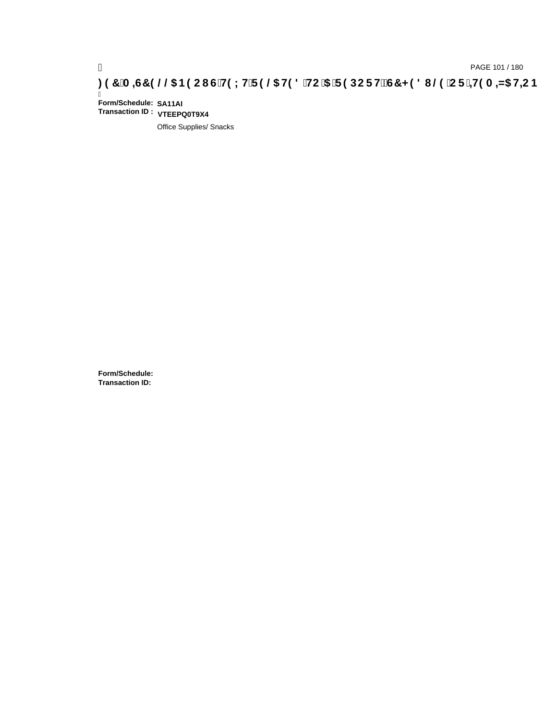Ī **Form/Schedule: SA11AI Transaction ID : VTEEPQ0T9X4**

Office Supplies/ Snacks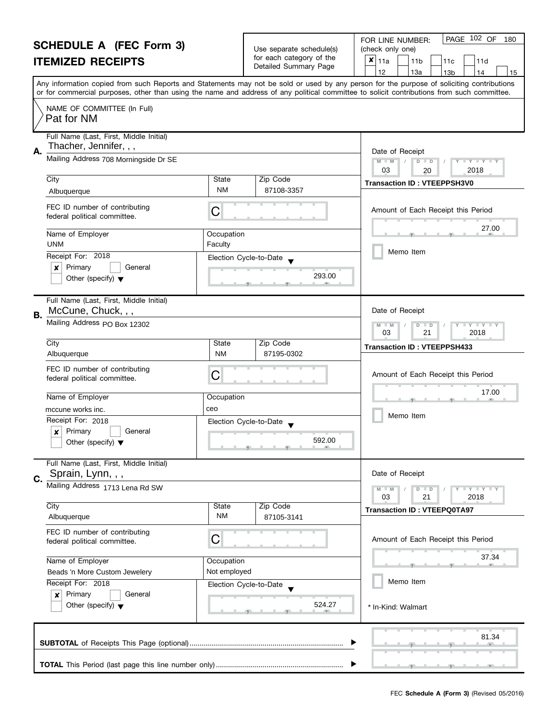| <b>SCHEDULE A (FEC Form 3)</b>                                                         |                                                               |                        |                                                      | PAGE 102 OF<br>FOR LINE NUMBER:<br>180                                                                                                     |  |
|----------------------------------------------------------------------------------------|---------------------------------------------------------------|------------------------|------------------------------------------------------|--------------------------------------------------------------------------------------------------------------------------------------------|--|
| <b>ITEMIZED RECEIPTS</b>                                                               |                                                               |                        | Use separate schedule(s)<br>for each category of the | (check only one)<br>$x _{11a}$<br>11 <sub>b</sub><br>11d<br>11c                                                                            |  |
|                                                                                        |                                                               | Detailed Summary Page  | 12<br>13a<br>13 <sub>b</sub><br>14<br>15             |                                                                                                                                            |  |
|                                                                                        |                                                               |                        |                                                      | Any information copied from such Reports and Statements may not be sold or used by any person for the purpose of soliciting contributions  |  |
|                                                                                        |                                                               |                        |                                                      | or for commercial purposes, other than using the name and address of any political committee to solicit contributions from such committee. |  |
|                                                                                        | NAME OF COMMITTEE (In Full)<br>Pat for NM                     |                        |                                                      |                                                                                                                                            |  |
|                                                                                        | Full Name (Last, First, Middle Initial)                       |                        |                                                      |                                                                                                                                            |  |
| Α.                                                                                     | Thacher, Jennifer, , ,                                        | Date of Receipt        |                                                      |                                                                                                                                            |  |
|                                                                                        | Mailing Address 708 Morningside Dr SE                         |                        |                                                      | $M - M$<br>D<br>$\mathbf{I} \times \mathbf{I} \times \mathbf{I}$<br>$\Box$<br>03                                                           |  |
|                                                                                        | City                                                          | State                  | Zip Code                                             | 2018<br>20                                                                                                                                 |  |
|                                                                                        | Albuquerque                                                   | <b>NM</b>              | 87108-3357                                           | <b>Transaction ID: VTEEPPSH3V0</b>                                                                                                         |  |
|                                                                                        | FEC ID number of contributing<br>federal political committee. | С                      |                                                      | Amount of Each Receipt this Period                                                                                                         |  |
|                                                                                        | Name of Employer<br><b>UNM</b>                                | Occupation<br>Faculty  |                                                      | 27.00                                                                                                                                      |  |
|                                                                                        | Receipt For: 2018                                             |                        |                                                      | Memo Item                                                                                                                                  |  |
|                                                                                        | Primary<br>General<br>×                                       | Election Cycle-to-Date |                                                      |                                                                                                                                            |  |
|                                                                                        | Other (specify) $\blacktriangledown$                          |                        | 293.00                                               |                                                                                                                                            |  |
|                                                                                        |                                                               |                        |                                                      |                                                                                                                                            |  |
|                                                                                        | Full Name (Last, First, Middle Initial)<br>McCune, Chuck, , , |                        |                                                      | Date of Receipt                                                                                                                            |  |
| В.                                                                                     | Mailing Address PO Box 12302                                  |                        |                                                      | $Y - Y - Y$<br>D<br>$-M$<br>$\blacksquare$                                                                                                 |  |
|                                                                                        |                                                               |                        |                                                      |                                                                                                                                            |  |
|                                                                                        | City                                                          | State                  | Zip Code                                             | <b>Transaction ID: VTEEPPSH433</b>                                                                                                         |  |
|                                                                                        | Albuquerque                                                   | <b>NM</b>              | 87195-0302                                           |                                                                                                                                            |  |
|                                                                                        | FEC ID number of contributing<br>federal political committee. | С                      |                                                      | Amount of Each Receipt this Period                                                                                                         |  |
|                                                                                        |                                                               |                        |                                                      | 17.00                                                                                                                                      |  |
|                                                                                        | Name of Employer                                              | Occupation             |                                                      |                                                                                                                                            |  |
|                                                                                        | mccune works inc.                                             | ceo                    |                                                      | Memo Item                                                                                                                                  |  |
|                                                                                        | Receipt For: 2018<br>Primary<br>General                       | Election Cycle-to-Date |                                                      |                                                                                                                                            |  |
|                                                                                        | $\boldsymbol{x}$<br>Other (specify) $\blacktriangledown$      |                        | 592.00                                               |                                                                                                                                            |  |
|                                                                                        |                                                               |                        |                                                      |                                                                                                                                            |  |
|                                                                                        | Full Name (Last, First, Middle Initial)                       |                        |                                                      |                                                                                                                                            |  |
| C.                                                                                     | Sprain, Lynn, , ,                                             |                        |                                                      | Date of Receipt                                                                                                                            |  |
|                                                                                        | Mailing Address 1713 Lena Rd SW                               |                        |                                                      | Y TY TY TY<br>$D$ $D$<br>03<br>21<br>2018                                                                                                  |  |
|                                                                                        | City                                                          | State                  | Zip Code                                             | <b>Transaction ID: VTEEPQ0TA97</b>                                                                                                         |  |
|                                                                                        | Albuquerque                                                   | <b>NM</b>              | 87105-3141                                           |                                                                                                                                            |  |
|                                                                                        | FEC ID number of contributing                                 |                        |                                                      |                                                                                                                                            |  |
| С<br>federal political committee.<br>Name of Employer<br>Beads 'n More Custom Jewelery |                                                               |                        |                                                      | Amount of Each Receipt this Period                                                                                                         |  |
|                                                                                        |                                                               | Occupation             |                                                      | 37.34                                                                                                                                      |  |
|                                                                                        |                                                               | Not employed           |                                                      |                                                                                                                                            |  |
|                                                                                        | Receipt For: 2018                                             | Election Cycle-to-Date |                                                      | Memo Item                                                                                                                                  |  |
|                                                                                        | Primary<br>General<br>×                                       |                        |                                                      |                                                                                                                                            |  |
|                                                                                        | Other (specify) $\blacktriangledown$                          |                        | 524.27                                               | * In-Kind: Walmart                                                                                                                         |  |
|                                                                                        |                                                               |                        |                                                      |                                                                                                                                            |  |
|                                                                                        |                                                               |                        |                                                      | 81.34                                                                                                                                      |  |
|                                                                                        |                                                               |                        |                                                      |                                                                                                                                            |  |
|                                                                                        |                                                               |                        |                                                      |                                                                                                                                            |  |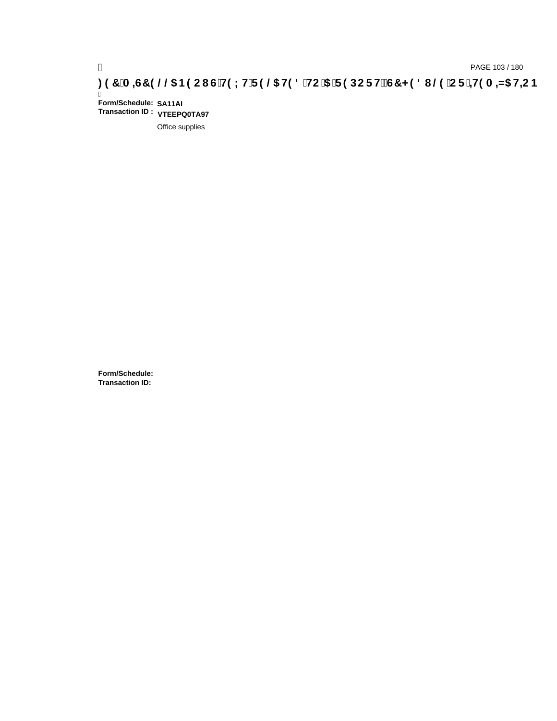Ī **Form/Schedule: SA11AI Transaction ID : VTEEPQ0TA97**

Office supplies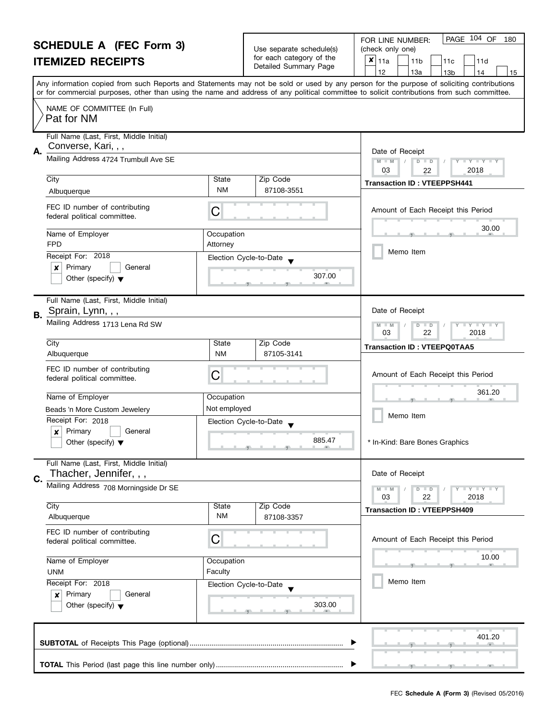| <b>SCHEDULE A (FEC Form 3)</b> |                                                                                                 |                                                                                                                                            |                                       | PAGE 104 OF<br>180<br>FOR LINE NUMBER:                                                                                                                                          |  |  |
|--------------------------------|-------------------------------------------------------------------------------------------------|--------------------------------------------------------------------------------------------------------------------------------------------|---------------------------------------|---------------------------------------------------------------------------------------------------------------------------------------------------------------------------------|--|--|
|                                |                                                                                                 | Use separate schedule(s)<br>for each category of the                                                                                       | (check only one)                      |                                                                                                                                                                                 |  |  |
|                                | <b>ITEMIZED RECEIPTS</b>                                                                        |                                                                                                                                            | Detailed Summary Page                 | $x _{11a}$<br>11 <sub>b</sub><br>11c<br>11d<br>12                                                                                                                               |  |  |
|                                |                                                                                                 |                                                                                                                                            |                                       | 13a<br>13 <sub>b</sub><br>14<br>15<br>Any information copied from such Reports and Statements may not be sold or used by any person for the purpose of soliciting contributions |  |  |
|                                |                                                                                                 | or for commercial purposes, other than using the name and address of any political committee to solicit contributions from such committee. |                                       |                                                                                                                                                                                 |  |  |
|                                | NAME OF COMMITTEE (In Full)<br>Pat for NM                                                       |                                                                                                                                            |                                       |                                                                                                                                                                                 |  |  |
| А.                             | Full Name (Last, First, Middle Initial)<br>Converse, Kari, , ,                                  | Date of Receipt                                                                                                                            |                                       |                                                                                                                                                                                 |  |  |
|                                | Mailing Address 4724 Trumbull Ave SE                                                            |                                                                                                                                            |                                       | $M - M$<br>$D$ $D$<br>$+Y+Y+Y$<br>03<br>2018<br>22                                                                                                                              |  |  |
|                                | City                                                                                            | State                                                                                                                                      | Zip Code                              | <b>Transaction ID: VTEEPPSH441</b>                                                                                                                                              |  |  |
|                                | Albuquerque                                                                                     | <b>NM</b>                                                                                                                                  | 87108-3551                            |                                                                                                                                                                                 |  |  |
|                                | FEC ID number of contributing<br>federal political committee.                                   | С                                                                                                                                          |                                       | Amount of Each Receipt this Period                                                                                                                                              |  |  |
|                                | Name of Employer<br><b>FPD</b>                                                                  | Occupation<br>Attorney                                                                                                                     |                                       | 30.00                                                                                                                                                                           |  |  |
|                                | Receipt For: 2018                                                                               |                                                                                                                                            | Election Cycle-to-Date                | Memo Item                                                                                                                                                                       |  |  |
|                                | Primary<br>x<br>General                                                                         |                                                                                                                                            |                                       |                                                                                                                                                                                 |  |  |
|                                | Other (specify) $\blacktriangledown$                                                            |                                                                                                                                            | 307.00                                |                                                                                                                                                                                 |  |  |
| В.                             | Full Name (Last, First, Middle Initial)<br>Sprain, Lynn, , ,                                    |                                                                                                                                            |                                       | Date of Receipt                                                                                                                                                                 |  |  |
|                                | Mailing Address 1713 Lena Rd SW                                                                 |                                                                                                                                            |                                       | $Y$ $Y$<br>$-M$<br>D<br>$\Box$<br>03<br>22<br>2018                                                                                                                              |  |  |
|                                | City                                                                                            | State                                                                                                                                      | Zip Code                              | <b>Transaction ID: VTEEPQ0TAA5</b>                                                                                                                                              |  |  |
|                                | Albuquerque                                                                                     | <b>NM</b>                                                                                                                                  | 87105-3141                            |                                                                                                                                                                                 |  |  |
|                                | FEC ID number of contributing<br>federal political committee.                                   | C                                                                                                                                          |                                       | Amount of Each Receipt this Period                                                                                                                                              |  |  |
|                                | Name of Employer                                                                                | Occupation                                                                                                                                 |                                       | 361.20                                                                                                                                                                          |  |  |
|                                | Beads 'n More Custom Jewelery                                                                   | Not employed                                                                                                                               |                                       | Memo Item                                                                                                                                                                       |  |  |
|                                | Receipt For: 2018                                                                               | Election Cycle-to-Date                                                                                                                     |                                       |                                                                                                                                                                                 |  |  |
|                                | Primary<br>General<br>×<br>Other (specify) $\blacktriangledown$                                 |                                                                                                                                            | 885.47<br><u>g a baile gant a bai</u> | In-Kind: Bare Bones Graphics                                                                                                                                                    |  |  |
|                                | Full Name (Last, First, Middle Initial)<br>Thacher, Jennifer, , ,                               |                                                                                                                                            |                                       | Date of Receipt                                                                                                                                                                 |  |  |
| C.                             | Mailing Address 708 Morningside Dr SE                                                           |                                                                                                                                            |                                       | $T + Y = Y + Y$<br>$M - M$<br>$D$ $D$                                                                                                                                           |  |  |
|                                |                                                                                                 |                                                                                                                                            |                                       | 03<br>22<br>2018                                                                                                                                                                |  |  |
|                                | City<br>Albuquerque                                                                             | State<br>ΝM                                                                                                                                | Zip Code<br>87108-3357                | <b>Transaction ID: VTEEPPSH409</b>                                                                                                                                              |  |  |
|                                | FEC ID number of contributing<br>federal political committee.                                   | C<br>Occupation                                                                                                                            |                                       | Amount of Each Receipt this Period                                                                                                                                              |  |  |
|                                | Name of Employer                                                                                |                                                                                                                                            |                                       | 10.00                                                                                                                                                                           |  |  |
|                                | Faculty<br><b>UNM</b><br>Receipt For: 2018<br>Election Cycle-to-Date<br>Primary<br>General<br>× |                                                                                                                                            |                                       |                                                                                                                                                                                 |  |  |
|                                |                                                                                                 |                                                                                                                                            |                                       | Memo Item                                                                                                                                                                       |  |  |
|                                |                                                                                                 |                                                                                                                                            | 303.00                                |                                                                                                                                                                                 |  |  |
|                                | Other (specify) $\blacktriangledown$                                                            |                                                                                                                                            |                                       |                                                                                                                                                                                 |  |  |
| 401.20                         |                                                                                                 |                                                                                                                                            |                                       |                                                                                                                                                                                 |  |  |
|                                |                                                                                                 |                                                                                                                                            |                                       |                                                                                                                                                                                 |  |  |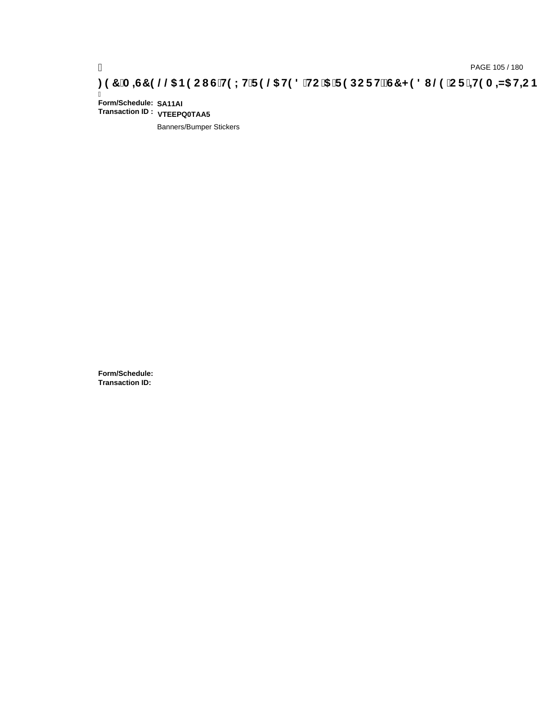Ī **Form/Schedule: SA11AI Transaction ID : VTEEPQ0TAA5**

Banners/Bumper Stickers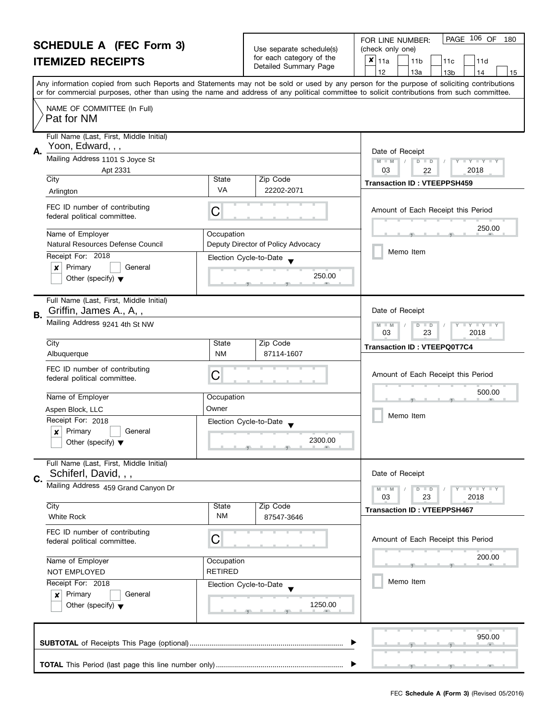#### **SCHEDULE A (FEC Form 3) ITEMIZED RECEIPTS**

|                                                   | FOR LINE NUMBER:    |
|---------------------------------------------------|---------------------|
| Use separate schedule(s)                          | (check only one)    |
| for each category of the<br>Detailed Summary Page | $x _{11a}$<br>l 11b |

I

| OUNEDULE A (FEU FONII J)<br><b>ITEMIZED RECEIPTS</b>                                                                                          |                              | Use separate schedule(s)<br>for each category of the<br>Detailed Summary Page | (check only one)<br>$x _{11a}$<br>11 <sub>b</sub><br>11c<br>11d<br>12<br>13a<br>13 <sub>b</sub><br>15<br>14                                                                                                                                                                             |
|-----------------------------------------------------------------------------------------------------------------------------------------------|------------------------------|-------------------------------------------------------------------------------|-----------------------------------------------------------------------------------------------------------------------------------------------------------------------------------------------------------------------------------------------------------------------------------------|
|                                                                                                                                               |                              |                                                                               | Any information copied from such Reports and Statements may not be sold or used by any person for the purpose of soliciting contributions<br>or for commercial purposes, other than using the name and address of any political committee to solicit contributions from such committee. |
| NAME OF COMMITTEE (In Full)<br>Pat for NM                                                                                                     |                              |                                                                               |                                                                                                                                                                                                                                                                                         |
| Full Name (Last, First, Middle Initial)<br>Yoon, Edward, , ,<br>Mailing Address 1101 S Joyce St<br>Apt 2331                                   |                              |                                                                               | Date of Receipt<br>$M - M$<br>$D$ $D$<br>$+Y+Y$<br>$\sqrt{2}$<br>03<br>2018<br>22                                                                                                                                                                                                       |
| City<br>Arlington                                                                                                                             | State<br><b>VA</b>           | Zip Code<br>22202-2071                                                        | <b>Transaction ID: VTEEPPSH459</b>                                                                                                                                                                                                                                                      |
| FEC ID number of contributing<br>federal political committee.                                                                                 | C                            |                                                                               | Amount of Each Receipt this Period                                                                                                                                                                                                                                                      |
| Name of Employer<br>Natural Resources Defense Council<br>Receipt For: 2018<br>Primary<br>General<br>x<br>Other (specify) $\blacktriangledown$ | Occupation                   | Deputy Director of Policy Advocacy<br>Election Cycle-to-Date<br>250.00        | 250.00<br>Memo Item                                                                                                                                                                                                                                                                     |
| Full Name (Last, First, Middle Initial)<br>Griffin, James A., A,,<br>B.<br>Mailing Address 9241 4th St NW                                     |                              |                                                                               | Date of Receipt<br>$M - M$<br>$D$ $D$<br>$Y+Y$<br>23<br>03<br>2018                                                                                                                                                                                                                      |
| City<br>Albuquerque                                                                                                                           | State<br><b>NM</b>           | Zip Code<br>87114-1607                                                        | <b>Transaction ID: VTEEPQ0T7C4</b>                                                                                                                                                                                                                                                      |
| FEC ID number of contributing<br>federal political committee.                                                                                 | С                            |                                                                               | Amount of Each Receipt this Period                                                                                                                                                                                                                                                      |
| Name of Employer<br>Aspen Block, LLC                                                                                                          | Occupation<br>Owner          |                                                                               | 500.00<br>Memo Item                                                                                                                                                                                                                                                                     |
| Receipt For: 2018<br>Primary<br>General<br>x<br>Other (specify) $\blacktriangledown$                                                          |                              | Election Cycle-to-Date<br>2300.00                                             |                                                                                                                                                                                                                                                                                         |
| Full Name (Last, First, Middle Initial)<br>Schiferl, David, , ,<br>Mailing Address 459 Grand Canyon Dr                                        |                              |                                                                               | Date of Receipt                                                                                                                                                                                                                                                                         |
|                                                                                                                                               |                              |                                                                               | $M - M$<br>$T - Y = Y + Y$<br>$D$ $D$<br>03<br>23<br>2018                                                                                                                                                                                                                               |
| City<br><b>White Rock</b>                                                                                                                     | State<br>ΝM                  | Zip Code<br>87547-3646                                                        | <b>Transaction ID: VTEEPPSH467</b>                                                                                                                                                                                                                                                      |
| FEC ID number of contributing<br>federal political committee.                                                                                 | С                            |                                                                               | Amount of Each Receipt this Period                                                                                                                                                                                                                                                      |
| Name of Employer<br>NOT EMPLOYED                                                                                                              | Occupation<br><b>RETIRED</b> |                                                                               | 200.00                                                                                                                                                                                                                                                                                  |
| Receipt For: 2018<br>Primary<br>General<br>x<br>Other (specify) $\blacktriangledown$                                                          |                              | Election Cycle-to-Date<br>1250.00                                             | Memo Item                                                                                                                                                                                                                                                                               |
|                                                                                                                                               |                              |                                                                               | 950.00                                                                                                                                                                                                                                                                                  |
|                                                                                                                                               |                              |                                                                               |                                                                                                                                                                                                                                                                                         |

PAGE 106 OF 180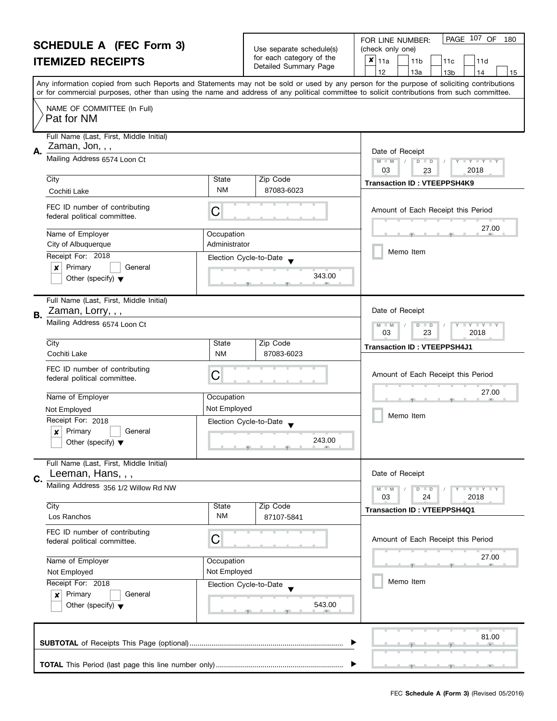| <b>SCHEDULE A (FEC Form 3)</b><br><b>ITEMIZED RECEIPTS</b> |                                                                                |                                                                                  | Use separate schedule(s)<br>for each category of the | PAGE 107 OF<br>FOR LINE NUMBER:<br>180                                                                                                                                                                                                                                                  |  |
|------------------------------------------------------------|--------------------------------------------------------------------------------|----------------------------------------------------------------------------------|------------------------------------------------------|-----------------------------------------------------------------------------------------------------------------------------------------------------------------------------------------------------------------------------------------------------------------------------------------|--|
|                                                            |                                                                                |                                                                                  |                                                      | (check only one)<br>$x _{11a}$<br>11 <sub>b</sub><br>11d<br>11c                                                                                                                                                                                                                         |  |
|                                                            |                                                                                |                                                                                  | Detailed Summary Page                                | 12<br>13a<br>13 <sub>b</sub><br>14<br>15                                                                                                                                                                                                                                                |  |
|                                                            |                                                                                |                                                                                  |                                                      | Any information copied from such Reports and Statements may not be sold or used by any person for the purpose of soliciting contributions<br>or for commercial purposes, other than using the name and address of any political committee to solicit contributions from such committee. |  |
|                                                            | NAME OF COMMITTEE (In Full)<br>Pat for NM                                      |                                                                                  |                                                      |                                                                                                                                                                                                                                                                                         |  |
|                                                            | Full Name (Last, First, Middle Initial)<br>Zaman, Jon, , ,                     |                                                                                  |                                                      |                                                                                                                                                                                                                                                                                         |  |
| А.                                                         | Mailing Address 6574 Loon Ct                                                   | Date of Receipt<br>$M - M$<br>D<br>$Y = Y + Y + T$<br>$\Box$<br>2018<br>03<br>23 |                                                      |                                                                                                                                                                                                                                                                                         |  |
|                                                            | City                                                                           | State                                                                            | Zip Code                                             | <b>Transaction ID: VTEEPPSH4K9</b>                                                                                                                                                                                                                                                      |  |
|                                                            | Cochiti Lake                                                                   | <b>NM</b>                                                                        | 87083-6023                                           |                                                                                                                                                                                                                                                                                         |  |
|                                                            | FEC ID number of contributing<br>federal political committee.                  | С                                                                                |                                                      | Amount of Each Receipt this Period                                                                                                                                                                                                                                                      |  |
|                                                            | Name of Employer<br>City of Albuquerque                                        | Occupation<br>Administrator                                                      |                                                      | 27.00                                                                                                                                                                                                                                                                                   |  |
|                                                            | Receipt For: 2018                                                              |                                                                                  | Election Cycle-to-Date                               | Memo Item                                                                                                                                                                                                                                                                               |  |
|                                                            | Primary<br>General<br>×<br>Other (specify) $\blacktriangledown$                |                                                                                  | 343.00                                               |                                                                                                                                                                                                                                                                                         |  |
|                                                            | Full Name (Last, First, Middle Initial)<br>Zaman, Lorry, , ,                   |                                                                                  |                                                      | Date of Receipt                                                                                                                                                                                                                                                                         |  |
| В.                                                         | Mailing Address 6574 Loon Ct                                                   |                                                                                  |                                                      | $Y - Y - Y$<br>D<br>$\Box$<br>$-M$<br>03<br>23<br>2018                                                                                                                                                                                                                                  |  |
|                                                            | City                                                                           | State                                                                            | Zip Code                                             | <b>Transaction ID: VTEEPPSH4J1</b>                                                                                                                                                                                                                                                      |  |
|                                                            | Cochiti Lake                                                                   | <b>NM</b>                                                                        | 87083-6023                                           |                                                                                                                                                                                                                                                                                         |  |
|                                                            | FEC ID number of contributing<br>federal political committee.                  | С                                                                                |                                                      | Amount of Each Receipt this Period                                                                                                                                                                                                                                                      |  |
|                                                            | Name of Employer<br>Occupation<br>Not Employed<br>Not Employed                 |                                                                                  |                                                      | 27.00                                                                                                                                                                                                                                                                                   |  |
|                                                            |                                                                                |                                                                                  |                                                      |                                                                                                                                                                                                                                                                                         |  |
|                                                            | Receipt For: 2018                                                              |                                                                                  | Election Cycle-to-Date                               | Memo Item                                                                                                                                                                                                                                                                               |  |
|                                                            | Primary<br>General<br>$\boldsymbol{x}$<br>Other (specify) $\blacktriangledown$ |                                                                                  | 243.00                                               |                                                                                                                                                                                                                                                                                         |  |
| C.                                                         | Full Name (Last, First, Middle Initial)<br>Leeman, Hans, , ,                   |                                                                                  |                                                      | Date of Receipt                                                                                                                                                                                                                                                                         |  |
|                                                            | Mailing Address 356 1/2 Willow Rd NW                                           |                                                                                  |                                                      | Y I Y I Y I Y<br>$D$ $D$<br>03<br>24<br>2018                                                                                                                                                                                                                                            |  |
|                                                            | City                                                                           | State                                                                            | Zip Code                                             | <b>Transaction ID: VTEEPPSH4Q1</b>                                                                                                                                                                                                                                                      |  |
|                                                            | Los Ranchos                                                                    | <b>NM</b>                                                                        | 87107-5841                                           |                                                                                                                                                                                                                                                                                         |  |
|                                                            | FEC ID number of contributing<br>federal political committee.                  | С                                                                                |                                                      | Amount of Each Receipt this Period                                                                                                                                                                                                                                                      |  |
|                                                            | Name of Employer<br>Occupation                                                 |                                                                                  |                                                      | 27.00                                                                                                                                                                                                                                                                                   |  |
|                                                            | Not Employed                                                                   | Not Employed                                                                     |                                                      |                                                                                                                                                                                                                                                                                         |  |
|                                                            | Receipt For: 2018                                                              | Election Cycle-to-Date                                                           |                                                      | Memo Item                                                                                                                                                                                                                                                                               |  |
|                                                            | Primary<br>General<br>×<br>Other (specify) $\blacktriangledown$                | 543.00                                                                           |                                                      |                                                                                                                                                                                                                                                                                         |  |
|                                                            |                                                                                |                                                                                  |                                                      | 81.00                                                                                                                                                                                                                                                                                   |  |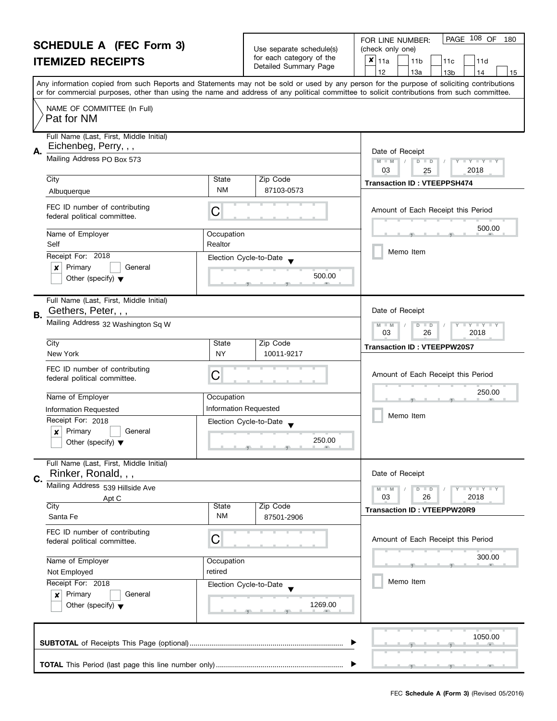| <b>SCHEDULE A (FEC Form 3)</b><br><b>ITEMIZED RECEIPTS</b> |                                                                        |                                                                                                                                                                                 | Use separate schedule(s)<br>for each category of the<br>Detailed Summary Page | PAGE 108 OF<br>FOR LINE NUMBER:<br>180<br>(check only one)<br>×<br>11a<br>11 <sub>b</sub><br>11d<br>11c<br>12<br>13a<br>13 <sub>b</sub><br>14<br>15                                                                                                                                     |
|------------------------------------------------------------|------------------------------------------------------------------------|---------------------------------------------------------------------------------------------------------------------------------------------------------------------------------|-------------------------------------------------------------------------------|-----------------------------------------------------------------------------------------------------------------------------------------------------------------------------------------------------------------------------------------------------------------------------------------|
|                                                            |                                                                        |                                                                                                                                                                                 |                                                                               | Any information copied from such Reports and Statements may not be sold or used by any person for the purpose of soliciting contributions<br>or for commercial purposes, other than using the name and address of any political committee to solicit contributions from such committee. |
|                                                            | NAME OF COMMITTEE (In Full)<br>Pat for NM                              |                                                                                                                                                                                 |                                                                               |                                                                                                                                                                                                                                                                                         |
| А.                                                         | Full Name (Last, First, Middle Initial)<br>Eichenbeg, Perry, , ,       | Date of Receipt                                                                                                                                                                 |                                                                               |                                                                                                                                                                                                                                                                                         |
|                                                            | Mailing Address PO Box 573                                             | $M - M$<br>$\begin{array}{c c c c c c} \hline \textbf{I} & \textbf{Y} & \textbf{I} & \textbf{Y} & \textbf{I} & \textbf{Y} \\ \hline \end{array}$<br>$D$ $D$<br>03<br>2018<br>25 |                                                                               |                                                                                                                                                                                                                                                                                         |
|                                                            | City<br>Albuquerque                                                    | State<br>NM                                                                                                                                                                     | Zip Code<br>87103-0573                                                        | <b>Transaction ID: VTEEPPSH474</b>                                                                                                                                                                                                                                                      |
|                                                            | FEC ID number of contributing<br>federal political committee.          | C                                                                                                                                                                               |                                                                               | Amount of Each Receipt this Period                                                                                                                                                                                                                                                      |
|                                                            | Name of Employer<br>Occupation<br>Self<br>Realtor                      |                                                                                                                                                                                 |                                                                               | 500.00                                                                                                                                                                                                                                                                                  |
|                                                            | Receipt For: 2018                                                      |                                                                                                                                                                                 | Election Cycle-to-Date                                                        | Memo Item                                                                                                                                                                                                                                                                               |
|                                                            | Primary<br>General<br>x<br>Other (specify) $\blacktriangledown$        |                                                                                                                                                                                 | 500.00                                                                        |                                                                                                                                                                                                                                                                                         |
| В.                                                         | Full Name (Last, First, Middle Initial)<br>Gethers, Peter, , ,         |                                                                                                                                                                                 |                                                                               | Date of Receipt                                                                                                                                                                                                                                                                         |
|                                                            | Mailing Address 32 Washington Sq W                                     |                                                                                                                                                                                 |                                                                               | $\bot$ Y $\bot$ Y $\bot$ Y<br>$M - M$<br>$D$ $D$<br>03<br>26<br>2018                                                                                                                                                                                                                    |
|                                                            | City<br>New York                                                       | State<br><b>NY</b>                                                                                                                                                              | Zip Code<br>10011-9217                                                        | <b>Transaction ID: VTEEPPW20S7</b>                                                                                                                                                                                                                                                      |
|                                                            | FEC ID number of contributing<br>federal political committee.          | C                                                                                                                                                                               |                                                                               | Amount of Each Receipt this Period                                                                                                                                                                                                                                                      |
|                                                            | Name of Employer<br>Occupation                                         |                                                                                                                                                                                 |                                                                               | 250.00                                                                                                                                                                                                                                                                                  |
|                                                            | Information Requested                                                  | <b>Information Requested</b>                                                                                                                                                    |                                                                               | Memo Item                                                                                                                                                                                                                                                                               |
|                                                            | Receipt For: 2018                                                      | Election Cycle-to-Date                                                                                                                                                          |                                                                               |                                                                                                                                                                                                                                                                                         |
|                                                            | Primary<br>X<br>Other (specify) $\blacktriangledown$                   | General<br>250.00                                                                                                                                                               |                                                                               |                                                                                                                                                                                                                                                                                         |
| C.                                                         | Full Name (Last, First, Middle Initial)<br>Rinker, Ronald, , ,         |                                                                                                                                                                                 |                                                                               | Date of Receipt                                                                                                                                                                                                                                                                         |
|                                                            | Mailing Address 539 Hillside Ave<br>Apt C                              |                                                                                                                                                                                 |                                                                               | Y I Y I Y I Y<br>$M - M$<br>$D$ $D$<br>03<br>26<br>2018                                                                                                                                                                                                                                 |
|                                                            | City<br>Santa Fe                                                       | <b>State</b><br><b>NM</b>                                                                                                                                                       | Zip Code<br>87501-2906                                                        | <b>Transaction ID: VTEEPPW20R9</b>                                                                                                                                                                                                                                                      |
|                                                            | FEC ID number of contributing<br>federal political committee.          | С                                                                                                                                                                               |                                                                               | Amount of Each Receipt this Period                                                                                                                                                                                                                                                      |
|                                                            | Name of Employer                                                       | Occupation                                                                                                                                                                      |                                                                               | 300.00<br>一                                                                                                                                                                                                                                                                             |
|                                                            | retired<br>Not Employed<br>Receipt For: 2018<br>Election Cycle-to-Date |                                                                                                                                                                                 |                                                                               | Memo Item                                                                                                                                                                                                                                                                               |
|                                                            |                                                                        |                                                                                                                                                                                 |                                                                               |                                                                                                                                                                                                                                                                                         |
|                                                            | Primary<br>General<br>×<br>Other (specify) $\blacktriangledown$        |                                                                                                                                                                                 | 1269.00                                                                       |                                                                                                                                                                                                                                                                                         |
| 1050.00                                                    |                                                                        |                                                                                                                                                                                 |                                                                               |                                                                                                                                                                                                                                                                                         |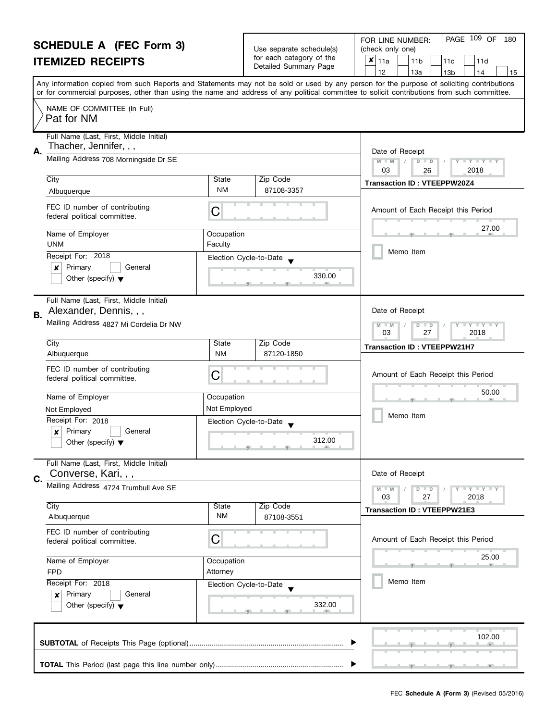|    | <b>SCHEDULE A (FEC Form 3)</b>                                                                      |                           |                                                                                                                                                                                                                                                | PAGE 109 OF<br>180<br>FOR LINE NUMBER:                                                                                                                                                                                                                                                  |
|----|-----------------------------------------------------------------------------------------------------|---------------------------|------------------------------------------------------------------------------------------------------------------------------------------------------------------------------------------------------------------------------------------------|-----------------------------------------------------------------------------------------------------------------------------------------------------------------------------------------------------------------------------------------------------------------------------------------|
|    | <b>ITEMIZED RECEIPTS</b>                                                                            |                           | Use separate schedule(s)<br>for each category of the                                                                                                                                                                                           | (check only one)<br>$x _{11a}$<br>11 <sub>b</sub><br>11c<br>11d                                                                                                                                                                                                                         |
|    |                                                                                                     |                           | Detailed Summary Page                                                                                                                                                                                                                          | 12<br>13a<br>13 <sub>b</sub><br>14<br>15                                                                                                                                                                                                                                                |
|    |                                                                                                     |                           |                                                                                                                                                                                                                                                | Any information copied from such Reports and Statements may not be sold or used by any person for the purpose of soliciting contributions<br>or for commercial purposes, other than using the name and address of any political committee to solicit contributions from such committee. |
|    | NAME OF COMMITTEE (In Full)<br>Pat for NM                                                           |                           |                                                                                                                                                                                                                                                |                                                                                                                                                                                                                                                                                         |
| А. | Full Name (Last, First, Middle Initial)<br>Thacher, Jennifer, , ,                                   |                           |                                                                                                                                                                                                                                                | Date of Receipt                                                                                                                                                                                                                                                                         |
|    | Mailing Address 708 Morningside Dr SE                                                               |                           |                                                                                                                                                                                                                                                | $M - M$<br>$D$ $D$<br>$\mathbf{I}$ $\mathbf{Y}$ $\mathbf{I}$ $\mathbf{Y}$ $\mathbf{I}$<br>03<br>2018<br>26                                                                                                                                                                              |
|    | City<br>Albuquerque                                                                                 | State<br>NM               | Zip Code<br>87108-3357                                                                                                                                                                                                                         | <b>Transaction ID: VTEEPPW20Z4</b>                                                                                                                                                                                                                                                      |
|    | FEC ID number of contributing<br>federal political committee.                                       | C                         |                                                                                                                                                                                                                                                | Amount of Each Receipt this Period                                                                                                                                                                                                                                                      |
|    | Name of Employer<br><b>UNM</b>                                                                      | Occupation<br>Faculty     |                                                                                                                                                                                                                                                | 27.00                                                                                                                                                                                                                                                                                   |
|    | Receipt For: 2018                                                                                   | Election Cycle-to-Date    |                                                                                                                                                                                                                                                | Memo Item                                                                                                                                                                                                                                                                               |
|    | Primary<br>General<br>×<br>Other (specify) $\blacktriangledown$                                     |                           | 330.00                                                                                                                                                                                                                                         |                                                                                                                                                                                                                                                                                         |
| В. | Full Name (Last, First, Middle Initial)<br>Alexander, Dennis, , ,                                   |                           |                                                                                                                                                                                                                                                | Date of Receipt                                                                                                                                                                                                                                                                         |
|    | Mailing Address 4827 Mi Cordelia Dr NW                                                              |                           |                                                                                                                                                                                                                                                | $Y + Y$<br>D<br>$-M$<br>$\blacksquare$<br>03<br>27<br>2018                                                                                                                                                                                                                              |
|    | City<br>Albuquerque                                                                                 | <b>State</b><br><b>NM</b> | Zip Code<br>87120-1850                                                                                                                                                                                                                         | <b>Transaction ID: VTEEPPW21H7</b>                                                                                                                                                                                                                                                      |
|    | FEC ID number of contributing<br>federal political committee.                                       | С                         |                                                                                                                                                                                                                                                | Amount of Each Receipt this Period                                                                                                                                                                                                                                                      |
|    | Name of Employer                                                                                    | Occupation                |                                                                                                                                                                                                                                                | 50.00                                                                                                                                                                                                                                                                                   |
|    | Not Employed                                                                                        | Not Employed              |                                                                                                                                                                                                                                                |                                                                                                                                                                                                                                                                                         |
|    | Receipt For: 2018<br>Primary<br>$\boldsymbol{x}$<br>General<br>Other (specify) $\blacktriangledown$ | Election Cycle-to-Date    | 312.00<br><u>The Common State Common State Common State Common State Common State Common State Common State Common State Common State Common State Common State Common State Common State Common State Common State Common State Common St</u> | Memo Item                                                                                                                                                                                                                                                                               |
|    | Full Name (Last, First, Middle Initial)<br>Converse, Kari, , ,                                      |                           |                                                                                                                                                                                                                                                | Date of Receipt                                                                                                                                                                                                                                                                         |
| C. | Mailing Address 4724 Trumbull Ave SE                                                                |                           |                                                                                                                                                                                                                                                | Y I Y I Y I Y<br>$D$ $D$<br>2018<br>03<br>27                                                                                                                                                                                                                                            |
|    | City<br>Albuquerque                                                                                 | State<br>ΝM               | Zip Code<br>87108-3551                                                                                                                                                                                                                         | <b>Transaction ID: VTEEPPW21E3</b>                                                                                                                                                                                                                                                      |
|    | FEC ID number of contributing<br>federal political committee.                                       | C                         |                                                                                                                                                                                                                                                | Amount of Each Receipt this Period                                                                                                                                                                                                                                                      |
|    | Name of Employer<br><b>FPD</b>                                                                      | Occupation<br>Attorney    |                                                                                                                                                                                                                                                | 25.00                                                                                                                                                                                                                                                                                   |
|    | Receipt For: 2018                                                                                   | Election Cycle-to-Date    |                                                                                                                                                                                                                                                | Memo Item                                                                                                                                                                                                                                                                               |
|    | Primary<br>General<br>×<br>Other (specify) $\blacktriangledown$                                     |                           | 332.00                                                                                                                                                                                                                                         |                                                                                                                                                                                                                                                                                         |
|    |                                                                                                     |                           |                                                                                                                                                                                                                                                | 102.00                                                                                                                                                                                                                                                                                  |
|    |                                                                                                     |                           |                                                                                                                                                                                                                                                |                                                                                                                                                                                                                                                                                         |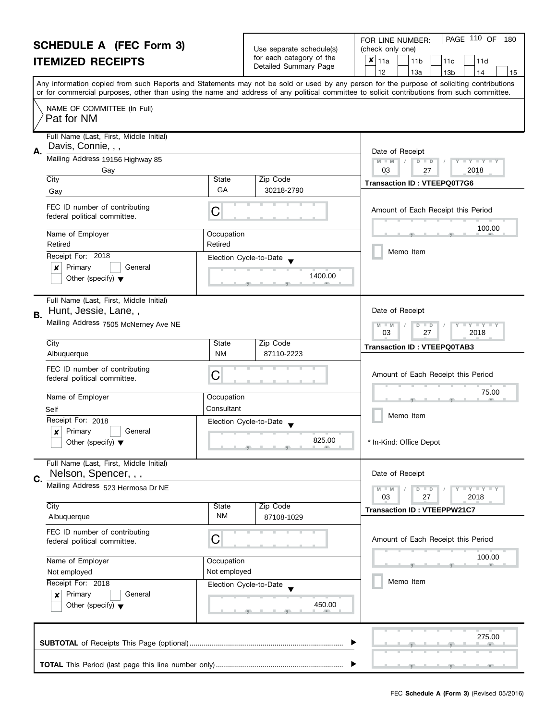#### **SCHEDULE A (FEC Form 3) ITEMIZED RECEIPTS** Any information copied from such Reports and Statements may not be sold or used by any person for the purpose of soliciting contributions or for commercial purposes, other than using the name and address of any political committee to solicit contributions from such committee. NAME OF COMMITTEE (In Full) Full Name (Last, First, Middle Initial) Mailing Address 19156 Highway 85 City State Zip Code Receipt For: 2018 | x | Primary | | General Other (specify)  $\blacktriangledown$ **A.** Election Cycle-to-Date Date of Receipt Name of Employer and a compared of Comparison , , . FEC ID number of contributing FEC ID number of contributing<br>federal political committee. Full Name (Last, First, Middle Initial) Mailing Address 7505 McNerney Ave NE **B.** Date of Receipt FOR LINE NUMBER: Use separate schedule(s) | (check only one) for each category of the Tor each category or the  $\begin{array}{|c|c|c|c|c|c|c|c|}\n\hline\n\text{Detailed Summary Page} & & 11a & 11b & 11c & 11d \\
\hline\n\hline\n & 12 & 13a & 13b & 14\n\end{array}$ |12 | |13a | |13b | |14 | |15 **M M M** / D  **M M / D D / Y Y Y Y** Amount of Each Receipt this Period  $\frac{100.00}{9}$ Memo Item PAGE 110 OF 180  $\bar{x}|_{11a}$ Pat for NM Davis, Connie, , , Gay 03 27 2018 Gay Gay Gallery Code 2.10 Code Transaction ID : **VTEEPQ0T7G6**<br>Gay Gallery Code 30218-2790 Retired Retired 1400.00 Hunt, Jessie, Lane, , 03 27 2018

| City<br>Albuquerque                                                                                                                                              | State<br>Zip Code<br><b>NM</b><br>87110-2223                                         | <b>Transaction ID: VTEEPQ0TAB3</b>                                                                                             |
|------------------------------------------------------------------------------------------------------------------------------------------------------------------|--------------------------------------------------------------------------------------|--------------------------------------------------------------------------------------------------------------------------------|
| FEC ID number of contributing<br>federal political committee.                                                                                                    | C                                                                                    | Amount of Each Receipt this Period                                                                                             |
| Name of Employer<br>Self<br>Receipt For: 2018<br>Primary<br>General<br>×<br>Other (specify) $\blacktriangledown$                                                 | Occupation<br>Consultant<br>Election Cycle-to-Date<br>825.00<br>何                    | 75.00<br><b>ALL</b><br>Memo Item<br>* In-Kind: Office Depot                                                                    |
| Full Name (Last, First, Middle Initial)<br>Nelson, Spencer, , ,<br>C.<br>Mailing Address 523 Hermosa Dr NE<br>City                                               | <b>State</b><br>Zip Code                                                             | Date of Receipt<br>Y TY TY TY<br>$M - M$<br>$\overline{D}$<br>$\Box$<br>03<br>27<br>2018<br><b>Transaction ID: VTEEPPW21C7</b> |
| Albuquerque<br>FEC ID number of contributing<br>federal political committee.<br>Name of Employer<br>Not employed<br>Receipt For: 2018<br>Primary<br>General<br>× | <b>NM</b><br>87108-1029<br>C<br>Occupation<br>Not employed<br>Election Cycle-to-Date | Amount of Each Receipt this Period<br>100.00<br>Memo Item                                                                      |
| Other (specify) $\blacktriangledown$                                                                                                                             | 450.00<br><b>COLL</b><br>▶                                                           | 275.00                                                                                                                         |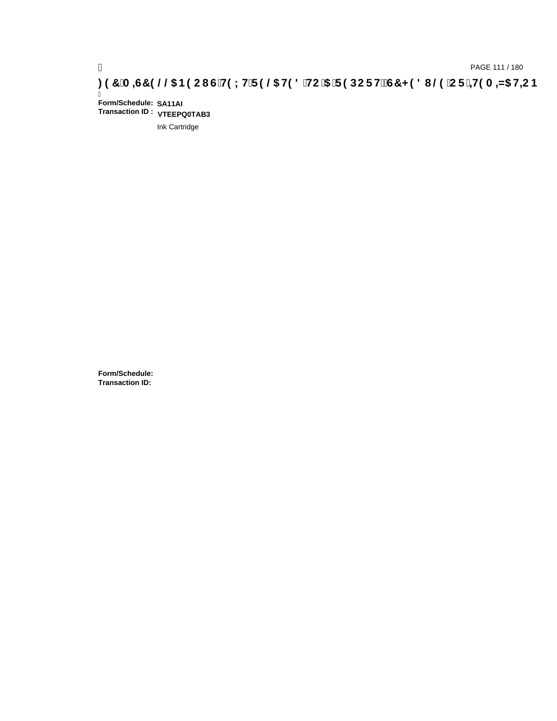Ī **Form/Schedule: SA11AI Transaction ID : VTEEPQ0TAB3**

Ink Cartridge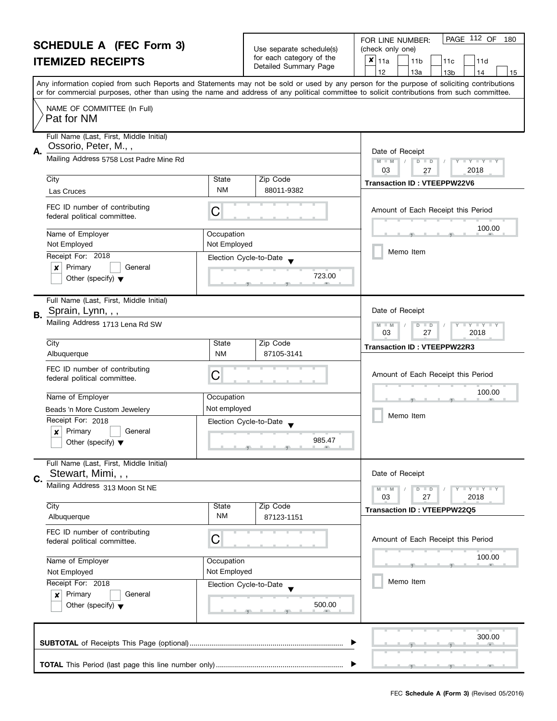|    | <b>SCHEDULE A (FEC Form 3)</b>                                                 |                            | Use separate schedule(s) | PAGE 112 OF<br>FOR LINE NUMBER:<br>180                                                                                                                                                                                                                                                  |
|----|--------------------------------------------------------------------------------|----------------------------|--------------------------|-----------------------------------------------------------------------------------------------------------------------------------------------------------------------------------------------------------------------------------------------------------------------------------------|
|    | <b>ITEMIZED RECEIPTS</b>                                                       |                            | for each category of the | (check only one)<br>$x _{11a}$<br>11 <sub>b</sub><br>11d<br>11c                                                                                                                                                                                                                         |
|    |                                                                                |                            | Detailed Summary Page    | 12<br>13a<br>13 <sub>b</sub><br>14<br>15                                                                                                                                                                                                                                                |
|    |                                                                                |                            |                          | Any information copied from such Reports and Statements may not be sold or used by any person for the purpose of soliciting contributions<br>or for commercial purposes, other than using the name and address of any political committee to solicit contributions from such committee. |
|    | NAME OF COMMITTEE (In Full)<br>Pat for NM                                      |                            |                          |                                                                                                                                                                                                                                                                                         |
| А. | Full Name (Last, First, Middle Initial)<br>Ossorio, Peter, M.,,                |                            |                          | Date of Receipt                                                                                                                                                                                                                                                                         |
|    | Mailing Address 5758 Lost Padre Mine Rd                                        |                            |                          | $M - M$<br>$D$ $D$<br>$T + Y = Y + T$<br>03<br>27<br>2018                                                                                                                                                                                                                               |
|    | City<br>Las Cruces                                                             | State<br>NM                | Zip Code<br>88011-9382   | <b>Transaction ID: VTEEPPW22V6</b>                                                                                                                                                                                                                                                      |
|    | FEC ID number of contributing<br>federal political committee.                  | C                          |                          | Amount of Each Receipt this Period                                                                                                                                                                                                                                                      |
|    | Name of Employer<br>Not Employed                                               | Occupation<br>Not Employed |                          | 100.00                                                                                                                                                                                                                                                                                  |
|    | Receipt For: 2018<br>Primary<br>General<br>×                                   |                            | Election Cycle-to-Date   | Memo Item                                                                                                                                                                                                                                                                               |
|    | Other (specify) $\blacktriangledown$                                           |                            | 723.00                   |                                                                                                                                                                                                                                                                                         |
| В. | Full Name (Last, First, Middle Initial)<br>Sprain, Lynn, , ,                   |                            |                          | Date of Receipt                                                                                                                                                                                                                                                                         |
|    | Mailing Address 1713 Lena Rd SW                                                |                            |                          | $Y - Y - Y$<br>$\overline{D}$<br>$\Box$<br>$-M$<br>03<br>27<br>2018                                                                                                                                                                                                                     |
|    | City<br>Albuquerque                                                            | State<br><b>NM</b>         | Zip Code<br>87105-3141   | <b>Transaction ID: VTEEPPW22R3</b>                                                                                                                                                                                                                                                      |
|    | FEC ID number of contributing<br>federal political committee.                  | C                          |                          | Amount of Each Receipt this Period                                                                                                                                                                                                                                                      |
|    | Name of Employer                                                               | Occupation                 |                          | 100.00                                                                                                                                                                                                                                                                                  |
|    | Beads 'n More Custom Jewelery                                                  | Not employed               |                          | Memo Item                                                                                                                                                                                                                                                                               |
|    | Receipt For: 2018                                                              |                            | Election Cycle-to-Date   |                                                                                                                                                                                                                                                                                         |
|    | Primary<br>General<br>$\boldsymbol{x}$<br>Other (specify) $\blacktriangledown$ |                            | 985.47                   |                                                                                                                                                                                                                                                                                         |
|    | Full Name (Last, First, Middle Initial)<br>Stewart, Mimi, , ,                  |                            |                          | Date of Receipt                                                                                                                                                                                                                                                                         |
| C. | Mailing Address 313 Moon St NE                                                 |                            |                          | Y TY TY TY<br>$M - M$<br>$D$ $D$<br>03<br>27<br>2018                                                                                                                                                                                                                                    |
|    | City<br>Albuquerque                                                            | State<br>NM                | Zip Code<br>87123-1151   | <b>Transaction ID: VTEEPPW22Q5</b>                                                                                                                                                                                                                                                      |
|    | FEC ID number of contributing<br>federal political committee.                  | C                          |                          | Amount of Each Receipt this Period                                                                                                                                                                                                                                                      |
|    | Name of Employer                                                               | Occupation                 |                          | 100.00                                                                                                                                                                                                                                                                                  |
|    | Not Employed                                                                   | Not Employed               |                          |                                                                                                                                                                                                                                                                                         |
|    | Receipt For: 2018                                                              |                            | Election Cycle-to-Date   | Memo Item                                                                                                                                                                                                                                                                               |
|    | Primary<br>General<br>x<br>Other (specify) $\blacktriangledown$                |                            | 500.00                   |                                                                                                                                                                                                                                                                                         |
|    |                                                                                |                            |                          | 300.00                                                                                                                                                                                                                                                                                  |
|    |                                                                                |                            |                          |                                                                                                                                                                                                                                                                                         |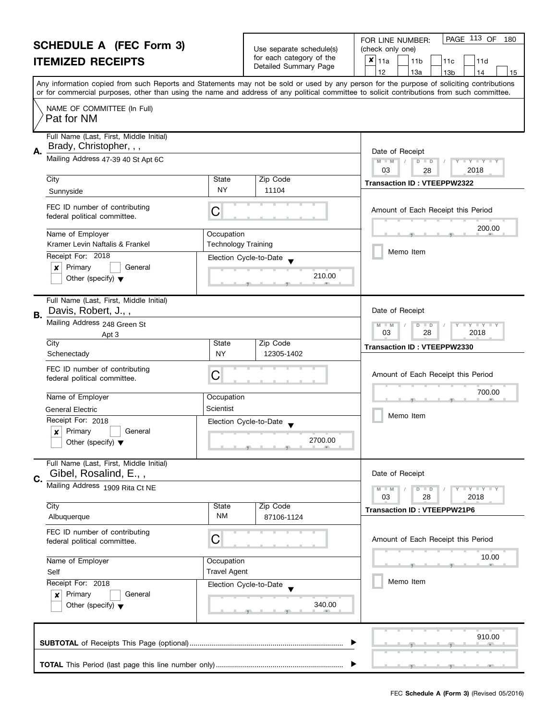|    | <b>SCHEDULE A (FEC Form 3)</b><br><b>ITEMIZED RECEIPTS</b>                           |                                          | Use separate schedule(s)<br>for each category of the<br>Detailed Summary Page | PAGE 113 OF<br>FOR LINE NUMBER:<br>180<br>(check only one)<br>×<br>11a<br>11 <sub>b</sub><br>11d<br>11c<br>12<br>13a<br>13 <sub>b</sub><br>14<br>15                                                                                                                                     |
|----|--------------------------------------------------------------------------------------|------------------------------------------|-------------------------------------------------------------------------------|-----------------------------------------------------------------------------------------------------------------------------------------------------------------------------------------------------------------------------------------------------------------------------------------|
|    |                                                                                      |                                          |                                                                               | Any information copied from such Reports and Statements may not be sold or used by any person for the purpose of soliciting contributions<br>or for commercial purposes, other than using the name and address of any political committee to solicit contributions from such committee. |
|    | NAME OF COMMITTEE (In Full)<br>Pat for NM                                            |                                          |                                                                               |                                                                                                                                                                                                                                                                                         |
| Α. | Full Name (Last, First, Middle Initial)<br>Brady, Christopher, , ,                   |                                          |                                                                               | Date of Receipt                                                                                                                                                                                                                                                                         |
|    | Mailing Address 47-39 40 St Apt 6C                                                   |                                          |                                                                               | $M - M$<br>$\begin{array}{c c c c c c} \hline \textbf{I} & \textbf{Y} & \textbf{I} & \textbf{Y} & \textbf{I} & \textbf{Y} \\ \hline \end{array}$<br>$D$ $D$<br>03<br>2018<br>28                                                                                                         |
|    | City<br>Sunnyside                                                                    | State<br><b>NY</b>                       | Zip Code<br>11104                                                             | <b>Transaction ID: VTEEPPW2322</b>                                                                                                                                                                                                                                                      |
|    | FEC ID number of contributing<br>federal political committee.                        | C                                        |                                                                               | Amount of Each Receipt this Period                                                                                                                                                                                                                                                      |
|    | Name of Employer<br>Kramer Levin Naftalis & Frankel                                  | Occupation<br><b>Technology Training</b> |                                                                               | 200.00                                                                                                                                                                                                                                                                                  |
|    | Receipt For: 2018                                                                    | Election Cycle-to-Date                   |                                                                               | Memo Item                                                                                                                                                                                                                                                                               |
|    | Primary<br>General<br>x<br>Other (specify) $\blacktriangledown$                      |                                          | 210.00                                                                        |                                                                                                                                                                                                                                                                                         |
| В. | Full Name (Last, First, Middle Initial)<br>Davis, Robert, J.,,                       |                                          |                                                                               | Date of Receipt                                                                                                                                                                                                                                                                         |
|    | Mailing Address 248 Green St<br>Apt 3                                                |                                          |                                                                               | $M - M$<br>$D$ $D$<br>$Y + Y + Y + Y$<br>03<br>28<br>2018                                                                                                                                                                                                                               |
|    | City<br>Schenectady                                                                  | State<br><b>NY</b>                       | Zip Code<br>12305-1402                                                        | <b>Transaction ID: VTEEPPW2330</b>                                                                                                                                                                                                                                                      |
|    | FEC ID number of contributing<br>federal political committee.                        | C                                        |                                                                               | Amount of Each Receipt this Period                                                                                                                                                                                                                                                      |
|    | Name of Employer                                                                     | Occupation                               |                                                                               | 700.00                                                                                                                                                                                                                                                                                  |
|    | <b>General Electric</b><br>Receipt For: 2018                                         | Scientist                                |                                                                               | Memo Item                                                                                                                                                                                                                                                                               |
|    | Primary<br>General<br>X<br>Other (specify) $\blacktriangledown$                      | Election Cycle-to-Date                   | 2700.00<br><u> 1 grad - 1 grad - 1 av</u>                                     |                                                                                                                                                                                                                                                                                         |
| C. | Full Name (Last, First, Middle Initial)<br>Gibel, Rosalind, E.,,                     |                                          |                                                                               | Date of Receipt                                                                                                                                                                                                                                                                         |
|    | Mailing Address 1909 Rita Ct NE                                                      |                                          |                                                                               | Y TY TY TY<br>$M - M$<br>$D$ $D$<br>03<br>28<br>2018                                                                                                                                                                                                                                    |
|    | City<br>Albuquerque                                                                  | State<br><b>NM</b>                       | Zip Code<br>87106-1124                                                        | <b>Transaction ID: VTEEPPW21P6</b>                                                                                                                                                                                                                                                      |
|    | FEC ID number of contributing<br>federal political committee.                        | С                                        |                                                                               | Amount of Each Receipt this Period                                                                                                                                                                                                                                                      |
|    | Name of Employer<br>Self                                                             | Occupation<br><b>Travel Agent</b>        |                                                                               | 10.00                                                                                                                                                                                                                                                                                   |
|    | Receipt For: 2018<br>Primary<br>General<br>×<br>Other (specify) $\blacktriangledown$ | Election Cycle-to-Date                   | 340.00                                                                        | Memo Item                                                                                                                                                                                                                                                                               |
|    |                                                                                      |                                          |                                                                               | 910.00                                                                                                                                                                                                                                                                                  |
|    |                                                                                      |                                          |                                                                               |                                                                                                                                                                                                                                                                                         |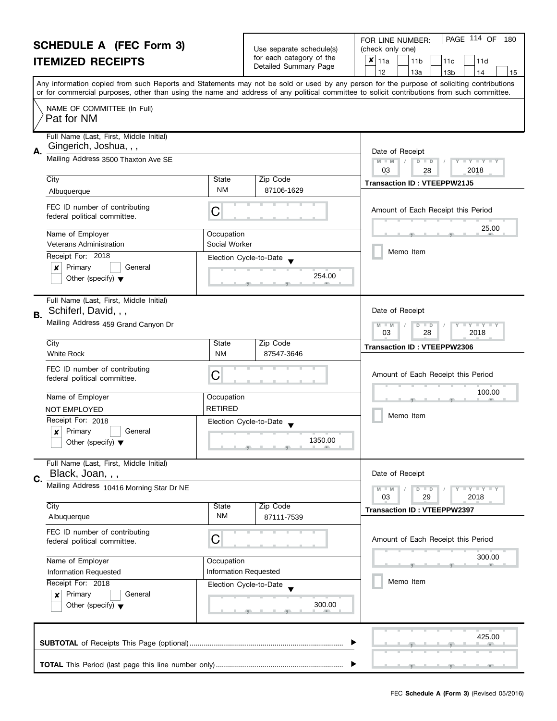|    | <b>SCHEDULE A (FEC Form 3)</b>                                                 |                                     |                                                                                                               | PAGE 114 OF<br>180<br>FOR LINE NUMBER:                                                                                                     |
|----|--------------------------------------------------------------------------------|-------------------------------------|---------------------------------------------------------------------------------------------------------------|--------------------------------------------------------------------------------------------------------------------------------------------|
|    |                                                                                |                                     | Use separate schedule(s)<br>for each category of the                                                          | (check only one)<br>$x _{11a}$                                                                                                             |
|    | <b>ITEMIZED RECEIPTS</b>                                                       |                                     | Detailed Summary Page                                                                                         | 11 <sub>b</sub><br>11c<br>11d<br>12<br>13a<br>13 <sub>b</sub><br>14<br>15                                                                  |
|    |                                                                                |                                     |                                                                                                               | Any information copied from such Reports and Statements may not be sold or used by any person for the purpose of soliciting contributions  |
|    |                                                                                |                                     |                                                                                                               | or for commercial purposes, other than using the name and address of any political committee to solicit contributions from such committee. |
|    | NAME OF COMMITTEE (In Full)<br>Pat for NM                                      |                                     |                                                                                                               |                                                                                                                                            |
|    | Full Name (Last, First, Middle Initial)                                        |                                     |                                                                                                               |                                                                                                                                            |
| А. | Gingerich, Joshua, , ,                                                         |                                     |                                                                                                               | Date of Receipt                                                                                                                            |
|    | Mailing Address 3500 Thaxton Ave SE                                            |                                     |                                                                                                               | $M - M$<br>$\mathbf{I}$ $\mathbf{Y}$ $\mathbf{I}$ $\mathbf{Y}$ $\mathbf{I}$<br>$D$ $D$<br>03                                               |
|    | City                                                                           | State                               | Zip Code                                                                                                      | 2018<br>28                                                                                                                                 |
|    | Albuquerque                                                                    | NM                                  | 87106-1629                                                                                                    | <b>Transaction ID: VTEEPPW21J5</b>                                                                                                         |
|    | FEC ID number of contributing<br>federal political committee.                  | C                                   |                                                                                                               | Amount of Each Receipt this Period                                                                                                         |
|    | Name of Employer                                                               | Occupation                          |                                                                                                               | 25.00                                                                                                                                      |
|    | <b>Veterans Administration</b>                                                 | Social Worker                       |                                                                                                               |                                                                                                                                            |
|    | Receipt For: 2018                                                              | Election Cycle-to-Date              |                                                                                                               | Memo Item                                                                                                                                  |
|    | Primary<br>×<br>General                                                        |                                     |                                                                                                               |                                                                                                                                            |
|    | Other (specify) $\blacktriangledown$                                           |                                     | 254.00                                                                                                        |                                                                                                                                            |
| В. | Full Name (Last, First, Middle Initial)<br>Schiferl, David, , ,                |                                     |                                                                                                               | Date of Receipt                                                                                                                            |
|    | Mailing Address 459 Grand Canyon Dr                                            |                                     |                                                                                                               | $Y + Y$<br>D<br>$-M$<br>$\blacksquare$                                                                                                     |
|    |                                                                                |                                     |                                                                                                               | 03<br>28<br>2018                                                                                                                           |
|    | City<br><b>White Rock</b>                                                      | <b>State</b><br><b>NM</b>           | Zip Code<br>87547-3646                                                                                        | <b>Transaction ID: VTEEPPW2306</b>                                                                                                         |
|    |                                                                                |                                     |                                                                                                               |                                                                                                                                            |
|    | FEC ID number of contributing<br>federal political committee.                  | С                                   |                                                                                                               | Amount of Each Receipt this Period                                                                                                         |
|    |                                                                                |                                     |                                                                                                               | 100.00                                                                                                                                     |
|    | Name of Employer                                                               | Occupation                          |                                                                                                               |                                                                                                                                            |
|    | <b>NOT EMPLOYED</b>                                                            | <b>RETIRED</b>                      |                                                                                                               | Memo Item                                                                                                                                  |
|    | Receipt For: 2018                                                              | Election Cycle-to-Date              |                                                                                                               |                                                                                                                                            |
|    | Primary<br>$\boldsymbol{x}$<br>General<br>Other (specify) $\blacktriangledown$ |                                     | 1350.00                                                                                                       |                                                                                                                                            |
|    |                                                                                |                                     | $\overline{y}$ and $\overline{y}$ and $\overline{y}$ and $\overline{y}$ and $\overline{y}$ and $\overline{y}$ |                                                                                                                                            |
|    | Full Name (Last, First, Middle Initial)                                        |                                     |                                                                                                               |                                                                                                                                            |
| C. | Black, Joan, , ,                                                               |                                     |                                                                                                               | Date of Receipt                                                                                                                            |
|    | Mailing Address 10416 Morning Star Dr NE                                       |                                     |                                                                                                               | $T + Y = Y + Y$<br>$D$ $D$                                                                                                                 |
|    | City                                                                           | State                               | Zip Code                                                                                                      | 2018<br>03<br>29                                                                                                                           |
|    | Albuquerque                                                                    | ΝM                                  | 87111-7539                                                                                                    | <b>Transaction ID: VTEEPPW2397</b>                                                                                                         |
|    | FEC ID number of contributing                                                  |                                     |                                                                                                               |                                                                                                                                            |
|    | federal political committee.                                                   | C                                   |                                                                                                               | Amount of Each Receipt this Period                                                                                                         |
|    |                                                                                |                                     |                                                                                                               | 300.00                                                                                                                                     |
|    | Name of Employer<br><b>Information Requested</b>                               | Occupation<br>Information Requested |                                                                                                               |                                                                                                                                            |
|    | Receipt For: 2018                                                              | Election Cycle-to-Date              |                                                                                                               | Memo Item                                                                                                                                  |
|    | Primary<br>General<br>×                                                        |                                     |                                                                                                               |                                                                                                                                            |
|    | Other (specify) $\blacktriangledown$                                           |                                     | 300.00                                                                                                        |                                                                                                                                            |
|    |                                                                                |                                     |                                                                                                               |                                                                                                                                            |
|    |                                                                                |                                     |                                                                                                               | 425.00                                                                                                                                     |
|    |                                                                                |                                     |                                                                                                               |                                                                                                                                            |
|    |                                                                                |                                     |                                                                                                               |                                                                                                                                            |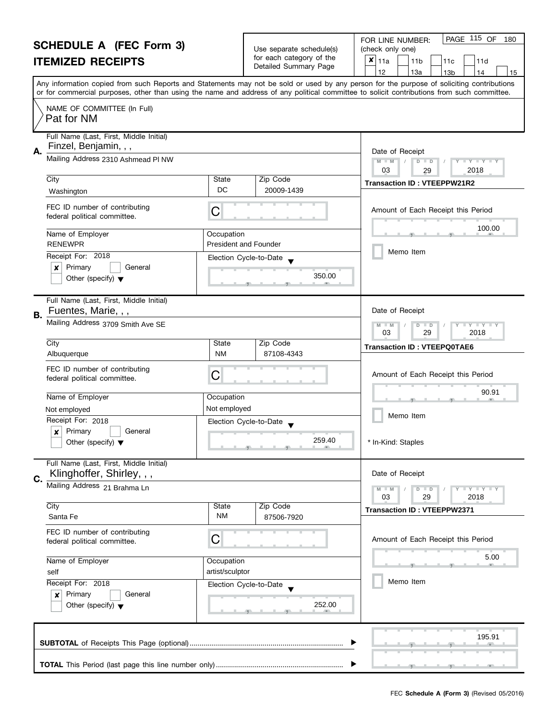|    | <b>SCHEDULE A (FEC Form 3)</b><br><b>ITEMIZED RECEIPTS</b>                           |                                            | Use separate schedule(s)<br>for each category of the<br>Detailed Summary Page | PAGE 115 OF<br>FOR LINE NUMBER:<br>180<br>(check only one)<br>$\boldsymbol{x}$  <br>11a<br>11 <sub>b</sub><br>11d<br>11c<br>12<br>13a<br>13 <sub>b</sub><br>14<br>15                                                                                                                    |
|----|--------------------------------------------------------------------------------------|--------------------------------------------|-------------------------------------------------------------------------------|-----------------------------------------------------------------------------------------------------------------------------------------------------------------------------------------------------------------------------------------------------------------------------------------|
|    |                                                                                      |                                            |                                                                               | Any information copied from such Reports and Statements may not be sold or used by any person for the purpose of soliciting contributions<br>or for commercial purposes, other than using the name and address of any political committee to solicit contributions from such committee. |
|    | NAME OF COMMITTEE (In Full)<br>Pat for NM                                            |                                            |                                                                               |                                                                                                                                                                                                                                                                                         |
| А. | Full Name (Last, First, Middle Initial)<br>Finzel, Benjamin, , ,                     |                                            |                                                                               | Date of Receipt                                                                                                                                                                                                                                                                         |
|    | Mailing Address 2310 Ashmead PI NW                                                   |                                            |                                                                               | $M - M$<br>$D$ $D$<br>Y I Y I Y I Y<br>03<br>2018<br>29                                                                                                                                                                                                                                 |
|    | City<br>Washington                                                                   | State<br>DC                                | Zip Code<br>20009-1439                                                        | <b>Transaction ID: VTEEPPW21R2</b>                                                                                                                                                                                                                                                      |
|    | FEC ID number of contributing<br>federal political committee.                        | C                                          |                                                                               | Amount of Each Receipt this Period                                                                                                                                                                                                                                                      |
|    | Name of Employer<br><b>RENEWPR</b>                                                   | Occupation<br><b>President and Founder</b> |                                                                               | 100.00                                                                                                                                                                                                                                                                                  |
|    | Receipt For: 2018<br>Primary<br>x<br>General<br>Other (specify) $\blacktriangledown$ | Election Cycle-to-Date                     | 350.00                                                                        | Memo Item                                                                                                                                                                                                                                                                               |
| В. | Full Name (Last, First, Middle Initial)<br>Fuentes, Marie, , ,                       |                                            |                                                                               | Date of Receipt                                                                                                                                                                                                                                                                         |
|    | Mailing Address 3709 Smith Ave SE                                                    |                                            |                                                                               | $\bot$ Y $\bot$ Y $\bot$ Y<br>M<br>$\overline{D}$<br>$-M$<br>$\Box$<br>03<br>29<br>2018                                                                                                                                                                                                 |
|    | $\overline{City}$<br>Albuquerque                                                     | State<br><b>NM</b>                         | Zip Code<br>87108-4343                                                        | <b>Transaction ID: VTEEPQ0TAE6</b>                                                                                                                                                                                                                                                      |
|    | FEC ID number of contributing<br>federal political committee.                        | C                                          |                                                                               | Amount of Each Receipt this Period                                                                                                                                                                                                                                                      |
|    | Name of Employer                                                                     | Occupation                                 |                                                                               | 90.91                                                                                                                                                                                                                                                                                   |
|    | Not employed                                                                         | Not employed                               |                                                                               | Memo Item                                                                                                                                                                                                                                                                               |
|    | Receipt For: 2018<br>Primary<br>General<br>$\boldsymbol{x}$                          | Election Cycle-to-Date                     |                                                                               |                                                                                                                                                                                                                                                                                         |
|    | Other (specify) $\blacktriangledown$                                                 |                                            | 259.40<br><u>g and and particular management</u>                              | * In-Kind: Staples                                                                                                                                                                                                                                                                      |
| C. | Full Name (Last, First, Middle Initial)<br>Klinghoffer, Shirley, , ,                 |                                            |                                                                               | Date of Receipt                                                                                                                                                                                                                                                                         |
|    | Mailing Address 21 Brahma Ln                                                         |                                            |                                                                               | Y TY TY TY<br>$M - M$<br>$D$ $D$<br>03<br>29<br>2018                                                                                                                                                                                                                                    |
|    | City<br>Santa Fe                                                                     | State<br>NM                                | Zip Code<br>87506-7920                                                        | <b>Transaction ID: VTEEPPW2371</b>                                                                                                                                                                                                                                                      |
|    | FEC ID number of contributing<br>federal political committee.                        | C                                          |                                                                               | Amount of Each Receipt this Period                                                                                                                                                                                                                                                      |
|    | Name of Employer<br>self                                                             | Occupation<br>artist/sculptor              |                                                                               | 5.00                                                                                                                                                                                                                                                                                    |
|    | Receipt For: 2018<br>Primary<br>General<br>×<br>Other (specify) $\blacktriangledown$ | Election Cycle-to-Date                     | 252.00                                                                        | Memo Item                                                                                                                                                                                                                                                                               |
|    |                                                                                      |                                            |                                                                               | 195.91                                                                                                                                                                                                                                                                                  |
|    |                                                                                      |                                            |                                                                               |                                                                                                                                                                                                                                                                                         |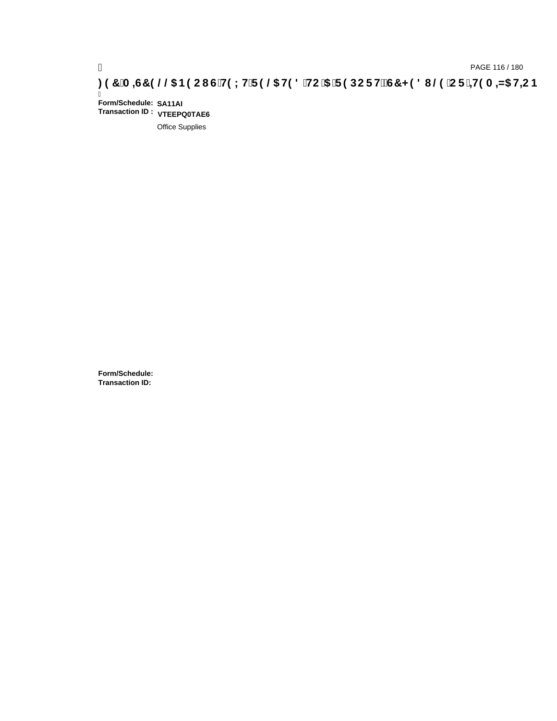# pAGE 116 / 180<br>(DROE 116 / 180 PAGE 116 / 180 PAGE 116 / 180<br>(ODROE HE DROE HE DROE HE DROE HE DROE HE DROE HE DROE HE DROE 15 IDC F

Ī **Form/Schedule: SA11AI Transaction ID : VTEEPQ0TAE6**

Office Supplies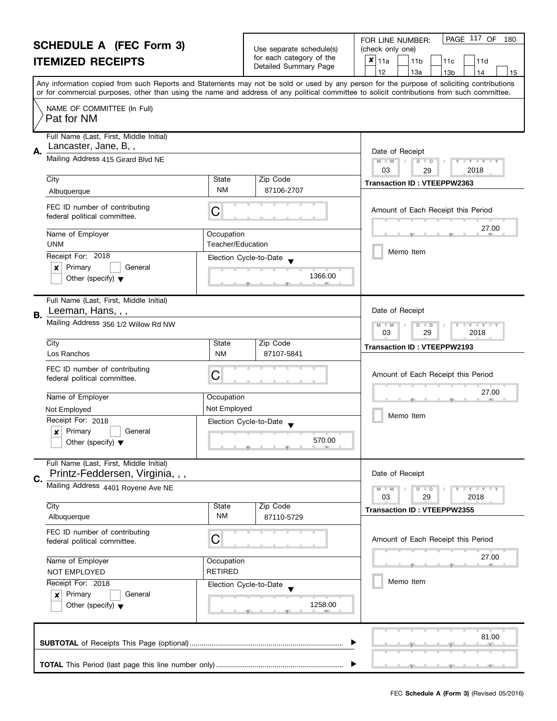|    | <b>SCHEDULE A (FEC Form 3)</b>                                             |                                        |                                                      | PAGE 117 OF<br>180<br>FOR LINE NUMBER:                                                                                                     |
|----|----------------------------------------------------------------------------|----------------------------------------|------------------------------------------------------|--------------------------------------------------------------------------------------------------------------------------------------------|
|    |                                                                            |                                        | Use separate schedule(s)<br>for each category of the | (check only one)<br>$x _{11a}$                                                                                                             |
|    | <b>ITEMIZED RECEIPTS</b>                                                   |                                        | Detailed Summary Page                                | 11 <sub>b</sub><br>11d<br>11c<br>13a<br>12<br>13 <sub>b</sub><br>14<br>15                                                                  |
|    |                                                                            |                                        |                                                      | Any information copied from such Reports and Statements may not be sold or used by any person for the purpose of soliciting contributions  |
|    |                                                                            |                                        |                                                      | or for commercial purposes, other than using the name and address of any political committee to solicit contributions from such committee. |
|    | NAME OF COMMITTEE (In Full)<br>Pat for NM                                  |                                        |                                                      |                                                                                                                                            |
| А. | Full Name (Last, First, Middle Initial)<br>Lancaster, Jane, B,,            |                                        |                                                      | Date of Receipt                                                                                                                            |
|    | Mailing Address 415 Girard Blvd NE                                         |                                        |                                                      | $M - M$<br>D<br>$\Box$ $\Upsilon$ $\Box$ $\Upsilon$ $\Box$<br>$\Box$<br>03<br>2018<br>29                                                   |
|    | City                                                                       | State                                  | Zip Code                                             | <b>Transaction ID: VTEEPPW2363</b>                                                                                                         |
|    | Albuquerque                                                                | NM                                     | 87106-2707                                           |                                                                                                                                            |
|    | FEC ID number of contributing<br>federal political committee.              | C                                      |                                                      | Amount of Each Receipt this Period                                                                                                         |
|    | Name of Employer<br><b>UNM</b>                                             | Occupation<br><b>Teacher/Education</b> |                                                      | 27.00                                                                                                                                      |
|    | Receipt For: 2018                                                          | Election Cycle-to-Date                 |                                                      | Memo Item                                                                                                                                  |
|    | Primary<br>General<br>×                                                    |                                        |                                                      |                                                                                                                                            |
|    | Other (specify) $\blacktriangledown$                                       |                                        | 1366.00                                              |                                                                                                                                            |
| В. | Full Name (Last, First, Middle Initial)<br>Leeman, Hans, , ,               |                                        |                                                      | Date of Receipt                                                                                                                            |
|    | Mailing Address 356 1/2 Willow Rd NW                                       |                                        |                                                      | $\bot$ $\gamma$ $\bot$ $\gamma$ $\bot$ $\gamma$<br>$\overline{M}$<br>$-M$<br>D<br>$\Box$<br>03<br>29<br>2018                               |
|    | City                                                                       | State                                  | Zip Code                                             | <b>Transaction ID: VTEEPPW2193</b>                                                                                                         |
|    | Los Ranchos                                                                | <b>NM</b>                              | 87107-5841                                           |                                                                                                                                            |
|    | FEC ID number of contributing<br>federal political committee.              | C                                      |                                                      | Amount of Each Receipt this Period                                                                                                         |
|    | Name of Employer                                                           | Occupation                             |                                                      | 27.00                                                                                                                                      |
|    | Not Employed                                                               | Not Employed                           |                                                      |                                                                                                                                            |
|    | Receipt For: 2018                                                          | Election Cycle-to-Date                 |                                                      | Memo Item                                                                                                                                  |
|    | Primary<br>General<br>$\boldsymbol{x}$                                     |                                        | 570.00                                               |                                                                                                                                            |
|    | Other (specify) $\blacktriangledown$                                       |                                        |                                                      |                                                                                                                                            |
|    | Full Name (Last, First, Middle Initial)<br>Printz-Feddersen, Virginia, , , |                                        |                                                      | Date of Receipt                                                                                                                            |
| C. | Mailing Address 4401 Royene Ave NE                                         |                                        |                                                      | $T - Y = Y + Y$<br>$M - M$<br>$D$ $D$                                                                                                      |
|    |                                                                            |                                        |                                                      | 03<br>29<br>2018                                                                                                                           |
|    | City                                                                       | State<br><b>NM</b>                     | Zip Code<br>87110-5729                               | <b>Transaction ID: VTEEPPW2355</b>                                                                                                         |
|    | Albuquerque                                                                |                                        |                                                      |                                                                                                                                            |
|    | FEC ID number of contributing<br>federal political committee.              | C                                      |                                                      | Amount of Each Receipt this Period                                                                                                         |
|    | Name of Employer                                                           | Occupation                             |                                                      | 27.00                                                                                                                                      |
|    | NOT EMPLOYED                                                               | <b>RETIRED</b>                         |                                                      |                                                                                                                                            |
|    | Receipt For: 2018                                                          | Election Cycle-to-Date                 |                                                      | Memo Item                                                                                                                                  |
|    | Primary<br>General<br>×                                                    |                                        |                                                      |                                                                                                                                            |
|    | Other (specify) $\blacktriangledown$                                       |                                        | 1258.00                                              |                                                                                                                                            |
|    |                                                                            |                                        |                                                      | 81.00                                                                                                                                      |
|    |                                                                            |                                        |                                                      |                                                                                                                                            |
|    |                                                                            |                                        |                                                      |                                                                                                                                            |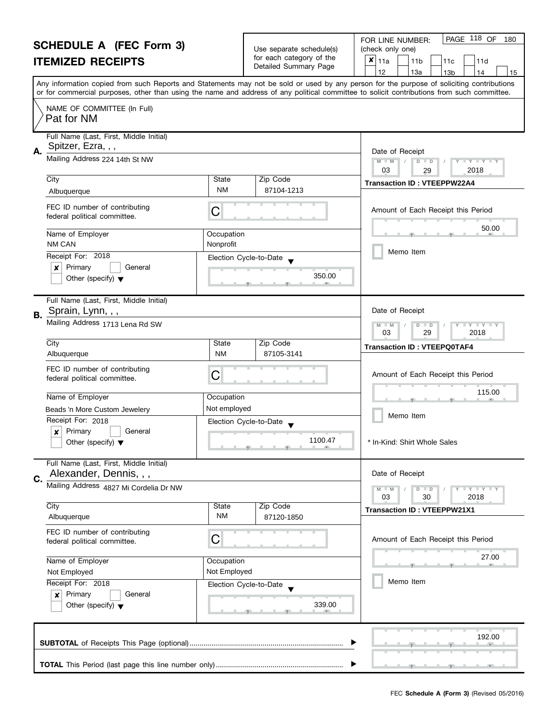|           | <b>SCHEDULE A (FEC Form 3)</b>                                |                         |                                                      | PAGE 118 OF<br>FOR LINE NUMBER:<br>180                                                                                                                                          |
|-----------|---------------------------------------------------------------|-------------------------|------------------------------------------------------|---------------------------------------------------------------------------------------------------------------------------------------------------------------------------------|
|           |                                                               |                         | Use separate schedule(s)<br>for each category of the | (check only one)                                                                                                                                                                |
|           | <b>ITEMIZED RECEIPTS</b>                                      |                         | Detailed Summary Page                                | $x _{11a}$<br>11 <sub>b</sub><br>11d<br>11c<br>12                                                                                                                               |
|           |                                                               |                         |                                                      | 13a<br>13 <sub>b</sub><br>14<br>15<br>Any information copied from such Reports and Statements may not be sold or used by any person for the purpose of soliciting contributions |
|           |                                                               |                         |                                                      | or for commercial purposes, other than using the name and address of any political committee to solicit contributions from such committee.                                      |
|           | NAME OF COMMITTEE (In Full)<br>Pat for NM                     |                         |                                                      |                                                                                                                                                                                 |
| А.        | Full Name (Last, First, Middle Initial)<br>Spitzer, Ezra, , , |                         |                                                      | Date of Receipt                                                                                                                                                                 |
|           | Mailing Address 224 14th St NW                                |                         |                                                      | $M - M$<br>$D$ $D$<br>$Y - Y - Y - Y - I$<br>03<br>2018<br>29                                                                                                                   |
|           | City                                                          | State                   | Zip Code                                             | <b>Transaction ID: VTEEPPW22A4</b>                                                                                                                                              |
|           | Albuquerque                                                   | NM                      | 87104-1213                                           |                                                                                                                                                                                 |
|           | FEC ID number of contributing<br>federal political committee. | C                       |                                                      | Amount of Each Receipt this Period                                                                                                                                              |
|           | Name of Employer<br><b>NM CAN</b>                             | Occupation<br>Nonprofit |                                                      | 50.00                                                                                                                                                                           |
|           | Receipt For: 2018                                             |                         | Election Cycle-to-Date                               | Memo Item                                                                                                                                                                       |
|           | Primary<br>×<br>General                                       |                         |                                                      |                                                                                                                                                                                 |
|           | Other (specify) $\blacktriangledown$                          |                         | 350.00                                               |                                                                                                                                                                                 |
| <b>B.</b> | Full Name (Last, First, Middle Initial)<br>Sprain, Lynn, , ,  |                         |                                                      | Date of Receipt                                                                                                                                                                 |
|           | Mailing Address 1713 Lena Rd SW                               |                         |                                                      | M<br>$Y - Y - Y$<br>D<br>$\Box$<br>$-M$<br>03<br>29<br>2018                                                                                                                     |
|           | City                                                          | State                   | Zip Code                                             | <b>Transaction ID: VTEEPQ0TAF4</b>                                                                                                                                              |
|           | Albuquerque                                                   | <b>NM</b>               | 87105-3141                                           |                                                                                                                                                                                 |
|           | FEC ID number of contributing<br>federal political committee. | C                       |                                                      | Amount of Each Receipt this Period                                                                                                                                              |
|           | Name of Employer                                              | Occupation              |                                                      | 115.00                                                                                                                                                                          |
|           | Beads 'n More Custom Jewelery                                 | Not employed            |                                                      |                                                                                                                                                                                 |
|           | Receipt For: 2018                                             |                         | Election Cycle-to-Date                               | Memo Item                                                                                                                                                                       |
|           | X<br>Primary<br>General                                       |                         | 1100.47                                              |                                                                                                                                                                                 |
|           | Other (specify) $\blacktriangledown$                          |                         |                                                      | In-Kind: Shirt Whole Sales                                                                                                                                                      |
|           | Full Name (Last, First, Middle Initial)                       |                         |                                                      |                                                                                                                                                                                 |
| C.        | Alexander, Dennis, , ,                                        |                         |                                                      | Date of Receipt                                                                                                                                                                 |
|           | Mailing Address 4827 Mi Cordelia Dr NW                        |                         |                                                      | Y FY FY FY<br>$M - M$<br>$D$ $D$                                                                                                                                                |
|           | City                                                          | State                   | Zip Code                                             | 03<br>2018<br>30                                                                                                                                                                |
|           | Albuquerque                                                   | NM                      | 87120-1850                                           | <b>Transaction ID: VTEEPPW21X1</b>                                                                                                                                              |
|           | FEC ID number of contributing<br>federal political committee. | С                       |                                                      | Amount of Each Receipt this Period                                                                                                                                              |
|           | Name of Employer                                              | Occupation              |                                                      | 27.00                                                                                                                                                                           |
|           | Not Employed                                                  | Not Employed            |                                                      |                                                                                                                                                                                 |
|           | Receipt For: 2018                                             |                         | Election Cycle-to-Date                               | Memo Item                                                                                                                                                                       |
|           | Primary<br>General<br>$\boldsymbol{x}$                        |                         |                                                      |                                                                                                                                                                                 |
|           | Other (specify) $\blacktriangledown$                          |                         | 339.00                                               |                                                                                                                                                                                 |
|           |                                                               |                         |                                                      | 192.00                                                                                                                                                                          |
|           |                                                               |                         |                                                      |                                                                                                                                                                                 |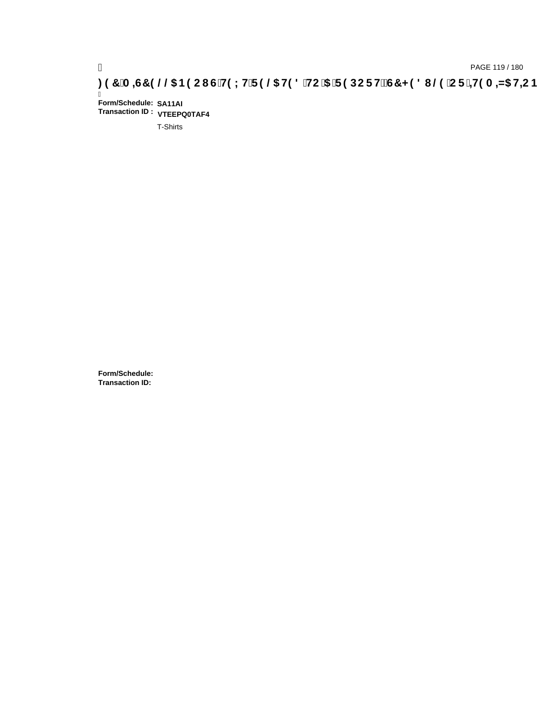Ī **Form/Schedule: SA11AI Transaction ID : VTEEPQ0TAF4**

T-Shirts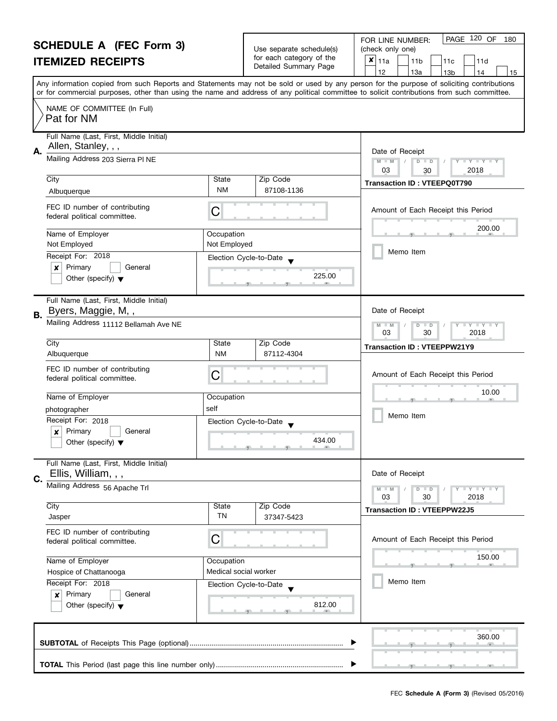|    | <b>SCHEDULE A (FEC Form 3)</b><br><b>ITEMIZED RECEIPTS</b>      |                            | Use separate schedule(s)<br>for each category of the<br>Detailed Summary Page | PAGE 120 OF<br>FOR LINE NUMBER:<br>180<br>(check only one)<br>×<br> 11a<br>11 <sub>b</sub><br>11d<br>11c<br>12<br>13a<br>13 <sub>b</sub><br>14<br>15                                                                                                                                    |
|----|-----------------------------------------------------------------|----------------------------|-------------------------------------------------------------------------------|-----------------------------------------------------------------------------------------------------------------------------------------------------------------------------------------------------------------------------------------------------------------------------------------|
|    |                                                                 |                            |                                                                               | Any information copied from such Reports and Statements may not be sold or used by any person for the purpose of soliciting contributions<br>or for commercial purposes, other than using the name and address of any political committee to solicit contributions from such committee. |
|    | NAME OF COMMITTEE (In Full)<br>Pat for NM                       |                            |                                                                               |                                                                                                                                                                                                                                                                                         |
| А. | Full Name (Last, First, Middle Initial)<br>Allen, Stanley, , ,  |                            |                                                                               | Date of Receipt                                                                                                                                                                                                                                                                         |
|    | Mailing Address 203 Sierra PI NE                                |                            |                                                                               | $M - M$<br>$\overline{D}$<br>Y Y Y Y Y<br>$\Box$<br>03<br>2018<br>30                                                                                                                                                                                                                    |
|    | City<br>Albuquerque                                             | State<br><b>NM</b>         | Zip Code<br>87108-1136                                                        | <b>Transaction ID: VTEEPQ0T790</b>                                                                                                                                                                                                                                                      |
|    | FEC ID number of contributing<br>federal political committee.   | С                          |                                                                               | Amount of Each Receipt this Period                                                                                                                                                                                                                                                      |
|    | Name of Employer<br>Not Employed                                | Occupation<br>Not Employed |                                                                               | 200.00                                                                                                                                                                                                                                                                                  |
|    | Receipt For: 2018                                               |                            | Election Cycle-to-Date                                                        | Memo Item                                                                                                                                                                                                                                                                               |
|    | Primary<br>x<br>General<br>Other (specify) $\blacktriangledown$ |                            | 225.00                                                                        |                                                                                                                                                                                                                                                                                         |
| В. | Full Name (Last, First, Middle Initial)<br>Byers, Maggie, M,,   |                            |                                                                               | Date of Receipt                                                                                                                                                                                                                                                                         |
|    | Mailing Address 11112 Bellamah Ave NE                           |                            |                                                                               | T Y T Y T Y<br>$M - M$<br>$\overline{D}$<br>$\Box$<br>03<br>30<br>2018                                                                                                                                                                                                                  |
|    | City<br>Albuquerque                                             | State<br><b>NM</b>         | Zip Code<br>87112-4304                                                        | <b>Transaction ID: VTEEPPW21Y9</b>                                                                                                                                                                                                                                                      |
|    | FEC ID number of contributing<br>federal political committee.   | C                          |                                                                               | Amount of Each Receipt this Period                                                                                                                                                                                                                                                      |
|    | Name of Employer                                                | Occupation                 |                                                                               | 10.00                                                                                                                                                                                                                                                                                   |
|    | photographer                                                    | self                       |                                                                               | Memo Item                                                                                                                                                                                                                                                                               |
|    | Receipt For: 2018                                               |                            | Election Cycle-to-Date                                                        |                                                                                                                                                                                                                                                                                         |
|    | Primary<br>General<br>Other (specify) $\blacktriangledown$      |                            | 434.00                                                                        |                                                                                                                                                                                                                                                                                         |
| C. | Full Name (Last, First, Middle Initial)<br>Ellis, William, , ,  |                            |                                                                               | Date of Receipt                                                                                                                                                                                                                                                                         |
|    | Mailing Address 56 Apache Trl                                   |                            |                                                                               | $Y - Y - Y - Y - Y$<br>$M - M$<br>$D$ $D$<br>03<br>30<br>2018                                                                                                                                                                                                                           |
|    | City<br>Jasper                                                  | State<br><b>TN</b>         | Zip Code<br>37347-5423                                                        | <b>Transaction ID: VTEEPPW22J5</b>                                                                                                                                                                                                                                                      |
|    | FEC ID number of contributing<br>federal political committee.   | С                          |                                                                               | Amount of Each Receipt this Period                                                                                                                                                                                                                                                      |
|    | Name of Employer                                                | Occupation                 |                                                                               | 150.00                                                                                                                                                                                                                                                                                  |
|    | Hospice of Chattanooga                                          | Medical social worker      |                                                                               |                                                                                                                                                                                                                                                                                         |
|    | Receipt For: 2018<br>Primary<br>General                         |                            | Election Cycle-to-Date                                                        | Memo Item                                                                                                                                                                                                                                                                               |
|    | $\boldsymbol{x}$<br>Other (specify) $\blacktriangledown$        |                            | 812.00                                                                        |                                                                                                                                                                                                                                                                                         |
|    |                                                                 |                            |                                                                               | 360.00                                                                                                                                                                                                                                                                                  |
|    |                                                                 |                            |                                                                               |                                                                                                                                                                                                                                                                                         |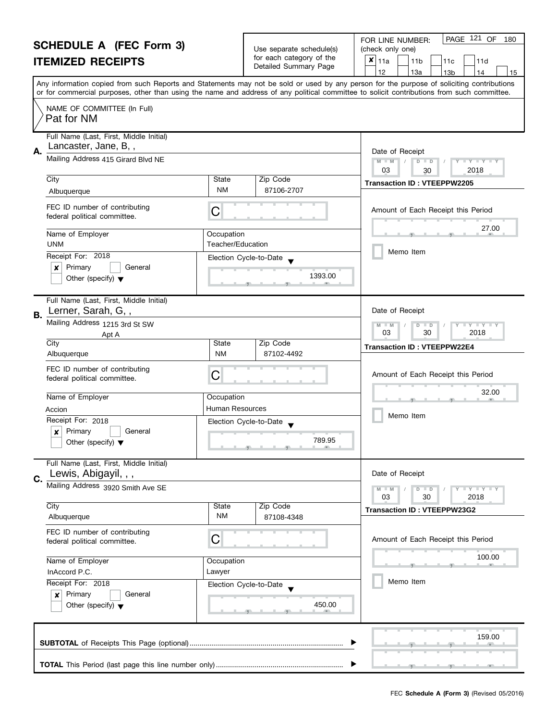|    | <b>SCHEDULE A (FEC Form 3)</b>                                                 |                                 | Use separate schedule(s) | PAGE 121 OF<br>FOR LINE NUMBER:<br>180<br>(check only one)                                                                                                                                                                                                                              |
|----|--------------------------------------------------------------------------------|---------------------------------|--------------------------|-----------------------------------------------------------------------------------------------------------------------------------------------------------------------------------------------------------------------------------------------------------------------------------------|
|    | <b>ITEMIZED RECEIPTS</b>                                                       |                                 | for each category of the | $x _{11a}$<br>11 <sub>b</sub><br>11d<br>11c                                                                                                                                                                                                                                             |
|    |                                                                                |                                 | Detailed Summary Page    | 12<br>13a<br>13 <sub>b</sub><br>14<br>15                                                                                                                                                                                                                                                |
|    |                                                                                |                                 |                          | Any information copied from such Reports and Statements may not be sold or used by any person for the purpose of soliciting contributions<br>or for commercial purposes, other than using the name and address of any political committee to solicit contributions from such committee. |
|    | NAME OF COMMITTEE (In Full)<br>Pat for NM                                      |                                 |                          |                                                                                                                                                                                                                                                                                         |
| А. | Full Name (Last, First, Middle Initial)<br>Lancaster, Jane, B,,                |                                 |                          | Date of Receipt                                                                                                                                                                                                                                                                         |
|    | Mailing Address 415 Girard Blvd NE                                             |                                 |                          | $M - M$<br>D<br>$T + Y = Y + T$<br>$\Box$<br>2018<br>03<br>30                                                                                                                                                                                                                           |
|    | City                                                                           | State                           | Zip Code                 | <b>Transaction ID: VTEEPPW2205</b>                                                                                                                                                                                                                                                      |
|    | Albuquerque                                                                    | <b>NM</b>                       | 87106-2707               |                                                                                                                                                                                                                                                                                         |
|    | FEC ID number of contributing<br>federal political committee.                  | С                               |                          | Amount of Each Receipt this Period                                                                                                                                                                                                                                                      |
|    | Name of Employer<br><b>UNM</b>                                                 | Occupation<br>Teacher/Education |                          | 27.00                                                                                                                                                                                                                                                                                   |
|    | Receipt For: 2018                                                              |                                 | Election Cycle-to-Date   | Memo Item                                                                                                                                                                                                                                                                               |
|    | Primary<br>General<br>x<br>Other (specify) $\blacktriangledown$                |                                 | 1393.00                  |                                                                                                                                                                                                                                                                                         |
| В. | Full Name (Last, First, Middle Initial)<br>Lerner, Sarah, G,,                  |                                 |                          | Date of Receipt                                                                                                                                                                                                                                                                         |
|    | Mailing Address 1215 3rd St SW<br>Apt A                                        |                                 |                          | $Y - Y - Y$<br>D<br>$\Box$<br>$-M$<br>03<br>30<br>2018                                                                                                                                                                                                                                  |
|    | City<br>Albuquerque                                                            | State<br><b>NM</b>              | Zip Code<br>87102-4492   | <b>Transaction ID: VTEEPPW22E4</b>                                                                                                                                                                                                                                                      |
|    | FEC ID number of contributing<br>federal political committee.                  | С                               |                          | Amount of Each Receipt this Period                                                                                                                                                                                                                                                      |
|    | Name of Employer                                                               | Occupation                      |                          | 32.00                                                                                                                                                                                                                                                                                   |
|    | Accion                                                                         | <b>Human Resources</b>          |                          |                                                                                                                                                                                                                                                                                         |
|    | Receipt For: 2018                                                              |                                 | Election Cycle-to-Date   | Memo Item                                                                                                                                                                                                                                                                               |
|    | Primary<br>General<br>$\boldsymbol{x}$<br>Other (specify) $\blacktriangledown$ |                                 | 789.95                   |                                                                                                                                                                                                                                                                                         |
| C. | Full Name (Last, First, Middle Initial)<br>Lewis, Abigayil, , ,                |                                 |                          | Date of Receipt                                                                                                                                                                                                                                                                         |
|    | Mailing Address 3920 Smith Ave SE                                              |                                 |                          | $Y - Y - Y - Y - Y$<br>$D$ $D$<br>03<br>30<br>2018                                                                                                                                                                                                                                      |
|    | City<br>Albuquerque                                                            | State<br><b>NM</b>              | Zip Code<br>87108-4348   | <b>Transaction ID: VTEEPPW23G2</b>                                                                                                                                                                                                                                                      |
|    | FEC ID number of contributing<br>federal political committee.                  | С                               |                          | Amount of Each Receipt this Period                                                                                                                                                                                                                                                      |
|    | Name of Employer                                                               | Occupation                      |                          | 100.00                                                                                                                                                                                                                                                                                  |
|    | InAccord P.C.                                                                  | Lawyer                          |                          |                                                                                                                                                                                                                                                                                         |
|    | Receipt For: 2018                                                              |                                 | Election Cycle-to-Date   | Memo Item                                                                                                                                                                                                                                                                               |
|    | Primary<br>General<br>×<br>Other (specify) $\blacktriangledown$                |                                 | 450.00                   |                                                                                                                                                                                                                                                                                         |
|    |                                                                                |                                 |                          | 159.00                                                                                                                                                                                                                                                                                  |
|    |                                                                                |                                 |                          |                                                                                                                                                                                                                                                                                         |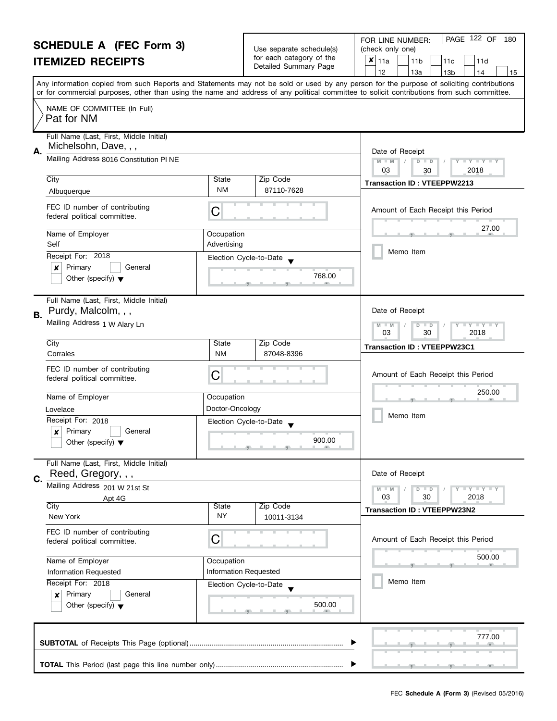|    | <b>SCHEDULE A (FEC Form 3)</b><br><b>ITEMIZED RECEIPTS</b>       |                           | Use separate schedule(s)<br>for each category of the<br>Detailed Summary Page | PAGE 122 OF<br>FOR LINE NUMBER:<br>180<br>(check only one)<br>×<br>11a<br>11 <sub>b</sub><br>11d<br>11c<br>12<br>13a<br>13 <sub>b</sub><br>14<br>15                                                                                                                                     |
|----|------------------------------------------------------------------|---------------------------|-------------------------------------------------------------------------------|-----------------------------------------------------------------------------------------------------------------------------------------------------------------------------------------------------------------------------------------------------------------------------------------|
|    |                                                                  |                           |                                                                               | Any information copied from such Reports and Statements may not be sold or used by any person for the purpose of soliciting contributions<br>or for commercial purposes, other than using the name and address of any political committee to solicit contributions from such committee. |
|    | NAME OF COMMITTEE (In Full)<br>Pat for NM                        |                           |                                                                               |                                                                                                                                                                                                                                                                                         |
| А. | Full Name (Last, First, Middle Initial)<br>Michelsohn, Dave, , , |                           |                                                                               | Date of Receipt                                                                                                                                                                                                                                                                         |
|    | Mailing Address 8016 Constitution PI NE                          |                           |                                                                               | $D$ $D$<br>$Y - Y - Y - Y$<br>$M - M$<br>03<br>2018<br>30                                                                                                                                                                                                                               |
|    | City<br>Albuquerque                                              | State<br><b>NM</b>        | Zip Code<br>87110-7628                                                        | <b>Transaction ID: VTEEPPW2213</b>                                                                                                                                                                                                                                                      |
|    | FEC ID number of contributing<br>federal political committee.    | C                         |                                                                               | Amount of Each Receipt this Period                                                                                                                                                                                                                                                      |
|    | Name of Employer<br>Self                                         | Occupation<br>Advertising |                                                                               | 27.00                                                                                                                                                                                                                                                                                   |
|    | Receipt For: 2018                                                | Election Cycle-to-Date    |                                                                               | Memo Item                                                                                                                                                                                                                                                                               |
|    | Primary<br>General<br>x<br>Other (specify) $\blacktriangledown$  |                           | 768.00                                                                        |                                                                                                                                                                                                                                                                                         |
| В. | Full Name (Last, First, Middle Initial)<br>Purdy, Malcolm, , ,   |                           |                                                                               | Date of Receipt                                                                                                                                                                                                                                                                         |
|    | Mailing Address 1 W Alary Ln                                     |                           |                                                                               | T Y T Y T Y<br>M<br>$\overline{D}$<br>$-M$<br>$\Box$<br>03<br>30<br>2018                                                                                                                                                                                                                |
|    | City<br>Corrales                                                 | State<br><b>NM</b>        | Zip Code<br>87048-8396                                                        | <b>Transaction ID: VTEEPPW23C1</b>                                                                                                                                                                                                                                                      |
|    | FEC ID number of contributing<br>federal political committee.    | C                         |                                                                               | Amount of Each Receipt this Period                                                                                                                                                                                                                                                      |
|    | Name of Employer                                                 | Occupation                |                                                                               | 250.00                                                                                                                                                                                                                                                                                  |
|    | Lovelace                                                         | Doctor-Oncology           |                                                                               | Memo Item                                                                                                                                                                                                                                                                               |
|    | Receipt For: 2018                                                | Election Cycle-to-Date    |                                                                               |                                                                                                                                                                                                                                                                                         |
|    | Primary<br>General<br>X<br>Other (specify) $\blacktriangledown$  |                           | 900.00                                                                        |                                                                                                                                                                                                                                                                                         |
| C. | Full Name (Last, First, Middle Initial)<br>Reed, Gregory, , ,    |                           |                                                                               | Date of Receipt                                                                                                                                                                                                                                                                         |
|    | Mailing Address 201 W 21st St                                    |                           |                                                                               | Y FY FY FY<br>$D$ $D$                                                                                                                                                                                                                                                                   |
|    | Apt 4G<br>City                                                   | State                     | Zip Code                                                                      | 03<br>30<br>2018<br><b>Transaction ID: VTEEPPW23N2</b>                                                                                                                                                                                                                                  |
|    | New York                                                         | <b>NY</b>                 | 10011-3134                                                                    |                                                                                                                                                                                                                                                                                         |
|    | FEC ID number of contributing<br>federal political committee.    | С                         |                                                                               | Amount of Each Receipt this Period                                                                                                                                                                                                                                                      |
|    | Name of Employer                                                 | Occupation                |                                                                               | 500.00<br>an.                                                                                                                                                                                                                                                                           |
|    | Information Requested                                            | Information Requested     |                                                                               |                                                                                                                                                                                                                                                                                         |
|    | Receipt For: 2018<br>Primary<br>General<br>×                     | Election Cycle-to-Date    |                                                                               | Memo Item                                                                                                                                                                                                                                                                               |
|    | Other (specify) $\blacktriangledown$                             |                           | 500.00                                                                        |                                                                                                                                                                                                                                                                                         |
|    |                                                                  |                           |                                                                               | 777.00                                                                                                                                                                                                                                                                                  |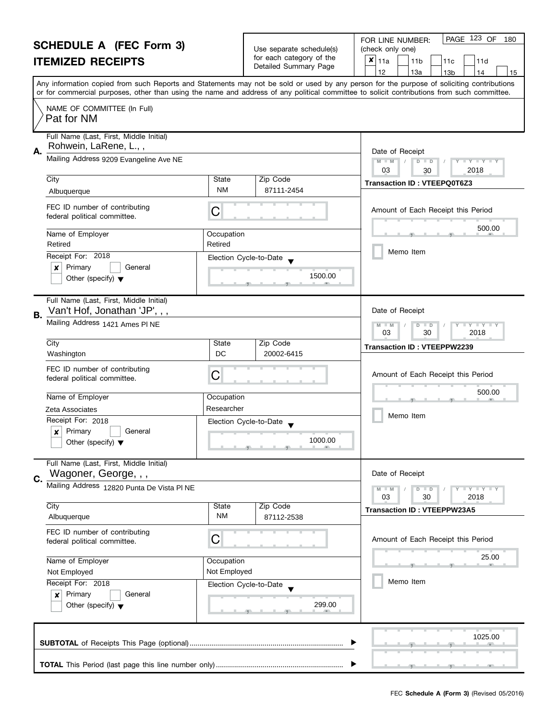|    | <b>SCHEDULE A (FEC Form 3)</b>                                           |                       |                                                      | PAGE 123 OF<br>180<br>FOR LINE NUMBER:                                                                                                                                                                            |
|----|--------------------------------------------------------------------------|-----------------------|------------------------------------------------------|-------------------------------------------------------------------------------------------------------------------------------------------------------------------------------------------------------------------|
|    | <b>ITEMIZED RECEIPTS</b>                                                 |                       | Use separate schedule(s)<br>for each category of the | (check only one)<br>×<br>11a<br>11c<br>11 <sub>b</sub><br>11d                                                                                                                                                     |
|    |                                                                          |                       | Detailed Summary Page                                | 12<br>13a<br>13 <sub>b</sub><br>14<br>15                                                                                                                                                                          |
|    |                                                                          |                       |                                                      | Any information copied from such Reports and Statements may not be sold or used by any person for the purpose of soliciting contributions                                                                         |
|    |                                                                          |                       |                                                      | or for commercial purposes, other than using the name and address of any political committee to solicit contributions from such committee.                                                                        |
|    | NAME OF COMMITTEE (In Full)<br>Pat for NM                                |                       |                                                      |                                                                                                                                                                                                                   |
| А. | Full Name (Last, First, Middle Initial)<br>Rohwein, LaRene, L.,,         |                       |                                                      |                                                                                                                                                                                                                   |
|    | Mailing Address 9209 Evangeline Ave NE                                   |                       |                                                      | Date of Receipt<br>$M - M$<br>$D$ $D$<br>$\bot$ $\gamma$ $\bot$ $\gamma$ $\bot$ $\gamma$<br>03<br>2018<br>30                                                                                                      |
|    | City                                                                     | State                 | Zip Code                                             | Transaction ID: VTEEPQ0T6Z3                                                                                                                                                                                       |
|    | Albuquerque                                                              | NM                    | 87111-2454                                           |                                                                                                                                                                                                                   |
|    | FEC ID number of contributing<br>federal political committee.            | С                     |                                                      | Amount of Each Receipt this Period                                                                                                                                                                                |
|    | Name of Employer<br>Retired                                              | Occupation<br>Retired |                                                      | 500.00                                                                                                                                                                                                            |
|    | Receipt For: 2018                                                        |                       | Election Cycle-to-Date                               | Memo Item                                                                                                                                                                                                         |
|    | Primary<br>×<br>General                                                  |                       |                                                      |                                                                                                                                                                                                                   |
|    | Other (specify) $\blacktriangledown$                                     |                       | 1500.00                                              |                                                                                                                                                                                                                   |
|    | Full Name (Last, First, Middle Initial)<br>Van't Hof, Jonathan 'JP', , , |                       |                                                      | Date of Receipt                                                                                                                                                                                                   |
| В. | Mailing Address 1421 Ames PI NE                                          |                       |                                                      | $M - M$<br>$Y + Y$<br>$D$ $D$                                                                                                                                                                                     |
|    | City                                                                     | State                 | Zip Code                                             | 03<br>30<br>2018                                                                                                                                                                                                  |
|    |                                                                          | DC                    |                                                      | <b>Transaction ID: VTEEPPW2239</b>                                                                                                                                                                                |
|    | Washington                                                               |                       | 20002-6415                                           |                                                                                                                                                                                                                   |
|    | FEC ID number of contributing                                            |                       |                                                      |                                                                                                                                                                                                                   |
|    | federal political committee.                                             | C                     |                                                      | Amount of Each Receipt this Period                                                                                                                                                                                |
|    | Name of Employer                                                         | Occupation            |                                                      | 500.00                                                                                                                                                                                                            |
|    | Zeta Associates                                                          | Researcher            |                                                      |                                                                                                                                                                                                                   |
|    | Receipt For: 2018                                                        |                       | Election Cycle-to-Date                               | Memo Item                                                                                                                                                                                                         |
|    | Primary<br>General<br>x<br>Other (specify) $\blacktriangledown$          |                       | 1000.00                                              |                                                                                                                                                                                                                   |
|    | Full Name (Last, First, Middle Initial)                                  |                       |                                                      |                                                                                                                                                                                                                   |
| C. | Wagoner, George, , ,                                                     |                       |                                                      | Date of Receipt                                                                                                                                                                                                   |
|    | Mailing Address 12820 Punta De Vista PI NE                               |                       |                                                      | $\frac{1}{2}$ $\frac{1}{2}$ $\frac{1}{2}$ $\frac{1}{2}$ $\frac{1}{2}$ $\frac{1}{2}$ $\frac{1}{2}$ $\frac{1}{2}$ $\frac{1}{2}$ $\frac{1}{2}$ $\frac{1}{2}$ $\frac{1}{2}$<br>$M - M$<br>$D$ $D$<br>03<br>30<br>2018 |
|    | City                                                                     | State<br>NM           | Zip Code                                             | <b>Transaction ID: VTEEPPW23A5</b>                                                                                                                                                                                |
|    | Albuquerque                                                              |                       | 87112-2538                                           |                                                                                                                                                                                                                   |
|    | FEC ID number of contributing<br>federal political committee.            | С                     |                                                      | Amount of Each Receipt this Period                                                                                                                                                                                |
|    | Name of Employer                                                         | Occupation            |                                                      | 25.00                                                                                                                                                                                                             |
|    | Not Employed                                                             | Not Employed          |                                                      |                                                                                                                                                                                                                   |
|    | Receipt For: 2018                                                        |                       | Election Cycle-to-Date                               | Memo Item                                                                                                                                                                                                         |
|    | Primary<br>General<br>×<br>Other (specify) $\blacktriangledown$          |                       |                                                      |                                                                                                                                                                                                                   |
|    |                                                                          |                       | 299.00                                               |                                                                                                                                                                                                                   |
|    |                                                                          |                       |                                                      | 1025.00                                                                                                                                                                                                           |

, , .

 $\blacktriangleright$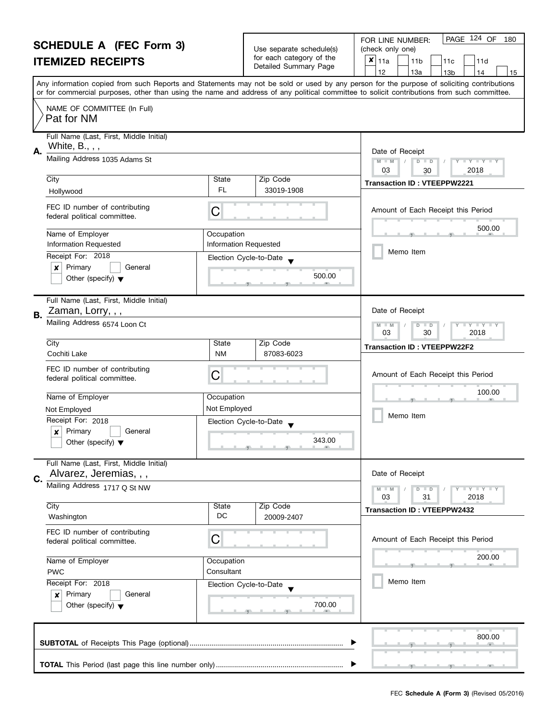|    | <b>SCHEDULE A (FEC Form 3)</b><br><b>ITEMIZED RECEIPTS</b>                           |                                     | Use separate schedule(s)<br>for each category of the<br>Detailed Summary Page | PAGE 124 OF<br>FOR LINE NUMBER:<br>180<br>(check only one)<br>×<br>11a<br>11 <sub>b</sub><br>11d<br>11c<br>12<br>13a<br>13 <sub>b</sub><br>14<br>15                                                                                                                                     |
|----|--------------------------------------------------------------------------------------|-------------------------------------|-------------------------------------------------------------------------------|-----------------------------------------------------------------------------------------------------------------------------------------------------------------------------------------------------------------------------------------------------------------------------------------|
|    |                                                                                      |                                     |                                                                               | Any information copied from such Reports and Statements may not be sold or used by any person for the purpose of soliciting contributions<br>or for commercial purposes, other than using the name and address of any political committee to solicit contributions from such committee. |
|    | NAME OF COMMITTEE (In Full)<br>Pat for NM                                            |                                     |                                                                               |                                                                                                                                                                                                                                                                                         |
| А. | Full Name (Last, First, Middle Initial)<br>White, B., , ,                            |                                     |                                                                               | Date of Receipt                                                                                                                                                                                                                                                                         |
|    | Mailing Address 1035 Adams St                                                        |                                     |                                                                               | $M - M$<br>$D$ $D$<br>$Y - Y - Y - Y$<br>03<br>2018<br>30                                                                                                                                                                                                                               |
|    | City<br>Hollywood                                                                    | State<br>FL.                        | Zip Code<br>33019-1908                                                        | <b>Transaction ID: VTEEPPW2221</b>                                                                                                                                                                                                                                                      |
|    | FEC ID number of contributing<br>federal political committee.                        | C                                   |                                                                               | Amount of Each Receipt this Period                                                                                                                                                                                                                                                      |
|    | Name of Employer<br>Information Requested                                            | Occupation<br>Information Requested |                                                                               | 500.00                                                                                                                                                                                                                                                                                  |
|    | Receipt For: 2018<br>Primary<br>General<br>x<br>Other (specify) $\blacktriangledown$ | Election Cycle-to-Date              | 500.00                                                                        | Memo Item                                                                                                                                                                                                                                                                               |
| В. | Full Name (Last, First, Middle Initial)<br>Zaman, Lorry, , ,                         |                                     |                                                                               | Date of Receipt                                                                                                                                                                                                                                                                         |
|    | Mailing Address 6574 Loon Ct                                                         |                                     |                                                                               | T Y T Y T Y<br>M<br>$\overline{D}$<br>$-M$<br>$\Box$<br>03<br>30<br>2018                                                                                                                                                                                                                |
|    | City<br>Cochiti Lake                                                                 | State<br><b>NM</b>                  | Zip Code<br>87083-6023                                                        | <b>Transaction ID: VTEEPPW22F2</b>                                                                                                                                                                                                                                                      |
|    | FEC ID number of contributing<br>federal political committee.                        | C                                   |                                                                               | Amount of Each Receipt this Period                                                                                                                                                                                                                                                      |
|    | Name of Employer                                                                     | Occupation                          |                                                                               | 100.00                                                                                                                                                                                                                                                                                  |
|    | Not Employed<br>Receipt For: 2018                                                    | Not Employed                        |                                                                               | Memo Item                                                                                                                                                                                                                                                                               |
|    | Primary<br>General<br>X<br>Other (specify) $\blacktriangledown$                      | Election Cycle-to-Date              | 343.00<br><u>ga kata ga kata m</u>                                            |                                                                                                                                                                                                                                                                                         |
| C. | Full Name (Last, First, Middle Initial)<br>Alvarez, Jeremias, , ,                    |                                     |                                                                               | Date of Receipt                                                                                                                                                                                                                                                                         |
|    | Mailing Address 1717 Q St NW                                                         |                                     |                                                                               | $Y - Y - Y - Y - Y$<br>$D$ $D$<br>03<br>31<br>2018                                                                                                                                                                                                                                      |
|    | City<br>Washington                                                                   | State<br>DC                         | Zip Code<br>20009-2407                                                        | <b>Transaction ID: VTEEPPW2432</b>                                                                                                                                                                                                                                                      |
|    | FEC ID number of contributing<br>federal political committee.                        | С                                   |                                                                               | Amount of Each Receipt this Period                                                                                                                                                                                                                                                      |
|    | Name of Employer<br>Occupation<br>Consultant<br><b>PWC</b>                           |                                     |                                                                               | 200.00<br>an.                                                                                                                                                                                                                                                                           |
|    | Receipt For: 2018<br>Primary<br>General<br>×<br>Other (specify) $\blacktriangledown$ | Election Cycle-to-Date              | 700.00                                                                        | Memo Item                                                                                                                                                                                                                                                                               |
|    |                                                                                      |                                     |                                                                               | 800.00                                                                                                                                                                                                                                                                                  |
|    |                                                                                      |                                     |                                                                               |                                                                                                                                                                                                                                                                                         |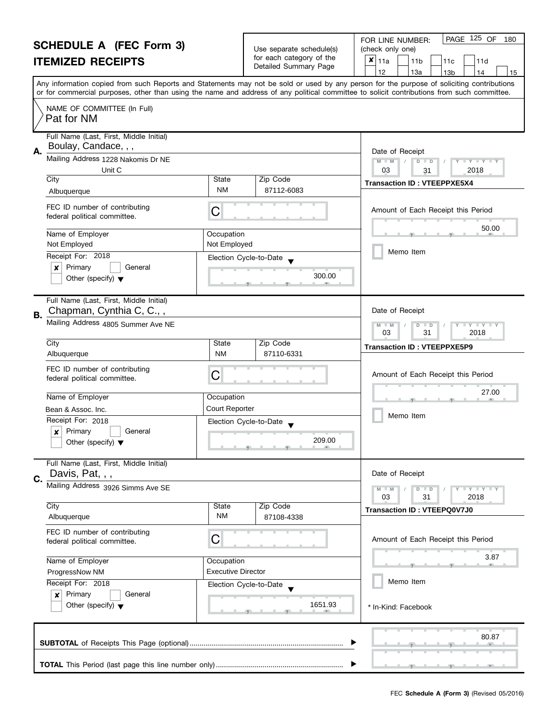#### **SCHEDULE A (FEC Form 3) ITEMIZED RECEIPTS**

|                                                   | FOR LINE NUMBER:             |
|---------------------------------------------------|------------------------------|
| Use separate schedule(s)                          | (check only one)             |
| for each category of the<br>Detailed Summary Page | 11b<br>$\vert x \vert_{11a}$ |

| SCHEDULE A (FEC Form 3)<br><b>ITEMIZED RECEIPTS</b>                                                         |                                                                   | Use separate schedule(s)<br>for each category of the<br>Detailed Summary Page | (check only one)<br>$x _{11a}$<br>11 <sub>b</sub><br>11c<br>11d<br>12<br>13a<br>13 <sub>b</sub><br>14<br>15                                                                                                                                                                             |  |  |
|-------------------------------------------------------------------------------------------------------------|-------------------------------------------------------------------|-------------------------------------------------------------------------------|-----------------------------------------------------------------------------------------------------------------------------------------------------------------------------------------------------------------------------------------------------------------------------------------|--|--|
|                                                                                                             |                                                                   |                                                                               | Any information copied from such Reports and Statements may not be sold or used by any person for the purpose of soliciting contributions<br>or for commercial purposes, other than using the name and address of any political committee to solicit contributions from such committee. |  |  |
| NAME OF COMMITTEE (In Full)<br>Pat for NM                                                                   |                                                                   |                                                                               |                                                                                                                                                                                                                                                                                         |  |  |
| Full Name (Last, First, Middle Initial)<br>Boulay, Candace, , ,<br>Α.<br>Mailing Address 1228 Nakomis Dr NE |                                                                   |                                                                               | Date of Receipt<br>$M - M$<br>$D$ $D$<br>$T$ $Y$ $T$ $Y$ $T$ $Y$                                                                                                                                                                                                                        |  |  |
| Unit C<br>City                                                                                              | State                                                             | Zip Code                                                                      | 03<br>2018<br>31                                                                                                                                                                                                                                                                        |  |  |
| Albuquerque                                                                                                 | ΝM                                                                | 87112-6083                                                                    | <b>Transaction ID: VTEEPPXE5X4</b>                                                                                                                                                                                                                                                      |  |  |
| FEC ID number of contributing<br>federal political committee.                                               | С                                                                 |                                                                               | Amount of Each Receipt this Period                                                                                                                                                                                                                                                      |  |  |
| Name of Employer                                                                                            | Occupation                                                        |                                                                               | 50.00                                                                                                                                                                                                                                                                                   |  |  |
| Not Employed                                                                                                | Not Employed                                                      |                                                                               |                                                                                                                                                                                                                                                                                         |  |  |
| Receipt For: 2018<br>x<br>Primary<br>General<br>Other (specify) $\blacktriangledown$                        |                                                                   | Election Cycle-to-Date<br>300.00                                              | Memo Item                                                                                                                                                                                                                                                                               |  |  |
| Full Name (Last, First, Middle Initial)<br>Chapman, Cynthia C, C.,,<br>Β.                                   |                                                                   |                                                                               |                                                                                                                                                                                                                                                                                         |  |  |
| Mailing Address 4805 Summer Ave NE                                                                          | $T + Y = Y$<br>$M - M$<br>D<br>$\blacksquare$<br>03<br>31<br>2018 |                                                                               |                                                                                                                                                                                                                                                                                         |  |  |
| City<br>Albuquerque                                                                                         | State<br><b>NM</b>                                                | Zip Code<br>87110-6331                                                        | <b>Transaction ID: VTEEPPXE5P9</b>                                                                                                                                                                                                                                                      |  |  |
| FEC ID number of contributing<br>federal political committee.                                               | С                                                                 |                                                                               | Amount of Each Receipt this Period                                                                                                                                                                                                                                                      |  |  |
| Name of Employer                                                                                            | Occupation                                                        |                                                                               | 27.00                                                                                                                                                                                                                                                                                   |  |  |
| Bean & Assoc. Inc.                                                                                          | <b>Court Reporter</b>                                             |                                                                               | Memo Item                                                                                                                                                                                                                                                                               |  |  |
| Receipt For: 2018<br>Primary<br>General<br>x<br>Other (specify) $\blacktriangledown$                        |                                                                   | Election Cycle-to-Date<br>209.00                                              |                                                                                                                                                                                                                                                                                         |  |  |
| Full Name (Last, First, Middle Initial)<br>Davis, Pat, , ,                                                  |                                                                   |                                                                               | Date of Receipt                                                                                                                                                                                                                                                                         |  |  |
| C.<br>Mailing Address 3926 Simms Ave SE                                                                     |                                                                   |                                                                               | <b>TEY LY LY</b><br>$M - M$<br>$D$ $D$<br>03<br>31<br>2018                                                                                                                                                                                                                              |  |  |
| City<br>Albuquerque                                                                                         | State<br>ΝM                                                       | Zip Code<br>87108-4338                                                        | Transaction ID: VTEEPQ0V7J0                                                                                                                                                                                                                                                             |  |  |
| FEC ID number of contributing<br>federal political committee.                                               | С                                                                 |                                                                               | Amount of Each Receipt this Period                                                                                                                                                                                                                                                      |  |  |
| Name of Employer                                                                                            | Occupation                                                        |                                                                               | 3.87                                                                                                                                                                                                                                                                                    |  |  |
| <b>Executive Director</b><br>ProgressNow NM<br>Receipt For: 2018<br>Election Cycle-to-Date                  |                                                                   |                                                                               |                                                                                                                                                                                                                                                                                         |  |  |
|                                                                                                             |                                                                   |                                                                               | Memo Item                                                                                                                                                                                                                                                                               |  |  |
| Primary<br>General<br>$\boldsymbol{x}$<br>Other (specify) $\blacktriangledown$                              |                                                                   | 1651.93                                                                       | * In-Kind: Facebook                                                                                                                                                                                                                                                                     |  |  |
|                                                                                                             |                                                                   |                                                                               | 80.87                                                                                                                                                                                                                                                                                   |  |  |
|                                                                                                             |                                                                   |                                                                               |                                                                                                                                                                                                                                                                                         |  |  |

PAGE 125 OF 180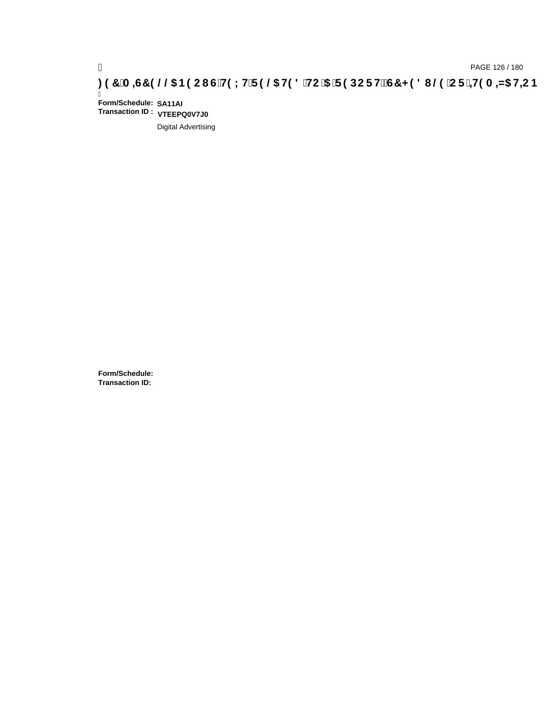Ī **Form/Schedule: SA11AI Transaction ID : VTEEPQ0V7J0**

Digital Advertising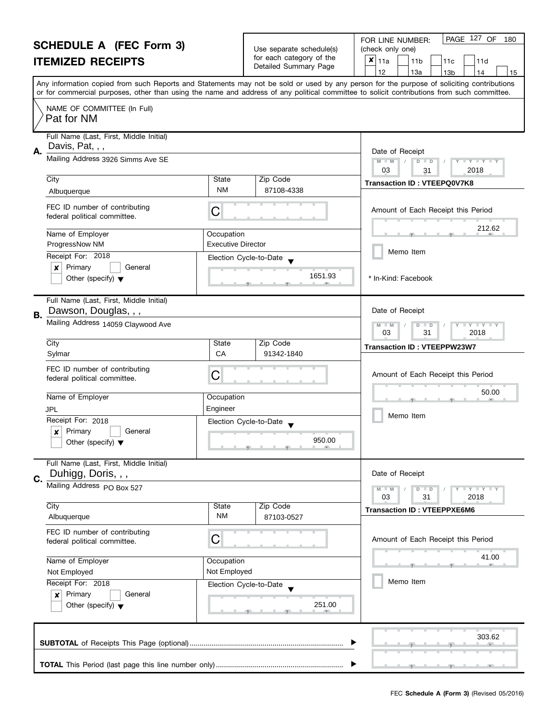| <b>SCHEDULE A (FEC Form 3)</b> |                                                            |                                                           |                                                      | PAGE 127 OF<br>FOR LINE NUMBER:<br>180                                                                                                                                                |  |
|--------------------------------|------------------------------------------------------------|-----------------------------------------------------------|------------------------------------------------------|---------------------------------------------------------------------------------------------------------------------------------------------------------------------------------------|--|
|                                |                                                            |                                                           | Use separate schedule(s)<br>for each category of the | (check only one)                                                                                                                                                                      |  |
|                                | <b>ITEMIZED RECEIPTS</b>                                   |                                                           | Detailed Summary Page                                | $x _{11a}$<br>11 <sub>b</sub><br>11d<br>11c                                                                                                                                           |  |
|                                |                                                            |                                                           |                                                      | 12<br>13a<br>13 <sub>b</sub><br>14<br>15<br>Any information copied from such Reports and Statements may not be sold or used by any person for the purpose of soliciting contributions |  |
|                                |                                                            |                                                           |                                                      | or for commercial purposes, other than using the name and address of any political committee to solicit contributions from such committee.                                            |  |
|                                | NAME OF COMMITTEE (In Full)                                |                                                           |                                                      |                                                                                                                                                                                       |  |
|                                | Pat for NM                                                 |                                                           |                                                      |                                                                                                                                                                                       |  |
|                                |                                                            |                                                           |                                                      |                                                                                                                                                                                       |  |
|                                | Full Name (Last, First, Middle Initial)<br>Davis, Pat, , , |                                                           |                                                      |                                                                                                                                                                                       |  |
| А.                             | Mailing Address 3926 Simms Ave SE                          |                                                           |                                                      | Date of Receipt                                                                                                                                                                       |  |
|                                |                                                            |                                                           |                                                      | $M - M$<br>$D$ $D$<br>$Y - Y - Y - Y - I$<br>2018<br>03<br>31                                                                                                                         |  |
|                                | City                                                       | State                                                     | Zip Code                                             | <b>Transaction ID: VTEEPQ0V7K8</b>                                                                                                                                                    |  |
|                                | Albuquerque                                                | NM                                                        | 87108-4338                                           |                                                                                                                                                                                       |  |
|                                | FEC ID number of contributing                              |                                                           |                                                      | Amount of Each Receipt this Period                                                                                                                                                    |  |
|                                | federal political committee.                               | C                                                         |                                                      |                                                                                                                                                                                       |  |
|                                | Name of Employer                                           | Occupation                                                |                                                      | 212.62                                                                                                                                                                                |  |
|                                | ProgressNow NM                                             | <b>Executive Director</b>                                 |                                                      |                                                                                                                                                                                       |  |
|                                | Receipt For: 2018                                          |                                                           | Election Cycle-to-Date                               | Memo Item                                                                                                                                                                             |  |
|                                | Primary<br>$\boldsymbol{x}$<br>General                     |                                                           |                                                      |                                                                                                                                                                                       |  |
|                                | Other (specify) $\blacktriangledown$                       |                                                           | 1651.93                                              | * In-Kind: Facebook                                                                                                                                                                   |  |
|                                |                                                            |                                                           |                                                      |                                                                                                                                                                                       |  |
|                                | Full Name (Last, First, Middle Initial)                    |                                                           |                                                      |                                                                                                                                                                                       |  |
| В.                             | Dawson, Douglas, , ,                                       |                                                           |                                                      | Date of Receipt                                                                                                                                                                       |  |
|                                | Mailing Address 14059 Claywood Ave                         | $M - M$<br>$Y - Y - Y$<br>D<br>$\Box$<br>2018<br>03<br>31 |                                                      |                                                                                                                                                                                       |  |
|                                | City                                                       | State                                                     | Zip Code                                             | <b>Transaction ID: VTEEPPW23W7</b>                                                                                                                                                    |  |
|                                | Sylmar                                                     | CA                                                        | 91342-1840                                           |                                                                                                                                                                                       |  |
|                                | FEC ID number of contributing                              |                                                           |                                                      |                                                                                                                                                                                       |  |
|                                | federal political committee.                               | С                                                         |                                                      | Amount of Each Receipt this Period                                                                                                                                                    |  |
|                                | Name of Employer                                           | Occupation                                                |                                                      | 50.00                                                                                                                                                                                 |  |
|                                | JPL                                                        | Engineer                                                  |                                                      |                                                                                                                                                                                       |  |
|                                | Receipt For: 2018                                          |                                                           | Election Cycle-to-Date                               | Memo Item                                                                                                                                                                             |  |
|                                | Primary<br>General<br>$\boldsymbol{x}$                     |                                                           |                                                      |                                                                                                                                                                                       |  |
|                                | Other (specify) $\blacktriangledown$                       |                                                           | 950.00                                               |                                                                                                                                                                                       |  |
|                                | Full Name (Last, First, Middle Initial)                    |                                                           |                                                      |                                                                                                                                                                                       |  |
|                                | Duhigg, Doris, , ,                                         |                                                           |                                                      | Date of Receipt                                                                                                                                                                       |  |
| C.                             | Mailing Address PO Box 527                                 |                                                           |                                                      | Y TY TY TY<br>$M - M$<br>$D$ $D$                                                                                                                                                      |  |
|                                |                                                            |                                                           |                                                      | 03<br>31<br>2018                                                                                                                                                                      |  |
|                                | City                                                       | State                                                     | Zip Code                                             | <b>Transaction ID: VTEEPPXE6M6</b>                                                                                                                                                    |  |
|                                | Albuquerque                                                | <b>NM</b>                                                 | 87103-0527                                           |                                                                                                                                                                                       |  |
|                                | FEC ID number of contributing                              | С                                                         |                                                      | Amount of Each Receipt this Period                                                                                                                                                    |  |
|                                | federal political committee.                               |                                                           |                                                      |                                                                                                                                                                                       |  |
|                                | Name of Employer                                           | Occupation                                                |                                                      | 41.00                                                                                                                                                                                 |  |
|                                | Not Employed<br>Not Employed                               |                                                           |                                                      |                                                                                                                                                                                       |  |
|                                | Receipt For: 2018                                          |                                                           | Election Cycle-to-Date                               | Memo Item                                                                                                                                                                             |  |
|                                | Primary<br>General<br>×                                    |                                                           | 251.00                                               |                                                                                                                                                                                       |  |
|                                | Other (specify) $\blacktriangledown$                       |                                                           |                                                      |                                                                                                                                                                                       |  |
|                                |                                                            |                                                           |                                                      |                                                                                                                                                                                       |  |
|                                |                                                            |                                                           |                                                      | 303.62                                                                                                                                                                                |  |
|                                |                                                            |                                                           |                                                      |                                                                                                                                                                                       |  |
|                                |                                                            |                                                           |                                                      |                                                                                                                                                                                       |  |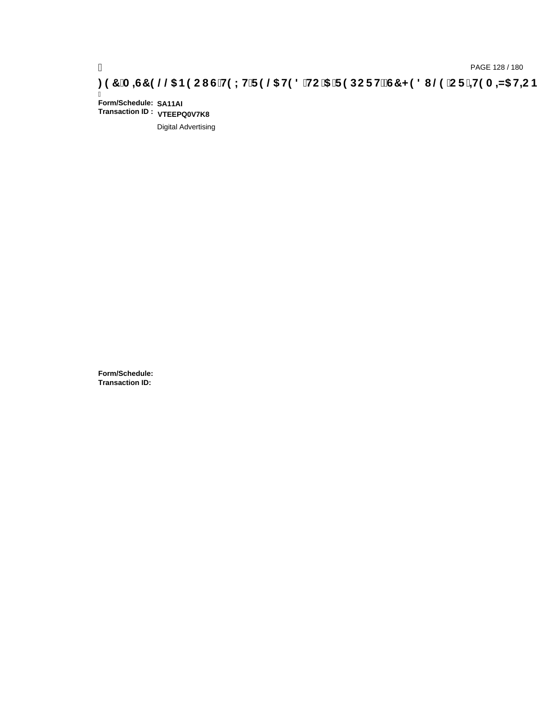Ī **Form/Schedule: SA11AI Transaction ID : VTEEPQ0V7K8**

Digital Advertising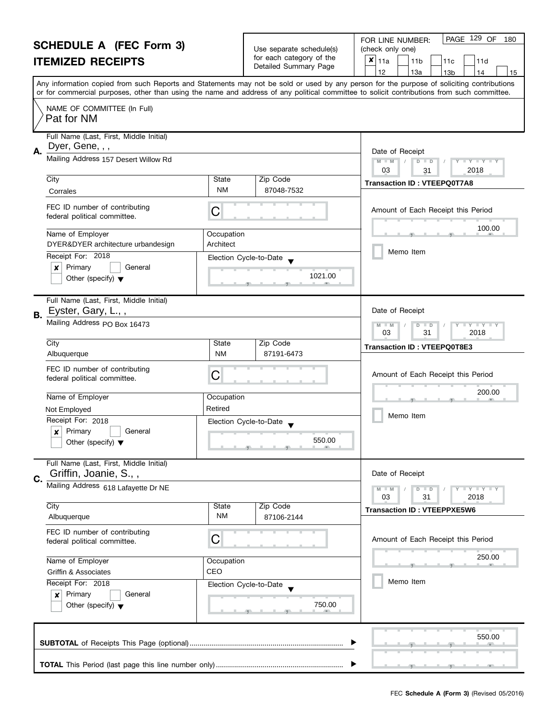| for each category of the<br>$x _{11a}$<br><b>ITEMIZED RECEIPTS</b><br>11 <sub>b</sub><br>11c<br>Detailed Summary Page<br>12<br>13a<br>13 <sub>b</sub><br>14<br>Any information copied from such Reports and Statements may not be sold or used by any person for the purpose of soliciting contributions<br>or for commercial purposes, other than using the name and address of any political committee to solicit contributions from such committee.<br>NAME OF COMMITTEE (In Full)<br>Pat for NM<br>Full Name (Last, First, Middle Initial)<br>Dyer, Gene, , ,<br>А.<br>Date of Receipt<br>Mailing Address 157 Desert Willow Rd<br>$M - M$<br>$\overline{D}$<br>$\Box$<br>03<br>2018<br>31<br>Zip Code<br>City<br>State<br><b>Transaction ID: VTEEPQ0T7A8</b><br><b>NM</b><br>87048-7532<br>Corrales<br>FEC ID number of contributing<br>С<br>federal political committee.<br>Name of Employer<br>Occupation<br>DYER&DYER architecture urbandesign<br>Architect<br>Memo Item<br>Receipt For: 2018<br>Election Cycle-to-Date<br>Primary<br>$\pmb{\times}$<br>General<br>1021.00<br>Other (specify) $\blacktriangledown$<br>Full Name (Last, First, Middle Initial)<br>Eyster, Gary, L.,,<br>Date of Receipt<br>В.<br>Mailing Address PO Box 16473<br>D<br>$-M$<br>$\blacksquare$<br>03<br>31<br>2018<br>Zip Code<br>City<br>State<br><b>Transaction ID: VTEEPQ0T8E3</b><br><b>NM</b><br>87191-6473<br>Albuquerque<br>FEC ID number of contributing<br>С<br>federal political committee.<br>Name of Employer<br>Occupation<br>Retired<br>Not Employed<br>Memo Item<br>Receipt For: 2018<br>Election Cycle-to-Date<br>Primary<br>General<br>$\boldsymbol{x}$<br>550.00<br>Other (specify) $\blacktriangledown$<br>Full Name (Last, First, Middle Initial)<br>Griffin, Joanie, S.,,<br>Date of Receipt<br>C.<br>Mailing Address 618 Lafayette Dr NE<br>$D$ $D$<br>03<br>31<br>2018<br>City<br>Zip Code<br>State<br><b>Transaction ID: VTEEPPXE5W6</b><br><b>NM</b><br>Albuquerque<br>87106-2144<br>FEC ID number of contributing<br>С<br>federal political committee.<br>Name of Employer<br>Occupation<br>CEO<br>Griffin & Associates<br>Memo Item<br>Receipt For: 2018<br>Election Cycle-to-Date<br>Primary<br>General<br>×<br>750.00<br>Other (specify) $\blacktriangledown$ | <b>SCHEDULE A (FEC Form 3)</b> |  | Use separate schedule(s) | PAGE 129 OF<br>FOR LINE NUMBER:<br>180<br>(check only one) |  |
|--------------------------------------------------------------------------------------------------------------------------------------------------------------------------------------------------------------------------------------------------------------------------------------------------------------------------------------------------------------------------------------------------------------------------------------------------------------------------------------------------------------------------------------------------------------------------------------------------------------------------------------------------------------------------------------------------------------------------------------------------------------------------------------------------------------------------------------------------------------------------------------------------------------------------------------------------------------------------------------------------------------------------------------------------------------------------------------------------------------------------------------------------------------------------------------------------------------------------------------------------------------------------------------------------------------------------------------------------------------------------------------------------------------------------------------------------------------------------------------------------------------------------------------------------------------------------------------------------------------------------------------------------------------------------------------------------------------------------------------------------------------------------------------------------------------------------------------------------------------------------------------------------------------------------------------------------------------------------------------------------------------------------------------------------------------------------------------------------------------------------------------------------------------------------------------------------------------------------------------------------------------------------------|--------------------------------|--|--------------------------|------------------------------------------------------------|--|
|                                                                                                                                                                                                                                                                                                                                                                                                                                                                                                                                                                                                                                                                                                                                                                                                                                                                                                                                                                                                                                                                                                                                                                                                                                                                                                                                                                                                                                                                                                                                                                                                                                                                                                                                                                                                                                                                                                                                                                                                                                                                                                                                                                                                                                                                                |                                |  |                          | 11d                                                        |  |
|                                                                                                                                                                                                                                                                                                                                                                                                                                                                                                                                                                                                                                                                                                                                                                                                                                                                                                                                                                                                                                                                                                                                                                                                                                                                                                                                                                                                                                                                                                                                                                                                                                                                                                                                                                                                                                                                                                                                                                                                                                                                                                                                                                                                                                                                                |                                |  |                          | 15                                                         |  |
|                                                                                                                                                                                                                                                                                                                                                                                                                                                                                                                                                                                                                                                                                                                                                                                                                                                                                                                                                                                                                                                                                                                                                                                                                                                                                                                                                                                                                                                                                                                                                                                                                                                                                                                                                                                                                                                                                                                                                                                                                                                                                                                                                                                                                                                                                |                                |  |                          |                                                            |  |
|                                                                                                                                                                                                                                                                                                                                                                                                                                                                                                                                                                                                                                                                                                                                                                                                                                                                                                                                                                                                                                                                                                                                                                                                                                                                                                                                                                                                                                                                                                                                                                                                                                                                                                                                                                                                                                                                                                                                                                                                                                                                                                                                                                                                                                                                                |                                |  |                          |                                                            |  |
|                                                                                                                                                                                                                                                                                                                                                                                                                                                                                                                                                                                                                                                                                                                                                                                                                                                                                                                                                                                                                                                                                                                                                                                                                                                                                                                                                                                                                                                                                                                                                                                                                                                                                                                                                                                                                                                                                                                                                                                                                                                                                                                                                                                                                                                                                |                                |  |                          |                                                            |  |
|                                                                                                                                                                                                                                                                                                                                                                                                                                                                                                                                                                                                                                                                                                                                                                                                                                                                                                                                                                                                                                                                                                                                                                                                                                                                                                                                                                                                                                                                                                                                                                                                                                                                                                                                                                                                                                                                                                                                                                                                                                                                                                                                                                                                                                                                                |                                |  |                          | $Y = Y + Y +$                                              |  |
|                                                                                                                                                                                                                                                                                                                                                                                                                                                                                                                                                                                                                                                                                                                                                                                                                                                                                                                                                                                                                                                                                                                                                                                                                                                                                                                                                                                                                                                                                                                                                                                                                                                                                                                                                                                                                                                                                                                                                                                                                                                                                                                                                                                                                                                                                |                                |  |                          |                                                            |  |
|                                                                                                                                                                                                                                                                                                                                                                                                                                                                                                                                                                                                                                                                                                                                                                                                                                                                                                                                                                                                                                                                                                                                                                                                                                                                                                                                                                                                                                                                                                                                                                                                                                                                                                                                                                                                                                                                                                                                                                                                                                                                                                                                                                                                                                                                                |                                |  |                          |                                                            |  |
|                                                                                                                                                                                                                                                                                                                                                                                                                                                                                                                                                                                                                                                                                                                                                                                                                                                                                                                                                                                                                                                                                                                                                                                                                                                                                                                                                                                                                                                                                                                                                                                                                                                                                                                                                                                                                                                                                                                                                                                                                                                                                                                                                                                                                                                                                |                                |  |                          | Amount of Each Receipt this Period                         |  |
|                                                                                                                                                                                                                                                                                                                                                                                                                                                                                                                                                                                                                                                                                                                                                                                                                                                                                                                                                                                                                                                                                                                                                                                                                                                                                                                                                                                                                                                                                                                                                                                                                                                                                                                                                                                                                                                                                                                                                                                                                                                                                                                                                                                                                                                                                |                                |  |                          | 100.00                                                     |  |
|                                                                                                                                                                                                                                                                                                                                                                                                                                                                                                                                                                                                                                                                                                                                                                                                                                                                                                                                                                                                                                                                                                                                                                                                                                                                                                                                                                                                                                                                                                                                                                                                                                                                                                                                                                                                                                                                                                                                                                                                                                                                                                                                                                                                                                                                                |                                |  |                          |                                                            |  |
|                                                                                                                                                                                                                                                                                                                                                                                                                                                                                                                                                                                                                                                                                                                                                                                                                                                                                                                                                                                                                                                                                                                                                                                                                                                                                                                                                                                                                                                                                                                                                                                                                                                                                                                                                                                                                                                                                                                                                                                                                                                                                                                                                                                                                                                                                |                                |  |                          |                                                            |  |
|                                                                                                                                                                                                                                                                                                                                                                                                                                                                                                                                                                                                                                                                                                                                                                                                                                                                                                                                                                                                                                                                                                                                                                                                                                                                                                                                                                                                                                                                                                                                                                                                                                                                                                                                                                                                                                                                                                                                                                                                                                                                                                                                                                                                                                                                                |                                |  |                          |                                                            |  |
|                                                                                                                                                                                                                                                                                                                                                                                                                                                                                                                                                                                                                                                                                                                                                                                                                                                                                                                                                                                                                                                                                                                                                                                                                                                                                                                                                                                                                                                                                                                                                                                                                                                                                                                                                                                                                                                                                                                                                                                                                                                                                                                                                                                                                                                                                |                                |  |                          | $Y \perp Y \perp Y$                                        |  |
|                                                                                                                                                                                                                                                                                                                                                                                                                                                                                                                                                                                                                                                                                                                                                                                                                                                                                                                                                                                                                                                                                                                                                                                                                                                                                                                                                                                                                                                                                                                                                                                                                                                                                                                                                                                                                                                                                                                                                                                                                                                                                                                                                                                                                                                                                |                                |  |                          |                                                            |  |
|                                                                                                                                                                                                                                                                                                                                                                                                                                                                                                                                                                                                                                                                                                                                                                                                                                                                                                                                                                                                                                                                                                                                                                                                                                                                                                                                                                                                                                                                                                                                                                                                                                                                                                                                                                                                                                                                                                                                                                                                                                                                                                                                                                                                                                                                                |                                |  |                          |                                                            |  |
|                                                                                                                                                                                                                                                                                                                                                                                                                                                                                                                                                                                                                                                                                                                                                                                                                                                                                                                                                                                                                                                                                                                                                                                                                                                                                                                                                                                                                                                                                                                                                                                                                                                                                                                                                                                                                                                                                                                                                                                                                                                                                                                                                                                                                                                                                |                                |  |                          | Amount of Each Receipt this Period                         |  |
|                                                                                                                                                                                                                                                                                                                                                                                                                                                                                                                                                                                                                                                                                                                                                                                                                                                                                                                                                                                                                                                                                                                                                                                                                                                                                                                                                                                                                                                                                                                                                                                                                                                                                                                                                                                                                                                                                                                                                                                                                                                                                                                                                                                                                                                                                |                                |  |                          | 200.00                                                     |  |
|                                                                                                                                                                                                                                                                                                                                                                                                                                                                                                                                                                                                                                                                                                                                                                                                                                                                                                                                                                                                                                                                                                                                                                                                                                                                                                                                                                                                                                                                                                                                                                                                                                                                                                                                                                                                                                                                                                                                                                                                                                                                                                                                                                                                                                                                                |                                |  |                          |                                                            |  |
|                                                                                                                                                                                                                                                                                                                                                                                                                                                                                                                                                                                                                                                                                                                                                                                                                                                                                                                                                                                                                                                                                                                                                                                                                                                                                                                                                                                                                                                                                                                                                                                                                                                                                                                                                                                                                                                                                                                                                                                                                                                                                                                                                                                                                                                                                |                                |  |                          |                                                            |  |
|                                                                                                                                                                                                                                                                                                                                                                                                                                                                                                                                                                                                                                                                                                                                                                                                                                                                                                                                                                                                                                                                                                                                                                                                                                                                                                                                                                                                                                                                                                                                                                                                                                                                                                                                                                                                                                                                                                                                                                                                                                                                                                                                                                                                                                                                                |                                |  |                          |                                                            |  |
|                                                                                                                                                                                                                                                                                                                                                                                                                                                                                                                                                                                                                                                                                                                                                                                                                                                                                                                                                                                                                                                                                                                                                                                                                                                                                                                                                                                                                                                                                                                                                                                                                                                                                                                                                                                                                                                                                                                                                                                                                                                                                                                                                                                                                                                                                |                                |  |                          |                                                            |  |
|                                                                                                                                                                                                                                                                                                                                                                                                                                                                                                                                                                                                                                                                                                                                                                                                                                                                                                                                                                                                                                                                                                                                                                                                                                                                                                                                                                                                                                                                                                                                                                                                                                                                                                                                                                                                                                                                                                                                                                                                                                                                                                                                                                                                                                                                                |                                |  |                          | $Y - Y - Y - Y - Y$                                        |  |
|                                                                                                                                                                                                                                                                                                                                                                                                                                                                                                                                                                                                                                                                                                                                                                                                                                                                                                                                                                                                                                                                                                                                                                                                                                                                                                                                                                                                                                                                                                                                                                                                                                                                                                                                                                                                                                                                                                                                                                                                                                                                                                                                                                                                                                                                                |                                |  |                          |                                                            |  |
|                                                                                                                                                                                                                                                                                                                                                                                                                                                                                                                                                                                                                                                                                                                                                                                                                                                                                                                                                                                                                                                                                                                                                                                                                                                                                                                                                                                                                                                                                                                                                                                                                                                                                                                                                                                                                                                                                                                                                                                                                                                                                                                                                                                                                                                                                |                                |  |                          |                                                            |  |
|                                                                                                                                                                                                                                                                                                                                                                                                                                                                                                                                                                                                                                                                                                                                                                                                                                                                                                                                                                                                                                                                                                                                                                                                                                                                                                                                                                                                                                                                                                                                                                                                                                                                                                                                                                                                                                                                                                                                                                                                                                                                                                                                                                                                                                                                                |                                |  |                          | Amount of Each Receipt this Period                         |  |
|                                                                                                                                                                                                                                                                                                                                                                                                                                                                                                                                                                                                                                                                                                                                                                                                                                                                                                                                                                                                                                                                                                                                                                                                                                                                                                                                                                                                                                                                                                                                                                                                                                                                                                                                                                                                                                                                                                                                                                                                                                                                                                                                                                                                                                                                                |                                |  |                          | 250.00                                                     |  |
|                                                                                                                                                                                                                                                                                                                                                                                                                                                                                                                                                                                                                                                                                                                                                                                                                                                                                                                                                                                                                                                                                                                                                                                                                                                                                                                                                                                                                                                                                                                                                                                                                                                                                                                                                                                                                                                                                                                                                                                                                                                                                                                                                                                                                                                                                |                                |  |                          |                                                            |  |
|                                                                                                                                                                                                                                                                                                                                                                                                                                                                                                                                                                                                                                                                                                                                                                                                                                                                                                                                                                                                                                                                                                                                                                                                                                                                                                                                                                                                                                                                                                                                                                                                                                                                                                                                                                                                                                                                                                                                                                                                                                                                                                                                                                                                                                                                                |                                |  |                          |                                                            |  |
|                                                                                                                                                                                                                                                                                                                                                                                                                                                                                                                                                                                                                                                                                                                                                                                                                                                                                                                                                                                                                                                                                                                                                                                                                                                                                                                                                                                                                                                                                                                                                                                                                                                                                                                                                                                                                                                                                                                                                                                                                                                                                                                                                                                                                                                                                |                                |  |                          |                                                            |  |
|                                                                                                                                                                                                                                                                                                                                                                                                                                                                                                                                                                                                                                                                                                                                                                                                                                                                                                                                                                                                                                                                                                                                                                                                                                                                                                                                                                                                                                                                                                                                                                                                                                                                                                                                                                                                                                                                                                                                                                                                                                                                                                                                                                                                                                                                                |                                |  |                          | 550.00                                                     |  |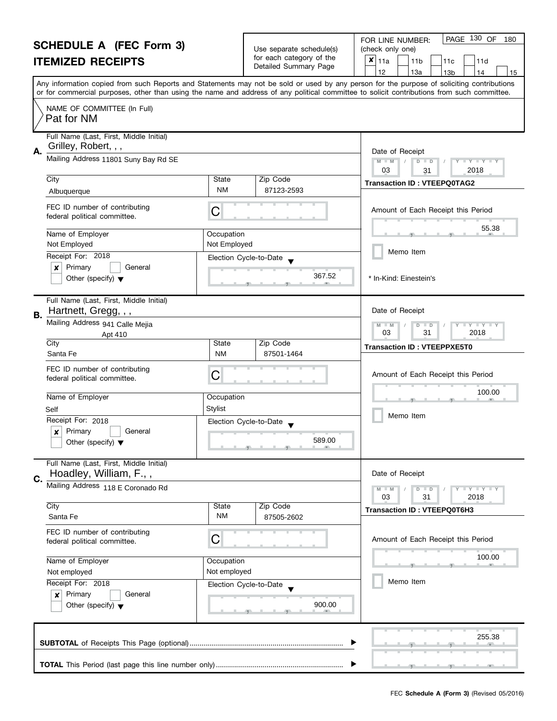#### **SCHEDULE A (FEC Form 3) ITEMIZED RECEIPTS** Any information copied from such Reports and Statements may not be sold or used by any person for the purpose of soliciting contributions or for commercial purposes, other than using the name and address of any political committee to solicit contributions from such committee. NAME OF COMMITTEE (In Full) Full Name (Last, First, Middle Initial) Mailing Address 11801 Suny Bay Rd SE City State Zip Code **A.** Date of Receipt Name of Employer and all the United States of Decupation FEC ID number of contributing<br>federal political committee. FOR LINE NUMBER: Use separate schedule(s) | (check only one) for each category of the The Detailed Summary Page  $\begin{array}{|c|c|c|c|c|c|c|c|}\n\hline\n & 11a & 11b & 11c & 11d \\
\hline\n & 12 & 13a & 13b & 14\n\end{array}$ |12 | |13a | |13b | |14 | |15 **M M / D D** Amount of Each Receipt this Period  $\frac{55.3}{2}$ PAGE 130 OF 180  $\overline{\mathbf{x}}$  | 11a Pat for NM Grilley, Robert, , , 03 31 2018 Albuquerque **NM** State 2lp Code Transaction ID : **VTEEPQ0TAG2**<br>Albuquerque MM 87123-2593

|    | FEC ID number of continuumy<br>federal political committee.                                                                                                                                                          | C                                                                        |                      | Amount of Each Receipt this Period                                                                                                                 |
|----|----------------------------------------------------------------------------------------------------------------------------------------------------------------------------------------------------------------------|--------------------------------------------------------------------------|----------------------|----------------------------------------------------------------------------------------------------------------------------------------------------|
|    | Name of Employer<br>Not Employed<br>Receipt For: 2018<br>Primary<br>General<br>x<br>Other (specify) $\blacktriangledown$                                                                                             | Occupation<br>Not Employed<br>Election Cycle-to-Date                     | 367.52               | 55.38<br>Memo Item<br>* In-Kind: Einestein's                                                                                                       |
| B. | Full Name (Last, First, Middle Initial)<br>Hartnett, Gregg, , ,<br>Mailing Address 941 Calle Mejia<br>Apt 410<br>City                                                                                                | <b>State</b>                                                             | Zip Code             | Date of Receipt<br>$M - M$<br>$D$ $D$<br>$\bot$ $\gamma$ $\bot$ $\gamma$ $\bot$ $\gamma$<br>2018<br>03<br>31<br><b>Transaction ID: VTEEPPXE5T0</b> |
|    | Santa Fe<br>FEC ID number of contributing<br>federal political committee.<br>Name of Employer<br>Self<br>Receipt For: 2018<br>Primary<br>General<br>×<br>Other (specify) $\blacktriangledown$                        | <b>NM</b><br>C<br>Occupation<br><b>Stylist</b><br>Election Cycle-to-Date | 87501-1464<br>589.00 | Amount of Each Receipt this Period<br>100.00<br>Memo Item                                                                                          |
| C. | Full Name (Last, First, Middle Initial)<br>Hoadley, William, F.,,<br>Mailing Address 118 E Coronado Rd<br>City                                                                                                       | State                                                                    | Zip Code             | Date of Receipt<br>$M - M$<br><b>LYLYL</b><br>$D$ $D$<br>03<br>2018<br>31<br>Transaction ID: VTEEPQ0T6H3                                           |
|    | Santa Fe<br>FEC ID number of contributing<br>federal political committee.<br>Name of Employer<br>Not employed<br>Receipt For: 2018<br>Primary<br>General<br>$\boldsymbol{x}$<br>Other (specify) $\blacktriangledown$ | <b>NM</b><br>C<br>Occupation<br>Not employed<br>Election Cycle-to-Date   | 87505-2602<br>900.00 | Amount of Each Receipt this Period<br>100.00<br>Memo Item                                                                                          |
|    |                                                                                                                                                                                                                      |                                                                          |                      | 255.38                                                                                                                                             |
|    |                                                                                                                                                                                                                      |                                                                          |                      |                                                                                                                                                    |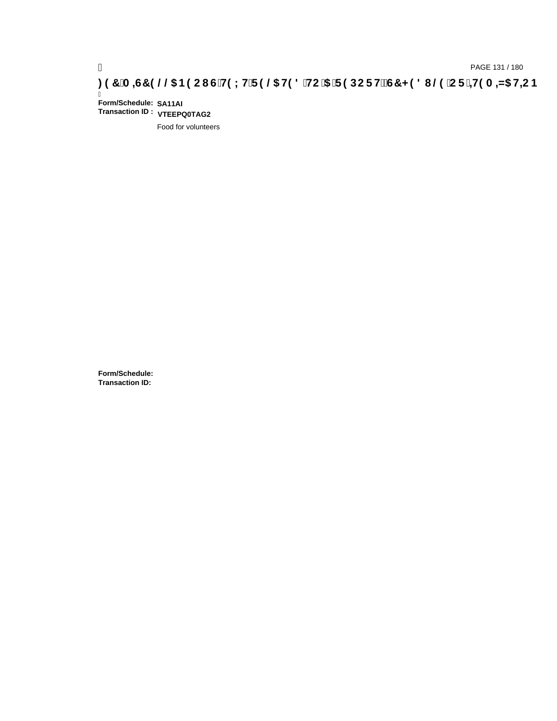Ī **Form/Schedule: SA11AI Transaction ID : VTEEPQ0TAG2**

Food for volunteers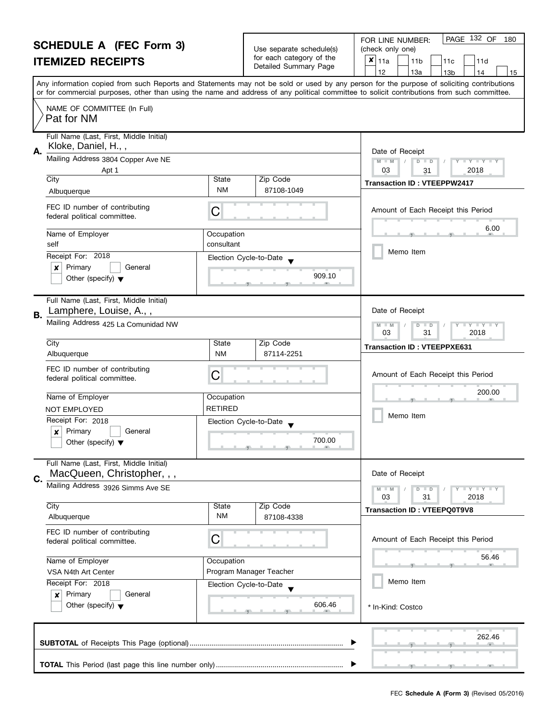#### **SCHEDULE A (FEC Form 3) ITEMIZED RECEIPTS**

|                                                   | FOR LINE NUMBER:   |
|---------------------------------------------------|--------------------|
| Use separate schedule(s)                          | (check only one)   |
| for each category of the<br>Detailed Summary Page | $x _{11a}$<br>111b |

| SUMEDULE A (FEU FORM 3)<br><b>ITEMIZED RECEIPTS</b>                                                            |                              | Use separate schedule(s)<br>for each category of the<br>Detailed Summary Page | (check only one)<br>$x _{11a}$<br>11 <sub>b</sub><br>11c<br>11d<br>12<br>13a<br>13 <sub>b</sub><br>15<br>14                                                                                                                                                                             |
|----------------------------------------------------------------------------------------------------------------|------------------------------|-------------------------------------------------------------------------------|-----------------------------------------------------------------------------------------------------------------------------------------------------------------------------------------------------------------------------------------------------------------------------------------|
|                                                                                                                |                              |                                                                               | Any information copied from such Reports and Statements may not be sold or used by any person for the purpose of soliciting contributions<br>or for commercial purposes, other than using the name and address of any political committee to solicit contributions from such committee. |
| NAME OF COMMITTEE (In Full)<br>Pat for NM                                                                      |                              |                                                                               |                                                                                                                                                                                                                                                                                         |
| Full Name (Last, First, Middle Initial)<br>Kloke, Daniel, H.,,<br>А.<br>Mailing Address 3804 Copper Ave NE     |                              |                                                                               | Date of Receipt<br>$M - M$<br>$Y$ $Y$ $Y$ $Y$<br>$D$ $D$                                                                                                                                                                                                                                |
| Apt 1<br>City<br>Albuquerque                                                                                   | State<br><b>NM</b>           | Zip Code<br>87108-1049                                                        | 2018<br>03<br>31<br><b>Transaction ID: VTEEPPW2417</b>                                                                                                                                                                                                                                  |
| FEC ID number of contributing<br>federal political committee.                                                  | C                            |                                                                               | Amount of Each Receipt this Period                                                                                                                                                                                                                                                      |
| Name of Employer<br>self                                                                                       | Occupation<br>consultant     |                                                                               | 6.00<br>Memo Item                                                                                                                                                                                                                                                                       |
| Receipt For: 2018<br>Primary<br>General<br>x<br>Other (specify) $\blacktriangledown$                           |                              | Election Cycle-to-Date<br>909.10                                              |                                                                                                                                                                                                                                                                                         |
| Full Name (Last, First, Middle Initial)<br>Lamphere, Louise, A.,,<br>Β.<br>Mailing Address 425 La Comunidad NW |                              |                                                                               | Date of Receipt<br>$M - M$<br>$\mathbb{F}$ Y<br>D<br>$\Box$                                                                                                                                                                                                                             |
| City<br>Albuquerque                                                                                            | State<br><b>NM</b>           | Zip Code<br>87114-2251                                                        | 03<br>2018<br>31<br><b>Transaction ID: VTEEPPXE631</b>                                                                                                                                                                                                                                  |
| FEC ID number of contributing<br>federal political committee.                                                  | C                            |                                                                               | Amount of Each Receipt this Period                                                                                                                                                                                                                                                      |
| Name of Employer<br>NOT EMPLOYED                                                                               | Occupation<br><b>RETIRED</b> |                                                                               | 200.00<br>Memo Item                                                                                                                                                                                                                                                                     |
| Receipt For: 2018<br>Primary<br>General<br>x<br>Other (specify) $\blacktriangledown$                           |                              | Election Cycle-to-Date<br>700.00                                              |                                                                                                                                                                                                                                                                                         |
| Full Name (Last, First, Middle Initial)<br>MacQueen, Christopher, , ,<br>C.                                    |                              |                                                                               | Date of Receipt                                                                                                                                                                                                                                                                         |
| Mailing Address 3926 Simms Ave SE                                                                              |                              |                                                                               | $\frac{1}{2} \left[ \frac{1}{2} \left( \frac{1}{2} \right) - \frac{1}{2} \left( \frac{1}{2} \right) \right] = \frac{1}{2} \left[ \frac{1}{2} \left( \frac{1}{2} \right) - \frac{1}{2} \left( \frac{1}{2} \right) \right]$<br>$M - M$<br>D<br>$\Box$<br>03<br>31<br>2018                 |
| City<br>Albuquerque                                                                                            | State<br><b>NM</b>           | Zip Code<br>87108-4338                                                        | <b>Transaction ID: VTEEPQ0T9V8</b>                                                                                                                                                                                                                                                      |
| FEC ID number of contributing<br>federal political committee.                                                  | С                            |                                                                               | Amount of Each Receipt this Period                                                                                                                                                                                                                                                      |
| Name of Employer<br>VSA N4th Art Center                                                                        | Occupation                   | Program Manager Teacher                                                       | 56.46                                                                                                                                                                                                                                                                                   |
| Receipt For: 2018                                                                                              |                              | Election Cycle-to-Date                                                        | Memo Item                                                                                                                                                                                                                                                                               |
| Primary<br>General<br>×<br>Other (specify) $\blacktriangledown$                                                |                              | 606.46                                                                        | * In-Kind: Costco                                                                                                                                                                                                                                                                       |
|                                                                                                                |                              |                                                                               | 262.46                                                                                                                                                                                                                                                                                  |
|                                                                                                                |                              |                                                                               |                                                                                                                                                                                                                                                                                         |

PAGE 132 OF 180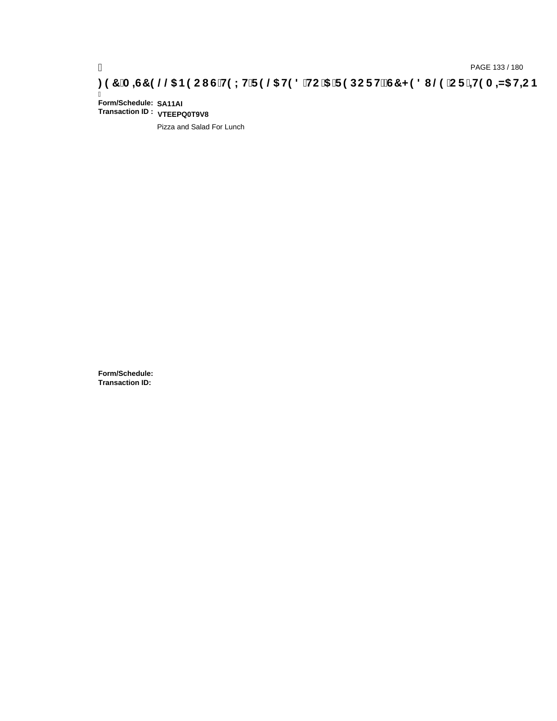# pAGE 133 / 180<br>**DAGE 133 / 180 PAGE 133 / 180 SPOC FOR THE 9 @S H98 `HC `5 `F9 DC FHžG7 < 98 I @9 `C F`<del>∔I</del>9 A =N5 H<del>L</del>CB .**

Ī **Form/Schedule: SA11AI Transaction ID : VTEEPQ0T9V8**

Pizza and Salad For Lunch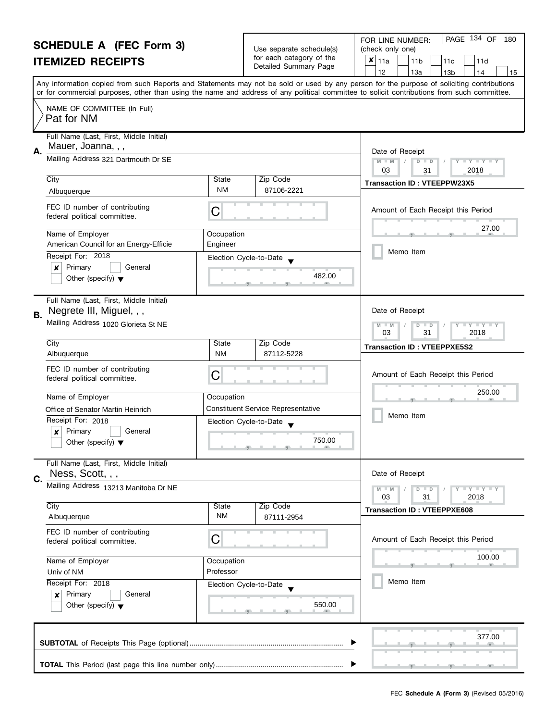|                                                                                | <b>SCHEDULE A (FEC Form 3)</b>                                      |                                                                                                                                                                                                                                                                                         | Use separate schedule(s)                  | PAGE 134 OF<br>180<br>FOR LINE NUMBER:<br>(check only one) |
|--------------------------------------------------------------------------------|---------------------------------------------------------------------|-----------------------------------------------------------------------------------------------------------------------------------------------------------------------------------------------------------------------------------------------------------------------------------------|-------------------------------------------|------------------------------------------------------------|
|                                                                                | <b>ITEMIZED RECEIPTS</b>                                            |                                                                                                                                                                                                                                                                                         | for each category of the                  | $\pmb{\times}$<br>11a<br>11 <sub>b</sub><br>11c<br>11d     |
|                                                                                |                                                                     |                                                                                                                                                                                                                                                                                         | Detailed Summary Page                     | 12<br>13a<br>13 <sub>b</sub><br>14<br>15                   |
|                                                                                |                                                                     | Any information copied from such Reports and Statements may not be sold or used by any person for the purpose of soliciting contributions<br>or for commercial purposes, other than using the name and address of any political committee to solicit contributions from such committee. |                                           |                                                            |
|                                                                                | NAME OF COMMITTEE (In Full)<br>Pat for NM                           |                                                                                                                                                                                                                                                                                         |                                           |                                                            |
|                                                                                | Full Name (Last, First, Middle Initial)                             |                                                                                                                                                                                                                                                                                         |                                           |                                                            |
| Α.                                                                             | Mauer, Joanna, , ,<br>Mailing Address 321 Dartmouth Dr SE           |                                                                                                                                                                                                                                                                                         |                                           | Date of Receipt                                            |
|                                                                                |                                                                     |                                                                                                                                                                                                                                                                                         |                                           | $M - M$<br>Y L Y L Y L<br>$D$ $D$<br>03<br>2018<br>31      |
|                                                                                | City                                                                | State                                                                                                                                                                                                                                                                                   | Zip Code                                  | <b>Transaction ID: VTEEPPW23X5</b>                         |
|                                                                                | Albuquerque                                                         | <b>NM</b>                                                                                                                                                                                                                                                                               | 87106-2221                                |                                                            |
|                                                                                | FEC ID number of contributing<br>federal political committee.       | С                                                                                                                                                                                                                                                                                       |                                           | Amount of Each Receipt this Period                         |
|                                                                                | Name of Employer                                                    | Occupation                                                                                                                                                                                                                                                                              |                                           | 27.00                                                      |
|                                                                                | American Council for an Energy-Efficie                              | Engineer                                                                                                                                                                                                                                                                                |                                           | Memo Item                                                  |
|                                                                                | Receipt For: 2018                                                   |                                                                                                                                                                                                                                                                                         | Election Cycle-to-Date                    |                                                            |
|                                                                                | Primary<br>General<br>×                                             |                                                                                                                                                                                                                                                                                         | 482.00                                    |                                                            |
|                                                                                | Other (specify) $\blacktriangledown$                                |                                                                                                                                                                                                                                                                                         |                                           |                                                            |
| В.                                                                             | Full Name (Last, First, Middle Initial)<br>Negrete III, Miguel, , , |                                                                                                                                                                                                                                                                                         |                                           | Date of Receipt                                            |
|                                                                                | Mailing Address 1020 Glorieta St NE                                 |                                                                                                                                                                                                                                                                                         |                                           | $Y$ $Y$<br>$-M$<br>D<br>$\blacksquare$                     |
|                                                                                | City                                                                | State                                                                                                                                                                                                                                                                                   | Zip Code                                  | 03<br>31<br>2018                                           |
|                                                                                | Albuquerque                                                         | <b>NM</b>                                                                                                                                                                                                                                                                               | 87112-5228                                | <b>Transaction ID: VTEEPPXE5S2</b>                         |
|                                                                                | FEC ID number of contributing                                       |                                                                                                                                                                                                                                                                                         |                                           |                                                            |
|                                                                                | federal political committee.                                        | С                                                                                                                                                                                                                                                                                       |                                           | Amount of Each Receipt this Period                         |
|                                                                                |                                                                     |                                                                                                                                                                                                                                                                                         |                                           | 250.00                                                     |
|                                                                                | Name of Employer                                                    | Occupation                                                                                                                                                                                                                                                                              | <b>Constituent Service Representative</b> |                                                            |
|                                                                                | Office of Senator Martin Heinrich<br>Receipt For: 2018              |                                                                                                                                                                                                                                                                                         | Election Cycle-to-Date                    | Memo Item                                                  |
|                                                                                | Primary<br>General<br>$\boldsymbol{x}$                              |                                                                                                                                                                                                                                                                                         |                                           |                                                            |
|                                                                                | Other (specify) $\blacktriangledown$                                |                                                                                                                                                                                                                                                                                         | 750.00                                    |                                                            |
|                                                                                | Full Name (Last, First, Middle Initial)                             |                                                                                                                                                                                                                                                                                         |                                           |                                                            |
| C.                                                                             | Ness, Scott, , ,                                                    |                                                                                                                                                                                                                                                                                         |                                           | Date of Receipt                                            |
|                                                                                | Mailing Address 13213 Manitoba Dr NE                                |                                                                                                                                                                                                                                                                                         |                                           | Y I Y I Y I Y<br>$D$ $D$<br>03<br>31<br>2018               |
|                                                                                | City                                                                | State                                                                                                                                                                                                                                                                                   | Zip Code                                  | <b>Transaction ID: VTEEPPXE608</b>                         |
|                                                                                | Albuquerque                                                         | NM                                                                                                                                                                                                                                                                                      | 87111-2954                                |                                                            |
|                                                                                | FEC ID number of contributing<br>federal political committee.       | С                                                                                                                                                                                                                                                                                       |                                           | Amount of Each Receipt this Period                         |
| Name of Employer<br>Occupation<br>Professor<br>Univ of NM<br>Receipt For: 2018 |                                                                     |                                                                                                                                                                                                                                                                                         |                                           | 100.00                                                     |
|                                                                                |                                                                     |                                                                                                                                                                                                                                                                                         |                                           |                                                            |
|                                                                                |                                                                     | Election Cycle-to-Date                                                                                                                                                                                                                                                                  | Memo Item                                 |                                                            |
|                                                                                | Primary<br>General<br>×                                             |                                                                                                                                                                                                                                                                                         | 550.00                                    |                                                            |
|                                                                                | Other (specify) $\blacktriangledown$                                |                                                                                                                                                                                                                                                                                         |                                           |                                                            |
|                                                                                |                                                                     |                                                                                                                                                                                                                                                                                         |                                           | 377.00                                                     |
|                                                                                |                                                                     |                                                                                                                                                                                                                                                                                         |                                           |                                                            |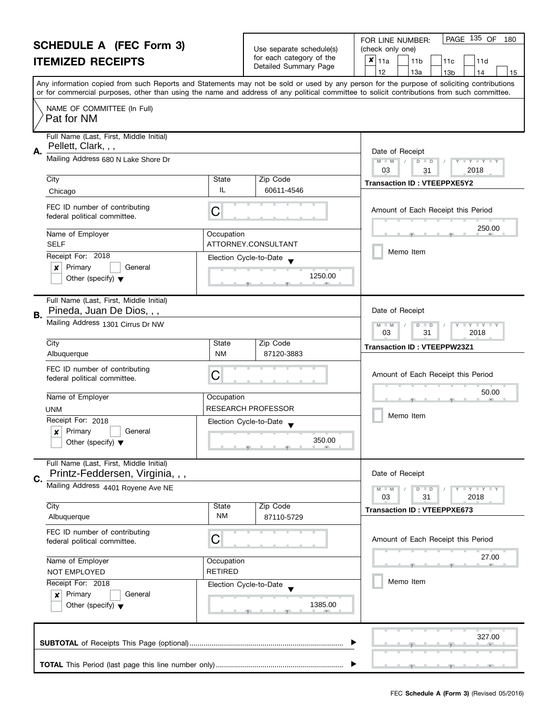|    | <b>SCHEDULE A (FEC Form 3)</b><br><b>ITEMIZED RECEIPTS</b>                                          |                    | Use separate schedule(s)<br>for each category of the<br>Detailed Summary Page  | PAGE 135 OF<br>FOR LINE NUMBER:<br>180<br>(check only one)<br>$\boldsymbol{x}$<br>11a<br>11 <sub>b</sub><br>11d<br>11c<br>12<br>13a<br>13 <sub>b</sub><br>14<br>15                                                                                                                      |
|----|-----------------------------------------------------------------------------------------------------|--------------------|--------------------------------------------------------------------------------|-----------------------------------------------------------------------------------------------------------------------------------------------------------------------------------------------------------------------------------------------------------------------------------------|
|    |                                                                                                     |                    |                                                                                | Any information copied from such Reports and Statements may not be sold or used by any person for the purpose of soliciting contributions<br>or for commercial purposes, other than using the name and address of any political committee to solicit contributions from such committee. |
|    | NAME OF COMMITTEE (In Full)<br>Pat for NM                                                           |                    |                                                                                |                                                                                                                                                                                                                                                                                         |
| Α. | Full Name (Last, First, Middle Initial)<br>Pellett, Clark, , ,                                      |                    |                                                                                | Date of Receipt                                                                                                                                                                                                                                                                         |
|    | Mailing Address 680 N Lake Shore Dr                                                                 |                    |                                                                                | $M - M$<br>$\overline{D}$<br>Y FY FY FY<br>$\Box$<br>03<br>2018<br>31                                                                                                                                                                                                                   |
|    | City<br>Chicago                                                                                     | State<br>IL        | Zip Code<br>60611-4546                                                         | <b>Transaction ID: VTEEPPXE5Y2</b>                                                                                                                                                                                                                                                      |
|    | FEC ID number of contributing<br>federal political committee.                                       | C                  |                                                                                | Amount of Each Receipt this Period                                                                                                                                                                                                                                                      |
|    | Name of Employer<br><b>SELF</b>                                                                     | Occupation         | ATTORNEY.CONSULTANT                                                            | 250.00                                                                                                                                                                                                                                                                                  |
|    | Receipt For: 2018<br>Primary<br>×<br>General                                                        |                    | Election Cycle-to-Date                                                         | Memo Item                                                                                                                                                                                                                                                                               |
|    | Other (specify) $\blacktriangledown$                                                                |                    | 1250.00                                                                        |                                                                                                                                                                                                                                                                                         |
| В. | Full Name (Last, First, Middle Initial)<br>Pineda, Juan De Dios, , ,                                |                    | Date of Receipt                                                                |                                                                                                                                                                                                                                                                                         |
|    | Mailing Address 1301 Cirrus Dr NW                                                                   |                    |                                                                                | T Y T Y T Y<br>$M - M$<br>$\overline{D}$<br>$\Box$<br>03<br>31<br>2018                                                                                                                                                                                                                  |
|    | City<br>Albuquerque                                                                                 | State<br><b>NM</b> | Zip Code<br>87120-3883                                                         | <b>Transaction ID: VTEEPPW23Z1</b>                                                                                                                                                                                                                                                      |
|    | FEC ID number of contributing<br>federal political committee.                                       | C                  |                                                                                | Amount of Each Receipt this Period                                                                                                                                                                                                                                                      |
|    | Name of Employer                                                                                    | Occupation         |                                                                                | 50.00                                                                                                                                                                                                                                                                                   |
|    | UNM<br>Receipt For: 2018                                                                            |                    | <b>RESEARCH PROFESSOR</b>                                                      | Memo Item                                                                                                                                                                                                                                                                               |
|    | Primary<br>General<br>Other (specify) $\blacktriangledown$                                          |                    | Election Cycle-to-Date<br>$\blacksquare$<br>350.00<br><u>ga kata ga kata m</u> |                                                                                                                                                                                                                                                                                         |
| C. | Full Name (Last, First, Middle Initial)<br>Printz-Feddersen, Virginia, , ,                          |                    |                                                                                | Date of Receipt                                                                                                                                                                                                                                                                         |
|    | Mailing Address 4401 Royene Ave NE                                                                  |                    |                                                                                | $Y - Y - Y - Y - Y$<br>$M - M$<br>$D$ $D$<br>03<br>31<br>2018                                                                                                                                                                                                                           |
|    | City<br>Albuquerque                                                                                 | State<br>NM        | Zip Code<br>87110-5729                                                         | <b>Transaction ID: VTEEPPXE673</b>                                                                                                                                                                                                                                                      |
|    | FEC ID number of contributing<br>federal political committee.                                       | С                  |                                                                                | Amount of Each Receipt this Period                                                                                                                                                                                                                                                      |
|    | Name of Employer<br>Occupation<br><b>RETIRED</b><br>NOT EMPLOYED                                    |                    |                                                                                | 27.00                                                                                                                                                                                                                                                                                   |
|    | Receipt For: 2018<br>Primary<br>General<br>$\boldsymbol{x}$<br>Other (specify) $\blacktriangledown$ |                    | Election Cycle-to-Date<br>1385.00                                              | Memo Item                                                                                                                                                                                                                                                                               |
|    |                                                                                                     |                    |                                                                                | 327.00                                                                                                                                                                                                                                                                                  |
|    |                                                                                                     |                    |                                                                                |                                                                                                                                                                                                                                                                                         |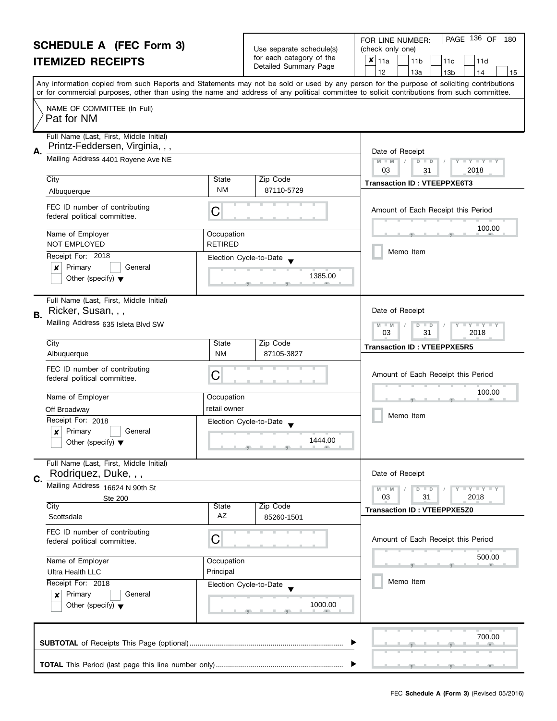|    | <b>SCHEDULE A (FEC Form 3)</b><br><b>ITEMIZED RECEIPTS</b>                                                       |                              | Use separate schedule(s)<br>for each category of the<br>Detailed Summary Page | PAGE 136 OF<br>FOR LINE NUMBER:<br>180<br>(check only one)<br>$x _{11a}$<br>11 <sub>b</sub><br>11d<br>11c<br>12<br>13a<br>13 <sub>b</sub><br>14<br>15                                                                                                                                   |
|----|------------------------------------------------------------------------------------------------------------------|------------------------------|-------------------------------------------------------------------------------|-----------------------------------------------------------------------------------------------------------------------------------------------------------------------------------------------------------------------------------------------------------------------------------------|
|    |                                                                                                                  |                              |                                                                               | Any information copied from such Reports and Statements may not be sold or used by any person for the purpose of soliciting contributions<br>or for commercial purposes, other than using the name and address of any political committee to solicit contributions from such committee. |
|    | NAME OF COMMITTEE (In Full)<br>Pat for NM                                                                        |                              |                                                                               |                                                                                                                                                                                                                                                                                         |
| Α. | Full Name (Last, First, Middle Initial)<br>Printz-Feddersen, Virginia, , ,<br>Mailing Address 4401 Royene Ave NE |                              |                                                                               | Date of Receipt                                                                                                                                                                                                                                                                         |
|    |                                                                                                                  |                              |                                                                               | $D$ $D$<br>Y TY TY TY<br>$M - M$<br>2018<br>03<br>31                                                                                                                                                                                                                                    |
|    | City<br>Albuquerque                                                                                              | State<br><b>NM</b>           | Zip Code<br>87110-5729                                                        | <b>Transaction ID: VTEEPPXE6T3</b>                                                                                                                                                                                                                                                      |
|    | FEC ID number of contributing<br>federal political committee.                                                    | С                            |                                                                               | Amount of Each Receipt this Period                                                                                                                                                                                                                                                      |
|    | Name of Employer<br>NOT EMPLOYED                                                                                 | Occupation<br><b>RETIRED</b> |                                                                               | 100.00                                                                                                                                                                                                                                                                                  |
|    | Receipt For: 2018                                                                                                |                              | Election Cycle-to-Date                                                        | Memo Item                                                                                                                                                                                                                                                                               |
|    | Primary<br>×<br>General<br>Other (specify) $\blacktriangledown$                                                  |                              | 1385.00                                                                       |                                                                                                                                                                                                                                                                                         |
| В. | Full Name (Last, First, Middle Initial)<br>Ricker, Susan, , ,                                                    |                              |                                                                               | Date of Receipt                                                                                                                                                                                                                                                                         |
|    | Mailing Address 635 Isleta Blvd SW                                                                               |                              |                                                                               | $T - Y = T - Y$<br>$M - M$<br>$D$ $D$<br>03<br>31<br>2018                                                                                                                                                                                                                               |
|    | City<br>Albuquerque                                                                                              | State<br><b>NM</b>           | Zip Code<br>87105-3827                                                        | <b>Transaction ID: VTEEPPXE5R5</b>                                                                                                                                                                                                                                                      |
|    | FEC ID number of contributing<br>federal political committee.                                                    | C                            |                                                                               | Amount of Each Receipt this Period                                                                                                                                                                                                                                                      |
|    | Name of Employer                                                                                                 | Occupation                   |                                                                               | 100.00                                                                                                                                                                                                                                                                                  |
|    | Off Broadway                                                                                                     | retail owner                 |                                                                               | Memo Item                                                                                                                                                                                                                                                                               |
|    | Receipt For: 2018                                                                                                |                              | Election Cycle-to-Date                                                        |                                                                                                                                                                                                                                                                                         |
|    | Primary<br>General<br>×<br>Other (specify) $\blacktriangledown$                                                  |                              | 1444.00<br><u>g and and graduate and an</u>                                   |                                                                                                                                                                                                                                                                                         |
| C. | Full Name (Last, First, Middle Initial)<br>Rodriquez, Duke, , ,                                                  |                              |                                                                               | Date of Receipt                                                                                                                                                                                                                                                                         |
|    | Mailing Address 16624 N 90th St                                                                                  |                              |                                                                               | $T + Y = Y + Y$<br>$M - M$<br>$D$ $D$                                                                                                                                                                                                                                                   |
|    | <b>Ste 200</b><br>City                                                                                           | <b>State</b>                 | Zip Code                                                                      | 03<br>31<br>2018<br><b>Transaction ID: VTEEPPXE5Z0</b>                                                                                                                                                                                                                                  |
|    | Scottsdale                                                                                                       | AZ                           | 85260-1501                                                                    |                                                                                                                                                                                                                                                                                         |
|    | FEC ID number of contributing<br>federal political committee.                                                    | C                            |                                                                               | Amount of Each Receipt this Period                                                                                                                                                                                                                                                      |
|    | Name of Employer<br>Occupation<br>Principal<br>Ultra Health LLC<br>Receipt For: 2018                             |                              |                                                                               | 500.00<br>用                                                                                                                                                                                                                                                                             |
|    |                                                                                                                  |                              |                                                                               | Memo Item                                                                                                                                                                                                                                                                               |
|    | Primary<br>General<br>$\boldsymbol{x}$<br>Other (specify) $\blacktriangledown$                                   |                              | Election Cycle-to-Date<br>1000.00                                             |                                                                                                                                                                                                                                                                                         |
|    |                                                                                                                  |                              |                                                                               | 700.00                                                                                                                                                                                                                                                                                  |
|    |                                                                                                                  |                              |                                                                               |                                                                                                                                                                                                                                                                                         |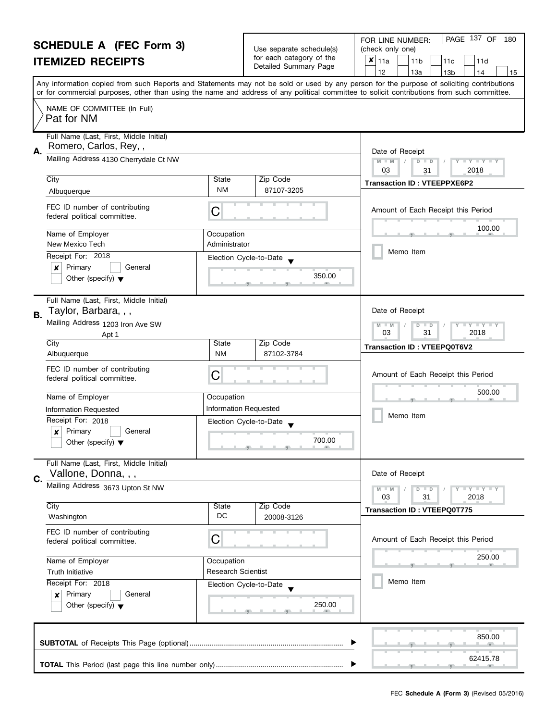| <b>SCHEDULE A (FEC Form 3)</b> |                                                                 |                                        |                                                        | PAGE 137 OF<br>180<br>FOR LINE NUMBER:                                                                                                                                                                                                                                                  |  |  |
|--------------------------------|-----------------------------------------------------------------|----------------------------------------|--------------------------------------------------------|-----------------------------------------------------------------------------------------------------------------------------------------------------------------------------------------------------------------------------------------------------------------------------------------|--|--|
|                                |                                                                 |                                        | Use separate schedule(s)<br>for each category of the   | (check only one)                                                                                                                                                                                                                                                                        |  |  |
| <b>ITEMIZED RECEIPTS</b>       |                                                                 | Detailed Summary Page                  | $\pmb{\times}$<br>11a<br>11 <sub>b</sub><br>11c<br>11d |                                                                                                                                                                                                                                                                                         |  |  |
|                                |                                                                 |                                        |                                                        | 12<br>13a<br>13 <sub>b</sub><br>14<br>15                                                                                                                                                                                                                                                |  |  |
|                                |                                                                 |                                        |                                                        | Any information copied from such Reports and Statements may not be sold or used by any person for the purpose of soliciting contributions<br>or for commercial purposes, other than using the name and address of any political committee to solicit contributions from such committee. |  |  |
|                                | NAME OF COMMITTEE (In Full)                                     |                                        |                                                        |                                                                                                                                                                                                                                                                                         |  |  |
|                                | Pat for NM                                                      |                                        |                                                        |                                                                                                                                                                                                                                                                                         |  |  |
|                                |                                                                 |                                        |                                                        |                                                                                                                                                                                                                                                                                         |  |  |
|                                | Full Name (Last, First, Middle Initial)                         |                                        |                                                        |                                                                                                                                                                                                                                                                                         |  |  |
| А.                             | Romero, Carlos, Rey,,                                           | Date of Receipt                        |                                                        |                                                                                                                                                                                                                                                                                         |  |  |
|                                | Mailing Address 4130 Cherrydale Ct NW                           | $M - M$<br>Y L Y L Y L<br>$D$ $D$      |                                                        |                                                                                                                                                                                                                                                                                         |  |  |
|                                | City                                                            | State                                  | Zip Code                                               | 03<br>2018<br>31                                                                                                                                                                                                                                                                        |  |  |
|                                | Albuquerque                                                     | <b>NM</b>                              | 87107-3205                                             | <b>Transaction ID: VTEEPPXE6P2</b>                                                                                                                                                                                                                                                      |  |  |
|                                |                                                                 |                                        |                                                        |                                                                                                                                                                                                                                                                                         |  |  |
|                                | FEC ID number of contributing<br>federal political committee.   | С                                      |                                                        | Amount of Each Receipt this Period                                                                                                                                                                                                                                                      |  |  |
|                                |                                                                 |                                        |                                                        | 100.00                                                                                                                                                                                                                                                                                  |  |  |
|                                | Name of Employer                                                | Occupation                             |                                                        |                                                                                                                                                                                                                                                                                         |  |  |
|                                | New Mexico Tech                                                 | Administrator                          |                                                        | Memo Item                                                                                                                                                                                                                                                                               |  |  |
|                                | Receipt For: 2018                                               | Election Cycle-to-Date                 |                                                        |                                                                                                                                                                                                                                                                                         |  |  |
|                                | Primary<br>General<br>×<br>Other (specify) $\blacktriangledown$ |                                        | 350.00                                                 |                                                                                                                                                                                                                                                                                         |  |  |
|                                |                                                                 |                                        |                                                        |                                                                                                                                                                                                                                                                                         |  |  |
|                                | Full Name (Last, First, Middle Initial)                         |                                        |                                                        |                                                                                                                                                                                                                                                                                         |  |  |
| В.                             | Taylor, Barbara, , ,                                            |                                        |                                                        | Date of Receipt                                                                                                                                                                                                                                                                         |  |  |
|                                | Mailing Address 1203 Iron Ave SW                                | $Y$ $Y$<br>$-M$<br>D<br>$\blacksquare$ |                                                        |                                                                                                                                                                                                                                                                                         |  |  |
|                                | Apt 1                                                           |                                        |                                                        | 03<br>31<br>2018                                                                                                                                                                                                                                                                        |  |  |
|                                | City                                                            | State                                  | Zip Code                                               | Transaction ID: VTEEPQ0T6V2                                                                                                                                                                                                                                                             |  |  |
|                                | Albuquerque                                                     | <b>NM</b>                              | 87102-3784                                             |                                                                                                                                                                                                                                                                                         |  |  |
|                                | FEC ID number of contributing                                   | С                                      |                                                        | Amount of Each Receipt this Period                                                                                                                                                                                                                                                      |  |  |
|                                | federal political committee.                                    |                                        |                                                        |                                                                                                                                                                                                                                                                                         |  |  |
|                                | Name of Employer                                                | Occupation                             |                                                        | 500.00                                                                                                                                                                                                                                                                                  |  |  |
|                                | Information Requested                                           | <b>Information Requested</b>           |                                                        |                                                                                                                                                                                                                                                                                         |  |  |
|                                | Receipt For: 2018                                               | Election Cycle-to-Date                 |                                                        | Memo Item                                                                                                                                                                                                                                                                               |  |  |
|                                | Primary<br>$\boldsymbol{x}$<br>General                          |                                        |                                                        |                                                                                                                                                                                                                                                                                         |  |  |
|                                | Other (specify) $\blacktriangledown$                            |                                        | 700.00<br>$-9$ and $-1$ and $-9$ and $-1$ and $-1$     |                                                                                                                                                                                                                                                                                         |  |  |
|                                | Full Name (Last, First, Middle Initial)                         |                                        |                                                        |                                                                                                                                                                                                                                                                                         |  |  |
|                                | Vallone, Donna, , ,                                             |                                        |                                                        | Date of Receipt                                                                                                                                                                                                                                                                         |  |  |
| C.                             | Mailing Address 3673 Upton St NW                                |                                        |                                                        | Y I Y I Y I Y<br>$D$ $D$                                                                                                                                                                                                                                                                |  |  |
|                                |                                                                 |                                        |                                                        | 2018<br>03<br>31                                                                                                                                                                                                                                                                        |  |  |
|                                | City                                                            | State                                  | Zip Code                                               | <b>Transaction ID: VTEEPQ0T775</b>                                                                                                                                                                                                                                                      |  |  |
|                                | Washington                                                      | DC                                     | 20008-3126                                             |                                                                                                                                                                                                                                                                                         |  |  |
|                                | FEC ID number of contributing                                   |                                        |                                                        |                                                                                                                                                                                                                                                                                         |  |  |
|                                | federal political committee.                                    | С                                      |                                                        | Amount of Each Receipt this Period                                                                                                                                                                                                                                                      |  |  |
|                                | Name of Employer                                                | Occupation                             |                                                        | 250.00                                                                                                                                                                                                                                                                                  |  |  |
|                                | <b>Truth Initiative</b>                                         | <b>Research Scientist</b>              |                                                        |                                                                                                                                                                                                                                                                                         |  |  |
|                                | Receipt For: 2018                                               | Election Cycle-to-Date                 |                                                        | Memo Item                                                                                                                                                                                                                                                                               |  |  |
|                                | Primary<br>General<br>×                                         |                                        |                                                        |                                                                                                                                                                                                                                                                                         |  |  |
|                                | Other (specify) $\blacktriangledown$                            |                                        |                                                        |                                                                                                                                                                                                                                                                                         |  |  |
|                                |                                                                 |                                        |                                                        |                                                                                                                                                                                                                                                                                         |  |  |
|                                |                                                                 |                                        |                                                        |                                                                                                                                                                                                                                                                                         |  |  |
|                                |                                                                 |                                        |                                                        | 850.00                                                                                                                                                                                                                                                                                  |  |  |
|                                |                                                                 |                                        |                                                        | 62415.78                                                                                                                                                                                                                                                                                |  |  |
|                                |                                                                 |                                        |                                                        |                                                                                                                                                                                                                                                                                         |  |  |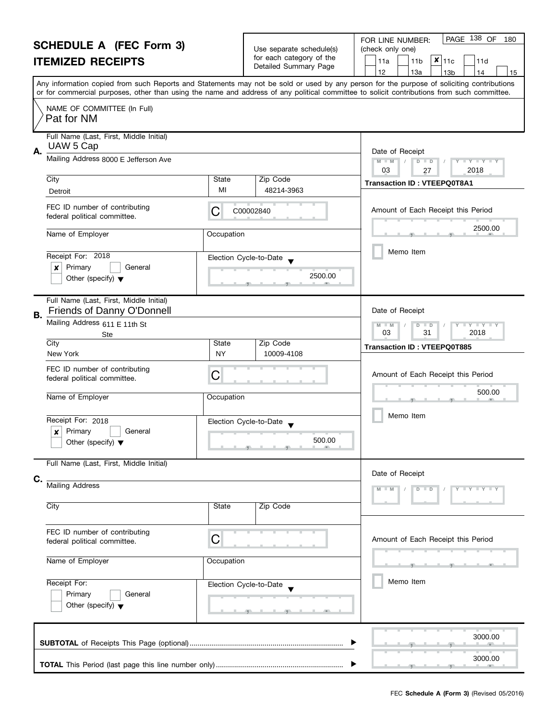| <b>SCHEDULE A (FEC Form 3)</b><br><b>ITEMIZED RECEIPTS</b>                                         |                                                                                      | Use separate schedule(s)<br>for each category of the<br>Detailed Summary Page | PAGE 138 OF<br>FOR LINE NUMBER:<br>180<br>(check only one)<br>$x _{11c}$<br>11a<br>11 <sub>b</sub><br>11d<br>12<br>13a<br>13 <sub>b</sub><br>14<br>15                                                                                          |                                                                                                                                                                                                                                                                                         |  |
|----------------------------------------------------------------------------------------------------|--------------------------------------------------------------------------------------|-------------------------------------------------------------------------------|------------------------------------------------------------------------------------------------------------------------------------------------------------------------------------------------------------------------------------------------|-----------------------------------------------------------------------------------------------------------------------------------------------------------------------------------------------------------------------------------------------------------------------------------------|--|
|                                                                                                    |                                                                                      |                                                                               |                                                                                                                                                                                                                                                | Any information copied from such Reports and Statements may not be sold or used by any person for the purpose of soliciting contributions<br>or for commercial purposes, other than using the name and address of any political committee to solicit contributions from such committee. |  |
|                                                                                                    | NAME OF COMMITTEE (In Full)<br>Pat for NM                                            |                                                                               |                                                                                                                                                                                                                                                |                                                                                                                                                                                                                                                                                         |  |
| Full Name (Last, First, Middle Initial)<br>UAW 5 Cap<br>А.<br>Mailing Address 8000 E Jefferson Ave |                                                                                      |                                                                               |                                                                                                                                                                                                                                                | Date of Receipt                                                                                                                                                                                                                                                                         |  |
|                                                                                                    |                                                                                      | $M - M$<br>$D$ $D$<br>Y I Y I Y I Y<br>03<br>2018<br>27                       |                                                                                                                                                                                                                                                |                                                                                                                                                                                                                                                                                         |  |
|                                                                                                    | City<br>Detroit                                                                      | State<br>MI                                                                   | Zip Code<br>48214-3963                                                                                                                                                                                                                         | <b>Transaction ID: VTEEPQ0T8A1</b>                                                                                                                                                                                                                                                      |  |
|                                                                                                    | FEC ID number of contributing<br>federal political committee.                        | C                                                                             | C00002840                                                                                                                                                                                                                                      | Amount of Each Receipt this Period                                                                                                                                                                                                                                                      |  |
|                                                                                                    | Name of Employer                                                                     | Occupation                                                                    |                                                                                                                                                                                                                                                | 2500.00                                                                                                                                                                                                                                                                                 |  |
|                                                                                                    | Receipt For: 2018<br>Primary<br>General<br>x<br>Other (specify) $\blacktriangledown$ |                                                                               | Election Cycle-to-Date<br>2500.00                                                                                                                                                                                                              | Memo Item                                                                                                                                                                                                                                                                               |  |
| В.                                                                                                 | Full Name (Last, First, Middle Initial)<br>Friends of Danny O'Donnell                | Date of Receipt                                                               |                                                                                                                                                                                                                                                |                                                                                                                                                                                                                                                                                         |  |
|                                                                                                    | Mailing Address 611 E 11th St<br>Ste                                                 | <b>LY LY LY</b><br>$M - M$<br>$D$ $D$<br>03<br>31<br>2018                     |                                                                                                                                                                                                                                                |                                                                                                                                                                                                                                                                                         |  |
|                                                                                                    | City<br>New York                                                                     | State<br><b>NY</b>                                                            | Zip Code<br>10009-4108                                                                                                                                                                                                                         | <b>Transaction ID: VTEEPQ0T885</b>                                                                                                                                                                                                                                                      |  |
|                                                                                                    | FEC ID number of contributing<br>federal political committee.                        | C                                                                             |                                                                                                                                                                                                                                                | Amount of Each Receipt this Period                                                                                                                                                                                                                                                      |  |
|                                                                                                    | Name of Employer                                                                     | Occupation                                                                    |                                                                                                                                                                                                                                                | 500.00                                                                                                                                                                                                                                                                                  |  |
|                                                                                                    | Receipt For: 2018<br>Primary<br>General<br>X                                         |                                                                               | Election Cycle-to-Date                                                                                                                                                                                                                         | Memo Item                                                                                                                                                                                                                                                                               |  |
|                                                                                                    | Other (specify) $\blacktriangledown$                                                 |                                                                               | 500.00<br><u>The contract of the contract of the contract of the contract of the contract of the contract of the contract of the contract of the contract of the contract of the contract of the contract of the contract of the contract </u> |                                                                                                                                                                                                                                                                                         |  |
|                                                                                                    | Full Name (Last, First, Middle Initial)                                              |                                                                               |                                                                                                                                                                                                                                                | Date of Receipt                                                                                                                                                                                                                                                                         |  |
| C.                                                                                                 | <b>Mailing Address</b>                                                               | $Y - Y - Y - Y - Y$<br>$D$ $D$<br>$M - M$                                     |                                                                                                                                                                                                                                                |                                                                                                                                                                                                                                                                                         |  |
|                                                                                                    | City                                                                                 | <b>State</b>                                                                  | Zip Code                                                                                                                                                                                                                                       |                                                                                                                                                                                                                                                                                         |  |
|                                                                                                    | FEC ID number of contributing<br>federal political committee.                        | C                                                                             |                                                                                                                                                                                                                                                | Amount of Each Receipt this Period                                                                                                                                                                                                                                                      |  |
|                                                                                                    | Name of Employer                                                                     | Occupation                                                                    |                                                                                                                                                                                                                                                |                                                                                                                                                                                                                                                                                         |  |
|                                                                                                    | Receipt For:<br>Primary<br>General<br>Other (specify) $\blacktriangledown$           |                                                                               | Election Cycle-to-Date<br>_____                                                                                                                                                                                                                | Memo Item                                                                                                                                                                                                                                                                               |  |
|                                                                                                    |                                                                                      |                                                                               |                                                                                                                                                                                                                                                | 3000.00                                                                                                                                                                                                                                                                                 |  |
|                                                                                                    |                                                                                      |                                                                               |                                                                                                                                                                                                                                                | 3000.00                                                                                                                                                                                                                                                                                 |  |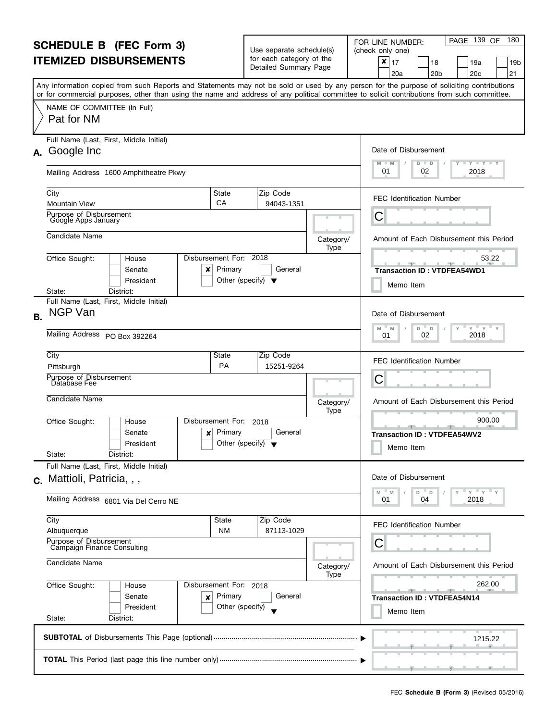| <b>SCHEDULE B (FEC Form 3)</b> |                                                                                                                                            | Use separate schedule(s)<br>for each category of the |                                                         | PAGE 139 OF<br>180<br>FOR LINE NUMBER:<br>(check only one) |                                                                                                                                           |
|--------------------------------|--------------------------------------------------------------------------------------------------------------------------------------------|------------------------------------------------------|---------------------------------------------------------|------------------------------------------------------------|-------------------------------------------------------------------------------------------------------------------------------------------|
| <b>ITEMIZED DISBURSEMENTS</b>  |                                                                                                                                            |                                                      | Detailed Summary Page                                   |                                                            | ×<br>17<br>19a<br>18<br>19b<br>20 <sub>b</sub><br>20 <sub>c</sub><br>21<br>20a                                                            |
|                                | or for commercial purposes, other than using the name and address of any political committee to solicit contributions from such committee. |                                                      |                                                         |                                                            | Any information copied from such Reports and Statements may not be sold or used by any person for the purpose of soliciting contributions |
|                                | NAME OF COMMITTEE (In Full)<br>Pat for NM                                                                                                  |                                                      |                                                         |                                                            |                                                                                                                                           |
|                                | Full Name (Last, First, Middle Initial)<br>A. Google Inc                                                                                   |                                                      |                                                         |                                                            | Date of Disbursement                                                                                                                      |
|                                | Mailing Address 1600 Amphitheatre Pkwy                                                                                                     |                                                      |                                                         |                                                            | $T - Y$ $T - Y$ $T - Y$<br>$D$ $D$<br>01<br>2018<br>02                                                                                    |
|                                | City<br><b>Mountain View</b>                                                                                                               | State<br>CA                                          | Zip Code<br>94043-1351                                  |                                                            | <b>FEC Identification Number</b>                                                                                                          |
|                                | Purpose of Disbursement<br>Google Apps January                                                                                             |                                                      |                                                         |                                                            | C                                                                                                                                         |
|                                | Candidate Name                                                                                                                             |                                                      |                                                         | Category/<br>Type                                          | Amount of Each Disbursement this Period                                                                                                   |
|                                | Office Sought:<br>House<br>Senate<br>x<br>President                                                                                        | Disbursement For: 2018<br>Primary                    | General<br>Other (specify) $\blacktriangledown$         |                                                            | 53.22<br><b>Transaction ID: VTDFEA54WD1</b><br>Memo Item                                                                                  |
|                                | District:<br>State:<br>Full Name (Last, First, Middle Initial)                                                                             |                                                      |                                                         |                                                            |                                                                                                                                           |
| <b>NGP Van</b><br><b>B.</b>    |                                                                                                                                            |                                                      |                                                         |                                                            | Date of Disbursement<br>$Y = Y$<br>Y<br>M<br>D<br>D<br>Υ<br>M                                                                             |
|                                | Mailing Address PO Box 392264                                                                                                              | 2018<br>02<br>01                                     |                                                         |                                                            |                                                                                                                                           |
|                                | City<br>Pittsburgh                                                                                                                         | Zip Code<br>15251-9264                               |                                                         | <b>FEC Identification Number</b>                           |                                                                                                                                           |
|                                | Purpose of Disbursement<br>Database Fee                                                                                                    |                                                      |                                                         |                                                            | C                                                                                                                                         |
|                                | Candidate Name                                                                                                                             |                                                      |                                                         | Category/<br>Type                                          | Amount of Each Disbursement this Period                                                                                                   |
|                                | Office Sought:<br>House<br>Senate<br>×<br>President<br>State:<br>District:                                                                 | Disbursement For:<br>Primary                         | 2018<br>General<br>Other (specify) $\blacktriangledown$ |                                                            | 900.00<br><b>Transaction ID: VTDFEA54WV2</b><br>Memo Item                                                                                 |
|                                | Full Name (Last, First, Middle Initial)                                                                                                    |                                                      |                                                         |                                                            |                                                                                                                                           |
|                                | c. Mattioli, Patricia, , ,                                                                                                                 |                                                      |                                                         |                                                            | Date of Disbursement<br>$Y = Y$<br>M<br>M<br>D<br>D                                                                                       |
|                                | Mailing Address 6801 Via Del Cerro NE                                                                                                      |                                                      |                                                         |                                                            | 2018<br>01<br>04                                                                                                                          |
|                                | City<br>Albuquerque                                                                                                                        | State<br><b>NM</b>                                   | Zip Code<br>87113-1029                                  |                                                            | <b>FEC Identification Number</b>                                                                                                          |
|                                | Purpose of Disbursement<br>Campaign Finance Consulting<br>Candidate Name                                                                   | Category/                                            | С<br>Amount of Each Disbursement this Period            |                                                            |                                                                                                                                           |
|                                |                                                                                                                                            |                                                      |                                                         |                                                            |                                                                                                                                           |
|                                | Office Sought:<br>House<br>Senate<br>×                                                                                                     | Disbursement For: 2018<br>Primary                    | General                                                 |                                                            | 262.00<br><b>Transaction ID: VTDFEA54N14</b>                                                                                              |
|                                | President<br>State:<br>District:                                                                                                           | Other (specify)                                      |                                                         |                                                            | Memo Item                                                                                                                                 |
|                                |                                                                                                                                            |                                                      |                                                         |                                                            | 1215.22                                                                                                                                   |
|                                |                                                                                                                                            |                                                      |                                                         |                                                            | ____                                                                                                                                      |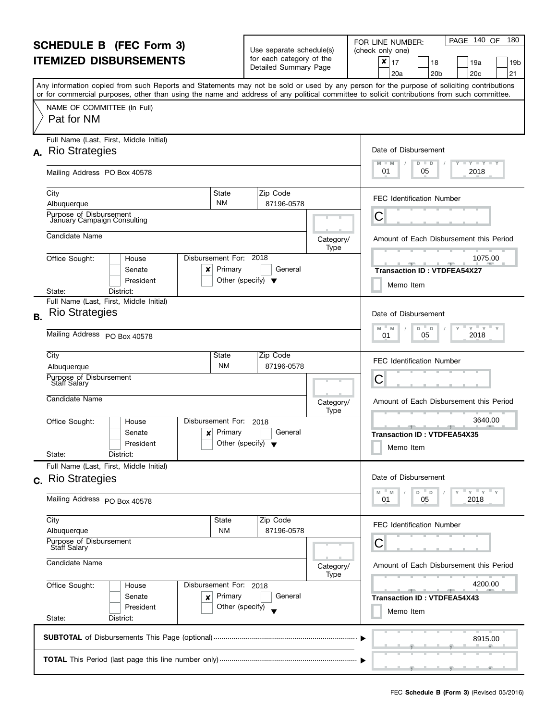| <b>SCHEDULE B (FEC Form 3)</b><br><b>ITEMIZED DISBURSEMENTS</b> |                                                                                                                                                                                                                                                                                         |                                                               | Use separate schedule(s)                          |                                                                 | PAGE 140 OF<br>180<br>FOR LINE NUMBER:<br>(check only one)                                                                                                                                                                                      |  |
|-----------------------------------------------------------------|-----------------------------------------------------------------------------------------------------------------------------------------------------------------------------------------------------------------------------------------------------------------------------------------|---------------------------------------------------------------|---------------------------------------------------|-----------------------------------------------------------------|-------------------------------------------------------------------------------------------------------------------------------------------------------------------------------------------------------------------------------------------------|--|
|                                                                 |                                                                                                                                                                                                                                                                                         |                                                               | for each category of the<br>Detailed Summary Page |                                                                 | ×<br>17<br>18<br>19a<br>19b<br>21<br>20 <sub>b</sub><br>20 <sub>c</sub><br>20a                                                                                                                                                                  |  |
|                                                                 | Any information copied from such Reports and Statements may not be sold or used by any person for the purpose of soliciting contributions<br>or for commercial purposes, other than using the name and address of any political committee to solicit contributions from such committee. |                                                               |                                                   |                                                                 |                                                                                                                                                                                                                                                 |  |
|                                                                 | NAME OF COMMITTEE (In Full)<br>Pat for NM                                                                                                                                                                                                                                               |                                                               |                                                   |                                                                 |                                                                                                                                                                                                                                                 |  |
|                                                                 | Full Name (Last, First, Middle Initial)                                                                                                                                                                                                                                                 |                                                               |                                                   |                                                                 |                                                                                                                                                                                                                                                 |  |
|                                                                 | A. Rio Strategies                                                                                                                                                                                                                                                                       | Date of Disbursement<br><b>LYLYLY</b><br>M<br>$D$ $D$<br>$-M$ |                                                   |                                                                 |                                                                                                                                                                                                                                                 |  |
|                                                                 | Mailing Address PO Box 40578                                                                                                                                                                                                                                                            | 01<br>2018<br>05                                              |                                                   |                                                                 |                                                                                                                                                                                                                                                 |  |
|                                                                 | City<br>State                                                                                                                                                                                                                                                                           |                                                               | Zip Code                                          |                                                                 | <b>FEC Identification Number</b>                                                                                                                                                                                                                |  |
|                                                                 | <b>NM</b><br>Albuquerque<br>Purpose of Disbursement                                                                                                                                                                                                                                     |                                                               | 87196-0578                                        |                                                                 | С                                                                                                                                                                                                                                               |  |
|                                                                 | Jahuary Campaign Consulting                                                                                                                                                                                                                                                             |                                                               |                                                   |                                                                 |                                                                                                                                                                                                                                                 |  |
|                                                                 | Candidate Name                                                                                                                                                                                                                                                                          |                                                               |                                                   | Category/<br>Type                                               | Amount of Each Disbursement this Period                                                                                                                                                                                                         |  |
|                                                                 | Disbursement For: 2018<br>Office Sought:<br>House                                                                                                                                                                                                                                       |                                                               |                                                   |                                                                 | 1075.00<br><u>and the state of the state of the state of the state of the state of the state of the state of the state of the state of the state of the state of the state of the state of the state of the state of the state of the state</u> |  |
|                                                                 | Primary<br>Senate<br>×                                                                                                                                                                                                                                                                  |                                                               | General                                           |                                                                 | <b>Transaction ID: VTDFEA54X27</b>                                                                                                                                                                                                              |  |
|                                                                 | President<br>District:<br>State:                                                                                                                                                                                                                                                        | Other (specify) $\blacktriangledown$                          |                                                   |                                                                 | Memo Item                                                                                                                                                                                                                                       |  |
|                                                                 | Full Name (Last, First, Middle Initial)                                                                                                                                                                                                                                                 |                                                               |                                                   |                                                                 |                                                                                                                                                                                                                                                 |  |
| <b>B.</b>                                                       | <b>Rio Strategies</b>                                                                                                                                                                                                                                                                   | Date of Disbursement                                          |                                                   |                                                                 |                                                                                                                                                                                                                                                 |  |
|                                                                 | Mailing Address PO Box 40578                                                                                                                                                                                                                                                            | $Y = Y$<br>M<br>D<br>M<br>D<br>2018<br>05<br>01               |                                                   |                                                                 |                                                                                                                                                                                                                                                 |  |
|                                                                 | City<br>State                                                                                                                                                                                                                                                                           |                                                               | Zip Code<br>87196-0578                            |                                                                 | <b>FEC Identification Number</b>                                                                                                                                                                                                                |  |
|                                                                 | <b>NM</b><br>Albuquerque<br>Purpose of Disbursement                                                                                                                                                                                                                                     | С                                                             |                                                   |                                                                 |                                                                                                                                                                                                                                                 |  |
|                                                                 | <b>Staff Salary</b>                                                                                                                                                                                                                                                                     |                                                               |                                                   |                                                                 |                                                                                                                                                                                                                                                 |  |
|                                                                 | Candidate Name                                                                                                                                                                                                                                                                          |                                                               |                                                   | Category/<br>Type                                               | Amount of Each Disbursement this Period                                                                                                                                                                                                         |  |
|                                                                 | Disbursement For:<br>Office Sought:<br>House                                                                                                                                                                                                                                            |                                                               | 2018                                              |                                                                 | 3640.00                                                                                                                                                                                                                                         |  |
|                                                                 | Primary<br>Senate<br>×<br>President                                                                                                                                                                                                                                                     | Other (specify) $\blacktriangledown$                          | General                                           |                                                                 | <b>Transaction ID: VTDFEA54X35</b>                                                                                                                                                                                                              |  |
|                                                                 | State:<br>District:                                                                                                                                                                                                                                                                     |                                                               |                                                   |                                                                 | Memo Item                                                                                                                                                                                                                                       |  |
|                                                                 | Full Name (Last, First, Middle Initial)                                                                                                                                                                                                                                                 |                                                               |                                                   |                                                                 |                                                                                                                                                                                                                                                 |  |
|                                                                 | c. Rio Strategies                                                                                                                                                                                                                                                                       |                                                               |                                                   |                                                                 | Date of Disbursement                                                                                                                                                                                                                            |  |
|                                                                 | Mailing Address PO Box 40578                                                                                                                                                                                                                                                            |                                                               |                                                   | $Y = Y = Y$<br>M<br>M<br>D T<br>$\mathsf D$<br>2018<br>05<br>01 |                                                                                                                                                                                                                                                 |  |
|                                                                 | City<br>State                                                                                                                                                                                                                                                                           |                                                               | Zip Code<br>87196-0578                            |                                                                 | <b>FEC Identification Number</b>                                                                                                                                                                                                                |  |
|                                                                 | <b>NM</b><br>Albuquerque<br>Purpose of Disbursement                                                                                                                                                                                                                                     |                                                               | С                                                 |                                                                 |                                                                                                                                                                                                                                                 |  |
|                                                                 | <b>Staff Salary</b>                                                                                                                                                                                                                                                                     |                                                               |                                                   |                                                                 |                                                                                                                                                                                                                                                 |  |
|                                                                 | Candidate Name                                                                                                                                                                                                                                                                          | Amount of Each Disbursement this Period<br>Category/          |                                                   |                                                                 |                                                                                                                                                                                                                                                 |  |
|                                                                 | Office Sought:<br>Disbursement For: 2018<br>House                                                                                                                                                                                                                                       |                                                               |                                                   | Type                                                            | 4200.00                                                                                                                                                                                                                                         |  |
|                                                                 | Senate<br>Primary<br>×                                                                                                                                                                                                                                                                  |                                                               | General                                           |                                                                 | <b>Transaction ID: VTDFEA54X43</b>                                                                                                                                                                                                              |  |
|                                                                 | President<br>State:<br>District:                                                                                                                                                                                                                                                        | Other (specify)                                               |                                                   |                                                                 | Memo Item                                                                                                                                                                                                                                       |  |
|                                                                 |                                                                                                                                                                                                                                                                                         |                                                               |                                                   |                                                                 | 8915.00                                                                                                                                                                                                                                         |  |
|                                                                 |                                                                                                                                                                                                                                                                                         |                                                               |                                                   |                                                                 |                                                                                                                                                                                                                                                 |  |
|                                                                 |                                                                                                                                                                                                                                                                                         |                                                               |                                                   |                                                                 |                                                                                                                                                                                                                                                 |  |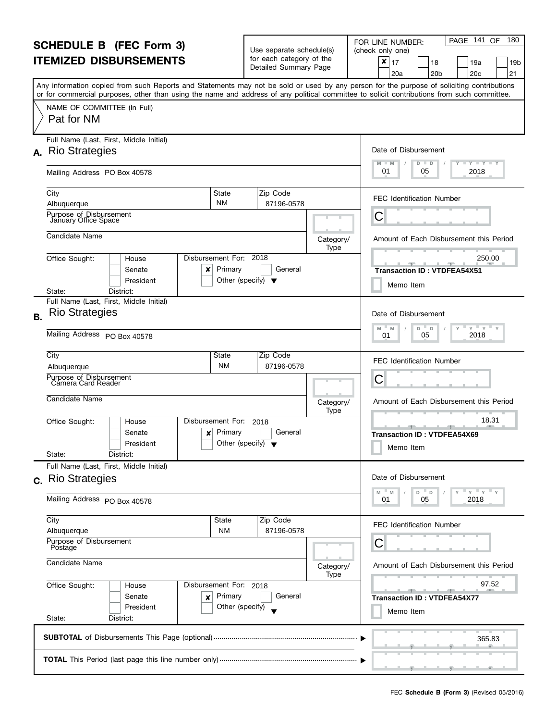| <b>SCHEDULE B (FEC Form 3)</b><br><b>ITEMIZED DISBURSEMENTS</b> |                                                                                                                                                                                                                                                                                         |                                                     | Use separate schedule(s)<br>for each category of the |                   | PAGE 141<br>180<br>OF<br>FOR LINE NUMBER:<br>(check only one)<br>×        |  |
|-----------------------------------------------------------------|-----------------------------------------------------------------------------------------------------------------------------------------------------------------------------------------------------------------------------------------------------------------------------------------|-----------------------------------------------------|------------------------------------------------------|-------------------|---------------------------------------------------------------------------|--|
|                                                                 |                                                                                                                                                                                                                                                                                         |                                                     | Detailed Summary Page                                |                   | 17<br>18<br>19a<br>19b<br>21<br>20 <sub>c</sub><br>20a<br>20 <sub>b</sub> |  |
|                                                                 | Any information copied from such Reports and Statements may not be sold or used by any person for the purpose of soliciting contributions<br>or for commercial purposes, other than using the name and address of any political committee to solicit contributions from such committee. |                                                     |                                                      |                   |                                                                           |  |
|                                                                 | NAME OF COMMITTEE (In Full)<br>Pat for NM                                                                                                                                                                                                                                               |                                                     |                                                      |                   |                                                                           |  |
|                                                                 | Full Name (Last, First, Middle Initial)<br>A. Rio Strategies                                                                                                                                                                                                                            |                                                     |                                                      |                   | Date of Disbursement<br><b>LYLYLY</b>                                     |  |
|                                                                 | Mailing Address PO Box 40578                                                                                                                                                                                                                                                            |                                                     |                                                      |                   | M<br>$D$ $D$<br>$-M$<br>01<br>2018<br>05                                  |  |
|                                                                 | City<br>State<br><b>NM</b><br>Albuquerque                                                                                                                                                                                                                                               |                                                     | Zip Code<br>87196-0578                               |                   | <b>FEC Identification Number</b>                                          |  |
|                                                                 | Purpose of Disbursement<br>January Office Space                                                                                                                                                                                                                                         |                                                     |                                                      |                   | С                                                                         |  |
|                                                                 | Candidate Name                                                                                                                                                                                                                                                                          |                                                     |                                                      | Category/<br>Type | Amount of Each Disbursement this Period                                   |  |
|                                                                 | Disbursement For: 2018<br>Office Sought:<br>House<br>Senate<br>×<br>President                                                                                                                                                                                                           | Primary<br>Other (specify) $\blacktriangledown$     | General                                              |                   | 250.00<br><b>Transaction ID: VTDFEA54X51</b><br>Memo Item                 |  |
|                                                                 | District:<br>State:<br>Full Name (Last, First, Middle Initial)                                                                                                                                                                                                                          |                                                     |                                                      |                   |                                                                           |  |
| <b>B.</b>                                                       | <b>Rio Strategies</b>                                                                                                                                                                                                                                                                   | Date of Disbursement<br>$Y = Y$<br>M<br>D<br>M<br>D |                                                      |                   |                                                                           |  |
|                                                                 | Mailing Address PO Box 40578                                                                                                                                                                                                                                                            | 2018<br>05<br>01                                    |                                                      |                   |                                                                           |  |
|                                                                 | City<br>State<br><b>NM</b><br>Albuquerque<br>Purpose of Disbursement<br>Camera Card Reader                                                                                                                                                                                              |                                                     | Zip Code<br>87196-0578                               |                   | <b>FEC Identification Number</b><br>С                                     |  |
|                                                                 | Candidate Name                                                                                                                                                                                                                                                                          |                                                     |                                                      | Category/<br>Type | Amount of Each Disbursement this Period                                   |  |
|                                                                 | Disbursement For:<br>Office Sought:<br>House<br>Senate<br>×<br>President                                                                                                                                                                                                                | Primary<br>Other (specify) $\blacktriangledown$     | 2018<br>General                                      |                   | 18.31<br><b>Transaction ID: VTDFEA54X69</b><br>Memo Item                  |  |
|                                                                 | District:<br>State:<br>Full Name (Last, First, Middle Initial)                                                                                                                                                                                                                          |                                                     |                                                      |                   |                                                                           |  |
|                                                                 | c. Rio Strategies                                                                                                                                                                                                                                                                       |                                                     |                                                      |                   | Date of Disbursement                                                      |  |
|                                                                 | Mailing Address PO Box 40578                                                                                                                                                                                                                                                            |                                                     |                                                      |                   | $Y = Y = Y$<br>M<br>M<br>D T<br>D<br>2018<br>05<br>01                     |  |
|                                                                 | City<br>State<br><b>NM</b><br>Albuquerque                                                                                                                                                                                                                                               |                                                     | Zip Code<br>87196-0578                               |                   | <b>FEC Identification Number</b>                                          |  |
|                                                                 | Purpose of Disbursement<br>Postage                                                                                                                                                                                                                                                      |                                                     |                                                      |                   | С                                                                         |  |
| Candidate Name                                                  |                                                                                                                                                                                                                                                                                         |                                                     |                                                      | Category/         | Amount of Each Disbursement this Period                                   |  |
|                                                                 | Office Sought:<br>Disbursement For: 2018<br>House<br>Senate<br>×<br>President                                                                                                                                                                                                           | Primary<br>Other (specify)                          | General                                              | Type              | 97.52<br><b>Transaction ID: VTDFEA54X77</b><br>Memo Item                  |  |
|                                                                 | State:<br>District:                                                                                                                                                                                                                                                                     |                                                     |                                                      |                   |                                                                           |  |
|                                                                 |                                                                                                                                                                                                                                                                                         |                                                     |                                                      |                   | 365.83                                                                    |  |
|                                                                 |                                                                                                                                                                                                                                                                                         |                                                     |                                                      |                   | للتقاطيل المستنبي                                                         |  |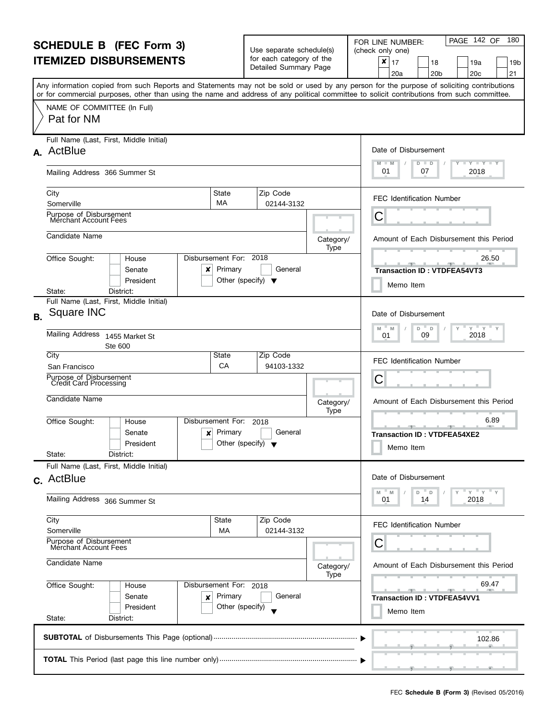| <b>SCHEDULE B (FEC Form 3)</b> |                                                                                                                                                                                                                                                                                         |                                                      | Use separate schedule(s)                                 |                   | PAGE 142 OF<br>180<br>FOR LINE NUMBER:<br>(check only one)                     |
|--------------------------------|-----------------------------------------------------------------------------------------------------------------------------------------------------------------------------------------------------------------------------------------------------------------------------------------|------------------------------------------------------|----------------------------------------------------------|-------------------|--------------------------------------------------------------------------------|
| <b>ITEMIZED DISBURSEMENTS</b>  |                                                                                                                                                                                                                                                                                         |                                                      | for each category of the<br>Detailed Summary Page        |                   | ×<br>17<br>18<br>19a<br>19b<br>21<br>20 <sub>c</sub><br>20a<br>20 <sub>b</sub> |
|                                | Any information copied from such Reports and Statements may not be sold or used by any person for the purpose of soliciting contributions<br>or for commercial purposes, other than using the name and address of any political committee to solicit contributions from such committee. |                                                      |                                                          |                   |                                                                                |
|                                | NAME OF COMMITTEE (In Full)<br>Pat for NM                                                                                                                                                                                                                                               |                                                      |                                                          |                   |                                                                                |
|                                | Full Name (Last, First, Middle Initial)<br>A. ActBlue                                                                                                                                                                                                                                   |                                                      |                                                          |                   | Date of Disbursement                                                           |
|                                | Mailing Address 366 Summer St                                                                                                                                                                                                                                                           | <b>LYLYLY</b><br>M<br>D<br>D<br>01<br>2018<br>07     |                                                          |                   |                                                                                |
|                                | City<br>State<br>MA<br>Somerville                                                                                                                                                                                                                                                       |                                                      | Zip Code<br>02144-3132                                   |                   | <b>FEC Identification Number</b>                                               |
|                                | Purpose of Disbursement<br>Merchant Account Fees                                                                                                                                                                                                                                        |                                                      |                                                          |                   | С                                                                              |
|                                | Candidate Name                                                                                                                                                                                                                                                                          |                                                      |                                                          | Category/<br>Type | Amount of Each Disbursement this Period                                        |
|                                | Disbursement For: 2018<br>Office Sought:<br>House<br>Senate<br>x<br>President                                                                                                                                                                                                           | Primary<br>Other (specify) $\blacktriangledown$      | General                                                  |                   | 26.50<br><b>Transaction ID: VTDFEA54VT3</b><br>Memo Item                       |
|                                | District:<br>State:<br>Full Name (Last, First, Middle Initial)                                                                                                                                                                                                                          |                                                      |                                                          |                   |                                                                                |
| R.                             | Square INC                                                                                                                                                                                                                                                                              | Date of Disbursement<br>$Y = Y$<br>M<br>D<br>M<br>D  |                                                          |                   |                                                                                |
|                                | Mailing Address<br>1455 Market St<br>Ste 600                                                                                                                                                                                                                                            | 2018<br>09<br>01                                     |                                                          |                   |                                                                                |
|                                | City<br>State<br>San Francisco                                                                                                                                                                                                                                                          | CA                                                   | Zip Code<br>94103-1332                                   |                   | <b>FEC Identification Number</b>                                               |
|                                | Purpose of Disbursement<br>Credit Card Processing                                                                                                                                                                                                                                       |                                                      |                                                          |                   | С                                                                              |
|                                | Candidate Name                                                                                                                                                                                                                                                                          |                                                      |                                                          | Category/<br>Type | Amount of Each Disbursement this Period                                        |
|                                | Office Sought:<br>Disbursement For:<br>House<br>Senate<br>×<br>President<br>State:<br>District:                                                                                                                                                                                         | Primary<br>Other (specify) $\blacktriangledown$      | 2018<br>General                                          |                   | 6.89<br><b>Transaction ID: VTDFEA54XE2</b><br>Memo Item                        |
|                                | Full Name (Last, First, Middle Initial)                                                                                                                                                                                                                                                 |                                                      |                                                          |                   |                                                                                |
|                                | c. ActBlue<br>Mailing Address 366 Summer St                                                                                                                                                                                                                                             |                                                      |                                                          |                   | Date of Disbursement<br>$Y$ $Y$ $Y$<br>M<br>M<br>D<br>D<br>2018<br>01<br>14    |
|                                |                                                                                                                                                                                                                                                                                         |                                                      |                                                          |                   |                                                                                |
|                                | City<br>Somerville                                                                                                                                                                                                                                                                      | State<br>МA                                          | Zip Code<br>02144-3132                                   |                   | <b>FEC Identification Number</b>                                               |
|                                | Purpose of Disbursement<br>Merchant Account Fees                                                                                                                                                                                                                                        |                                                      | C                                                        |                   |                                                                                |
|                                | Candidate Name                                                                                                                                                                                                                                                                          | Amount of Each Disbursement this Period<br>Category/ |                                                          |                   |                                                                                |
|                                | Office Sought:<br>Disbursement For: 2018<br>House<br>Senate<br>Primary<br>×<br>President<br>Other (specify)                                                                                                                                                                             | Type                                                 | 69.47<br><b>Transaction ID: VTDFEA54VV1</b><br>Memo Item |                   |                                                                                |
| State:<br>District:            |                                                                                                                                                                                                                                                                                         |                                                      |                                                          |                   |                                                                                |
|                                |                                                                                                                                                                                                                                                                                         |                                                      |                                                          |                   | 102.86                                                                         |
|                                |                                                                                                                                                                                                                                                                                         |                                                      |                                                          |                   |                                                                                |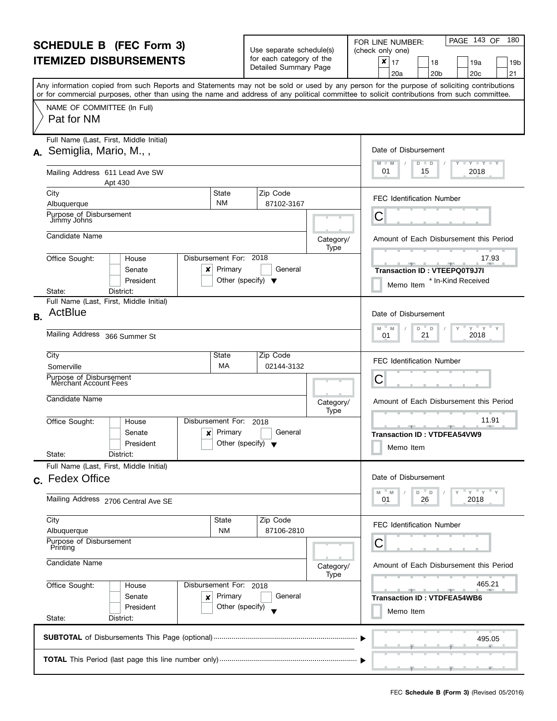| <b>SCHEDULE B (FEC Form 3)</b><br><b>ITEMIZED DISBURSEMENTS</b> |                                                                                                                                            |                                                                                           | Use separate schedule(s)                          |                   | PAGE 143 OF<br>180<br>FOR LINE NUMBER:<br>(check only one)                                                                                |  |
|-----------------------------------------------------------------|--------------------------------------------------------------------------------------------------------------------------------------------|-------------------------------------------------------------------------------------------|---------------------------------------------------|-------------------|-------------------------------------------------------------------------------------------------------------------------------------------|--|
|                                                                 |                                                                                                                                            |                                                                                           | for each category of the<br>Detailed Summary Page |                   | ×<br>17<br>18<br>19a<br>19b<br>20 <sub>c</sub><br>21<br>20a<br>20 <sub>b</sub>                                                            |  |
|                                                                 | or for commercial purposes, other than using the name and address of any political committee to solicit contributions from such committee. |                                                                                           |                                                   |                   | Any information copied from such Reports and Statements may not be sold or used by any person for the purpose of soliciting contributions |  |
|                                                                 | NAME OF COMMITTEE (In Full)<br>Pat for NM                                                                                                  |                                                                                           |                                                   |                   |                                                                                                                                           |  |
|                                                                 | Full Name (Last, First, Middle Initial)<br>A. Semiglia, Mario, M.,,                                                                        |                                                                                           |                                                   |                   | Date of Disbursement                                                                                                                      |  |
|                                                                 | Mailing Address 611 Lead Ave SW<br>Apt 430                                                                                                 | $\bot$ $\gamma$ $\bot$ $\gamma$ $\bot$ $\gamma$<br>$M - M$<br>$D$ $D$<br>01<br>15<br>2018 |                                                   |                   |                                                                                                                                           |  |
|                                                                 | City<br>Albuquerque                                                                                                                        | State<br><b>NM</b>                                                                        | Zip Code<br>87102-3167                            |                   | <b>FEC Identification Number</b>                                                                                                          |  |
|                                                                 | Purpose of Disbursement<br>Jimmy Johns                                                                                                     |                                                                                           |                                                   |                   | С                                                                                                                                         |  |
|                                                                 | Candidate Name                                                                                                                             |                                                                                           |                                                   | Category/<br>Type | Amount of Each Disbursement this Period                                                                                                   |  |
|                                                                 | Office Sought:<br>House<br>Senate<br>x<br>President                                                                                        | Disbursement For: 2018<br>Primary                                                         | General<br>Other (specify) $\blacktriangledown$   |                   | 17.93<br>$-1$<br>Transaction ID: VTEEPQ0T9J7I<br>* In-Kind Received<br>Memo Item                                                          |  |
|                                                                 | District:<br>State:<br>Full Name (Last, First, Middle Initial)                                                                             |                                                                                           |                                                   |                   |                                                                                                                                           |  |
| <b>B.</b>                                                       | ActBlue                                                                                                                                    |                                                                                           |                                                   |                   | Date of Disbursement                                                                                                                      |  |
|                                                                 | Mailing Address 366 Summer St                                                                                                              | $Y$ $Y$ $Y$<br>M<br>D<br>$\Box$<br>M<br>2018<br>21<br>01                                  |                                                   |                   |                                                                                                                                           |  |
|                                                                 | City<br>Somerville                                                                                                                         | State<br>МA                                                                               | Zip Code<br>02144-3132                            |                   | <b>FEC Identification Number</b>                                                                                                          |  |
|                                                                 | Purpose of Disbursement<br>Merchant Account Fees                                                                                           |                                                                                           |                                                   |                   | С                                                                                                                                         |  |
|                                                                 | Candidate Name                                                                                                                             |                                                                                           |                                                   | Category/<br>Type | Amount of Each Disbursement this Period                                                                                                   |  |
|                                                                 | Office Sought:<br>House<br>Senate<br>×<br>President<br>State:<br>District:                                                                 | Disbursement For:<br>Primary                                                              | 2018<br>General<br>Other (specify) $\sqrt{}$      |                   | 11.91<br><b>Transaction ID: VTDFEA54VW9</b><br>Memo Item                                                                                  |  |
|                                                                 | Full Name (Last, First, Middle Initial)                                                                                                    |                                                                                           |                                                   |                   |                                                                                                                                           |  |
|                                                                 | c. Fedex Office                                                                                                                            |                                                                                           |                                                   |                   | Date of Disbursement<br>" ү " ү " ү<br>$-M$<br>M<br>D<br>D                                                                                |  |
|                                                                 | Mailing Address 2706 Central Ave SE                                                                                                        |                                                                                           |                                                   |                   | 26<br>2018<br>01                                                                                                                          |  |
|                                                                 | City<br>Albuquerque                                                                                                                        | State<br><b>NM</b>                                                                        | Zip Code<br>87106-2810                            |                   | <b>FEC Identification Number</b>                                                                                                          |  |
|                                                                 | Purpose of Disbursement<br>Printing                                                                                                        |                                                                                           |                                                   | С                 |                                                                                                                                           |  |
|                                                                 | Candidate Name                                                                                                                             | Category/<br>Type                                                                         | Amount of Each Disbursement this Period           |                   |                                                                                                                                           |  |
|                                                                 | Office Sought:<br>House<br>Senate<br>×                                                                                                     | Disbursement For: 2018<br>Primary                                                         | General                                           |                   | 465.21<br><b>Transaction ID: VTDFEA54WB6</b>                                                                                              |  |
|                                                                 | President<br>State:<br>District:                                                                                                           | Other (specify)                                                                           |                                                   |                   | Memo Item                                                                                                                                 |  |
|                                                                 |                                                                                                                                            |                                                                                           |                                                   |                   | 495.05                                                                                                                                    |  |
|                                                                 |                                                                                                                                            |                                                                                           |                                                   |                   |                                                                                                                                           |  |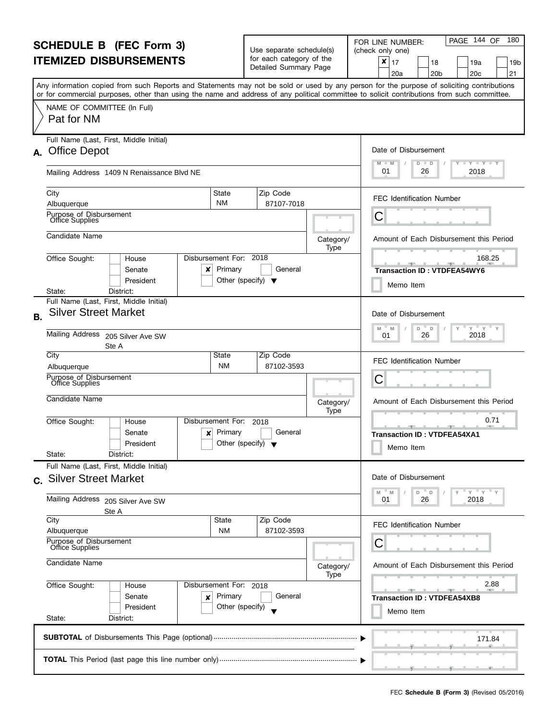| <b>SCHEDULE B (FEC Form 3)</b><br><b>ITEMIZED DISBURSEMENTS</b>        |                                                                                                                                            |                                   | Use separate schedule(s)<br>for each category of the<br>Detailed Summary Page |                                                   | PAGE 144 OF<br>180<br>FOR LINE NUMBER:<br>(check only one)<br>×<br>17<br>18<br>19a<br>19b<br>20 <sub>b</sub><br>20 <sub>c</sub><br>21<br>20a |
|------------------------------------------------------------------------|--------------------------------------------------------------------------------------------------------------------------------------------|-----------------------------------|-------------------------------------------------------------------------------|---------------------------------------------------|----------------------------------------------------------------------------------------------------------------------------------------------|
|                                                                        | or for commercial purposes, other than using the name and address of any political committee to solicit contributions from such committee. |                                   |                                                                               |                                                   | Any information copied from such Reports and Statements may not be sold or used by any person for the purpose of soliciting contributions    |
|                                                                        | NAME OF COMMITTEE (In Full)<br>Pat for NM                                                                                                  |                                   |                                                                               |                                                   |                                                                                                                                              |
|                                                                        | Full Name (Last, First, Middle Initial)<br>A. Office Depot                                                                                 |                                   |                                                                               | Date of Disbursement<br>$T - Y = T - Y$<br>D<br>D |                                                                                                                                              |
|                                                                        | Mailing Address 1409 N Renaissance Blvd NE                                                                                                 | 01<br>2018<br>26                  |                                                                               |                                                   |                                                                                                                                              |
|                                                                        | City<br>Albuquerque                                                                                                                        | State<br><b>NM</b>                | Zip Code<br>87107-7018                                                        |                                                   | <b>FEC Identification Number</b>                                                                                                             |
|                                                                        | Purpose of Disbursement<br>Office Supplies                                                                                                 |                                   |                                                                               |                                                   | C                                                                                                                                            |
|                                                                        | Candidate Name                                                                                                                             |                                   |                                                                               | Category/<br>Type                                 | Amount of Each Disbursement this Period                                                                                                      |
|                                                                        | Office Sought:<br>House<br>Senate<br>×<br>President                                                                                        | Disbursement For: 2018<br>Primary | General<br>Other (specify) $\blacktriangledown$                               |                                                   | 168.25<br><b>Transaction ID: VTDFEA54WY6</b><br>Memo Item                                                                                    |
|                                                                        | District:<br>State:<br>Full Name (Last, First, Middle Initial)                                                                             |                                   |                                                                               |                                                   |                                                                                                                                              |
| B <sub>1</sub>                                                         | <b>Silver Street Market</b>                                                                                                                |                                   |                                                                               |                                                   | Date of Disbursement<br>$Y = Y$<br>$\mathsf{Y}$<br>M<br>D<br>D<br>M                                                                          |
|                                                                        | <b>Mailing Address</b><br>205 Silver Ave SW<br>Ste A                                                                                       | 2018<br>26<br>01                  |                                                                               |                                                   |                                                                                                                                              |
|                                                                        | City<br>Albuquerque                                                                                                                        | Zip Code<br>87102-3593            |                                                                               | <b>FEC Identification Number</b>                  |                                                                                                                                              |
|                                                                        | Purpose of Disbursement<br>Office Supplies                                                                                                 |                                   |                                                                               |                                                   | C                                                                                                                                            |
|                                                                        | Candidate Name                                                                                                                             |                                   |                                                                               | Category/<br>Type                                 | Amount of Each Disbursement this Period                                                                                                      |
|                                                                        | Office Sought:<br>House<br>Senate<br>×<br>President<br>State:<br>District:                                                                 | Disbursement For:<br>Primary      | 2018<br>General<br>Other (specify) $\blacktriangledown$                       |                                                   | 0.71<br><b>Transaction ID: VTDFEA54XA1</b><br>Memo Item                                                                                      |
|                                                                        | Full Name (Last, First, Middle Initial)                                                                                                    |                                   |                                                                               |                                                   |                                                                                                                                              |
|                                                                        | c. Silver Street Market                                                                                                                    |                                   |                                                                               |                                                   | Date of Disbursement<br>M<br>$Y = Y = Y$<br>M<br>D<br>D                                                                                      |
|                                                                        | Mailing Address 205 Silver Ave SW<br>Ste A                                                                                                 |                                   |                                                                               |                                                   | 2018<br>26<br>01                                                                                                                             |
|                                                                        | City<br>Albuquerque                                                                                                                        |                                   | <b>FEC Identification Number</b>                                              |                                                   |                                                                                                                                              |
|                                                                        | Purpose of Disbursement<br>Office Supplies<br>Candidate Name                                                                               |                                   |                                                                               |                                                   | С                                                                                                                                            |
|                                                                        |                                                                                                                                            |                                   |                                                                               | Category/<br>Type                                 | Amount of Each Disbursement this Period                                                                                                      |
| Office Sought:<br>Disbursement For: 2018<br>House<br>Primary<br>Senate |                                                                                                                                            |                                   | General                                                                       |                                                   | 2.88                                                                                                                                         |
|                                                                        | ×<br>President<br>State:<br>District:                                                                                                      | Other (specify)                   |                                                                               |                                                   | <b>Transaction ID: VTDFEA54XB8</b><br>Memo Item                                                                                              |
|                                                                        |                                                                                                                                            |                                   |                                                                               |                                                   | 171.84                                                                                                                                       |
|                                                                        |                                                                                                                                            | ____                              |                                                                               |                                                   |                                                                                                                                              |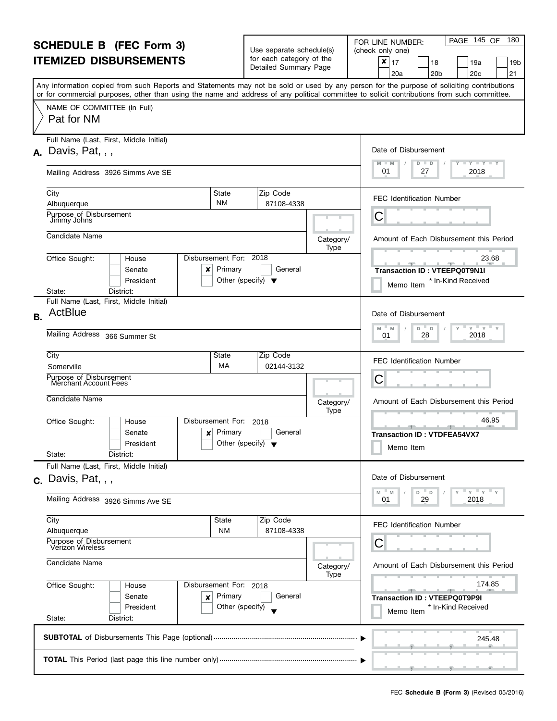| <b>SCHEDULE B (FEC Form 3)</b>                                |                                                                                                                                                                                                                                                                                         |                                                 | Use separate schedule(s)                          |                   | PAGE 145 OF<br>180<br>FOR LINE NUMBER:<br>(check only one)                                                                                                                                                                   |  |  |
|---------------------------------------------------------------|-----------------------------------------------------------------------------------------------------------------------------------------------------------------------------------------------------------------------------------------------------------------------------------------|-------------------------------------------------|---------------------------------------------------|-------------------|------------------------------------------------------------------------------------------------------------------------------------------------------------------------------------------------------------------------------|--|--|
|                                                               | <b>ITEMIZED DISBURSEMENTS</b>                                                                                                                                                                                                                                                           |                                                 | for each category of the<br>Detailed Summary Page |                   | ×<br>17<br>18<br>19a<br>19b<br>21<br>20 <sub>c</sub><br>20a<br>20 <sub>b</sub>                                                                                                                                               |  |  |
|                                                               | Any information copied from such Reports and Statements may not be sold or used by any person for the purpose of soliciting contributions<br>or for commercial purposes, other than using the name and address of any political committee to solicit contributions from such committee. |                                                 |                                                   |                   |                                                                                                                                                                                                                              |  |  |
|                                                               | NAME OF COMMITTEE (In Full)<br>Pat for NM                                                                                                                                                                                                                                               |                                                 |                                                   |                   |                                                                                                                                                                                                                              |  |  |
|                                                               | Full Name (Last, First, Middle Initial)<br>$\lambda$ . Davis, Pat, , ,                                                                                                                                                                                                                  |                                                 |                                                   |                   | Date of Disbursement                                                                                                                                                                                                         |  |  |
|                                                               | Mailing Address 3926 Simms Ave SE                                                                                                                                                                                                                                                       |                                                 |                                                   |                   | $T - Y = T - Y = T - Y$<br>M<br>D<br>$\Box$<br>01<br>2018<br>27                                                                                                                                                              |  |  |
|                                                               | City<br>Albuquerque                                                                                                                                                                                                                                                                     | State<br><b>NM</b>                              | Zip Code<br>87108-4338                            |                   | <b>FEC Identification Number</b>                                                                                                                                                                                             |  |  |
|                                                               | Purpose of Disbursement<br>Jimmy Johns                                                                                                                                                                                                                                                  |                                                 |                                                   |                   | С                                                                                                                                                                                                                            |  |  |
|                                                               | Candidate Name                                                                                                                                                                                                                                                                          |                                                 |                                                   | Category/<br>Type | Amount of Each Disbursement this Period                                                                                                                                                                                      |  |  |
|                                                               | Disbursement For: 2018<br>Office Sought:<br>House<br>Senate<br>×<br>President                                                                                                                                                                                                           | Primary<br>Other (specify) $\blacktriangledown$ | General                                           |                   | 23.68<br><u> 1959 - 1959 - 1959 - 1959 - 1959 - 1959 - 1959 - 1959 - 1959 - 1959 - 1959 - 1959 - 1959 - 1959 - 1959 - 195</u><br>$\overline{\phantom{a}}$<br>Transaction ID: VTEEPQ0T9N1I<br>* In-Kind Received<br>Memo Item |  |  |
|                                                               | District:<br>State:<br>Full Name (Last, First, Middle Initial)                                                                                                                                                                                                                          |                                                 |                                                   |                   |                                                                                                                                                                                                                              |  |  |
| <b>B.</b>                                                     | ActBlue                                                                                                                                                                                                                                                                                 |                                                 |                                                   |                   | Date of Disbursement<br>$Y$ $Y$                                                                                                                                                                                              |  |  |
|                                                               | Mailing Address 366 Summer St                                                                                                                                                                                                                                                           | M<br>D<br>M<br>D<br>2018<br>28<br>01            |                                                   |                   |                                                                                                                                                                                                                              |  |  |
|                                                               | City<br>Somerville                                                                                                                                                                                                                                                                      | State<br>МA                                     | Zip Code<br>02144-3132                            |                   | <b>FEC Identification Number</b>                                                                                                                                                                                             |  |  |
|                                                               | Purpose of Disbursement<br>Merchant Account Fees                                                                                                                                                                                                                                        | С                                               |                                                   |                   |                                                                                                                                                                                                                              |  |  |
|                                                               | Candidate Name                                                                                                                                                                                                                                                                          |                                                 |                                                   | Category/<br>Type | Amount of Each Disbursement this Period                                                                                                                                                                                      |  |  |
|                                                               | Office Sought:<br>Disbursement For:<br>House<br>Senate<br>×<br>President<br>State:<br>District:                                                                                                                                                                                         | Primary<br>Other (specify) $\blacktriangledown$ | 2018<br>General                                   |                   | 46.95<br><b>Transaction ID: VTDFEA54VX7</b><br>Memo Item                                                                                                                                                                     |  |  |
|                                                               | Full Name (Last, First, Middle Initial)                                                                                                                                                                                                                                                 |                                                 |                                                   |                   |                                                                                                                                                                                                                              |  |  |
|                                                               | $c.$ Davis, Pat, , ,                                                                                                                                                                                                                                                                    |                                                 |                                                   |                   | Date of Disbursement<br>$Y$ $Y$ $Y$<br>M<br>M<br>D<br>D                                                                                                                                                                      |  |  |
|                                                               | Mailing Address 3926 Simms Ave SE                                                                                                                                                                                                                                                       |                                                 |                                                   |                   |                                                                                                                                                                                                                              |  |  |
|                                                               | City<br>Albuquerque                                                                                                                                                                                                                                                                     | State<br><b>NM</b>                              | Zip Code<br>87108-4338                            |                   | <b>FEC Identification Number</b>                                                                                                                                                                                             |  |  |
| Purpose of Disbursement<br>Verizon Wireless<br>Candidate Name |                                                                                                                                                                                                                                                                                         |                                                 |                                                   |                   | С                                                                                                                                                                                                                            |  |  |
|                                                               |                                                                                                                                                                                                                                                                                         |                                                 |                                                   | Category/<br>Type | Amount of Each Disbursement this Period                                                                                                                                                                                      |  |  |
|                                                               | Office Sought:<br>Disbursement For: 2018<br>House<br>Senate<br>×<br>President<br>State:                                                                                                                                                                                                 | Primary<br>Other (specify)                      | General                                           |                   | 174.85<br><b>Transaction ID: VTEEPQ0T9P9I</b><br>* In-Kind Received<br>Memo Item                                                                                                                                             |  |  |
|                                                               | District:                                                                                                                                                                                                                                                                               |                                                 |                                                   |                   | 245.48                                                                                                                                                                                                                       |  |  |
|                                                               |                                                                                                                                                                                                                                                                                         |                                                 |                                                   |                   |                                                                                                                                                                                                                              |  |  |
|                                                               |                                                                                                                                                                                                                                                                                         |                                                 |                                                   |                   |                                                                                                                                                                                                                              |  |  |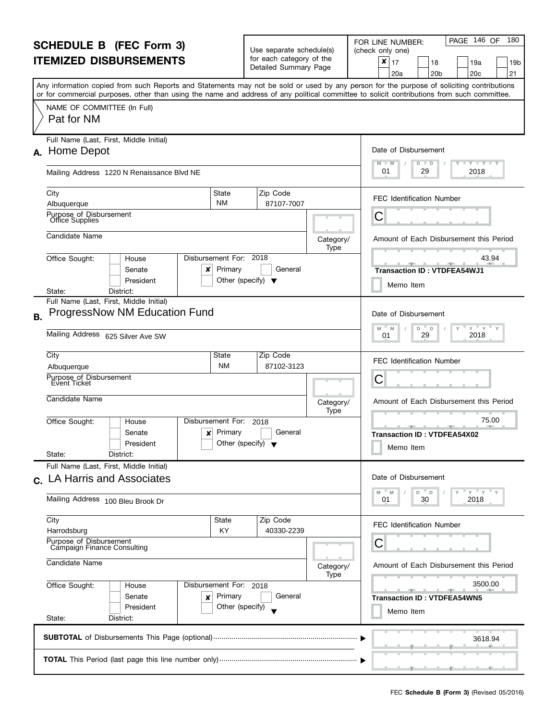| <b>SCHEDULE B</b> (FEC Form 3)<br><b>ITEMIZED DISBURSEMENTS</b>     |                                                                                                                                                                                                                                                                                         |                                      | Use separate schedule(s)<br>for each category of the<br>Detailed Summary Page |                   | PAGE 146 OF<br>180<br>FOR LINE NUMBER:<br>(check only one)<br>$\pmb{\times}$<br>17<br>18<br>19a<br>19b<br>20 <sub>c</sub><br>21<br>20a<br>20 <sub>b</sub> |
|---------------------------------------------------------------------|-----------------------------------------------------------------------------------------------------------------------------------------------------------------------------------------------------------------------------------------------------------------------------------------|--------------------------------------|-------------------------------------------------------------------------------|-------------------|-----------------------------------------------------------------------------------------------------------------------------------------------------------|
|                                                                     | Any information copied from such Reports and Statements may not be sold or used by any person for the purpose of soliciting contributions<br>or for commercial purposes, other than using the name and address of any political committee to solicit contributions from such committee. |                                      |                                                                               |                   |                                                                                                                                                           |
|                                                                     | NAME OF COMMITTEE (In Full)<br>Pat for NM                                                                                                                                                                                                                                               |                                      |                                                                               |                   |                                                                                                                                                           |
|                                                                     | Full Name (Last, First, Middle Initial)<br>A. Home Depot                                                                                                                                                                                                                                |                                      |                                                                               |                   | Date of Disbursement<br>$\mathbf{I} \mathbf{Y} \mathbf{I} \mathbf{Y} \mathbf{I} \mathbf{Y}$<br>$-M$<br>$\overline{D}$<br>D                                |
|                                                                     | Mailing Address 1220 N Renaissance Blvd NE                                                                                                                                                                                                                                              |                                      |                                                                               |                   | 01<br>2018<br>29                                                                                                                                          |
|                                                                     | State<br>City<br><b>NM</b><br>Albuquerque                                                                                                                                                                                                                                               |                                      | Zip Code<br>87107-7007                                                        |                   | <b>FEC Identification Number</b>                                                                                                                          |
|                                                                     | Purpose of Disbursement<br>Office Supplies                                                                                                                                                                                                                                              |                                      |                                                                               |                   | С                                                                                                                                                         |
|                                                                     | Candidate Name                                                                                                                                                                                                                                                                          |                                      |                                                                               | Category/<br>Type | Amount of Each Disbursement this Period                                                                                                                   |
|                                                                     | Disbursement For: 2018<br>Office Sought:<br>House<br>Primary<br>Senate<br>x<br>President                                                                                                                                                                                                | Other (specify) $\blacktriangledown$ | General                                                                       |                   | 43.94<br><b>Transaction ID: VTDFEA54WJ1</b><br>Memo Item                                                                                                  |
|                                                                     | District:<br>State:<br>Full Name (Last, First, Middle Initial)                                                                                                                                                                                                                          |                                      |                                                                               |                   |                                                                                                                                                           |
| <b>B.</b>                                                           | <b>ProgressNow NM Education Fund</b><br>Mailing Address 625 Silver Ave SW                                                                                                                                                                                                               |                                      |                                                                               |                   | Date of Disbursement<br>$Y = Y$<br>M<br>D<br>D<br>M<br>2018<br>29<br>01                                                                                   |
|                                                                     |                                                                                                                                                                                                                                                                                         |                                      |                                                                               |                   |                                                                                                                                                           |
|                                                                     | City<br>State<br><b>NM</b><br>Albuquerque                                                                                                                                                                                                                                               |                                      | Zip Code<br>87102-3123                                                        |                   | <b>FEC Identification Number</b>                                                                                                                          |
|                                                                     | Purpose of Disbursement<br>Event Ticket                                                                                                                                                                                                                                                 |                                      |                                                                               |                   | С                                                                                                                                                         |
|                                                                     | Candidate Name                                                                                                                                                                                                                                                                          |                                      |                                                                               | Category/<br>Type | Amount of Each Disbursement this Period                                                                                                                   |
|                                                                     | Disbursement For:<br>Office Sought:<br>House<br>Primary<br>Senate<br>x<br>President<br>State:<br>District:                                                                                                                                                                              | Other (specify) $\blacktriangledown$ | 2018<br>General                                                               |                   | 75.00<br><b>Transaction ID: VTDFEA54X02</b><br>Memo Item                                                                                                  |
|                                                                     | Full Name (Last, First, Middle Initial)<br>LA Harris and Associates                                                                                                                                                                                                                     |                                      |                                                                               |                   | Date of Disbursement                                                                                                                                      |
| $\mathbf{C}$ .                                                      | Mailing Address 100 Bleu Brook Dr                                                                                                                                                                                                                                                       |                                      |                                                                               |                   | " ү " ү " ү<br>$- M$<br>M<br>D<br>D<br>30<br>2018<br>01                                                                                                   |
|                                                                     | City<br>State<br>KY<br>Harrodsburg                                                                                                                                                                                                                                                      |                                      | Zip Code<br>40330-2239                                                        |                   | <b>FEC Identification Number</b>                                                                                                                          |
|                                                                     | Purpose of Disbursement<br>Campaign Finance Consulting                                                                                                                                                                                                                                  |                                      |                                                                               |                   | С                                                                                                                                                         |
| Candidate Name<br>Office Sought:<br>Disbursement For: 2018<br>House |                                                                                                                                                                                                                                                                                         |                                      |                                                                               | Category/<br>Type | Amount of Each Disbursement this Period                                                                                                                   |
|                                                                     |                                                                                                                                                                                                                                                                                         |                                      |                                                                               |                   | 3500.00                                                                                                                                                   |
|                                                                     | Primary<br>Senate<br>×<br>President<br>State:<br>District:                                                                                                                                                                                                                              | Other (specify)                      | General                                                                       |                   | <b>Transaction ID: VTDFEA54WN5</b><br>Memo Item                                                                                                           |
|                                                                     |                                                                                                                                                                                                                                                                                         |                                      |                                                                               |                   | 3618.94                                                                                                                                                   |
|                                                                     |                                                                                                                                                                                                                                                                                         |                                      |                                                                               |                   |                                                                                                                                                           |

l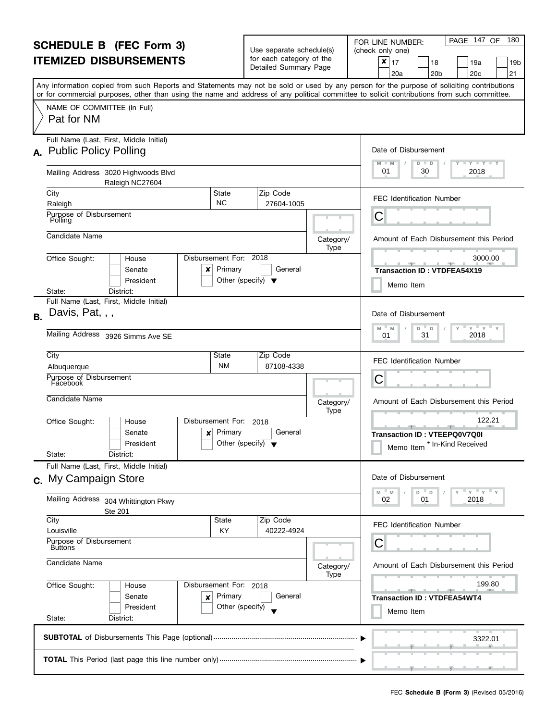| <b>SCHEDULE B</b> (FEC Form 3)                                                                                                                                                   |                                                                                                                                                                                                                                                                                         |                                                 | Use separate schedule(s)<br>for each category of the |                   | PAGE 147 OF<br>180<br>FOR LINE NUMBER:<br>(check only one)                     |
|----------------------------------------------------------------------------------------------------------------------------------------------------------------------------------|-----------------------------------------------------------------------------------------------------------------------------------------------------------------------------------------------------------------------------------------------------------------------------------------|-------------------------------------------------|------------------------------------------------------|-------------------|--------------------------------------------------------------------------------|
|                                                                                                                                                                                  | <b>ITEMIZED DISBURSEMENTS</b>                                                                                                                                                                                                                                                           |                                                 | Detailed Summary Page                                |                   | ×<br>17<br>18<br>19a<br>19b<br>21<br>20 <sub>b</sub><br>20 <sub>c</sub><br>20a |
|                                                                                                                                                                                  | Any information copied from such Reports and Statements may not be sold or used by any person for the purpose of soliciting contributions<br>or for commercial purposes, other than using the name and address of any political committee to solicit contributions from such committee. |                                                 |                                                      |                   |                                                                                |
|                                                                                                                                                                                  | NAME OF COMMITTEE (In Full)<br>Pat for NM                                                                                                                                                                                                                                               |                                                 |                                                      |                   |                                                                                |
|                                                                                                                                                                                  | Full Name (Last, First, Middle Initial)                                                                                                                                                                                                                                                 |                                                 |                                                      |                   | Date of Disbursement                                                           |
|                                                                                                                                                                                  | A. Public Policy Polling                                                                                                                                                                                                                                                                |                                                 |                                                      |                   | <b>LYLYLY</b><br>M<br>D<br>$\blacksquare$                                      |
|                                                                                                                                                                                  | Mailing Address 3020 Highwoods Blvd<br>Raleigh NC27604                                                                                                                                                                                                                                  |                                                 |                                                      |                   | 01<br>2018<br>30                                                               |
|                                                                                                                                                                                  | City<br>State<br><b>NC</b>                                                                                                                                                                                                                                                              |                                                 | Zip Code                                             |                   | <b>FEC Identification Number</b>                                               |
|                                                                                                                                                                                  | Raleigh<br>Purpose of Disbursement<br>Polling                                                                                                                                                                                                                                           |                                                 | 27604-1005                                           |                   | С                                                                              |
|                                                                                                                                                                                  | Candidate Name                                                                                                                                                                                                                                                                          |                                                 |                                                      |                   |                                                                                |
|                                                                                                                                                                                  |                                                                                                                                                                                                                                                                                         |                                                 |                                                      | Category/<br>Type | Amount of Each Disbursement this Period                                        |
|                                                                                                                                                                                  | Disbursement For: 2018<br>Office Sought:<br>House<br>Senate<br>×<br>President                                                                                                                                                                                                           | Primary<br>Other (specify) $\blacktriangledown$ | General                                              |                   | 3000.00<br><b>Transaction ID: VTDFEA54X19</b>                                  |
|                                                                                                                                                                                  | District:<br>State:                                                                                                                                                                                                                                                                     |                                                 |                                                      |                   | Memo Item                                                                      |
| <b>B.</b>                                                                                                                                                                        | Full Name (Last, First, Middle Initial)<br>Davis, Pat, , ,                                                                                                                                                                                                                              |                                                 |                                                      |                   | Date of Disbursement                                                           |
|                                                                                                                                                                                  | Mailing Address 3926 Simms Ave SE                                                                                                                                                                                                                                                       | $Y$ $Y$<br>M<br>D<br>D<br>2018<br>31<br>01      |                                                      |                   |                                                                                |
|                                                                                                                                                                                  | City<br>State                                                                                                                                                                                                                                                                           |                                                 | Zip Code<br>87108-4338                               |                   | <b>FEC Identification Number</b>                                               |
|                                                                                                                                                                                  | <b>NM</b><br>Albuquerque<br>Purpose of Disbursement                                                                                                                                                                                                                                     | С                                               |                                                      |                   |                                                                                |
|                                                                                                                                                                                  | Facebook                                                                                                                                                                                                                                                                                |                                                 |                                                      |                   |                                                                                |
|                                                                                                                                                                                  | Candidate Name                                                                                                                                                                                                                                                                          |                                                 |                                                      | Category/<br>Type | Amount of Each Disbursement this Period                                        |
|                                                                                                                                                                                  | Office Sought:<br>Disbursement For:<br>House                                                                                                                                                                                                                                            |                                                 | 2018                                                 |                   | 122.21                                                                         |
|                                                                                                                                                                                  | Senate<br>×<br>President<br>State:<br>District:                                                                                                                                                                                                                                         | Primary<br>Other (specify) $\blacktriangledown$ | General                                              |                   | Transaction ID: VTEEPQ0V7Q0I<br>* In-Kind Received<br>Memo Item                |
|                                                                                                                                                                                  | Full Name (Last, First, Middle Initial)                                                                                                                                                                                                                                                 |                                                 |                                                      |                   |                                                                                |
|                                                                                                                                                                                  | c. My Campaign Store                                                                                                                                                                                                                                                                    |                                                 |                                                      |                   | Date of Disbursement                                                           |
|                                                                                                                                                                                  | Mailing Address 304 Whittington Pkwy<br>Ste 201                                                                                                                                                                                                                                         |                                                 |                                                      |                   | $Y = Y$<br>M<br>M<br>D.<br>$\Box$<br>2018<br>01<br>02                          |
|                                                                                                                                                                                  | City<br>Louisville                                                                                                                                                                                                                                                                      | State                                           | Zip Code<br>40222-4924                               |                   | <b>FEC Identification Number</b>                                               |
| ΚY<br>Purpose of Disbursement<br><b>Buttons</b><br>Candidate Name<br>Office Sought:<br>Disbursement For: 2018<br>House<br>Senate<br>Primary<br>×<br>President<br>Other (specify) |                                                                                                                                                                                                                                                                                         |                                                 |                                                      |                   | С                                                                              |
|                                                                                                                                                                                  |                                                                                                                                                                                                                                                                                         |                                                 |                                                      | Category/<br>Type | Amount of Each Disbursement this Period                                        |
|                                                                                                                                                                                  |                                                                                                                                                                                                                                                                                         |                                                 |                                                      |                   | 199.80                                                                         |
|                                                                                                                                                                                  |                                                                                                                                                                                                                                                                                         |                                                 | General                                              |                   | <b>Transaction ID: VTDFEA54WT4</b>                                             |
|                                                                                                                                                                                  | State:<br>District:                                                                                                                                                                                                                                                                     |                                                 |                                                      |                   | Memo Item                                                                      |
|                                                                                                                                                                                  |                                                                                                                                                                                                                                                                                         |                                                 |                                                      |                   | 3322.01                                                                        |
|                                                                                                                                                                                  |                                                                                                                                                                                                                                                                                         |                                                 |                                                      |                   |                                                                                |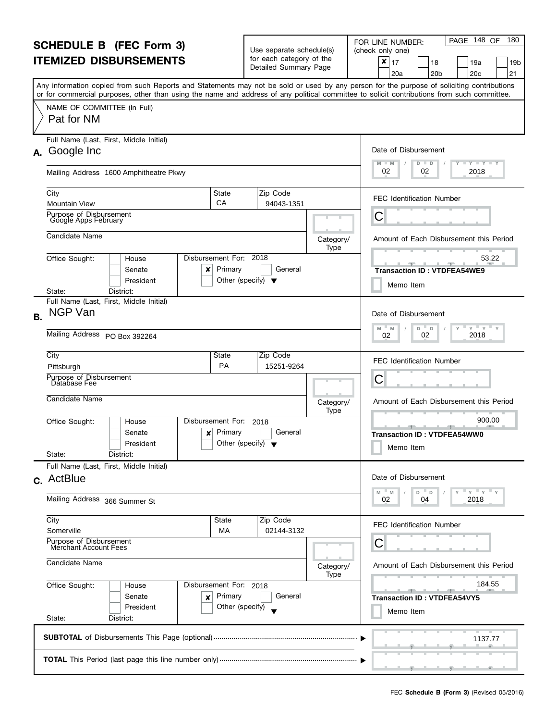| <b>SCHEDULE B (FEC Form 3)</b><br><b>ITEMIZED DISBURSEMENTS</b> |                                                                                                                                                                                                                                                                                         |                                   | Use separate schedule(s)<br>for each category of the<br>Detailed Summary Page |                   | PAGE 148 OF<br>180<br>FOR LINE NUMBER:<br>(check only one)<br>×<br>17<br>19a<br>18<br>19 <sub>b</sub><br>20 <sub>b</sub><br>20 <sub>c</sub><br>21<br>20a |
|-----------------------------------------------------------------|-----------------------------------------------------------------------------------------------------------------------------------------------------------------------------------------------------------------------------------------------------------------------------------------|-----------------------------------|-------------------------------------------------------------------------------|-------------------|----------------------------------------------------------------------------------------------------------------------------------------------------------|
|                                                                 | Any information copied from such Reports and Statements may not be sold or used by any person for the purpose of soliciting contributions<br>or for commercial purposes, other than using the name and address of any political committee to solicit contributions from such committee. |                                   |                                                                               |                   |                                                                                                                                                          |
|                                                                 | NAME OF COMMITTEE (In Full)<br>Pat for NM                                                                                                                                                                                                                                               |                                   |                                                                               |                   |                                                                                                                                                          |
|                                                                 | Full Name (Last, First, Middle Initial)<br>A. Google Inc                                                                                                                                                                                                                                |                                   |                                                                               |                   | Date of Disbursement<br>$T - Y = T - Y$<br>M<br>$-M$<br>$D$ $D$                                                                                          |
|                                                                 | Mailing Address 1600 Amphitheatre Pkwy                                                                                                                                                                                                                                                  |                                   |                                                                               |                   | 02<br>2018<br>02                                                                                                                                         |
|                                                                 | City<br><b>Mountain View</b>                                                                                                                                                                                                                                                            | State<br>CA                       | Zip Code<br>94043-1351                                                        |                   | <b>FEC Identification Number</b>                                                                                                                         |
|                                                                 | Purpose of Disbursement<br>Google Apps February                                                                                                                                                                                                                                         |                                   |                                                                               |                   | C                                                                                                                                                        |
|                                                                 | Candidate Name                                                                                                                                                                                                                                                                          |                                   |                                                                               | Category/<br>Type | Amount of Each Disbursement this Period                                                                                                                  |
|                                                                 | Office Sought:<br>House<br>Senate<br>x<br>President                                                                                                                                                                                                                                     | Disbursement For: 2018<br>Primary | General<br>Other (specify) $\blacktriangledown$                               |                   | 53.22<br>$-1 - 1 - 1 - 1$<br><b>Transaction ID: VTDFEA54WE9</b><br>Memo Item                                                                             |
|                                                                 | District:<br>State:<br>Full Name (Last, First, Middle Initial)                                                                                                                                                                                                                          |                                   |                                                                               |                   |                                                                                                                                                          |
| <b>B.</b>                                                       | <b>NGP Van</b>                                                                                                                                                                                                                                                                          |                                   |                                                                               |                   | Date of Disbursement<br>$Y$ $Y$<br>M<br>D<br>Y<br>M<br>D                                                                                                 |
|                                                                 | <b>Mailing Address</b><br>PO Box 392264                                                                                                                                                                                                                                                 | 2018<br>02<br>02                  |                                                                               |                   |                                                                                                                                                          |
|                                                                 | City<br>Pittsburgh                                                                                                                                                                                                                                                                      | State<br>PA                       | Zip Code<br>15251-9264                                                        |                   | <b>FEC Identification Number</b>                                                                                                                         |
|                                                                 | Purpose of Disbursement<br>Database Fee                                                                                                                                                                                                                                                 |                                   | C                                                                             |                   |                                                                                                                                                          |
|                                                                 | Candidate Name                                                                                                                                                                                                                                                                          |                                   |                                                                               | Category/<br>Type | Amount of Each Disbursement this Period                                                                                                                  |
|                                                                 | Office Sought:<br>House<br>Senate<br>×<br>President<br>State:<br>District:                                                                                                                                                                                                              | Disbursement For:<br>Primary      | 2018<br>General<br>Other (specify) $\blacktriangledown$                       |                   | 900.00<br><b>Transaction ID: VTDFEA54WW0</b><br>Memo Item                                                                                                |
|                                                                 | Full Name (Last, First, Middle Initial)                                                                                                                                                                                                                                                 |                                   |                                                                               |                   |                                                                                                                                                          |
|                                                                 | c. ActBlue                                                                                                                                                                                                                                                                              |                                   |                                                                               |                   | Date of Disbursement<br>$Y = Y$<br>M<br>M<br>D<br>D                                                                                                      |
|                                                                 | Mailing Address 366 Summer St                                                                                                                                                                                                                                                           |                                   |                                                                               |                   | 2018<br>02<br>04                                                                                                                                         |
|                                                                 | City<br>Somerville                                                                                                                                                                                                                                                                      | State<br>МA                       | Zip Code<br>02144-3132                                                        |                   | <b>FEC Identification Number</b>                                                                                                                         |
|                                                                 | Purpose of Disbursement<br>Merchant Account Fees                                                                                                                                                                                                                                        |                                   | С                                                                             |                   |                                                                                                                                                          |
|                                                                 | Candidate Name                                                                                                                                                                                                                                                                          |                                   |                                                                               | Category/<br>Type | Amount of Each Disbursement this Period                                                                                                                  |
| Office Sought:<br>Disbursement For: 2018<br>House               |                                                                                                                                                                                                                                                                                         |                                   |                                                                               |                   | 184.55                                                                                                                                                   |
|                                                                 | Senate<br>×<br>President<br>State:                                                                                                                                                                                                                                                      | Primary<br>Other (specify)        | General                                                                       |                   | <b>Transaction ID: VTDFEA54VY5</b><br>Memo Item                                                                                                          |
|                                                                 | District:                                                                                                                                                                                                                                                                               |                                   |                                                                               |                   |                                                                                                                                                          |
|                                                                 |                                                                                                                                                                                                                                                                                         |                                   |                                                                               |                   | 1137.77                                                                                                                                                  |
|                                                                 |                                                                                                                                                                                                                                                                                         |                                   |                                                                               |                   |                                                                                                                                                          |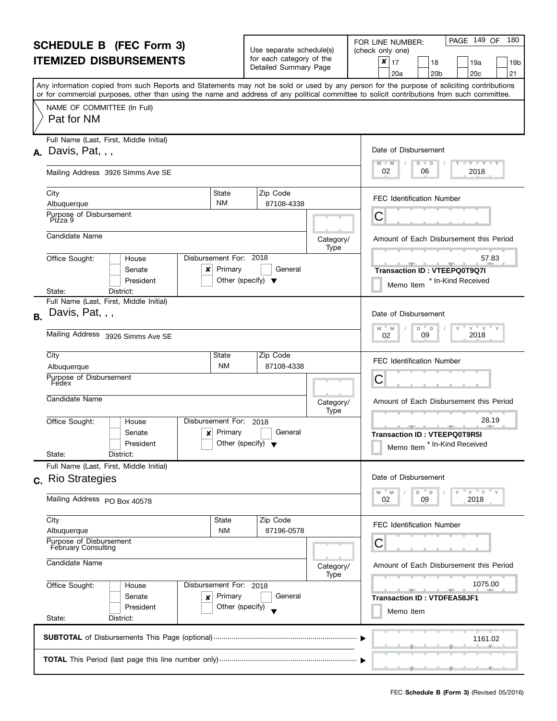|                                                                     | <b>SCHEDULE B (FEC Form 3)</b>                                                                                                                                                                                                                                                          |                                                       |                                                      |                   | PAGE 149 OF<br>180<br>FOR LINE NUMBER:                  |
|---------------------------------------------------------------------|-----------------------------------------------------------------------------------------------------------------------------------------------------------------------------------------------------------------------------------------------------------------------------------------|-------------------------------------------------------|------------------------------------------------------|-------------------|---------------------------------------------------------|
| <b>ITEMIZED DISBURSEMENTS</b>                                       |                                                                                                                                                                                                                                                                                         |                                                       | Use separate schedule(s)<br>for each category of the |                   | (check only one)<br>×<br>17<br>18<br>19a<br>19b         |
|                                                                     |                                                                                                                                                                                                                                                                                         |                                                       | Detailed Summary Page                                |                   | 21<br>20 <sub>c</sub><br>20a<br>20 <sub>b</sub>         |
|                                                                     | Any information copied from such Reports and Statements may not be sold or used by any person for the purpose of soliciting contributions<br>or for commercial purposes, other than using the name and address of any political committee to solicit contributions from such committee. |                                                       |                                                      |                   |                                                         |
|                                                                     | NAME OF COMMITTEE (In Full)                                                                                                                                                                                                                                                             |                                                       |                                                      |                   |                                                         |
|                                                                     | Pat for NM                                                                                                                                                                                                                                                                              |                                                       |                                                      |                   |                                                         |
|                                                                     | Full Name (Last, First, Middle Initial)                                                                                                                                                                                                                                                 |                                                       |                                                      |                   | Date of Disbursement                                    |
|                                                                     | $\lambda$ . Davis, Pat.,                                                                                                                                                                                                                                                                |                                                       |                                                      |                   | $M - M$<br>$Y + Y + Y + Y$<br>$D$ $D$                   |
|                                                                     | Mailing Address 3926 Simms Ave SE                                                                                                                                                                                                                                                       |                                                       |                                                      |                   | 02<br>2018<br>06                                        |
|                                                                     | City                                                                                                                                                                                                                                                                                    | State                                                 | Zip Code                                             |                   | <b>FEC Identification Number</b>                        |
|                                                                     | Albuquerque                                                                                                                                                                                                                                                                             | <b>NM</b>                                             | 87108-4338                                           |                   |                                                         |
|                                                                     | Purpose of Disbursement<br>Pizza 9                                                                                                                                                                                                                                                      |                                                       |                                                      |                   | С                                                       |
|                                                                     | Candidate Name                                                                                                                                                                                                                                                                          |                                                       |                                                      | Category/         | Amount of Each Disbursement this Period                 |
|                                                                     | Office Sought:<br>House                                                                                                                                                                                                                                                                 | Disbursement For: 2018                                |                                                      | Type              | 57.83                                                   |
|                                                                     | Senate<br>x                                                                                                                                                                                                                                                                             | Primary                                               | General                                              |                   | - 100<br>Transaction ID: VTEEPQ0T9Q7I                   |
|                                                                     | President                                                                                                                                                                                                                                                                               | Other (specify) $\blacktriangledown$                  |                                                      |                   | * In-Kind Received<br>Memo Item                         |
|                                                                     | District:<br>State:                                                                                                                                                                                                                                                                     |                                                       |                                                      |                   |                                                         |
| <b>B.</b>                                                           | Full Name (Last, First, Middle Initial)<br>Davis, Pat, , ,                                                                                                                                                                                                                              |                                                       |                                                      |                   | Date of Disbursement                                    |
|                                                                     | Mailing Address 3926 Simms Ave SE                                                                                                                                                                                                                                                       | $Y'$ $Y'$ $Y$<br>D<br>M<br>D<br>M<br>2018<br>09<br>02 |                                                      |                   |                                                         |
|                                                                     |                                                                                                                                                                                                                                                                                         |                                                       |                                                      |                   |                                                         |
|                                                                     | City<br>Albuquerque                                                                                                                                                                                                                                                                     | State<br><b>NM</b>                                    | Zip Code<br>87108-4338                               |                   | <b>FEC Identification Number</b>                        |
|                                                                     | Purpose of Disbursement                                                                                                                                                                                                                                                                 | С                                                     |                                                      |                   |                                                         |
|                                                                     | Fedex                                                                                                                                                                                                                                                                                   |                                                       |                                                      |                   |                                                         |
|                                                                     | Candidate Name                                                                                                                                                                                                                                                                          |                                                       |                                                      | Category/<br>Type | Amount of Each Disbursement this Period                 |
|                                                                     | Office Sought:<br>House                                                                                                                                                                                                                                                                 | Disbursement For:                                     | 2018                                                 |                   | 28.19<br>للموارد المستندر                               |
|                                                                     | Senate<br>×                                                                                                                                                                                                                                                                             | Primary<br>Other (specify) $\blacktriangledown$       | General                                              |                   | <b>Transaction ID: VTEEPQ0T9R5I</b>                     |
|                                                                     | President<br>State:<br>District:                                                                                                                                                                                                                                                        |                                                       |                                                      |                   | * In-Kind Received<br>Memo Item                         |
|                                                                     | Full Name (Last, First, Middle Initial)                                                                                                                                                                                                                                                 |                                                       |                                                      |                   |                                                         |
|                                                                     | c. Rio Strategies                                                                                                                                                                                                                                                                       |                                                       |                                                      |                   | Date of Disbursement                                    |
|                                                                     | Mailing Address PO Box 40578                                                                                                                                                                                                                                                            |                                                       |                                                      |                   | $Y = Y + Y$<br>$-M$<br>D.<br>M<br>D<br>09<br>2018<br>02 |
|                                                                     | City                                                                                                                                                                                                                                                                                    | State                                                 | Zip Code                                             |                   | <b>FEC Identification Number</b>                        |
|                                                                     | Albuquerque                                                                                                                                                                                                                                                                             | <b>NM</b>                                             | 87196-0578                                           |                   |                                                         |
|                                                                     | Purpose of Disbursement<br>February Consulting                                                                                                                                                                                                                                          |                                                       |                                                      |                   | С                                                       |
| Candidate Name<br>Office Sought:<br>Disbursement For: 2018<br>House |                                                                                                                                                                                                                                                                                         |                                                       |                                                      | Category/<br>Type | Amount of Each Disbursement this Period                 |
|                                                                     |                                                                                                                                                                                                                                                                                         |                                                       |                                                      |                   | 1075.00                                                 |
|                                                                     | Senate<br>×                                                                                                                                                                                                                                                                             | Primary                                               | General                                              |                   | <b>Transaction ID: VTDFEA58JF1</b>                      |
|                                                                     | President<br>State:<br>District:                                                                                                                                                                                                                                                        | Other (specify)                                       |                                                      |                   | Memo Item                                               |
|                                                                     |                                                                                                                                                                                                                                                                                         |                                                       |                                                      |                   |                                                         |
|                                                                     |                                                                                                                                                                                                                                                                                         |                                                       |                                                      |                   | 1161.02                                                 |
|                                                                     |                                                                                                                                                                                                                                                                                         |                                                       |                                                      |                   |                                                         |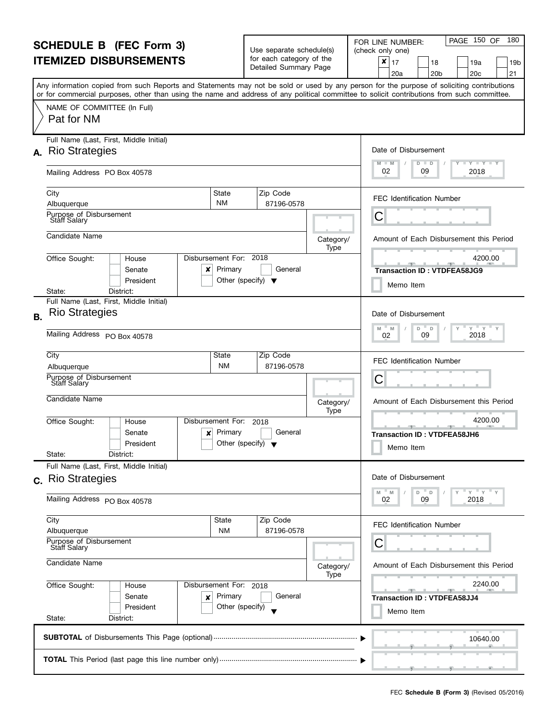| <b>SCHEDULE B</b> (FEC Form 3)                                                                                       |                                                                                                                                                                                                                                                                                         |                                                 | Use separate schedule(s)                          |                   | PAGE 150 OF<br>180<br>FOR LINE NUMBER:<br>(check only one)                     |
|----------------------------------------------------------------------------------------------------------------------|-----------------------------------------------------------------------------------------------------------------------------------------------------------------------------------------------------------------------------------------------------------------------------------------|-------------------------------------------------|---------------------------------------------------|-------------------|--------------------------------------------------------------------------------|
|                                                                                                                      | <b>ITEMIZED DISBURSEMENTS</b>                                                                                                                                                                                                                                                           |                                                 | for each category of the<br>Detailed Summary Page |                   | ×<br>17<br>18<br>19a<br>19b<br>21<br>20 <sub>b</sub><br>20 <sub>c</sub><br>20a |
|                                                                                                                      | Any information copied from such Reports and Statements may not be sold or used by any person for the purpose of soliciting contributions<br>or for commercial purposes, other than using the name and address of any political committee to solicit contributions from such committee. |                                                 |                                                   |                   |                                                                                |
|                                                                                                                      | NAME OF COMMITTEE (In Full)<br>Pat for NM                                                                                                                                                                                                                                               |                                                 |                                                   |                   |                                                                                |
|                                                                                                                      | Full Name (Last, First, Middle Initial)                                                                                                                                                                                                                                                 |                                                 |                                                   |                   |                                                                                |
|                                                                                                                      | A. Rio Strategies                                                                                                                                                                                                                                                                       |                                                 |                                                   |                   | Date of Disbursement<br><b>LYLYLY</b><br>$M - M$<br>$D$ $D$                    |
|                                                                                                                      | Mailing Address PO Box 40578                                                                                                                                                                                                                                                            |                                                 |                                                   |                   | 02<br>2018<br>09                                                               |
|                                                                                                                      | City<br>State                                                                                                                                                                                                                                                                           |                                                 | Zip Code                                          |                   | <b>FEC Identification Number</b>                                               |
|                                                                                                                      | <b>NM</b><br>Albuquerque                                                                                                                                                                                                                                                                |                                                 | 87196-0578                                        |                   |                                                                                |
|                                                                                                                      | Purpose of Disbursement<br>Staff Salary                                                                                                                                                                                                                                                 |                                                 |                                                   |                   | С                                                                              |
|                                                                                                                      | Candidate Name                                                                                                                                                                                                                                                                          |                                                 |                                                   | Category/<br>Type | Amount of Each Disbursement this Period                                        |
|                                                                                                                      | Disbursement For: 2018<br>Office Sought:<br>House<br>Senate<br>×                                                                                                                                                                                                                        | Primary                                         | General                                           |                   | 4200.00<br><b>Transaction ID: VTDFEA58JG9</b>                                  |
|                                                                                                                      | President                                                                                                                                                                                                                                                                               | Other (specify) $\blacktriangledown$            |                                                   |                   | Memo Item                                                                      |
|                                                                                                                      | District:<br>State:<br>Full Name (Last, First, Middle Initial)                                                                                                                                                                                                                          |                                                 |                                                   |                   |                                                                                |
| <b>B.</b>                                                                                                            | <b>Rio Strategies</b>                                                                                                                                                                                                                                                                   |                                                 |                                                   |                   | Date of Disbursement<br>$Y$ $Y$<br>M<br>D<br>M<br>D                            |
|                                                                                                                      | Mailing Address PO Box 40578                                                                                                                                                                                                                                                            | 2018<br>09<br>02                                |                                                   |                   |                                                                                |
|                                                                                                                      | City<br>State                                                                                                                                                                                                                                                                           |                                                 | Zip Code<br>87196-0578                            |                   | <b>FEC Identification Number</b>                                               |
|                                                                                                                      | <b>NM</b><br>Albuquerque<br>Purpose of Disbursement                                                                                                                                                                                                                                     |                                                 |                                                   |                   |                                                                                |
|                                                                                                                      | <b>Staff Salary</b>                                                                                                                                                                                                                                                                     |                                                 |                                                   |                   | С                                                                              |
|                                                                                                                      | Candidate Name                                                                                                                                                                                                                                                                          |                                                 |                                                   | Category/<br>Type | Amount of Each Disbursement this Period                                        |
|                                                                                                                      | Office Sought:<br>Disbursement For:<br>House                                                                                                                                                                                                                                            |                                                 | 2018                                              |                   | 4200.00                                                                        |
|                                                                                                                      | Senate<br>×<br>President                                                                                                                                                                                                                                                                | Primary<br>Other (specify) $\blacktriangledown$ | General                                           |                   | <b>Transaction ID: VTDFEA58JH6</b><br>Memo Item                                |
|                                                                                                                      | State:<br>District:                                                                                                                                                                                                                                                                     |                                                 |                                                   |                   |                                                                                |
|                                                                                                                      | Full Name (Last, First, Middle Initial)<br>c. Rio Strategies                                                                                                                                                                                                                            |                                                 |                                                   |                   | Date of Disbursement                                                           |
|                                                                                                                      | Mailing Address PO Box 40578                                                                                                                                                                                                                                                            |                                                 |                                                   |                   | $Y = Y + Y$<br>M<br>M<br>D T<br>D<br>2018<br>09<br>02                          |
|                                                                                                                      | City                                                                                                                                                                                                                                                                                    | State                                           | Zip Code                                          |                   | <b>FEC Identification Number</b>                                               |
|                                                                                                                      | Albuquerque<br>Purpose of Disbursement                                                                                                                                                                                                                                                  | <b>NM</b>                                       | 87196-0578                                        |                   | С                                                                              |
| <b>Staff Salary</b><br>Candidate Name<br>Office Sought:<br>Disbursement For: 2018<br>House<br>Senate<br>Primary<br>× |                                                                                                                                                                                                                                                                                         |                                                 |                                                   | Category/<br>Type | Amount of Each Disbursement this Period                                        |
|                                                                                                                      |                                                                                                                                                                                                                                                                                         |                                                 |                                                   |                   | 2240.00                                                                        |
|                                                                                                                      |                                                                                                                                                                                                                                                                                         |                                                 | General                                           |                   | <b>Transaction ID: VTDFEA58JJ4</b>                                             |
|                                                                                                                      | President                                                                                                                                                                                                                                                                               | Other (specify)                                 |                                                   |                   | Memo Item                                                                      |
|                                                                                                                      | State:<br>District:                                                                                                                                                                                                                                                                     |                                                 |                                                   |                   |                                                                                |
|                                                                                                                      |                                                                                                                                                                                                                                                                                         |                                                 |                                                   |                   | 10640.00                                                                       |
|                                                                                                                      |                                                                                                                                                                                                                                                                                         |                                                 |                                                   |                   |                                                                                |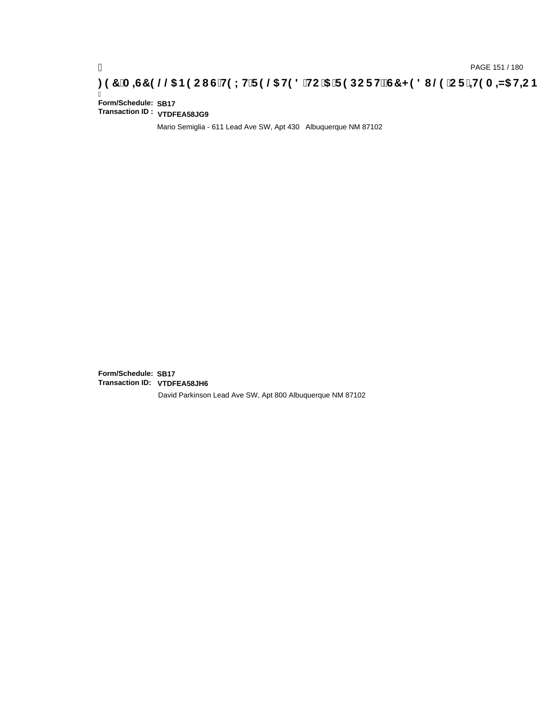### **)(&0,6&(//\$1(2867(;75(/\$7('72\$5(32576&+('8/(25,7(0,=\$7,21**

Ī **Form/Schedule: SB17 Transaction ID : VTDFEA58JG9**

Mario Semiglia - 611 Lead Ave SW, Apt 430 Albuquerque NM 87102

**Form/Schedule: SB17 Transaction ID: VTDFEA58JH6**David Parkinson Lead Ave SW, Apt 800 Albuquerque NM 87102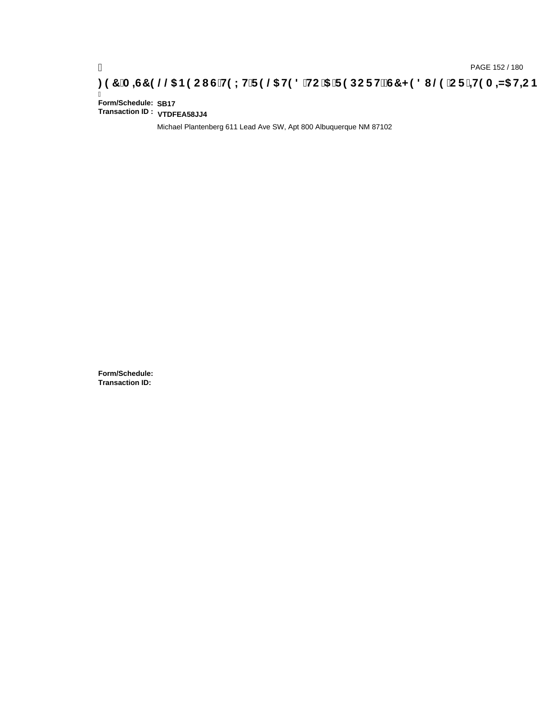# **)(&0,6&(//\$1(2867(;75(/\$7('72\$5(32576&+('8/(25,7(0,=\$7,21**

Ī **Form/Schedule: SB17 Transaction ID : VTDFEA58JJ4**

Michael Plantenberg 611 Lead Ave SW, Apt 800 Albuquerque NM 87102

**Form/Schedule: Transaction ID:**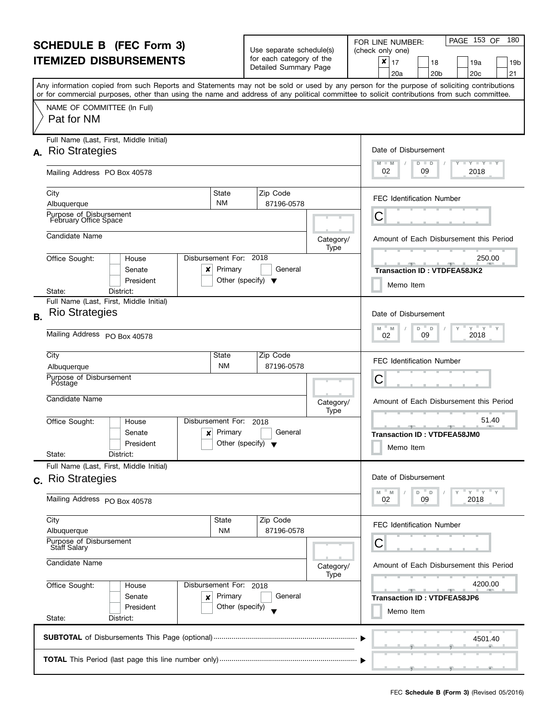| <b>SCHEDULE B</b> (FEC Form 3)                                                                                       |                                                                                                                                                                                                                                                                                         |                                                 | Use separate schedule(s)                          |                   | PAGE 153 OF<br>180<br>FOR LINE NUMBER:<br>(check only one)                     |
|----------------------------------------------------------------------------------------------------------------------|-----------------------------------------------------------------------------------------------------------------------------------------------------------------------------------------------------------------------------------------------------------------------------------------|-------------------------------------------------|---------------------------------------------------|-------------------|--------------------------------------------------------------------------------|
|                                                                                                                      | <b>ITEMIZED DISBURSEMENTS</b>                                                                                                                                                                                                                                                           |                                                 | for each category of the<br>Detailed Summary Page |                   | ×<br>17<br>18<br>19a<br>19b<br>21<br>20 <sub>b</sub><br>20 <sub>c</sub><br>20a |
|                                                                                                                      | Any information copied from such Reports and Statements may not be sold or used by any person for the purpose of soliciting contributions<br>or for commercial purposes, other than using the name and address of any political committee to solicit contributions from such committee. |                                                 |                                                   |                   |                                                                                |
|                                                                                                                      | NAME OF COMMITTEE (In Full)<br>Pat for NM                                                                                                                                                                                                                                               |                                                 |                                                   |                   |                                                                                |
|                                                                                                                      | Full Name (Last, First, Middle Initial)                                                                                                                                                                                                                                                 |                                                 |                                                   |                   |                                                                                |
|                                                                                                                      | A. Rio Strategies                                                                                                                                                                                                                                                                       |                                                 |                                                   |                   | Date of Disbursement<br><b>LYLYLY</b><br>M<br>$-M$<br>$D$ $D$                  |
|                                                                                                                      | Mailing Address PO Box 40578                                                                                                                                                                                                                                                            |                                                 |                                                   |                   | 02<br>2018<br>09                                                               |
|                                                                                                                      | City<br>State                                                                                                                                                                                                                                                                           |                                                 | Zip Code                                          |                   | <b>FEC Identification Number</b>                                               |
|                                                                                                                      | <b>NM</b><br>Albuquerque                                                                                                                                                                                                                                                                |                                                 | 87196-0578                                        |                   |                                                                                |
|                                                                                                                      | Purpose of Disbursement<br>February Office Space                                                                                                                                                                                                                                        |                                                 |                                                   |                   | С                                                                              |
|                                                                                                                      | Candidate Name                                                                                                                                                                                                                                                                          |                                                 |                                                   | Category/<br>Type | Amount of Each Disbursement this Period                                        |
|                                                                                                                      | Disbursement For: 2018<br>Office Sought:<br>House<br>Senate<br>×<br>President                                                                                                                                                                                                           | Primary<br>Other (specify) $\blacktriangledown$ | General                                           |                   | 250.00<br><b>Transaction ID: VTDFEA58JK2</b>                                   |
|                                                                                                                      | District:<br>State:                                                                                                                                                                                                                                                                     |                                                 |                                                   |                   | Memo Item                                                                      |
|                                                                                                                      | Full Name (Last, First, Middle Initial)                                                                                                                                                                                                                                                 |                                                 |                                                   |                   |                                                                                |
| <b>B.</b>                                                                                                            | <b>Rio Strategies</b>                                                                                                                                                                                                                                                                   |                                                 |                                                   |                   | Date of Disbursement                                                           |
|                                                                                                                      | Mailing Address PO Box 40578                                                                                                                                                                                                                                                            | $Y = Y$<br>M<br>D<br>M<br>D<br>2018<br>09<br>02 |                                                   |                   |                                                                                |
|                                                                                                                      | City<br>State                                                                                                                                                                                                                                                                           |                                                 | Zip Code<br>87196-0578                            |                   | <b>FEC Identification Number</b>                                               |
|                                                                                                                      | <b>NM</b><br>Albuquerque<br>Purpose of Disbursement                                                                                                                                                                                                                                     |                                                 |                                                   |                   |                                                                                |
|                                                                                                                      | Postage                                                                                                                                                                                                                                                                                 |                                                 |                                                   |                   | С                                                                              |
|                                                                                                                      | Candidate Name                                                                                                                                                                                                                                                                          |                                                 |                                                   | Category/<br>Type | Amount of Each Disbursement this Period                                        |
|                                                                                                                      | Office Sought:<br>Disbursement For:<br>House                                                                                                                                                                                                                                            |                                                 | 2018                                              |                   | 51.40                                                                          |
|                                                                                                                      | Senate<br>×                                                                                                                                                                                                                                                                             | Primary                                         | General                                           |                   | <b>Transaction ID: VTDFEA58JM0</b>                                             |
|                                                                                                                      | President<br>State:<br>District:                                                                                                                                                                                                                                                        | Other (specify) $\blacktriangledown$            |                                                   |                   | Memo Item                                                                      |
|                                                                                                                      | Full Name (Last, First, Middle Initial)                                                                                                                                                                                                                                                 |                                                 |                                                   |                   |                                                                                |
|                                                                                                                      | c. Rio Strategies                                                                                                                                                                                                                                                                       |                                                 |                                                   |                   | Date of Disbursement                                                           |
|                                                                                                                      | Mailing Address PO Box 40578                                                                                                                                                                                                                                                            |                                                 |                                                   |                   | $Y = Y + Y$<br>M<br>M<br>D T<br>D<br>2018<br>09<br>02                          |
|                                                                                                                      | City<br>State                                                                                                                                                                                                                                                                           |                                                 | Zip Code                                          |                   | <b>FEC Identification Number</b>                                               |
|                                                                                                                      | <b>NM</b><br>Albuquerque<br>Purpose of Disbursement                                                                                                                                                                                                                                     |                                                 | 87196-0578                                        |                   |                                                                                |
| <b>Staff Salary</b><br>Candidate Name<br>Office Sought:<br>Disbursement For: 2018<br>House<br>Senate<br>Primary<br>× |                                                                                                                                                                                                                                                                                         |                                                 |                                                   |                   | С                                                                              |
|                                                                                                                      |                                                                                                                                                                                                                                                                                         |                                                 |                                                   | Category/<br>Type | Amount of Each Disbursement this Period                                        |
|                                                                                                                      |                                                                                                                                                                                                                                                                                         |                                                 |                                                   |                   | 4200.00                                                                        |
|                                                                                                                      |                                                                                                                                                                                                                                                                                         |                                                 | General                                           |                   | <b>Transaction ID: VTDFEA58JP6</b>                                             |
|                                                                                                                      | President<br>State:<br>District:                                                                                                                                                                                                                                                        | Other (specify)                                 |                                                   |                   | Memo Item                                                                      |
|                                                                                                                      |                                                                                                                                                                                                                                                                                         |                                                 |                                                   |                   |                                                                                |
|                                                                                                                      |                                                                                                                                                                                                                                                                                         |                                                 |                                                   |                   | 4501.40                                                                        |
|                                                                                                                      |                                                                                                                                                                                                                                                                                         |                                                 |                                                   |                   |                                                                                |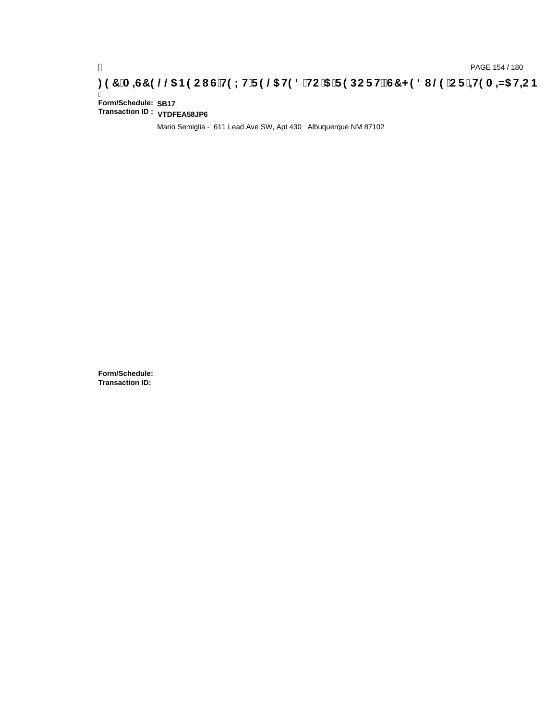# **)(&0,6&(//\$1(2867(;75(/\$7('72\$5(32576&+('8/(25,7(0,=\$7,21**

Ī **Form/Schedule: SB17 Transaction ID : VTDFEA58JP6**

Mario Semiglia - 611 Lead Ave SW, Apt 430 Albuquerque NM 87102

**Form/Schedule: Transaction ID:**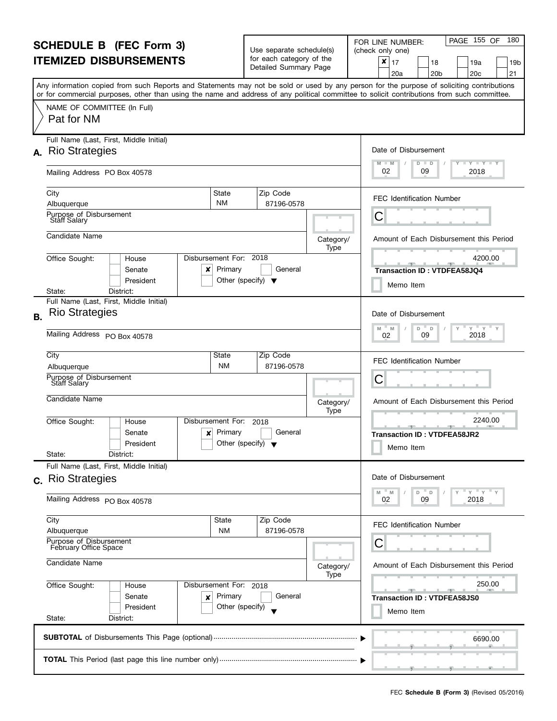| <b>SCHEDULE B</b> (FEC Form 3)<br><b>ITEMIZED DISBURSEMENTS</b> |                                                                                                                                                                                                                                                                                         |                                      | Use separate schedule(s)<br>for each category of the |                   | PAGE 155 OF<br>180<br>FOR LINE NUMBER:<br>(check only one)                     |  |  |  |  |
|-----------------------------------------------------------------|-----------------------------------------------------------------------------------------------------------------------------------------------------------------------------------------------------------------------------------------------------------------------------------------|--------------------------------------|------------------------------------------------------|-------------------|--------------------------------------------------------------------------------|--|--|--|--|
|                                                                 |                                                                                                                                                                                                                                                                                         |                                      | Detailed Summary Page                                |                   | ×<br>17<br>18<br>19a<br>19b<br>21<br>20 <sub>b</sub><br>20 <sub>c</sub><br>20a |  |  |  |  |
|                                                                 | Any information copied from such Reports and Statements may not be sold or used by any person for the purpose of soliciting contributions<br>or for commercial purposes, other than using the name and address of any political committee to solicit contributions from such committee. |                                      |                                                      |                   |                                                                                |  |  |  |  |
|                                                                 | NAME OF COMMITTEE (In Full)<br>Pat for NM                                                                                                                                                                                                                                               |                                      |                                                      |                   |                                                                                |  |  |  |  |
|                                                                 | Full Name (Last, First, Middle Initial)<br>A. Rio Strategies                                                                                                                                                                                                                            |                                      |                                                      |                   | Date of Disbursement                                                           |  |  |  |  |
|                                                                 | Mailing Address PO Box 40578                                                                                                                                                                                                                                                            |                                      |                                                      |                   | $T - Y = T - Y = T - Y$<br>$M - M$<br>$D$ $D$<br>02<br>2018<br>09              |  |  |  |  |
|                                                                 | City<br>State<br><b>NM</b><br>Albuquerque                                                                                                                                                                                                                                               |                                      | Zip Code<br>87196-0578                               |                   | <b>FEC Identification Number</b>                                               |  |  |  |  |
|                                                                 | Purpose of Disbursement<br>Staff Salary                                                                                                                                                                                                                                                 |                                      |                                                      |                   | С                                                                              |  |  |  |  |
|                                                                 | Candidate Name                                                                                                                                                                                                                                                                          |                                      |                                                      | Category/         | Amount of Each Disbursement this Period                                        |  |  |  |  |
|                                                                 | Disbursement For: 2018<br>Office Sought:<br>House<br>Senate<br>Primary<br>×<br>President                                                                                                                                                                                                | Other (specify) $\blacktriangledown$ | General                                              | Type              | 4200.00<br><b>Transaction ID: VTDFEA58JQ4</b><br>Memo Item                     |  |  |  |  |
|                                                                 | District:<br>State:<br>Full Name (Last, First, Middle Initial)                                                                                                                                                                                                                          |                                      |                                                      |                   |                                                                                |  |  |  |  |
| <b>B.</b>                                                       | <b>Rio Strategies</b>                                                                                                                                                                                                                                                                   |                                      |                                                      |                   | Date of Disbursement<br>$Y$ $Y$<br>M<br>D<br>M<br>D                            |  |  |  |  |
|                                                                 | Mailing Address PO Box 40578                                                                                                                                                                                                                                                            | 2018<br>09<br>02                     |                                                      |                   |                                                                                |  |  |  |  |
|                                                                 | City<br>State<br><b>NM</b><br>Albuquerque<br>Purpose of Disbursement                                                                                                                                                                                                                    |                                      | Zip Code<br>87196-0578                               |                   | <b>FEC Identification Number</b><br>С                                          |  |  |  |  |
|                                                                 | <b>Staff Salary</b><br>Candidate Name                                                                                                                                                                                                                                                   |                                      |                                                      | Category/<br>Type | Amount of Each Disbursement this Period                                        |  |  |  |  |
|                                                                 | Office Sought:<br>Disbursement For:<br>House<br>Primary<br>Senate<br>×<br>President                                                                                                                                                                                                     | Other (specify) $\blacktriangledown$ | 2018<br>General                                      |                   | 2240.00<br><b>Transaction ID: VTDFEA58JR2</b><br>Memo Item                     |  |  |  |  |
|                                                                 | State:<br>District:<br>Full Name (Last, First, Middle Initial)                                                                                                                                                                                                                          |                                      |                                                      |                   |                                                                                |  |  |  |  |
|                                                                 | c. Rio Strategies                                                                                                                                                                                                                                                                       |                                      |                                                      |                   | Date of Disbursement<br>$Y$ $Y$ $Y$<br>M<br>M<br>D T<br>D                      |  |  |  |  |
|                                                                 | Mailing Address PO Box 40578                                                                                                                                                                                                                                                            |                                      |                                                      |                   | 2018<br>09<br>02                                                               |  |  |  |  |
|                                                                 | City<br>State<br><b>NM</b><br>Albuquerque                                                                                                                                                                                                                                               |                                      | Zip Code<br>87196-0578                               |                   | <b>FEC Identification Number</b>                                               |  |  |  |  |
|                                                                 | Purpose of Disbursement<br>February Office Space                                                                                                                                                                                                                                        |                                      |                                                      |                   | С                                                                              |  |  |  |  |
| Candidate Name                                                  |                                                                                                                                                                                                                                                                                         |                                      |                                                      | Category/         | Amount of Each Disbursement this Period                                        |  |  |  |  |
|                                                                 | Office Sought:<br>Disbursement For: 2018<br>House<br>Senate<br>Primary<br>×<br>President                                                                                                                                                                                                | Other (specify)                      | General                                              | Type              | 250.00<br><b>Transaction ID: VTDFEA58JS0</b><br>Memo Item                      |  |  |  |  |
|                                                                 | State:<br>District:                                                                                                                                                                                                                                                                     |                                      |                                                      |                   |                                                                                |  |  |  |  |
|                                                                 |                                                                                                                                                                                                                                                                                         |                                      |                                                      |                   | 6690.00                                                                        |  |  |  |  |
|                                                                 | <u>, , , , , , , , , , , , ,</u>                                                                                                                                                                                                                                                        |                                      |                                                      |                   |                                                                                |  |  |  |  |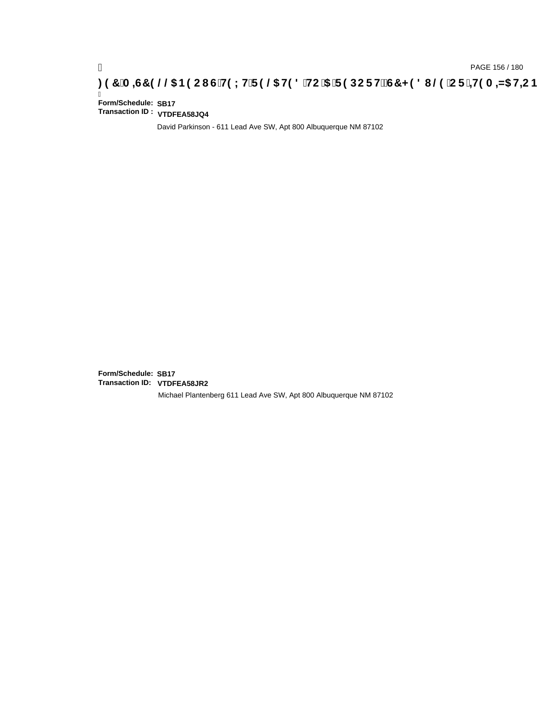### pAGE 156 / 180<br>【<mark>20H 3A+G7 9 @ & B9 CI G`H9 LH`F 9 @ H9 8 `HC`5 `F 9 DC F Hž G7 < 9 8 I @ `C F`<del>J I</del>9 A = N5 H<del>L</del>C B</mark>

Ī **Form/Schedule: SB17 Transaction ID : VTDFEA58JQ4**

David Parkinson - 611 Lead Ave SW, Apt 800 Albuquerque NM 87102

**Form/Schedule: SB17 Transaction ID: VTDFEA58JR2**Michael Plantenberg 611 Lead Ave SW, Apt 800 Albuquerque NM 87102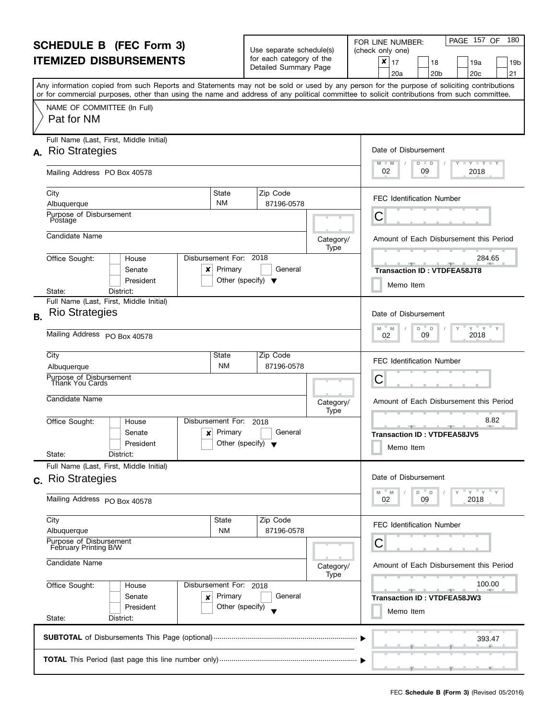| <b>SCHEDULE B</b> (FEC Form 3)<br><b>ITEMIZED DISBURSEMENTS</b> |                                                                                                                                                                                                                                                                                         |                                                          | Use separate schedule(s)<br>for each category of the |                   | PAGE 157 OF<br>180<br>FOR LINE NUMBER:<br>(check only one)                     |  |
|-----------------------------------------------------------------|-----------------------------------------------------------------------------------------------------------------------------------------------------------------------------------------------------------------------------------------------------------------------------------------|----------------------------------------------------------|------------------------------------------------------|-------------------|--------------------------------------------------------------------------------|--|
|                                                                 |                                                                                                                                                                                                                                                                                         |                                                          | Detailed Summary Page                                |                   | ×<br>17<br>18<br>19a<br>19b<br>21<br>20 <sub>c</sub><br>20a<br>20 <sub>b</sub> |  |
|                                                                 | Any information copied from such Reports and Statements may not be sold or used by any person for the purpose of soliciting contributions<br>or for commercial purposes, other than using the name and address of any political committee to solicit contributions from such committee. |                                                          |                                                      |                   |                                                                                |  |
|                                                                 | NAME OF COMMITTEE (In Full)<br>Pat for NM                                                                                                                                                                                                                                               |                                                          |                                                      |                   |                                                                                |  |
|                                                                 | Full Name (Last, First, Middle Initial)                                                                                                                                                                                                                                                 |                                                          |                                                      |                   |                                                                                |  |
|                                                                 | A. Rio Strategies                                                                                                                                                                                                                                                                       |                                                          |                                                      |                   | Date of Disbursement<br>$M - M$<br>$T$ $Y$ $T$ $Y$ $T$ $Y$                     |  |
|                                                                 | Mailing Address PO Box 40578                                                                                                                                                                                                                                                            |                                                          |                                                      |                   | $D$ $D$<br>02<br>09<br>2018                                                    |  |
|                                                                 | City<br>State                                                                                                                                                                                                                                                                           |                                                          | Zip Code                                             |                   | <b>FEC Identification Number</b>                                               |  |
|                                                                 | <b>NM</b><br>Albuquerque<br>Purpose of Disbursement                                                                                                                                                                                                                                     |                                                          | 87196-0578                                           |                   |                                                                                |  |
|                                                                 | Postage                                                                                                                                                                                                                                                                                 |                                                          |                                                      |                   | С                                                                              |  |
|                                                                 | Candidate Name                                                                                                                                                                                                                                                                          |                                                          |                                                      | Category/         | Amount of Each Disbursement this Period                                        |  |
|                                                                 | Disbursement For: 2018<br>Office Sought:<br>House                                                                                                                                                                                                                                       |                                                          |                                                      | Type              | 284.65                                                                         |  |
|                                                                 | Primary<br>Senate<br>x                                                                                                                                                                                                                                                                  |                                                          | General                                              |                   | <u> 1950 - Jan 1950</u><br><b>Transaction ID: VTDFEA58JT8</b>                  |  |
|                                                                 | President                                                                                                                                                                                                                                                                               | Other (specify) $\blacktriangledown$                     |                                                      |                   | Memo Item                                                                      |  |
|                                                                 | District:<br>State:<br>Full Name (Last, First, Middle Initial)                                                                                                                                                                                                                          |                                                          |                                                      |                   |                                                                                |  |
| <b>B.</b>                                                       | <b>Rio Strategies</b>                                                                                                                                                                                                                                                                   |                                                          |                                                      |                   | Date of Disbursement                                                           |  |
|                                                                 | Mailing Address PO Box 40578                                                                                                                                                                                                                                                            | $Y$ $Y$ $Y$<br>M<br>M<br>D<br>$\Box$<br>2018<br>09<br>02 |                                                      |                   |                                                                                |  |
|                                                                 | City<br>State                                                                                                                                                                                                                                                                           |                                                          | Zip Code                                             |                   | <b>FEC Identification Number</b>                                               |  |
|                                                                 | <b>NM</b><br>Albuquerque                                                                                                                                                                                                                                                                |                                                          | 87196-0578                                           |                   | С                                                                              |  |
|                                                                 | Purpose of Disbursement<br>Thank You Cards                                                                                                                                                                                                                                              |                                                          |                                                      |                   |                                                                                |  |
|                                                                 | Candidate Name                                                                                                                                                                                                                                                                          |                                                          |                                                      | Category/<br>Type | Amount of Each Disbursement this Period                                        |  |
|                                                                 | Disbursement For:<br>Office Sought:<br>House<br>Primary<br>Senate<br>×<br>President                                                                                                                                                                                                     | Other (specify) $\blacktriangledown$                     | 2018<br>General                                      |                   | 8.82<br><b>Transaction ID: VTDFEA58JV5</b>                                     |  |
|                                                                 | State:<br>District:                                                                                                                                                                                                                                                                     |                                                          |                                                      |                   | Memo Item                                                                      |  |
|                                                                 | Full Name (Last, First, Middle Initial)                                                                                                                                                                                                                                                 |                                                          |                                                      |                   |                                                                                |  |
|                                                                 | c. Rio Strategies                                                                                                                                                                                                                                                                       |                                                          |                                                      |                   | Date of Disbursement                                                           |  |
|                                                                 | Mailing Address PO Box 40578                                                                                                                                                                                                                                                            |                                                          |                                                      |                   | $Y$ $Y$ $Y$<br>$-M$<br>D =<br>M<br>$\mathsf D$<br>09<br>2018<br>02             |  |
|                                                                 | City<br>State                                                                                                                                                                                                                                                                           |                                                          | Zip Code                                             |                   | <b>FEC Identification Number</b>                                               |  |
|                                                                 | <b>NM</b><br>Albuquerque<br>Purpose of Disbursement<br>February Printing B/W                                                                                                                                                                                                            |                                                          | 87196-0578                                           |                   | С                                                                              |  |
|                                                                 |                                                                                                                                                                                                                                                                                         |                                                          |                                                      |                   |                                                                                |  |
| Candidate Name                                                  |                                                                                                                                                                                                                                                                                         |                                                          |                                                      | Category/<br>Type | Amount of Each Disbursement this Period                                        |  |
|                                                                 | Office Sought:<br>Disbursement For: 2018<br>House                                                                                                                                                                                                                                       |                                                          |                                                      |                   | 100.00                                                                         |  |
|                                                                 | Primary<br>Senate<br>×<br>President                                                                                                                                                                                                                                                     | Other (specify)                                          | General                                              |                   | <b>Transaction ID: VTDFEA58JW3</b><br>Memo Item                                |  |
|                                                                 | State:<br>District:                                                                                                                                                                                                                                                                     |                                                          |                                                      |                   |                                                                                |  |
|                                                                 |                                                                                                                                                                                                                                                                                         |                                                          |                                                      |                   | 393.47                                                                         |  |
|                                                                 |                                                                                                                                                                                                                                                                                         |                                                          |                                                      |                   | وسيتان ومستلمسين والمستشمسين والمسا                                            |  |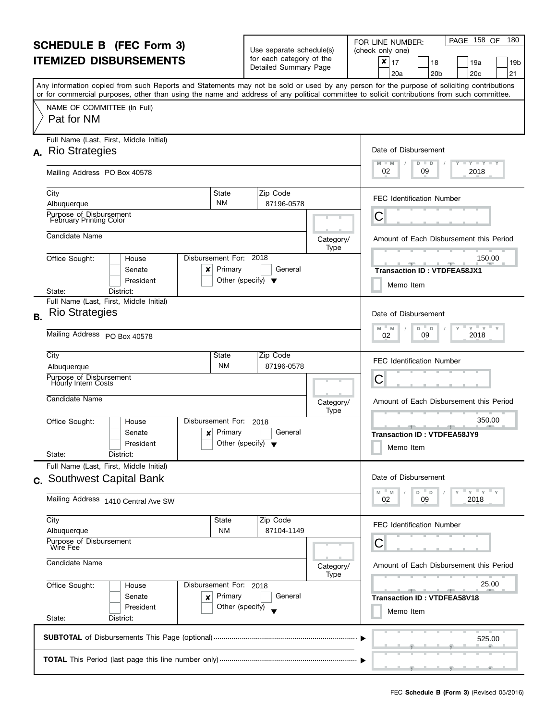| <b>SCHEDULE B (FEC Form 3)</b><br><b>ITEMIZED DISBURSEMENTS</b>     |                                                                                                                                                                                                                                                                                         |                                   | Use separate schedule(s)                                |                                  | PAGE 158 OF<br>180<br>FOR LINE NUMBER:<br>(check only one)                      |  |  |  |  |  |
|---------------------------------------------------------------------|-----------------------------------------------------------------------------------------------------------------------------------------------------------------------------------------------------------------------------------------------------------------------------------------|-----------------------------------|---------------------------------------------------------|----------------------------------|---------------------------------------------------------------------------------|--|--|--|--|--|
|                                                                     |                                                                                                                                                                                                                                                                                         |                                   | for each category of the<br>Detailed Summary Page       |                                  | ×<br>17<br>19a<br>18<br>19b<br>20 <sub>b</sub><br>20 <sub>c</sub><br>21<br>20a  |  |  |  |  |  |
|                                                                     | Any information copied from such Reports and Statements may not be sold or used by any person for the purpose of soliciting contributions<br>or for commercial purposes, other than using the name and address of any political committee to solicit contributions from such committee. |                                   |                                                         |                                  |                                                                                 |  |  |  |  |  |
|                                                                     | NAME OF COMMITTEE (In Full)<br>Pat for NM                                                                                                                                                                                                                                               |                                   |                                                         |                                  |                                                                                 |  |  |  |  |  |
|                                                                     | Full Name (Last, First, Middle Initial)<br>A. Rio Strategies                                                                                                                                                                                                                            |                                   |                                                         |                                  | Date of Disbursement                                                            |  |  |  |  |  |
|                                                                     | Mailing Address PO Box 40578                                                                                                                                                                                                                                                            |                                   |                                                         |                                  | $T - Y = T - Y = T - Y$<br>M<br>$-M$<br>D<br>D<br>02<br>2018<br>09              |  |  |  |  |  |
|                                                                     | City<br>Albuquerque                                                                                                                                                                                                                                                                     | State<br><b>NM</b>                | Zip Code<br>87196-0578                                  |                                  | <b>FEC Identification Number</b>                                                |  |  |  |  |  |
|                                                                     | Purpose of Disbursement<br>February Printing Color                                                                                                                                                                                                                                      |                                   |                                                         |                                  | C                                                                               |  |  |  |  |  |
|                                                                     | Candidate Name                                                                                                                                                                                                                                                                          |                                   |                                                         | Category/<br>Type                | Amount of Each Disbursement this Period                                         |  |  |  |  |  |
|                                                                     | Office Sought:<br>House<br>Senate<br>x<br>President                                                                                                                                                                                                                                     | Disbursement For: 2018<br>Primary | General<br>Other (specify) $\blacktriangledown$         |                                  | 150.00<br><b>SPACE LABOR</b><br><b>Transaction ID: VTDFEA58JX1</b><br>Memo Item |  |  |  |  |  |
|                                                                     | District:<br>State:<br>Full Name (Last, First, Middle Initial)                                                                                                                                                                                                                          |                                   |                                                         |                                  |                                                                                 |  |  |  |  |  |
| <b>B.</b>                                                           | <b>Rio Strategies</b>                                                                                                                                                                                                                                                                   |                                   |                                                         |                                  | Date of Disbursement<br>$Y = Y$<br>Y<br>M<br>D<br>M<br>D                        |  |  |  |  |  |
|                                                                     | Mailing Address PO Box 40578                                                                                                                                                                                                                                                            | 09<br>2018<br>02                  |                                                         |                                  |                                                                                 |  |  |  |  |  |
|                                                                     | City<br>State<br>Albuquerque                                                                                                                                                                                                                                                            | Zip Code<br>87196-0578            |                                                         | <b>FEC Identification Number</b> |                                                                                 |  |  |  |  |  |
|                                                                     | Purpose of Disbursement<br><b>Hourly Intern Costs</b>                                                                                                                                                                                                                                   | C                                 |                                                         |                                  |                                                                                 |  |  |  |  |  |
|                                                                     | Candidate Name                                                                                                                                                                                                                                                                          |                                   |                                                         | Category/<br>Type                | Amount of Each Disbursement this Period                                         |  |  |  |  |  |
|                                                                     | Office Sought:<br>House<br>Senate<br>×<br>President<br>State:<br>District:                                                                                                                                                                                                              | Disbursement For:<br>Primary      | 2018<br>General<br>Other (specify) $\blacktriangledown$ |                                  | 350.00<br><b>Transaction ID: VTDFEA58JY9</b><br>Memo Item                       |  |  |  |  |  |
|                                                                     | Full Name (Last, First, Middle Initial)                                                                                                                                                                                                                                                 |                                   |                                                         |                                  | Date of Disbursement                                                            |  |  |  |  |  |
|                                                                     | c. Southwest Capital Bank<br>Mailing Address 1410 Central Ave SW                                                                                                                                                                                                                        |                                   |                                                         |                                  | $Y = Y = Y$<br>M<br>M<br>D<br>D<br>2018<br>09<br>02                             |  |  |  |  |  |
|                                                                     | City<br>Albuquerque                                                                                                                                                                                                                                                                     | <b>State</b><br><b>NM</b>         | Zip Code<br>87104-1149                                  |                                  | <b>FEC Identification Number</b>                                                |  |  |  |  |  |
|                                                                     | Purpose of Disbursement<br>Wire Fee                                                                                                                                                                                                                                                     |                                   |                                                         |                                  | С                                                                               |  |  |  |  |  |
| Candidate Name<br>Office Sought:<br>Disbursement For: 2018<br>House |                                                                                                                                                                                                                                                                                         |                                   |                                                         | Category/<br>Type                | Amount of Each Disbursement this Period                                         |  |  |  |  |  |
|                                                                     |                                                                                                                                                                                                                                                                                         |                                   | General                                                 |                                  | 25.00                                                                           |  |  |  |  |  |
|                                                                     | Senate<br>×<br>President<br>State:<br>District:                                                                                                                                                                                                                                         | Primary<br>Other (specify)        |                                                         |                                  | <b>Transaction ID: VTDFEA58V18</b><br>Memo Item                                 |  |  |  |  |  |
|                                                                     |                                                                                                                                                                                                                                                                                         |                                   |                                                         |                                  | 525.00                                                                          |  |  |  |  |  |
|                                                                     | ___                                                                                                                                                                                                                                                                                     |                                   |                                                         |                                  |                                                                                 |  |  |  |  |  |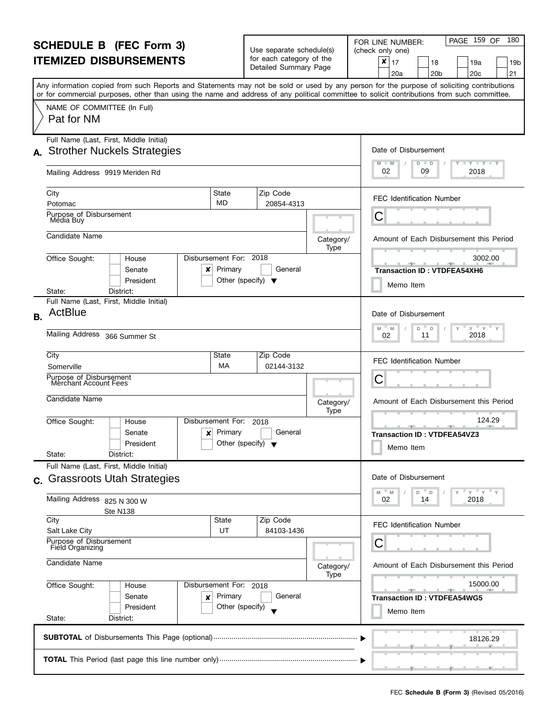| <b>SCHEDULE B</b> (FEC Form 3)                                      |                                                                                                                                                                                                                                                                                         |                                                                           | Use separate schedule(s)                          |                   | PAGE 159 OF<br>180<br>FOR LINE NUMBER:<br>(check only one)                     |
|---------------------------------------------------------------------|-----------------------------------------------------------------------------------------------------------------------------------------------------------------------------------------------------------------------------------------------------------------------------------------|---------------------------------------------------------------------------|---------------------------------------------------|-------------------|--------------------------------------------------------------------------------|
|                                                                     | <b>ITEMIZED DISBURSEMENTS</b>                                                                                                                                                                                                                                                           |                                                                           | for each category of the<br>Detailed Summary Page |                   | ×<br>17<br>18<br>19a<br>19b<br>21<br>20 <sub>b</sub><br>20 <sub>c</sub><br>20a |
|                                                                     | Any information copied from such Reports and Statements may not be sold or used by any person for the purpose of soliciting contributions<br>or for commercial purposes, other than using the name and address of any political committee to solicit contributions from such committee. |                                                                           |                                                   |                   |                                                                                |
|                                                                     | NAME OF COMMITTEE (In Full)<br>Pat for NM                                                                                                                                                                                                                                               |                                                                           |                                                   |                   |                                                                                |
|                                                                     | Full Name (Last, First, Middle Initial)                                                                                                                                                                                                                                                 |                                                                           |                                                   |                   | Date of Disbursement                                                           |
|                                                                     | A. Strother Nuckels Strategies                                                                                                                                                                                                                                                          |                                                                           |                                                   |                   | <b>LYLYLY</b><br>M<br>$D$ $D$<br>$-M$                                          |
|                                                                     | Mailing Address 9919 Meriden Rd                                                                                                                                                                                                                                                         |                                                                           |                                                   |                   | 02<br>2018<br>09                                                               |
|                                                                     | City                                                                                                                                                                                                                                                                                    | State<br><b>MD</b>                                                        | Zip Code                                          |                   | <b>FEC Identification Number</b>                                               |
|                                                                     | Potomac<br>Purpose of Disbursement<br>Media Buy                                                                                                                                                                                                                                         |                                                                           | 20854-4313                                        |                   | С                                                                              |
|                                                                     | Candidate Name                                                                                                                                                                                                                                                                          |                                                                           |                                                   |                   |                                                                                |
|                                                                     |                                                                                                                                                                                                                                                                                         |                                                                           |                                                   | Category/<br>Type | Amount of Each Disbursement this Period                                        |
|                                                                     | Office Sought:<br>House<br>Senate<br>×<br>President                                                                                                                                                                                                                                     | Disbursement For: 2018<br>Primary<br>Other (specify) $\blacktriangledown$ | General                                           |                   | 3002.00<br><b>Transaction ID: VTDFEA54XH6</b>                                  |
|                                                                     | District:<br>State:                                                                                                                                                                                                                                                                     |                                                                           |                                                   |                   | Memo Item                                                                      |
| <b>B.</b>                                                           | Full Name (Last, First, Middle Initial)<br>ActBlue                                                                                                                                                                                                                                      |                                                                           |                                                   |                   | Date of Disbursement                                                           |
|                                                                     | Mailing Address 366 Summer St                                                                                                                                                                                                                                                           | $Y = Y$<br>M<br>D<br>M<br>D<br>2018<br>11<br>02                           |                                                   |                   |                                                                                |
|                                                                     | City<br>Somerville                                                                                                                                                                                                                                                                      | State<br>МA                                                               | Zip Code<br>02144-3132                            |                   | <b>FEC Identification Number</b>                                               |
|                                                                     | Purpose of Disbursement<br>Merchant Account Fees                                                                                                                                                                                                                                        | С                                                                         |                                                   |                   |                                                                                |
|                                                                     | Candidate Name                                                                                                                                                                                                                                                                          |                                                                           |                                                   | Category/         | Amount of Each Disbursement this Period                                        |
|                                                                     | Disbursement For:<br>Office Sought:<br>House                                                                                                                                                                                                                                            |                                                                           | 2018                                              | Type              | 124.29                                                                         |
|                                                                     | Senate<br>×<br>President<br>State:<br>District:                                                                                                                                                                                                                                         | Primary<br>Other (specify) $\blacktriangledown$                           | General                                           |                   | <b>Transaction ID: VTDFEA54VZ3</b><br>Memo Item                                |
|                                                                     | Full Name (Last, First, Middle Initial)                                                                                                                                                                                                                                                 |                                                                           |                                                   |                   |                                                                                |
| $\mathbf{C}$ .                                                      | <b>Grassroots Utah Strategies</b>                                                                                                                                                                                                                                                       |                                                                           |                                                   |                   | Date of Disbursement                                                           |
|                                                                     | Mailing Address 825 N 300 W<br>Ste N138                                                                                                                                                                                                                                                 |                                                                           |                                                   |                   | $Y'$ $Y'$<br>M<br>M<br>D<br>D<br>2018<br>02<br>14                              |
|                                                                     | City<br>Salt Lake City                                                                                                                                                                                                                                                                  | State<br>UT                                                               | Zip Code<br>84103-1436                            |                   | <b>FEC Identification Number</b>                                               |
|                                                                     | Purpose of Disbursement<br>Field Organizing                                                                                                                                                                                                                                             |                                                                           |                                                   |                   | С                                                                              |
| Candidate Name<br>Office Sought:<br>Disbursement For: 2018<br>House |                                                                                                                                                                                                                                                                                         |                                                                           |                                                   | Category/<br>Type | Amount of Each Disbursement this Period                                        |
|                                                                     |                                                                                                                                                                                                                                                                                         |                                                                           |                                                   |                   | 15000.00                                                                       |
|                                                                     | Senate<br>×<br>President                                                                                                                                                                                                                                                                | Primary<br>Other (specify)                                                | General                                           |                   | <b>Transaction ID: VTDFEA54WG5</b><br>Memo Item                                |
|                                                                     | State:<br>District:                                                                                                                                                                                                                                                                     |                                                                           |                                                   |                   |                                                                                |
|                                                                     |                                                                                                                                                                                                                                                                                         |                                                                           |                                                   |                   | 18126.29                                                                       |
|                                                                     |                                                                                                                                                                                                                                                                                         |                                                                           |                                                   |                   |                                                                                |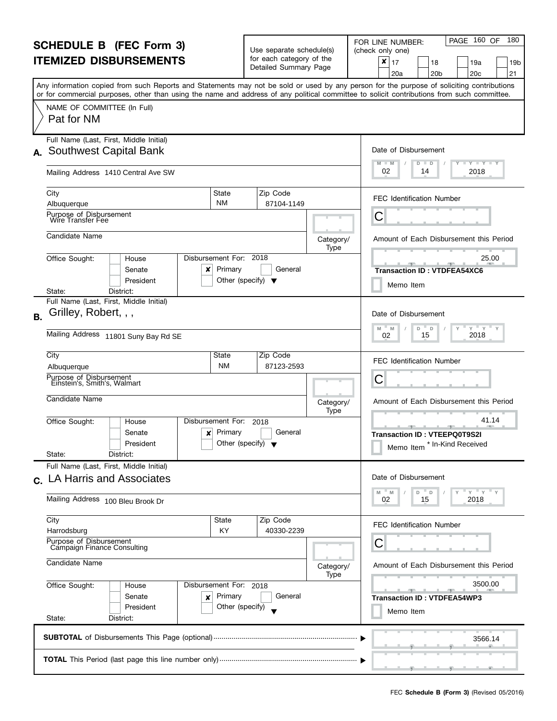| <b>SCHEDULE B (FEC Form 3)</b> |                                                                                                                                                                                                                                                                                         |                                                 | Use separate schedule(s)<br>for each category of the |                   | PAGE 160 OF<br>180<br>FOR LINE NUMBER:<br>(check only one)                      |
|--------------------------------|-----------------------------------------------------------------------------------------------------------------------------------------------------------------------------------------------------------------------------------------------------------------------------------------|-------------------------------------------------|------------------------------------------------------|-------------------|---------------------------------------------------------------------------------|
|                                | <b>ITEMIZED DISBURSEMENTS</b>                                                                                                                                                                                                                                                           |                                                 | Detailed Summary Page                                |                   | ×<br>17<br>18<br>19a<br>19b<br>20 <sub>c</sub><br>21<br>20a<br>20 <sub>b</sub>  |
|                                | Any information copied from such Reports and Statements may not be sold or used by any person for the purpose of soliciting contributions<br>or for commercial purposes, other than using the name and address of any political committee to solicit contributions from such committee. |                                                 |                                                      |                   |                                                                                 |
|                                | NAME OF COMMITTEE (In Full)<br>Pat for NM                                                                                                                                                                                                                                               |                                                 |                                                      |                   |                                                                                 |
|                                | Full Name (Last, First, Middle Initial)<br>A. Southwest Capital Bank                                                                                                                                                                                                                    |                                                 |                                                      |                   | Date of Disbursement                                                            |
|                                | Mailing Address 1410 Central Ave SW                                                                                                                                                                                                                                                     |                                                 |                                                      |                   | $- Y - Y - Y$<br>M<br>$-M$<br>D<br>D<br>02<br>2018<br>14                        |
|                                | City<br>State<br><b>NM</b><br>Albuquerque                                                                                                                                                                                                                                               |                                                 | Zip Code<br>87104-1149                               |                   | <b>FEC Identification Number</b>                                                |
|                                | Purpose of Disbursement<br>Wire Transfer Fee                                                                                                                                                                                                                                            |                                                 |                                                      |                   | С                                                                               |
|                                | Candidate Name                                                                                                                                                                                                                                                                          |                                                 |                                                      | Category/<br>Type | Amount of Each Disbursement this Period                                         |
|                                | Disbursement For: 2018<br>Office Sought:<br>House<br>Senate<br>x<br>President                                                                                                                                                                                                           | Primary<br>Other (specify) $\blacktriangledown$ | General                                              |                   | 25.00<br><b>Transaction ID: VTDFEA54XC6</b><br>Memo Item                        |
|                                | District:<br>State:<br>Full Name (Last, First, Middle Initial)                                                                                                                                                                                                                          |                                                 |                                                      |                   |                                                                                 |
| B <sub>1</sub>                 | Grilley, Robert, , ,                                                                                                                                                                                                                                                                    |                                                 |                                                      |                   | Date of Disbursement<br>$Y = Y$                                                 |
|                                | Mailing Address 11801 Suny Bay Rd SE                                                                                                                                                                                                                                                    | M<br>D<br>M<br>D<br>2018<br>15<br>02            |                                                      |                   |                                                                                 |
|                                | City<br>State<br>Albuquerque                                                                                                                                                                                                                                                            | <b>NM</b>                                       | Zip Code<br>87123-2593                               |                   | <b>FEC Identification Number</b>                                                |
|                                | Purpose of Disbursement<br>Einstein's, Smith's, Walmart                                                                                                                                                                                                                                 | С                                               |                                                      |                   |                                                                                 |
|                                | Candidate Name                                                                                                                                                                                                                                                                          |                                                 |                                                      | Category/<br>Type | Amount of Each Disbursement this Period                                         |
|                                | Disbursement For:<br>Office Sought:<br>House<br>Senate<br>×<br>President<br>State:<br>District:                                                                                                                                                                                         | Primary<br>Other (specify) $\blacktriangledown$ | 2018<br>General                                      |                   | 41.14<br><b>Transaction ID: VTEEPQ0T9S2I</b><br>* In-Kind Received<br>Memo Item |
|                                | Full Name (Last, First, Middle Initial)                                                                                                                                                                                                                                                 |                                                 |                                                      |                   | Date of Disbursement                                                            |
|                                | c. LA Harris and Associates<br>Mailing Address 100 Bleu Brook Dr                                                                                                                                                                                                                        |                                                 |                                                      |                   | $Y'$ $Y'$<br>M<br>M<br>D<br>D<br>2018<br>02<br>15                               |
|                                | City                                                                                                                                                                                                                                                                                    | State                                           | Zip Code                                             |                   | <b>FEC Identification Number</b>                                                |
|                                | Harrodsburg<br>Purpose of Disbursement<br>Campaign Finance Consulting                                                                                                                                                                                                                   | KY                                              | 40330-2239                                           |                   | С                                                                               |
| Candidate Name                 |                                                                                                                                                                                                                                                                                         |                                                 |                                                      | Category/<br>Type | Amount of Each Disbursement this Period                                         |
|                                | Office Sought:<br>Disbursement For: 2018<br>House<br>Senate<br>×<br>President                                                                                                                                                                                                           | Primary<br>Other (specify)                      | General                                              |                   | 3500.00<br><b>Transaction ID: VTDFEA54WP3</b><br>Memo Item                      |
|                                | State:<br>District:                                                                                                                                                                                                                                                                     |                                                 |                                                      |                   | 3566.14                                                                         |
|                                |                                                                                                                                                                                                                                                                                         |                                                 |                                                      |                   |                                                                                 |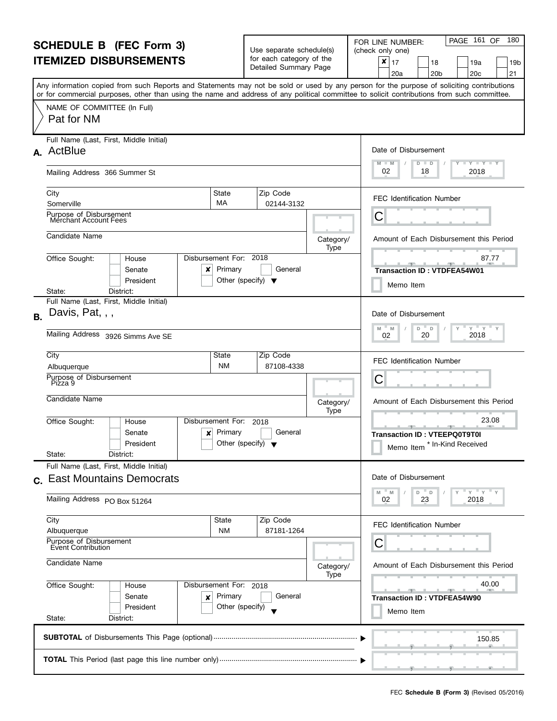| <b>SCHEDULE B</b> (FEC Form 3)<br><b>ITEMIZED DISBURSEMENTS</b>                                                                 |                                                                                                                                                                                                                                                                                         |                                                 | Use separate schedule(s)                          |                   | PAGE 161 OF<br>180<br>FOR LINE NUMBER:<br>(check only one)                      |
|---------------------------------------------------------------------------------------------------------------------------------|-----------------------------------------------------------------------------------------------------------------------------------------------------------------------------------------------------------------------------------------------------------------------------------------|-------------------------------------------------|---------------------------------------------------|-------------------|---------------------------------------------------------------------------------|
|                                                                                                                                 |                                                                                                                                                                                                                                                                                         |                                                 | for each category of the<br>Detailed Summary Page |                   | ×<br>17<br>18<br>19a<br>19b<br>21<br>20 <sub>b</sub><br>20 <sub>c</sub><br>20a  |
|                                                                                                                                 | Any information copied from such Reports and Statements may not be sold or used by any person for the purpose of soliciting contributions<br>or for commercial purposes, other than using the name and address of any political committee to solicit contributions from such committee. |                                                 |                                                   |                   |                                                                                 |
|                                                                                                                                 | NAME OF COMMITTEE (In Full)<br>Pat for NM                                                                                                                                                                                                                                               |                                                 |                                                   |                   |                                                                                 |
|                                                                                                                                 | Full Name (Last, First, Middle Initial)<br>A. ActBlue                                                                                                                                                                                                                                   |                                                 |                                                   |                   | Date of Disbursement                                                            |
|                                                                                                                                 | Mailing Address 366 Summer St                                                                                                                                                                                                                                                           |                                                 |                                                   |                   | $T - Y = T - Y = T - Y$<br>$M - M$<br>D<br>$\blacksquare$<br>02<br>2018<br>18   |
|                                                                                                                                 | City<br>State<br>MA<br>Somerville                                                                                                                                                                                                                                                       |                                                 | Zip Code<br>02144-3132                            |                   | <b>FEC Identification Number</b>                                                |
|                                                                                                                                 | Purpose of Disbursement<br>Merchant Account Fees                                                                                                                                                                                                                                        |                                                 |                                                   |                   | С                                                                               |
|                                                                                                                                 | Candidate Name                                                                                                                                                                                                                                                                          |                                                 |                                                   | Category/<br>Type | Amount of Each Disbursement this Period                                         |
|                                                                                                                                 | Disbursement For: 2018<br>Office Sought:<br>House<br>Senate<br>×<br>President                                                                                                                                                                                                           | Primary<br>Other (specify) $\blacktriangledown$ | General                                           |                   | 87.77<br><b>Transaction ID: VTDFEA54W01</b><br>Memo Item                        |
|                                                                                                                                 | District:<br>State:<br>Full Name (Last, First, Middle Initial)                                                                                                                                                                                                                          |                                                 |                                                   |                   |                                                                                 |
| <b>B.</b>                                                                                                                       | Davis, Pat, , ,                                                                                                                                                                                                                                                                         |                                                 |                                                   |                   | Date of Disbursement<br>$Y = Y$<br>M<br>D                                       |
|                                                                                                                                 | Mailing Address 3926 Simms Ave SE                                                                                                                                                                                                                                                       | M<br>D<br>2018<br>20<br>02                      |                                                   |                   |                                                                                 |
|                                                                                                                                 | City<br>State<br><b>NM</b><br>Albuquerque                                                                                                                                                                                                                                               |                                                 | Zip Code<br>87108-4338                            |                   | <b>FEC Identification Number</b>                                                |
|                                                                                                                                 | Purpose of Disbursement<br>Pizza 9                                                                                                                                                                                                                                                      | С                                               |                                                   |                   |                                                                                 |
|                                                                                                                                 | Candidate Name                                                                                                                                                                                                                                                                          |                                                 |                                                   | Category/<br>Type | Amount of Each Disbursement this Period                                         |
|                                                                                                                                 | Office Sought:<br>Disbursement For:<br>House<br>Senate<br>×<br>President<br>State:<br>District:                                                                                                                                                                                         | Primary<br>Other (specify) $\blacktriangledown$ | 2018<br>General                                   |                   | 23.08<br><b>Transaction ID: VTEEPQ0T9T0I</b><br>* In-Kind Received<br>Memo Item |
|                                                                                                                                 | Full Name (Last, First, Middle Initial)                                                                                                                                                                                                                                                 |                                                 |                                                   |                   |                                                                                 |
|                                                                                                                                 | c. East Mountains Democrats                                                                                                                                                                                                                                                             |                                                 |                                                   |                   | Date of Disbursement<br>$Y$ $Y$ $Y$<br>M<br>M<br>D<br>D                         |
|                                                                                                                                 | Mailing Address PO Box 51264                                                                                                                                                                                                                                                            |                                                 |                                                   |                   | 23<br>2018<br>02                                                                |
|                                                                                                                                 | City<br>State<br><b>NM</b><br>Albuquerque                                                                                                                                                                                                                                               |                                                 | Zip Code<br>87181-1264                            |                   | <b>FEC Identification Number</b>                                                |
| Purpose of Disbursement<br>Event Contribution<br>Candidate Name<br>Office Sought:<br>Disbursement For: 2018<br>House<br>Primary |                                                                                                                                                                                                                                                                                         |                                                 |                                                   |                   | С                                                                               |
|                                                                                                                                 |                                                                                                                                                                                                                                                                                         |                                                 |                                                   | Category/<br>Type | Amount of Each Disbursement this Period                                         |
|                                                                                                                                 |                                                                                                                                                                                                                                                                                         |                                                 | General                                           |                   | 40.00                                                                           |
|                                                                                                                                 | Senate<br>×<br>President<br>State:<br>District:                                                                                                                                                                                                                                         | Other (specify)                                 |                                                   |                   | <b>Transaction ID: VTDFEA54W90</b><br>Memo Item                                 |
|                                                                                                                                 |                                                                                                                                                                                                                                                                                         |                                                 |                                                   |                   | 150.85                                                                          |
|                                                                                                                                 |                                                                                                                                                                                                                                                                                         |                                                 |                                                   |                   |                                                                                 |

l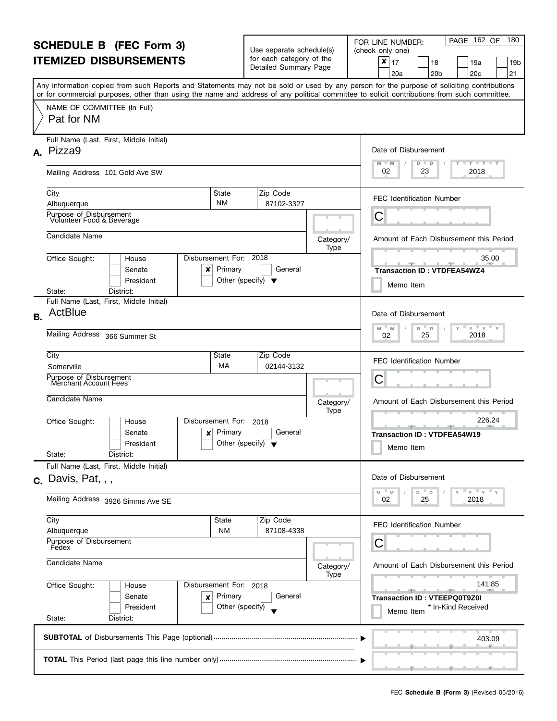|                | <b>SCHEDULE B (FEC Form 3)</b><br><b>ITEMIZED DISBURSEMENTS</b>                                                                                                                                                                                                                         |                                                 | Use separate schedule(s)<br>for each category of the<br>Detailed Summary Page |                   | PAGE 162 OF<br>180<br>FOR LINE NUMBER:<br>(check only one)<br>×<br>17<br>19a<br>18<br>19 <sub>b</sub><br>20 <sub>b</sub><br>20 <sub>c</sub><br>21<br>20a |  |  |  |
|----------------|-----------------------------------------------------------------------------------------------------------------------------------------------------------------------------------------------------------------------------------------------------------------------------------------|-------------------------------------------------|-------------------------------------------------------------------------------|-------------------|----------------------------------------------------------------------------------------------------------------------------------------------------------|--|--|--|
|                | Any information copied from such Reports and Statements may not be sold or used by any person for the purpose of soliciting contributions<br>or for commercial purposes, other than using the name and address of any political committee to solicit contributions from such committee. |                                                 |                                                                               |                   |                                                                                                                                                          |  |  |  |
|                | NAME OF COMMITTEE (In Full)<br>Pat for NM                                                                                                                                                                                                                                               |                                                 |                                                                               |                   |                                                                                                                                                          |  |  |  |
|                | Full Name (Last, First, Middle Initial)<br>A. Pizza9                                                                                                                                                                                                                                    |                                                 |                                                                               |                   | Date of Disbursement<br>$T - Y$ $T - Y$ $T - Y$                                                                                                          |  |  |  |
|                | Mailing Address 101 Gold Ave SW                                                                                                                                                                                                                                                         |                                                 |                                                                               |                   | M<br>$-M$<br>D<br>D<br>02<br>2018<br>23                                                                                                                  |  |  |  |
|                | City<br>State<br><b>NM</b><br>Albuquerque                                                                                                                                                                                                                                               |                                                 | Zip Code<br>87102-3327                                                        |                   | <b>FEC Identification Number</b>                                                                                                                         |  |  |  |
|                | Purpose of Disbursement<br>Volunteer Food & Beverage                                                                                                                                                                                                                                    |                                                 |                                                                               |                   | C                                                                                                                                                        |  |  |  |
|                | Candidate Name                                                                                                                                                                                                                                                                          |                                                 |                                                                               | Category/         | Amount of Each Disbursement this Period                                                                                                                  |  |  |  |
|                | Disbursement For: 2018<br>Office Sought:<br>House<br>Senate<br>x<br>President                                                                                                                                                                                                           | Primary<br>Other (specify) $\blacktriangledown$ | General                                                                       | Type              | 35.00<br><b>SPACE LABOR</b><br><b>Transaction ID: VTDFEA54WZ4</b><br>Memo Item                                                                           |  |  |  |
|                | District:<br>State:<br>Full Name (Last, First, Middle Initial)                                                                                                                                                                                                                          |                                                 |                                                                               |                   |                                                                                                                                                          |  |  |  |
| <b>B.</b>      | ActBlue                                                                                                                                                                                                                                                                                 |                                                 |                                                                               |                   | Date of Disbursement<br>$Y = Y$<br>$\mathsf{Y}$<br>M<br>D<br>D<br>M                                                                                      |  |  |  |
|                | Mailing Address 366 Summer St                                                                                                                                                                                                                                                           | 2018<br>25<br>02                                |                                                                               |                   |                                                                                                                                                          |  |  |  |
|                | City<br>State<br>МA<br>Somerville                                                                                                                                                                                                                                                       |                                                 | Zip Code<br>02144-3132                                                        |                   | <b>FEC Identification Number</b>                                                                                                                         |  |  |  |
|                | Purpose of Disbursement<br><b>Merchant Account Fees</b>                                                                                                                                                                                                                                 |                                                 |                                                                               |                   | C                                                                                                                                                        |  |  |  |
|                | Candidate Name                                                                                                                                                                                                                                                                          |                                                 |                                                                               | Category/<br>Type | Amount of Each Disbursement this Period                                                                                                                  |  |  |  |
|                | Disbursement For:<br>Office Sought:<br>House<br>Senate<br>×<br>President                                                                                                                                                                                                                | Primary<br>Other (specify) $\blacktriangledown$ | 2018<br>General                                                               |                   | 226.24<br>Transaction ID: VTDFEA54W19<br>Memo Item                                                                                                       |  |  |  |
|                | State:<br>District:<br>Full Name (Last, First, Middle Initial)                                                                                                                                                                                                                          |                                                 |                                                                               |                   |                                                                                                                                                          |  |  |  |
|                | $c.$ Davis, Pat, , ,                                                                                                                                                                                                                                                                    |                                                 |                                                                               |                   | Date of Disbursement<br>" γ " γ " γ<br>M<br>M<br>D<br>D                                                                                                  |  |  |  |
|                | Mailing Address 3926 Simms Ave SE                                                                                                                                                                                                                                                       |                                                 |                                                                               |                   | 2018<br>25<br>02                                                                                                                                         |  |  |  |
|                | City<br><b>State</b><br><b>NM</b><br>Albuquerque                                                                                                                                                                                                                                        |                                                 | Zip Code<br>87108-4338                                                        |                   | <b>FEC Identification Number</b>                                                                                                                         |  |  |  |
|                | Purpose of Disbursement<br>Fedex                                                                                                                                                                                                                                                        |                                                 |                                                                               |                   | С                                                                                                                                                        |  |  |  |
| Candidate Name |                                                                                                                                                                                                                                                                                         |                                                 |                                                                               | Category/<br>Type | Amount of Each Disbursement this Period                                                                                                                  |  |  |  |
|                | Office Sought:<br>Disbursement For: 2018<br>House<br>Senate<br>×<br>President<br>State:<br>District:                                                                                                                                                                                    | Primary<br>Other (specify)                      | General                                                                       |                   | 141.85<br><b>Transaction ID: VTEEPQ0T9Z0I</b><br>* In-Kind Received<br>Memo Item                                                                         |  |  |  |
|                |                                                                                                                                                                                                                                                                                         |                                                 |                                                                               |                   |                                                                                                                                                          |  |  |  |
|                |                                                                                                                                                                                                                                                                                         |                                                 |                                                                               |                   | 403.09                                                                                                                                                   |  |  |  |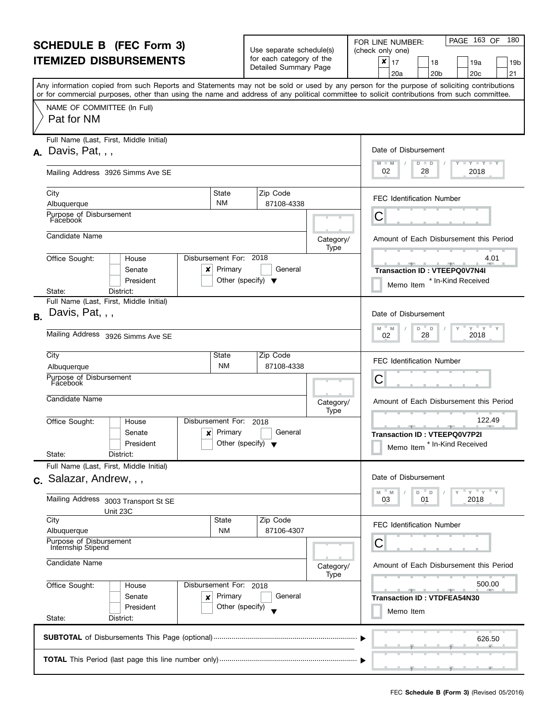| <b>SCHEDULE B</b> (FEC Form 3)                                                                                       |                                                                                                                                                                                                                                                                                         |                                                                           | Use separate schedule(s)                          |                   | PAGE 163 OF<br>180<br>FOR LINE NUMBER:<br>(check only one)                          |  |  |
|----------------------------------------------------------------------------------------------------------------------|-----------------------------------------------------------------------------------------------------------------------------------------------------------------------------------------------------------------------------------------------------------------------------------------|---------------------------------------------------------------------------|---------------------------------------------------|-------------------|-------------------------------------------------------------------------------------|--|--|
| <b>ITEMIZED DISBURSEMENTS</b>                                                                                        |                                                                                                                                                                                                                                                                                         |                                                                           | for each category of the<br>Detailed Summary Page |                   | ×<br>17<br>18<br>19a<br>19b<br>21<br>20 <sub>c</sub><br>20a<br>20 <sub>b</sub>      |  |  |
|                                                                                                                      | Any information copied from such Reports and Statements may not be sold or used by any person for the purpose of soliciting contributions<br>or for commercial purposes, other than using the name and address of any political committee to solicit contributions from such committee. |                                                                           |                                                   |                   |                                                                                     |  |  |
|                                                                                                                      | NAME OF COMMITTEE (In Full)<br>Pat for NM                                                                                                                                                                                                                                               |                                                                           |                                                   |                   |                                                                                     |  |  |
|                                                                                                                      | Full Name (Last, First, Middle Initial)<br>$A.$ Davis, Pat, , ,                                                                                                                                                                                                                         |                                                                           |                                                   |                   | Date of Disbursement<br>$M - M$<br>$T$ $Y$ $T$ $Y$ $T$ $Y$<br>$D$ $D$               |  |  |
|                                                                                                                      | Mailing Address 3926 Simms Ave SE                                                                                                                                                                                                                                                       |                                                                           |                                                   |                   | 02<br>28<br>2018                                                                    |  |  |
|                                                                                                                      | City<br>Albuquerque                                                                                                                                                                                                                                                                     | State<br><b>NM</b>                                                        | Zip Code<br>87108-4338                            |                   | <b>FEC Identification Number</b>                                                    |  |  |
|                                                                                                                      | Purpose of Disbursement<br>Facebook                                                                                                                                                                                                                                                     |                                                                           |                                                   |                   | С                                                                                   |  |  |
|                                                                                                                      | Candidate Name                                                                                                                                                                                                                                                                          |                                                                           |                                                   | Category/<br>Type | Amount of Each Disbursement this Period                                             |  |  |
|                                                                                                                      | Office Sought:<br>House<br>Senate<br>x<br>President                                                                                                                                                                                                                                     | Disbursement For: 2018<br>Primary<br>Other (specify) $\blacktriangledown$ | General                                           |                   | 4.01<br><u>.</u><br>Transaction ID: VTEEPQ0V7N4I<br>* In-Kind Received<br>Memo Item |  |  |
|                                                                                                                      | District:<br>State:<br>Full Name (Last, First, Middle Initial)                                                                                                                                                                                                                          |                                                                           |                                                   |                   |                                                                                     |  |  |
| <b>B.</b>                                                                                                            | Davis, Pat, , ,                                                                                                                                                                                                                                                                         |                                                                           |                                                   |                   | Date of Disbursement<br>$Y$ $Y$ $Y$                                                 |  |  |
|                                                                                                                      | Mailing Address 3926 Simms Ave SE                                                                                                                                                                                                                                                       | D<br>M<br>M<br>$\Box$<br>2018<br>02<br>28                                 |                                                   |                   |                                                                                     |  |  |
|                                                                                                                      | City<br>Albuquerque                                                                                                                                                                                                                                                                     | State<br><b>NM</b>                                                        | Zip Code<br>87108-4338                            |                   | <b>FEC Identification Number</b>                                                    |  |  |
|                                                                                                                      | Purpose of Disbursement<br>Facebook                                                                                                                                                                                                                                                     |                                                                           |                                                   |                   | С                                                                                   |  |  |
|                                                                                                                      | Candidate Name                                                                                                                                                                                                                                                                          |                                                                           |                                                   | Category/<br>Type | Amount of Each Disbursement this Period                                             |  |  |
|                                                                                                                      | Office Sought:<br>House<br>Senate<br>×<br>President<br>State:<br>District:                                                                                                                                                                                                              | Disbursement For:<br>Primary<br>Other (specify) $\blacktriangledown$      | 2018<br>General                                   |                   | 122.49<br>Transaction ID: VTEEPQ0V7P2I<br>* In-Kind Received<br>Memo Item           |  |  |
|                                                                                                                      | Full Name (Last, First, Middle Initial)                                                                                                                                                                                                                                                 |                                                                           |                                                   |                   |                                                                                     |  |  |
|                                                                                                                      | c. Salazar, Andrew, , ,                                                                                                                                                                                                                                                                 |                                                                           |                                                   |                   | Date of Disbursement<br>$Y = Y = Y$<br>$-M$<br>M<br>D<br>D                          |  |  |
|                                                                                                                      | Mailing Address 3003 Transport St SE<br>Unit 23C                                                                                                                                                                                                                                        |                                                                           |                                                   |                   | 01<br>2018<br>03                                                                    |  |  |
|                                                                                                                      | City<br>Albuquerque                                                                                                                                                                                                                                                                     | State<br><b>NM</b>                                                        | Zip Code<br>87106-4307                            |                   | <b>FEC Identification Number</b>                                                    |  |  |
| Purpose of Disbursement<br>Internship Stipend<br>Candidate Name<br>Office Sought:<br>Disbursement For: 2018<br>House |                                                                                                                                                                                                                                                                                         |                                                                           |                                                   |                   | С                                                                                   |  |  |
|                                                                                                                      |                                                                                                                                                                                                                                                                                         |                                                                           |                                                   | Category/<br>Type | Amount of Each Disbursement this Period                                             |  |  |
|                                                                                                                      |                                                                                                                                                                                                                                                                                         |                                                                           | General                                           |                   | 500.00                                                                              |  |  |
|                                                                                                                      | Senate<br>×<br>President<br>State:<br>District:                                                                                                                                                                                                                                         | Primary<br>Other (specify)                                                |                                                   |                   | <b>Transaction ID: VTDFEA54N30</b><br>Memo Item                                     |  |  |
|                                                                                                                      |                                                                                                                                                                                                                                                                                         |                                                                           |                                                   |                   | 626.50                                                                              |  |  |
|                                                                                                                      |                                                                                                                                                                                                                                                                                         |                                                                           |                                                   |                   |                                                                                     |  |  |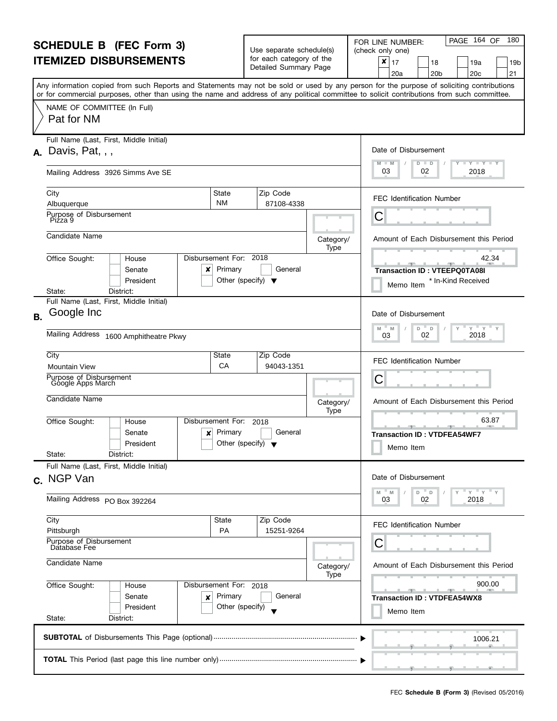| <b>SCHEDULE B (FEC Form 3)</b><br><b>ITEMIZED DISBURSEMENTS</b>                     |                                                                                                                                                                                                                                                                                         |                                                 | Use separate schedule(s)<br>for each category of the<br>Detailed Summary Page |                   | PAGE 164 OF<br>180<br>FOR LINE NUMBER:<br>(check only one)<br>$\pmb{\times}$<br>17<br>18<br>19a<br>19b<br>20 <sub>b</sub><br>20 <sub>c</sub><br>21<br>20a |
|-------------------------------------------------------------------------------------|-----------------------------------------------------------------------------------------------------------------------------------------------------------------------------------------------------------------------------------------------------------------------------------------|-------------------------------------------------|-------------------------------------------------------------------------------|-------------------|-----------------------------------------------------------------------------------------------------------------------------------------------------------|
|                                                                                     | Any information copied from such Reports and Statements may not be sold or used by any person for the purpose of soliciting contributions<br>or for commercial purposes, other than using the name and address of any political committee to solicit contributions from such committee. |                                                 |                                                                               |                   |                                                                                                                                                           |
|                                                                                     | NAME OF COMMITTEE (In Full)<br>Pat for NM                                                                                                                                                                                                                                               |                                                 |                                                                               |                   |                                                                                                                                                           |
|                                                                                     | Full Name (Last, First, Middle Initial)<br>$A.$ Davis, Pat, , ,                                                                                                                                                                                                                         |                                                 |                                                                               |                   | Date of Disbursement<br>$M - M$<br><b>LY LY LY</b><br>$D$ $D$                                                                                             |
|                                                                                     | Mailing Address 3926 Simms Ave SE                                                                                                                                                                                                                                                       |                                                 |                                                                               |                   | 03<br>2018<br>02                                                                                                                                          |
|                                                                                     | City<br>Albuquerque                                                                                                                                                                                                                                                                     | State<br><b>NM</b>                              | Zip Code<br>87108-4338                                                        |                   | <b>FEC Identification Number</b>                                                                                                                          |
|                                                                                     | Purpose of Disbursement<br>Piżza 9                                                                                                                                                                                                                                                      |                                                 |                                                                               |                   | С                                                                                                                                                         |
|                                                                                     | Candidate Name                                                                                                                                                                                                                                                                          |                                                 |                                                                               | Category/<br>Type | Amount of Each Disbursement this Period                                                                                                                   |
|                                                                                     | Disbursement For: 2018<br>Office Sought:<br>House<br>Senate<br>x<br>President                                                                                                                                                                                                           | Primary<br>Other (specify) $\blacktriangledown$ | General                                                                       |                   | 42.34<br><b>Transaction ID: VTEEPQ0TA08I</b><br>* In-Kind Received<br>Memo Item                                                                           |
|                                                                                     | District:<br>State:<br>Full Name (Last, First, Middle Initial)                                                                                                                                                                                                                          |                                                 |                                                                               |                   |                                                                                                                                                           |
| <b>B.</b>                                                                           | Google Inc                                                                                                                                                                                                                                                                              |                                                 |                                                                               |                   | Date of Disbursement<br>$Y$ $Y$ $Y$<br>$-M$<br>$D$ $D$<br>Y<br>M                                                                                          |
|                                                                                     | Mailing Address 1600 Amphitheatre Pkwy                                                                                                                                                                                                                                                  | 2018<br>02<br>03                                |                                                                               |                   |                                                                                                                                                           |
|                                                                                     | City<br><b>Mountain View</b>                                                                                                                                                                                                                                                            | State<br>CA                                     | Zip Code<br>94043-1351                                                        |                   | FEC Identification Number                                                                                                                                 |
|                                                                                     | Purpose of Disbursement<br>Google Apps March                                                                                                                                                                                                                                            |                                                 |                                                                               |                   | С                                                                                                                                                         |
|                                                                                     | Candidate Name                                                                                                                                                                                                                                                                          |                                                 |                                                                               | Category/<br>Type | Amount of Each Disbursement this Period                                                                                                                   |
|                                                                                     | Disbursement For:<br>Office Sought:<br>House<br>Senate<br>×<br>President<br>State:<br>District:                                                                                                                                                                                         | Primary<br>Other (specify) $\blacktriangledown$ | 2018<br>General                                                               |                   | 63.87<br>$-1$<br><b>Transaction ID: VTDFEA54WF7</b><br>Memo Item                                                                                          |
|                                                                                     | Full Name (Last, First, Middle Initial)<br>c. NGP Van                                                                                                                                                                                                                                   |                                                 |                                                                               |                   | Date of Disbursement                                                                                                                                      |
|                                                                                     | Mailing Address PO Box 392264                                                                                                                                                                                                                                                           |                                                 |                                                                               |                   | " ү " ү " ү<br>M<br>- M<br>$D$ $D$<br>03<br>02<br>2018                                                                                                    |
|                                                                                     | City<br>Pittsburgh                                                                                                                                                                                                                                                                      | State<br>PA                                     | Zip Code<br>15251-9264                                                        |                   | FEC Identification Number                                                                                                                                 |
| Purpose of Disbursement<br>Database Fee<br>Candidate Name<br>Disbursement For: 2018 |                                                                                                                                                                                                                                                                                         |                                                 |                                                                               | Category/         | С<br>Amount of Each Disbursement this Period                                                                                                              |
|                                                                                     |                                                                                                                                                                                                                                                                                         |                                                 |                                                                               | Type              | 900.00                                                                                                                                                    |
|                                                                                     | Office Sought:<br>House<br>Senate<br>×<br>President                                                                                                                                                                                                                                     | Primary<br>Other (specify)                      | General                                                                       |                   | $-10-1$<br>$-1$<br><b>Transaction ID: VTDFEA54WX8</b><br>Memo Item                                                                                        |
|                                                                                     | State:<br>District:                                                                                                                                                                                                                                                                     |                                                 |                                                                               |                   |                                                                                                                                                           |
|                                                                                     |                                                                                                                                                                                                                                                                                         |                                                 |                                                                               |                   | 1006.21                                                                                                                                                   |
|                                                                                     |                                                                                                                                                                                                                                                                                         |                                                 |                                                                               |                   |                                                                                                                                                           |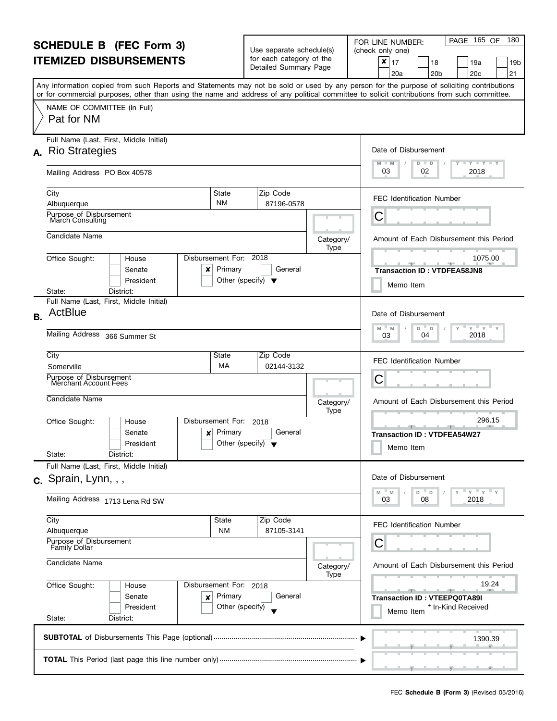| <b>SCHEDULE B</b> (FEC Form 3)                                                                |                                                                                                                                                                                                                                                                                         |                                                 | Use separate schedule(s)                              |                   | PAGE 165 OF<br>180<br>FOR LINE NUMBER:<br>(check only one)                     |  |  |
|-----------------------------------------------------------------------------------------------|-----------------------------------------------------------------------------------------------------------------------------------------------------------------------------------------------------------------------------------------------------------------------------------------|-------------------------------------------------|-------------------------------------------------------|-------------------|--------------------------------------------------------------------------------|--|--|
|                                                                                               | <b>ITEMIZED DISBURSEMENTS</b>                                                                                                                                                                                                                                                           |                                                 | for each category of the<br>Detailed Summary Page     |                   | ×<br>17<br>18<br>19a<br>19b<br>21<br>20 <sub>b</sub><br>20 <sub>c</sub><br>20a |  |  |
|                                                                                               | Any information copied from such Reports and Statements may not be sold or used by any person for the purpose of soliciting contributions<br>or for commercial purposes, other than using the name and address of any political committee to solicit contributions from such committee. |                                                 |                                                       |                   |                                                                                |  |  |
|                                                                                               | NAME OF COMMITTEE (In Full)<br>Pat for NM                                                                                                                                                                                                                                               |                                                 |                                                       |                   |                                                                                |  |  |
|                                                                                               | Full Name (Last, First, Middle Initial)                                                                                                                                                                                                                                                 |                                                 |                                                       |                   |                                                                                |  |  |
|                                                                                               | A. Rio Strategies                                                                                                                                                                                                                                                                       |                                                 |                                                       |                   | Date of Disbursement<br><b>LYLYLY</b><br>$M - M$<br>D<br>$\blacksquare$        |  |  |
|                                                                                               | Mailing Address PO Box 40578                                                                                                                                                                                                                                                            |                                                 |                                                       |                   | 03<br>2018<br>02                                                               |  |  |
|                                                                                               | City<br>State                                                                                                                                                                                                                                                                           |                                                 | Zip Code                                              |                   | <b>FEC Identification Number</b>                                               |  |  |
|                                                                                               | <b>NM</b><br>Albuquerque<br>Purpose_of Disbursement                                                                                                                                                                                                                                     |                                                 | 87196-0578                                            |                   |                                                                                |  |  |
|                                                                                               | March Consulting                                                                                                                                                                                                                                                                        |                                                 |                                                       |                   | С                                                                              |  |  |
|                                                                                               | Candidate Name                                                                                                                                                                                                                                                                          |                                                 |                                                       | Category/<br>Type | Amount of Each Disbursement this Period                                        |  |  |
|                                                                                               | Disbursement For: 2018<br>Office Sought:<br>House<br>Senate<br>×<br>President                                                                                                                                                                                                           | Primary                                         | General                                               |                   | 1075.00<br><b>Transaction ID: VTDFEA58JN8</b>                                  |  |  |
|                                                                                               | District:<br>State:                                                                                                                                                                                                                                                                     | Other (specify) $\blacktriangledown$            |                                                       |                   | Memo Item                                                                      |  |  |
| <b>B.</b>                                                                                     | Full Name (Last, First, Middle Initial)<br>ActBlue                                                                                                                                                                                                                                      |                                                 |                                                       |                   | Date of Disbursement                                                           |  |  |
|                                                                                               | Mailing Address 366 Summer St                                                                                                                                                                                                                                                           | $Y = Y$<br>M<br>D<br>M<br>D<br>2018<br>04<br>03 |                                                       |                   |                                                                                |  |  |
|                                                                                               | City<br>State                                                                                                                                                                                                                                                                           |                                                 | Zip Code<br>02144-3132                                |                   | <b>FEC Identification Number</b>                                               |  |  |
|                                                                                               | МA<br>Somerville<br>Purpose of Disbursement                                                                                                                                                                                                                                             |                                                 |                                                       |                   |                                                                                |  |  |
|                                                                                               | Merchant Account Fees                                                                                                                                                                                                                                                                   |                                                 |                                                       |                   | С                                                                              |  |  |
|                                                                                               | Candidate Name                                                                                                                                                                                                                                                                          |                                                 |                                                       | Category/<br>Type | Amount of Each Disbursement this Period                                        |  |  |
|                                                                                               | Office Sought:<br>Disbursement For:<br>House                                                                                                                                                                                                                                            |                                                 | 2018                                                  |                   | 296.15                                                                         |  |  |
|                                                                                               | Senate<br>×<br>President                                                                                                                                                                                                                                                                | Primary<br>Other (specify) $\blacktriangledown$ | General                                               |                   | <b>Transaction ID: VTDFEA54W27</b><br>Memo Item                                |  |  |
|                                                                                               | State:<br>District:<br>Full Name (Last, First, Middle Initial)                                                                                                                                                                                                                          |                                                 |                                                       |                   |                                                                                |  |  |
|                                                                                               | c. Sprain, Lynn, , ,                                                                                                                                                                                                                                                                    |                                                 |                                                       |                   | Date of Disbursement                                                           |  |  |
|                                                                                               | Mailing Address 1713 Lena Rd SW                                                                                                                                                                                                                                                         |                                                 | $Y$ $Y$ $Y$<br>M<br>M<br>D T<br>D<br>2018<br>08<br>03 |                   |                                                                                |  |  |
|                                                                                               | City<br>State                                                                                                                                                                                                                                                                           |                                                 | Zip Code                                              |                   | FEC Identification Number                                                      |  |  |
|                                                                                               | <b>NM</b><br>Albuquerque<br>Purpose of Disbursement<br><b>Family Dollar</b>                                                                                                                                                                                                             |                                                 | 87105-3141                                            |                   | С                                                                              |  |  |
| Candidate Name<br>Office Sought:<br>Disbursement For: 2018<br>House<br>Senate<br>Primary<br>× |                                                                                                                                                                                                                                                                                         |                                                 |                                                       | Category/<br>Type | Amount of Each Disbursement this Period                                        |  |  |
|                                                                                               |                                                                                                                                                                                                                                                                                         |                                                 |                                                       |                   | 19.24                                                                          |  |  |
|                                                                                               |                                                                                                                                                                                                                                                                                         |                                                 | General                                               |                   | <b>Transaction ID: VTEEPQ0TA89I</b>                                            |  |  |
|                                                                                               | President<br>State:<br>District:                                                                                                                                                                                                                                                        | Other (specify)                                 |                                                       |                   | * In-Kind Received<br>Memo Item                                                |  |  |
|                                                                                               |                                                                                                                                                                                                                                                                                         |                                                 |                                                       |                   | 1390.39                                                                        |  |  |
|                                                                                               |                                                                                                                                                                                                                                                                                         |                                                 |                                                       |                   |                                                                                |  |  |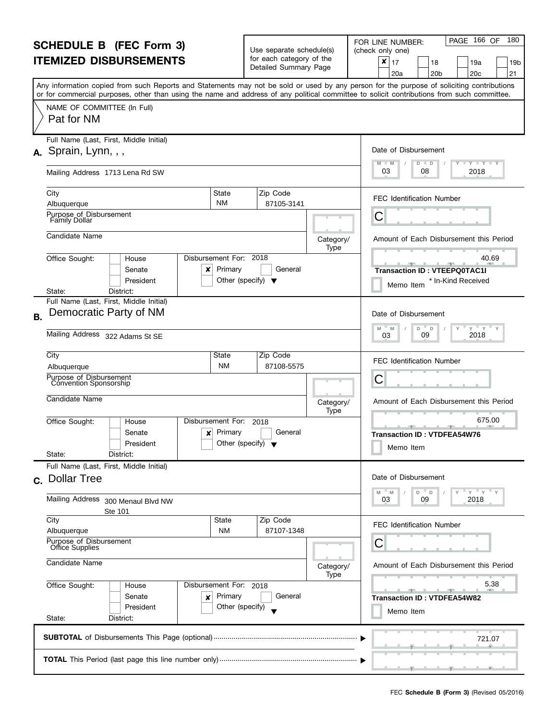| <b>SCHEDULE B</b> (FEC Form 3)                                                                |                                                                                                                                                                                                                                                                                         |                                                 | Use separate schedule(s)                          |                   | PAGE 166 OF<br>180<br>FOR LINE NUMBER:<br>(check only one)                                                                                                                                                                            |  |  |
|-----------------------------------------------------------------------------------------------|-----------------------------------------------------------------------------------------------------------------------------------------------------------------------------------------------------------------------------------------------------------------------------------------|-------------------------------------------------|---------------------------------------------------|-------------------|---------------------------------------------------------------------------------------------------------------------------------------------------------------------------------------------------------------------------------------|--|--|
|                                                                                               | <b>ITEMIZED DISBURSEMENTS</b>                                                                                                                                                                                                                                                           |                                                 | for each category of the<br>Detailed Summary Page |                   | ×<br>17<br>18<br>19a<br>19b<br>21<br>20 <sub>c</sub><br>20a<br>20 <sub>b</sub>                                                                                                                                                        |  |  |
|                                                                                               | Any information copied from such Reports and Statements may not be sold or used by any person for the purpose of soliciting contributions<br>or for commercial purposes, other than using the name and address of any political committee to solicit contributions from such committee. |                                                 |                                                   |                   |                                                                                                                                                                                                                                       |  |  |
|                                                                                               | NAME OF COMMITTEE (In Full)<br>Pat for NM                                                                                                                                                                                                                                               |                                                 |                                                   |                   |                                                                                                                                                                                                                                       |  |  |
|                                                                                               | Full Name (Last, First, Middle Initial)                                                                                                                                                                                                                                                 |                                                 |                                                   |                   | Date of Disbursement                                                                                                                                                                                                                  |  |  |
|                                                                                               | $A.$ Sprain, Lynn, , ,                                                                                                                                                                                                                                                                  |                                                 |                                                   |                   | <b>LYLYLY</b><br>$M - M$<br>$D$ $D$                                                                                                                                                                                                   |  |  |
|                                                                                               | Mailing Address 1713 Lena Rd SW                                                                                                                                                                                                                                                         |                                                 |                                                   |                   | 03<br>2018<br>08                                                                                                                                                                                                                      |  |  |
|                                                                                               | City                                                                                                                                                                                                                                                                                    | State                                           | Zip Code                                          |                   | <b>FEC Identification Number</b>                                                                                                                                                                                                      |  |  |
|                                                                                               | Albuquerque<br>Purpose_of Disbursement                                                                                                                                                                                                                                                  | <b>NM</b>                                       | 87105-3141                                        |                   |                                                                                                                                                                                                                                       |  |  |
|                                                                                               | <b>Family Dollar</b>                                                                                                                                                                                                                                                                    |                                                 |                                                   |                   | С                                                                                                                                                                                                                                     |  |  |
|                                                                                               | Candidate Name                                                                                                                                                                                                                                                                          |                                                 |                                                   | Category/<br>Type | Amount of Each Disbursement this Period                                                                                                                                                                                               |  |  |
|                                                                                               | Disbursement For: 2018<br>Office Sought:<br>House                                                                                                                                                                                                                                       |                                                 |                                                   |                   | 40.69<br>$\begin{array}{c} \begin{array}{c} \text{ } \\ \text{ } \\ \text{ } \\ \text{ } \\ \end{array} \end{array} \qquad \begin{array}{c} \begin{array}{c} \text{ } \\ \text{ } \\ \text{ } \\ \text{ } \\ \end{array} \end{array}$ |  |  |
|                                                                                               | Senate<br>×                                                                                                                                                                                                                                                                             | Primary                                         | General                                           |                   | <b>Transaction ID: VTEEPQ0TAC1I</b>                                                                                                                                                                                                   |  |  |
|                                                                                               | President<br>District:<br>State:                                                                                                                                                                                                                                                        | Other (specify) $\blacktriangledown$            |                                                   |                   | * In-Kind Received<br>Memo Item                                                                                                                                                                                                       |  |  |
|                                                                                               | Full Name (Last, First, Middle Initial)                                                                                                                                                                                                                                                 |                                                 |                                                   |                   |                                                                                                                                                                                                                                       |  |  |
| <b>B.</b>                                                                                     | Democratic Party of NM                                                                                                                                                                                                                                                                  |                                                 |                                                   |                   | Date of Disbursement<br>$Y$ $Y$<br>M<br>D<br>M<br>D                                                                                                                                                                                   |  |  |
|                                                                                               | Mailing Address 322 Adams St SE                                                                                                                                                                                                                                                         | 2018<br>09<br>03                                |                                                   |                   |                                                                                                                                                                                                                                       |  |  |
|                                                                                               | City                                                                                                                                                                                                                                                                                    | State<br><b>NM</b>                              | Zip Code<br>87108-5575                            |                   | <b>FEC Identification Number</b>                                                                                                                                                                                                      |  |  |
|                                                                                               | Albuquerque<br>Purpose of Disbursement                                                                                                                                                                                                                                                  | С                                               |                                                   |                   |                                                                                                                                                                                                                                       |  |  |
|                                                                                               | Convention Sponsorship                                                                                                                                                                                                                                                                  |                                                 |                                                   |                   |                                                                                                                                                                                                                                       |  |  |
|                                                                                               | Candidate Name                                                                                                                                                                                                                                                                          |                                                 |                                                   | Category/<br>Type | Amount of Each Disbursement this Period                                                                                                                                                                                               |  |  |
|                                                                                               | Disbursement For:<br>Office Sought:<br>House                                                                                                                                                                                                                                            |                                                 | 2018                                              |                   | 675.00                                                                                                                                                                                                                                |  |  |
|                                                                                               | Senate<br>×<br>President                                                                                                                                                                                                                                                                | Primary<br>Other (specify) $\blacktriangledown$ | General                                           |                   | <b>Transaction ID: VTDFEA54W76</b>                                                                                                                                                                                                    |  |  |
|                                                                                               | District:<br>State:                                                                                                                                                                                                                                                                     |                                                 |                                                   |                   | Memo Item                                                                                                                                                                                                                             |  |  |
|                                                                                               | Full Name (Last, First, Middle Initial)                                                                                                                                                                                                                                                 |                                                 |                                                   |                   |                                                                                                                                                                                                                                       |  |  |
|                                                                                               | c. Dollar Tree                                                                                                                                                                                                                                                                          |                                                 |                                                   |                   | Date of Disbursement                                                                                                                                                                                                                  |  |  |
|                                                                                               | Mailing Address 300 Menaul Blvd NW<br>Ste 101                                                                                                                                                                                                                                           |                                                 |                                                   |                   | $Y$ $Y$ $Y$<br>M<br>M<br>D T<br>D<br>2018<br>09<br>03                                                                                                                                                                                 |  |  |
|                                                                                               | City                                                                                                                                                                                                                                                                                    | State                                           | Zip Code                                          |                   | <b>FEC Identification Number</b>                                                                                                                                                                                                      |  |  |
|                                                                                               | Albuquerque<br>Purpose of Disbursement                                                                                                                                                                                                                                                  | <b>NM</b>                                       | 87107-1348                                        |                   | С                                                                                                                                                                                                                                     |  |  |
|                                                                                               | Office Supplies                                                                                                                                                                                                                                                                         |                                                 |                                                   |                   |                                                                                                                                                                                                                                       |  |  |
| Candidate Name<br>Office Sought:<br>Disbursement For: 2018<br>House<br>Senate<br>Primary<br>× |                                                                                                                                                                                                                                                                                         |                                                 |                                                   | Category/<br>Type | Amount of Each Disbursement this Period                                                                                                                                                                                               |  |  |
|                                                                                               |                                                                                                                                                                                                                                                                                         |                                                 |                                                   |                   | 5.38                                                                                                                                                                                                                                  |  |  |
|                                                                                               |                                                                                                                                                                                                                                                                                         |                                                 | General                                           |                   | <b>Transaction ID: VTDFEA54W82</b>                                                                                                                                                                                                    |  |  |
|                                                                                               | President<br>State:<br>District:                                                                                                                                                                                                                                                        | Other (specify)                                 |                                                   |                   | Memo Item                                                                                                                                                                                                                             |  |  |
|                                                                                               |                                                                                                                                                                                                                                                                                         |                                                 |                                                   |                   |                                                                                                                                                                                                                                       |  |  |
|                                                                                               |                                                                                                                                                                                                                                                                                         |                                                 |                                                   |                   | 721.07                                                                                                                                                                                                                                |  |  |
|                                                                                               |                                                                                                                                                                                                                                                                                         |                                                 |                                                   |                   |                                                                                                                                                                                                                                       |  |  |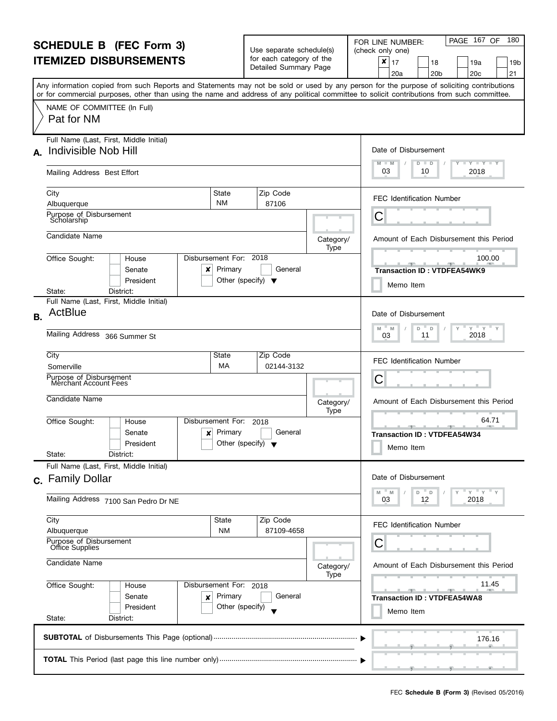| <b>SCHEDULE B</b> (FEC Form 3)                                                                |                                                                                                                                                                                                                                                                                         |                                                      | Use separate schedule(s)                          |                   | PAGE 167 OF<br>180<br>FOR LINE NUMBER:<br>(check only one)                     |
|-----------------------------------------------------------------------------------------------|-----------------------------------------------------------------------------------------------------------------------------------------------------------------------------------------------------------------------------------------------------------------------------------------|------------------------------------------------------|---------------------------------------------------|-------------------|--------------------------------------------------------------------------------|
|                                                                                               | <b>ITEMIZED DISBURSEMENTS</b>                                                                                                                                                                                                                                                           |                                                      | for each category of the<br>Detailed Summary Page |                   | ×<br>17<br>18<br>19a<br>19b<br>21<br>20 <sub>b</sub><br>20 <sub>c</sub><br>20a |
|                                                                                               | Any information copied from such Reports and Statements may not be sold or used by any person for the purpose of soliciting contributions<br>or for commercial purposes, other than using the name and address of any political committee to solicit contributions from such committee. |                                                      |                                                   |                   |                                                                                |
|                                                                                               | NAME OF COMMITTEE (In Full)<br>Pat for NM                                                                                                                                                                                                                                               |                                                      |                                                   |                   |                                                                                |
|                                                                                               | Full Name (Last, First, Middle Initial)                                                                                                                                                                                                                                                 |                                                      |                                                   |                   | Date of Disbursement                                                           |
|                                                                                               | A. Indivisible Nob Hill                                                                                                                                                                                                                                                                 |                                                      |                                                   |                   | $T - Y = T - Y = T - Y$<br>$M - M$<br>D<br>$\blacksquare$                      |
|                                                                                               | Mailing Address Best Effort                                                                                                                                                                                                                                                             |                                                      |                                                   |                   | 03<br>2018<br>10                                                               |
|                                                                                               | City<br>State                                                                                                                                                                                                                                                                           |                                                      | Zip Code                                          |                   | <b>FEC Identification Number</b>                                               |
|                                                                                               | <b>NM</b><br>Albuquerque<br>Purpose of Disbursement                                                                                                                                                                                                                                     |                                                      | 87106                                             |                   |                                                                                |
|                                                                                               | Scholarship                                                                                                                                                                                                                                                                             |                                                      |                                                   |                   | С                                                                              |
|                                                                                               | Candidate Name                                                                                                                                                                                                                                                                          |                                                      |                                                   | Category/<br>Type | Amount of Each Disbursement this Period                                        |
|                                                                                               | Disbursement For: 2018<br>Office Sought:<br>House<br>Senate<br>×                                                                                                                                                                                                                        | Primary                                              | General                                           |                   | 100.00<br><b>Transaction ID: VTDFEA54WK9</b>                                   |
|                                                                                               | President<br>District:<br>State:                                                                                                                                                                                                                                                        | Other (specify) $\blacktriangledown$                 |                                                   |                   | Memo Item                                                                      |
|                                                                                               | Full Name (Last, First, Middle Initial)                                                                                                                                                                                                                                                 |                                                      |                                                   |                   |                                                                                |
| <b>B.</b>                                                                                     | ActBlue                                                                                                                                                                                                                                                                                 |                                                      |                                                   |                   | Date of Disbursement                                                           |
|                                                                                               | Mailing Address 366 Summer St                                                                                                                                                                                                                                                           | $Y = Y$<br>M<br>D<br>D<br>Y<br>M<br>2018<br>11<br>03 |                                                   |                   |                                                                                |
|                                                                                               | City<br>State                                                                                                                                                                                                                                                                           |                                                      | Zip Code<br>02144-3132                            |                   | <b>FEC Identification Number</b>                                               |
|                                                                                               | МA<br>Somerville<br>Purpose of Disbursement                                                                                                                                                                                                                                             |                                                      | С                                                 |                   |                                                                                |
|                                                                                               | Merchant Account Fees                                                                                                                                                                                                                                                                   |                                                      |                                                   |                   |                                                                                |
|                                                                                               | Candidate Name                                                                                                                                                                                                                                                                          |                                                      |                                                   | Category/<br>Type | Amount of Each Disbursement this Period                                        |
|                                                                                               | Office Sought:<br>Disbursement For:<br>House                                                                                                                                                                                                                                            |                                                      | 2018                                              |                   | 64.71                                                                          |
|                                                                                               | Senate<br>×<br>President                                                                                                                                                                                                                                                                | Primary<br>Other (specify) $\blacktriangledown$      | General                                           |                   | <b>Transaction ID: VTDFEA54W34</b>                                             |
|                                                                                               | State:<br>District:                                                                                                                                                                                                                                                                     |                                                      |                                                   |                   | Memo Item                                                                      |
|                                                                                               | Full Name (Last, First, Middle Initial)<br>c. Family Dollar                                                                                                                                                                                                                             |                                                      |                                                   |                   | Date of Disbursement                                                           |
|                                                                                               |                                                                                                                                                                                                                                                                                         |                                                      |                                                   |                   | $Y = Y = Y$<br>M<br>M<br>D.<br>D                                               |
|                                                                                               | Mailing Address 7100 San Pedro Dr NE                                                                                                                                                                                                                                                    |                                                      |                                                   |                   | 2018<br>12<br>03                                                               |
|                                                                                               | City<br>State<br>Albuquerque                                                                                                                                                                                                                                                            | <b>NM</b>                                            | Zip Code<br>87109-4658                            |                   | <b>FEC Identification Number</b>                                               |
|                                                                                               | Purpose of Disbursement<br>Office Supplies                                                                                                                                                                                                                                              |                                                      |                                                   |                   | С                                                                              |
| Candidate Name<br>Office Sought:<br>Disbursement For: 2018<br>House<br>Senate<br>Primary<br>× |                                                                                                                                                                                                                                                                                         |                                                      |                                                   | Category/<br>Type | Amount of Each Disbursement this Period                                        |
|                                                                                               |                                                                                                                                                                                                                                                                                         |                                                      |                                                   |                   | 11.45                                                                          |
|                                                                                               |                                                                                                                                                                                                                                                                                         |                                                      | General                                           |                   | <b>Transaction ID: VTDFEA54WA8</b>                                             |
|                                                                                               | President<br>State:<br>District:                                                                                                                                                                                                                                                        | Other (specify)                                      |                                                   |                   | Memo Item                                                                      |
|                                                                                               |                                                                                                                                                                                                                                                                                         |                                                      |                                                   |                   | 176.16                                                                         |
|                                                                                               |                                                                                                                                                                                                                                                                                         |                                                      |                                                   |                   |                                                                                |
|                                                                                               |                                                                                                                                                                                                                                                                                         |                                                      |                                                   |                   |                                                                                |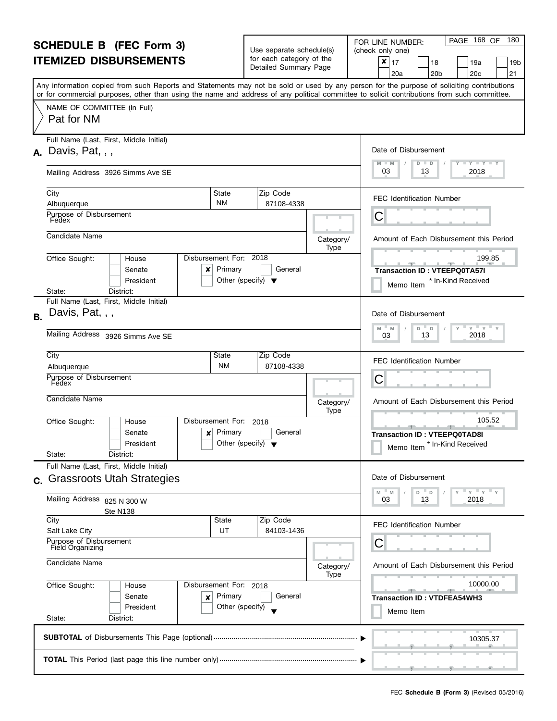| <b>SCHEDULE B</b> (FEC Form 3)<br><b>ITEMIZED DISBURSEMENTS</b> |                                                                                                                                                                                                                                                                                                                                    |                                                     | Use separate schedule(s)<br>for each category of the |                   | PAGE 168 OF<br>180<br>FOR LINE NUMBER:<br>(check only one)                     |  |  |  |  |  |
|-----------------------------------------------------------------|------------------------------------------------------------------------------------------------------------------------------------------------------------------------------------------------------------------------------------------------------------------------------------------------------------------------------------|-----------------------------------------------------|------------------------------------------------------|-------------------|--------------------------------------------------------------------------------|--|--|--|--|--|
|                                                                 |                                                                                                                                                                                                                                                                                                                                    |                                                     | Detailed Summary Page                                |                   | ×<br>17<br>18<br>19a<br>19b<br>21<br>20 <sub>c</sub><br>20a<br>20 <sub>b</sub> |  |  |  |  |  |
|                                                                 | Any information copied from such Reports and Statements may not be sold or used by any person for the purpose of soliciting contributions<br>or for commercial purposes, other than using the name and address of any political committee to solicit contributions from such committee.                                            |                                                     |                                                      |                   |                                                                                |  |  |  |  |  |
|                                                                 | NAME OF COMMITTEE (In Full)<br>Pat for NM                                                                                                                                                                                                                                                                                          |                                                     |                                                      |                   |                                                                                |  |  |  |  |  |
|                                                                 | Full Name (Last, First, Middle Initial)                                                                                                                                                                                                                                                                                            |                                                     |                                                      |                   |                                                                                |  |  |  |  |  |
|                                                                 | $A.$ Davis, Pat, , ,                                                                                                                                                                                                                                                                                                               |                                                     |                                                      |                   | Date of Disbursement<br>$M - M$<br>$Y + Y + Y + Y$<br>$D$ $D$                  |  |  |  |  |  |
|                                                                 | Mailing Address 3926 Simms Ave SE                                                                                                                                                                                                                                                                                                  |                                                     |                                                      |                   | 03<br>2018<br>13                                                               |  |  |  |  |  |
|                                                                 | City<br>State                                                                                                                                                                                                                                                                                                                      |                                                     | Zip Code                                             |                   | <b>FEC Identification Number</b>                                               |  |  |  |  |  |
|                                                                 | <b>NM</b><br>Albuquerque<br>Purpose of Disbursement                                                                                                                                                                                                                                                                                |                                                     | 87108-4338                                           |                   |                                                                                |  |  |  |  |  |
|                                                                 | Fedex                                                                                                                                                                                                                                                                                                                              |                                                     |                                                      |                   | С                                                                              |  |  |  |  |  |
|                                                                 | Candidate Name                                                                                                                                                                                                                                                                                                                     |                                                     |                                                      | Category/         | Amount of Each Disbursement this Period                                        |  |  |  |  |  |
|                                                                 | Disbursement For: 2018<br>Office Sought:<br>House                                                                                                                                                                                                                                                                                  |                                                     |                                                      | Type              | 199.85                                                                         |  |  |  |  |  |
|                                                                 | Primary<br>Senate<br>x                                                                                                                                                                                                                                                                                                             |                                                     | General                                              |                   | $-$<br><b>Transaction ID: VTEEPQ0TA57I</b>                                     |  |  |  |  |  |
|                                                                 | President                                                                                                                                                                                                                                                                                                                          | Other (specify) $\blacktriangledown$                |                                                      |                   | * In-Kind Received<br>Memo Item                                                |  |  |  |  |  |
|                                                                 | District:<br>State:<br>Full Name (Last, First, Middle Initial)                                                                                                                                                                                                                                                                     |                                                     |                                                      |                   |                                                                                |  |  |  |  |  |
| <b>B.</b>                                                       | Davis, Pat, , ,                                                                                                                                                                                                                                                                                                                    |                                                     |                                                      |                   | Date of Disbursement                                                           |  |  |  |  |  |
|                                                                 | Mailing Address 3926 Simms Ave SE                                                                                                                                                                                                                                                                                                  | $Y = Y = Y$<br>D<br>M<br>D<br>M<br>2018<br>13<br>03 |                                                      |                   |                                                                                |  |  |  |  |  |
|                                                                 | City<br>State                                                                                                                                                                                                                                                                                                                      |                                                     | Zip Code                                             |                   | <b>FEC Identification Number</b>                                               |  |  |  |  |  |
|                                                                 | <b>NM</b><br>Albuquerque<br>Purpose of Disbursement                                                                                                                                                                                                                                                                                |                                                     | 87108-4338                                           |                   |                                                                                |  |  |  |  |  |
|                                                                 | Fedex                                                                                                                                                                                                                                                                                                                              |                                                     |                                                      |                   | С                                                                              |  |  |  |  |  |
|                                                                 | Candidate Name                                                                                                                                                                                                                                                                                                                     |                                                     |                                                      | Category/<br>Type | Amount of Each Disbursement this Period                                        |  |  |  |  |  |
|                                                                 | Disbursement For:<br>Office Sought:<br>House<br>Primary<br>Senate<br>×                                                                                                                                                                                                                                                             |                                                     | 2018<br>General                                      |                   | 105.52<br>للموارد المراسي<br><b>Transaction ID: VTEEPQ0TAD8I</b>               |  |  |  |  |  |
|                                                                 | President                                                                                                                                                                                                                                                                                                                          | Other (specify) $\sqrt{}$                           |                                                      |                   | * In-Kind Received<br>Memo Item                                                |  |  |  |  |  |
|                                                                 | State:<br>District:                                                                                                                                                                                                                                                                                                                |                                                     |                                                      |                   |                                                                                |  |  |  |  |  |
|                                                                 | Full Name (Last, First, Middle Initial)<br><b>Grassroots Utah Strategies</b>                                                                                                                                                                                                                                                       |                                                     |                                                      |                   | Date of Disbursement                                                           |  |  |  |  |  |
| $\mathbf{C}$ .                                                  |                                                                                                                                                                                                                                                                                                                                    |                                                     |                                                      |                   | $Y = Y = Y$<br>M<br>M<br>D<br>D                                                |  |  |  |  |  |
|                                                                 | Mailing Address 825 N 300 W<br>Ste N138                                                                                                                                                                                                                                                                                            |                                                     |                                                      |                   | 13<br>2018<br>03                                                               |  |  |  |  |  |
|                                                                 | City<br>State                                                                                                                                                                                                                                                                                                                      |                                                     | Zip Code                                             |                   | <b>FEC Identification Number</b>                                               |  |  |  |  |  |
|                                                                 | UT<br>Salt Lake City<br>Purpose of Disbursement<br>Field Organizing                                                                                                                                                                                                                                                                |                                                     | 84103-1436                                           |                   | С                                                                              |  |  |  |  |  |
|                                                                 | Candidate Name                                                                                                                                                                                                                                                                                                                     |                                                     |                                                      |                   |                                                                                |  |  |  |  |  |
|                                                                 |                                                                                                                                                                                                                                                                                                                                    |                                                     |                                                      | Category/<br>Type | Amount of Each Disbursement this Period                                        |  |  |  |  |  |
|                                                                 | Office Sought:<br>Disbursement For: 2018<br>House                                                                                                                                                                                                                                                                                  |                                                     |                                                      |                   | 10000.00                                                                       |  |  |  |  |  |
|                                                                 | Primary<br>Senate<br>×<br>President                                                                                                                                                                                                                                                                                                | Other (specify)                                     | General                                              |                   | <b>Transaction ID: VTDFEA54WH3</b><br>Memo Item                                |  |  |  |  |  |
|                                                                 | State:<br>District:                                                                                                                                                                                                                                                                                                                |                                                     |                                                      |                   |                                                                                |  |  |  |  |  |
|                                                                 |                                                                                                                                                                                                                                                                                                                                    |                                                     |                                                      |                   | 10305.37                                                                       |  |  |  |  |  |
|                                                                 | $\overline{1}$ and $\overline{1}$ and $\overline{1}$ and $\overline{1}$ and $\overline{1}$ and $\overline{1}$ and $\overline{1}$ and $\overline{1}$ and $\overline{1}$ and $\overline{1}$ and $\overline{1}$ and $\overline{1}$ and $\overline{1}$ and $\overline{1}$ and $\overline{1}$ and $\overline{1}$ and $\overline{1}$ and |                                                     |                                                      |                   |                                                                                |  |  |  |  |  |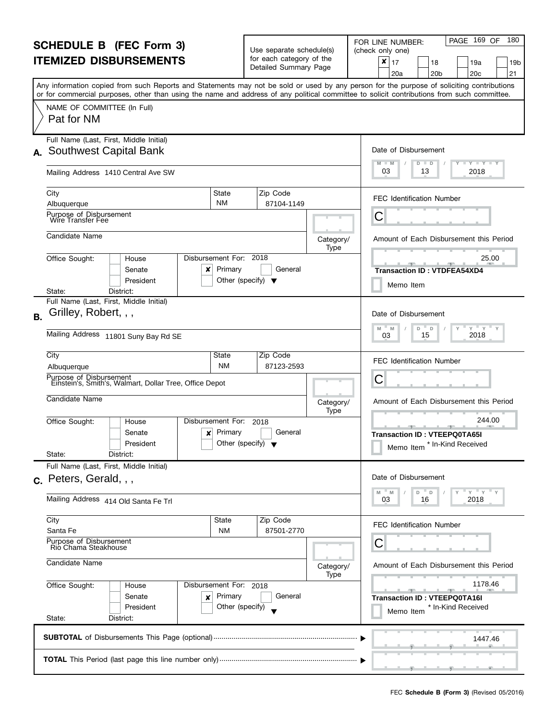| <b>SCHEDULE B (FEC Form 3)</b>                    |                                                                                                                                                                                                                                                                                         |                                                 | Use separate schedule(s)                          |                   | PAGE 169 OF<br>180<br>FOR LINE NUMBER:<br>(check only one)                                                                                                                        |  |  |
|---------------------------------------------------|-----------------------------------------------------------------------------------------------------------------------------------------------------------------------------------------------------------------------------------------------------------------------------------------|-------------------------------------------------|---------------------------------------------------|-------------------|-----------------------------------------------------------------------------------------------------------------------------------------------------------------------------------|--|--|
|                                                   | <b>ITEMIZED DISBURSEMENTS</b>                                                                                                                                                                                                                                                           |                                                 | for each category of the<br>Detailed Summary Page |                   | ×<br>17<br>18<br>19a<br>19b<br>20 <sub>c</sub><br>21<br>20a<br>20 <sub>b</sub>                                                                                                    |  |  |
|                                                   | Any information copied from such Reports and Statements may not be sold or used by any person for the purpose of soliciting contributions<br>or for commercial purposes, other than using the name and address of any political committee to solicit contributions from such committee. |                                                 |                                                   |                   |                                                                                                                                                                                   |  |  |
|                                                   | NAME OF COMMITTEE (In Full)<br>Pat for NM                                                                                                                                                                                                                                               |                                                 |                                                   |                   |                                                                                                                                                                                   |  |  |
|                                                   | Full Name (Last, First, Middle Initial)<br>A. Southwest Capital Bank                                                                                                                                                                                                                    |                                                 |                                                   |                   | Date of Disbursement                                                                                                                                                              |  |  |
|                                                   |                                                                                                                                                                                                                                                                                         |                                                 |                                                   |                   | $- Y - Y - Y$<br>M<br>D<br>D                                                                                                                                                      |  |  |
|                                                   | Mailing Address 1410 Central Ave SW                                                                                                                                                                                                                                                     |                                                 |                                                   |                   | 03<br>2018<br>13                                                                                                                                                                  |  |  |
|                                                   | City<br>State<br><b>NM</b><br>Albuquerque                                                                                                                                                                                                                                               |                                                 | Zip Code<br>87104-1149                            |                   | <b>FEC Identification Number</b>                                                                                                                                                  |  |  |
|                                                   | Purpose of Disbursement<br>Wire Transfer Fee                                                                                                                                                                                                                                            |                                                 |                                                   |                   | С                                                                                                                                                                                 |  |  |
|                                                   | Candidate Name                                                                                                                                                                                                                                                                          |                                                 |                                                   | Category/<br>Type | Amount of Each Disbursement this Period                                                                                                                                           |  |  |
|                                                   | Disbursement For: 2018<br>Office Sought:<br>House<br>Senate<br>x<br>President                                                                                                                                                                                                           | Primary<br>Other (specify) $\blacktriangledown$ | General                                           |                   | 25.00<br><u> 2001 - Jan 2001 - Alban 2001 - Alban 2001 - Alban 2001 - Alban 2001 - Alban 2001 - Alban 2001 - Alban 2001 - </u><br><b>Transaction ID: VTDFEA54XD4</b><br>Memo Item |  |  |
|                                                   | District:<br>State:<br>Full Name (Last, First, Middle Initial)                                                                                                                                                                                                                          |                                                 |                                                   |                   |                                                                                                                                                                                   |  |  |
| B <sub>1</sub>                                    | Grilley, Robert, , ,                                                                                                                                                                                                                                                                    |                                                 |                                                   |                   | Date of Disbursement<br>$Y = Y$<br>M<br>D<br>M<br>D                                                                                                                               |  |  |
|                                                   | Mailing Address 11801 Suny Bay Rd SE                                                                                                                                                                                                                                                    | 2018<br>15<br>03                                |                                                   |                   |                                                                                                                                                                                   |  |  |
|                                                   | City<br>State<br>Albuquerque                                                                                                                                                                                                                                                            | <b>NM</b>                                       | Zip Code<br>87123-2593                            |                   | <b>FEC Identification Number</b>                                                                                                                                                  |  |  |
|                                                   | Purpose of Disbursement<br>Einstein's, Smith's, Walmart, Dollar Tree, Office Depot                                                                                                                                                                                                      | С                                               |                                                   |                   |                                                                                                                                                                                   |  |  |
|                                                   | Candidate Name                                                                                                                                                                                                                                                                          |                                                 |                                                   | Category/<br>Type | Amount of Each Disbursement this Period                                                                                                                                           |  |  |
|                                                   | Disbursement For:<br>Office Sought:<br>House<br>Senate<br>×<br>President<br>State:<br>District:                                                                                                                                                                                         | Primary<br>Other (specify) $\blacktriangledown$ | 2018<br>General                                   |                   | 244.00<br><b>Transaction ID: VTEEPQ0TA65I</b><br>* In-Kind Received<br>Memo Item                                                                                                  |  |  |
|                                                   | Full Name (Last, First, Middle Initial)                                                                                                                                                                                                                                                 |                                                 |                                                   |                   |                                                                                                                                                                                   |  |  |
|                                                   | c. Peters, Gerald, , ,                                                                                                                                                                                                                                                                  |                                                 |                                                   |                   | Date of Disbursement<br>$Y'$ $Y'$<br>M<br>D<br>M<br>D                                                                                                                             |  |  |
|                                                   | Mailing Address 414 Old Santa Fe Trl                                                                                                                                                                                                                                                    |                                                 |                                                   |                   |                                                                                                                                                                                   |  |  |
|                                                   | City<br>State<br>Santa Fe                                                                                                                                                                                                                                                               | <b>NM</b>                                       | Zip Code<br>87501-2770                            |                   | <b>FEC Identification Number</b>                                                                                                                                                  |  |  |
| Purpose of Disbursement<br>Rio Chama Steakhouse   |                                                                                                                                                                                                                                                                                         |                                                 |                                                   |                   | С                                                                                                                                                                                 |  |  |
|                                                   | Candidate Name                                                                                                                                                                                                                                                                          |                                                 |                                                   | Category/<br>Type | Amount of Each Disbursement this Period                                                                                                                                           |  |  |
| Office Sought:<br>Disbursement For: 2018<br>House |                                                                                                                                                                                                                                                                                         |                                                 |                                                   |                   | 1178.46                                                                                                                                                                           |  |  |
|                                                   | Senate<br>×<br>President<br>State:<br>District:                                                                                                                                                                                                                                         | Primary<br>Other (specify)                      | General                                           |                   | <b>Transaction ID: VTEEPQ0TA16I</b><br>* In-Kind Received<br>Memo Item                                                                                                            |  |  |
|                                                   |                                                                                                                                                                                                                                                                                         |                                                 |                                                   |                   |                                                                                                                                                                                   |  |  |
|                                                   |                                                                                                                                                                                                                                                                                         |                                                 |                                                   |                   | 1447.46                                                                                                                                                                           |  |  |
|                                                   |                                                                                                                                                                                                                                                                                         |                                                 |                                                   |                   |                                                                                                                                                                                   |  |  |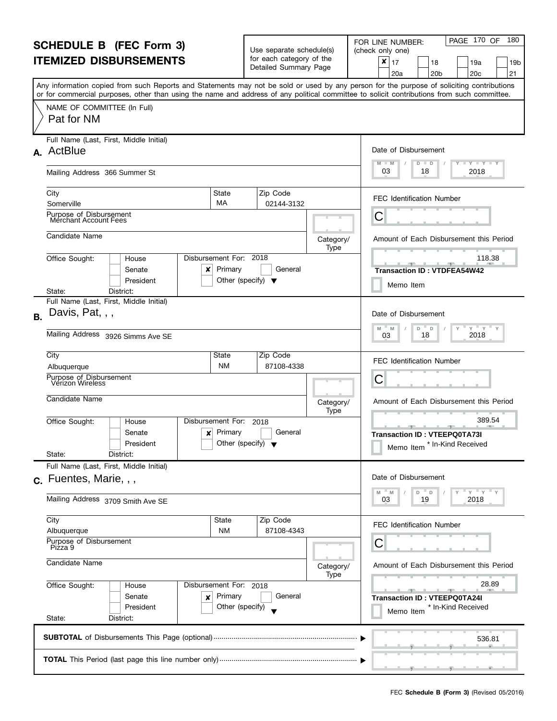| <b>SCHEDULE B</b> (FEC Form 3)                       |                                                                                                                                                                                                                                                                                         |                                                 | Use separate schedule(s)                          |                   | PAGE 170 OF<br>180<br>FOR LINE NUMBER:<br>(check only one)                       |
|------------------------------------------------------|-----------------------------------------------------------------------------------------------------------------------------------------------------------------------------------------------------------------------------------------------------------------------------------------|-------------------------------------------------|---------------------------------------------------|-------------------|----------------------------------------------------------------------------------|
|                                                      | <b>ITEMIZED DISBURSEMENTS</b>                                                                                                                                                                                                                                                           |                                                 | for each category of the<br>Detailed Summary Page |                   | ×<br>17<br>18<br>19a<br>19b<br>21<br>20 <sub>c</sub><br>20a<br>20 <sub>b</sub>   |
|                                                      | Any information copied from such Reports and Statements may not be sold or used by any person for the purpose of soliciting contributions<br>or for commercial purposes, other than using the name and address of any political committee to solicit contributions from such committee. |                                                 |                                                   |                   |                                                                                  |
|                                                      | NAME OF COMMITTEE (In Full)<br>Pat for NM                                                                                                                                                                                                                                               |                                                 |                                                   |                   |                                                                                  |
|                                                      | Full Name (Last, First, Middle Initial)<br>A. ActBlue                                                                                                                                                                                                                                   |                                                 |                                                   |                   | Date of Disbursement                                                             |
|                                                      | Mailing Address 366 Summer St                                                                                                                                                                                                                                                           |                                                 |                                                   |                   | $T - Y = T - Y = T - Y$<br>$M - M$<br>D<br>$\blacksquare$<br>03<br>2018<br>18    |
|                                                      | City<br>MA<br>Somerville                                                                                                                                                                                                                                                                | State                                           | Zip Code<br>02144-3132                            |                   | <b>FEC Identification Number</b>                                                 |
|                                                      | Purpose of Disbursement<br>Merchant Account Fees                                                                                                                                                                                                                                        |                                                 |                                                   |                   | С                                                                                |
|                                                      | Candidate Name                                                                                                                                                                                                                                                                          |                                                 |                                                   | Category/<br>Type | Amount of Each Disbursement this Period                                          |
|                                                      | Disbursement For: 2018<br>Office Sought:<br>House<br>Senate<br>×<br>President                                                                                                                                                                                                           | Primary<br>Other (specify) $\blacktriangledown$ | General                                           |                   | 118.38<br><b>Transaction ID: VTDFEA54W42</b><br>Memo Item                        |
|                                                      | District:<br>State:<br>Full Name (Last, First, Middle Initial)                                                                                                                                                                                                                          |                                                 |                                                   |                   |                                                                                  |
| <b>B.</b>                                            | Davis, Pat, , ,                                                                                                                                                                                                                                                                         |                                                 |                                                   |                   | Date of Disbursement<br>$Y = Y$<br>M<br>D<br>D<br>M                              |
|                                                      | Mailing Address 3926 Simms Ave SE                                                                                                                                                                                                                                                       | 2018<br>18<br>03                                |                                                   |                   |                                                                                  |
|                                                      | City<br>Albuquerque                                                                                                                                                                                                                                                                     | State<br><b>NM</b>                              | Zip Code<br>87108-4338                            |                   | <b>FEC Identification Number</b>                                                 |
|                                                      | Purpose of Disbursement<br>Verizon Wireless                                                                                                                                                                                                                                             | С                                               |                                                   |                   |                                                                                  |
|                                                      | Candidate Name                                                                                                                                                                                                                                                                          |                                                 |                                                   | Category/<br>Type | Amount of Each Disbursement this Period                                          |
|                                                      | Office Sought:<br>Disbursement For:<br>House<br>Senate<br>×<br>President<br>State:<br>District:                                                                                                                                                                                         | Primary<br>Other (specify) $\blacktriangledown$ | 2018<br>General                                   |                   | 389.54<br><b>Transaction ID: VTEEPQ0TA73I</b><br>* In-Kind Received<br>Memo Item |
|                                                      | Full Name (Last, First, Middle Initial)                                                                                                                                                                                                                                                 |                                                 |                                                   |                   |                                                                                  |
|                                                      | c. Fuentes, Marie, , ,                                                                                                                                                                                                                                                                  |                                                 |                                                   |                   | Date of Disbursement<br>$Y = Y$<br>M<br>M<br>D.<br>$\Box$                        |
|                                                      | Mailing Address 3709 Smith Ave SE                                                                                                                                                                                                                                                       |                                                 |                                                   |                   | 2018<br>19<br>03                                                                 |
|                                                      | City<br>Albuquerque                                                                                                                                                                                                                                                                     | State<br><b>NM</b>                              | Zip Code<br>87108-4343                            |                   | <b>FEC Identification Number</b>                                                 |
| Purpose of Disbursement<br>Piżza 9<br>Candidate Name |                                                                                                                                                                                                                                                                                         |                                                 |                                                   |                   | С                                                                                |
|                                                      |                                                                                                                                                                                                                                                                                         |                                                 |                                                   | Category/<br>Type | Amount of Each Disbursement this Period                                          |
|                                                      | Office Sought:<br>Disbursement For: 2018<br>House<br>Senate<br>×<br>President                                                                                                                                                                                                           | Primary<br>Other (specify)                      | General                                           |                   | 28.89<br><b>Transaction ID: VTEEPQ0TA24I</b><br>* In-Kind Received<br>Memo Item  |
|                                                      | State:<br>District:                                                                                                                                                                                                                                                                     |                                                 |                                                   |                   |                                                                                  |
|                                                      |                                                                                                                                                                                                                                                                                         |                                                 |                                                   |                   | 536.81                                                                           |
|                                                      |                                                                                                                                                                                                                                                                                         |                                                 |                                                   |                   |                                                                                  |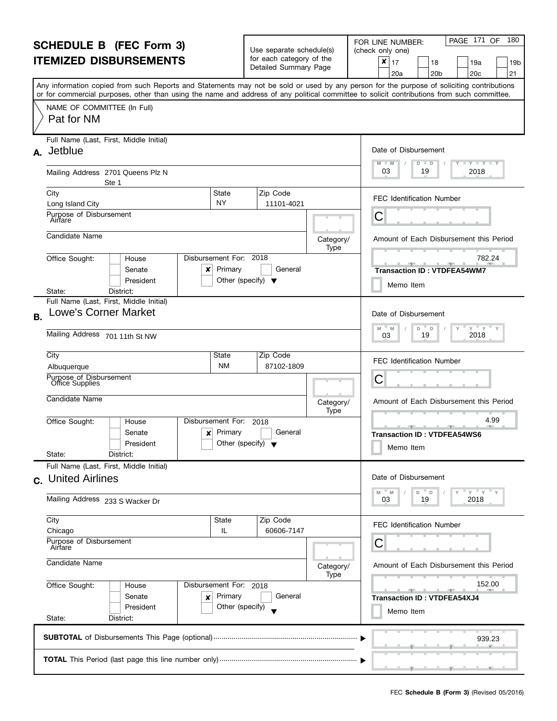| <b>SCHEDULE B (FEC Form 3)</b><br><b>ITEMIZED DISBURSEMENTS</b>                                                             |                                                                                                                                                                                                                                                                                         |                                                 | Use separate schedule(s)                          |                   | PAGE 171 OF<br>180<br>FOR LINE NUMBER:<br>(check only one)                                 |  |
|-----------------------------------------------------------------------------------------------------------------------------|-----------------------------------------------------------------------------------------------------------------------------------------------------------------------------------------------------------------------------------------------------------------------------------------|-------------------------------------------------|---------------------------------------------------|-------------------|--------------------------------------------------------------------------------------------|--|
|                                                                                                                             |                                                                                                                                                                                                                                                                                         |                                                 | for each category of the<br>Detailed Summary Page |                   | ×<br>17<br>18<br>19a<br>19 <sub>b</sub><br>20 <sub>b</sub><br>20 <sub>c</sub><br>21<br>20a |  |
|                                                                                                                             | Any information copied from such Reports and Statements may not be sold or used by any person for the purpose of soliciting contributions<br>or for commercial purposes, other than using the name and address of any political committee to solicit contributions from such committee. |                                                 |                                                   |                   |                                                                                            |  |
|                                                                                                                             | NAME OF COMMITTEE (In Full)<br>Pat for NM                                                                                                                                                                                                                                               |                                                 |                                                   |                   |                                                                                            |  |
|                                                                                                                             | Full Name (Last, First, Middle Initial)<br>A. Jetblue                                                                                                                                                                                                                                   |                                                 |                                                   |                   | Date of Disbursement                                                                       |  |
|                                                                                                                             | Mailing Address 2701 Queens Plz N<br>Ste 1                                                                                                                                                                                                                                              |                                                 |                                                   |                   | $T - Y = T - Y$<br>$M - M$<br>D<br>$\Box$<br>03<br>2018<br>19                              |  |
|                                                                                                                             | City<br>Long Island City                                                                                                                                                                                                                                                                | State<br><b>NY</b>                              | Zip Code<br>11101-4021                            |                   | <b>FEC Identification Number</b>                                                           |  |
|                                                                                                                             | Purpose of Disbursement<br>Airfare                                                                                                                                                                                                                                                      |                                                 |                                                   |                   | C                                                                                          |  |
|                                                                                                                             | Candidate Name                                                                                                                                                                                                                                                                          |                                                 |                                                   | Category/<br>Type | Amount of Each Disbursement this Period                                                    |  |
|                                                                                                                             | Disbursement For: 2018<br>Office Sought:<br>House<br>Senate<br>x<br>President                                                                                                                                                                                                           | Primary<br>Other (specify) $\blacktriangledown$ | General                                           |                   | 782.24<br><b>Transaction ID: VTDFEA54WM7</b><br>Memo Item                                  |  |
|                                                                                                                             | District:<br>State:<br>Full Name (Last, First, Middle Initial)                                                                                                                                                                                                                          |                                                 |                                                   |                   |                                                                                            |  |
| <b>B.</b>                                                                                                                   | <b>Lowe's Corner Market</b>                                                                                                                                                                                                                                                             |                                                 |                                                   |                   | Date of Disbursement<br>$Y = Y$<br>$\mathsf{Y}$<br>M<br>D<br>D<br>M                        |  |
|                                                                                                                             | Mailing Address 701 11th St NW                                                                                                                                                                                                                                                          | 2018<br>19<br>03                                |                                                   |                   |                                                                                            |  |
|                                                                                                                             | City<br>Albuquerque                                                                                                                                                                                                                                                                     | State<br><b>NM</b>                              | Zip Code<br>87102-1809                            |                   | <b>FEC Identification Number</b>                                                           |  |
|                                                                                                                             | Purpose of Disbursement<br><b>Öffice Supplies</b>                                                                                                                                                                                                                                       |                                                 |                                                   |                   | C                                                                                          |  |
|                                                                                                                             | Candidate Name                                                                                                                                                                                                                                                                          |                                                 |                                                   | Category/<br>Type | Amount of Each Disbursement this Period                                                    |  |
|                                                                                                                             | Disbursement For:<br>Office Sought:<br>House<br>Senate<br>×<br>President<br>State:<br>District:                                                                                                                                                                                         | Primary<br>Other (specify) $\blacktriangledown$ | 2018<br>General                                   |                   | 4.99<br><b>Transaction ID: VTDFEA54WS6</b><br>Memo Item                                    |  |
|                                                                                                                             | Full Name (Last, First, Middle Initial)                                                                                                                                                                                                                                                 |                                                 |                                                   |                   | Date of Disbursement                                                                       |  |
|                                                                                                                             | c. United Airlines<br>Mailing Address 233 S Wacker Dr                                                                                                                                                                                                                                   |                                                 |                                                   |                   | $Y = Y = Y$<br>M<br>M<br>D<br>D<br>2018<br>19<br>03                                        |  |
|                                                                                                                             | City                                                                                                                                                                                                                                                                                    | State                                           | Zip Code                                          |                   | <b>FEC Identification Number</b>                                                           |  |
| Chicago<br>IL.<br>Purpose of Disbursement<br>Airfare<br>Candidate Name<br>Office Sought:<br>Disbursement For: 2018<br>House |                                                                                                                                                                                                                                                                                         |                                                 | 60606-7147                                        |                   | С                                                                                          |  |
|                                                                                                                             |                                                                                                                                                                                                                                                                                         |                                                 |                                                   | Category/<br>Type | Amount of Each Disbursement this Period                                                    |  |
|                                                                                                                             |                                                                                                                                                                                                                                                                                         |                                                 |                                                   |                   | 152.00                                                                                     |  |
|                                                                                                                             | Senate<br>×<br>President<br>State:<br>District:                                                                                                                                                                                                                                         | Primary<br>Other (specify)                      | General                                           |                   | <b>Transaction ID: VTDFEA54XJ4</b><br>Memo Item                                            |  |
|                                                                                                                             |                                                                                                                                                                                                                                                                                         |                                                 |                                                   |                   | 939.23                                                                                     |  |
|                                                                                                                             |                                                                                                                                                                                                                                                                                         |                                                 |                                                   |                   | ____                                                                                       |  |

L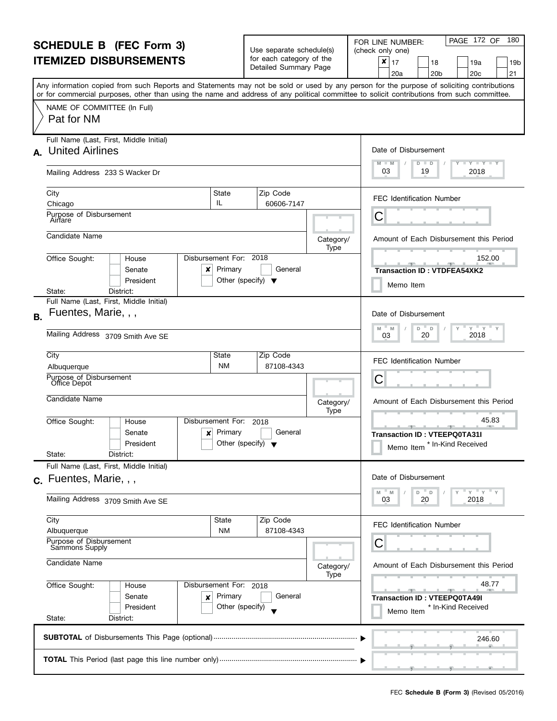| <b>SCHEDULE B</b> (FEC Form 3) |                                                                                                                                                                                                                                                                                         |                                                 | Use separate schedule(s)                          |                   | PAGE 172 OF<br>180<br>FOR LINE NUMBER:<br>(check only one)                      |
|--------------------------------|-----------------------------------------------------------------------------------------------------------------------------------------------------------------------------------------------------------------------------------------------------------------------------------------|-------------------------------------------------|---------------------------------------------------|-------------------|---------------------------------------------------------------------------------|
|                                | <b>ITEMIZED DISBURSEMENTS</b>                                                                                                                                                                                                                                                           |                                                 | for each category of the<br>Detailed Summary Page |                   | ×<br>17<br>18<br>19a<br>19b<br>21<br>20 <sub>b</sub><br>20 <sub>c</sub><br>20a  |
|                                | Any information copied from such Reports and Statements may not be sold or used by any person for the purpose of soliciting contributions<br>or for commercial purposes, other than using the name and address of any political committee to solicit contributions from such committee. |                                                 |                                                   |                   |                                                                                 |
|                                | NAME OF COMMITTEE (In Full)<br>Pat for NM                                                                                                                                                                                                                                               |                                                 |                                                   |                   |                                                                                 |
|                                | Full Name (Last, First, Middle Initial)<br>A. United Airlines                                                                                                                                                                                                                           |                                                 |                                                   |                   | Date of Disbursement                                                            |
|                                | Mailing Address 233 S Wacker Dr                                                                                                                                                                                                                                                         |                                                 |                                                   |                   | $T - Y = T - Y = T - Y$<br>$M - M$<br>D<br>$\blacksquare$<br>03<br>2018<br>19   |
|                                | City<br>State<br>IL.<br>Chicago                                                                                                                                                                                                                                                         |                                                 | Zip Code<br>60606-7147                            |                   | <b>FEC Identification Number</b>                                                |
|                                | Purpose of Disbursement<br>Airfare                                                                                                                                                                                                                                                      |                                                 |                                                   |                   | С                                                                               |
|                                | Candidate Name                                                                                                                                                                                                                                                                          |                                                 |                                                   | Category/<br>Type | Amount of Each Disbursement this Period                                         |
|                                | Disbursement For: 2018<br>Office Sought:<br>House<br>Senate<br>×<br>President                                                                                                                                                                                                           | Primary<br>Other (specify) $\blacktriangledown$ | General                                           |                   | 152.00<br><b>Transaction ID: VTDFEA54XK2</b><br>Memo Item                       |
|                                | District:<br>State:<br>Full Name (Last, First, Middle Initial)                                                                                                                                                                                                                          |                                                 |                                                   |                   |                                                                                 |
| B.                             | Fuentes, Marie, , ,                                                                                                                                                                                                                                                                     |                                                 |                                                   |                   | Date of Disbursement<br>$Y$ $Y$<br>M<br>D<br>D<br>M                             |
|                                | Mailing Address 3709 Smith Ave SE                                                                                                                                                                                                                                                       | 2018<br>20<br>03                                |                                                   |                   |                                                                                 |
|                                | City<br>State<br>Albuquerque                                                                                                                                                                                                                                                            | <b>NM</b>                                       | Zip Code<br>87108-4343                            |                   | <b>FEC Identification Number</b>                                                |
|                                | Purpose of Disbursement<br>Office Depot                                                                                                                                                                                                                                                 |                                                 |                                                   |                   | С                                                                               |
|                                | Candidate Name                                                                                                                                                                                                                                                                          |                                                 |                                                   | Category/<br>Type | Amount of Each Disbursement this Period                                         |
|                                | Office Sought:<br>Disbursement For:<br>House<br>Senate<br>×<br>President<br>State:<br>District:                                                                                                                                                                                         | Primary<br>Other (specify) $\blacktriangledown$ | 2018<br>General                                   |                   | 45.83<br><b>Transaction ID: VTEEPQ0TA31I</b><br>* In-Kind Received<br>Memo Item |
|                                | Full Name (Last, First, Middle Initial)                                                                                                                                                                                                                                                 |                                                 |                                                   |                   |                                                                                 |
|                                | c. Fuentes, Marie,<br>Mailing Address 3709 Smith Ave SE                                                                                                                                                                                                                                 |                                                 |                                                   |                   | Date of Disbursement<br>$Y'$ $Y'$<br>M<br>M<br>D T<br>D<br>20<br>2018<br>03     |
|                                | City                                                                                                                                                                                                                                                                                    | State                                           | Zip Code                                          |                   | <b>FEC Identification Number</b>                                                |
|                                | Albuquerque<br>Purpose of Disbursement<br>Sammons Supply                                                                                                                                                                                                                                | <b>NM</b>                                       | 87108-4343                                        |                   | С                                                                               |
| Candidate Name                 |                                                                                                                                                                                                                                                                                         |                                                 |                                                   | Category/<br>Type | Amount of Each Disbursement this Period                                         |
|                                | Office Sought:<br>Disbursement For: 2018<br>House<br>Senate<br>×<br>President<br>State:<br>District:                                                                                                                                                                                    | Primary<br>Other (specify)                      | General                                           |                   | 48.77<br><b>Transaction ID: VTEEPQ0TA49I</b><br>* In-Kind Received<br>Memo Item |
|                                |                                                                                                                                                                                                                                                                                         |                                                 |                                                   |                   | 246.60                                                                          |
|                                |                                                                                                                                                                                                                                                                                         |                                                 |                                                   |                   |                                                                                 |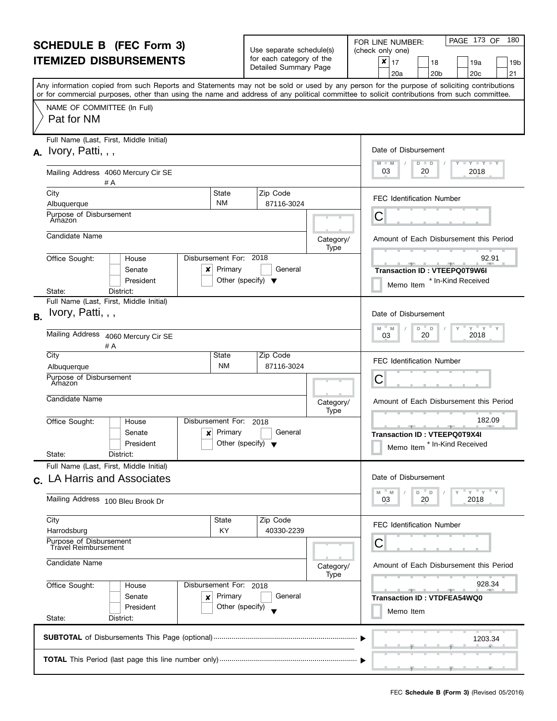| <b>SCHEDULE B</b> (FEC Form 3)<br><b>ITEMIZED DISBURSEMENTS</b>                                  |                                                                                                                                                                                                                                                                                         |                                                                          | Use separate schedule(s)<br>for each category of the<br>Detailed Summary Page |                   | PAGE 173 OF<br>180<br>FOR LINE NUMBER:<br>(check only one)                                   |  |
|--------------------------------------------------------------------------------------------------|-----------------------------------------------------------------------------------------------------------------------------------------------------------------------------------------------------------------------------------------------------------------------------------------|--------------------------------------------------------------------------|-------------------------------------------------------------------------------|-------------------|----------------------------------------------------------------------------------------------|--|
|                                                                                                  |                                                                                                                                                                                                                                                                                         |                                                                          |                                                                               |                   | ×<br>17<br>18<br>19a<br>19b<br>21<br>20 <sub>c</sub><br>20a<br>20 <sub>b</sub>               |  |
|                                                                                                  | Any information copied from such Reports and Statements may not be sold or used by any person for the purpose of soliciting contributions<br>or for commercial purposes, other than using the name and address of any political committee to solicit contributions from such committee. |                                                                          |                                                                               |                   |                                                                                              |  |
|                                                                                                  | NAME OF COMMITTEE (In Full)<br>Pat for NM                                                                                                                                                                                                                                               |                                                                          |                                                                               |                   |                                                                                              |  |
|                                                                                                  | Full Name (Last, First, Middle Initial)<br>$A.$ Ivory, Patti, , ,                                                                                                                                                                                                                       |                                                                          |                                                                               |                   | Date of Disbursement<br>$M - M$<br>$T$ $Y$ $T$ $Y$ $T$ $Y$<br>$D$ $D$                        |  |
|                                                                                                  | Mailing Address 4060 Mercury Cir SE<br># A                                                                                                                                                                                                                                              |                                                                          |                                                                               |                   | 03<br>20<br>2018                                                                             |  |
|                                                                                                  | City<br>Albuquerque                                                                                                                                                                                                                                                                     | State<br><b>NM</b>                                                       | Zip Code<br>87116-3024                                                        |                   | <b>FEC Identification Number</b>                                                             |  |
|                                                                                                  | Purpose of Disbursement<br>Amazon                                                                                                                                                                                                                                                       |                                                                          |                                                                               |                   | С                                                                                            |  |
|                                                                                                  | Candidate Name                                                                                                                                                                                                                                                                          |                                                                          |                                                                               | Category/<br>Type | Amount of Each Disbursement this Period                                                      |  |
|                                                                                                  | Office Sought:<br>House<br>Senate<br>x<br>President                                                                                                                                                                                                                                     | Disbursement For: 2018<br>Primary                                        | General<br>Other (specify) $\blacktriangledown$                               |                   | 92.91<br>一<br><b>Transaction ID: VTEEPQ0T9W6I</b><br>* In-Kind Received<br>Memo Item         |  |
| District:<br>State:<br>Full Name (Last, First, Middle Initial)<br>Ivory, Patti, , ,<br><b>B.</b> |                                                                                                                                                                                                                                                                                         |                                                                          |                                                                               |                   | Date of Disbursement<br>$Y = Y = Y$                                                          |  |
|                                                                                                  | Mailing Address 4060 Mercury Cir SE<br># A                                                                                                                                                                                                                                              | D<br>M<br>M<br>D<br>2018<br>20<br>03                                     |                                                                               |                   |                                                                                              |  |
|                                                                                                  | City<br>Albuquerque                                                                                                                                                                                                                                                                     | State<br><b>NM</b>                                                       | Zip Code<br>87116-3024                                                        |                   | <b>FEC Identification Number</b>                                                             |  |
|                                                                                                  | Purpose of Disbursement<br>Amazon                                                                                                                                                                                                                                                       |                                                                          |                                                                               |                   | С                                                                                            |  |
|                                                                                                  | Candidate Name                                                                                                                                                                                                                                                                          |                                                                          |                                                                               | Category/<br>Type | Amount of Each Disbursement this Period                                                      |  |
|                                                                                                  | Office Sought:<br>House<br>Senate<br>×<br>President<br>State:<br>District:                                                                                                                                                                                                              | Disbursement For:<br>Primary                                             | 2018<br>General<br>Other (specify) $\blacktriangledown$                       |                   | 182.09<br>للموارد المراسي<br>Transaction ID: VTEEPQ0T9X4I<br>* In-Kind Received<br>Memo Item |  |
|                                                                                                  | Full Name (Last, First, Middle Initial)<br>c. LA Harris and Associates                                                                                                                                                                                                                  |                                                                          |                                                                               |                   | Date of Disbursement                                                                         |  |
|                                                                                                  | Mailing Address 100 Bleu Brook Dr                                                                                                                                                                                                                                                       |                                                                          |                                                                               |                   | $Y = Y = Y$<br>$-M$<br>M<br>D T<br>D<br>20<br>2018<br>03                                     |  |
|                                                                                                  | City<br>Harrodsburg                                                                                                                                                                                                                                                                     | State<br>ΚY                                                              | Zip Code<br>40330-2239                                                        |                   | <b>FEC Identification Number</b>                                                             |  |
| Purpose of Disbursement<br><b>Travel Reimbursement</b>                                           |                                                                                                                                                                                                                                                                                         |                                                                          |                                                                               |                   | С                                                                                            |  |
|                                                                                                  | Candidate Name                                                                                                                                                                                                                                                                          |                                                                          |                                                                               | Category/<br>Type | Amount of Each Disbursement this Period                                                      |  |
|                                                                                                  | Office Sought:<br>Senate<br>×<br>President<br>State:<br>District:                                                                                                                                                                                                                       | Disbursement For: 2018<br>House<br>Primary<br>General<br>Other (specify) |                                                                               |                   | 928.34<br><b>Transaction ID: VTDFEA54WQ0</b><br>Memo Item                                    |  |
|                                                                                                  |                                                                                                                                                                                                                                                                                         |                                                                          |                                                                               |                   | 1203.34                                                                                      |  |
|                                                                                                  |                                                                                                                                                                                                                                                                                         |                                                                          |                                                                               |                   |                                                                                              |  |

L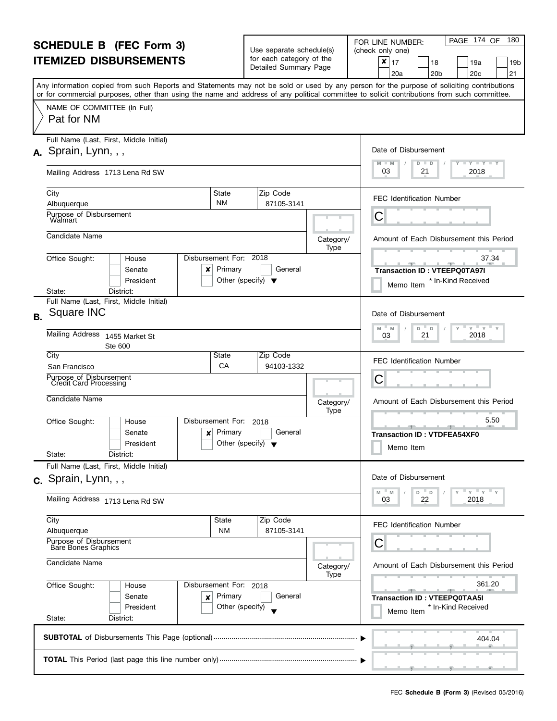| <b>SCHEDULE B</b> (FEC Form 3) |                                                                                                                                                                                                                                                                                         |                                                      | Use separate schedule(s)                                             |                   | PAGE 174 OF<br>180<br>FOR LINE NUMBER:<br>(check only one)                     |  |  |
|--------------------------------|-----------------------------------------------------------------------------------------------------------------------------------------------------------------------------------------------------------------------------------------------------------------------------------------|------------------------------------------------------|----------------------------------------------------------------------|-------------------|--------------------------------------------------------------------------------|--|--|
| <b>ITEMIZED DISBURSEMENTS</b>  |                                                                                                                                                                                                                                                                                         |                                                      | for each category of the<br>Detailed Summary Page                    |                   | ×<br>17<br>18<br>19a<br>19b<br>21<br>20 <sub>c</sub><br>20a<br>20 <sub>b</sub> |  |  |
|                                | Any information copied from such Reports and Statements may not be sold or used by any person for the purpose of soliciting contributions<br>or for commercial purposes, other than using the name and address of any political committee to solicit contributions from such committee. |                                                      |                                                                      |                   |                                                                                |  |  |
|                                | NAME OF COMMITTEE (In Full)<br>Pat for NM                                                                                                                                                                                                                                               |                                                      |                                                                      |                   |                                                                                |  |  |
|                                | Full Name (Last, First, Middle Initial)                                                                                                                                                                                                                                                 |                                                      |                                                                      |                   |                                                                                |  |  |
|                                | $A.$ Sprain, Lynn, , ,                                                                                                                                                                                                                                                                  |                                                      | Date of Disbursement<br>$T - Y = T - Y = T - Y$<br>$M - M$<br>D<br>D |                   |                                                                                |  |  |
|                                | Mailing Address 1713 Lena Rd SW                                                                                                                                                                                                                                                         |                                                      |                                                                      |                   | 03<br>2018<br>21                                                               |  |  |
|                                | City<br>State                                                                                                                                                                                                                                                                           |                                                      | Zip Code                                                             |                   | <b>FEC Identification Number</b>                                               |  |  |
|                                | <b>NM</b><br>Albuquerque                                                                                                                                                                                                                                                                |                                                      | 87105-3141                                                           |                   |                                                                                |  |  |
|                                | Purpose of Disbursement<br><b>Walmart</b>                                                                                                                                                                                                                                               |                                                      |                                                                      |                   | С                                                                              |  |  |
|                                | Candidate Name                                                                                                                                                                                                                                                                          |                                                      |                                                                      | Category/<br>Type | Amount of Each Disbursement this Period                                        |  |  |
|                                | Disbursement For: 2018<br>Office Sought:<br>House<br>Senate<br>×                                                                                                                                                                                                                        | Primary                                              | General                                                              |                   | 37.34<br>$-1$ $-7$<br><b>Transaction ID: VTEEPQ0TA97I</b>                      |  |  |
|                                | President                                                                                                                                                                                                                                                                               | Other (specify) $\blacktriangledown$                 |                                                                      |                   | * In-Kind Received<br>Memo Item                                                |  |  |
|                                | District:<br>State:<br>Full Name (Last, First, Middle Initial)                                                                                                                                                                                                                          |                                                      |                                                                      |                   |                                                                                |  |  |
| R.                             | Square INC                                                                                                                                                                                                                                                                              |                                                      |                                                                      |                   | Date of Disbursement<br>$Y$ $Y$<br>M<br>D<br>D<br>M                            |  |  |
|                                | <b>Mailing Address</b><br>1455 Market St<br>Ste 600                                                                                                                                                                                                                                     |                                                      |                                                                      |                   | 2018<br>21<br>03                                                               |  |  |
|                                | City<br>State<br>CA                                                                                                                                                                                                                                                                     |                                                      | Zip Code<br>94103-1332                                               |                   | <b>FEC Identification Number</b>                                               |  |  |
|                                | San Francisco<br>Purpose of Disbursement<br>Credit Card Processing                                                                                                                                                                                                                      |                                                      |                                                                      |                   | С                                                                              |  |  |
|                                |                                                                                                                                                                                                                                                                                         |                                                      |                                                                      |                   |                                                                                |  |  |
|                                | Candidate Name                                                                                                                                                                                                                                                                          |                                                      |                                                                      | Category/<br>Type | Amount of Each Disbursement this Period                                        |  |  |
|                                | Office Sought:<br>Disbursement For:<br>House                                                                                                                                                                                                                                            |                                                      | 2018                                                                 |                   | 5.50                                                                           |  |  |
|                                | Senate<br>×<br>President                                                                                                                                                                                                                                                                | Primary<br>Other (specify) $\blacktriangledown$      | General                                                              |                   | <b>Transaction ID: VTDFEA54XF0</b>                                             |  |  |
|                                | State:<br>District:                                                                                                                                                                                                                                                                     |                                                      |                                                                      |                   | Memo Item                                                                      |  |  |
|                                | Full Name (Last, First, Middle Initial)                                                                                                                                                                                                                                                 |                                                      |                                                                      |                   |                                                                                |  |  |
|                                | c. Sprain, Lynn, , ,                                                                                                                                                                                                                                                                    |                                                      |                                                                      |                   | Date of Disbursement                                                           |  |  |
|                                | Mailing Address 1713 Lena Rd SW                                                                                                                                                                                                                                                         |                                                      | $Y$ $Y$ $Y$<br>M<br>M<br>D<br>D<br>22<br>2018<br>03                  |                   |                                                                                |  |  |
|                                | City<br>State                                                                                                                                                                                                                                                                           |                                                      | Zip Code                                                             |                   | <b>FEC Identification Number</b>                                               |  |  |
|                                | <b>NM</b><br>Albuquerque<br>Purpose of Disbursement                                                                                                                                                                                                                                     |                                                      | 87105-3141                                                           |                   | С                                                                              |  |  |
|                                | <b>Bare Bones Graphics</b>                                                                                                                                                                                                                                                              |                                                      |                                                                      |                   |                                                                                |  |  |
|                                | Candidate Name                                                                                                                                                                                                                                                                          | Amount of Each Disbursement this Period<br>Category/ |                                                                      |                   |                                                                                |  |  |
|                                | Office Sought:<br>Disbursement For: 2018<br>House                                                                                                                                                                                                                                       | Type                                                 | 361.20                                                               |                   |                                                                                |  |  |
|                                | Senate<br>×                                                                                                                                                                                                                                                                             | Primary                                              | General                                                              |                   | <b>Transaction ID: VTEEPQ0TAA5I</b>                                            |  |  |
|                                | President<br>State:<br>District:                                                                                                                                                                                                                                                        | Other (specify)                                      |                                                                      |                   | * In-Kind Received<br>Memo Item                                                |  |  |
|                                |                                                                                                                                                                                                                                                                                         |                                                      |                                                                      |                   |                                                                                |  |  |
|                                |                                                                                                                                                                                                                                                                                         |                                                      |                                                                      |                   | 404.04                                                                         |  |  |
|                                |                                                                                                                                                                                                                                                                                         |                                                      |                                                                      |                   |                                                                                |  |  |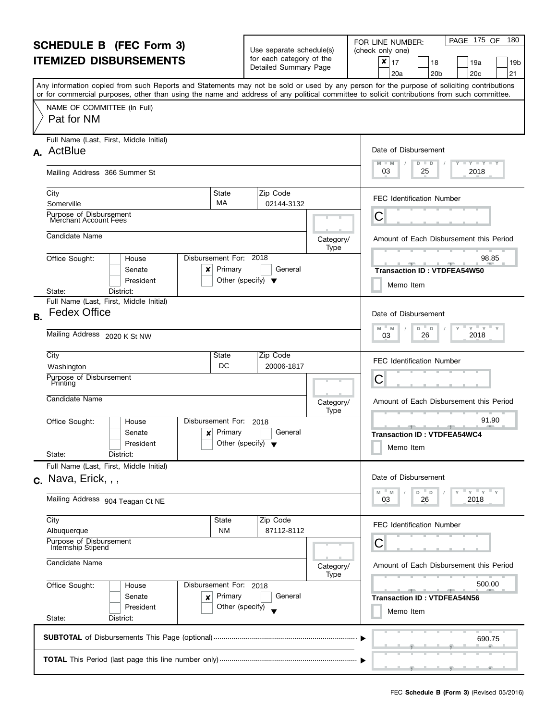| <b>SCHEDULE B</b> (FEC Form 3)                        |                                                                                                                                                                                                                                                                                         |                                                 | Use separate schedule(s)                          |                   | PAGE 175 OF<br>180<br>FOR LINE NUMBER:<br>(check only one)                                                                                                                                                                                                                                       |  |
|-------------------------------------------------------|-----------------------------------------------------------------------------------------------------------------------------------------------------------------------------------------------------------------------------------------------------------------------------------------|-------------------------------------------------|---------------------------------------------------|-------------------|--------------------------------------------------------------------------------------------------------------------------------------------------------------------------------------------------------------------------------------------------------------------------------------------------|--|
| <b>ITEMIZED DISBURSEMENTS</b>                         |                                                                                                                                                                                                                                                                                         |                                                 | for each category of the<br>Detailed Summary Page |                   | ×<br>17<br>18<br>19a<br>19b<br>21<br>20 <sub>b</sub><br>20 <sub>c</sub><br>20a                                                                                                                                                                                                                   |  |
|                                                       | Any information copied from such Reports and Statements may not be sold or used by any person for the purpose of soliciting contributions<br>or for commercial purposes, other than using the name and address of any political committee to solicit contributions from such committee. |                                                 |                                                   |                   |                                                                                                                                                                                                                                                                                                  |  |
|                                                       | NAME OF COMMITTEE (In Full)<br>Pat for NM                                                                                                                                                                                                                                               |                                                 |                                                   |                   |                                                                                                                                                                                                                                                                                                  |  |
| Full Name (Last, First, Middle Initial)<br>A. ActBlue |                                                                                                                                                                                                                                                                                         |                                                 |                                                   |                   | Date of Disbursement                                                                                                                                                                                                                                                                             |  |
|                                                       | Mailing Address 366 Summer St                                                                                                                                                                                                                                                           |                                                 |                                                   |                   | $T - Y = T - Y = T - Y$<br>$M - M$<br>D<br>$\blacksquare$<br>03<br>2018<br>25                                                                                                                                                                                                                    |  |
|                                                       | City<br>State<br>MA<br>Somerville                                                                                                                                                                                                                                                       |                                                 | Zip Code<br>02144-3132                            |                   | <b>FEC Identification Number</b>                                                                                                                                                                                                                                                                 |  |
|                                                       | Purpose of Disbursement<br>Merchant Account Fees                                                                                                                                                                                                                                        |                                                 |                                                   |                   | С                                                                                                                                                                                                                                                                                                |  |
|                                                       | Candidate Name                                                                                                                                                                                                                                                                          |                                                 |                                                   | Category/<br>Type | Amount of Each Disbursement this Period                                                                                                                                                                                                                                                          |  |
|                                                       | Disbursement For: 2018<br>Office Sought:<br>House<br>Senate<br>×<br>President                                                                                                                                                                                                           | Primary<br>Other (specify) $\blacktriangledown$ | General                                           |                   | 98.85<br><u> 2001 - 1 200 - 200 - 200 - 200 - 200 - 200 - 200 - 200 - 200 - 200 - 200 - 200 - 200 - 200 - 200 - 200 - 200 - 200 - 200 - 200 - 200 - 200 - 200 - 200 - 200 - 200 - 200 - 200 - 200 - 200 - 200 - 200 - 200 - 200 - 200 - 2</u><br><b>Transaction ID: VTDFEA54W50</b><br>Memo Item |  |
|                                                       | District:<br>State:<br>Full Name (Last, First, Middle Initial)                                                                                                                                                                                                                          |                                                 |                                                   |                   |                                                                                                                                                                                                                                                                                                  |  |
| B <sub>r</sub>                                        | <b>Fedex Office</b>                                                                                                                                                                                                                                                                     |                                                 |                                                   |                   | Date of Disbursement<br>$Y = Y$<br>M<br>D<br>D<br>M                                                                                                                                                                                                                                              |  |
|                                                       | Mailing Address 2020 K St NW                                                                                                                                                                                                                                                            |                                                 |                                                   |                   | 2018<br>26<br>03                                                                                                                                                                                                                                                                                 |  |
|                                                       | City<br>State<br>DC<br>Washington                                                                                                                                                                                                                                                       |                                                 | Zip Code<br>20006-1817                            |                   | <b>FEC Identification Number</b>                                                                                                                                                                                                                                                                 |  |
|                                                       | Purpose of Disbursement<br>Printing                                                                                                                                                                                                                                                     | С                                               |                                                   |                   |                                                                                                                                                                                                                                                                                                  |  |
|                                                       | Candidate Name                                                                                                                                                                                                                                                                          |                                                 |                                                   | Category/<br>Type | Amount of Each Disbursement this Period                                                                                                                                                                                                                                                          |  |
|                                                       | Office Sought:<br>Disbursement For:<br>House<br>Senate<br>×<br>President<br>State:<br>District:                                                                                                                                                                                         | Primary<br>Other (specify) $\blacktriangledown$ | 2018<br>General                                   |                   | 91.90<br><b>Transaction ID: VTDFEA54WC4</b><br>Memo Item                                                                                                                                                                                                                                         |  |
|                                                       | Full Name (Last, First, Middle Initial)<br>$c.$ Nava, Erick, $,$ ,                                                                                                                                                                                                                      |                                                 |                                                   |                   | Date of Disbursement                                                                                                                                                                                                                                                                             |  |
|                                                       | Mailing Address 904 Teagan Ct NE                                                                                                                                                                                                                                                        |                                                 |                                                   |                   | $Y$ $Y$ $Y$<br>M<br>M<br>D<br>D<br>2018<br>26<br>03                                                                                                                                                                                                                                              |  |
|                                                       | City<br>State<br>Albuquerque                                                                                                                                                                                                                                                            | <b>NM</b>                                       | Zip Code<br>87112-8112                            |                   | <b>FEC Identification Number</b>                                                                                                                                                                                                                                                                 |  |
|                                                       | Purpose of Disbursement<br>Internship Stipend                                                                                                                                                                                                                                           | С                                               |                                                   |                   |                                                                                                                                                                                                                                                                                                  |  |
|                                                       | Candidate Name                                                                                                                                                                                                                                                                          | Category/<br>Type                               |                                                   |                   | Amount of Each Disbursement this Period                                                                                                                                                                                                                                                          |  |
|                                                       | Office Sought:<br>Disbursement For: 2018<br>House<br>Senate<br>×<br>President                                                                                                                                                                                                           | Primary<br>Other (specify)                      | General                                           |                   | 500.00<br><b>Transaction ID: VTDFEA54N56</b><br>Memo Item                                                                                                                                                                                                                                        |  |
|                                                       | State:<br>District:                                                                                                                                                                                                                                                                     |                                                 |                                                   |                   |                                                                                                                                                                                                                                                                                                  |  |
|                                                       |                                                                                                                                                                                                                                                                                         |                                                 |                                                   |                   | 690.75                                                                                                                                                                                                                                                                                           |  |
|                                                       |                                                                                                                                                                                                                                                                                         |                                                 |                                                   |                   |                                                                                                                                                                                                                                                                                                  |  |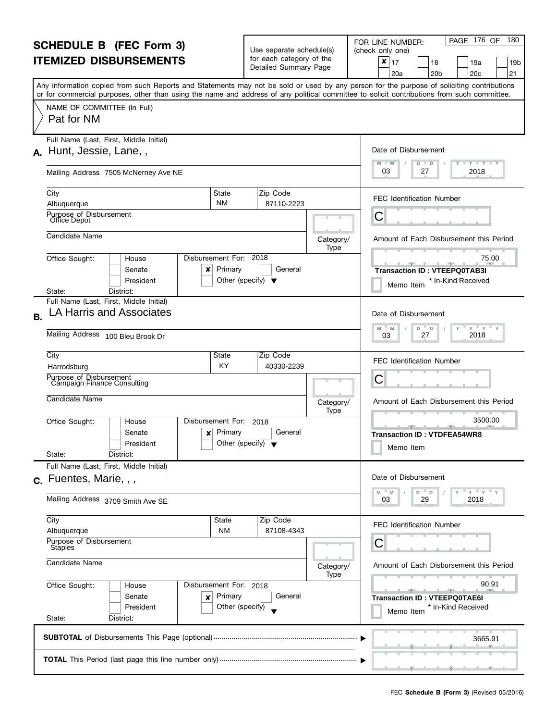| <b>SCHEDULE B</b> (FEC Form 3)<br><b>ITEMIZED DISBURSEMENTS</b> |                                                                                                                                                                                                                                                                                         |                                                          | Use separate schedule(s)<br>for each category of the |                                     | PAGE 176 OF<br>180<br>FOR LINE NUMBER:<br>(check only one)<br>$\pmb{\times}$<br>17<br>18<br>19a<br>19b                                                                                                                                        |
|-----------------------------------------------------------------|-----------------------------------------------------------------------------------------------------------------------------------------------------------------------------------------------------------------------------------------------------------------------------------------|----------------------------------------------------------|------------------------------------------------------|-------------------------------------|-----------------------------------------------------------------------------------------------------------------------------------------------------------------------------------------------------------------------------------------------|
|                                                                 |                                                                                                                                                                                                                                                                                         |                                                          | Detailed Summary Page                                |                                     | 21<br>20 <sub>c</sub><br>20a<br>20 <sub>b</sub>                                                                                                                                                                                               |
|                                                                 | Any information copied from such Reports and Statements may not be sold or used by any person for the purpose of soliciting contributions<br>or for commercial purposes, other than using the name and address of any political committee to solicit contributions from such committee. |                                                          |                                                      |                                     |                                                                                                                                                                                                                                               |
|                                                                 | NAME OF COMMITTEE (In Full)<br>Pat for NM                                                                                                                                                                                                                                               |                                                          |                                                      |                                     |                                                                                                                                                                                                                                               |
|                                                                 | Full Name (Last, First, Middle Initial)                                                                                                                                                                                                                                                 |                                                          |                                                      |                                     |                                                                                                                                                                                                                                               |
|                                                                 | A. Hunt, Jessie, Lane,                                                                                                                                                                                                                                                                  |                                                          |                                                      |                                     | Date of Disbursement<br>$- Y - Y - Y$<br>M<br>$-M$<br>D<br>D                                                                                                                                                                                  |
|                                                                 | Mailing Address 7505 McNerney Ave NE                                                                                                                                                                                                                                                    |                                                          |                                                      |                                     | 03<br>2018<br>27                                                                                                                                                                                                                              |
|                                                                 | City                                                                                                                                                                                                                                                                                    | State                                                    | Zip Code                                             |                                     | <b>FEC Identification Number</b>                                                                                                                                                                                                              |
|                                                                 | Albuquerque                                                                                                                                                                                                                                                                             | <b>NM</b>                                                | 87110-2223                                           |                                     |                                                                                                                                                                                                                                               |
|                                                                 | Purpose of Disbursement<br>Office Depot                                                                                                                                                                                                                                                 |                                                          |                                                      |                                     | С                                                                                                                                                                                                                                             |
|                                                                 | Candidate Name                                                                                                                                                                                                                                                                          |                                                          |                                                      | Category/<br>Type                   | Amount of Each Disbursement this Period                                                                                                                                                                                                       |
|                                                                 | Office Sought:<br>House<br>Senate<br>×                                                                                                                                                                                                                                                  | Disbursement For: 2018<br>Primary                        | General                                              |                                     | 75.00<br><u>and the state of the state of the state of the state of the state of the state of the state of the state of the state of the state of the state of the state of the state of the state of the state of the state of the state</u> |
|                                                                 | President                                                                                                                                                                                                                                                                               | Other (specify) $\blacktriangledown$                     |                                                      |                                     | <b>Transaction ID: VTEEPQ0TAB3I</b><br>* In-Kind Received<br>Memo Item                                                                                                                                                                        |
|                                                                 | District:<br>State:                                                                                                                                                                                                                                                                     |                                                          |                                                      |                                     |                                                                                                                                                                                                                                               |
| <b>B.</b>                                                       | Full Name (Last, First, Middle Initial)<br>LA Harris and Associates                                                                                                                                                                                                                     |                                                          |                                                      |                                     | Date of Disbursement                                                                                                                                                                                                                          |
|                                                                 | Mailing Address 100 Bleu Brook Dr                                                                                                                                                                                                                                                       | $Y$ $Y$ $Y$<br>M<br>D<br>$\Box$<br>M<br>2018<br>27<br>03 |                                                      |                                     |                                                                                                                                                                                                                                               |
|                                                                 | City                                                                                                                                                                                                                                                                                    | State                                                    | Zip Code                                             |                                     | <b>FEC Identification Number</b>                                                                                                                                                                                                              |
|                                                                 | Harrodsburg                                                                                                                                                                                                                                                                             | KY                                                       | 40330-2239                                           |                                     |                                                                                                                                                                                                                                               |
|                                                                 | Purpose of Disbursement<br>Campaign Finance Consulting                                                                                                                                                                                                                                  |                                                          |                                                      |                                     | С                                                                                                                                                                                                                                             |
|                                                                 | Candidate Name                                                                                                                                                                                                                                                                          |                                                          |                                                      | Category/<br>Type                   | Amount of Each Disbursement this Period                                                                                                                                                                                                       |
|                                                                 | Disbursement For:<br>Office Sought:<br>House                                                                                                                                                                                                                                            |                                                          | 2018                                                 |                                     | 3500.00                                                                                                                                                                                                                                       |
|                                                                 | Senate<br>×<br>President                                                                                                                                                                                                                                                                | Primary<br>Other (specify) $\blacktriangledown$          | General                                              |                                     | <b>Transaction ID: VTDFEA54WR8</b>                                                                                                                                                                                                            |
|                                                                 | State:<br>District:                                                                                                                                                                                                                                                                     |                                                          |                                                      |                                     | Memo Item                                                                                                                                                                                                                                     |
|                                                                 | Full Name (Last, First, Middle Initial)                                                                                                                                                                                                                                                 |                                                          |                                                      |                                     | Date of Disbursement                                                                                                                                                                                                                          |
|                                                                 | c. Fuentes, Marie, , ,                                                                                                                                                                                                                                                                  |                                                          |                                                      |                                     |                                                                                                                                                                                                                                               |
|                                                                 | Mailing Address 3709 Smith Ave SE                                                                                                                                                                                                                                                       |                                                          |                                                      |                                     | $Y = Y = Y$<br>M<br>M<br>D.<br>D<br>29<br>2018<br>03                                                                                                                                                                                          |
|                                                                 | City                                                                                                                                                                                                                                                                                    | State<br><b>NM</b>                                       | Zip Code<br>87108-4343                               |                                     | <b>FEC Identification Number</b>                                                                                                                                                                                                              |
|                                                                 | Albuquerque<br>Purpose of Disbursement<br><b>Staples</b>                                                                                                                                                                                                                                | С                                                        |                                                      |                                     |                                                                                                                                                                                                                                               |
|                                                                 | Candidate Name                                                                                                                                                                                                                                                                          |                                                          |                                                      | Category/<br>Type                   | Amount of Each Disbursement this Period                                                                                                                                                                                                       |
|                                                                 | Office Sought:<br>House                                                                                                                                                                                                                                                                 | Disbursement For: 2018                                   |                                                      |                                     | 90.91                                                                                                                                                                                                                                         |
|                                                                 | Senate<br>Primary<br>×                                                                                                                                                                                                                                                                  | General                                                  |                                                      | <b>Transaction ID: VTEEPQ0TAE6I</b> |                                                                                                                                                                                                                                               |
|                                                                 | President<br>State:<br>District:                                                                                                                                                                                                                                                        | Other (specify)                                          |                                                      |                                     | * In-Kind Received<br>Memo Item                                                                                                                                                                                                               |
|                                                                 |                                                                                                                                                                                                                                                                                         |                                                          |                                                      |                                     |                                                                                                                                                                                                                                               |
|                                                                 |                                                                                                                                                                                                                                                                                         |                                                          |                                                      |                                     | 3665.91                                                                                                                                                                                                                                       |
|                                                                 |                                                                                                                                                                                                                                                                                         |                                                          |                                                      |                                     |                                                                                                                                                                                                                                               |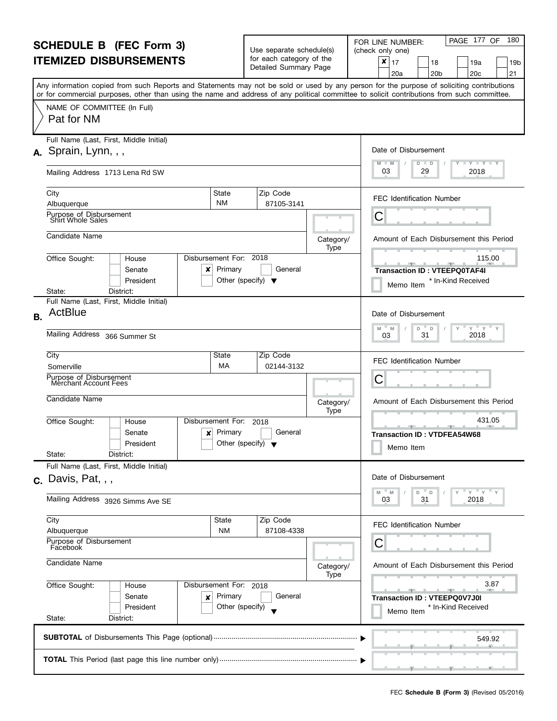| <b>SCHEDULE B</b> (FEC Form 3) |                                                                                                                                                                                                                                                                                         |                                                                                | Use separate schedule(s)<br>for each category of the |                   | PAGE 177 OF<br>180<br>FOR LINE NUMBER:<br>(check only one)                                                     |  |
|--------------------------------|-----------------------------------------------------------------------------------------------------------------------------------------------------------------------------------------------------------------------------------------------------------------------------------------|--------------------------------------------------------------------------------|------------------------------------------------------|-------------------|----------------------------------------------------------------------------------------------------------------|--|
| <b>ITEMIZED DISBURSEMENTS</b>  |                                                                                                                                                                                                                                                                                         |                                                                                | Detailed Summary Page                                |                   | ×<br>17<br>18<br>19a<br>19b<br>21<br>20 <sub>c</sub><br>20a<br>20 <sub>b</sub>                                 |  |
|                                | Any information copied from such Reports and Statements may not be sold or used by any person for the purpose of soliciting contributions<br>or for commercial purposes, other than using the name and address of any political committee to solicit contributions from such committee. |                                                                                |                                                      |                   |                                                                                                                |  |
|                                | NAME OF COMMITTEE (In Full)<br>Pat for NM                                                                                                                                                                                                                                               |                                                                                |                                                      |                   |                                                                                                                |  |
|                                | Full Name (Last, First, Middle Initial)<br>$A.$ Sprain, Lynn, , ,                                                                                                                                                                                                                       |                                                                                |                                                      |                   | Date of Disbursement                                                                                           |  |
|                                | Mailing Address 1713 Lena Rd SW                                                                                                                                                                                                                                                         |                                                                                |                                                      |                   | $M - M$<br><b>LYLYLY</b><br>D<br>$\blacksquare$<br>03<br>2018<br>29                                            |  |
|                                | City<br>State<br><b>NM</b><br>Albuquerque                                                                                                                                                                                                                                               |                                                                                | Zip Code<br>87105-3141                               |                   | <b>FEC Identification Number</b>                                                                               |  |
|                                | Purpose of Disbursement<br>Shirt Whole Sales                                                                                                                                                                                                                                            |                                                                                |                                                      |                   | С                                                                                                              |  |
|                                | Candidate Name                                                                                                                                                                                                                                                                          |                                                                                |                                                      | Category/<br>Type | Amount of Each Disbursement this Period                                                                        |  |
|                                | Disbursement For: 2018<br>Office Sought:<br>House<br>Senate<br>×<br>President                                                                                                                                                                                                           | Primary<br>Other (specify) $\blacktriangledown$                                | General                                              |                   | 115.00<br><b>The Contract Office</b><br><b>Transaction ID: VTEEPQ0TAF4I</b><br>* In-Kind Received<br>Memo Item |  |
|                                | District:<br>State:<br>Full Name (Last, First, Middle Initial)                                                                                                                                                                                                                          |                                                                                |                                                      |                   |                                                                                                                |  |
| <b>B.</b>                      | ActBlue                                                                                                                                                                                                                                                                                 |                                                                                |                                                      |                   | Date of Disbursement<br>$Y$ $Y$                                                                                |  |
|                                | Mailing Address 366 Summer St                                                                                                                                                                                                                                                           | M<br>D<br>$\mathsf D$<br>M<br>2018<br>31<br>03                                 |                                                      |                   |                                                                                                                |  |
|                                | City<br>State<br>МA<br>Somerville                                                                                                                                                                                                                                                       |                                                                                | Zip Code<br>02144-3132                               |                   | <b>FEC Identification Number</b>                                                                               |  |
|                                | Purpose of Disbursement<br>Merchant Account Fees                                                                                                                                                                                                                                        |                                                                                | С                                                    |                   |                                                                                                                |  |
|                                | Candidate Name                                                                                                                                                                                                                                                                          |                                                                                |                                                      | Category/<br>Type | Amount of Each Disbursement this Period                                                                        |  |
|                                | Office Sought:<br>Disbursement For:<br>House<br>Senate<br>×<br>President<br>State:<br>District:                                                                                                                                                                                         | Primary<br>Other (specify) $\blacktriangledown$                                | 2018<br>General                                      |                   | 431.05<br><b>Transaction ID: VTDFEA54W68</b><br>Memo Item                                                      |  |
|                                | Full Name (Last, First, Middle Initial)                                                                                                                                                                                                                                                 |                                                                                |                                                      |                   |                                                                                                                |  |
|                                | $c.$ Davis, Pat, , ,                                                                                                                                                                                                                                                                    |                                                                                |                                                      |                   | Date of Disbursement                                                                                           |  |
|                                | Mailing Address 3926 Simms Ave SE                                                                                                                                                                                                                                                       | $Y = Y = Y$<br>M<br>M<br>D.<br>D<br>31<br>2018<br>03                           |                                                      |                   |                                                                                                                |  |
|                                | City<br>State<br><b>NM</b><br>Albuquerque                                                                                                                                                                                                                                               |                                                                                | Zip Code<br>87108-4338                               |                   | <b>FEC Identification Number</b>                                                                               |  |
|                                | Purpose of Disbursement<br>Facebook                                                                                                                                                                                                                                                     | С                                                                              |                                                      |                   |                                                                                                                |  |
|                                | Candidate Name                                                                                                                                                                                                                                                                          | Amount of Each Disbursement this Period<br>Category/                           |                                                      |                   |                                                                                                                |  |
|                                | Office Sought:<br>Disbursement For: 2018<br>House<br>Senate<br>Primary<br>×<br>Other (specify)<br>President<br>State:<br>District:                                                                                                                                                      | 3.87<br><b>Transaction ID: VTEEPQ0V7J0I</b><br>* In-Kind Received<br>Memo Item |                                                      |                   |                                                                                                                |  |
|                                |                                                                                                                                                                                                                                                                                         |                                                                                |                                                      |                   | 549.92                                                                                                         |  |
|                                |                                                                                                                                                                                                                                                                                         |                                                                                |                                                      |                   |                                                                                                                |  |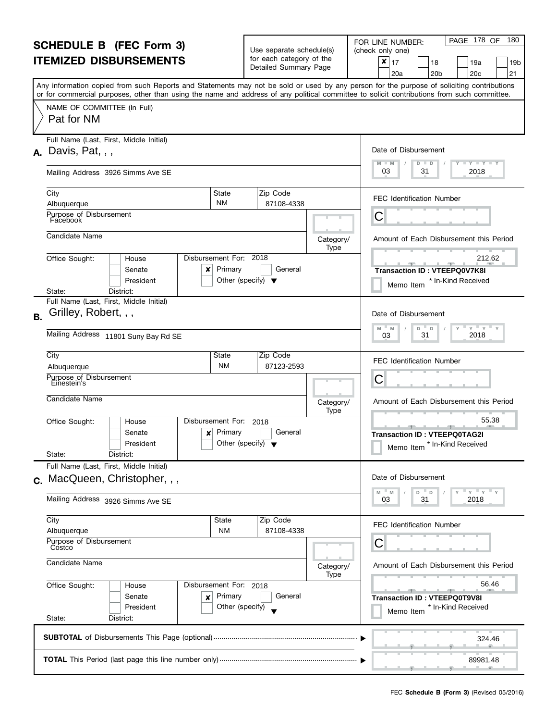| for each category of the<br>×<br>17<br>18<br>19a<br>19b<br>Detailed Summary Page<br>21<br>20 <sub>c</sub><br>20a<br>20 <sub>b</sub><br>Any information copied from such Reports and Statements may not be sold or used by any person for the purpose of soliciting contributions<br>or for commercial purposes, other than using the name and address of any political committee to solicit contributions from such committee.<br>NAME OF COMMITTEE (In Full)<br>Pat for NM<br>Full Name (Last, First, Middle Initial)<br>Date of Disbursement<br>$A.$ Davis, Pat, , ,<br>$M - M$<br><b>LY LY LY</b><br>D<br>D<br>03<br>2018<br>31<br>Mailing Address 3926 Simms Ave SE<br>Zip Code<br>City<br>State<br><b>FEC Identification Number</b><br><b>NM</b><br>87108-4338<br>Albuquerque<br>Purpose of Disbursement<br>С<br>Facebook<br>Candidate Name<br>Category/<br>Amount of Each Disbursement this Period<br>Type<br>Disbursement For: 2018<br>Office Sought:<br>212.62<br>House<br><u> 1959 - 1959 - 1959 - 1959 - 1959 - 1959 - 1959 - 1959 - 1959 - 1959 - 1959 - 1959 - 1959 - 1959 - 1959 - 195</u><br>Senate<br>Primary<br>General<br>×<br>Transaction ID: VTEEPQ0V7K8I<br>President<br>Other (specify) $\blacktriangledown$<br>* In-Kind Received<br>Memo Item<br>District:<br>State:<br>Full Name (Last, First, Middle Initial)<br>Grilley, Robert, , ,<br>Date of Disbursement<br>$Y$ $Y$<br>M<br>D<br>M<br>D<br>Mailing Address 11801 Suny Bay Rd SE<br>2018<br>31<br>03<br>City<br>Zip Code<br>State<br><b>FEC Identification Number</b><br><b>NM</b><br>87123-2593<br>Albuquerque<br>Purpose of Disbursement<br>С<br>Einestein's<br>Candidate Name<br>Amount of Each Disbursement this Period<br>Category/<br>Type<br>55.38<br>Disbursement For:<br>Office Sought:<br>2018<br>House<br>Primary<br>General<br>Senate<br>×<br><b>Transaction ID: VTEEPQ0TAG2I</b><br>President<br>Other (specify) $\blacktriangledown$<br>* In-Kind Received<br>Memo Item<br>State:<br>District:<br>Full Name (Last, First, Middle Initial)<br>Date of Disbursement<br>c. MacQueen, Christopher, , ,<br>$Y'$ $Y'$<br>M<br>M<br>D<br>D<br>Mailing Address 3926 Simms Ave SE<br>31<br>2018<br>03<br>City<br>State<br>Zip Code<br><b>FEC Identification Number</b><br><b>NM</b><br>87108-4338<br>Albuquerque<br>Purpose of Disbursement<br>С<br>Costco<br>Candidate Name<br>Amount of Each Disbursement this Period<br>Category/<br>Type<br>Office Sought:<br>56.46<br>Disbursement For: 2018<br>House<br>Senate<br>Primary<br>General<br><b>Transaction ID: VTEEPQ0T9V8I</b><br>×<br>Other (specify)<br>President<br>* In-Kind Received<br>Memo Item<br>State:<br>District:<br>324.46<br>89981.48 | <b>SCHEDULE B (FEC Form 3)</b> |  |  | Use separate schedule(s) |  | PAGE 178 OF<br>180<br>FOR LINE NUMBER:<br>(check only one) |  |
|------------------------------------------------------------------------------------------------------------------------------------------------------------------------------------------------------------------------------------------------------------------------------------------------------------------------------------------------------------------------------------------------------------------------------------------------------------------------------------------------------------------------------------------------------------------------------------------------------------------------------------------------------------------------------------------------------------------------------------------------------------------------------------------------------------------------------------------------------------------------------------------------------------------------------------------------------------------------------------------------------------------------------------------------------------------------------------------------------------------------------------------------------------------------------------------------------------------------------------------------------------------------------------------------------------------------------------------------------------------------------------------------------------------------------------------------------------------------------------------------------------------------------------------------------------------------------------------------------------------------------------------------------------------------------------------------------------------------------------------------------------------------------------------------------------------------------------------------------------------------------------------------------------------------------------------------------------------------------------------------------------------------------------------------------------------------------------------------------------------------------------------------------------------------------------------------------------------------------------------------------------------------------------------------------------------------------------------------------------------------------------------------------------------------------------------------------------------------------------------------------------------------------------------------------------------------------------------------------------------------------------------------------------------------------------------|--------------------------------|--|--|--------------------------|--|------------------------------------------------------------|--|
|                                                                                                                                                                                                                                                                                                                                                                                                                                                                                                                                                                                                                                                                                                                                                                                                                                                                                                                                                                                                                                                                                                                                                                                                                                                                                                                                                                                                                                                                                                                                                                                                                                                                                                                                                                                                                                                                                                                                                                                                                                                                                                                                                                                                                                                                                                                                                                                                                                                                                                                                                                                                                                                                                          | <b>ITEMIZED DISBURSEMENTS</b>  |  |  |                          |  |                                                            |  |
|                                                                                                                                                                                                                                                                                                                                                                                                                                                                                                                                                                                                                                                                                                                                                                                                                                                                                                                                                                                                                                                                                                                                                                                                                                                                                                                                                                                                                                                                                                                                                                                                                                                                                                                                                                                                                                                                                                                                                                                                                                                                                                                                                                                                                                                                                                                                                                                                                                                                                                                                                                                                                                                                                          |                                |  |  |                          |  |                                                            |  |
|                                                                                                                                                                                                                                                                                                                                                                                                                                                                                                                                                                                                                                                                                                                                                                                                                                                                                                                                                                                                                                                                                                                                                                                                                                                                                                                                                                                                                                                                                                                                                                                                                                                                                                                                                                                                                                                                                                                                                                                                                                                                                                                                                                                                                                                                                                                                                                                                                                                                                                                                                                                                                                                                                          |                                |  |  |                          |  |                                                            |  |
|                                                                                                                                                                                                                                                                                                                                                                                                                                                                                                                                                                                                                                                                                                                                                                                                                                                                                                                                                                                                                                                                                                                                                                                                                                                                                                                                                                                                                                                                                                                                                                                                                                                                                                                                                                                                                                                                                                                                                                                                                                                                                                                                                                                                                                                                                                                                                                                                                                                                                                                                                                                                                                                                                          |                                |  |  |                          |  |                                                            |  |
|                                                                                                                                                                                                                                                                                                                                                                                                                                                                                                                                                                                                                                                                                                                                                                                                                                                                                                                                                                                                                                                                                                                                                                                                                                                                                                                                                                                                                                                                                                                                                                                                                                                                                                                                                                                                                                                                                                                                                                                                                                                                                                                                                                                                                                                                                                                                                                                                                                                                                                                                                                                                                                                                                          |                                |  |  |                          |  |                                                            |  |
|                                                                                                                                                                                                                                                                                                                                                                                                                                                                                                                                                                                                                                                                                                                                                                                                                                                                                                                                                                                                                                                                                                                                                                                                                                                                                                                                                                                                                                                                                                                                                                                                                                                                                                                                                                                                                                                                                                                                                                                                                                                                                                                                                                                                                                                                                                                                                                                                                                                                                                                                                                                                                                                                                          |                                |  |  |                          |  |                                                            |  |
|                                                                                                                                                                                                                                                                                                                                                                                                                                                                                                                                                                                                                                                                                                                                                                                                                                                                                                                                                                                                                                                                                                                                                                                                                                                                                                                                                                                                                                                                                                                                                                                                                                                                                                                                                                                                                                                                                                                                                                                                                                                                                                                                                                                                                                                                                                                                                                                                                                                                                                                                                                                                                                                                                          |                                |  |  |                          |  |                                                            |  |
|                                                                                                                                                                                                                                                                                                                                                                                                                                                                                                                                                                                                                                                                                                                                                                                                                                                                                                                                                                                                                                                                                                                                                                                                                                                                                                                                                                                                                                                                                                                                                                                                                                                                                                                                                                                                                                                                                                                                                                                                                                                                                                                                                                                                                                                                                                                                                                                                                                                                                                                                                                                                                                                                                          |                                |  |  |                          |  |                                                            |  |
|                                                                                                                                                                                                                                                                                                                                                                                                                                                                                                                                                                                                                                                                                                                                                                                                                                                                                                                                                                                                                                                                                                                                                                                                                                                                                                                                                                                                                                                                                                                                                                                                                                                                                                                                                                                                                                                                                                                                                                                                                                                                                                                                                                                                                                                                                                                                                                                                                                                                                                                                                                                                                                                                                          |                                |  |  |                          |  |                                                            |  |
|                                                                                                                                                                                                                                                                                                                                                                                                                                                                                                                                                                                                                                                                                                                                                                                                                                                                                                                                                                                                                                                                                                                                                                                                                                                                                                                                                                                                                                                                                                                                                                                                                                                                                                                                                                                                                                                                                                                                                                                                                                                                                                                                                                                                                                                                                                                                                                                                                                                                                                                                                                                                                                                                                          |                                |  |  |                          |  |                                                            |  |
|                                                                                                                                                                                                                                                                                                                                                                                                                                                                                                                                                                                                                                                                                                                                                                                                                                                                                                                                                                                                                                                                                                                                                                                                                                                                                                                                                                                                                                                                                                                                                                                                                                                                                                                                                                                                                                                                                                                                                                                                                                                                                                                                                                                                                                                                                                                                                                                                                                                                                                                                                                                                                                                                                          | <b>B.</b>                      |  |  |                          |  |                                                            |  |
|                                                                                                                                                                                                                                                                                                                                                                                                                                                                                                                                                                                                                                                                                                                                                                                                                                                                                                                                                                                                                                                                                                                                                                                                                                                                                                                                                                                                                                                                                                                                                                                                                                                                                                                                                                                                                                                                                                                                                                                                                                                                                                                                                                                                                                                                                                                                                                                                                                                                                                                                                                                                                                                                                          |                                |  |  |                          |  |                                                            |  |
|                                                                                                                                                                                                                                                                                                                                                                                                                                                                                                                                                                                                                                                                                                                                                                                                                                                                                                                                                                                                                                                                                                                                                                                                                                                                                                                                                                                                                                                                                                                                                                                                                                                                                                                                                                                                                                                                                                                                                                                                                                                                                                                                                                                                                                                                                                                                                                                                                                                                                                                                                                                                                                                                                          |                                |  |  |                          |  |                                                            |  |
|                                                                                                                                                                                                                                                                                                                                                                                                                                                                                                                                                                                                                                                                                                                                                                                                                                                                                                                                                                                                                                                                                                                                                                                                                                                                                                                                                                                                                                                                                                                                                                                                                                                                                                                                                                                                                                                                                                                                                                                                                                                                                                                                                                                                                                                                                                                                                                                                                                                                                                                                                                                                                                                                                          |                                |  |  |                          |  |                                                            |  |
|                                                                                                                                                                                                                                                                                                                                                                                                                                                                                                                                                                                                                                                                                                                                                                                                                                                                                                                                                                                                                                                                                                                                                                                                                                                                                                                                                                                                                                                                                                                                                                                                                                                                                                                                                                                                                                                                                                                                                                                                                                                                                                                                                                                                                                                                                                                                                                                                                                                                                                                                                                                                                                                                                          |                                |  |  |                          |  |                                                            |  |
|                                                                                                                                                                                                                                                                                                                                                                                                                                                                                                                                                                                                                                                                                                                                                                                                                                                                                                                                                                                                                                                                                                                                                                                                                                                                                                                                                                                                                                                                                                                                                                                                                                                                                                                                                                                                                                                                                                                                                                                                                                                                                                                                                                                                                                                                                                                                                                                                                                                                                                                                                                                                                                                                                          |                                |  |  |                          |  |                                                            |  |
|                                                                                                                                                                                                                                                                                                                                                                                                                                                                                                                                                                                                                                                                                                                                                                                                                                                                                                                                                                                                                                                                                                                                                                                                                                                                                                                                                                                                                                                                                                                                                                                                                                                                                                                                                                                                                                                                                                                                                                                                                                                                                                                                                                                                                                                                                                                                                                                                                                                                                                                                                                                                                                                                                          |                                |  |  |                          |  |                                                            |  |
|                                                                                                                                                                                                                                                                                                                                                                                                                                                                                                                                                                                                                                                                                                                                                                                                                                                                                                                                                                                                                                                                                                                                                                                                                                                                                                                                                                                                                                                                                                                                                                                                                                                                                                                                                                                                                                                                                                                                                                                                                                                                                                                                                                                                                                                                                                                                                                                                                                                                                                                                                                                                                                                                                          |                                |  |  |                          |  |                                                            |  |
|                                                                                                                                                                                                                                                                                                                                                                                                                                                                                                                                                                                                                                                                                                                                                                                                                                                                                                                                                                                                                                                                                                                                                                                                                                                                                                                                                                                                                                                                                                                                                                                                                                                                                                                                                                                                                                                                                                                                                                                                                                                                                                                                                                                                                                                                                                                                                                                                                                                                                                                                                                                                                                                                                          |                                |  |  |                          |  |                                                            |  |
|                                                                                                                                                                                                                                                                                                                                                                                                                                                                                                                                                                                                                                                                                                                                                                                                                                                                                                                                                                                                                                                                                                                                                                                                                                                                                                                                                                                                                                                                                                                                                                                                                                                                                                                                                                                                                                                                                                                                                                                                                                                                                                                                                                                                                                                                                                                                                                                                                                                                                                                                                                                                                                                                                          |                                |  |  |                          |  |                                                            |  |
|                                                                                                                                                                                                                                                                                                                                                                                                                                                                                                                                                                                                                                                                                                                                                                                                                                                                                                                                                                                                                                                                                                                                                                                                                                                                                                                                                                                                                                                                                                                                                                                                                                                                                                                                                                                                                                                                                                                                                                                                                                                                                                                                                                                                                                                                                                                                                                                                                                                                                                                                                                                                                                                                                          |                                |  |  |                          |  |                                                            |  |
|                                                                                                                                                                                                                                                                                                                                                                                                                                                                                                                                                                                                                                                                                                                                                                                                                                                                                                                                                                                                                                                                                                                                                                                                                                                                                                                                                                                                                                                                                                                                                                                                                                                                                                                                                                                                                                                                                                                                                                                                                                                                                                                                                                                                                                                                                                                                                                                                                                                                                                                                                                                                                                                                                          |                                |  |  |                          |  |                                                            |  |
|                                                                                                                                                                                                                                                                                                                                                                                                                                                                                                                                                                                                                                                                                                                                                                                                                                                                                                                                                                                                                                                                                                                                                                                                                                                                                                                                                                                                                                                                                                                                                                                                                                                                                                                                                                                                                                                                                                                                                                                                                                                                                                                                                                                                                                                                                                                                                                                                                                                                                                                                                                                                                                                                                          |                                |  |  |                          |  |                                                            |  |
|                                                                                                                                                                                                                                                                                                                                                                                                                                                                                                                                                                                                                                                                                                                                                                                                                                                                                                                                                                                                                                                                                                                                                                                                                                                                                                                                                                                                                                                                                                                                                                                                                                                                                                                                                                                                                                                                                                                                                                                                                                                                                                                                                                                                                                                                                                                                                                                                                                                                                                                                                                                                                                                                                          |                                |  |  |                          |  |                                                            |  |
|                                                                                                                                                                                                                                                                                                                                                                                                                                                                                                                                                                                                                                                                                                                                                                                                                                                                                                                                                                                                                                                                                                                                                                                                                                                                                                                                                                                                                                                                                                                                                                                                                                                                                                                                                                                                                                                                                                                                                                                                                                                                                                                                                                                                                                                                                                                                                                                                                                                                                                                                                                                                                                                                                          |                                |  |  |                          |  |                                                            |  |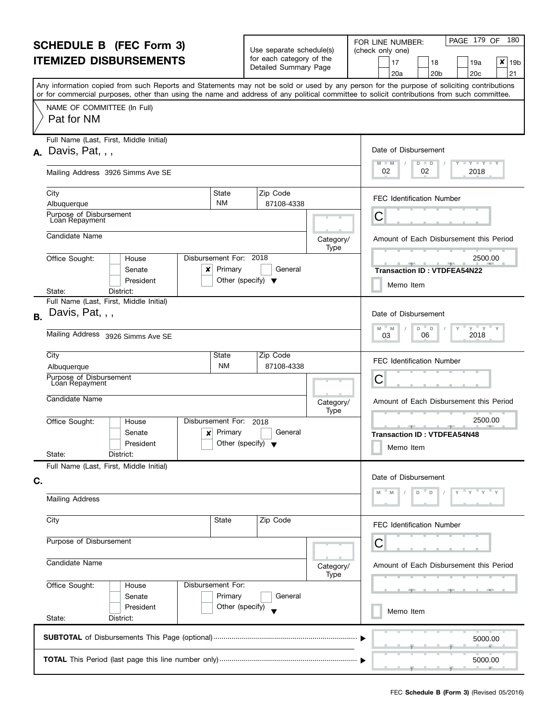|           | <b>SCHEDULE B (FEC Form 3)</b><br><b>ITEMIZED DISBURSEMENTS</b>                                                                                                                                                                                                                         | Use separate schedule(s)<br>for each category of the<br>Detailed Summary Page |                                         | PAGE 179 OF<br>180<br>FOR LINE NUMBER:<br>(check only one)<br>x<br>19a<br>19 <sub>b</sub><br>17<br>18<br>20 <sub>b</sub><br>20 <sub>c</sub><br>21<br>20a |
|-----------|-----------------------------------------------------------------------------------------------------------------------------------------------------------------------------------------------------------------------------------------------------------------------------------------|-------------------------------------------------------------------------------|-----------------------------------------|----------------------------------------------------------------------------------------------------------------------------------------------------------|
|           | Any information copied from such Reports and Statements may not be sold or used by any person for the purpose of soliciting contributions<br>or for commercial purposes, other than using the name and address of any political committee to solicit contributions from such committee. |                                                                               |                                         |                                                                                                                                                          |
|           | NAME OF COMMITTEE (In Full)<br>Pat for NM                                                                                                                                                                                                                                               |                                                                               |                                         |                                                                                                                                                          |
|           | Full Name (Last, First, Middle Initial)<br>$\lambda$ . Davis, Pat, , ,                                                                                                                                                                                                                  |                                                                               |                                         | Date of Disbursement<br><b>LYLYLY</b><br>M<br>$-M$<br>$D$ $D$                                                                                            |
|           | Mailing Address 3926 Simms Ave SE                                                                                                                                                                                                                                                       | 02<br>2018<br>02                                                              |                                         |                                                                                                                                                          |
|           | City<br>State<br><b>NM</b><br>Albuquerque                                                                                                                                                                                                                                               | Zip Code<br>87108-4338                                                        |                                         | FEC Identification Number                                                                                                                                |
|           | Purpose of Disbursement<br>Loan Repayment                                                                                                                                                                                                                                               |                                                                               |                                         | С                                                                                                                                                        |
|           | Candidate Name                                                                                                                                                                                                                                                                          |                                                                               | Category/<br>Type                       | Amount of Each Disbursement this Period                                                                                                                  |
|           | Office Sought:<br>Disbursement For: 2018<br>House<br>Primary<br>Senate<br>×<br>President                                                                                                                                                                                                | General<br>Other (specify) $\blacktriangledown$                               |                                         | 2500.00<br><b>Transaction ID: VTDFEA54N22</b><br>Memo Item                                                                                               |
|           | State:<br>District:<br>Full Name (Last, First, Middle Initial)                                                                                                                                                                                                                          |                                                                               |                                         |                                                                                                                                                          |
| <b>B.</b> | Davis, Pat, , ,                                                                                                                                                                                                                                                                         |                                                                               |                                         | Date of Disbursement<br>$Y$ $Y$<br>M<br>D<br>$\Box$<br>M                                                                                                 |
|           | Mailing Address 3926 Simms Ave SE                                                                                                                                                                                                                                                       | 2018<br>06<br>03                                                              |                                         |                                                                                                                                                          |
|           | City<br>State<br><b>NM</b><br>Albuquerque                                                                                                                                                                                                                                               | Zip Code<br>87108-4338                                                        |                                         | <b>FEC Identification Number</b>                                                                                                                         |
|           | Purpose of Disbursement<br>Loan Repayment                                                                                                                                                                                                                                               | C                                                                             |                                         |                                                                                                                                                          |
|           | Candidate Name                                                                                                                                                                                                                                                                          | Category/<br>Type                                                             | Amount of Each Disbursement this Period |                                                                                                                                                          |
|           | Disbursement For:<br>Office Sought:<br>House<br>Primary<br>Senate<br>×<br>President<br>State:<br>District:                                                                                                                                                                              | 2018<br>General<br>Other (specify) $\blacktriangledown$                       |                                         | 2500.00<br><b>Transaction ID: VTDFEA54N48</b><br>Memo Item                                                                                               |
|           | Full Name (Last, First, Middle Initial)                                                                                                                                                                                                                                                 |                                                                               |                                         |                                                                                                                                                          |
| C.        |                                                                                                                                                                                                                                                                                         |                                                                               |                                         | Date of Disbursement<br>M                                                                                                                                |
|           | <b>Mailing Address</b>                                                                                                                                                                                                                                                                  |                                                                               |                                         |                                                                                                                                                          |
|           | City<br>State                                                                                                                                                                                                                                                                           | Zip Code                                                                      |                                         | FEC Identification Number                                                                                                                                |
|           | Purpose of Disbursement                                                                                                                                                                                                                                                                 | С                                                                             |                                         |                                                                                                                                                          |
|           | Candidate Name                                                                                                                                                                                                                                                                          | Amount of Each Disbursement this Period<br>Category/                          |                                         |                                                                                                                                                          |
|           | Office Sought:<br>Disbursement For:<br>House<br>Primary<br>Senate                                                                                                                                                                                                                       |                                                                               |                                         |                                                                                                                                                          |
|           | President<br>State:<br>District:                                                                                                                                                                                                                                                        | Other (specify)                                                               |                                         | Memo Item                                                                                                                                                |
|           |                                                                                                                                                                                                                                                                                         |                                                                               |                                         | 5000.00                                                                                                                                                  |
|           |                                                                                                                                                                                                                                                                                         |                                                                               |                                         | 5000.00                                                                                                                                                  |